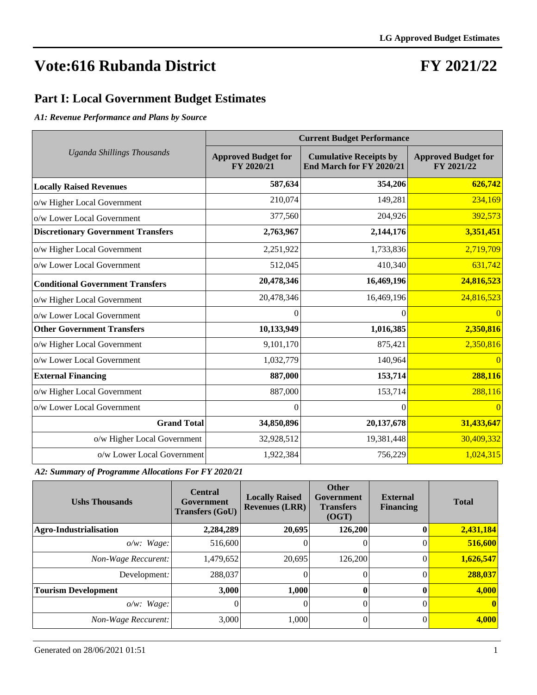#### **FY 2021/22**

#### **Part I: Local Government Budget Estimates**

*A1: Revenue Performance and Plans by Source*

|                                           | <b>Current Budget Performance</b>        |                                                           |                                          |  |  |  |  |  |
|-------------------------------------------|------------------------------------------|-----------------------------------------------------------|------------------------------------------|--|--|--|--|--|
| <b>Uganda Shillings Thousands</b>         | <b>Approved Budget for</b><br>FY 2020/21 | <b>Cumulative Receipts by</b><br>End March for FY 2020/21 | <b>Approved Budget for</b><br>FY 2021/22 |  |  |  |  |  |
| <b>Locally Raised Revenues</b>            | 587,634                                  | 354,206                                                   | 626,742                                  |  |  |  |  |  |
| o/w Higher Local Government               | 210,074                                  | 149,281                                                   | 234,169                                  |  |  |  |  |  |
| o/w Lower Local Government                | 377,560                                  | 204,926                                                   | 392,573                                  |  |  |  |  |  |
| <b>Discretionary Government Transfers</b> | 2,763,967                                | 2,144,176                                                 | 3,351,451                                |  |  |  |  |  |
| o/w Higher Local Government               | 2,251,922                                | 1,733,836                                                 | 2,719,709                                |  |  |  |  |  |
| o/w Lower Local Government                | 512,045                                  | 410,340                                                   | 631,742                                  |  |  |  |  |  |
| <b>Conditional Government Transfers</b>   | 20,478,346                               | 16,469,196                                                | 24,816,523                               |  |  |  |  |  |
| o/w Higher Local Government               | 20,478,346                               | 16,469,196                                                | 24,816,523                               |  |  |  |  |  |
| o/w Lower Local Government                | 0                                        | 0                                                         |                                          |  |  |  |  |  |
| <b>Other Government Transfers</b>         | 10,133,949                               | 1,016,385                                                 | 2,350,816                                |  |  |  |  |  |
| o/w Higher Local Government               | 9,101,170                                | 875,421                                                   | 2,350,816                                |  |  |  |  |  |
| o/w Lower Local Government                | 1,032,779                                | 140,964                                                   | $\overline{0}$                           |  |  |  |  |  |
| <b>External Financing</b>                 | 887,000                                  | 153,714                                                   | 288,116                                  |  |  |  |  |  |
| o/w Higher Local Government               | 887,000                                  | 153,714                                                   | 288,116                                  |  |  |  |  |  |
| o/w Lower Local Government                | $\Omega$                                 | 0                                                         | $\Omega$                                 |  |  |  |  |  |
| <b>Grand Total</b>                        | 34,850,896                               | 20, 137, 678                                              | 31,433,647                               |  |  |  |  |  |
| o/w Higher Local Government               | 32,928,512                               | 19,381,448                                                | 30,409,332                               |  |  |  |  |  |
| o/w Lower Local Government                | 1,922,384                                | 756,229                                                   | 1,024,315                                |  |  |  |  |  |

*A2: Summary of Programme Allocations For FY 2020/21*

| <b>Ushs Thousands</b>         | <b>Central</b><br>Government<br><b>Transfers (GoU)</b> | <b>Locally Raised</b><br><b>Revenues (LRR)</b> | <b>Other</b><br>Government<br><b>Transfers</b><br>(OGT) | <b>External</b><br><b>Financing</b> | <b>Total</b>      |
|-------------------------------|--------------------------------------------------------|------------------------------------------------|---------------------------------------------------------|-------------------------------------|-------------------|
| <b>Agro-Industrialisation</b> | 2,284,289                                              | 20,695                                         | 126,200                                                 | 0                                   | 2,431,184         |
| $o/w$ : Wage:                 | 516,600                                                |                                                |                                                         |                                     | 516,600           |
| Non-Wage Reccurent:           | 1,479,652                                              | 20,695                                         | 126,200                                                 |                                     | 1,626,547         |
| Development:                  | 288,037                                                |                                                | 0                                                       |                                     | 288,037           |
| <b>Tourism Development</b>    | 3,000                                                  | 1,000                                          | $\mathbf{0}$                                            |                                     | 4,000             |
| $o/w$ : Wage:                 | O                                                      | O                                              | 0                                                       |                                     | $\vert$ 0 $\vert$ |
| Non-Wage Reccurent:           | 3,000                                                  | 1,000                                          | 0                                                       |                                     | 4,000             |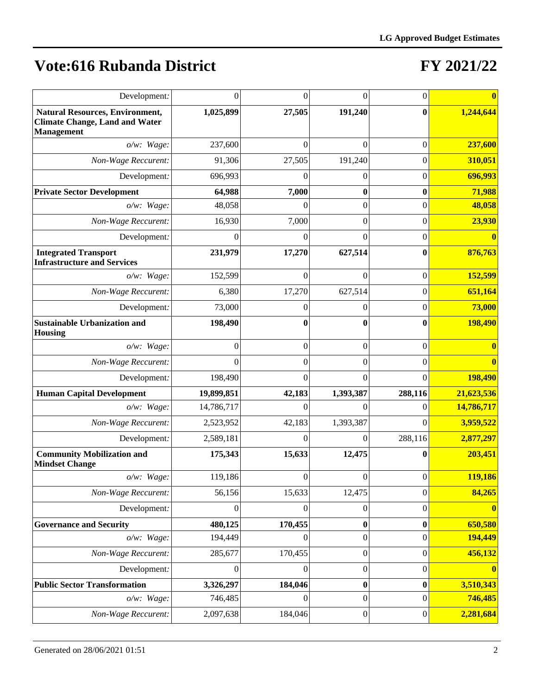| Development:                                                                                         | $\Omega$         | 0        | $\theta$         | $\boldsymbol{0}$ |            |
|------------------------------------------------------------------------------------------------------|------------------|----------|------------------|------------------|------------|
| <b>Natural Resources, Environment,</b><br><b>Climate Change, Land and Water</b><br><b>Management</b> | 1,025,899        | 27,505   | 191,240          | $\bf{0}$         | 1,244,644  |
| $o/w$ : Wage:                                                                                        | 237,600          | 0        | 0                | $\boldsymbol{0}$ | 237,600    |
| Non-Wage Reccurent:                                                                                  | 91,306           | 27,505   | 191,240          | $\theta$         | 310,051    |
| Development:                                                                                         | 696,993          | 0        | 0                | 0                | 696,993    |
| <b>Private Sector Development</b>                                                                    | 64,988           | 7,000    | 0                | 0                | 71,988     |
| $o/w$ : Wage:                                                                                        | 48,058           | 0        | $\mathbf{0}$     | $\theta$         | 48,058     |
| Non-Wage Reccurent:                                                                                  | 16,930           | 7,000    | $\overline{0}$   | $\overline{0}$   | 23,930     |
| Development:                                                                                         | $\Omega$         | $\Omega$ | $\mathbf{0}$     | $\theta$         |            |
| <b>Integrated Transport</b><br><b>Infrastructure and Services</b>                                    | 231,979          | 17,270   | 627,514          | $\bf{0}$         | 876,763    |
| o/w: Wage:                                                                                           | 152,599          | 0        | $\theta$         | $\overline{0}$   | 152,599    |
| Non-Wage Reccurent:                                                                                  | 6,380            | 17,270   | 627,514          | $\overline{0}$   | 651,164    |
| Development:                                                                                         | 73,000           |          | $\theta$         | $\theta$         | 73,000     |
| <b>Sustainable Urbanization and</b><br><b>Housing</b>                                                | 198,490          |          | 0                | $\bf{0}$         | 198,490    |
| $o/w$ : Wage:                                                                                        | $\theta$         | 0        | $\overline{0}$   | $\boldsymbol{0}$ |            |
| Non-Wage Reccurent:                                                                                  | $\Omega$         | 0        | $\overline{0}$   | $\Omega$         |            |
| Development:                                                                                         | 198,490          | $\Omega$ | $\theta$         | $\theta$         | 198,490    |
| <b>Human Capital Development</b>                                                                     | 19,899,851       | 42,183   | 1,393,387        | 288,116          | 21,623,536 |
| $o/w$ : Wage:                                                                                        | 14,786,717       | 0        | $\theta$         | $\theta$         | 14,786,717 |
| Non-Wage Reccurent:                                                                                  | 2,523,952        | 42,183   | 1,393,387        | $\Omega$         | 3,959,522  |
| Development:                                                                                         | 2,589,181        | 0        | $\theta$         | 288,116          | 2,877,297  |
| <b>Community Mobilization and</b><br><b>Mindset Change</b>                                           | 175,343          | 15,633   | 12,475           | 0                | 203,451    |
| o/w: Wage:                                                                                           | 119,186          | 0        | $\boldsymbol{0}$ | $\boldsymbol{0}$ | 119,186    |
| Non-Wage Reccurent:                                                                                  | 56,156           | 15,633   | 12,475           | $\boldsymbol{0}$ | 84,265     |
| Development:                                                                                         | $\theta$         | 0        | $\boldsymbol{0}$ | $\boldsymbol{0}$ |            |
| <b>Governance and Security</b>                                                                       | 480,125          | 170,455  | 0                | $\bf{0}$         | 650,580    |
| o/w: Wage:                                                                                           | 194,449          | 0        | $\boldsymbol{0}$ | $\boldsymbol{0}$ | 194,449    |
| Non-Wage Reccurent:                                                                                  | 285,677          | 170,455  | $\boldsymbol{0}$ | $\boldsymbol{0}$ | 456,132    |
| Development:                                                                                         | $\boldsymbol{0}$ | $\theta$ | $\boldsymbol{0}$ | $\boldsymbol{0}$ |            |
| <b>Public Sector Transformation</b>                                                                  | 3,326,297        | 184,046  | $\boldsymbol{0}$ | $\boldsymbol{0}$ | 3,510,343  |
| o/w: Wage:                                                                                           | 746,485          | $\Omega$ | $\boldsymbol{0}$ | $\boldsymbol{0}$ | 746,485    |
| Non-Wage Reccurent:                                                                                  | 2,097,638        | 184,046  | $\boldsymbol{0}$ | $\vert 0 \vert$  | 2,281,684  |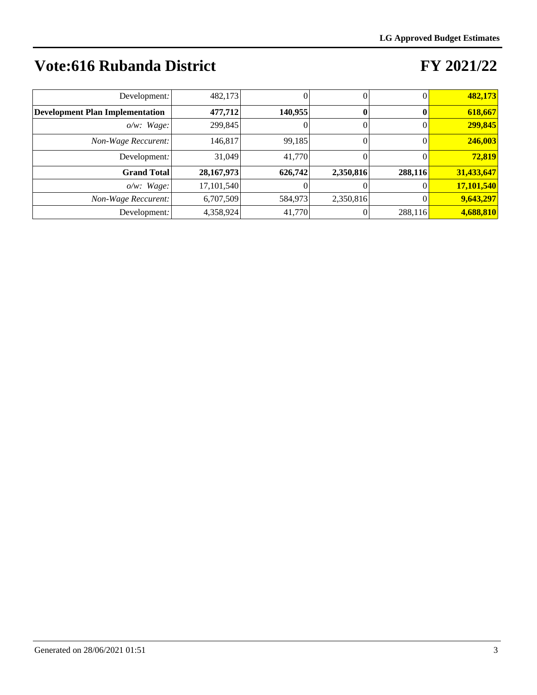| Development:                           | 482,173      |         | 0         |         | 482,173    |
|----------------------------------------|--------------|---------|-----------|---------|------------|
| <b>Development Plan Implementation</b> | 477,712      | 140,955 |           |         | 618,667    |
| $o/w$ : Wage:                          | 299,845      |         | 0         |         | 299,845    |
| Non-Wage Reccurent:                    | 146,817      | 99,185  |           |         | 246,003    |
| Development:                           | 31.049       | 41,770  |           |         | 72,819     |
| <b>Grand Total</b>                     | 28, 167, 973 | 626,742 | 2,350,816 | 288,116 | 31,433,647 |
| $o/w$ : Wage:                          | 17,101,540   |         |           |         | 17,101,540 |
| Non-Wage Reccurent:                    | 6,707,509    | 584,973 | 2,350,816 |         | 9,643,297  |
| Development:                           | 4,358,924    | 41,770  |           | 288,116 | 4,688,810  |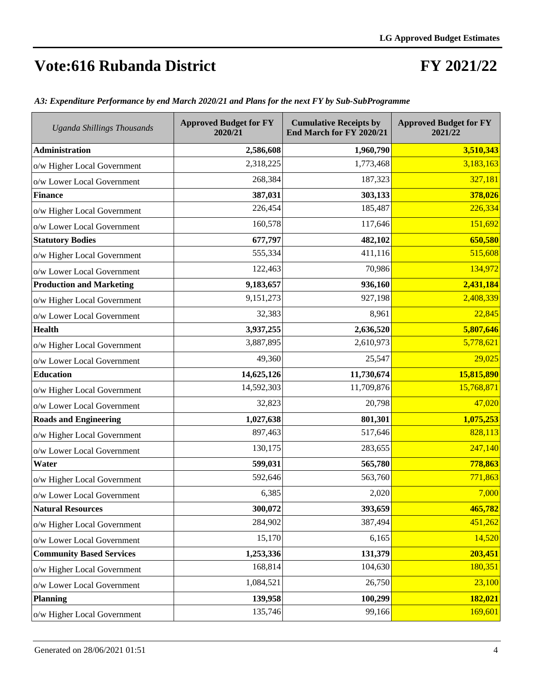### **FY 2021/22**

| <b>Uganda Shillings Thousands</b> | <b>Approved Budget for FY</b><br>2020/21 | <b>Cumulative Receipts by</b><br>End March for FY 2020/21 | <b>Approved Budget for FY</b><br>2021/22 |
|-----------------------------------|------------------------------------------|-----------------------------------------------------------|------------------------------------------|
| <b>Administration</b>             | 2,586,608                                | 1,960,790                                                 | 3,510,343                                |
| o/w Higher Local Government       | 2,318,225                                | 1,773,468                                                 | 3,183,163                                |
| o/w Lower Local Government        | 268,384                                  | 187,323                                                   | 327,181                                  |
| <b>Finance</b>                    | 387,031                                  | 303,133                                                   | 378,026                                  |
| o/w Higher Local Government       | 226,454                                  | 185,487                                                   | 226,334                                  |
| o/w Lower Local Government        | 160,578                                  | 117,646                                                   | 151,692                                  |
| <b>Statutory Bodies</b>           | 677,797                                  | 482,102                                                   | 650,580                                  |
| o/w Higher Local Government       | 555,334                                  | 411,116                                                   | 515,608                                  |
| o/w Lower Local Government        | 122,463                                  | 70,986                                                    | 134,972                                  |
| <b>Production and Marketing</b>   | 9,183,657                                | 936,160                                                   | 2,431,184                                |
| o/w Higher Local Government       | 9,151,273                                | 927,198                                                   | 2,408,339                                |
| o/w Lower Local Government        | 32,383                                   | 8,961                                                     | 22,845                                   |
| <b>Health</b>                     | 3,937,255                                | 2,636,520                                                 | 5,807,646                                |
| o/w Higher Local Government       | 3,887,895                                | 2,610,973                                                 | 5,778,621                                |
| o/w Lower Local Government        | 49,360                                   | 25,547                                                    | 29,025                                   |
| <b>Education</b>                  | 14,625,126                               | 11,730,674                                                | 15,815,890                               |
| o/w Higher Local Government       | 14,592,303                               | 11,709,876                                                | 15,768,871                               |
| o/w Lower Local Government        | 32,823                                   | 20,798                                                    | 47,020                                   |
| <b>Roads and Engineering</b>      | 1,027,638                                | 801,301                                                   | 1,075,253                                |
| o/w Higher Local Government       | 897,463                                  | 517,646                                                   | 828,113                                  |
| o/w Lower Local Government        | 130,175                                  | 283,655                                                   | 247,140                                  |
| Water                             | 599,031                                  | 565,780                                                   | 778,863                                  |
| o/w Higher Local Government       | 592,646                                  | 563,760                                                   | 771,863                                  |
| o/w Lower Local Government        | 6,385                                    | 2,020                                                     | 7,000                                    |
| <b>Natural Resources</b>          | 300,072                                  | 393,659                                                   | 465,782                                  |
| o/w Higher Local Government       | 284,902                                  | 387,494                                                   | 451,262                                  |
| o/w Lower Local Government        | 15,170                                   | 6,165                                                     | 14,520                                   |
| <b>Community Based Services</b>   | 1,253,336                                | 131,379                                                   | 203,451                                  |
| o/w Higher Local Government       | 168,814                                  | 104,630                                                   | 180,351                                  |
| o/w Lower Local Government        | 1,084,521                                | 26,750                                                    | 23,100                                   |
| <b>Planning</b>                   | 139,958                                  | 100,299                                                   | 182,021                                  |
| o/w Higher Local Government       | 135,746                                  | 99,166                                                    | 169,601                                  |

*A3: Expenditure Performance by end March 2020/21 and Plans for the next FY by Sub-SubProgramme*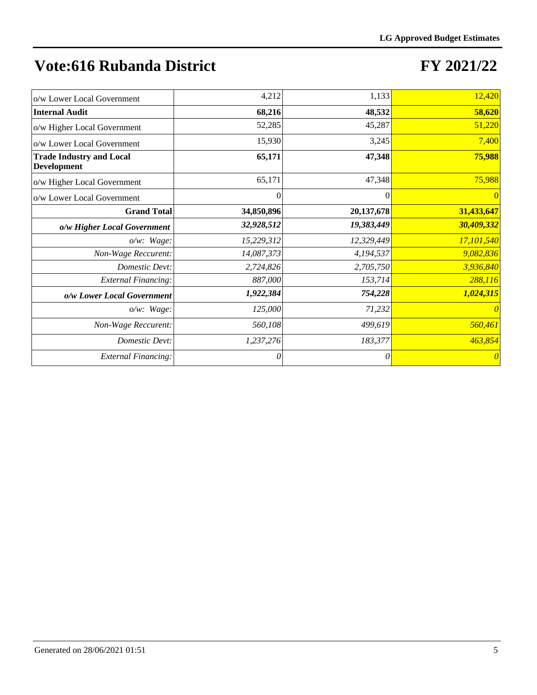| o/w Lower Local Government                     | 4,212      | 1,133      | 12,420                |
|------------------------------------------------|------------|------------|-----------------------|
| <b>Internal Audit</b>                          | 68,216     | 48,532     | 58,620                |
| o/w Higher Local Government                    | 52,285     | 45,287     | 51,220                |
| o/w Lower Local Government                     | 15,930     | 3,245      | 7,400                 |
| <b>Trade Industry and Local</b><br>Development | 65,171     | 47,348     | 75,988                |
| o/w Higher Local Government                    | 65,171     | 47,348     | 75,988                |
| o/w Lower Local Government                     | $\theta$   | $\Omega$   | $\Omega$              |
| <b>Grand Total</b>                             | 34,850,896 | 20,137,678 | 31,433,647            |
| o/w Higher Local Government                    | 32,928,512 | 19,383,449 | 30,409,332            |
| $o/w$ : Wage:                                  | 15,229,312 | 12,329,449 | 17,101,540            |
| Non-Wage Reccurent:                            | 14,087,373 | 4,194,537  | 9,082,836             |
| Domestic Devt:                                 | 2,724,826  | 2,705,750  | 3,936,840             |
| <b>External Financing:</b>                     | 887,000    | 153,714    | 288,116               |
| o/w Lower Local Government                     | 1,922,384  | 754,228    | 1,024,315             |
| $o/w$ : Wage:                                  | 125,000    | 71,232     | 0                     |
| Non-Wage Reccurent:                            | 560,108    | 499,619    | 560,461               |
| Domestic Devt:                                 | 1,237,276  | 183,377    | 463,854               |
| <b>External Financing:</b>                     | 0          | 0          | $\boldsymbol{\theta}$ |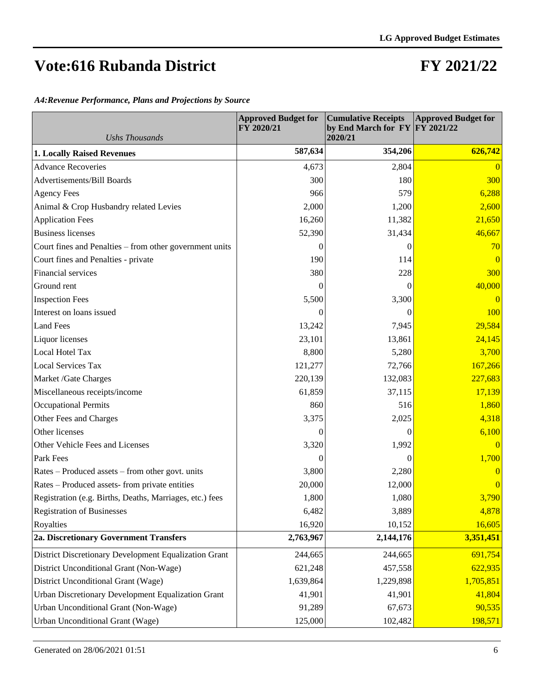#### **FY 2021/22**

*A4:Revenue Performance, Plans and Projections by Source*

| <b>Ushs Thousands</b>                                    | <b>Approved Budget for</b><br>FY 2020/21 | <b>Cumulative Receipts</b><br>by End March for $FY$ $FY$ 2021/22<br>2020/21 | <b>Approved Budget for</b> |
|----------------------------------------------------------|------------------------------------------|-----------------------------------------------------------------------------|----------------------------|
| <b>1. Locally Raised Revenues</b>                        | 587,634                                  | 354,206                                                                     | 626,742                    |
| <b>Advance Recoveries</b>                                | 4,673                                    | 2,804                                                                       | $\overline{0}$             |
| Advertisements/Bill Boards                               | 300                                      | 180                                                                         | 300                        |
| <b>Agency Fees</b>                                       | 966                                      | 579                                                                         | 6,288                      |
| Animal & Crop Husbandry related Levies                   | 2,000                                    | 1,200                                                                       | 2,600                      |
| <b>Application Fees</b>                                  | 16,260                                   | 11,382                                                                      | 21,650                     |
| <b>Business licenses</b>                                 | 52,390                                   | 31,434                                                                      | 46,667                     |
| Court fines and Penalties - from other government units  | 0                                        | 0                                                                           | 70                         |
| Court fines and Penalties - private                      | 190                                      | 114                                                                         | $\overline{0}$             |
| Financial services                                       | 380                                      | 228                                                                         | 300                        |
| Ground rent                                              | $\theta$                                 | $\Omega$                                                                    | 40,000                     |
| <b>Inspection Fees</b>                                   | 5,500                                    | 3,300                                                                       | $\overline{0}$             |
| Interest on loans issued                                 | $\theta$                                 | $\Omega$                                                                    | 100                        |
| <b>Land Fees</b>                                         | 13,242                                   | 7,945                                                                       | 29,584                     |
| Liquor licenses                                          | 23,101                                   | 13,861                                                                      | 24,145                     |
| <b>Local Hotel Tax</b>                                   | 8,800                                    | 5,280                                                                       | 3,700                      |
| Local Services Tax                                       | 121,277                                  | 72,766                                                                      | 167,266                    |
| Market /Gate Charges                                     | 220,139                                  | 132,083                                                                     | 227,683                    |
| Miscellaneous receipts/income                            | 61,859                                   | 37,115                                                                      | 17,139                     |
| <b>Occupational Permits</b>                              | 860                                      | 516                                                                         | 1,860                      |
| Other Fees and Charges                                   | 3,375                                    | 2,025                                                                       | 4,318                      |
| Other licenses                                           | 0                                        | $\Omega$                                                                    | 6,100                      |
| Other Vehicle Fees and Licenses                          | 3,320                                    | 1,992                                                                       | $\overline{0}$             |
| Park Fees                                                | $\overline{0}$                           | $\theta$                                                                    | 1,700                      |
| Rates – Produced assets – from other govt. units         | 3,800                                    | 2,280                                                                       | $\overline{0}$             |
| Rates – Produced assets-from private entities            | 20,000                                   | 12,000                                                                      | $\overline{0}$             |
| Registration (e.g. Births, Deaths, Marriages, etc.) fees | 1,800                                    | 1,080                                                                       | 3,790                      |
| <b>Registration of Businesses</b>                        | 6,482                                    | 3,889                                                                       | 4,878                      |
| Royalties                                                | 16,920                                   | 10,152                                                                      | 16,605                     |
| 2a. Discretionary Government Transfers                   | 2,763,967                                | 2,144,176                                                                   | 3,351,451                  |
| District Discretionary Development Equalization Grant    | 244,665                                  | 244,665                                                                     | 691,754                    |
| District Unconditional Grant (Non-Wage)                  | 621,248                                  | 457,558                                                                     | 622,935                    |
| District Unconditional Grant (Wage)                      | 1,639,864                                | 1,229,898                                                                   | 1,705,851                  |
| Urban Discretionary Development Equalization Grant       | 41,901                                   | 41,901                                                                      | 41,804                     |
| Urban Unconditional Grant (Non-Wage)                     | 91,289                                   | 67,673                                                                      | 90,535                     |
| Urban Unconditional Grant (Wage)                         | 125,000                                  | 102,482                                                                     | 198,571                    |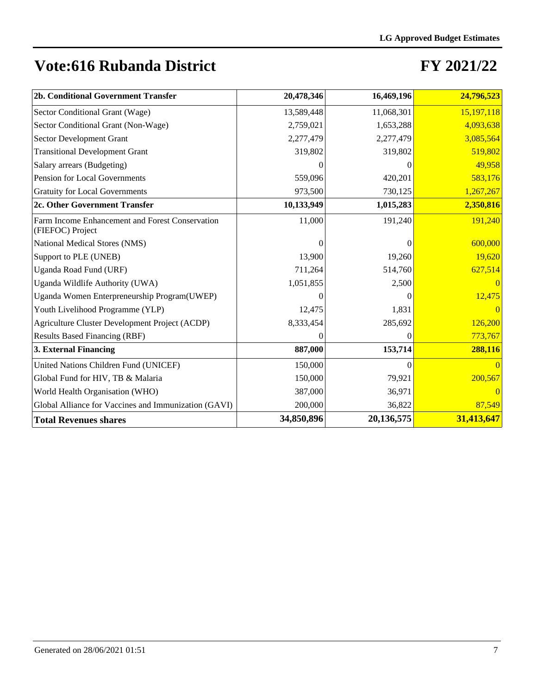| 2b. Conditional Government Transfer                                 | 20,478,346 | 16,469,196 | 24,796,523 |
|---------------------------------------------------------------------|------------|------------|------------|
| Sector Conditional Grant (Wage)                                     | 13,589,448 | 11,068,301 | 15,197,118 |
| Sector Conditional Grant (Non-Wage)                                 | 2,759,021  | 1,653,288  | 4,093,638  |
| Sector Development Grant                                            | 2,277,479  | 2,277,479  | 3,085,564  |
| <b>Transitional Development Grant</b>                               | 319,802    | 319,802    | 519,802    |
| Salary arrears (Budgeting)                                          |            | 0          | 49,958     |
| Pension for Local Governments                                       | 559,096    | 420,201    | 583,176    |
| <b>Gratuity for Local Governments</b>                               | 973,500    | 730,125    | 1,267,267  |
| 2c. Other Government Transfer                                       | 10,133,949 | 1,015,283  | 2,350,816  |
| Farm Income Enhancement and Forest Conservation<br>(FIEFOC) Project | 11,000     | 191,240    | 191,240    |
| National Medical Stores (NMS)                                       | 0          | 0          | 600,000    |
| Support to PLE (UNEB)                                               | 13,900     | 19,260     | 19,620     |
| Uganda Road Fund (URF)                                              | 711,264    | 514,760    | 627,514    |
| Uganda Wildlife Authority (UWA)                                     | 1,051,855  | 2,500      |            |
| Uganda Women Enterpreneurship Program(UWEP)                         |            | 0          | 12,475     |
| Youth Livelihood Programme (YLP)                                    | 12,475     | 1,831      | $\Omega$   |
| Agriculture Cluster Development Project (ACDP)                      | 8,333,454  | 285,692    | 126,200    |
| <b>Results Based Financing (RBF)</b>                                |            | 0          | 773,767    |
| 3. External Financing                                               | 887,000    | 153,714    | 288,116    |
| United Nations Children Fund (UNICEF)                               | 150,000    | $\Omega$   |            |
| Global Fund for HIV, TB & Malaria                                   | 150,000    | 79,921     | 200,567    |
| World Health Organisation (WHO)                                     | 387,000    | 36,971     |            |
| Global Alliance for Vaccines and Immunization (GAVI)                | 200,000    | 36,822     | 87,549     |
| <b>Total Revenues shares</b>                                        | 34,850,896 | 20,136,575 | 31,413,647 |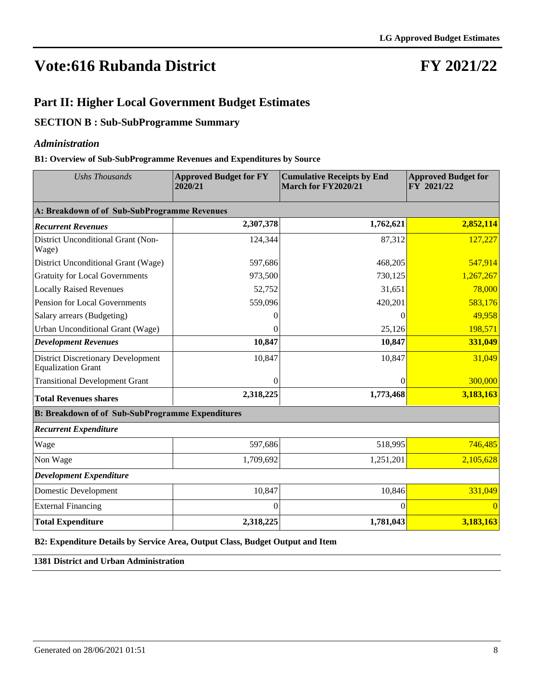### **FY 2021/22**

#### **Part II: Higher Local Government Budget Estimates**

#### **SECTION B : Sub-SubProgramme Summary**

#### *Administration*

#### **B1: Overview of Sub-SubProgramme Revenues and Expenditures by Source**

| <b>Ushs Thousands</b>                                                  | <b>Approved Budget for FY</b><br>2020/21 | <b>Cumulative Receipts by End</b><br>March for FY2020/21 | <b>Approved Budget for</b><br>$\overline{FY}$ 2021/22 |
|------------------------------------------------------------------------|------------------------------------------|----------------------------------------------------------|-------------------------------------------------------|
| A: Breakdown of of Sub-SubProgramme Revenues                           |                                          |                                                          |                                                       |
| <b>Recurrent Revenues</b>                                              | 2,307,378                                | 1,762,621                                                | 2,852,114                                             |
| District Unconditional Grant (Non-<br>Wage)                            | 124,344                                  | 87,312                                                   | 127,227                                               |
| District Unconditional Grant (Wage)                                    | 597,686                                  | 468,205                                                  | 547,914                                               |
| <b>Gratuity for Local Governments</b>                                  | 973,500                                  | 730,125                                                  | 1,267,267                                             |
| <b>Locally Raised Revenues</b>                                         | 52,752                                   | 31,651                                                   | 78,000                                                |
| Pension for Local Governments                                          | 559,096                                  | 420,201                                                  | 583,176                                               |
| Salary arrears (Budgeting)                                             | $\mathbf{\Omega}$                        | 0                                                        | 49,958                                                |
| Urban Unconditional Grant (Wage)                                       | 0                                        | 25,126                                                   | 198,571                                               |
| <b>Development Revenues</b>                                            | 10,847                                   | 10,847                                                   | 331,049                                               |
| <b>District Discretionary Development</b><br><b>Equalization Grant</b> | 10,847                                   | 10,847                                                   | 31,049                                                |
| <b>Transitional Development Grant</b>                                  | 0                                        | 0                                                        | 300,000                                               |
| <b>Total Revenues shares</b>                                           | 2,318,225                                | 1,773,468                                                | 3,183,163                                             |
| <b>B: Breakdown of of Sub-SubProgramme Expenditures</b>                |                                          |                                                          |                                                       |
| <b>Recurrent Expenditure</b>                                           |                                          |                                                          |                                                       |
| Wage                                                                   | 597,686                                  | 518,995                                                  | 746,485                                               |
| Non Wage                                                               | 1,709,692                                | 1,251,201                                                | 2,105,628                                             |
| <b>Development Expenditure</b>                                         |                                          |                                                          |                                                       |
| <b>Domestic Development</b>                                            | 10,847                                   | 10,846                                                   | 331,049                                               |
| <b>External Financing</b>                                              | $\Omega$                                 | $\Omega$                                                 |                                                       |
| <b>Total Expenditure</b>                                               | 2,318,225                                | 1,781,043                                                | 3,183,163                                             |

**B2: Expenditure Details by Service Area, Output Class, Budget Output and Item**

**1381 District and Urban Administration**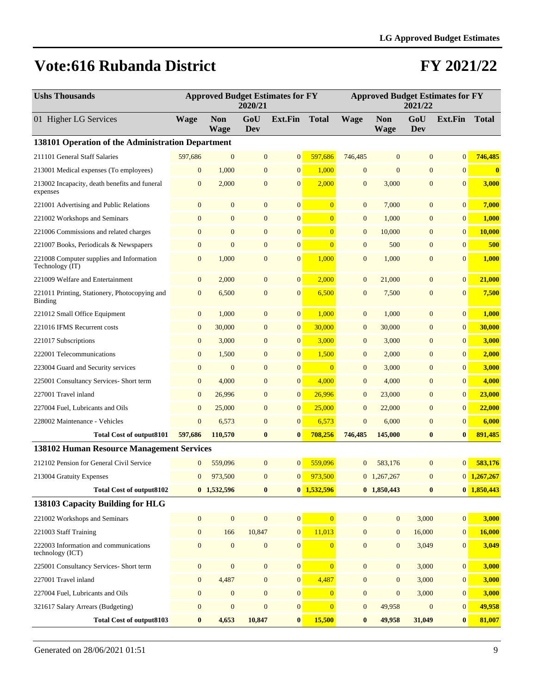| <b>Ushs Thousands</b>                                           |                  |                           | 2020/21          | <b>Approved Budget Estimates for FY</b> |                |                  | <b>Approved Budget Estimates for FY</b> | 2021/22          |                 |               |
|-----------------------------------------------------------------|------------------|---------------------------|------------------|-----------------------------------------|----------------|------------------|-----------------------------------------|------------------|-----------------|---------------|
| 01 Higher LG Services                                           | <b>Wage</b>      | <b>Non</b><br><b>Wage</b> | GoU<br>Dev       | Ext.Fin                                 | <b>Total</b>   | <b>Wage</b>      | <b>Non</b><br><b>Wage</b>               | GoU<br>Dev       | <b>Ext.Fin</b>  | <b>Total</b>  |
| 138101 Operation of the Administration Department               |                  |                           |                  |                                         |                |                  |                                         |                  |                 |               |
| 211101 General Staff Salaries                                   | 597,686          | $\mathbf{0}$              | $\mathbf{0}$     | $\mathbf{0}$                            | 597,686        | 746,485          | $\mathbf{0}$                            | $\mathbf{0}$     | $\overline{0}$  | 746,485       |
| 213001 Medical expenses (To employees)                          | $\mathbf{0}$     | 1,000                     | $\mathbf{0}$     | $\boldsymbol{0}$                        | 1,000          | $\mathbf{0}$     | $\mathbf{0}$                            | $\mathbf{0}$     | $\overline{0}$  | $\bf{0}$      |
| 213002 Incapacity, death benefits and funeral<br>expenses       | $\mathbf{0}$     | 2,000                     | $\mathbf{0}$     | $\mathbf{0}$                            | 2,000          | $\mathbf{0}$     | 3,000                                   | $\overline{0}$   | $\overline{0}$  | 3,000         |
| 221001 Advertising and Public Relations                         | $\mathbf{0}$     | $\mathbf{0}$              | $\mathbf{0}$     | $\mathbf{0}$                            | $\overline{0}$ | $\mathbf{0}$     | 7,000                                   | $\mathbf{0}$     | $\overline{0}$  | 7,000         |
| 221002 Workshops and Seminars                                   | $\mathbf{0}$     | $\mathbf{0}$              | $\mathbf{0}$     | $\boldsymbol{0}$                        | $\overline{0}$ | $\mathbf{0}$     | 1,000                                   | $\mathbf{0}$     | $\mathbf{0}$    | 1,000         |
| 221006 Commissions and related charges                          | $\mathbf{0}$     | $\mathbf{0}$              | $\mathbf{0}$     | $\mathbf{0}$                            | $\overline{0}$ | $\mathbf{0}$     | 10,000                                  | $\overline{0}$   | $\mathbf{0}$    | 10,000        |
| 221007 Books, Periodicals & Newspapers                          | $\mathbf{0}$     | $\overline{0}$            | $\mathbf{0}$     | $\boldsymbol{0}$                        | $\overline{0}$ | $\mathbf{0}$     | 500                                     | $\overline{0}$   | $\mathbf{0}$    | 500           |
| 221008 Computer supplies and Information<br>Technology (IT)     | $\mathbf{0}$     | 1,000                     | $\mathbf{0}$     | $\boldsymbol{0}$                        | 1,000          | $\mathbf{0}$     | 1,000                                   | $\mathbf{0}$     | $\mathbf{0}$    | 1,000         |
| 221009 Welfare and Entertainment                                | $\boldsymbol{0}$ | 2,000                     | $\mathbf{0}$     | $\boldsymbol{0}$                        | 2,000          | $\mathbf{0}$     | 21,000                                  | $\overline{0}$   | $\mathbf{0}$    | 21,000        |
| 221011 Printing, Stationery, Photocopying and<br><b>Binding</b> | $\boldsymbol{0}$ | 6,500                     | $\mathbf{0}$     | $\boldsymbol{0}$                        | 6,500          | $\mathbf{0}$     | 7,500                                   | $\mathbf{0}$     | $\mathbf{0}$    | 7,500         |
| 221012 Small Office Equipment                                   | $\boldsymbol{0}$ | 1,000                     | $\mathbf{0}$     | $\boldsymbol{0}$                        | 1,000          | $\mathbf{0}$     | 1,000                                   | $\overline{0}$   | $\mathbf{0}$    | 1,000         |
| 221016 IFMS Recurrent costs                                     | $\boldsymbol{0}$ | 30,000                    | $\mathbf{0}$     | $\boldsymbol{0}$                        | 30,000         | $\mathbf{0}$     | 30,000                                  | $\mathbf{0}$     | $\mathbf{0}$    | 30,000        |
| 221017 Subscriptions                                            | $\boldsymbol{0}$ | 3,000                     | $\boldsymbol{0}$ | $\boldsymbol{0}$                        | 3,000          | $\mathbf{0}$     | 3,000                                   | $\mathbf{0}$     | $\mathbf{0}$    | 3,000         |
| 222001 Telecommunications                                       | $\boldsymbol{0}$ | 1,500                     | $\boldsymbol{0}$ | $\boldsymbol{0}$                        | 1,500          | $\mathbf{0}$     | 2,000                                   | $\boldsymbol{0}$ | $\mathbf{0}$    | 2,000         |
| 223004 Guard and Security services                              | $\mathbf{0}$     | $\mathbf{0}$              | $\mathbf{0}$     | $\boldsymbol{0}$                        | $\overline{0}$ | $\mathbf{0}$     | 3,000                                   | $\mathbf{0}$     | $\mathbf{0}$    | 3,000         |
| 225001 Consultancy Services- Short term                         | $\boldsymbol{0}$ | 4,000                     | $\mathbf{0}$     | $\boldsymbol{0}$                        | 4,000          | $\mathbf{0}$     | 4,000                                   | $\mathbf{0}$     | $\mathbf{0}$    | 4,000         |
| 227001 Travel inland                                            | $\mathbf{0}$     | 26,996                    | $\mathbf{0}$     | $\mathbf{0}$                            | 26,996         | $\mathbf{0}$     | 23,000                                  | $\overline{0}$   | $\mathbf{0}$    | 23,000        |
| 227004 Fuel, Lubricants and Oils                                | $\boldsymbol{0}$ | 25,000                    | $\mathbf{0}$     | $\boldsymbol{0}$                        | 25,000         | $\mathbf{0}$     | 22,000                                  | $\mathbf{0}$     | $\mathbf{0}$    | 22,000        |
| 228002 Maintenance - Vehicles                                   | $\overline{0}$   | 6,573                     | $\mathbf{0}$     | $\boldsymbol{0}$                        | 6,573          | $\overline{0}$   | 6,000                                   | $\overline{0}$   | $\mathbf{0}$    | 6,000         |
| <b>Total Cost of output8101</b>                                 | 597,686          | 110,570                   | $\bf{0}$         | $\bf{0}$                                | 708,256        | 746,485          | 145,000                                 | $\bf{0}$         | $\mathbf{0}$    | 891,485       |
| <b>138102 Human Resource Management Services</b>                |                  |                           |                  |                                         |                |                  |                                         |                  |                 |               |
| 212102 Pension for General Civil Service                        | $\mathbf{0}$     | 559,096                   | $\mathbf{0}$     | $\mathbf{0}$                            | 559,096        | $\overline{0}$   | 583,176                                 | $\overline{0}$   | 0               | 583,176       |
| 213004 Gratuity Expenses                                        | $\mathbf{0}$     | 973,500                   | $\mathbf{0}$     | $\mathbf{0}$                            | 973,500        |                  | $0$ 1,267,267                           | $\mathbf{0}$     |                 | $0$ 1,267,267 |
| <b>Total Cost of output8102</b>                                 |                  | $0$ 1,532,596             | $\bf{0}$         |                                         | $0$ 1,532,596  |                  | 0 1,850,443                             | $\bf{0}$         |                 | $0$ 1,850,443 |
| 138103 Capacity Building for HLG                                |                  |                           |                  |                                         |                |                  |                                         |                  |                 |               |
| 221002 Workshops and Seminars                                   | $\mathbf{0}$     | $\boldsymbol{0}$          | $\boldsymbol{0}$ | $\boldsymbol{0}$                        | $\overline{0}$ | $\mathbf{0}$     | $\mathbf{0}$                            | 3,000            | 0               | 3,000         |
| 221003 Staff Training                                           | $\boldsymbol{0}$ | 166                       | 10,847           | $\boldsymbol{0}$                        | 11,013         | $\mathbf{0}$     | $\mathbf{0}$                            | 16,000           | 0               | 16,000        |
| 222003 Information and communications<br>technology (ICT)       | $\boldsymbol{0}$ | $\boldsymbol{0}$          | $\boldsymbol{0}$ | $\boldsymbol{0}$                        | $\Omega$       | $\mathbf{0}$     | $\mathbf{0}$                            | 3,049            | $\mathbf{0}$    | 3,049         |
| 225001 Consultancy Services- Short term                         | $\boldsymbol{0}$ | $\overline{0}$            | $\boldsymbol{0}$ | $\boldsymbol{0}$                        | $\overline{0}$ | $\mathbf{0}$     | $\mathbf{0}$                            | 3,000            | 0               | 3,000         |
| 227001 Travel inland                                            | $\boldsymbol{0}$ | 4,487                     | $\boldsymbol{0}$ | $\boldsymbol{0}$                        | 4,487          | $\boldsymbol{0}$ | $\boldsymbol{0}$                        | 3,000            | $\mathbf{0}$    | 3,000         |
| 227004 Fuel, Lubricants and Oils                                | $\boldsymbol{0}$ | $\boldsymbol{0}$          | $\boldsymbol{0}$ | $\mathbf{0}$                            | $\overline{0}$ | $\mathbf{0}$     | $\boldsymbol{0}$                        | 3,000            | $\mathbf{0}$    | 3,000         |
| 321617 Salary Arrears (Budgeting)                               | $\boldsymbol{0}$ | $\boldsymbol{0}$          | $\boldsymbol{0}$ | $\boldsymbol{0}$                        | $\overline{0}$ | $\mathbf{0}$     | 49,958                                  | $\boldsymbol{0}$ | $\mathbf{0}$    | 49,958        |
| <b>Total Cost of output8103</b>                                 | $\bf{0}$         | 4,653                     | 10,847           | $\vert 0 \vert$                         | 15,500         | $\bf{0}$         | 49,958                                  | 31,049           | $\vert 0 \vert$ | 81,007        |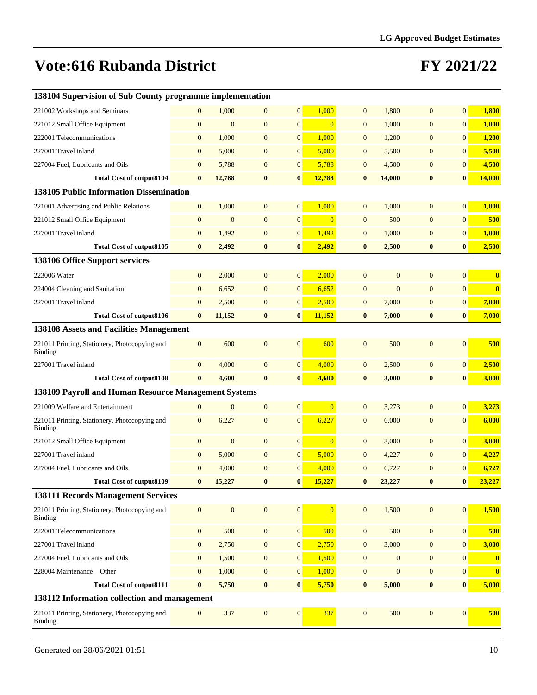| 138104 Supervision of Sub County programme implementation |                  |                |                  |                  |                |                  |                  |                  |                |          |
|-----------------------------------------------------------|------------------|----------------|------------------|------------------|----------------|------------------|------------------|------------------|----------------|----------|
| 221002 Workshops and Seminars                             | $\mathbf{0}$     | 1,000          | $\mathbf{0}$     | $\mathbf{0}$     | 1,000          | $\mathbf{0}$     | 1,800            | $\mathbf{0}$     | $\overline{0}$ | 1,800    |
| 221012 Small Office Equipment                             | $\mathbf{0}$     | $\mathbf{0}$   | $\overline{0}$   | $\mathbf{0}$     | $\Omega$       | $\overline{0}$   | 1,000            | $\overline{0}$   | $\mathbf{0}$   | 1,000    |
| 222001 Telecommunications                                 | $\overline{0}$   | 1,000          | $\mathbf{0}$     | $\boldsymbol{0}$ | 1,000          | $\overline{0}$   | 1,200            | $\overline{0}$   | $\overline{0}$ | 1,200    |
| 227001 Travel inland                                      | $\mathbf{0}$     | 5,000          | $\mathbf{0}$     | $\boldsymbol{0}$ | 5,000          | $\overline{0}$   | 5,500            | $\mathbf{0}$     | $\overline{0}$ | 5,500    |
| 227004 Fuel, Lubricants and Oils                          | $\overline{0}$   | 5,788          | $\overline{0}$   | $\mathbf{0}$     | 5,788          | $\overline{0}$   | 4,500            | $\mathbf{0}$     | $\overline{0}$ | 4,500    |
| <b>Total Cost of output8104</b>                           | $\bf{0}$         | 12,788         | $\bf{0}$         | $\bf{0}$         | 12,788         | $\bf{0}$         | 14,000           | $\bf{0}$         | $\bf{0}$       | 14,000   |
| 138105 Public Information Dissemination                   |                  |                |                  |                  |                |                  |                  |                  |                |          |
| 221001 Advertising and Public Relations                   | $\mathbf{0}$     | 1,000          | $\mathbf{0}$     | $\mathbf{0}$     | 1,000          | $\overline{0}$   | 1,000            | $\overline{0}$   | $\overline{0}$ | 1,000    |
| 221012 Small Office Equipment                             | $\mathbf{0}$     | $\mathbf{0}$   | $\mathbf{0}$     | $\overline{0}$   | $\overline{0}$ | $\overline{0}$   | 500              | $\mathbf{0}$     | $\overline{0}$ | 500      |
| 227001 Travel inland                                      | $\mathbf{0}$     | 1,492          | $\overline{0}$   | $\boldsymbol{0}$ | 1,492          | $\overline{0}$   | 1,000            | $\mathbf{0}$     | $\overline{0}$ | 1,000    |
| <b>Total Cost of output8105</b>                           | $\bf{0}$         | 2,492          | $\boldsymbol{0}$ | $\bf{0}$         | 2,492          | $\bf{0}$         | 2,500            | $\bf{0}$         | $\bf{0}$       | 2,500    |
| 138106 Office Support services                            |                  |                |                  |                  |                |                  |                  |                  |                |          |
| 223006 Water                                              | $\mathbf{0}$     | 2,000          | $\mathbf{0}$     | $\boldsymbol{0}$ | 2,000          | $\Omega$         | $\overline{0}$   | $\overline{0}$   | $\overline{0}$ | $\bf{0}$ |
| 224004 Cleaning and Sanitation                            | $\mathbf{0}$     | 6,652          | $\mathbf{0}$     | $\boldsymbol{0}$ | 6,652          | $\overline{0}$   | $\mathbf{0}$     | $\mathbf{0}$     | $\overline{0}$ | $\bf{0}$ |
| 227001 Travel inland                                      | $\mathbf{0}$     | 2,500          | $\mathbf{0}$     | $\boldsymbol{0}$ | 2,500          | $\overline{0}$   | 7,000            | $\mathbf{0}$     | $\mathbf{0}$   | 7,000    |
| <b>Total Cost of output8106</b>                           | $\bf{0}$         | 11,152         | $\bf{0}$         | $\bf{0}$         | 11,152         | $\bf{0}$         | 7,000            | $\bf{0}$         | $\bf{0}$       | 7,000    |
| 138108 Assets and Facilities Management                   |                  |                |                  |                  |                |                  |                  |                  |                |          |
| 221011 Printing, Stationery, Photocopying and<br>Binding  | $\mathbf{0}$     | 600            | $\mathbf{0}$     | $\mathbf{0}$     | 600            | $\overline{0}$   | 500              | $\overline{0}$   | $\mathbf{0}$   | 500      |
| 227001 Travel inland                                      | $\mathbf{0}$     | 4,000          | $\mathbf{0}$     | $\boldsymbol{0}$ | 4,000          | $\overline{0}$   | 2,500            | $\mathbf{0}$     | $\overline{0}$ | 2,500    |
| <b>Total Cost of output8108</b>                           | $\bf{0}$         | 4,600          | $\bf{0}$         | $\bf{0}$         | 4,600          | $\bf{0}$         | 3,000            | $\bf{0}$         | $\bf{0}$       | 3,000    |
| 138109 Payroll and Human Resource Management Systems      |                  |                |                  |                  |                |                  |                  |                  |                |          |
| 221009 Welfare and Entertainment                          | $\overline{0}$   | $\overline{0}$ | $\mathbf{0}$     | $\mathbf{0}$     | $\Omega$       | $\overline{0}$   | 3,273            | $\overline{0}$   | $\overline{0}$ | 3,273    |
| 221011 Printing, Stationery, Photocopying and<br>Binding  | $\mathbf{0}$     | 6,227          | $\mathbf{0}$     | $\mathbf{0}$     | 6,227          | $\overline{0}$   | 6,000            | $\mathbf{0}$     | $\overline{0}$ | 6,000    |
| 221012 Small Office Equipment                             | $\boldsymbol{0}$ | $\mathbf{0}$   | $\mathbf{0}$     | $\boldsymbol{0}$ | $\overline{0}$ | $\overline{0}$   | 3,000            | $\mathbf{0}$     | $\mathbf{0}$   | 3,000    |
| 227001 Travel inland                                      | $\overline{0}$   | 5,000          | $\mathbf{0}$     | $\boldsymbol{0}$ | 5,000          | $\overline{0}$   | 4,227            | $\mathbf{0}$     | $\mathbf{0}$   | 4,227    |
| 227004 Fuel, Lubricants and Oils                          | $\mathbf{0}$     | 4,000          | $\mathbf{0}$     | $\mathbf{0}$     | 4,000          | $\overline{0}$   | 6,727            | $\mathbf{0}$     | $\mathbf{0}$   | 6,727    |
| <b>Total Cost of output8109</b>                           | $\mathbf{0}$     | 15,227         | $\mathbf{0}$     | $\bf{0}$         | 15,227         | $\mathbf{0}$     | 23.227           | $\mathbf{0}$     | $\bf{0}$       | 23.227   |
| <b>138111 Records Management Services</b>                 |                  |                |                  |                  |                |                  |                  |                  |                |          |
| 221011 Printing, Stationery, Photocopying and<br>Binding  | $\mathbf{0}$     | $\mathbf{0}$   | $\mathbf{0}$     | $\mathbf{0}$     | $\overline{0}$ | $\mathbf{0}$     | 1,500            | $\mathbf{0}$     | $\overline{0}$ | 1,500    |
| 222001 Telecommunications                                 | $\mathbf{0}$     | 500            | $\boldsymbol{0}$ | $\vert 0 \vert$  | 500            | $\boldsymbol{0}$ | 500              | $\mathbf{0}$     | $\mathbf{0}$   | 500      |
| 227001 Travel inland                                      | $\boldsymbol{0}$ | 2,750          | $\boldsymbol{0}$ | $\boldsymbol{0}$ | 2,750          | $\overline{0}$   | 3,000            | $\mathbf{0}$     | $\mathbf{0}$   | 3,000    |
| 227004 Fuel, Lubricants and Oils                          | $\mathbf{0}$     | 1,500          | $\boldsymbol{0}$ | 0                | 1,500          | $\boldsymbol{0}$ | $\boldsymbol{0}$ | $\boldsymbol{0}$ | $\mathbf{0}$   | $\bf{0}$ |
| 228004 Maintenance - Other                                | $\mathbf{0}$     | 1,000          | $\boldsymbol{0}$ | 0                | 1,000          | $\overline{0}$   | $\boldsymbol{0}$ | $\mathbf{0}$     | $\mathbf{0}$   | $\bf{0}$ |
| <b>Total Cost of output8111</b>                           | $\bf{0}$         | 5,750          | $\bf{0}$         | $\bf{0}$         | 5,750          | $\bf{0}$         | 5,000            | $\bf{0}$         | $\bf{0}$       | 5,000    |
| 138112 Information collection and management              |                  |                |                  |                  |                |                  |                  |                  |                |          |
| 221011 Printing, Stationery, Photocopying and<br>Binding  | $\mathbf{0}$     | 337            | $\boldsymbol{0}$ | $\mathbf{0}$     | 337            | $\boldsymbol{0}$ | 500              | $\mathbf{0}$     | $\mathbf{0}$   | 500      |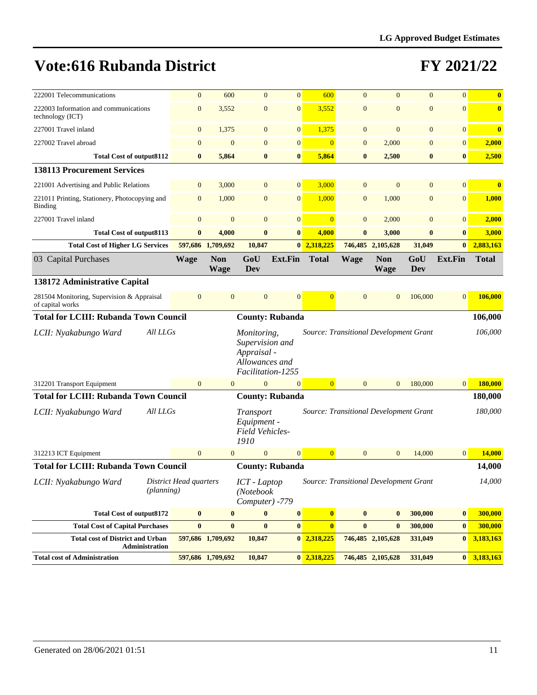| 222001 Telecommunications                                              | $\overline{0}$         | 600                       | $\mathbf{0}$                                                                         | $\mathbf{0}$           | 600                     | $\mathbf{0}$   | $\overline{0}$                                      | $\overline{0}$    | $\overline{0}$ | $\bf{0}$      |
|------------------------------------------------------------------------|------------------------|---------------------------|--------------------------------------------------------------------------------------|------------------------|-------------------------|----------------|-----------------------------------------------------|-------------------|----------------|---------------|
| 222003 Information and communications<br>technology (ICT)              | $\mathbf{0}$           | 3,552                     | $\mathbf{0}$                                                                         | $\overline{0}$         | 3,552                   | $\mathbf{0}$   | $\overline{0}$                                      | $\overline{0}$    | $\mathbf{0}$   | $\bf{0}$      |
| 227001 Travel inland                                                   | $\mathbf{0}$           | 1,375                     | $\mathbf{0}$                                                                         | $\overline{0}$         | 1,375                   | $\mathbf{0}$   | $\mathbf{0}$                                        | $\overline{0}$    | $\mathbf{0}$   | $\bf{0}$      |
| 227002 Travel abroad                                                   | $\mathbf{0}$           | $\overline{0}$            | $\overline{0}$                                                                       | $\mathbf{0}$           | $\overline{0}$          | $\mathbf{0}$   | 2,000                                               | $\mathbf{0}$      | $\mathbf{0}$   | 2,000         |
| <b>Total Cost of output8112</b>                                        | $\bf{0}$               | 5,864                     | $\bf{0}$                                                                             | $\bf{0}$               | 5,864                   | $\bf{0}$       | 2,500                                               | $\bf{0}$          | $\bf{0}$       | 2,500         |
| <b>138113 Procurement Services</b>                                     |                        |                           |                                                                                      |                        |                         |                |                                                     |                   |                |               |
| 221001 Advertising and Public Relations                                | $\mathbf{0}$           | 3,000                     | $\mathbf{0}$                                                                         | $\mathbf{0}$           | 3,000                   | $\mathbf{0}$   | $\mathbf{0}$                                        | $\overline{0}$    | $\mathbf{0}$   | $\bf{0}$      |
| 221011 Printing, Stationery, Photocopying and<br>Binding               | $\overline{0}$         | 1,000                     | $\mathbf{0}$                                                                         | $\overline{0}$         | 1,000                   | $\overline{0}$ | 1,000                                               | $\mathbf{0}$      | $\mathbf{0}$   | 1,000         |
| 227001 Travel inland                                                   | $\boldsymbol{0}$       | $\mathbf{0}$              | $\mathbf{0}$                                                                         | $\overline{0}$         | $\overline{0}$          | $\mathbf{0}$   | 2,000                                               | $\mathbf{0}$      | $\mathbf{0}$   | 2,000         |
| <b>Total Cost of output8113</b>                                        | $\bf{0}$               | 4,000                     | $\bf{0}$                                                                             | $\bf{0}$               | 4,000                   | $\bf{0}$       | 3,000                                               | $\bf{0}$          | $\bf{0}$       | 3,000         |
| <b>Total Cost of Higher LG Services</b>                                |                        | 597,686 1,709,692         | 10,847                                                                               |                        | 0 2,318,225             |                | 746,485 2,105,628                                   | 31,049            | $\bf{0}$       | 2,883,163     |
| 03 Capital Purchases                                                   | Wage                   | <b>Non</b><br><b>Wage</b> | GoU<br>Dev                                                                           | Ext.Fin                | <b>Total</b>            | <b>Wage</b>    | <b>Non</b><br><b>Wage</b>                           | GoU<br><b>Dev</b> | <b>Ext.Fin</b> | <b>Total</b>  |
| 138172 Administrative Capital                                          |                        |                           |                                                                                      |                        |                         |                |                                                     |                   |                |               |
| 281504 Monitoring, Supervision & Appraisal<br>of capital works         | $\overline{0}$         | $\overline{0}$            | $\mathbf{0}$                                                                         | $\overline{0}$         | $\Omega$                | $\overline{0}$ | $\mathbf{0}$                                        | 106,000           | $\mathbf{0}$   | 106,000       |
| <b>Total for LCIII: Rubanda Town Council</b><br><b>County: Rubanda</b> |                        |                           |                                                                                      |                        |                         |                |                                                     | 106,000           |                |               |
| All LLGs<br>LCII: Nyakabungo Ward                                      |                        |                           | Monitoring,<br>Supervision and<br>Appraisal -<br>Allowances and<br>Facilitation-1255 |                        |                         |                | <b>Source: Transitional Development Grant</b>       |                   |                | 106,000       |
| 312201 Transport Equipment                                             | $\overline{0}$         | $\mathbf{0}$              | $\mathbf{0}$                                                                         | $\mathbf{0}$           | $\overline{0}$          | $\overline{0}$ | $\overline{0}$                                      | 180,000           | $\overline{0}$ | 180,000       |
| <b>Total for LCIII: Rubanda Town Council</b>                           |                        |                           |                                                                                      | <b>County: Rubanda</b> |                         |                |                                                     |                   |                | 180,000       |
| All LLGs<br>LCII: Nyakabungo Ward                                      |                        |                           | Transport<br>Equipment -<br><b>Field Vehicles-</b><br>1910                           |                        |                         |                | <b>Source: Transitional Development Grant</b>       |                   |                | 180,000       |
| 312213 ICT Equipment                                                   | $\mathbf{0}$           | $\overline{0}$            | $\overline{0}$                                                                       | $\overline{0}$         | $\overline{0}$          | $\overline{0}$ | $\mathbf{0}$                                        | 14,000            | 0              | 14,000        |
| <b>Total for LCIII: Rubanda Town Council</b>                           |                        |                           |                                                                                      | <b>County: Rubanda</b> |                         |                |                                                     |                   |                | 14,000        |
| LCII: Nyakabungo Ward<br>(planning)                                    | District Head quarters |                           | (Notebook<br>Computer) -779                                                          |                        |                         |                | ICT - Laptop Source: Transitional Development Grant |                   |                | 14,000        |
| <b>Total Cost of output8172</b>                                        | $\bf{0}$               | $\bf{0}$                  | $\bf{0}$                                                                             | $\bf{0}$               | $\overline{\mathbf{0}}$ | $\bf{0}$       | $\bf{0}$                                            | 300,000           | $\bf{0}$       | 300,000       |
| <b>Total Cost of Capital Purchases</b>                                 | $\bf{0}$               | $\bf{0}$                  | $\bf{0}$                                                                             | $\pmb{0}$              | $\overline{\mathbf{0}}$ | $\bf{0}$       | $\bf{0}$                                            | 300,000           | $\bf{0}$       | 300,000       |
| <b>Total cost of District and Urban</b><br>Administration              |                        | 597,686 1,709,692         | 10,847                                                                               |                        | $0\ \ 2,318,225$        |                | 746,485 2,105,628                                   | 331,049           | $\bf{0}$       | 3,183,163     |
| <b>Total cost of Administration</b>                                    |                        | 597,686 1,709,692         | 10,847                                                                               |                        | 0 2,318,225             |                | 746,485 2,105,628                                   | 331,049           |                | $0$ 3,183,163 |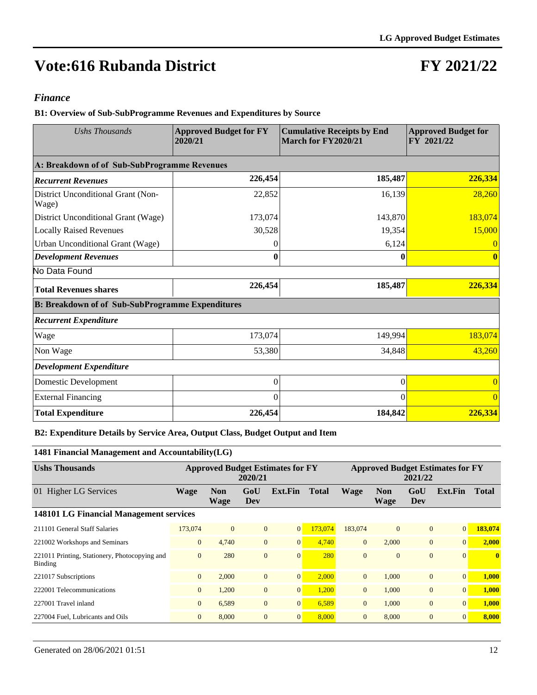### **FY 2021/22**

#### *Finance*

**B1: Overview of Sub-SubProgramme Revenues and Expenditures by Source**

| <b>Ushs Thousands</b>                                   | <b>Approved Budget for FY</b><br>2020/21 | <b>Cumulative Receipts by End</b><br>March for FY2020/21 | <b>Approved Budget for</b><br>FY 2021/22 |
|---------------------------------------------------------|------------------------------------------|----------------------------------------------------------|------------------------------------------|
| A: Breakdown of of Sub-SubProgramme Revenues            |                                          |                                                          |                                          |
| <b>Recurrent Revenues</b>                               | 226,454                                  | 185,487                                                  | 226,334                                  |
| District Unconditional Grant (Non-<br>Wage)             | 22,852                                   | 16,139                                                   | 28,260                                   |
| District Unconditional Grant (Wage)                     | 173,074                                  | 143,870                                                  | 183,074                                  |
| <b>Locally Raised Revenues</b>                          | 30,528                                   | 19,354                                                   | 15,000                                   |
| Urban Unconditional Grant (Wage)                        | $\mathbf{\Omega}$                        | 6,124                                                    |                                          |
| <b>Development Revenues</b>                             |                                          | 0                                                        |                                          |
| No Data Found                                           |                                          |                                                          |                                          |
| <b>Total Revenues shares</b>                            | 226,454                                  | 185,487                                                  | 226,334                                  |
| <b>B: Breakdown of of Sub-SubProgramme Expenditures</b> |                                          |                                                          |                                          |
| <b>Recurrent Expenditure</b>                            |                                          |                                                          |                                          |
| Wage                                                    | 173,074                                  | 149,994                                                  | 183,074                                  |
| Non Wage                                                | 53,380                                   | 34,848                                                   | 43,260                                   |
| <b>Development Expenditure</b>                          |                                          |                                                          |                                          |
| Domestic Development                                    | $\theta$                                 | $\overline{0}$                                           |                                          |
| <b>External Financing</b>                               | $\theta$                                 | 0                                                        |                                          |
| <b>Total Expenditure</b>                                | 226,454                                  | 184,842                                                  | 226,334                                  |

#### **B2: Expenditure Details by Service Area, Output Class, Budget Output and Item**

#### **1481 Financial Management and Accountability(LG)**

| <b>Ushs Thousands</b>                                    |                |                           | 2020/21        | <b>Approved Budget Estimates for FY</b> |              |                |                    | 2021/22        | <b>Approved Budget Estimates for FY</b> |              |
|----------------------------------------------------------|----------------|---------------------------|----------------|-----------------------------------------|--------------|----------------|--------------------|----------------|-----------------------------------------|--------------|
| <b>Higher LG Services</b><br>01                          | <b>Wage</b>    | <b>Non</b><br><b>Wage</b> | GoU<br>Dev     | Ext.Fin                                 | <b>Total</b> | <b>Wage</b>    | <b>Non</b><br>Wage | GoU<br>Dev     | Ext.Fin                                 | <b>Total</b> |
| 148101 LG Financial Management services                  |                |                           |                |                                         |              |                |                    |                |                                         |              |
| 211101 General Staff Salaries                            | 173,074        | $\overline{0}$            | $\overline{0}$ | $\overline{0}$                          | 173,074      | 183,074        | $\overline{0}$     | $\overline{0}$ | $\vert 0 \vert$                         | 183,074      |
| 221002 Workshops and Seminars                            | $\overline{0}$ | 4,740                     | $\overline{0}$ | $\overline{0}$                          | 4,740        | $\overline{0}$ | 2,000              | $\overline{0}$ | $\vert 0 \vert$                         | 2,000        |
| 221011 Printing, Stationery, Photocopying and<br>Binding | $\mathbf{0}$   | 280                       | $\overline{0}$ | $\overline{0}$                          | 280          | $\Omega$       | $\mathbf{0}$       | $\overline{0}$ | $\vert 0 \vert$                         | $\mathbf{0}$ |
| 221017 Subscriptions                                     | $\overline{0}$ | 2,000                     | $\overline{0}$ | $\overline{0}$                          | 2,000        | $\overline{0}$ | 1.000              | $\overline{0}$ | $\vert 0 \vert$                         | 1,000        |
| 222001 Telecommunications                                | $\overline{0}$ | 1,200                     | $\mathbf{0}$   | $\mathbf{0}$                            | 1,200        | $\overline{0}$ | 1,000              | $\overline{0}$ | $\vert 0 \vert$                         | 1,000        |
| 227001 Travel inland                                     | $\overline{0}$ | 6,589                     | $\overline{0}$ | $\overline{0}$                          | 6,589        | $\overline{0}$ | 1,000              | $\overline{0}$ | $\vert 0 \vert$                         | 1,000        |
| 227004 Fuel, Lubricants and Oils                         | $\overline{0}$ | 8,000                     | $\overline{0}$ | $\overline{0}$                          | 8,000        | $\overline{0}$ | 8,000              | $\overline{0}$ | $\vert 0 \vert$                         | 8,000        |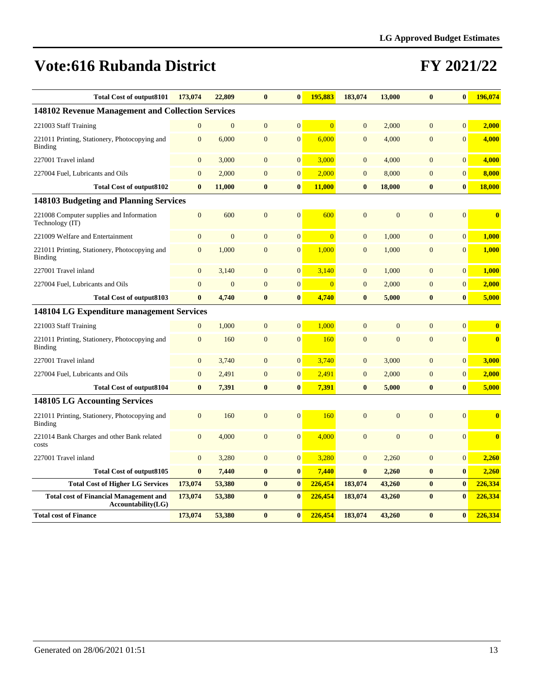| <b>Total Cost of output8101</b>                                     | 173,074          | 22,809         | $\bf{0}$       | $\bf{0}$         | 195,883        | 183,074          | 13,000         | $\bf{0}$         | $\bf{0}$         | 196,074                 |
|---------------------------------------------------------------------|------------------|----------------|----------------|------------------|----------------|------------------|----------------|------------------|------------------|-------------------------|
| 148102 Revenue Management and Collection Services                   |                  |                |                |                  |                |                  |                |                  |                  |                         |
| 221003 Staff Training                                               | $\mathbf{0}$     | $\mathbf{0}$   | $\mathbf{0}$   | $\mathbf{0}$     | $\overline{0}$ | $\overline{0}$   | 2,000          | $\overline{0}$   | $\overline{0}$   | 2,000                   |
| 221011 Printing, Stationery, Photocopying and<br>Binding            | $\mathbf{0}$     | 6,000          | $\overline{0}$ | $\mathbf{0}$     | 6,000          | $\mathbf{0}$     | 4,000          | $\overline{0}$   | $\overline{0}$   | 4,000                   |
| 227001 Travel inland                                                | $\mathbf{0}$     | 3,000          | $\mathbf{0}$   | $\mathbf{0}$     | 3,000          | $\mathbf{0}$     | 4,000          | $\overline{0}$   | $\overline{0}$   | 4,000                   |
| 227004 Fuel, Lubricants and Oils                                    | $\mathbf{0}$     | 2,000          | $\overline{0}$ | $\boldsymbol{0}$ | 2,000          | $\mathbf{0}$     | 8,000          | $\mathbf{0}$     | $\overline{0}$   | 8,000                   |
| <b>Total Cost of output8102</b>                                     | $\bf{0}$         | 11,000         | $\bf{0}$       | $\bf{0}$         | 11,000         | $\bf{0}$         | 18,000         | $\bf{0}$         | $\bf{0}$         | <b>18,000</b>           |
| 148103 Budgeting and Planning Services                              |                  |                |                |                  |                |                  |                |                  |                  |                         |
| 221008 Computer supplies and Information<br>Technology (IT)         | $\mathbf{0}$     | 600            | $\mathbf{0}$   | $\mathbf{0}$     | 600            | $\overline{0}$   | $\overline{0}$ | $\overline{0}$   | $\overline{0}$   | $\bf{0}$                |
| 221009 Welfare and Entertainment                                    | $\overline{0}$   | $\overline{0}$ | $\overline{0}$ | $\boldsymbol{0}$ | $\overline{0}$ | $\mathbf{0}$     | 1.000          | $\overline{0}$   | $\overline{0}$   | 1,000                   |
| 221011 Printing, Stationery, Photocopying and<br><b>Binding</b>     | $\mathbf{0}$     | 1,000          | $\overline{0}$ | $\mathbf{0}$     | 1,000          | $\mathbf{0}$     | 1,000          | $\overline{0}$   | $\overline{0}$   | 1,000                   |
| 227001 Travel inland                                                | $\mathbf{0}$     | 3,140          | $\mathbf{0}$   | $\mathbf{0}$     | 3,140          | $\mathbf{0}$     | 1,000          | $\overline{0}$   | $\overline{0}$   | 1,000                   |
| 227004 Fuel, Lubricants and Oils                                    | $\overline{0}$   | $\overline{0}$ | $\overline{0}$ | $\mathbf{0}$     | $\overline{0}$ | $\mathbf{0}$     | 2,000          | $\overline{0}$   | $\overline{0}$   | 2,000                   |
| <b>Total Cost of output8103</b>                                     | $\bf{0}$         | 4,740          | $\bf{0}$       | $\bf{0}$         | 4,740          | $\bf{0}$         | 5,000          | $\bf{0}$         | $\bf{0}$         | 5,000                   |
| <b>148104 LG Expenditure management Services</b>                    |                  |                |                |                  |                |                  |                |                  |                  |                         |
| 221003 Staff Training                                               | $\mathbf{0}$     | 1,000          | $\mathbf{0}$   | $\mathbf{0}$     | 1,000          | $\mathbf{0}$     | $\overline{0}$ | $\overline{0}$   | $\overline{0}$   | $\bf{0}$                |
| 221011 Printing, Stationery, Photocopying and<br>Binding            | $\mathbf{0}$     | 160            | $\mathbf{0}$   | $\mathbf{0}$     | 160            | $\overline{0}$   | $\overline{0}$ | $\overline{0}$   | $\overline{0}$   | $\overline{\mathbf{0}}$ |
| 227001 Travel inland                                                | $\boldsymbol{0}$ | 3,740          | $\mathbf{0}$   | $\boldsymbol{0}$ | 3,740          | $\boldsymbol{0}$ | 3,000          | $\mathbf{0}$     | $\boldsymbol{0}$ | 3,000                   |
| 227004 Fuel, Lubricants and Oils                                    | $\overline{0}$   | 2,491          | $\mathbf{0}$   | $\mathbf{0}$     | 2,491          | $\mathbf{0}$     | 2,000          | $\overline{0}$   | $\overline{0}$   | 2,000                   |
| <b>Total Cost of output8104</b>                                     | $\bf{0}$         | 7,391          | $\bf{0}$       | $\bf{0}$         | 7,391          | $\bf{0}$         | 5,000          | $\bf{0}$         | $\boldsymbol{0}$ | 5,000                   |
| <b>148105 LG Accounting Services</b>                                |                  |                |                |                  |                |                  |                |                  |                  |                         |
| 221011 Printing, Stationery, Photocopying and<br>Binding            | $\mathbf{0}$     | 160            | $\mathbf{0}$   | $\mathbf{0}$     | 160            | $\overline{0}$   | $\overline{0}$ | $\overline{0}$   | $\Omega$         | $\bf{0}$                |
| 221014 Bank Charges and other Bank related<br>costs                 | $\mathbf{0}$     | 4,000          | $\mathbf{0}$   | $\mathbf{0}$     | 4,000          | $\overline{0}$   | $\mathbf{0}$   | $\overline{0}$   | $\overline{0}$   | $\bf{0}$                |
| 227001 Travel inland                                                | $\mathbf{0}$     | 3,280          | $\overline{0}$ | $\mathbf{0}$     | 3,280          | $\mathbf{0}$     | 2,260          | $\overline{0}$   | $\mathbf{0}$     | 2,260                   |
| Total Cost of output8105                                            | $\bf{0}$         | 7,440          | $\bf{0}$       | $\bf{0}$         | 7,440          | $\bf{0}$         | 2,260          | $\boldsymbol{0}$ | $\bf{0}$         | 2,260                   |
| <b>Total Cost of Higher LG Services</b>                             | 173,074          | 53,380         | $\bf{0}$       | $\bf{0}$         | 226,454        | 183,074          | 43,260         | $\bf{0}$         | $\bf{0}$         | 226,334                 |
| <b>Total cost of Financial Management and</b><br>Accountability(LG) | 173,074          | 53,380         | $\bf{0}$       | $\bf{0}$         | 226,454        | 183,074          | 43,260         | $\bf{0}$         | $\bf{0}$         | 226,334                 |
| <b>Total cost of Finance</b>                                        | 173,074          | 53,380         | $\bf{0}$       | $\bf{0}$         | 226,454        | 183,074          | 43,260         | $\bf{0}$         | $\bf{0}$         | 226,334                 |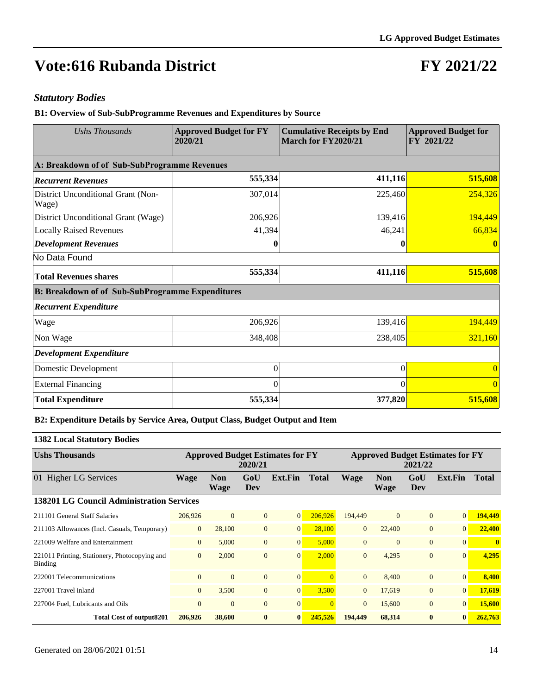### **FY 2021/22**

#### *Statutory Bodies*

**B1: Overview of Sub-SubProgramme Revenues and Expenditures by Source**

| <b>Ushs Thousands</b>                                   | <b>Approved Budget for FY</b><br>2020/21 | <b>Cumulative Receipts by End</b><br>March for FY2020/21 | <b>Approved Budget for</b><br>FY 2021/22 |
|---------------------------------------------------------|------------------------------------------|----------------------------------------------------------|------------------------------------------|
| A: Breakdown of of Sub-SubProgramme Revenues            |                                          |                                                          |                                          |
| <b>Recurrent Revenues</b>                               | 555,334                                  | 411,116                                                  | 515,608                                  |
| District Unconditional Grant (Non-<br>Wage)             | 307,014                                  | 225,460                                                  | 254,326                                  |
| District Unconditional Grant (Wage)                     | 206,926                                  | 139,416                                                  | 194,449                                  |
| <b>Locally Raised Revenues</b>                          | 41,394                                   | 46,241                                                   | 66,834                                   |
| <b>Development Revenues</b>                             | $\bf{0}$                                 | 0                                                        |                                          |
| No Data Found                                           |                                          |                                                          |                                          |
| <b>Total Revenues shares</b>                            | 555,334                                  | 411,116                                                  | 515,608                                  |
| <b>B: Breakdown of of Sub-SubProgramme Expenditures</b> |                                          |                                                          |                                          |
| <b>Recurrent Expenditure</b>                            |                                          |                                                          |                                          |
| Wage                                                    | 206,926                                  | 139,416                                                  | 194,449                                  |
| Non Wage                                                | 348,408                                  | 238,405                                                  | 321,160                                  |
| <b>Development Expenditure</b>                          |                                          |                                                          |                                          |
| Domestic Development                                    | $\theta$                                 | $\mathbf{0}$                                             |                                          |
| <b>External Financing</b>                               | 0                                        | $\Omega$                                                 | $\Omega$                                 |
| <b>Total Expenditure</b>                                | 555,334                                  | 377,820                                                  | 515,608                                  |

#### **B2: Expenditure Details by Service Area, Output Class, Budget Output and Item**

#### **1382 Local Statutory Bodies**

| <b>Ushs Thousands</b>                                           |                |                           | 2020/21        | <b>Approved Budget Estimates for FY</b> |                |                |                           | 2021/22        | <b>Approved Budget Estimates for FY</b> |              |
|-----------------------------------------------------------------|----------------|---------------------------|----------------|-----------------------------------------|----------------|----------------|---------------------------|----------------|-----------------------------------------|--------------|
| 01 Higher LG Services                                           | <b>Wage</b>    | <b>Non</b><br><b>Wage</b> | GoU<br>Dev     | Ext.Fin                                 | <b>Total</b>   | <b>Wage</b>    | <b>Non</b><br><b>Wage</b> | GoU<br>Dev     | Ext.Fin                                 | <b>Total</b> |
| <b>138201 LG Council Administration Services</b>                |                |                           |                |                                         |                |                |                           |                |                                         |              |
| 211101 General Staff Salaries                                   | 206,926        | $\Omega$                  | $\overline{0}$ | $\overline{0}$                          | 206,926        | 194,449        | $\mathbf{0}$              | $\overline{0}$ | 0                                       | 194,449      |
| 211103 Allowances (Incl. Casuals, Temporary)                    | $\overline{0}$ | 28,100                    | $\overline{0}$ | $\overline{0}$                          | 28,100         | $\overline{0}$ | 22,400                    | $\overline{0}$ | $\overline{0}$                          | 22,400       |
| 221009 Welfare and Entertainment                                | $\overline{0}$ | 5,000                     | $\overline{0}$ | $\vert 0 \vert$                         | 5,000          | $\Omega$       | $\Omega$                  | $\overline{0}$ | $\Omega$                                | $\mathbf{0}$ |
| 221011 Printing, Stationery, Photocopying and<br><b>Binding</b> | $\mathbf{0}$   | 2,000                     | $\overline{0}$ | $\mathbf{0}$                            | 2,000          | $\Omega$       | 4,295                     | $\mathbf{0}$   | $\overline{0}$                          | 4,295        |
| 222001 Telecommunications                                       | $\Omega$       | $\Omega$                  | $\Omega$       | $\overline{0}$                          | $\Omega$       | $\Omega$       | 8.400                     | $\overline{0}$ | $\overline{0}$                          | 8,400        |
| 227001 Travel inland                                            | $\mathbf{0}$   | 3,500                     | $\overline{0}$ | $\mathbf{0}$                            | 3,500          | $\overline{0}$ | 17,619                    | $\mathbf{0}$   | $\overline{0}$                          | 17,619       |
| 227004 Fuel, Lubricants and Oils                                | $\overline{0}$ | $\Omega$                  | $\overline{0}$ | $\mathbf{0}$                            | $\overline{0}$ | $\mathbf{0}$   | 15,600                    | $\mathbf{0}$   | $\overline{0}$                          | 15,600       |
| <b>Total Cost of output8201</b>                                 | 206,926        | 38,600                    | $\bf{0}$       | $\bf{0}$                                | 245,526        | 194,449        | 68,314                    | $\bf{0}$       | $\vert 0 \vert$                         | 262,763      |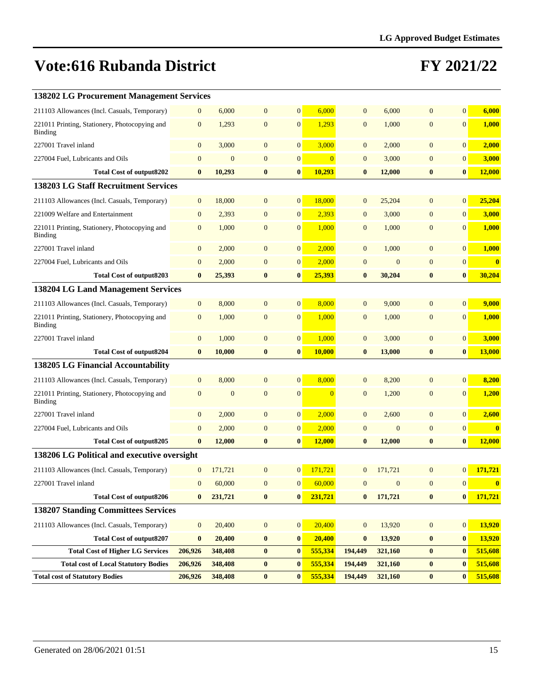| <b>138202 LG Procurement Management Services</b>         |                  |              |                  |                  |                |                |                |                |                |                         |
|----------------------------------------------------------|------------------|--------------|------------------|------------------|----------------|----------------|----------------|----------------|----------------|-------------------------|
| 211103 Allowances (Incl. Casuals, Temporary)             | $\mathbf{0}$     | 6,000        | $\mathbf{0}$     | $\mathbf{0}$     | 6,000          | $\overline{0}$ | 6,000          | $\overline{0}$ | $\mathbf{0}$   | 6,000                   |
| 221011 Printing, Stationery, Photocopying and<br>Binding | $\mathbf{0}$     | 1,293        | $\mathbf{0}$     | $\mathbf{0}$     | 1,293          | $\overline{0}$ | 1,000          | $\mathbf{0}$   | $\mathbf{0}$   | 1,000                   |
| 227001 Travel inland                                     | $\mathbf{0}$     | 3,000        | $\mathbf{0}$     | $\mathbf{0}$     | 3,000          | $\mathbf{0}$   | 2,000          | $\overline{0}$ | $\mathbf{0}$   | 2,000                   |
| 227004 Fuel, Lubricants and Oils                         | $\mathbf{0}$     | $\mathbf{0}$ | $\mathbf{0}$     | $\boldsymbol{0}$ | $\Omega$       | $\overline{0}$ | 3,000          | $\mathbf{0}$   | $\mathbf{0}$   | 3,000                   |
| Total Cost of output8202                                 | $\bf{0}$         | 10,293       | $\bf{0}$         | $\bf{0}$         | 10,293         | $\bf{0}$       | 12,000         | $\bf{0}$       | $\bf{0}$       | 12,000                  |
| <b>138203 LG Staff Recruitment Services</b>              |                  |              |                  |                  |                |                |                |                |                |                         |
| 211103 Allowances (Incl. Casuals, Temporary)             | $\mathbf{0}$     | 18,000       | $\mathbf{0}$     | $\mathbf{0}$     | 18,000         | $\overline{0}$ | 25,204         | $\overline{0}$ | $\mathbf{0}$   | 25,204                  |
| 221009 Welfare and Entertainment                         | $\mathbf{0}$     | 2,393        | $\mathbf{0}$     | $\boldsymbol{0}$ | 2,393          | $\mathbf{0}$   | 3,000          | $\mathbf{0}$   | $\mathbf{0}$   | 3,000                   |
| 221011 Printing, Stationery, Photocopying and<br>Binding | $\mathbf{0}$     | 1,000        | $\mathbf{0}$     | $\overline{0}$   | 1,000          | $\overline{0}$ | 1,000          | $\overline{0}$ | $\mathbf{0}$   | 1,000                   |
| 227001 Travel inland                                     | $\mathbf{0}$     | 2,000        | $\mathbf{0}$     | $\mathbf{0}$     | 2,000          | $\overline{0}$ | 1,000          | $\overline{0}$ | $\mathbf{0}$   | 1,000                   |
| 227004 Fuel, Lubricants and Oils                         | $\mathbf{0}$     | 2,000        | $\mathbf{0}$     | $\mathbf{0}$     | 2,000          | $\mathbf{0}$   | $\overline{0}$ | $\mathbf{0}$   | $\mathbf{0}$   | $\bf{0}$                |
| <b>Total Cost of output8203</b>                          | $\bf{0}$         | 25,393       | $\bf{0}$         | $\bf{0}$         | 25,393         | $\bf{0}$       | 30,204         | $\bf{0}$       | $\bf{0}$       | 30,204                  |
| <b>138204 LG Land Management Services</b>                |                  |              |                  |                  |                |                |                |                |                |                         |
| 211103 Allowances (Incl. Casuals, Temporary)             | $\mathbf{0}$     | 8,000        | $\mathbf{0}$     | $\overline{0}$   | 8,000          | $\overline{0}$ | 9,000          | $\overline{0}$ | $\overline{0}$ | 9,000                   |
| 221011 Printing, Stationery, Photocopying and<br>Binding | $\mathbf{0}$     | 1,000        | $\mathbf{0}$     | $\mathbf{0}$     | 1,000          | $\mathbf{0}$   | 1,000          | $\overline{0}$ | $\mathbf{0}$   | 1,000                   |
| 227001 Travel inland                                     | $\mathbf{0}$     | 1,000        | $\mathbf{0}$     | $\mathbf{0}$     | 1,000          | $\overline{0}$ | 3,000          | $\overline{0}$ | $\overline{0}$ | 3,000                   |
| <b>Total Cost of output8204</b>                          | $\bf{0}$         | 10,000       | $\bf{0}$         | $\bf{0}$         | 10,000         | $\bf{0}$       | 13,000         | $\bf{0}$       | $\bf{0}$       | 13,000                  |
| <b>138205 LG Financial Accountability</b>                |                  |              |                  |                  |                |                |                |                |                |                         |
| 211103 Allowances (Incl. Casuals, Temporary)             | $\mathbf{0}$     | 8,000        | $\mathbf{0}$     | $\mathbf{0}$     | 8,000          | $\overline{0}$ | 8,200          | $\overline{0}$ | $\mathbf{0}$   | 8,200                   |
| 221011 Printing, Stationery, Photocopying and<br>Binding | $\mathbf{0}$     | $\mathbf{0}$ | $\mathbf{0}$     | $\mathbf{0}$     | $\overline{0}$ | $\mathbf{0}$   | 1,200          | $\mathbf{0}$   | $\mathbf{0}$   | 1,200                   |
| 227001 Travel inland                                     | $\mathbf{0}$     | 2,000        | $\mathbf{0}$     | $\mathbf{0}$     | 2,000          | $\mathbf{0}$   | 2,600          | $\overline{0}$ | $\mathbf{0}$   | 2,600                   |
| 227004 Fuel, Lubricants and Oils                         | $\mathbf{0}$     | 2,000        | $\overline{0}$   | $\mathbf{0}$     | 2,000          | $\overline{0}$ | $\mathbf{0}$   | $\overline{0}$ | $\mathbf{0}$   | $\overline{\mathbf{0}}$ |
| Total Cost of output8205                                 | $\bf{0}$         | 12,000       | $\bf{0}$         | $\bf{0}$         | 12,000         | $\bf{0}$       | 12,000         | $\bf{0}$       | $\bf{0}$       | 12,000                  |
| 138206 LG Political and executive oversight              |                  |              |                  |                  |                |                |                |                |                |                         |
| 211103 Allowances (Incl. Casuals, Temporary)             | $\mathbf{0}$     | 171,721      | $\mathbf{0}$     | $\overline{0}$   | 171,721        | $\overline{0}$ | 171,721        | $\Omega$       | $\overline{0}$ | 171,721                 |
| 227001 Travel inland                                     | $\boldsymbol{0}$ | 60,000       | $\boldsymbol{0}$ | $\mathbf{0}$     | 60,000         | $\mathbf{0}$   | $\overline{0}$ | $\mathbf{0}$   | $\mathbf{0}$   | $\bf{0}$                |
| <b>Total Cost of output8206</b>                          | $\bf{0}$         | 231,721      | $\bf{0}$         | $\bf{0}$         | 231,721        | $\bf{0}$       | 171,721        | $\bf{0}$       | $\bf{0}$       | 171,721                 |
| <b>138207 Standing Committees Services</b>               |                  |              |                  |                  |                |                |                |                |                |                         |
| 211103 Allowances (Incl. Casuals, Temporary)             | $\mathbf{0}$     | 20,400       | $\mathbf{0}$     | $\mathbf{0}$     | 20,400         | $\mathbf{0}$   | 13,920         | $\mathbf{0}$   | $\mathbf{0}$   | 13,920                  |
| <b>Total Cost of output8207</b>                          | $\bf{0}$         | 20,400       | $\boldsymbol{0}$ | $\bf{0}$         | 20,400         | $\bf{0}$       | 13,920         | $\bf{0}$       | $\bf{0}$       | 13,920                  |
| <b>Total Cost of Higher LG Services</b>                  | 206,926          | 348,408      | $\bf{0}$         | $\bf{0}$         | 555,334        | 194,449        | 321,160        | $\bf{0}$       | $\bf{0}$       | 515,608                 |
| <b>Total cost of Local Statutory Bodies</b>              | 206,926          | 348,408      | $\bf{0}$         | $\bf{0}$         | 555,334        | 194,449        | 321,160        | $\bf{0}$       | $\bf{0}$       | 515,608                 |
| <b>Total cost of Statutory Bodies</b>                    | 206,926          | 348,408      | $\bf{0}$         | $\bf{0}$         | 555,334        | 194,449        | 321,160        | $\bf{0}$       | $\bf{0}$       | 515,608                 |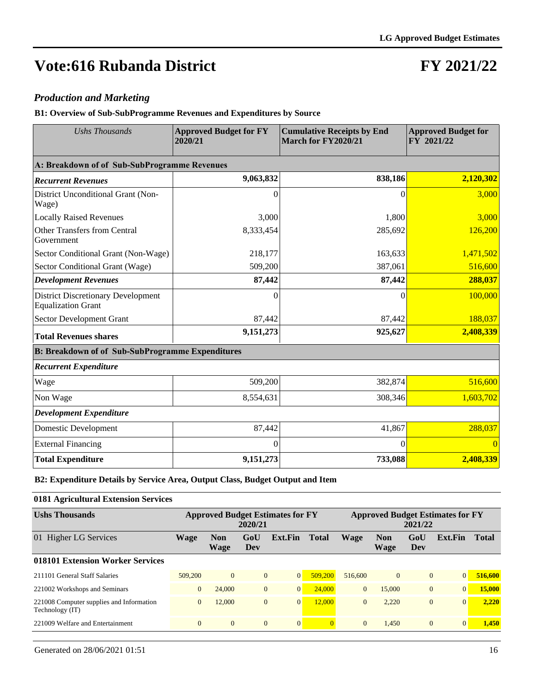### **FY 2021/22**

#### *Production and Marketing*

**B1: Overview of Sub-SubProgramme Revenues and Expenditures by Source**

| <b>Ushs Thousands</b>                                                  | <b>Approved Budget for FY</b><br>2020/21 | <b>Cumulative Receipts by End</b><br>March for FY2020/21 | <b>Approved Budget for</b><br>FY 2021/22 |
|------------------------------------------------------------------------|------------------------------------------|----------------------------------------------------------|------------------------------------------|
| A: Breakdown of of Sub-SubProgramme Revenues                           |                                          |                                                          |                                          |
| <b>Recurrent Revenues</b>                                              | 9,063,832                                | 838,186                                                  | 2,120,302                                |
| District Unconditional Grant (Non-<br>Wage)                            | 0                                        | 0                                                        | 3,000                                    |
| <b>Locally Raised Revenues</b>                                         | 3,000                                    | 1,800                                                    | 3,000                                    |
| <b>Other Transfers from Central</b><br>Government                      | 8,333,454                                | 285,692                                                  | 126,200                                  |
| Sector Conditional Grant (Non-Wage)                                    | 218,177                                  | 163,633                                                  | 1,471,502                                |
| Sector Conditional Grant (Wage)                                        | 509,200                                  | 387,061                                                  | 516,600                                  |
| <b>Development Revenues</b>                                            | 87,442                                   | 87,442                                                   | 288,037                                  |
| <b>District Discretionary Development</b><br><b>Equalization Grant</b> | 0                                        | 0                                                        | 100,000                                  |
| Sector Development Grant                                               | 87,442                                   | 87,442                                                   | 188,037                                  |
| <b>Total Revenues shares</b>                                           | 9,151,273                                | 925,627                                                  | 2,408,339                                |
| <b>B: Breakdown of of Sub-SubProgramme Expenditures</b>                |                                          |                                                          |                                          |
| <b>Recurrent Expenditure</b>                                           |                                          |                                                          |                                          |
| Wage                                                                   | 509,200                                  | 382,874                                                  | 516,600                                  |
| Non Wage                                                               | 8,554,631                                | 308,346                                                  | 1,603,702                                |
| <b>Development Expenditure</b>                                         |                                          |                                                          |                                          |
| Domestic Development                                                   | 87,442                                   | 41,867                                                   | 288,037                                  |
| <b>External Financing</b>                                              | $\Omega$                                 | $\Omega$                                                 | $\Omega$                                 |
| <b>Total Expenditure</b>                                               | 9,151,273                                | 733,088                                                  | 2,408,339                                |

**B2: Expenditure Details by Service Area, Output Class, Budget Output and Item**

#### **0181 Agricultural Extension Services**

| <b>Ushs Thousands</b>                                       |                |                    | 2020/21        | <b>Approved Budget Estimates for FY</b> |                |                |                    | 2021/22      | <b>Approved Budget Estimates for FY</b> |              |
|-------------------------------------------------------------|----------------|--------------------|----------------|-----------------------------------------|----------------|----------------|--------------------|--------------|-----------------------------------------|--------------|
| 01 Higher LG Services                                       | Wage           | <b>Non</b><br>Wage | GoU<br>Dev     | Ext.Fin                                 | <b>Total</b>   | Wage           | <b>Non</b><br>Wage | GoU<br>Dev   | Ext.Fin                                 | <b>Total</b> |
| 018101 Extension Worker Services                            |                |                    |                |                                         |                |                |                    |              |                                         |              |
| 211101 General Staff Salaries                               | 509,200        | $\overline{0}$     | $\mathbf{0}$   | $\mathbf{0}$                            | 509,200        | 516,600        | $\overline{0}$     | $\mathbf{0}$ | $\vert 0 \vert$                         | 516,600      |
| 221002 Workshops and Seminars                               | $\overline{0}$ | 24,000             | $\mathbf{0}$   | $\overline{0}$                          | 24,000         | $\overline{0}$ | 15,000             | $\mathbf{0}$ | $\overline{0}$                          | 15,000       |
| 221008 Computer supplies and Information<br>Technology (IT) | $\overline{0}$ | 12,000             | $\overline{0}$ | $\overline{0}$                          | 12.000         | $\Omega$       | 2.220              | $\theta$     | $\Omega$                                | 2,220        |
| 221009 Welfare and Entertainment                            | $\overline{0}$ | $\Omega$           | $\mathbf{0}$   | $\mathbf{0}$                            | $\overline{0}$ | $\Omega$       | 1.450              | $\theta$     | $\overline{0}$                          | 1,450        |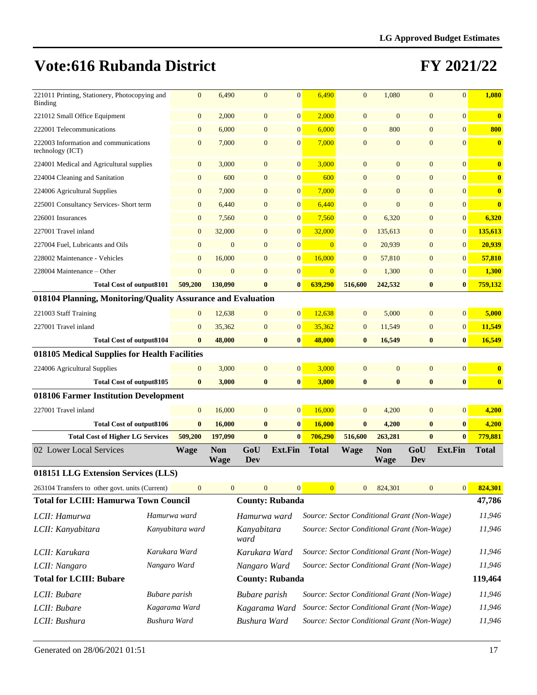| 221011 Printing, Stationery, Photocopying and<br>Binding     | $\mathbf{0}$     | 6,490                     | $\mathbf{0}$           | $\overline{0}$   | 6,490                                       | $\overline{0}$ | 1,080                     | $\overline{0}$   | $\overline{0}$   | 1,080                   |
|--------------------------------------------------------------|------------------|---------------------------|------------------------|------------------|---------------------------------------------|----------------|---------------------------|------------------|------------------|-------------------------|
| 221012 Small Office Equipment                                | $\boldsymbol{0}$ | 2,000                     | $\overline{0}$         | $\overline{0}$   | 2,000                                       | $\mathbf{0}$   | $\mathbf{0}$              | $\mathbf{0}$     | $\mathbf{0}$     | $\bf{0}$                |
| 222001 Telecommunications                                    | $\boldsymbol{0}$ | 6,000                     | $\mathbf{0}$           | $\overline{0}$   | 6,000                                       | $\overline{0}$ | 800                       | $\mathbf{0}$     | $\mathbf{0}$     | 800                     |
| 222003 Information and communications<br>technology (ICT)    | $\mathbf{0}$     | 7,000                     | $\mathbf{0}$           | $\overline{0}$   | 7,000                                       | $\mathbf{0}$   | $\mathbf{0}$              | $\mathbf{0}$     | $\overline{0}$   | $\bf{0}$                |
| 224001 Medical and Agricultural supplies                     | $\mathbf{0}$     | 3,000                     | $\mathbf{0}$           | $\overline{0}$   | 3,000                                       | $\mathbf{0}$   | $\overline{0}$            | $\mathbf{0}$     | $\mathbf{0}$     | $\bf{0}$                |
| 224004 Cleaning and Sanitation                               | $\mathbf{0}$     | 600                       | $\mathbf{0}$           | $\overline{0}$   | 600                                         | $\overline{0}$ | $\overline{0}$            | $\overline{0}$   | $\mathbf{0}$     | $\overline{\mathbf{0}}$ |
| 224006 Agricultural Supplies                                 | $\mathbf{0}$     | 7,000                     | $\mathbf{0}$           | $\overline{0}$   | 7,000                                       | $\overline{0}$ | $\mathbf{0}$              | $\mathbf{0}$     | $\mathbf{0}$     | $\overline{\mathbf{0}}$ |
| 225001 Consultancy Services- Short term                      | $\boldsymbol{0}$ | 6,440                     | $\mathbf{0}$           | $\overline{0}$   | 6,440                                       | $\overline{0}$ | $\overline{0}$            | $\overline{0}$   | $\mathbf{0}$     | $\bf{0}$                |
| 226001 Insurances                                            | $\mathbf{0}$     | 7,560                     | $\mathbf{0}$           | $\overline{0}$   | 7,560                                       | $\mathbf{0}$   | 6,320                     | $\mathbf{0}$     | $\boldsymbol{0}$ | 6,320                   |
| 227001 Travel inland                                         | $\mathbf{0}$     | 32,000                    | $\mathbf{0}$           | $\overline{0}$   | 32,000                                      | $\mathbf{0}$   | 135,613                   | $\mathbf{0}$     | $\mathbf{0}$     | 135,613                 |
| 227004 Fuel, Lubricants and Oils                             | $\boldsymbol{0}$ | $\mathbf{0}$              | $\mathbf{0}$           | $\overline{0}$   | $\overline{0}$                              | $\mathbf{0}$   | 20,939                    | $\mathbf{0}$     | $\boldsymbol{0}$ | 20,939                  |
| 228002 Maintenance - Vehicles                                | $\mathbf{0}$     | 16,000                    | $\mathbf{0}$           | $\overline{0}$   | 16,000                                      | $\mathbf{0}$   | 57,810                    | $\mathbf{0}$     | $\mathbf{0}$     | 57,810                  |
| 228004 Maintenance – Other                                   | $\mathbf{0}$     | $\mathbf{0}$              | $\mathbf{0}$           | $\overline{0}$   | $\overline{0}$                              | $\overline{0}$ | 1,300                     | $\boldsymbol{0}$ | $\mathbf{0}$     | 1,300                   |
| <b>Total Cost of output8101</b>                              | 509,200          | 130,090                   | $\bf{0}$               | $\bf{0}$         | 639,290                                     | 516,600        | 242,532                   | $\bf{0}$         | $\bf{0}$         | 759,132                 |
| 018104 Planning, Monitoring/Quality Assurance and Evaluation |                  |                           |                        |                  |                                             |                |                           |                  |                  |                         |
| 221003 Staff Training                                        | $\mathbf{0}$     | 12,638                    | $\mathbf{0}$           | $\mathbf{0}$     | 12.638                                      | $\mathbf{0}$   | 5,000                     | $\mathbf{0}$     | $\mathbf{0}$     | 5,000                   |
| 227001 Travel inland                                         | $\mathbf{0}$     | 35,362                    | $\mathbf{0}$           | $\overline{0}$   | 35,362                                      | $\mathbf{0}$   | 11,549                    | $\mathbf{0}$     | $\mathbf{0}$     | 11,549                  |
| <b>Total Cost of output8104</b>                              | $\bf{0}$         | 48,000                    | $\bf{0}$               | $\bf{0}$         | 48,000                                      | $\bf{0}$       | 16,549                    | $\bf{0}$         | $\bf{0}$         | 16,549                  |
| 018105 Medical Supplies for Health Facilities                |                  |                           |                        |                  |                                             |                |                           |                  |                  |                         |
| 224006 Agricultural Supplies                                 | $\mathbf{0}$     | 3,000                     | $\mathbf{0}$           | $\overline{0}$   | 3,000                                       | $\mathbf{0}$   | $\overline{0}$            | $\overline{0}$   | $\mathbf{0}$     | $\bf{0}$                |
| <b>Total Cost of output8105</b>                              | $\bf{0}$         | 3,000                     | $\bf{0}$               | $\bf{0}$         | 3,000                                       | $\bf{0}$       | $\bf{0}$                  | $\bf{0}$         | $\bf{0}$         | $\bf{0}$                |
| 018106 Farmer Institution Development                        |                  |                           |                        |                  |                                             |                |                           |                  |                  |                         |
| 227001 Travel inland                                         | $\mathbf{0}$     | 16,000                    | $\overline{0}$         | $\overline{0}$   | 16,000                                      | $\mathbf{0}$   | 4,200                     | $\overline{0}$   | $\mathbf{0}$     | 4,200                   |
| <b>Total Cost of output8106</b>                              | $\bf{0}$         | 16,000                    | $\bf{0}$               | $\bf{0}$         | 16,000                                      | $\bf{0}$       | 4,200                     | $\bf{0}$         | $\bf{0}$         | 4,200                   |
| <b>Total Cost of Higher LG Services</b>                      | 509,200          | 197,090                   | $\bf{0}$               | $\mathbf{0}$     | 706,290                                     | 516,600        | 263,281                   | $\bf{0}$         | $\bf{0}$         | 779,881                 |
| 02 Lower Local Services                                      | <b>Wage</b>      | <b>Non</b><br><b>Wage</b> | GoU<br>Dev             | Ext.Fin          | <b>Total</b>                                | <b>Wage</b>    | <b>Non</b><br><b>Wage</b> | GoU<br>Dev       | Ext.Fin          | <b>Total</b>            |
| 018151 LLG Extension Services (LLS)                          |                  |                           |                        |                  |                                             |                |                           |                  |                  |                         |
| 263104 Transfers to other govt. units (Current)              | $\mathbf{0}$     | $\mathbf{0}$              | $\mathbf{0}$           | $\boldsymbol{0}$ | $\overline{0}$                              | $\mathbf{0}$   | 824,301                   | $\boldsymbol{0}$ | $\mathbf{0}$     | 824,301                 |
| <b>Total for LCIII: Hamurwa Town Council</b>                 |                  |                           | <b>County: Rubanda</b> |                  |                                             |                |                           |                  |                  | 47,786                  |
| LCII: Hamurwa                                                | Hamurwa ward     |                           | Hamurwa ward           |                  | Source: Sector Conditional Grant (Non-Wage) |                |                           |                  |                  | 11,946                  |
| LCII: Kanyabitara                                            | Kanyabitara ward |                           | Kanyabitara<br>ward    |                  | Source: Sector Conditional Grant (Non-Wage) |                |                           |                  |                  | 11,946                  |
| LCII: Karukara                                               | Karukara Ward    |                           | Karukara Ward          |                  | Source: Sector Conditional Grant (Non-Wage) |                |                           |                  |                  | 11,946                  |
| LCII: Nangaro                                                | Nangaro Ward     |                           | Nangaro Ward           |                  | Source: Sector Conditional Grant (Non-Wage) |                |                           |                  |                  | 11,946                  |
|                                                              |                  |                           |                        |                  |                                             |                |                           |                  |                  |                         |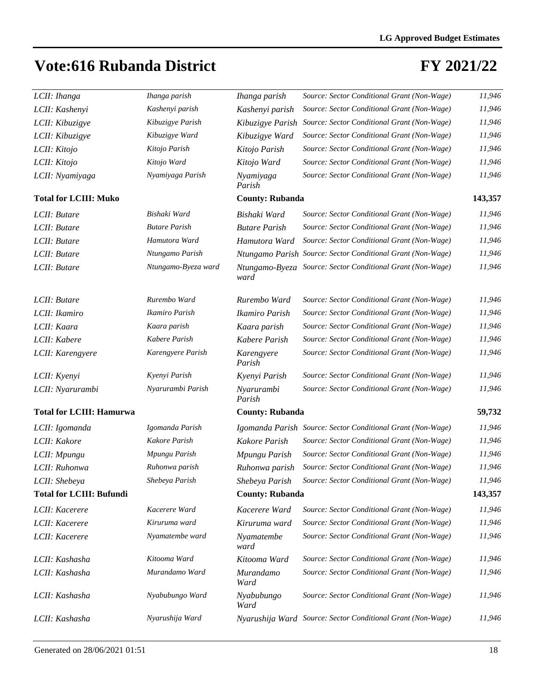| LCII: Ihanga                    | Ihanga parish        | Ihanga parish          | Source: Sector Conditional Grant (Non-Wage)                 | 11,946  |
|---------------------------------|----------------------|------------------------|-------------------------------------------------------------|---------|
| LCII: Kashenyi                  | Kashenyi parish      | Kashenyi parish        | Source: Sector Conditional Grant (Non-Wage)                 | 11,946  |
| LCII: Kibuzigye                 | Kibuzigye Parish     | Kibuzigye Parish       | Source: Sector Conditional Grant (Non-Wage)                 | 11,946  |
| LCII: Kibuzigye                 | Kibuzigye Ward       | Kibuzigye Ward         | Source: Sector Conditional Grant (Non-Wage)                 | 11,946  |
| LCII: Kitojo                    | Kitojo Parish        | Kitojo Parish          | Source: Sector Conditional Grant (Non-Wage)                 | 11,946  |
| LCII: Kitojo                    | Kitojo Ward          | Kitojo Ward            | Source: Sector Conditional Grant (Non-Wage)                 | 11,946  |
| LCII: Nyamiyaga                 | Nyamiyaga Parish     | Nyamiyaga<br>Parish    | Source: Sector Conditional Grant (Non-Wage)                 | 11,946  |
| <b>Total for LCIII: Muko</b>    |                      | <b>County: Rubanda</b> |                                                             | 143,357 |
| LCII: Butare                    | Bishaki Ward         | Bishaki Ward           | Source: Sector Conditional Grant (Non-Wage)                 | 11,946  |
| LCII: Butare                    | <b>Butare Parish</b> | <b>Butare Parish</b>   | Source: Sector Conditional Grant (Non-Wage)                 | 11,946  |
| LCII: Butare                    | Hamutora Ward        | Hamutora Ward          | Source: Sector Conditional Grant (Non-Wage)                 | 11,946  |
| LCII: Butare                    | Ntungamo Parish      |                        | Ntungamo Parish Source: Sector Conditional Grant (Non-Wage) | 11,946  |
| LCII: Butare                    | Ntungamo-Byeza ward  | Ntungamo-Byeza<br>ward | Source: Sector Conditional Grant (Non-Wage)                 | 11,946  |
| LCII: Butare                    | Rurembo Ward         | Rurembo Ward           | Source: Sector Conditional Grant (Non-Wage)                 | 11,946  |
| LCII: Ikamiro                   | Ikamiro Parish       | Ikamiro Parish         | Source: Sector Conditional Grant (Non-Wage)                 | 11,946  |
| LCII: Kaara                     | Kaara parish         | Kaara parish           | Source: Sector Conditional Grant (Non-Wage)                 | 11,946  |
| LCII: Kabere                    | Kabere Parish        | Kabere Parish          | Source: Sector Conditional Grant (Non-Wage)                 | 11,946  |
| LCII: Karengyere                | Karengyere Parish    | Karengyere<br>Parish   | Source: Sector Conditional Grant (Non-Wage)                 | 11,946  |
| LCII: Kyenyi                    | Kyenyi Parish        | Kyenyi Parish          | Source: Sector Conditional Grant (Non-Wage)                 | 11,946  |
| LCII: Nyarurambi                | Nyarurambi Parish    | Nyarurambi<br>Parish   | Source: Sector Conditional Grant (Non-Wage)                 | 11,946  |
| <b>Total for LCIII: Hamurwa</b> |                      | <b>County: Rubanda</b> |                                                             | 59,732  |
| LCII: Igomanda                  | Igomanda Parish      |                        | Igomanda Parish Source: Sector Conditional Grant (Non-Wage) | 11,946  |
| LCII: Kakore                    | Kakore Parish        | Kakore Parish          | Source: Sector Conditional Grant (Non-Wage)                 | 11,946  |
| LCII: Mpungu                    | Mpungu Parish        | Mpungu Parish          | Source: Sector Conditional Grant (Non-Wage)                 | 11,946  |
| LCII: Ruhonwa                   | Ruhonwa parish       | Ruhonwa parish         | Source: Sector Conditional Grant (Non-Wage)                 | 11,946  |
| LCII: Shebeya                   | Shebeya Parish       | Shebeya Parish         | Source: Sector Conditional Grant (Non-Wage)                 | 11,946  |
| <b>Total for LCIII: Bufundi</b> |                      | <b>County: Rubanda</b> |                                                             | 143,357 |
| LCII: Kacerere                  | Kacerere Ward        | Kacerere Ward          | Source: Sector Conditional Grant (Non-Wage)                 | 11,946  |
| LCII: Kacerere                  | Kiruruma ward        | Kiruruma ward          | Source: Sector Conditional Grant (Non-Wage)                 | 11,946  |
| LCII: Kacerere                  | Nyamatembe ward      | Nyamatembe<br>ward     | Source: Sector Conditional Grant (Non-Wage)                 | 11,946  |
| LCII: Kashasha                  | Kitooma Ward         | Kitooma Ward           | Source: Sector Conditional Grant (Non-Wage)                 | 11,946  |
| LCII: Kashasha                  | Murandamo Ward       | Murandamo<br>Ward      | Source: Sector Conditional Grant (Non-Wage)                 | 11,946  |
| LCII: Kashasha                  | Nyabubungo Ward      | Nyabubungo<br>Ward     | Source: Sector Conditional Grant (Non-Wage)                 | 11,946  |
| LCII: Kashasha                  | Nyarushija Ward      |                        | Nyarushija Ward Source: Sector Conditional Grant (Non-Wage) | 11,946  |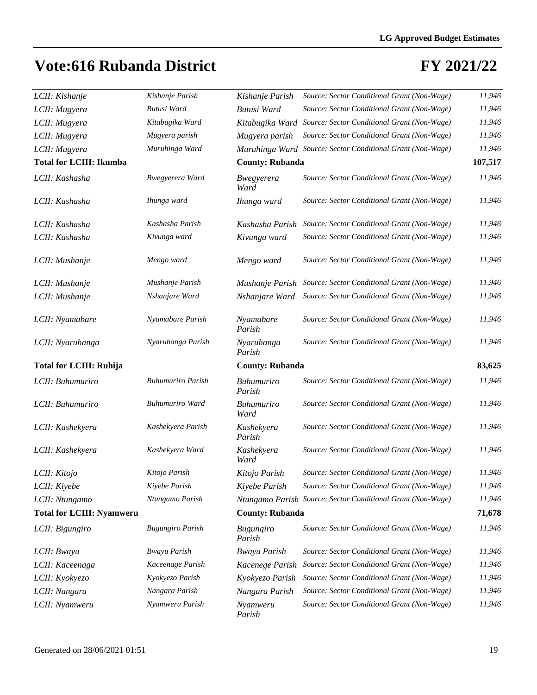| LCII: Kishanje                   | Kishanje Parish          | Kishanje Parish           | Source: Sector Conditional Grant (Non-Wage)                 | 11,946  |
|----------------------------------|--------------------------|---------------------------|-------------------------------------------------------------|---------|
| LCII: Mugyera                    | Butusi Ward              | Butusi Ward               | Source: Sector Conditional Grant (Non-Wage)                 | 11,946  |
| LCII: Mugyera                    | Kitabugika Ward          | Kitabugika Ward           | Source: Sector Conditional Grant (Non-Wage)                 | 11,946  |
| LCII: Mugyera                    | Mugyera parish           | Mugyera parish            | Source: Sector Conditional Grant (Non-Wage)                 | 11,946  |
| LCII: Mugyera                    | Muruhinga Ward           |                           | Muruhinga Ward Source: Sector Conditional Grant (Non-Wage)  | 11,946  |
| <b>Total for LCIII: Ikumba</b>   |                          | <b>County: Rubanda</b>    |                                                             | 107,517 |
| LCII: Kashasha                   | Bwegyerera Ward          | Bwegyerera<br>Ward        | Source: Sector Conditional Grant (Non-Wage)                 | 11,946  |
| LCII: Kashasha                   | Ihunga ward              | Ihunga ward               | Source: Sector Conditional Grant (Non-Wage)                 | 11,946  |
| LCII: Kashasha                   | Kashasha Parish          | Kashasha Parish           | Source: Sector Conditional Grant (Non-Wage)                 | 11,946  |
| LCII: Kashasha                   | Kivunga ward             | Kivunga ward              | Source: Sector Conditional Grant (Non-Wage)                 | 11,946  |
| LCII: Mushanje                   | Mengo ward               | Mengo ward                | Source: Sector Conditional Grant (Non-Wage)                 | 11,946  |
| LCII: Mushanje                   | Mushanje Parish          | Mushanje Parish           | Source: Sector Conditional Grant (Non-Wage)                 | 11,946  |
| LCII: Mushanje                   | Nshanjare Ward           | Nshanjare Ward            | Source: Sector Conditional Grant (Non-Wage)                 | 11,946  |
|                                  |                          |                           |                                                             |         |
| LCII: Nyamabare                  | Nyamabare Parish         | Nyamabare<br>Parish       | Source: Sector Conditional Grant (Non-Wage)                 | 11,946  |
| LCII: Nyaruhanga                 | Nyaruhanga Parish        | Nyaruhanga<br>Parish      | Source: Sector Conditional Grant (Non-Wage)                 | 11,946  |
|                                  |                          |                           |                                                             |         |
| <b>Total for LCIII: Ruhija</b>   |                          | <b>County: Rubanda</b>    |                                                             | 83,625  |
| LCII: Buhumuriro                 | <b>Buhumuriro Parish</b> | Buhumuriro<br>Parish      | Source: Sector Conditional Grant (Non-Wage)                 | 11,946  |
| LCII: Buhumuriro                 | <b>Buhumuriro Ward</b>   | <b>Buhumuriro</b><br>Ward | Source: Sector Conditional Grant (Non-Wage)                 | 11,946  |
| LCII: Kashekyera                 | Kashekyera Parish        | Kashekyera<br>Parish      | Source: Sector Conditional Grant (Non-Wage)                 | 11,946  |
| LCII: Kashekyera                 | Kashekyera Ward          | Kashekyera<br>Ward        | Source: Sector Conditional Grant (Non-Wage)                 | 11,946  |
| LCII: Kitojo                     | Kitojo Parish            | Kitojo Parish             | Source: Sector Conditional Grant (Non-Wage)                 | 11,946  |
| LCII: Kiyebe                     | Kiyebe Parish            | Kiyebe Parish             | Source: Sector Conditional Grant (Non-Wage)                 | 11,946  |
| LCII: Ntungamo                   | Ntungamo Parish          |                           | Ntungamo Parish Source: Sector Conditional Grant (Non-Wage) | 11,946  |
| <b>Total for LCIII: Nyamweru</b> |                          | <b>County: Rubanda</b>    |                                                             | 71,678  |
| LCII: Bigungiro                  | <b>Bugungiro Parish</b>  | Bugungiro<br>Parish       | Source: Sector Conditional Grant (Non-Wage)                 | 11,946  |
| LCII: Bwayu                      | <b>Bwayu Parish</b>      | <b>Bwayu Parish</b>       | Source: Sector Conditional Grant (Non-Wage)                 | 11,946  |
| LCII: Kaceenaga                  | Kaceenage Parish         | Kacenege Parish           | Source: Sector Conditional Grant (Non-Wage)                 | 11,946  |
| LCII: Kyokyezo                   | Kyokyezo Parish          | Kyokyezo Parish           | Source: Sector Conditional Grant (Non-Wage)                 | 11,946  |
| LCII: Nangara                    | Nangara Parish           | Nangara Parish            | Source: Sector Conditional Grant (Non-Wage)                 | 11,946  |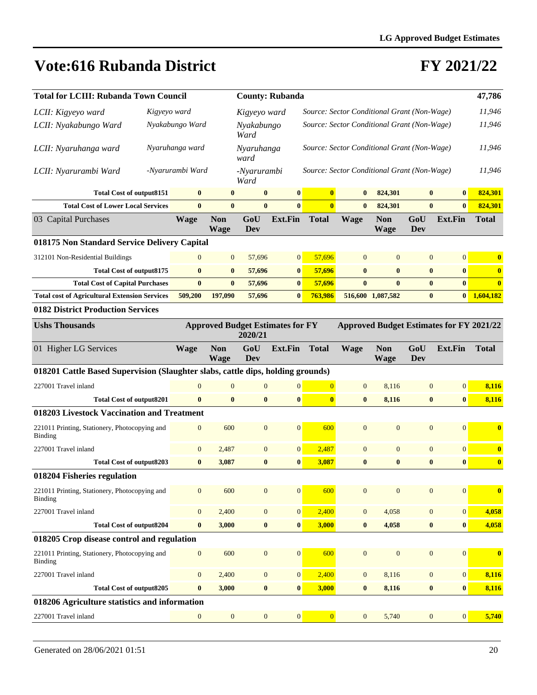| <b>Total for LCIII: Rubanda Town Council</b>                                    |                  |                           |                     | <b>County: Rubanda</b>                  |                                             |              |                           |                  |                                                 | 47,786                  |
|---------------------------------------------------------------------------------|------------------|---------------------------|---------------------|-----------------------------------------|---------------------------------------------|--------------|---------------------------|------------------|-------------------------------------------------|-------------------------|
| LCII: Kigyeyo ward                                                              | Kigyeyo ward     |                           | Kigyeyo ward        |                                         | Source: Sector Conditional Grant (Non-Wage) |              |                           |                  |                                                 | 11,946                  |
| LCII: Nyakabungo Ward                                                           | Nyakabungo Ward  |                           | Nyakabungo<br>Ward  |                                         | Source: Sector Conditional Grant (Non-Wage) |              |                           |                  |                                                 | 11,946                  |
| LCII: Nyaruhanga ward                                                           | Nyaruhanga ward  |                           | Nyaruhanga<br>ward  |                                         | Source: Sector Conditional Grant (Non-Wage) |              |                           |                  |                                                 | 11,946                  |
| LCII: Nyarurambi Ward                                                           | -Nyarurambi Ward |                           | -Nyarurambi<br>Ward |                                         | Source: Sector Conditional Grant (Non-Wage) |              |                           |                  |                                                 | 11,946                  |
| <b>Total Cost of output8151</b>                                                 | $\bf{0}$         | $\bf{0}$                  | $\bf{0}$            | $\bf{0}$                                | $\bf{0}$                                    | $\bf{0}$     | 824,301                   | $\bf{0}$         | $\bf{0}$                                        | 824,301                 |
| <b>Total Cost of Lower Local Services</b>                                       | $\bf{0}$         | $\bf{0}$                  | $\bf{0}$            | $\mathbf{0}$                            | $\overline{\mathbf{0}}$                     | $\mathbf{0}$ | 824,301                   | $\bf{0}$         | $\mathbf{0}$                                    | 824,301                 |
| 03 Capital Purchases                                                            | <b>Wage</b>      | <b>Non</b><br><b>Wage</b> | GoU<br>Dev          | Ext.Fin                                 | <b>Total</b>                                | <b>Wage</b>  | <b>Non</b><br><b>Wage</b> | GoU<br>Dev       | <b>Ext.Fin</b>                                  | <b>Total</b>            |
| 018175 Non Standard Service Delivery Capital                                    |                  |                           |                     |                                         |                                             |              |                           |                  |                                                 |                         |
| 312101 Non-Residential Buildings                                                | $\mathbf{0}$     | $\mathbf{0}$              | 57,696              | $\mathbf{0}$                            | 57,696                                      | $\theta$     | $\mathbf{0}$              | $\mathbf{0}$     | $\mathbf{0}$                                    | $\boldsymbol{0}$        |
| <b>Total Cost of output8175</b>                                                 | $\bf{0}$         | $\bf{0}$                  | 57,696              | $\bf{0}$                                | 57,696                                      | $\bf{0}$     | $\bf{0}$                  | $\bf{0}$         | $\bf{0}$                                        | $\bf{0}$                |
| <b>Total Cost of Capital Purchases</b>                                          | $\bf{0}$         | $\bf{0}$                  | 57,696              | $\bf{0}$                                | 57,696                                      | $\bf{0}$     | $\bf{0}$                  | $\bf{0}$         | $\bf{0}$                                        | $\overline{\mathbf{0}}$ |
| <b>Total cost of Agricultural Extension Services</b>                            | 509,200          | 197,090                   | 57,696              | $\bf{0}$                                | 763,986                                     |              | 516,600 1,087,582         | $\bf{0}$         | $\bf{0}$                                        | 1,604,182               |
| <b>0182 District Production Services</b>                                        |                  |                           |                     |                                         |                                             |              |                           |                  |                                                 |                         |
| <b>Ushs Thousands</b>                                                           |                  |                           | 2020/21             | <b>Approved Budget Estimates for FY</b> |                                             |              |                           |                  | <b>Approved Budget Estimates for FY 2021/22</b> |                         |
| 01 Higher LG Services                                                           | <b>Wage</b>      | <b>Non</b><br>Wage        | GoU<br>Dev          | <b>Ext.Fin</b>                          | <b>Total</b>                                | <b>Wage</b>  | <b>Non</b><br>Wage        | GoU<br>Dev       | <b>Ext.Fin</b>                                  | <b>Total</b>            |
| 018201 Cattle Based Supervision (Slaughter slabs, cattle dips, holding grounds) |                  |                           |                     |                                         |                                             |              |                           |                  |                                                 |                         |
| 227001 Travel inland                                                            | $\overline{0}$   | $\mathbf{0}$              | $\boldsymbol{0}$    | $\boldsymbol{0}$                        | $\overline{0}$                              | $\mathbf{0}$ | 8,116                     | $\boldsymbol{0}$ | $\boldsymbol{0}$                                | 8,116                   |
| <b>Total Cost of output8201</b>                                                 | $\bf{0}$         | $\bf{0}$                  | $\bf{0}$            | $\bf{0}$                                | $\bf{0}$                                    | $\bf{0}$     | 8,116                     | $\bf{0}$         | $\bf{0}$                                        | 8,116                   |
| 018203 Livestock Vaccination and Treatment                                      |                  |                           |                     |                                         |                                             |              |                           |                  |                                                 |                         |
| 221011 Printing, Stationery, Photocopying and<br><b>Binding</b>                 |                  |                           |                     |                                         |                                             |              |                           |                  |                                                 |                         |
|                                                                                 | $\boldsymbol{0}$ | 600                       | $\boldsymbol{0}$    | $\overline{0}$                          | 600                                         | $\mathbf{0}$ | $\mathbf{0}$              | $\boldsymbol{0}$ | $\mathbf{0}$                                    | $\bf{0}$                |
| 227001 Travel inland                                                            | $\boldsymbol{0}$ | 2,487                     | $\boldsymbol{0}$    | $\mathbf{0}$                            | 2,487                                       | $\mathbf{0}$ | $\boldsymbol{0}$          | $\boldsymbol{0}$ | $\boldsymbol{0}$                                | $\bf{0}$                |
| <b>Total Cost of output8203</b>                                                 | $\bf{0}$         | 3,087                     | $\bf{0}$            | $\bf{0}$                                | 3,087                                       | $\bf{0}$     | $\bf{0}$                  | $\bf{0}$         | $\bf{0}$                                        | $\bf{0}$                |
| 018204 Fisheries regulation                                                     |                  |                           |                     |                                         |                                             |              |                           |                  |                                                 |                         |
| 221011 Printing, Stationery, Photocopying and<br><b>Binding</b>                 | $\boldsymbol{0}$ | 600                       | $\boldsymbol{0}$    | $\mathbf{0}$                            | 600                                         | $\mathbf{0}$ | $\mathbf{0}$              | $\mathbf{0}$     | $\mathbf{0}$                                    | $\bf{0}$                |
| 227001 Travel inland                                                            | $\boldsymbol{0}$ | 2,400                     | $\boldsymbol{0}$    | 0                                       | 2,400                                       | $\mathbf{0}$ | 4,058                     | $\boldsymbol{0}$ | $\boldsymbol{0}$                                | 4,058                   |
| <b>Total Cost of output8204</b>                                                 | $\boldsymbol{0}$ | 3,000                     | $\boldsymbol{0}$    | $\boldsymbol{0}$                        | 3,000                                       | $\bf{0}$     | 4,058                     | $\bf{0}$         | $\bf{0}$                                        | 4,058                   |
| 018205 Crop disease control and regulation                                      |                  |                           |                     |                                         |                                             |              |                           |                  |                                                 |                         |
| 221011 Printing, Stationery, Photocopying and<br><b>Binding</b>                 | $\boldsymbol{0}$ | 600                       | $\boldsymbol{0}$    | $\vert 0 \vert$                         | 600                                         | $\mathbf{0}$ | $\mathbf{0}$              | $\mathbf{0}$     | $\mathbf{0}$                                    | $\bf{0}$                |
| 227001 Travel inland                                                            | $\boldsymbol{0}$ | 2,400                     | $\boldsymbol{0}$    | $\vert 0 \vert$                         | 2,400                                       | $\mathbf{0}$ | 8,116                     | $\mathbf{0}$     | $\boldsymbol{0}$                                | 8,116                   |
| <b>Total Cost of output8205</b>                                                 | $\bf{0}$         | 3,000                     | $\bf{0}$            | $\boldsymbol{0}$                        | 3,000                                       | $\bf{0}$     | 8,116                     | $\bf{0}$         | $\bf{0}$                                        | 8,116                   |
| 018206 Agriculture statistics and information                                   |                  |                           |                     |                                         |                                             |              |                           |                  |                                                 |                         |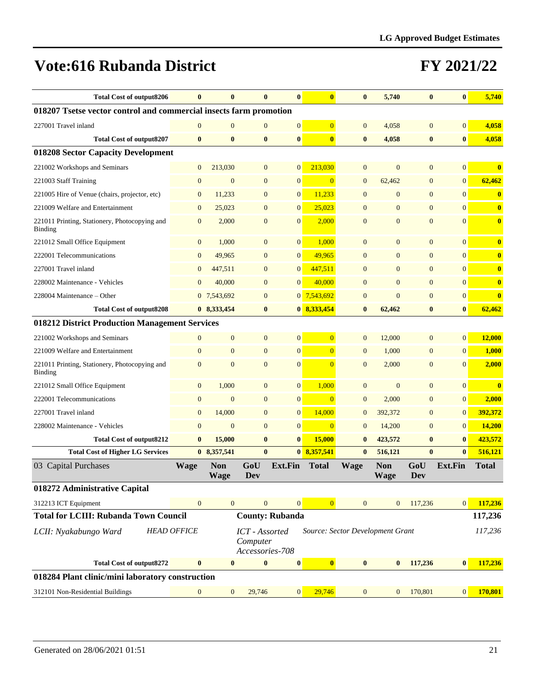| Total Cost of output8206                                           | $\bf{0}$           |                           | $\bf{0}$                                      | $\bf{0}$               | $\bf{0}$                | $\bf{0}$                         | 5,740                     | $\bf{0}$         | $\bf{0}$         | 5,740        |
|--------------------------------------------------------------------|--------------------|---------------------------|-----------------------------------------------|------------------------|-------------------------|----------------------------------|---------------------------|------------------|------------------|--------------|
| 018207 Tsetse vector control and commercial insects farm promotion |                    |                           |                                               |                        |                         |                                  |                           |                  |                  |              |
| 227001 Travel inland                                               | $\mathbf{0}$       | $\overline{0}$            | $\mathbf{0}$                                  | $\boldsymbol{0}$       | $\overline{0}$          | $\mathbf{0}$                     | 4,058                     | $\boldsymbol{0}$ | $\mathbf{0}$     | 4,058        |
| <b>Total Cost of output8207</b>                                    | $\bf{0}$           | $\bf{0}$                  | $\bf{0}$                                      | $\bf{0}$               | $\bf{0}$                | $\bf{0}$                         | 4,058                     | $\bf{0}$         | $\bf{0}$         | 4,058        |
| 018208 Sector Capacity Development                                 |                    |                           |                                               |                        |                         |                                  |                           |                  |                  |              |
| 221002 Workshops and Seminars                                      | $\mathbf{0}$       | 213,030                   | $\mathbf{0}$                                  | $\overline{0}$         | 213,030                 | $\mathbf{0}$                     | $\mathbf{0}$              | $\boldsymbol{0}$ | $\mathbf{0}$     | $\bf{0}$     |
| 221003 Staff Training                                              | $\mathbf{0}$       | $\mathbf{0}$              | $\mathbf{0}$                                  | $\boldsymbol{0}$       | $\overline{0}$          | $\mathbf{0}$                     | 62,462                    | $\boldsymbol{0}$ | $\mathbf{0}$     | 62,462       |
| 221005 Hire of Venue (chairs, projector, etc)                      | $\mathbf{0}$       | 11,233                    | $\mathbf{0}$                                  | $\mathbf{0}$           | 11,233                  | $\mathbf{0}$                     | $\mathbf{0}$              | $\mathbf{0}$     | $\mathbf{0}$     | $\bf{0}$     |
| 221009 Welfare and Entertainment                                   | $\mathbf{0}$       | 25,023                    | $\mathbf{0}$                                  | $\boldsymbol{0}$       | 25,023                  | $\mathbf{0}$                     | $\mathbf{0}$              | $\mathbf{0}$     | $\mathbf{0}$     | $\mathbf{0}$ |
| 221011 Printing, Stationery, Photocopying and<br><b>Binding</b>    | $\mathbf{0}$       | 2,000                     | $\mathbf{0}$                                  | $\mathbf{0}$           | 2,000                   | $\mathbf{0}$                     | $\mathbf{0}$              | $\mathbf{0}$     | $\mathbf{0}$     | $\bf{0}$     |
| 221012 Small Office Equipment                                      | $\boldsymbol{0}$   | 1,000                     | $\mathbf{0}$                                  | $\mathbf{0}$           | 1,000                   | $\mathbf{0}$                     | $\mathbf{0}$              | $\mathbf{0}$     | $\overline{0}$   | $\bf{0}$     |
| 222001 Telecommunications                                          | $\mathbf{0}$       | 49,965                    | $\overline{0}$                                | $\mathbf{0}$           | 49,965                  | $\mathbf{0}$                     | $\mathbf{0}$              | $\mathbf{0}$     | $\mathbf{0}$     | $\bf{0}$     |
| 227001 Travel inland                                               | $\mathbf{0}$       | 447,511                   | $\mathbf{0}$                                  | $\boldsymbol{0}$       | 447,511                 | $\mathbf{0}$                     | $\boldsymbol{0}$          | $\mathbf{0}$     | $\mathbf{0}$     | $\bf{0}$     |
| 228002 Maintenance - Vehicles                                      | $\mathbf{0}$       | 40,000                    | $\mathbf{0}$                                  | $\mathbf{0}$           | 40,000                  | $\mathbf{0}$                     | $\mathbf{0}$              | $\mathbf{0}$     | $\mathbf{0}$     | $\bf{0}$     |
| 228004 Maintenance – Other                                         |                    | 0 7,543,692               | $\boldsymbol{0}$                              |                        | 0 7,543,692             | $\boldsymbol{0}$                 | $\mathbf{0}$              | $\boldsymbol{0}$ | $\mathbf{0}$     | $\bf{0}$     |
| <b>Total Cost of output8208</b>                                    |                    | 0 8,333,454               | $\bf{0}$                                      |                        | 0 8,333,454             | $\bf{0}$                         | 62,462                    | $\bf{0}$         | $\bf{0}$         | 62,462       |
| 018212 District Production Management Services                     |                    |                           |                                               |                        |                         |                                  |                           |                  |                  |              |
| 221002 Workshops and Seminars                                      | $\mathbf{0}$       | $\mathbf{0}$              | $\mathbf{0}$                                  | $\mathbf{0}$           | $\overline{0}$          | $\mathbf{0}$                     | 12,000                    | $\mathbf{0}$     | $\mathbf{0}$     | 12,000       |
| 221009 Welfare and Entertainment                                   | $\mathbf{0}$       | $\mathbf{0}$              | $\overline{0}$                                | $\boldsymbol{0}$       | $\overline{0}$          | $\mathbf{0}$                     | 1,000                     | $\mathbf{0}$     | $\mathbf{0}$     | 1,000        |
| 221011 Printing, Stationery, Photocopying and<br><b>Binding</b>    | $\mathbf{0}$       | $\overline{0}$            | $\mathbf{0}$                                  | $\mathbf{0}$           | $\overline{0}$          | $\mathbf{0}$                     | 2,000                     | $\mathbf{0}$     | $\mathbf{0}$     | 2,000        |
| 221012 Small Office Equipment                                      | $\boldsymbol{0}$   | 1,000                     | $\boldsymbol{0}$                              | $\boldsymbol{0}$       | 1,000                   | $\mathbf{0}$                     | $\boldsymbol{0}$          | $\boldsymbol{0}$ | $\mathbf{0}$     | $\bf{0}$     |
| 222001 Telecommunications                                          | $\mathbf{0}$       | $\mathbf{0}$              | $\mathbf{0}$                                  | $\boldsymbol{0}$       | $\overline{0}$          | $\boldsymbol{0}$                 | 2,000                     | $\boldsymbol{0}$ | $\boldsymbol{0}$ | 2,000        |
| 227001 Travel inland                                               | $\mathbf{0}$       | 14,000                    | $\mathbf{0}$                                  | $\boldsymbol{0}$       | 14,000                  | $\mathbf{0}$                     | 392,372                   | $\mathbf{0}$     | $\mathbf{0}$     | 392,372      |
| 228002 Maintenance - Vehicles                                      | $\mathbf{0}$       | $\mathbf{0}$              | $\overline{0}$                                | $\boldsymbol{0}$       | $\overline{0}$          | $\mathbf{0}$                     | 14,200                    | $\mathbf{0}$     | $\mathbf{0}$     | 14,200       |
| <b>Total Cost of output8212</b>                                    | $\bf{0}$           | 15,000                    | $\bf{0}$                                      | $\bf{0}$               | 15,000                  | $\bf{0}$                         | 423,572                   | $\bf{0}$         | $\bf{0}$         | 423,572      |
| <b>Total Cost of Higher LG Services</b>                            |                    | 0 8,357,541               | $\bf{0}$                                      |                        | 0 8,357,541             | $\bf{0}$                         | 516,121                   | $\bf{0}$         | $\bf{0}$         | 516,121      |
| 03 Capital Purchases                                               | <b>Wage</b>        | <b>Non</b><br><b>Wage</b> | GoU<br>Dev                                    | <b>Ext.Fin</b>         | <b>Total</b>            | <b>Wage</b>                      | <b>Non</b><br><b>Wage</b> | GoU<br>Dev       | <b>Ext.Fin</b>   | <b>Total</b> |
| 018272 Administrative Capital                                      |                    |                           |                                               |                        |                         |                                  |                           |                  |                  |              |
| 312213 ICT Equipment                                               | $\mathbf{0}$       | $\overline{0}$            | $\overline{0}$                                | $\mathbf{0}$           | $\overline{0}$          | $\overline{0}$                   | $\overline{0}$            | 117,236          | $\vert 0 \vert$  | 117,236      |
| <b>Total for LCIII: Rubanda Town Council</b>                       |                    |                           |                                               | <b>County: Rubanda</b> |                         |                                  |                           |                  |                  | 117,236      |
| LCII: Nyakabungo Ward                                              | <b>HEAD OFFICE</b> |                           | ICT - Assorted<br>Computer<br>Accessories-708 |                        |                         | Source: Sector Development Grant |                           |                  |                  | 117,236      |
| <b>Total Cost of output8272</b>                                    | $\bf{0}$           | $\bf{0}$                  | $\boldsymbol{0}$                              | $\pmb{0}$              | $\overline{\mathbf{0}}$ | $\bf{0}$                         | $\bf{0}$                  | 117,236          | $\bf{0}$         | 117,236      |
| 018284 Plant clinic/mini laboratory construction                   |                    |                           |                                               |                        |                         |                                  |                           |                  |                  |              |
| 312101 Non-Residential Buildings                                   | $\boldsymbol{0}$   | $\mathbf{0}$              | 29,746                                        | $\boldsymbol{0}$       | 29,746                  | $\boldsymbol{0}$                 | $\mathbf{0}$              | 170,801          | $\mathbf{0}$     | 170,801      |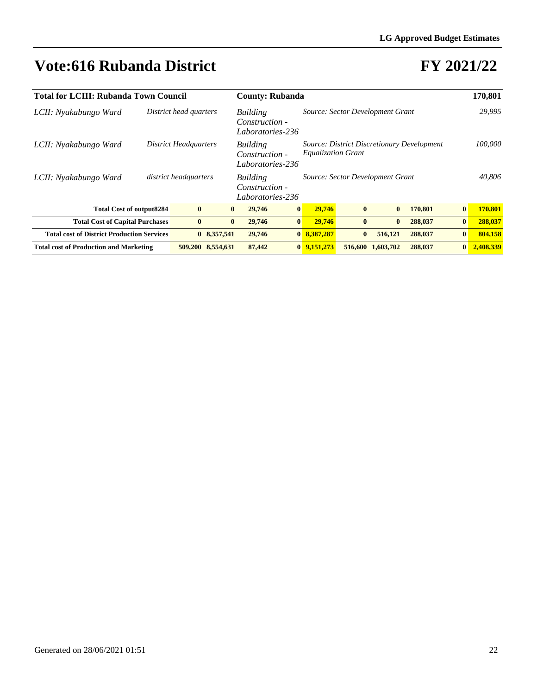| <b>Total for LCIII: Rubanda Town Council</b>      |                              | <b>County: Rubanda</b> |                                                | 170,801         |                                                                         |              |           |         |                 |           |
|---------------------------------------------------|------------------------------|------------------------|------------------------------------------------|-----------------|-------------------------------------------------------------------------|--------------|-----------|---------|-----------------|-----------|
| LCII: Nyakabungo Ward                             | District head quarters       |                        | Building<br>Construction -<br>Laboratories-236 |                 | Source: Sector Development Grant                                        |              |           |         |                 | 29,995    |
| LCII: Nyakabungo Ward                             | <b>District Headquarters</b> |                        | Building<br>Construction -<br>Laboratories-236 |                 | Source: District Discretionary Development<br><b>Equalization Grant</b> |              | 100,000   |         |                 |           |
| LCII: Nyakabungo Ward                             | district headquarters        |                        | Building<br>Construction -<br>Laboratories-236 |                 | Source: Sector Development Grant                                        |              |           |         |                 | 40.806    |
| <b>Total Cost of output8284</b>                   | $\bf{0}$                     | $\mathbf{0}$           | 29,746                                         | $\vert 0 \vert$ | 29,746                                                                  | $\mathbf{0}$ | $\bf{0}$  | 170,801 | $\vert 0 \vert$ | 170,801   |
| <b>Total Cost of Capital Purchases</b>            | $\bf{0}$                     | $\bf{0}$               | 29,746                                         | $\mathbf{0}$    | 29,746                                                                  | $\mathbf{0}$ | $\bf{0}$  | 288,037 | $\vert 0 \vert$ | 288,037   |
| <b>Total cost of District Production Services</b> |                              | 0 8,357,541            | 29,746                                         | $\mathbf{0}$    | 8,387,287                                                               | $\mathbf{0}$ | 516,121   | 288,037 | $\vert 0 \vert$ | 804,158   |
| <b>Total cost of Production and Marketing</b>     |                              | 509,200 8,554,631      | 87,442                                         |                 | $0\ \ 9,151,273$                                                        | 516,600      | 1,603,702 | 288,037 | $\vert 0 \vert$ | 2,408,339 |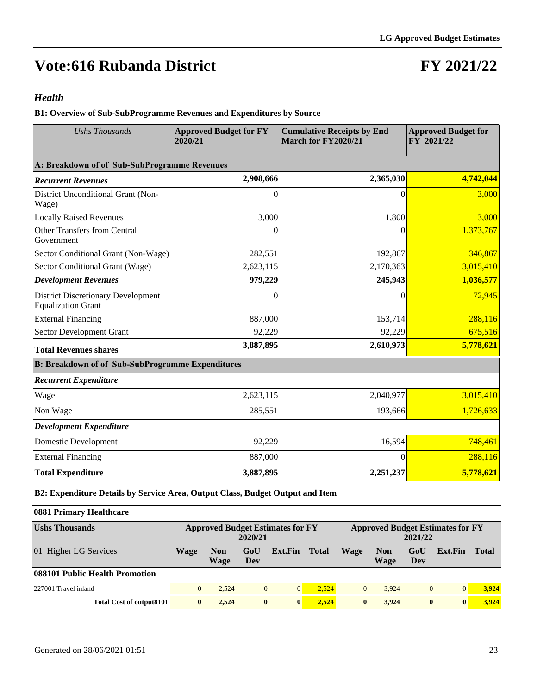## **FY 2021/22**

#### *Health*

**B1: Overview of Sub-SubProgramme Revenues and Expenditures by Source**

| <b>Ushs Thousands</b>                                                  | <b>Approved Budget for FY</b><br>2020/21 | <b>Cumulative Receipts by End</b><br>March for FY2020/21 | <b>Approved Budget for</b><br>FY 2021/22 |
|------------------------------------------------------------------------|------------------------------------------|----------------------------------------------------------|------------------------------------------|
| A: Breakdown of of Sub-SubProgramme Revenues                           |                                          |                                                          |                                          |
| <b>Recurrent Revenues</b>                                              | 2,908,666                                | 2,365,030                                                | 4,742,044                                |
| District Unconditional Grant (Non-<br>Wage)                            | $\Omega$                                 | $\Omega$                                                 | 3,000                                    |
| <b>Locally Raised Revenues</b>                                         | 3,000                                    | 1,800                                                    | 3,000                                    |
| <b>Other Transfers from Central</b><br>Government                      |                                          | 0                                                        | 1,373,767                                |
| Sector Conditional Grant (Non-Wage)                                    | 282,551                                  | 192,867                                                  | 346,867                                  |
| Sector Conditional Grant (Wage)                                        | 2,623,115                                | 2,170,363                                                | 3,015,410                                |
| <b>Development Revenues</b>                                            | 979,229                                  | 245,943                                                  | 1,036,577                                |
| <b>District Discretionary Development</b><br><b>Equalization Grant</b> | $\Omega$                                 | 0                                                        | 72,945                                   |
| <b>External Financing</b>                                              | 887,000                                  | 153,714                                                  | 288,116                                  |
| Sector Development Grant                                               | 92,229                                   | 92,229                                                   | 675,516                                  |
| <b>Total Revenues shares</b>                                           | 3,887,895                                | 2,610,973                                                | 5,778,621                                |
| <b>B: Breakdown of of Sub-SubProgramme Expenditures</b>                |                                          |                                                          |                                          |
| <b>Recurrent Expenditure</b>                                           |                                          |                                                          |                                          |
| Wage                                                                   | 2,623,115                                | 2,040,977                                                | 3,015,410                                |
| Non Wage                                                               | 285,551                                  | 193,666                                                  | 1,726,633                                |
| <b>Development Expenditure</b>                                         |                                          |                                                          |                                          |
| Domestic Development                                                   | 92,229                                   | 16,594                                                   | 748,461                                  |
| <b>External Financing</b>                                              | 887,000                                  | 0                                                        | 288,116                                  |
| <b>Total Expenditure</b>                                               | 3,887,895                                | 2,251,237                                                | 5,778,621                                |

**B2: Expenditure Details by Service Area, Output Class, Budget Output and Item**

#### **0881 Primary Healthcare**

| <b>Ushs Thousands</b>           |          | <b>Approved Budget Estimates for FY</b><br>2020/21 |              |                |              |              |                    | 2021/22    | <b>Approved Budget Estimates for FY</b> |              |
|---------------------------------|----------|----------------------------------------------------|--------------|----------------|--------------|--------------|--------------------|------------|-----------------------------------------|--------------|
| 01 Higher LG Services           | Wage     | <b>Non</b><br>Wage                                 | GoU<br>Dev   | Ext.Fin        | <b>Total</b> | <b>Wage</b>  | <b>Non</b><br>Wage | GoU<br>Dev | Ext.Fin                                 | <b>Total</b> |
| 088101 Public Health Promotion  |          |                                                    |              |                |              |              |                    |            |                                         |              |
| 227001 Travel inland            | $\Omega$ | 2.524                                              | $\mathbf{0}$ | $\overline{0}$ | 2.524        | $\mathbf{0}$ | 3.924              | $\theta$   |                                         | 3.924        |
| <b>Total Cost of output8101</b> | $\bf{0}$ | 2.524                                              | $\bf{0}$     | $\bf{0}$       | 2.524        | $\mathbf{0}$ | 3.924              | $\bf{0}$   | $\mathbf{0}$                            | 3.924        |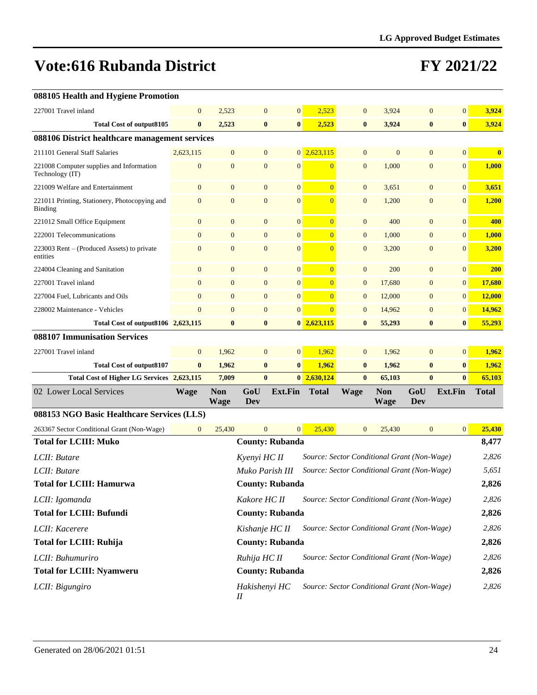|  |  |  |  |  | 088105 Health and Hygiene Promotion |
|--|--|--|--|--|-------------------------------------|
|--|--|--|--|--|-------------------------------------|

| 227001 Travel inland                                        | $\overline{0}$                                                | 2,523                     | $\mathbf{0}$     | $\boldsymbol{0}$       | 2,523                   | $\mathbf{0}$                                | 3,924              | $\mathbf{0}$   | $\overline{0}$  | 3,924        |
|-------------------------------------------------------------|---------------------------------------------------------------|---------------------------|------------------|------------------------|-------------------------|---------------------------------------------|--------------------|----------------|-----------------|--------------|
| <b>Total Cost of output8105</b>                             | $\bf{0}$                                                      | 2,523                     | $\bf{0}$         | $\bf{0}$               | 2,523                   | $\bf{0}$                                    | 3,924              | $\bf{0}$       | $\bf{0}$        | 3,924        |
| 088106 District healthcare management services              |                                                               |                           |                  |                        |                         |                                             |                    |                |                 |              |
| 211101 General Staff Salaries                               | 2,623,115                                                     | $\mathbf{0}$              | $\mathbf{0}$     |                        | $0\overline{2,623,115}$ | $\mathbf{0}$                                | $\mathbf{0}$       | $\overline{0}$ | $\overline{0}$  | $\bf{0}$     |
| 221008 Computer supplies and Information<br>Technology (IT) | $\boldsymbol{0}$                                              | $\mathbf{0}$              | $\boldsymbol{0}$ | $\mathbf{0}$           | $\overline{0}$          | $\mathbf{0}$                                | 1,000              | $\mathbf{0}$   | $\mathbf{0}$    | 1,000        |
| 221009 Welfare and Entertainment                            | $\mathbf{0}$                                                  | $\mathbf{0}$              | $\boldsymbol{0}$ | $\boldsymbol{0}$       | $\overline{0}$          | $\mathbf{0}$                                | 3,651              | $\mathbf{0}$   | 0               | 3,651        |
| 221011 Printing, Stationery, Photocopying and<br>Binding    | $\overline{0}$                                                | $\overline{0}$            | $\mathbf{0}$     | $\mathbf{0}$           | $\overline{0}$          | $\mathbf{0}$                                | 1,200              | $\overline{0}$ | $\mathbf{0}$    | 1,200        |
| 221012 Small Office Equipment                               | $\mathbf{0}$                                                  | $\boldsymbol{0}$          | $\mathbf{0}$     | $\boldsymbol{0}$       | $\overline{0}$          | $\mathbf{0}$                                | 400                | $\mathbf{0}$   | $\mathbf{0}$    | 400          |
| 222001 Telecommunications                                   | $\mathbf{0}$                                                  | $\boldsymbol{0}$          | $\mathbf{0}$     | $\boldsymbol{0}$       | $\overline{0}$          | $\mathbf{0}$                                | 1,000              | $\mathbf{0}$   | $\overline{0}$  | 1,000        |
| 223003 Rent – (Produced Assets) to private<br>entities      | $\overline{0}$                                                | $\mathbf{0}$              | $\mathbf{0}$     | $\mathbf{0}$           | $\overline{0}$          | $\mathbf{0}$                                | 3,200              | $\overline{0}$ | $\overline{0}$  | 3,200        |
| 224004 Cleaning and Sanitation                              | $\mathbf{0}$                                                  | $\mathbf{0}$              | $\mathbf{0}$     | $\boldsymbol{0}$       | $\overline{0}$          | $\mathbf{0}$                                | 200                | $\mathbf{0}$   | $\mathbf{0}$    | <b>200</b>   |
| 227001 Travel inland                                        | $\overline{0}$                                                | $\mathbf{0}$              | $\mathbf{0}$     | $\boldsymbol{0}$       | $\overline{0}$          | $\mathbf{0}$                                | 17,680             | $\mathbf{0}$   | 0               | 17,680       |
| 227004 Fuel, Lubricants and Oils                            | $\mathbf{0}$                                                  | $\mathbf{0}$              | $\mathbf{0}$     | $\mathbf{0}$           | $\overline{0}$          | $\mathbf{0}$                                | 12,000             | $\overline{0}$ | 0               | 12,000       |
| 228002 Maintenance - Vehicles                               | $\overline{0}$                                                | $\overline{0}$            | $\mathbf{0}$     | $\mathbf{0}$           | $\overline{0}$          | $\mathbf{0}$                                | 14,962             | $\overline{0}$ | 0               | 14,962       |
| Total Cost of output8106 2,623,115                          |                                                               | $\bf{0}$                  | $\bf{0}$         |                        | $0\overline{2,623,115}$ | $\bf{0}$                                    | 55,293             | $\bf{0}$       | $\bf{0}$        | 55,293       |
| 088107 Immunisation Services                                |                                                               |                           |                  |                        |                         |                                             |                    |                |                 |              |
| 227001 Travel inland                                        | $\overline{0}$                                                | 1,962                     | $\mathbf{0}$     | $\mathbf{0}$           | 1,962                   | $\mathbf{0}$                                | 1,962              | $\overline{0}$ | $\vert 0 \vert$ | 1,962        |
| <b>Total Cost of output8107</b>                             | $\bf{0}$                                                      | 1,962                     | $\bf{0}$         | $\bf{0}$               | 1,962                   | $\bf{0}$                                    | 1,962              | $\bf{0}$       | $\bf{0}$        | 1,962        |
| <b>Total Cost of Higher LG Services</b>                     | 2,623,115                                                     | 7,009                     | $\bf{0}$         |                        | $0\ \ 2,630,124$        | $\bf{0}$                                    | 65,103             | $\bf{0}$       | $\mathbf{0}$    | 65,103       |
| 02 Lower Local Services                                     | <b>Wage</b>                                                   | <b>Non</b><br><b>Wage</b> | GoU<br>Dev       | <b>Ext.Fin</b>         | <b>Total</b>            | Wage                                        | <b>Non</b><br>Wage | GoU<br>Dev     | <b>Ext.Fin</b>  | <b>Total</b> |
| 088153 NGO Basic Healthcare Services (LLS)                  |                                                               |                           |                  |                        |                         |                                             |                    |                |                 |              |
| 263367 Sector Conditional Grant (Non-Wage)                  | $\mathbf{0}$                                                  | 25,430                    | $\mathbf{0}$     | $\mathbf{0}$           | 25,430                  | $\overline{0}$                              | 25,430             | $\mathbf{0}$   | 0               | 25,430       |
| <b>Total for LCIII: Muko</b>                                |                                                               |                           |                  | <b>County: Rubanda</b> |                         |                                             |                    |                |                 | 8,477        |
| LCII: Butare                                                |                                                               |                           | Kyenyi HC II     |                        |                         | Source: Sector Conditional Grant (Non-Wage) |                    |                |                 | 2,826        |
| LCII: Butare                                                |                                                               |                           | Muko Parish III  |                        |                         | Source: Sector Conditional Grant (Non-Wage) |                    |                |                 | 5,651        |
| <b>Total for LCIII: Hamurwa</b>                             |                                                               |                           |                  | <b>County: Rubanda</b> |                         |                                             |                    |                |                 | 2,826        |
| LCII: Igomanda                                              |                                                               |                           | Kakore HC II     |                        |                         | Source: Sector Conditional Grant (Non-Wage) |                    |                |                 | 2,826        |
| <b>Total for LCIII: Bufundi</b>                             | <b>County: Rubanda</b>                                        |                           |                  |                        |                         |                                             |                    |                |                 | 2,826        |
| LCII: Kacerere                                              | Source: Sector Conditional Grant (Non-Wage)<br>Kishanje HC II |                           |                  |                        |                         |                                             |                    |                | 2,826           |              |
| <b>Total for LCIII: Ruhija</b>                              |                                                               |                           |                  | <b>County: Rubanda</b> |                         |                                             |                    |                |                 | 2,826        |
| LCII: Buhumuriro                                            |                                                               |                           | Ruhija HC II     |                        |                         | Source: Sector Conditional Grant (Non-Wage) |                    |                |                 | 2,826        |
| <b>Total for LCIII: Nyamweru</b>                            |                                                               |                           |                  |                        |                         |                                             |                    |                |                 |              |
|                                                             |                                                               |                           |                  | <b>County: Rubanda</b> |                         |                                             |                    |                |                 | 2,826        |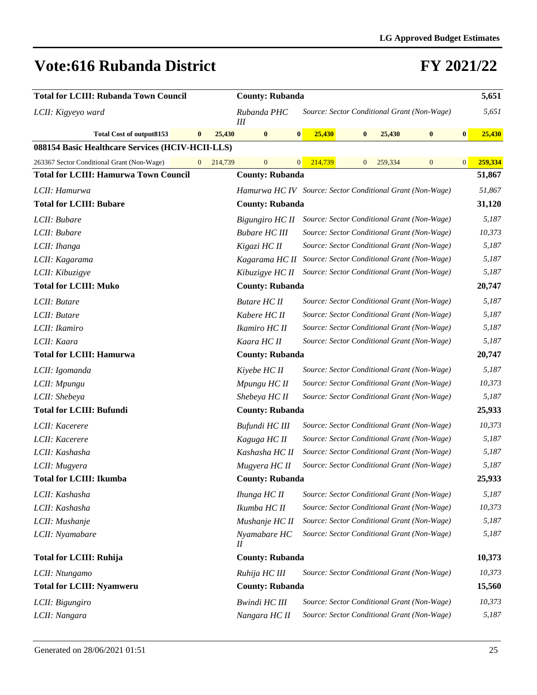| <b>Total for LCIII: Rubanda Town Council</b>     |              |         | <b>County: Rubanda</b>                                    |                         |                  |                                             |                  |              | 5,651   |
|--------------------------------------------------|--------------|---------|-----------------------------------------------------------|-------------------------|------------------|---------------------------------------------|------------------|--------------|---------|
| LCII: Kigyeyo ward                               |              |         | Rubanda PHC<br>Ш                                          |                         |                  | Source: Sector Conditional Grant (Non-Wage) |                  |              | 5,651   |
| Total Cost of output8153                         | $\bf{0}$     | 25,430  | $\bf{0}$                                                  | 25,430<br> 0            | $\boldsymbol{0}$ | 25,430                                      | $\bf{0}$         | $\bf{0}$     | 25,430  |
| 088154 Basic Healthcare Services (HCIV-HCII-LLS) |              |         |                                                           |                         |                  |                                             |                  |              |         |
| 263367 Sector Conditional Grant (Non-Wage)       | $\mathbf{0}$ | 214,739 | $\overline{0}$                                            | 214,739<br>$\mathbf{0}$ | $\mathbf{0}$     | 259,334                                     | $\boldsymbol{0}$ | $\mathbf{0}$ | 259,334 |
| <b>Total for LCIII: Hamurwa Town Council</b>     |              |         | <b>County: Rubanda</b>                                    |                         |                  |                                             |                  |              | 51,867  |
| LCII: Hamurwa                                    |              |         | Hamurwa HC IV Source: Sector Conditional Grant (Non-Wage) |                         |                  |                                             |                  |              | 51,867  |
| <b>Total for LCIII: Bubare</b>                   |              |         | <b>County: Rubanda</b>                                    |                         |                  |                                             |                  |              | 31,120  |
| LCII: Bubare                                     |              |         | Bigungiro HC II                                           |                         |                  | Source: Sector Conditional Grant (Non-Wage) |                  |              | 5,187   |
| LCII: Bubare                                     |              |         | <b>Bubare HC III</b>                                      |                         |                  | Source: Sector Conditional Grant (Non-Wage) |                  |              | 10,373  |
| LCII: Ihanga                                     |              |         | Kigazi HC II                                              |                         |                  | Source: Sector Conditional Grant (Non-Wage) |                  |              | 5,187   |
| LCII: Kagarama                                   |              |         | Kagarama HC II                                            |                         |                  | Source: Sector Conditional Grant (Non-Wage) |                  |              | 5,187   |
| LCII: Kibuzigye                                  |              |         | Kibuzigye HC II                                           |                         |                  | Source: Sector Conditional Grant (Non-Wage) |                  |              | 5,187   |
| <b>Total for LCIII: Muko</b>                     |              |         | <b>County: Rubanda</b>                                    |                         |                  |                                             |                  |              | 20,747  |
| LCII: Butare                                     |              |         | <b>Butare HC II</b>                                       |                         |                  | Source: Sector Conditional Grant (Non-Wage) |                  |              | 5,187   |
| LCII: Butare                                     |              |         | Kabere HC II                                              |                         |                  | Source: Sector Conditional Grant (Non-Wage) |                  |              | 5,187   |
| LCII: Ikamiro                                    |              |         | Ikamiro HC II                                             |                         |                  | Source: Sector Conditional Grant (Non-Wage) |                  |              | 5,187   |
| LCII: Kaara                                      |              |         | Kaara HC II                                               |                         |                  | Source: Sector Conditional Grant (Non-Wage) |                  |              | 5,187   |
| <b>Total for LCIII: Hamurwa</b>                  |              |         | <b>County: Rubanda</b>                                    |                         |                  |                                             |                  |              | 20,747  |
| LCII: Igomanda                                   |              |         | Kiyebe HC II                                              |                         |                  | Source: Sector Conditional Grant (Non-Wage) |                  |              | 5,187   |
| LCII: Mpungu                                     |              |         | Mpungu HC II                                              |                         |                  | Source: Sector Conditional Grant (Non-Wage) |                  |              | 10,373  |
| LCII: Shebeya                                    |              |         | Shebeya HC II                                             |                         |                  | Source: Sector Conditional Grant (Non-Wage) |                  |              | 5,187   |
| <b>Total for LCIII: Bufundi</b>                  |              |         | <b>County: Rubanda</b>                                    |                         |                  |                                             |                  |              | 25,933  |
| LCII: Kacerere                                   |              |         | Bufundi HC III                                            |                         |                  | Source: Sector Conditional Grant (Non-Wage) |                  |              | 10,373  |
| LCII: Kacerere                                   |              |         | Kaguga HC II                                              |                         |                  | Source: Sector Conditional Grant (Non-Wage) |                  |              | 5,187   |
| LCII: Kashasha                                   |              |         | Kashasha HC II                                            |                         |                  | Source: Sector Conditional Grant (Non-Wage) |                  |              | 5,187   |
| LCII: Mugyera                                    |              |         | Mugyera HC II                                             |                         |                  | Source: Sector Conditional Grant (Non-Wage) |                  |              | 5,187   |
| <b>Total for LCIII: Ikumba</b>                   |              |         | <b>County: Rubanda</b>                                    |                         |                  |                                             |                  |              | 25,933  |
| LCII: Kashasha                                   |              |         | Ihunga HC II                                              |                         |                  | Source: Sector Conditional Grant (Non-Wage) |                  |              | 5,187   |
| LCII: Kashasha                                   |              |         | Ikumba HC II                                              |                         |                  | Source: Sector Conditional Grant (Non-Wage) |                  |              | 10,373  |
| LCII: Mushanje                                   |              |         | Mushanje HC II                                            |                         |                  | Source: Sector Conditional Grant (Non-Wage) |                  |              | 5,187   |
| LCII: Nyamabare                                  |              |         | Nyamabare HC<br>$^{\prime\prime}$                         |                         |                  | Source: Sector Conditional Grant (Non-Wage) |                  |              | 5,187   |
| <b>Total for LCIII: Ruhija</b>                   |              |         | <b>County: Rubanda</b>                                    |                         |                  |                                             |                  |              | 10,373  |
| LCII: Ntungamo                                   |              |         | Ruhija HC III                                             |                         |                  | Source: Sector Conditional Grant (Non-Wage) |                  |              | 10,373  |
| <b>Total for LCIII: Nyamweru</b>                 |              |         | <b>County: Rubanda</b>                                    |                         |                  |                                             |                  |              | 15,560  |
| LCII: Bigungiro                                  |              |         | <b>Bwindi HC III</b>                                      |                         |                  | Source: Sector Conditional Grant (Non-Wage) |                  |              | 10,373  |
| LCII: Nangara                                    |              |         | Nangara HC II                                             |                         |                  | Source: Sector Conditional Grant (Non-Wage) |                  |              | 5,187   |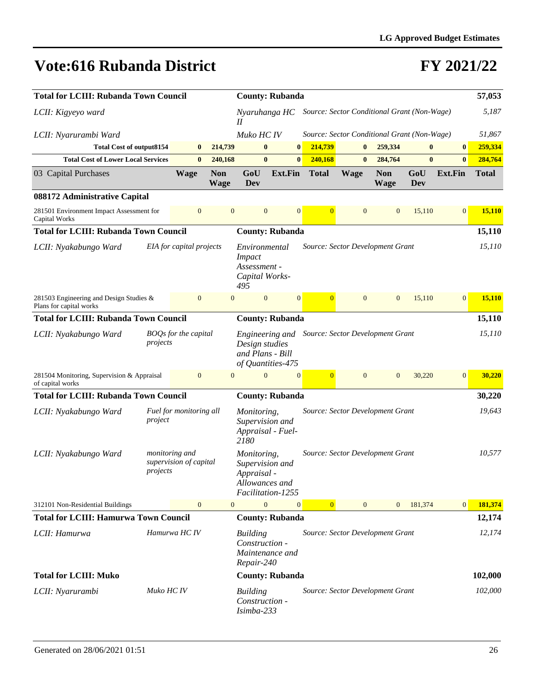| <b>Total for LCIII: Rubanda Town Council</b>                       |            | <b>County: Rubanda</b>                   |                           |                                                                                                             |                |                |                                             |                           |            |                  |              |
|--------------------------------------------------------------------|------------|------------------------------------------|---------------------------|-------------------------------------------------------------------------------------------------------------|----------------|----------------|---------------------------------------------|---------------------------|------------|------------------|--------------|
| LCII: Kigyeyo ward                                                 |            |                                          |                           | Nyaruhanga HC<br>Н                                                                                          |                |                | Source: Sector Conditional Grant (Non-Wage) |                           |            |                  | 5,187        |
| LCII: Nyarurambi Ward                                              |            |                                          |                           | Muko HC IV                                                                                                  |                |                | Source: Sector Conditional Grant (Non-Wage) |                           |            |                  | 51,867       |
| <b>Total Cost of output8154</b>                                    |            | $\bf{0}$                                 | 214,739                   | $\bf{0}$                                                                                                    | $\bf{0}$       | 214,739        | $\bf{0}$                                    | 259,334                   | $\bf{0}$   | $\bf{0}$         | 259,334      |
| <b>Total Cost of Lower Local Services</b>                          |            | $\bf{0}$                                 | 240,168                   | $\bf{0}$                                                                                                    | $\bf{0}$       | 240,168        | $\mathbf{0}$                                | 284,764                   | $\bf{0}$   | $\bf{0}$         | 284,764      |
| 03 Capital Purchases                                               |            | <b>Wage</b>                              | <b>Non</b><br><b>Wage</b> | GoU<br>Dev                                                                                                  | <b>Ext.Fin</b> | <b>Total</b>   | <b>Wage</b>                                 | <b>Non</b><br><b>Wage</b> | GoU<br>Dev | <b>Ext.Fin</b>   | <b>Total</b> |
| 088172 Administrative Capital                                      |            |                                          |                           |                                                                                                             |                |                |                                             |                           |            |                  |              |
| 281501 Environment Impact Assessment for<br>Capital Works          |            | $\overline{0}$                           | $\mathbf{0}$              | $\mathbf{0}$                                                                                                | $\overline{0}$ | $\overline{0}$ | $\mathbf{0}$                                | $\overline{0}$            | 15,110     | $\mathbf{0}$     | 15,110       |
| <b>Total for LCIII: Rubanda Town Council</b>                       |            |                                          |                           | <b>County: Rubanda</b>                                                                                      |                |                |                                             |                           |            |                  | 15,110       |
| LCII: Nyakabungo Ward                                              |            | EIA for capital projects                 |                           | Environmental<br><b>Impact</b><br>Assessment -<br>Capital Works-<br>495                                     |                |                | Source: Sector Development Grant            |                           |            |                  | 15,110       |
| 281503 Engineering and Design Studies &<br>Plans for capital works |            | $\mathbf{0}$                             | $\mathbf{0}$              | $\mathbf{0}$                                                                                                | $\mathbf{0}$   | $\overline{0}$ | $\overline{0}$                              | $\overline{0}$            | 15,110     | $\boldsymbol{0}$ | 15,110       |
| <b>Total for LCIII: Rubanda Town Council</b>                       |            |                                          |                           | <b>County: Rubanda</b>                                                                                      |                |                |                                             |                           |            |                  | 15,110       |
| LCII: Nyakabungo Ward                                              | projects   | BOQs for the capital                     |                           | Engineering and Source: Sector Development Grant<br>Design studies<br>and Plans - Bill<br>of Quantities-475 |                |                |                                             |                           |            |                  | 15,110       |
| 281504 Monitoring, Supervision & Appraisal<br>of capital works     |            | $\mathbf{0}$                             | $\mathbf{0}$              | $\overline{0}$                                                                                              | $\mathbf{0}$   | $\overline{0}$ | $\overline{0}$                              | $\mathbf{0}$              | 30,220     | $\mathbf{0}$     | 30,220       |
| <b>Total for LCIII: Rubanda Town Council</b>                       |            |                                          |                           | <b>County: Rubanda</b>                                                                                      |                |                |                                             |                           |            |                  | 30,220       |
| LCII: Nyakabungo Ward                                              | project    | Fuel for monitoring all                  |                           | Monitoring,<br>Supervision and<br>Appraisal - Fuel-<br>2180                                                 |                |                | Source: Sector Development Grant            |                           |            |                  | 19,643       |
| LCII: Nyakabungo Ward                                              | projects   | monitoring and<br>supervision of capital |                           | Monitoring,<br>Supervision and<br>Appraisal -<br>Allowances and<br>Facilitation-1255                        |                |                | Source: Sector Development Grant            |                           |            |                  | 10,577       |
| 312101 Non-Residential Buildings                                   |            | $\mathbf{0}$                             | $\mathbf{0}$              | $\overline{0}$                                                                                              | $\overline{0}$ | $\overline{0}$ | $\mathbf{0}$                                | $\overline{0}$            | 181,374    | $\vert 0 \vert$  | 181,374      |
| <b>Total for LCIII: Hamurwa Town Council</b>                       |            |                                          |                           | <b>County: Rubanda</b>                                                                                      |                |                |                                             |                           |            |                  | 12,174       |
| LCII: Hamurwa                                                      |            | Hamurwa HC IV                            |                           | <b>Building</b><br>Construction -<br>Maintenance and<br>Repair-240                                          |                |                | Source: Sector Development Grant            |                           |            |                  | 12,174       |
| <b>Total for LCIII: Muko</b>                                       |            |                                          |                           | <b>County: Rubanda</b>                                                                                      |                |                |                                             |                           |            |                  | 102,000      |
| LCII: Nyarurambi                                                   | Muko HC IV |                                          |                           | <b>Building</b><br>Construction -<br>Isimba-233                                                             |                |                | Source: Sector Development Grant            |                           |            |                  | 102,000      |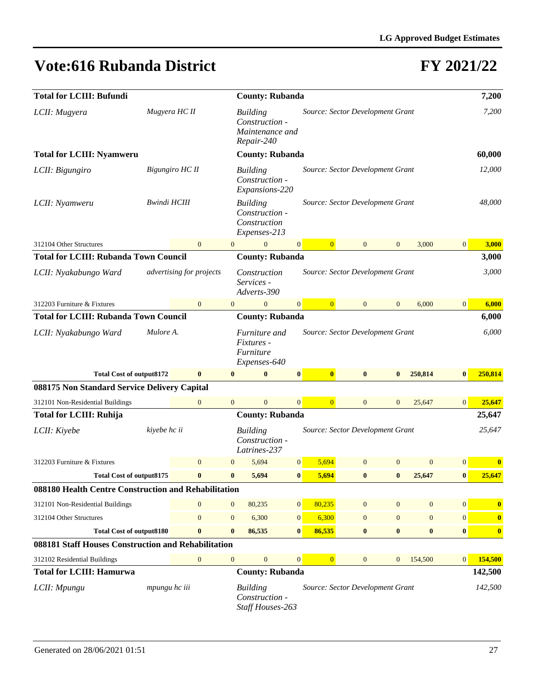| <b>Total for LCIII: Bufundi</b>                      |                     |                          |                  | <b>County: Rubanda</b>                                             |                                  |                                  | 7,200            |                  |                  |                  |
|------------------------------------------------------|---------------------|--------------------------|------------------|--------------------------------------------------------------------|----------------------------------|----------------------------------|------------------|------------------|------------------|------------------|
| LCII: Mugyera                                        | Mugyera HC II       |                          |                  | <b>Building</b><br>Construction -<br>Maintenance and<br>Repair-240 |                                  | Source: Sector Development Grant |                  |                  |                  | 7,200            |
| <b>Total for LCIII: Nyamweru</b>                     |                     |                          |                  | <b>County: Rubanda</b>                                             |                                  |                                  |                  |                  |                  | 60,000           |
| LCII: Bigungiro                                      |                     | Bigungiro HC II          |                  | <b>Building</b><br>Construction -<br>Expansions-220                | Source: Sector Development Grant |                                  | 12,000           |                  |                  |                  |
| LCII: Nyamweru                                       | <b>Bwindi HCIII</b> |                          |                  | <b>Building</b><br>Construction -<br>Construction<br>Expenses-213  |                                  | Source: Sector Development Grant |                  |                  |                  | 48,000           |
| 312104 Other Structures                              |                     | $\mathbf{0}$             | $\overline{0}$   | $\mathbf{0}$<br>$\mathbf{0}$                                       | $\overline{0}$                   | $\mathbf{0}$                     | $\mathbf{0}$     | 3,000            | $\boldsymbol{0}$ | 3,000            |
| <b>Total for LCIII: Rubanda Town Council</b>         |                     |                          |                  | <b>County: Rubanda</b>                                             |                                  |                                  |                  |                  |                  | 3,000            |
| LCII: Nyakabungo Ward                                |                     | advertising for projects |                  | Construction<br>Services -<br>Adverts-390                          |                                  | Source: Sector Development Grant |                  |                  |                  | 3,000            |
| 312203 Furniture & Fixtures                          |                     | $\mathbf{0}$             | $\overline{0}$   | $\mathbf{0}$<br>$\mathbf{0}$                                       | $\overline{0}$                   | $\mathbf{0}$                     | $\mathbf{0}$     | 6,000            | $\overline{0}$   | 6,000            |
| <b>Total for LCIII: Rubanda Town Council</b>         |                     |                          |                  | <b>County: Rubanda</b>                                             |                                  |                                  |                  |                  |                  | 6,000            |
| LCII: Nyakabungo Ward                                | Mulore A.           |                          |                  | Furniture and<br>Fixtures -<br>Furniture<br>Expenses-640           |                                  | Source: Sector Development Grant |                  |                  |                  | 6,000            |
| <b>Total Cost of output8172</b>                      |                     | $\bf{0}$                 | $\bf{0}$         | $\bf{0}$<br>$\pmb{0}$                                              | $\bf{0}$                         | $\bf{0}$                         | $\bf{0}$         | 250,814          | $\bf{0}$         | 250,814          |
| 088175 Non Standard Service Delivery Capital         |                     |                          |                  |                                                                    |                                  |                                  |                  |                  |                  |                  |
| 312101 Non-Residential Buildings                     |                     | $\mathbf{0}$             | $\overline{0}$   | $\mathbf{0}$<br>$\overline{0}$                                     | $\overline{0}$                   | $\mathbf{0}$                     | $\mathbf{0}$     | 25,647           | $\mathbf{0}$     | 25,647           |
| <b>Total for LCIII: Ruhija</b>                       |                     |                          |                  | <b>County: Rubanda</b>                                             |                                  |                                  |                  |                  |                  | 25,647           |
| LCII: Kiyebe                                         | kivebe hc ii        |                          |                  | <b>Building</b><br>Construction -<br>Latrines-237                  |                                  | Source: Sector Development Grant |                  |                  |                  | 25,647           |
| 312203 Furniture & Fixtures                          |                     | $\mathbf{0}$             | $\overline{0}$   | 5,694<br> 0                                                        | 5,694                            | $\mathbf{0}$                     | $\mathbf{0}$     | $\mathbf{0}$     | $\mathbf{0}$     | $\bf{0}$         |
| <b>Total Cost of output8175</b>                      |                     | $\bf{0}$                 | $\bf{0}$         | 5,694<br>$\bf{0}$                                                  | 5,694                            | $\bf{0}$                         | $\bf{0}$         | 25,647           | $\bf{0}$         | 25,647           |
| 088180 Health Centre Construction and Rehabilitation |                     |                          |                  |                                                                    |                                  |                                  |                  |                  |                  |                  |
| 312101 Non-Residential Buildings                     |                     | $\mathbf{0}$             | $\mathbf{0}$     | $\vert 0 \vert$<br>80,235                                          | 80,235                           | $\mathbf{0}$                     | $\mathbf{0}$     | $\mathbf{0}$     | $\overline{0}$   | $\bf{0}$         |
| 312104 Other Structures                              |                     | $\mathbf{0}$             | $\mathbf{0}$     | 6,300<br> 0                                                        | 6,300                            | $\mathbf{0}$                     | $\boldsymbol{0}$ | $\boldsymbol{0}$ | $\boldsymbol{0}$ | $\boldsymbol{0}$ |
| <b>Total Cost of output8180</b>                      |                     | $\bf{0}$                 | $\bf{0}$         | 86,535<br>$\vert 0 \vert$                                          | 86,535                           | $\bf{0}$                         | $\bf{0}$         | $\bf{0}$         | $\bf{0}$         | $\boldsymbol{0}$ |
| 088181 Staff Houses Construction and Rehabilitation  |                     |                          |                  |                                                                    |                                  |                                  |                  |                  |                  |                  |
| 312102 Residential Buildings                         |                     | $\mathbf{0}$             | $\boldsymbol{0}$ | $\boldsymbol{0}$<br>$\boldsymbol{0}$                               | $\boldsymbol{0}$                 | $\boldsymbol{0}$                 | $\mathbf{0}$     | 154,500          | $\overline{0}$   | 154,500          |
| <b>Total for LCIII: Hamurwa</b>                      |                     |                          |                  | <b>County: Rubanda</b>                                             |                                  |                                  |                  |                  |                  | 142,500          |
| LCII: Mpungu                                         | mpungu hc iii       |                          |                  | <b>Building</b><br>Construction -<br>Staff Houses-263              |                                  | Source: Sector Development Grant |                  |                  |                  | 142,500          |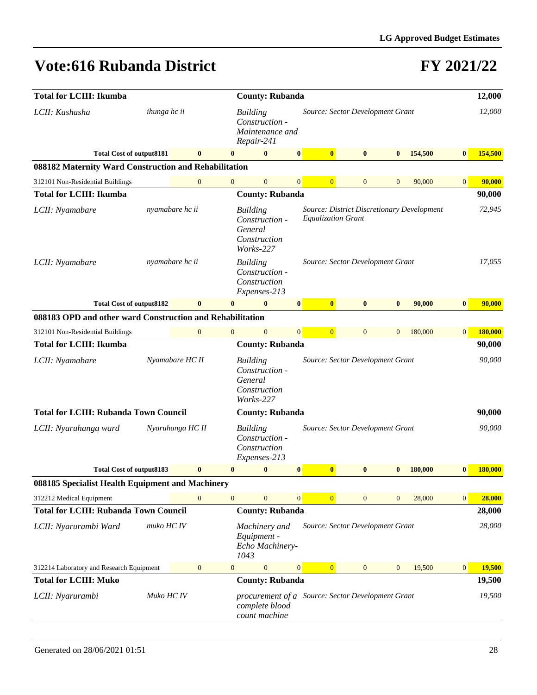| <b>Total for LCIII: Ikumba</b>                            | <b>County: Rubanda</b> |                  |                                                                                      |                                                                           |              |                                  |              |                |                                            | 12,000           |         |
|-----------------------------------------------------------|------------------------|------------------|--------------------------------------------------------------------------------------|---------------------------------------------------------------------------|--------------|----------------------------------|--------------|----------------|--------------------------------------------|------------------|---------|
| LCII: Kashasha                                            | ihunga hc ii           |                  |                                                                                      | <b>Building</b><br>Construction -<br>Maintenance and<br>Repair-241        |              | Source: Sector Development Grant |              |                |                                            |                  | 12,000  |
| <b>Total Cost of output8181</b>                           |                        | $\bf{0}$         | $\mathbf{0}$                                                                         | $\bf{0}$                                                                  | $\bf{0}$     | $\bf{0}$                         | $\bf{0}$     | $\bf{0}$       | 154,500                                    | $\bf{0}$         | 154,500 |
| 088182 Maternity Ward Construction and Rehabilitation     |                        |                  |                                                                                      |                                                                           |              |                                  |              |                |                                            |                  |         |
| 312101 Non-Residential Buildings                          |                        | $\mathbf{0}$     | $\overline{0}$                                                                       | $\mathbf{0}$                                                              | $\mathbf{0}$ | $\overline{0}$                   | $\mathbf{0}$ | $\overline{0}$ | 90,000                                     | $\boldsymbol{0}$ | 90,000  |
| <b>Total for LCIII: Ikumba</b>                            |                        |                  |                                                                                      | <b>County: Rubanda</b>                                                    |              |                                  |              |                |                                            |                  | 90,000  |
| LCII: Nyamabare                                           |                        | nyamabare hc ii  |                                                                                      | <b>Building</b><br>Construction -<br>General<br>Construction<br>Works-227 |              | <b>Equalization Grant</b>        |              |                | Source: District Discretionary Development |                  | 72,945  |
| LCII: Nyamabare                                           |                        | nyamabare hc ii  |                                                                                      | <b>Building</b><br>Construction -<br>Construction<br>Expenses-213         |              | Source: Sector Development Grant |              |                |                                            |                  | 17,055  |
| <b>Total Cost of output8182</b>                           |                        | $\bf{0}$         | $\bf{0}$                                                                             | $\bf{0}$                                                                  | $\bf{0}$     | $\bf{0}$                         | $\bf{0}$     | $\bf{0}$       | 90,000                                     | $\bf{0}$         | 90,000  |
| 088183 OPD and other ward Construction and Rehabilitation |                        |                  |                                                                                      |                                                                           |              |                                  |              |                |                                            |                  |         |
| 312101 Non-Residential Buildings                          |                        | $\boldsymbol{0}$ | $\mathbf{0}$                                                                         | $\mathbf{0}$                                                              | $\mathbf{0}$ | $\overline{0}$                   | $\mathbf{0}$ | $\mathbf{0}$   | 180,000                                    | $\overline{0}$   | 180,000 |
| <b>Total for LCIII: Ikumba</b>                            |                        |                  |                                                                                      | <b>County: Rubanda</b>                                                    |              |                                  |              |                |                                            |                  | 90,000  |
| LCII: Nyamabare                                           |                        | Nyamabare HC II  |                                                                                      | <b>Building</b><br>Construction -<br>General<br>Construction<br>Works-227 |              | Source: Sector Development Grant |              |                |                                            |                  | 90,000  |
| <b>Total for LCIII: Rubanda Town Council</b>              |                        |                  |                                                                                      | <b>County: Rubanda</b>                                                    |              |                                  |              |                |                                            |                  | 90,000  |
| LCII: Nyaruhanga ward                                     |                        | Nyaruhanga HC II |                                                                                      | <b>Building</b><br>Construction -<br>Construction<br>Expenses-213         |              | Source: Sector Development Grant |              |                |                                            |                  | 90,000  |
| <b>Total Cost of output8183</b>                           |                        | $\bf{0}$         | $\bf{0}$                                                                             | $\bf{0}$                                                                  | $\bf{0}$     | $\bf{0}$                         | $\bf{0}$     | $\bf{0}$       | 180,000                                    | $\bf{0}$         | 180,000 |
| 088185 Specialist Health Equipment and Machinery          |                        |                  |                                                                                      |                                                                           |              |                                  |              |                |                                            |                  |         |
| 312212 Medical Equipment                                  |                        | $\mathbf{0}$     | $\mathbf{0}$                                                                         | $\mathbf{0}$                                                              | $\mathbf{0}$ | $\overline{0}$                   | $\mathbf{0}$ | $\mathbf{0}$   | 28,000                                     | $\overline{0}$   | 28,000  |
| <b>Total for LCIII: Rubanda Town Council</b>              |                        |                  |                                                                                      | <b>County: Rubanda</b>                                                    |              |                                  |              |                |                                            |                  | 28,000  |
| LCII: Nyarurambi Ward                                     | muko HC IV             |                  |                                                                                      | Machinery and<br>Equipment -<br>Echo Machinery-<br>1043                   |              | Source: Sector Development Grant |              |                |                                            |                  | 28,000  |
| 312214 Laboratory and Research Equipment                  |                        | $\boldsymbol{0}$ | $\overline{0}$                                                                       | $\overline{0}$                                                            | 0            | $\overline{0}$                   | $\mathbf{0}$ | $\mathbf{0}$   | 19,500                                     | $\boldsymbol{0}$ | 19,500  |
| <b>Total for LCIII: Muko</b>                              |                        |                  |                                                                                      | <b>County: Rubanda</b>                                                    |              |                                  |              |                |                                            |                  | 19,500  |
| LCII: Nyarurambi                                          | Muko HC IV             |                  | procurement of a Source: Sector Development Grant<br>complete blood<br>count machine |                                                                           |              |                                  |              |                |                                            | 19,500           |         |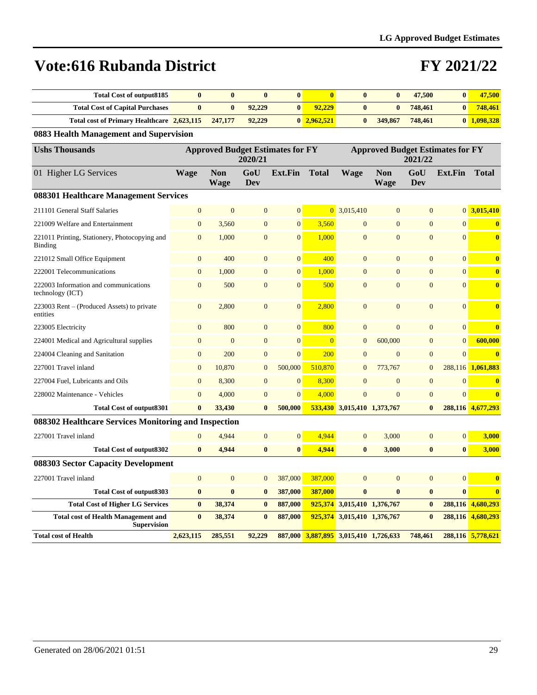### **FY 2021/22**

| Total Cost of output 8185                  |         |        | $\bf{0}$ |                |              |          | 47,500  | 47,500      |
|--------------------------------------------|---------|--------|----------|----------------|--------------|----------|---------|-------------|
| <b>Total Cost of Capital Purchases</b>     |         | 92.229 |          | 92.229         |              | $\bf{0}$ | 748,461 | 748.461     |
| Total cost of Primary Healthcare 2,623,115 | 247,177 | 92,229 |          | $0\,2.962.521$ | $\mathbf{0}$ | 349,867  | 748,461 | 0 1.098.328 |

#### **0883 Health Management and Supervision**

| <b>Ushs Thousands</b>                                            |                |                           | 2020/21        | <b>Approved Budget Estimates for FY</b> |                | <b>Approved Budget Estimates for FY</b><br>2021/22 |                           |                |                |                         |  |
|------------------------------------------------------------------|----------------|---------------------------|----------------|-----------------------------------------|----------------|----------------------------------------------------|---------------------------|----------------|----------------|-------------------------|--|
| 01 Higher LG Services                                            | <b>Wage</b>    | <b>Non</b><br><b>Wage</b> | GoU<br>Dev     | <b>Ext.Fin</b>                          | <b>Total</b>   | <b>Wage</b>                                        | <b>Non</b><br><b>Wage</b> | GoU<br>Dev     | <b>Ext.Fin</b> | <b>Total</b>            |  |
| 088301 Healthcare Management Services                            |                |                           |                |                                         |                |                                                    |                           |                |                |                         |  |
| 211101 General Staff Salaries                                    | $\overline{0}$ | $\mathbf{0}$              | $\mathbf{0}$   | $\overline{0}$                          |                | $0$ 3,015,410                                      | $\mathbf{0}$              | $\overline{0}$ |                | $0\overline{3,015,410}$ |  |
| 221009 Welfare and Entertainment                                 | $\overline{0}$ | 3,560                     | $\overline{0}$ | $\overline{0}$                          | 3.560          | $\overline{0}$                                     | $\overline{0}$            | $\overline{0}$ | $\Omega$       | $\bf{0}$                |  |
| 221011 Printing, Stationery, Photocopying and<br><b>Binding</b>  | $\overline{0}$ | 1,000                     | $\overline{0}$ | $\overline{0}$                          | 1.000          | $\overline{0}$                                     | $\overline{0}$            | $\overline{0}$ | $\overline{0}$ | $\bf{0}$                |  |
| 221012 Small Office Equipment                                    | $\overline{0}$ | 400                       | $\overline{0}$ | $\overline{0}$                          | 400            | $\Omega$                                           | $\Omega$                  | $\overline{0}$ | $\Omega$       | $\bf{0}$                |  |
| 222001 Telecommunications                                        | $\overline{0}$ | 1.000                     | $\overline{0}$ | $\overline{0}$                          | 1.000          | $\Omega$                                           | $\overline{0}$            | $\overline{0}$ | $\Omega$       | $\bf{0}$                |  |
| 222003 Information and communications<br>technology (ICT)        | $\overline{0}$ | 500                       | $\overline{0}$ | $\overline{0}$                          | 500            | $\overline{0}$                                     | $\mathbf{0}$              | $\overline{0}$ | $\Omega$       | $\bf{0}$                |  |
| 223003 Rent – (Produced Assets) to private<br>entities           | $\overline{0}$ | 2,800                     | $\overline{0}$ | $\overline{0}$                          | 2,800          | $\overline{0}$                                     | $\Omega$                  | $\Omega$       | $\Omega$       | $\bf{0}$                |  |
| 223005 Electricity                                               | $\overline{0}$ | 800                       | $\overline{0}$ | $\overline{0}$                          | 800            | $\overline{0}$                                     | $\overline{0}$            | $\overline{0}$ | $\overline{0}$ | $\bf{0}$                |  |
| 224001 Medical and Agricultural supplies                         | $\overline{0}$ | $\overline{0}$            | $\overline{0}$ | $\overline{0}$                          | $\overline{0}$ | $\overline{0}$                                     | 600,000                   | $\overline{0}$ | $\Omega$       | 600,000                 |  |
| 224004 Cleaning and Sanitation                                   | $\overline{0}$ | 200                       | $\mathbf{0}$   | $\overline{0}$                          | 200            | $\overline{0}$                                     | $\mathbf{0}$              | $\mathbf{0}$   | $\overline{0}$ | $\overline{\mathbf{0}}$ |  |
| 227001 Travel inland                                             | $\overline{0}$ | 10,870                    | $\mathbf{0}$   | 500,000                                 | 510,870        | $\overline{0}$                                     | 773,767                   | $\overline{0}$ | 288,116        | 1,061,883               |  |
| 227004 Fuel, Lubricants and Oils                                 | $\overline{0}$ | 8,300                     | $\overline{0}$ | $\overline{0}$                          | 8,300          | $\Omega$                                           | $\overline{0}$            | $\mathbf{0}$   | $\overline{0}$ | $\bf{0}$                |  |
| 228002 Maintenance - Vehicles                                    | $\overline{0}$ | 4,000                     | $\mathbf{0}$   | $\overline{0}$                          | 4.000          | $\overline{0}$                                     | $\overline{0}$            | $\overline{0}$ | $\Omega$       | $\bf{0}$                |  |
| <b>Total Cost of output8301</b>                                  | $\mathbf{0}$   | 33,430                    | $\bf{0}$       | 500,000                                 |                | 533,430 3,015,410 1,373,767                        |                           | $\bf{0}$       |                | 288,116 4,677,293       |  |
| 088302 Healthcare Services Monitoring and Inspection             |                |                           |                |                                         |                |                                                    |                           |                |                |                         |  |
| 227001 Travel inland                                             | $\overline{0}$ | 4,944                     | $\mathbf{0}$   | $\overline{0}$                          | 4,944          | $\overline{0}$                                     | 3,000                     | $\overline{0}$ | $\overline{0}$ | 3,000                   |  |
| <b>Total Cost of output8302</b>                                  | $\mathbf{0}$   | 4.944                     | $\bf{0}$       | $\bf{0}$                                | 4.944          | $\bf{0}$                                           | 3,000                     | $\bf{0}$       | $\mathbf{0}$   | 3,000                   |  |
| 088303 Sector Capacity Development                               |                |                           |                |                                         |                |                                                    |                           |                |                |                         |  |
| 227001 Travel inland                                             | $\overline{0}$ | $\overline{0}$            | $\mathbf{0}$   | 387,000                                 | 387,000        | $\overline{0}$                                     | $\mathbf{0}$              | $\overline{0}$ | $\overline{0}$ | $\bf{0}$                |  |
| <b>Total Cost of output8303</b>                                  | $\bf{0}$       | $\bf{0}$                  | $\bf{0}$       | 387,000                                 | 387,000        | $\bf{0}$                                           | $\bf{0}$                  | $\bf{0}$       | $\bf{0}$       | $\overline{\mathbf{0}}$ |  |
| <b>Total Cost of Higher LG Services</b>                          | $\bf{0}$       | 38,374                    | $\mathbf{0}$   | 887,000                                 |                | 925,374 3,015,410 1,376,767                        |                           | $\mathbf{0}$   |                | 288,116 4,680,293       |  |
| <b>Total cost of Health Management and</b><br><b>Supervision</b> | $\bf{0}$       | 38,374                    | $\bf{0}$       | 887,000                                 | 925,374        | 3,015,410 1,376,767                                |                           | $\bf{0}$       |                | 288,116 4,680,293       |  |
| <b>Total cost of Health</b>                                      | 2,623,115      | 285,551                   | 92,229         |                                         |                | 887,000 3,887,895 3,015,410 1,726,633              |                           | 748,461        |                | 288,116 5,778,621       |  |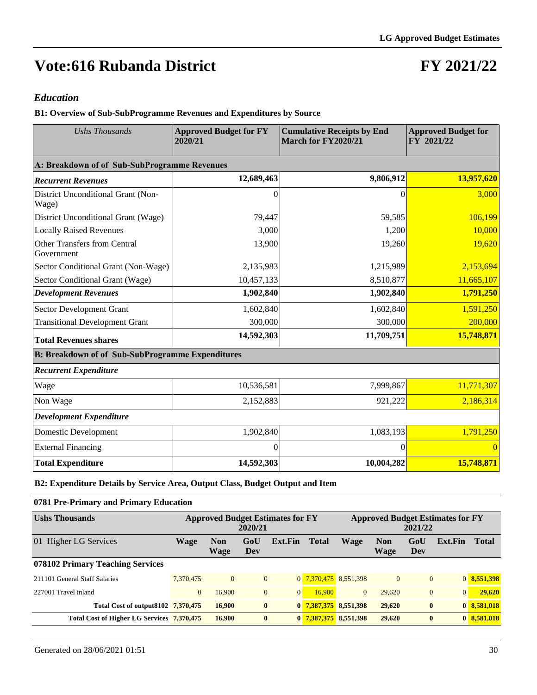### **FY 2021/22**

#### *Education*

**B1: Overview of Sub-SubProgramme Revenues and Expenditures by Source**

| <b>Ushs Thousands</b>                                   | <b>Approved Budget for FY</b><br>2020/21 | <b>Cumulative Receipts by End</b><br>March for FY2020/21 | <b>Approved Budget for</b><br>FY 2021/22 |  |  |
|---------------------------------------------------------|------------------------------------------|----------------------------------------------------------|------------------------------------------|--|--|
| A: Breakdown of of Sub-SubProgramme Revenues            |                                          |                                                          |                                          |  |  |
| <b>Recurrent Revenues</b>                               | 12,689,463                               | 9,806,912                                                | 13,957,620                               |  |  |
| District Unconditional Grant (Non-<br>Wage)             | $\theta$                                 | 0                                                        | 3,000                                    |  |  |
| District Unconditional Grant (Wage)                     | 79,447                                   | 59,585                                                   | 106,199                                  |  |  |
| <b>Locally Raised Revenues</b>                          | 3,000                                    | 1,200                                                    | 10,000                                   |  |  |
| <b>Other Transfers from Central</b><br>Government       | 13,900                                   | 19,260                                                   | 19,620                                   |  |  |
| Sector Conditional Grant (Non-Wage)                     | 2,135,983                                | 1,215,989                                                | 2,153,694                                |  |  |
| Sector Conditional Grant (Wage)                         | 10,457,133                               | 8,510,877                                                | 11,665,107                               |  |  |
| <b>Development Revenues</b>                             | 1,902,840                                | 1,902,840                                                | 1,791,250                                |  |  |
| Sector Development Grant                                | 1,602,840                                | 1,602,840                                                | 1,591,250                                |  |  |
| <b>Transitional Development Grant</b>                   | 300,000                                  | 300,000                                                  | 200,000                                  |  |  |
| <b>Total Revenues shares</b>                            | 14,592,303                               | 11,709,751                                               | 15,748,871                               |  |  |
| <b>B: Breakdown of of Sub-SubProgramme Expenditures</b> |                                          |                                                          |                                          |  |  |
| <b>Recurrent Expenditure</b>                            |                                          |                                                          |                                          |  |  |
| Wage                                                    | 10,536,581                               | 7,999,867                                                | 11,771,307                               |  |  |
| Non Wage                                                | 2,152,883                                | 921,222                                                  | 2,186,314                                |  |  |
| <b>Development Expenditure</b>                          |                                          |                                                          |                                          |  |  |
| <b>Domestic Development</b>                             | 1,902,840                                | 1,083,193                                                | 1,791,250                                |  |  |
| <b>External Financing</b>                               | $\theta$                                 | $\theta$                                                 | $\Omega$                                 |  |  |
| <b>Total Expenditure</b>                                | 14,592,303                               | 10,004,282                                               | 15,748,871                               |  |  |

**B2: Expenditure Details by Service Area, Output Class, Budget Output and Item**

| 0781 Pre-Primary and Primary Education     |                |                    |                |                                         |              |                                                    |                    |                |                |              |  |
|--------------------------------------------|----------------|--------------------|----------------|-----------------------------------------|--------------|----------------------------------------------------|--------------------|----------------|----------------|--------------|--|
| <b>Ushs Thousands</b>                      |                |                    | 2020/21        | <b>Approved Budget Estimates for FY</b> |              | <b>Approved Budget Estimates for FY</b><br>2021/22 |                    |                |                |              |  |
| 01 Higher LG Services                      | Wage           | <b>Non</b><br>Wage | GoU<br>Dev     | Ext.Fin                                 | <b>Total</b> | Wage                                               | <b>Non</b><br>Wage | GoU<br>Dev     | Ext.Fin        | <b>Total</b> |  |
| 078102 Primary Teaching Services           |                |                    |                |                                         |              |                                                    |                    |                |                |              |  |
| 211101 General Staff Salaries              | 7.370.475      | $\overline{0}$     | $\overline{0}$ |                                         |              | 0 7,370,475 8,551,398                              | $\overline{0}$     | $\overline{0}$ |                | 0 8,551,398  |  |
| 227001 Travel inland                       | $\overline{0}$ | 16,900             | $\overline{0}$ | $\overline{0}$                          | 16,900       | $\overline{0}$                                     | 29,620             | $\overline{0}$ | $\overline{0}$ | 29,620       |  |
| Total Cost of output 8102 7,370,475        |                | 16,900             | $\mathbf{0}$   |                                         |              | 0 7,387,375 8,551,398                              | 29,620             | $\mathbf{0}$   |                | 0 8,581,018  |  |
| Total Cost of Higher LG Services 7,370,475 |                | 16,900             | $\mathbf{0}$   |                                         |              | 0 7,387,375 8,551,398                              | 29,620             | $\bf{0}$       |                | 0 8.581,018  |  |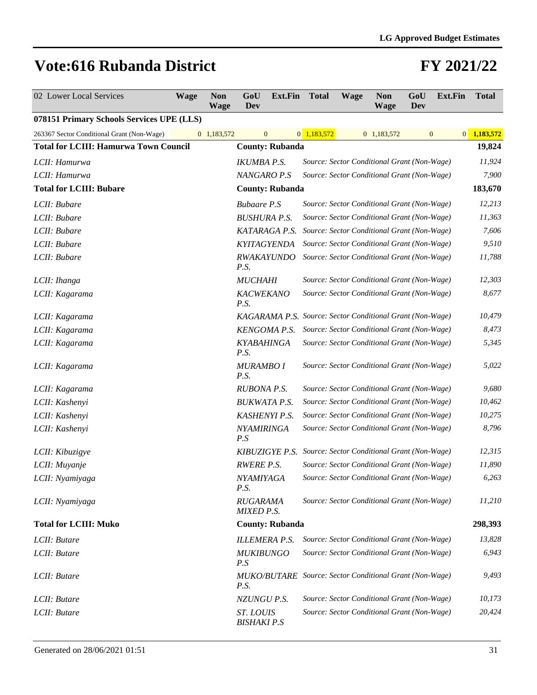| 02 Lower Local Services                      | <b>Wage</b> | <b>Non</b><br><b>Wage</b> | GoU<br>Dev                                                             | <b>Ext.Fin</b> Total |                                             | <b>Wage</b> | <b>Non</b><br><b>Wage</b> | GoU<br>Dev | Ext.Fin            | <b>Total</b> |
|----------------------------------------------|-------------|---------------------------|------------------------------------------------------------------------|----------------------|---------------------------------------------|-------------|---------------------------|------------|--------------------|--------------|
| 078151 Primary Schools Services UPE (LLS)    |             |                           |                                                                        |                      |                                             |             |                           |            |                    |              |
| 263367 Sector Conditional Grant (Non-Wage)   |             | 0 1,183,572               | $\mathbf{0}$                                                           |                      | $0$ 1,183,572                               |             | 0 1,183,572               |            | 0 <br>$\mathbf{0}$ | 1,183,572    |
| <b>Total for LCIII: Hamurwa Town Council</b> |             | <b>County: Rubanda</b>    |                                                                        |                      |                                             |             |                           |            | 19,824             |              |
| LCII: Hamurwa                                |             |                           | <b>IKUMBA P.S.</b>                                                     |                      | Source: Sector Conditional Grant (Non-Wage) |             |                           |            |                    | 11,924       |
| LCII: Hamurwa                                |             |                           | NANGARO P.S                                                            |                      | Source: Sector Conditional Grant (Non-Wage) |             |                           |            |                    | 7,900        |
| <b>Total for LCIII: Bubare</b>               |             |                           | <b>County: Rubanda</b>                                                 |                      |                                             |             |                           |            |                    | 183,670      |
| LCII: Bubare                                 |             |                           | <b>Bubaare P.S</b>                                                     |                      | Source: Sector Conditional Grant (Non-Wage) |             |                           |            |                    | 12,213       |
| LCII: Bubare                                 |             |                           | <b>BUSHURA P.S.</b>                                                    |                      | Source: Sector Conditional Grant (Non-Wage) |             |                           |            |                    | 11,363       |
| LCII: Bubare                                 |             |                           | KATARAGA P.S.                                                          |                      | Source: Sector Conditional Grant (Non-Wage) |             |                           |            |                    | 7,606        |
| LCII: Bubare                                 |             |                           | KYITAGYENDA                                                            |                      | Source: Sector Conditional Grant (Non-Wage) |             |                           |            |                    | 9,510        |
| LCII: Bubare                                 |             |                           | <b>RWAKAYUNDO</b><br>P.S.                                              |                      | Source: Sector Conditional Grant (Non-Wage) |             |                           |            |                    | 11,788       |
| LCII: Ihanga                                 |             |                           | <b>MUCHAHI</b>                                                         |                      | Source: Sector Conditional Grant (Non-Wage) |             |                           |            |                    | 12,303       |
| LCII: Kagarama                               |             |                           | <b>KACWEKANO</b><br>P.S.                                               |                      | Source: Sector Conditional Grant (Non-Wage) |             |                           |            |                    | 8,677        |
| LCII: Kagarama                               |             |                           | KAGARAMA P.S. Source: Sector Conditional Grant (Non-Wage)              |                      |                                             |             |                           |            |                    | 10,479       |
| LCII: Kagarama                               |             |                           | <b>KENGOMA P.S.</b>                                                    |                      | Source: Sector Conditional Grant (Non-Wage) |             |                           |            |                    | 8,473        |
| LCII: Kagarama                               |             |                           | <b>KYABAHINGA</b><br>P.S.                                              |                      | Source: Sector Conditional Grant (Non-Wage) |             |                           |            |                    | 5,345        |
| LCII: Kagarama                               |             |                           | <b>MURAMBO I</b><br>P.S.                                               |                      | Source: Sector Conditional Grant (Non-Wage) |             |                           |            |                    | 5,022        |
| LCII: Kagarama                               |             |                           | RUBONA P.S.                                                            |                      | Source: Sector Conditional Grant (Non-Wage) |             |                           |            |                    | 9,680        |
| LCII: Kashenyi                               |             |                           | <b>BUKWATA P.S.</b>                                                    |                      | Source: Sector Conditional Grant (Non-Wage) |             |                           |            |                    | 10,462       |
| LCII: Kashenyi                               |             |                           | <b>KASHENYI P.S.</b>                                                   |                      | Source: Sector Conditional Grant (Non-Wage) |             |                           |            |                    | 10,275       |
| LCII: Kashenyi                               |             |                           | NYAMIRINGA<br>P.S                                                      |                      | Source: Sector Conditional Grant (Non-Wage) |             |                           |            |                    | 8,796        |
| LCII: Kibuzigye                              |             |                           | KIBUZIGYE P.S.                                                         |                      | Source: Sector Conditional Grant (Non-Wage) |             |                           |            |                    | 12,315       |
| LCII: Muyanje                                |             |                           | <b>RWERE P.S.</b>                                                      |                      | Source: Sector Conditional Grant (Non-Wage) |             |                           |            |                    | 11,890       |
| LCII: Nyamiyaga                              |             |                           | NYAMIYAGA<br>P.S.                                                      |                      | Source: Sector Conditional Grant (Non-Wage) |             |                           |            |                    | 6,263        |
| LCII: Nyamiyaga                              |             |                           | <b>RUGARAMA</b><br><b>MIXED P.S.</b>                                   |                      | Source: Sector Conditional Grant (Non-Wage) |             |                           |            |                    | 11,210       |
| <b>Total for LCIII: Muko</b>                 |             |                           | <b>County: Rubanda</b>                                                 |                      |                                             |             |                           |            |                    | 298,393      |
| LCII: Butare                                 |             |                           | <b>ILLEMERA P.S.</b>                                                   |                      | Source: Sector Conditional Grant (Non-Wage) |             |                           |            |                    | 13,828       |
| LCII: Butare                                 |             |                           | <b>MUKIBUNGO</b><br>P.S                                                |                      | Source: Sector Conditional Grant (Non-Wage) |             |                           |            |                    | 6,943        |
| LCII: Butare                                 |             |                           | <b>MUKO/BUTARE</b> Source: Sector Conditional Grant (Non-Wage)<br>P.S. |                      |                                             |             |                           |            |                    | 9,493        |
| LCII: Butare                                 |             |                           | NZUNGU P.S.                                                            |                      | Source: Sector Conditional Grant (Non-Wage) |             |                           |            |                    | 10,173       |
| LCII: Butare                                 |             |                           | ST. LOUIS<br><b>BISHAKI P.S</b>                                        |                      | Source: Sector Conditional Grant (Non-Wage) |             |                           |            |                    | 20,424       |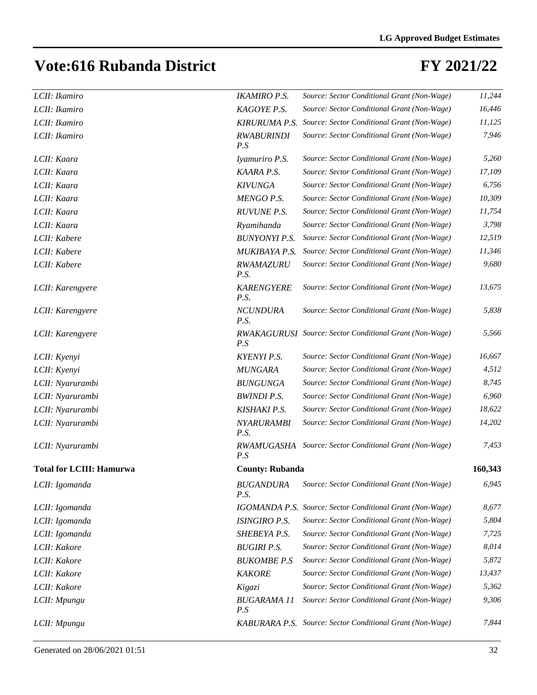| LCII: Ikamiro                   | <b>IKAMIRO P.S.</b>       | Source: Sector Conditional Grant (Non-Wage)               | 11,244  |
|---------------------------------|---------------------------|-----------------------------------------------------------|---------|
| LCII: Ikamiro                   | KAGOYE P.S.               | Source: Sector Conditional Grant (Non-Wage)               | 16,446  |
| LCII: Ikamiro                   | <b>KIRURUMA P.S.</b>      | Source: Sector Conditional Grant (Non-Wage)               | 11,125  |
| LCII: Ikamiro                   | <b>RWABURINDI</b><br>P.S  | Source: Sector Conditional Grant (Non-Wage)               | 7,946   |
| LCII: Kaara                     | Iyamuriro P.S.            | Source: Sector Conditional Grant (Non-Wage)               | 5,260   |
| LCII: Kaara                     | KAARA P.S.                | Source: Sector Conditional Grant (Non-Wage)               | 17,109  |
| LCII: Kaara                     | <b>KIVUNGA</b>            | Source: Sector Conditional Grant (Non-Wage)               | 6,756   |
| LCII: Kaara                     | <b>MENGO P.S.</b>         | Source: Sector Conditional Grant (Non-Wage)               | 10,309  |
| LCII: Kaara                     | <b>RUVUNE P.S.</b>        | Source: Sector Conditional Grant (Non-Wage)               | 11,754  |
| LCII: Kaara                     | Ryamihanda                | Source: Sector Conditional Grant (Non-Wage)               | 3,798   |
| LCII: Kabere                    | <b>BUNYONYI P.S.</b>      | Source: Sector Conditional Grant (Non-Wage)               | 12,519  |
| LCII: Kabere                    | MUKIBAYA P.S.             | Source: Sector Conditional Grant (Non-Wage)               | 11,346  |
| LCII: Kabere                    | RWAMAZURU<br>P.S.         | Source: Sector Conditional Grant (Non-Wage)               | 9,680   |
| LCII: Karengyere                | <b>KARENGYERE</b><br>P.S. | Source: Sector Conditional Grant (Non-Wage)               | 13,675  |
| LCII: Karengyere                | <b>NCUNDURA</b><br>P.S.   | Source: Sector Conditional Grant (Non-Wage)               | 5,838   |
| LCII: Karengyere                | P.S                       | RWAKAGURUSI Source: Sector Conditional Grant (Non-Wage)   | 5,566   |
| LCII: Kyenyi                    | <b>KYENYI P.S.</b>        | Source: Sector Conditional Grant (Non-Wage)               | 16,667  |
| LCII: Kyenyi                    | <b>MUNGARA</b>            | Source: Sector Conditional Grant (Non-Wage)               | 4,512   |
| LCII: Nyarurambi                | <b>BUNGUNGA</b>           | Source: Sector Conditional Grant (Non-Wage)               | 8,745   |
| LCII: Nyarurambi                | <b>BWINDI P.S.</b>        | Source: Sector Conditional Grant (Non-Wage)               | 6,960   |
| LCII: Nyarurambi                | <b>KISHAKI P.S.</b>       | Source: Sector Conditional Grant (Non-Wage)               | 18,622  |
| LCII: Nyarurambi                | <b>NYARURAMBI</b><br>P.S. | Source: Sector Conditional Grant (Non-Wage)               | 14,202  |
| LCII: Nyarurambi                | RWAMUGASHA<br>P.S         | Source: Sector Conditional Grant (Non-Wage)               | 7,453   |
| <b>Total for LCIII: Hamurwa</b> | <b>County: Rubanda</b>    |                                                           | 160,343 |
| LCII: Igomanda                  | <b>BUGANDURA</b><br>P.S.  | Source: Sector Conditional Grant (Non-Wage)               | 6,945   |
| LCII: Igomanda                  |                           | IGOMANDA P.S. Source: Sector Conditional Grant (Non-Wage) | 8,677   |
| LCII: Igomanda                  | <b>ISINGIRO P.S.</b>      | Source: Sector Conditional Grant (Non-Wage)               | 5,804   |
| LCII: Igomanda                  | SHEBEYA P.S.              | Source: Sector Conditional Grant (Non-Wage)               | 7,725   |
| LCII: Kakore                    | <b>BUGIRI P.S.</b>        | Source: Sector Conditional Grant (Non-Wage)               | 8,014   |
| LCII: Kakore                    | <b>BUKOMBE P.S</b>        | Source: Sector Conditional Grant (Non-Wage)               | 5,872   |
| LCII: Kakore                    | <b>KAKORE</b>             | Source: Sector Conditional Grant (Non-Wage)               | 13,437  |
| LCII: Kakore                    | Kigazi                    | Source: Sector Conditional Grant (Non-Wage)               | 5,362   |
| LCII: Mpungu                    | <b>BUGARAMA 11</b><br>P.S | Source: Sector Conditional Grant (Non-Wage)               | 9,306   |
| LCII: Mpungu                    |                           | KABURARA P.S. Source: Sector Conditional Grant (Non-Wage) | 7,844   |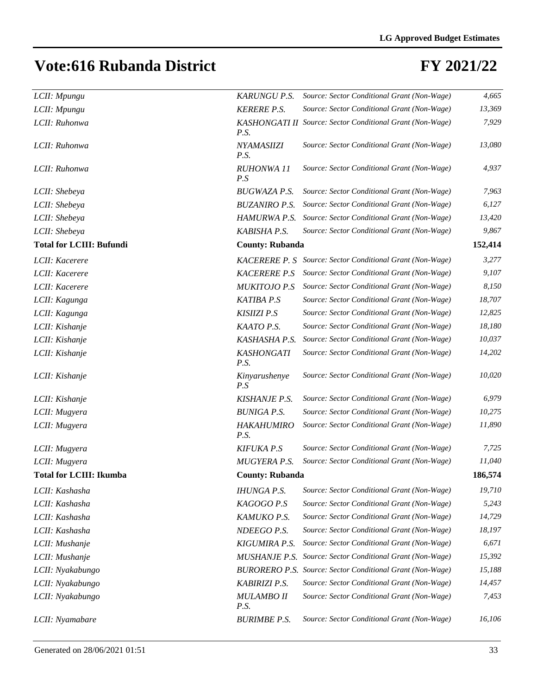| LCII: Mpungu                    | <b>KARUNGU P.S.</b>       | Source: Sector Conditional Grant (Non-Wage)                      | 4,665   |
|---------------------------------|---------------------------|------------------------------------------------------------------|---------|
| LCII: Mpungu                    | <b>KERERE P.S.</b>        | Source: Sector Conditional Grant (Non-Wage)                      | 13,369  |
| LCII: Ruhonwa                   | P.S.                      | KASHONGATI II Source: Sector Conditional Grant (Non-Wage)        | 7,929   |
| LCII: Ruhonwa                   | NYAMASIIZI<br>P.S.        | Source: Sector Conditional Grant (Non-Wage)                      | 13,080  |
| LCII: Ruhonwa                   | RUHONWA 11<br>P.S         | Source: Sector Conditional Grant (Non-Wage)                      | 4,937   |
| LCII: Shebeya                   | <b>BUGWAZA P.S.</b>       | Source: Sector Conditional Grant (Non-Wage)                      | 7,963   |
| LCII: Shebeya                   | <b>BUZANIRO P.S.</b>      | Source: Sector Conditional Grant (Non-Wage)                      | 6,127   |
| LCII: Shebeya                   | HAMURWA P.S.              | Source: Sector Conditional Grant (Non-Wage)                      | 13,420  |
| LCII: Shebeya                   | KABISHA P.S.              | Source: Sector Conditional Grant (Non-Wage)                      | 9,867   |
| <b>Total for LCIII: Bufundi</b> | <b>County: Rubanda</b>    |                                                                  | 152,414 |
| LCII: Kacerere                  | <b>KACERERE P.S</b>       | Source: Sector Conditional Grant (Non-Wage)                      | 3,277   |
| LCII: Kacerere                  | <b>KACERERE P.S</b>       | Source: Sector Conditional Grant (Non-Wage)                      | 9,107   |
| LCII: Kacerere                  | <b>MUKITOJO P.S</b>       | Source: Sector Conditional Grant (Non-Wage)                      | 8,150   |
| LCII: Kagunga                   | KATIBA P.S                | Source: Sector Conditional Grant (Non-Wage)                      | 18,707  |
| LCII: Kagunga                   | <b>KISIIZI P.S</b>        | Source: Sector Conditional Grant (Non-Wage)                      | 12,825  |
| LCII: Kishanje                  | KAATO P.S.                | Source: Sector Conditional Grant (Non-Wage)                      | 18,180  |
| LCII: Kishanje                  | KASHASHA P.S.             | Source: Sector Conditional Grant (Non-Wage)                      | 10,037  |
| LCII: Kishanje                  | <b>KASHONGATI</b><br>P.S. | Source: Sector Conditional Grant (Non-Wage)                      | 14,202  |
| LCII: Kishanje                  | Kinyarushenye<br>P.S      | Source: Sector Conditional Grant (Non-Wage)                      | 10,020  |
| LCII: Kishanje                  | <b>KISHANJE P.S.</b>      | Source: Sector Conditional Grant (Non-Wage)                      | 6,979   |
| LCII: Mugyera                   | <b>BUNIGA P.S.</b>        | Source: Sector Conditional Grant (Non-Wage)                      | 10,275  |
| LCII: Mugyera                   | <b>HAKAHUMIRO</b><br>P.S. | Source: Sector Conditional Grant (Non-Wage)                      | 11,890  |
| LCII: Mugyera                   | <b>KIFUKA P.S</b>         | Source: Sector Conditional Grant (Non-Wage)                      | 7,725   |
| LCII: Mugyera                   | <b>MUGYERA P.S.</b>       | Source: Sector Conditional Grant (Non-Wage)                      | 11,040  |
| <b>Total for LCIII: Ikumba</b>  | <b>County: Rubanda</b>    |                                                                  | 186,574 |
| LCII: Kashasha                  | <b>IHUNGA P.S.</b>        | Source: Sector Conditional Grant (Non-Wage)                      | 19,710  |
| LCII: Kashasha                  | KAGOGO P.S                | Source: Sector Conditional Grant (Non-Wage)                      | 5,243   |
| LCII: Kashasha                  | KAMUKO P.S.               | Source: Sector Conditional Grant (Non-Wage)                      | 14,729  |
| LCII: Kashasha                  | NDEEGO P.S.               | Source: Sector Conditional Grant (Non-Wage)                      | 18,197  |
| LCII: Mushanje                  | KIGUMIRA P.S.             | Source: Sector Conditional Grant (Non-Wage)                      | 6,671   |
| LCII: Mushanje                  | <b>MUSHANJE P.S.</b>      | Source: Sector Conditional Grant (Non-Wage)                      | 15,392  |
| LCII: Nyakabungo                |                           | <b>BURORERO P.S.</b> Source: Sector Conditional Grant (Non-Wage) | 15,188  |
| LCII: Nyakabungo                | <b>KABIRIZI P.S.</b>      | Source: Sector Conditional Grant (Non-Wage)                      | 14,457  |
| LCII: Nyakabungo                | <b>MULAMBO II</b><br>P.S. | Source: Sector Conditional Grant (Non-Wage)                      | 7,453   |
| LCII: Nyamabare                 | <b>BURIMBE P.S.</b>       | Source: Sector Conditional Grant (Non-Wage)                      | 16,106  |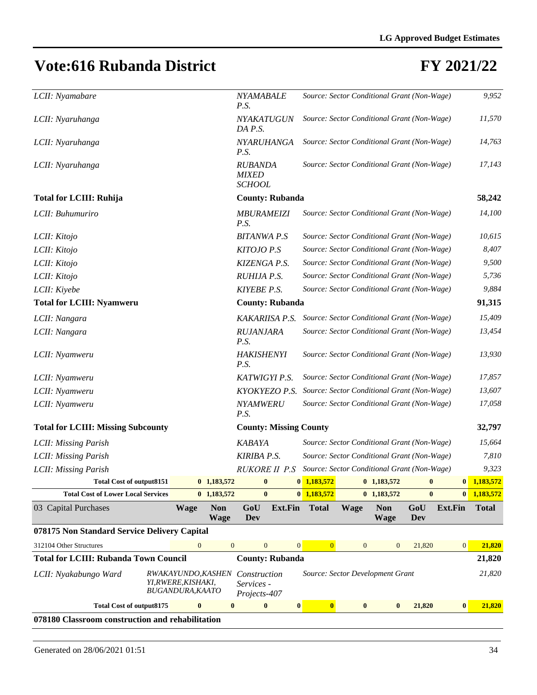| LCII: Nyamabare                                  |                                                                            |                           | NYAMABALE<br>P.S.                                               |                        |               |              | Source: Sector Conditional Grant (Non-Wage) |            |                | 9,952         |
|--------------------------------------------------|----------------------------------------------------------------------------|---------------------------|-----------------------------------------------------------------|------------------------|---------------|--------------|---------------------------------------------|------------|----------------|---------------|
| LCII: Nyaruhanga                                 |                                                                            |                           | NYAKATUGUN<br>DA P.S.                                           |                        |               |              | Source: Sector Conditional Grant (Non-Wage) |            |                | 11,570        |
| LCII: Nyaruhanga                                 |                                                                            |                           | NYARUHANGA<br>P.S.                                              |                        |               |              | Source: Sector Conditional Grant (Non-Wage) |            |                | 14,763        |
| LCII: Nyaruhanga                                 |                                                                            |                           | <b>RUBANDA</b><br><b>MIXED</b><br><b>SCHOOL</b>                 |                        |               |              | Source: Sector Conditional Grant (Non-Wage) |            |                | 17,143        |
| <b>Total for LCIII: Ruhija</b>                   |                                                                            |                           |                                                                 | <b>County: Rubanda</b> |               |              |                                             |            |                |               |
| LCII: Buhumuriro                                 |                                                                            |                           | <b>MBURAMEIZI</b><br>P.S.                                       |                        |               |              | Source: Sector Conditional Grant (Non-Wage) |            |                | 14,100        |
| LCII: Kitojo                                     |                                                                            |                           | <b>BITANWA P.S</b>                                              |                        |               |              | Source: Sector Conditional Grant (Non-Wage) |            |                | 10,615        |
| LCII: Kitojo                                     |                                                                            |                           | KITOJO P.S                                                      |                        |               |              | Source: Sector Conditional Grant (Non-Wage) |            |                | 8,407         |
| LCII: Kitojo                                     |                                                                            |                           | KIZENGA P.S.                                                    |                        |               |              | Source: Sector Conditional Grant (Non-Wage) |            |                | 9,500         |
| LCII: Kitojo                                     |                                                                            |                           | RUHIJA P.S.                                                     |                        |               |              | Source: Sector Conditional Grant (Non-Wage) |            |                | 5,736         |
| LCII: Kiyebe                                     |                                                                            |                           | <b>KIYEBE P.S.</b>                                              |                        |               |              | Source: Sector Conditional Grant (Non-Wage) |            |                | 9,884         |
| <b>Total for LCIII: Nyamweru</b>                 | <b>County: Rubanda</b>                                                     |                           |                                                                 |                        |               |              |                                             | 91,315     |                |               |
| LCII: Nangara                                    |                                                                            |                           | <b>KAKARIISA P.S.</b>                                           |                        |               |              | Source: Sector Conditional Grant (Non-Wage) |            |                | 15,409        |
| LCII: Nangara                                    |                                                                            |                           | <b>RUJANJARA</b><br>P.S.                                        |                        |               |              | Source: Sector Conditional Grant (Non-Wage) |            |                | 13,454        |
| LCII: Nyamweru                                   |                                                                            |                           | <b>HAKISHENYI</b><br>P.S.                                       |                        |               |              | Source: Sector Conditional Grant (Non-Wage) |            |                | 13,930        |
| LCII: Nyamweru                                   |                                                                            |                           | KATWIGYI P.S.                                                   |                        |               |              | Source: Sector Conditional Grant (Non-Wage) |            |                | 17,857        |
| LCII: Nyamweru                                   |                                                                            |                           | KYOKYEZO P.S.                                                   |                        |               |              | Source: Sector Conditional Grant (Non-Wage) |            |                | 13,607        |
| LCII: Nyamweru                                   |                                                                            |                           | NYAMWERU<br>Source: Sector Conditional Grant (Non-Wage)<br>P.S. |                        |               |              |                                             |            |                | 17,058        |
| <b>Total for LCIII: Missing Subcounty</b>        |                                                                            |                           | <b>County: Missing County</b>                                   |                        |               |              |                                             |            |                | 32,797        |
| LCII: Missing Parish                             |                                                                            |                           | <b>KABAYA</b>                                                   |                        |               |              | Source: Sector Conditional Grant (Non-Wage) |            |                | 15,664        |
| LCII: Missing Parish                             |                                                                            |                           | <b>KIRIBA P.S.</b>                                              |                        |               |              | Source: Sector Conditional Grant (Non-Wage) |            |                | 7,810         |
| LCII: Missing Parish                             |                                                                            |                           | RUKORE II P.S                                                   |                        |               |              | Source: Sector Conditional Grant (Non-Wage) |            |                | 9,323         |
| <b>Total Cost of output8151</b>                  |                                                                            | $0$ 1,183,572             | $\bullet$ $\bullet$                                             |                        | $0$ 1,183,572 |              | $0\quad 1,183,572$                          |            |                | $0$ 1,183,572 |
| <b>Total Cost of Lower Local Services</b>        |                                                                            | $0$ 1,183,572             | $\bf{0}$                                                        |                        | $0$ 1,183,572 |              | $0$ 1,183,572                               | $\bf{0}$   | $\mathbf{0}$   | 1,183,572     |
| 03 Capital Purchases                             | <b>Wage</b>                                                                | <b>Non</b><br><b>Wage</b> | GoU<br>Dev                                                      | <b>Ext.Fin</b>         | <b>Total</b>  | <b>Wage</b>  | <b>Non</b><br><b>Wage</b>                   | GoU<br>Dev | <b>Ext.Fin</b> | <b>Total</b>  |
| 078175 Non Standard Service Delivery Capital     |                                                                            |                           |                                                                 |                        |               |              |                                             |            |                |               |
| 312104 Other Structures                          | $\overline{0}$                                                             | $\mathbf{0}$              | $\mathbf{0}$                                                    | $\mathbf{0}$           | $\mathbf{0}$  | $\mathbf{0}$ | $\mathbf{0}$                                | 21,820     | $\mathbf{0}$   | 21,820        |
| <b>Total for LCIII: Rubanda Town Council</b>     |                                                                            |                           | <b>County: Rubanda</b>                                          |                        |               |              |                                             |            |                | 21,820        |
| LCII: Nyakabungo Ward                            | <i>RWAKAYUNDO,KASHEN</i><br>YI, RWERE, KISHAKI,<br><b>BUGANDURA, KAATO</b> |                           | Construction<br>Services -<br>Projects-407                      |                        |               |              | Source: Sector Development Grant            |            |                | 21,820        |
| <b>Total Cost of output8175</b>                  | $\bf{0}$                                                                   | $\bf{0}$                  | $\bf{0}$                                                        | $\bf{0}$               | $\mathbf{0}$  | $\bf{0}$     | $\bf{0}$                                    | 21,820     | $\bf{0}$       | 21,820        |
| 078180 Classroom construction and rehabilitation |                                                                            |                           |                                                                 |                        |               |              |                                             |            |                |               |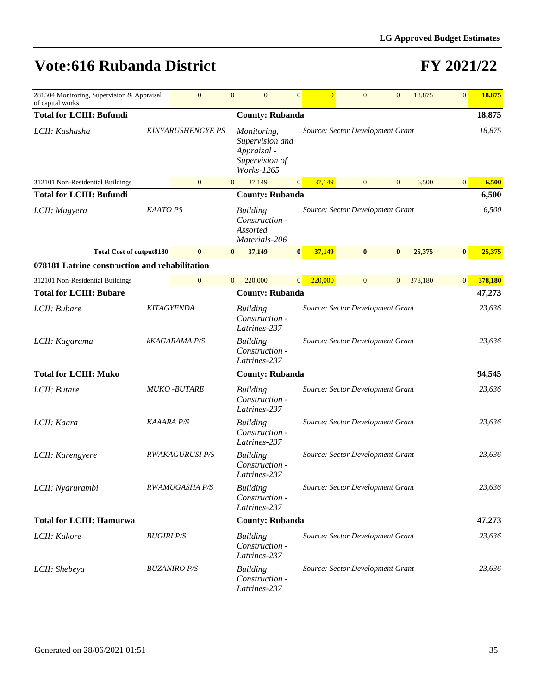| 281504 Monitoring, Supervision & Appraisal<br>of capital works |                          | $\overline{0}$                | $\mathbf{0}$   | $\overline{0}$                                                 | $\overline{0}$                                                                                                           | $\overline{0}$                   |  | $\overline{0}$ | $\mathbf{0}$   | 18,875  | 0               | 18,875  |
|----------------------------------------------------------------|--------------------------|-------------------------------|----------------|----------------------------------------------------------------|--------------------------------------------------------------------------------------------------------------------------|----------------------------------|--|----------------|----------------|---------|-----------------|---------|
| <b>Total for LCIII: Bufundi</b>                                |                          |                               |                | <b>County: Rubanda</b>                                         |                                                                                                                          |                                  |  |                |                |         |                 | 18,875  |
| LCII: Kashasha                                                 | <b>KINYARUSHENGYE PS</b> |                               |                |                                                                | Source: Sector Development Grant<br>Monitoring,<br>Supervision and<br>Appraisal -<br>Supervision of<br><i>Works-1265</i> |                                  |  |                |                |         |                 | 18,875  |
| 312101 Non-Residential Buildings                               |                          | $\mathbf{0}$                  | $\overline{0}$ | 37,149                                                         | $\overline{0}$                                                                                                           | 37.149                           |  | $\overline{0}$ | $\mathbf{0}$   | 6,500   | $\vert 0 \vert$ | 6,500   |
| <b>Total for LCIII: Bufundi</b>                                |                          |                               |                | <b>County: Rubanda</b>                                         |                                                                                                                          |                                  |  |                |                |         |                 | 6,500   |
| LCII: Mugyera                                                  | <b>KAATO PS</b>          |                               |                | <b>Building</b><br>Construction -<br>Assorted<br>Materials-206 |                                                                                                                          | Source: Sector Development Grant |  |                |                |         |                 | 6,500   |
| <b>Total Cost of output8180</b>                                |                          | $\bf{0}$                      | $\bf{0}$       | 37,149                                                         | $\bf{0}$                                                                                                                 | 37,149                           |  | $\bf{0}$       | $\bf{0}$       | 25,375  | $\bf{0}$        | 25,375  |
| 078181 Latrine construction and rehabilitation                 |                          |                               |                |                                                                |                                                                                                                          |                                  |  |                |                |         |                 |         |
| 312101 Non-Residential Buildings                               |                          | $\mathbf{0}$                  | $\mathbf{0}$   | 220,000                                                        | $\overline{0}$                                                                                                           | 220,000                          |  | $\mathbf{0}$   | $\overline{0}$ | 378,180 | 0               | 378,180 |
| <b>Total for LCIII: Bubare</b>                                 |                          |                               |                | <b>County: Rubanda</b>                                         |                                                                                                                          |                                  |  |                |                |         |                 | 47,273  |
| LCII: Bubare                                                   |                          | <b>KITAGYENDA</b>             |                | <b>Building</b><br>Construction -<br>Latrines-237              |                                                                                                                          | Source: Sector Development Grant |  |                |                |         |                 | 23,636  |
| LCII: Kagarama                                                 | <b>kKAGARAMA P/S</b>     |                               |                | <b>Building</b><br>Construction -<br>Latrines-237              |                                                                                                                          | Source: Sector Development Grant |  | 23,636         |                |         |                 |         |
| <b>Total for LCIII: Muko</b>                                   |                          |                               |                | <b>County: Rubanda</b>                                         |                                                                                                                          |                                  |  |                |                |         |                 | 94,545  |
| LCII: Butare                                                   |                          | <b>MUKO-BUTARE</b>            |                | <b>Building</b><br>Construction -<br>Latrines-237              |                                                                                                                          | Source: Sector Development Grant |  |                |                |         |                 | 23,636  |
| LCII: Kaara                                                    | <b>KAAARA P/S</b>        |                               |                | <b>Building</b><br>Construction -<br>Latrines-237              |                                                                                                                          | Source: Sector Development Grant |  |                |                |         |                 | 23,636  |
| LCII: Karengyere                                               |                          | <i><b>RWAKAGURUSI P/S</b></i> |                | <b>Building</b><br>Construction -<br>Latrines-237              |                                                                                                                          | Source: Sector Development Grant |  |                |                |         |                 | 23,636  |
| LCII: Nyarurambi                                               |                          | RWAMUGASHA P/S                |                | <b>Building</b><br>Construction -<br>Latrines-237              |                                                                                                                          | Source: Sector Development Grant |  |                |                |         |                 | 23,636  |
| <b>Total for LCIII: Hamurwa</b>                                |                          |                               |                | <b>County: Rubanda</b>                                         |                                                                                                                          |                                  |  |                |                |         |                 | 47,273  |
| LCII: Kakore                                                   | <b>BUGIRI P/S</b>        |                               |                | <b>Building</b><br>Construction -<br>Latrines-237              |                                                                                                                          | Source: Sector Development Grant |  |                |                |         |                 | 23,636  |
| LCII: Shebeya                                                  |                          | <b>BUZANIRO P/S</b>           |                | <b>Building</b><br>Construction -<br>Latrines-237              |                                                                                                                          | Source: Sector Development Grant |  |                |                |         |                 | 23,636  |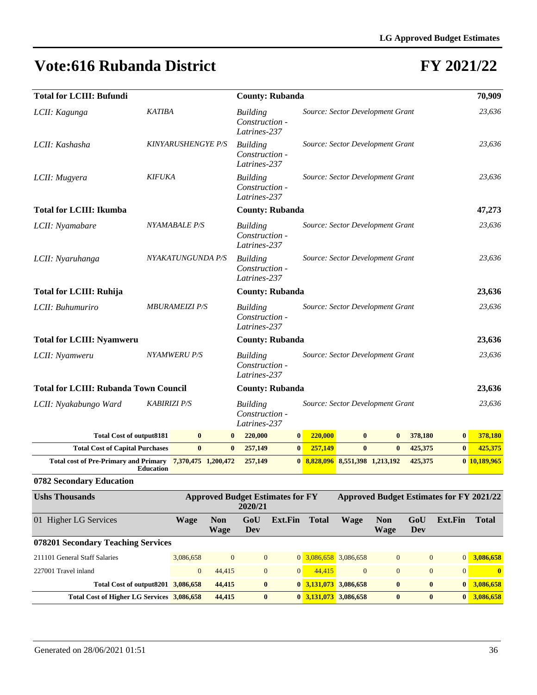## **FY 2021/22**

| <b>Total for LCIII: Bufundi</b>                           |                     |                           |              | <b>County: Rubanda</b> |                                                                                       |                                  |                                  |  |          |              |         |          | 70,909       |
|-----------------------------------------------------------|---------------------|---------------------------|--------------|------------------------|---------------------------------------------------------------------------------------|----------------------------------|----------------------------------|--|----------|--------------|---------|----------|--------------|
| LCII: Kagunga                                             | <b>KATIBA</b>       |                           |              |                        | <b>Building</b><br>Construction -<br>Latrines-237                                     |                                  | Source: Sector Development Grant |  |          |              |         |          | 23,636       |
| LCII: Kashasha                                            |                     | <b>KINYARUSHENGYE P/S</b> |              |                        | <b>Building</b><br>Construction -<br>Latrines-237                                     |                                  | Source: Sector Development Grant |  |          |              |         |          | 23,636       |
| LCII: Mugyera                                             | <b>KIFUKA</b>       |                           |              |                        | <b>Building</b><br>Construction -<br>Latrines-237                                     |                                  | Source: Sector Development Grant |  |          |              |         |          | 23,636       |
| <b>Total for LCIII: Ikumba</b>                            |                     |                           |              |                        | <b>County: Rubanda</b>                                                                |                                  |                                  |  |          |              |         |          | 47,273       |
| LCII: Nyamabare                                           |                     | NYAMABALE P/S             |              |                        | Building<br>Construction -<br>Latrines-237                                            |                                  | Source: Sector Development Grant |  |          |              |         |          | 23,636       |
| LCII: Nyaruhanga                                          |                     | NYAKATUNGUNDA P/S         |              |                        | <b>Building</b><br>Construction -<br>Latrines-237                                     |                                  | Source: Sector Development Grant |  | 23,636   |              |         |          |              |
| <b>Total for LCIII: Ruhija</b>                            |                     |                           |              | <b>County: Rubanda</b> |                                                                                       |                                  |                                  |  |          |              |         | 23,636   |              |
| LCII: Buhumuriro                                          |                     | <b>MBURAMEIZI P/S</b>     |              |                        | <b>Building</b><br>Construction -<br>Latrines-237                                     | Source: Sector Development Grant |                                  |  |          |              |         |          | 23,636       |
| <b>Total for LCIII: Nyamweru</b>                          |                     |                           |              | <b>County: Rubanda</b> |                                                                                       |                                  |                                  |  |          |              |         | 23,636   |              |
| LCII: Nyamweru                                            |                     | <b>NYAMWERU P/S</b>       |              |                        | <b>Building</b><br>Construction -<br>Latrines-237                                     |                                  | Source: Sector Development Grant |  |          |              |         |          | 23,636       |
| <b>Total for LCIII: Rubanda Town Council</b>              |                     |                           |              |                        | <b>County: Rubanda</b>                                                                |                                  |                                  |  |          |              |         |          | 23,636       |
| LCII: Nyakabungo Ward                                     | <b>KABIRIZI P/S</b> |                           |              |                        | Source: Sector Development Grant<br><b>Building</b><br>Construction -<br>Latrines-237 |                                  |                                  |  |          |              |         |          | 23,636       |
| <b>Total Cost of output8181</b>                           |                     | $\bf{0}$                  | $\mathbf{0}$ |                        | 220,000                                                                               | $\mathbf{0}$                     | 220,000                          |  | $\bf{0}$ | $\bf{0}$     | 378,180 | $\bf{0}$ | 378,180      |
| <b>Total Cost of Capital Purchases</b>                    |                     | $\bf{0}$                  | $\mathbf{0}$ |                        | 257,149                                                                               | $\vert 0 \vert$                  | 257,149                          |  | $\bf{0}$ | $\mathbf{0}$ | 425,375 | $\bf{0}$ | 425,375      |
| Total cost of Pre-Primary and Primary 7,370,475 1,200,472 | <b>Education</b>    |                           |              |                        | 257,149                                                                               |                                  | 0 8,828,096 8,551,398 1,213,192  |  |          |              | 425,375 |          | 0 10,189,965 |

#### **0782 Secondary Education**

| <b>Ushs Thousands</b>                      |                | <b>Approved Budget Estimates for FY</b> |                | <b>Approved Budget Estimates for FY 2021/22</b> |                                   |                                   |                    |                |                  |              |
|--------------------------------------------|----------------|-----------------------------------------|----------------|-------------------------------------------------|-----------------------------------|-----------------------------------|--------------------|----------------|------------------|--------------|
| 01 Higher LG Services                      | Wage           | <b>Non</b><br>Wage                      | GoU<br>Dev     | Ext.Fin                                         | <b>Total</b>                      | Wage                              | <b>Non</b><br>Wage | GoU<br>Dev     | Ext.Fin          | <b>Total</b> |
| 078201 Secondary Teaching Services         |                |                                         |                |                                                 |                                   |                                   |                    |                |                  |              |
| 211101 General Staff Salaries              | 3.086,658      | $\theta$                                | $\overline{0}$ |                                                 |                                   | $0\overline{3,086,658}$ 3,086,658 | $\overline{0}$     | $\overline{0}$ | $\overline{0}$   | 3,086,658    |
| 227001 Travel inland                       | $\overline{0}$ | 44.415                                  | $\overline{0}$ | $\overline{0}$                                  | 44,415                            | $\Omega$                          | $\overline{0}$     | $\mathbf{0}$   | $\overline{0}$   | $\mathbf{0}$ |
| Total Cost of output 8201 3,086,658        |                | 44,415                                  | $\bf{0}$       |                                                 | $0\overline{3,131,073}$ 3,086,658 |                                   | $\bf{0}$           | $\bf{0}$       | $\mathbf{0}$     | 3.086,658    |
| Total Cost of Higher LG Services 3,086,658 |                | 44,415                                  | $\mathbf{0}$   |                                                 |                                   | $0\overline{3,131,073}$ 3,086,658 | $\bf{0}$           | $\bf{0}$       | $\boldsymbol{0}$ | 3.086,658    |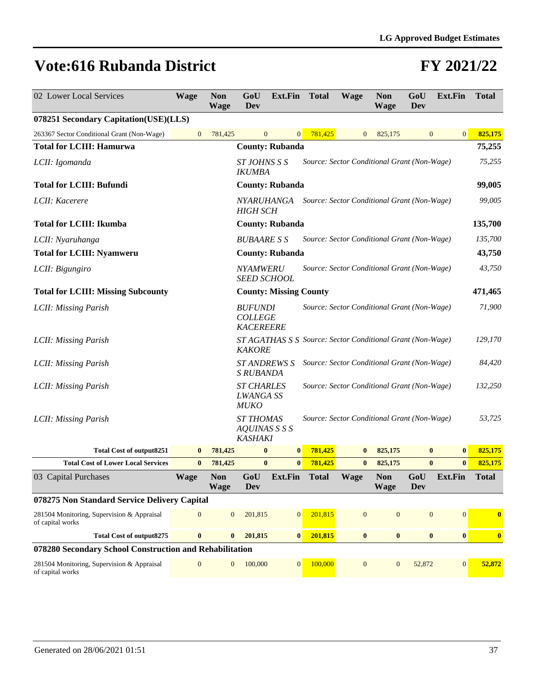| 02 Lower Local Services                                        | <b>Wage</b>      | <b>Non</b><br><b>Wage</b> | GoU<br>Dev                                           | <b>Ext.Fin</b>                                             | <b>Total</b> | <b>Wage</b>                                 | <b>Non</b><br><b>Wage</b> | GoU<br>Dev        | <b>Ext.Fin</b>   | <b>Total</b>     |
|----------------------------------------------------------------|------------------|---------------------------|------------------------------------------------------|------------------------------------------------------------|--------------|---------------------------------------------|---------------------------|-------------------|------------------|------------------|
| 078251 Secondary Capitation(USE)(LLS)                          |                  |                           |                                                      |                                                            |              |                                             |                           |                   |                  |                  |
| 263367 Sector Conditional Grant (Non-Wage)                     | $\boldsymbol{0}$ | 781,425                   | $\mathbf{0}$                                         | $\mathbf{0}$                                               | 781,425      | $\mathbf{0}$                                | 825,175                   | $\mathbf{0}$      | $\vert 0 \vert$  | 825,175          |
| <b>Total for LCIII: Hamurwa</b>                                |                  |                           |                                                      | <b>County: Rubanda</b>                                     |              |                                             |                           |                   |                  | 75,255           |
| LCII: Igomanda                                                 |                  |                           | ST JOHNS S S<br><b>IKUMBA</b>                        |                                                            |              | Source: Sector Conditional Grant (Non-Wage) |                           |                   |                  | 75,255           |
| <b>Total for LCIII: Bufundi</b>                                |                  |                           |                                                      | <b>County: Rubanda</b>                                     |              |                                             |                           |                   |                  | 99,005           |
| LCII: Kacerere                                                 |                  |                           | <i>NYARUHANGA</i><br><b>HIGH SCH</b>                 |                                                            |              | Source: Sector Conditional Grant (Non-Wage) |                           |                   |                  | 99,005           |
| <b>Total for LCIII: Ikumba</b>                                 |                  |                           |                                                      | <b>County: Rubanda</b>                                     |              |                                             |                           |                   |                  | 135,700          |
| LCII: Nyaruhanga                                               |                  |                           | <b>BUBAARE S S</b>                                   |                                                            |              | Source: Sector Conditional Grant (Non-Wage) |                           |                   |                  | 135,700          |
| <b>Total for LCIII: Nyamweru</b>                               |                  |                           |                                                      | <b>County: Rubanda</b>                                     |              |                                             |                           |                   |                  | 43,750           |
| LCII: Bigungiro                                                |                  |                           | <b>NYAMWERU</b><br><b>SEED SCHOOL</b>                |                                                            |              | Source: Sector Conditional Grant (Non-Wage) |                           |                   |                  | 43,750           |
| <b>Total for LCIII: Missing Subcounty</b>                      |                  |                           |                                                      | <b>County: Missing County</b>                              |              |                                             |                           |                   |                  | 471,465          |
| LCII: Missing Parish                                           |                  |                           | <b>BUFUNDI</b><br><b>COLLEGE</b><br><b>KACEREERE</b> |                                                            |              | Source: Sector Conditional Grant (Non-Wage) |                           |                   |                  | 71,900           |
| LCII: Missing Parish                                           |                  |                           | <b>KAKORE</b>                                        | ST AGATHAS S S Source: Sector Conditional Grant (Non-Wage) |              |                                             |                           |                   |                  | 129,170          |
| LCII: Missing Parish                                           |                  |                           | <b>ST ANDREWS S</b><br>S RUBANDA                     |                                                            |              | Source: Sector Conditional Grant (Non-Wage) |                           |                   |                  | 84,420           |
| LCII: Missing Parish                                           |                  |                           | <b>ST CHARLES</b><br><b>LWANGA SS</b><br><b>MUKO</b> |                                                            |              | Source: Sector Conditional Grant (Non-Wage) |                           |                   |                  | 132,250          |
| LCII: Missing Parish                                           |                  |                           | <b>ST THOMAS</b><br>AQUINAS S S S<br><b>KASHAKI</b>  |                                                            |              | Source: Sector Conditional Grant (Non-Wage) |                           |                   |                  | 53,725           |
| <b>Total Cost of output8251</b>                                | $\bf{0}$         | 781,425                   | $\bf{0}$                                             | $\bf{0}$                                                   | 781,425      | $\bf{0}$                                    | 825,175                   | $\bf{0}$          | $\bf{0}$         | 825,175          |
| <b>Total Cost of Lower Local Services</b>                      | $\bf{0}$         | 781,425                   | $\bf{0}$                                             | $\bf{0}$                                                   | 781,425      | $\bf{0}$                                    | 825,175                   | $\bf{0}$          | $\bf{0}$         | 825,175          |
| 03 Capital Purchases                                           | <b>Wage</b>      | <b>Non</b><br><b>Wage</b> | GoU<br><b>Dev</b>                                    | <b>Ext.Fin</b>                                             | <b>Total</b> | Wage                                        | <b>Non</b><br><b>Wage</b> | GoU<br><b>Dev</b> | <b>Ext.Fin</b>   | <b>Total</b>     |
| 078275 Non Standard Service Delivery Capital                   |                  |                           |                                                      |                                                            |              |                                             |                           |                   |                  |                  |
| 281504 Monitoring, Supervision & Appraisal<br>of capital works | $\boldsymbol{0}$ | $\mathbf{0}$              | 201,815                                              | $\mathbf{0}$                                               | 201,815      | $\mathbf{0}$                                | $\boldsymbol{0}$          | $\mathbf{0}$      | $\mathbf{0}$     | $\bf{0}$         |
| <b>Total Cost of output8275</b>                                | $\bf{0}$         | $\bf{0}$                  | 201,815                                              | $\bf{0}$                                                   | 201,815      | $\bf{0}$                                    | $\bf{0}$                  | $\bf{0}$          | $\bf{0}$         | $\boldsymbol{0}$ |
| 078280 Secondary School Construction and Rehabilitation        |                  |                           |                                                      |                                                            |              |                                             |                           |                   |                  |                  |
| 281504 Monitoring, Supervision & Appraisal<br>of capital works | $\mathbf{0}$     | $\mathbf{0}$              | 100,000                                              | $\overline{0}$                                             | 100,000      | $\mathbf{0}$                                | $\mathbf{0}$              | 52,872            | $\boldsymbol{0}$ | 52,872           |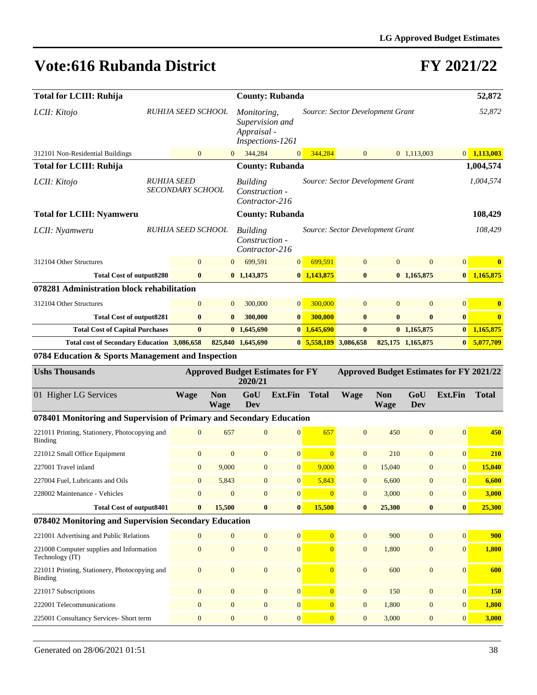| <b>Total for LCIII: Ruhija</b>                                       |  |                                        |                           | <b>County: Rubanda</b>                                            |                  |                |                                  |                           |                   |                                                 | 52,872        |
|----------------------------------------------------------------------|--|----------------------------------------|---------------------------|-------------------------------------------------------------------|------------------|----------------|----------------------------------|---------------------------|-------------------|-------------------------------------------------|---------------|
| LCII: Kitojo                                                         |  | RUHIJA SEED SCHOOL                     |                           | Monitoring,<br>Supervision and<br>Appraisal -<br>Inspections-1261 |                  |                | Source: Sector Development Grant |                           |                   |                                                 | 52,872        |
| 312101 Non-Residential Buildings                                     |  | $\mathbf{0}$                           | $\overline{0}$            | 344,284                                                           | $\mathbf{0}$     | 344,284        | $\mathbf{0}$                     |                           | 0 1,113,003       |                                                 | $0$ 1,113,003 |
| <b>Total for LCIII: Ruhija</b>                                       |  |                                        |                           | <b>County: Rubanda</b>                                            |                  |                |                                  |                           |                   |                                                 | 1,004,574     |
| LCII: Kitojo                                                         |  | <b>RUHIJA SEED</b><br>SECONDARY SCHOOL |                           | <b>Building</b><br>Construction -<br>Contractor-216               |                  |                | Source: Sector Development Grant |                           |                   |                                                 | 1,004,574     |
| <b>Total for LCIII: Nyamweru</b>                                     |  |                                        |                           | <b>County: Rubanda</b>                                            |                  |                |                                  |                           |                   |                                                 | 108,429       |
| LCII: Nyamweru                                                       |  | RUHIJA SEED SCHOOL                     |                           | <b>Building</b><br>Construction -<br>Contractor-216               |                  |                | Source: Sector Development Grant |                           |                   |                                                 | 108,429       |
| 312104 Other Structures                                              |  | $\overline{0}$                         | $\Omega$                  | 699,591                                                           | 0                | 699,591        | $\mathbf{0}$                     | $\overline{0}$            | $\mathbf{0}$      | $\overline{0}$                                  | $\bf{0}$      |
| <b>Total Cost of output8280</b>                                      |  | $\bf{0}$                               |                           | $0$ 1,143,875                                                     |                  | $0$ 1,143,875  | $\bf{0}$                         |                           | $0$ 1,165,875     |                                                 | $0$ 1,165,875 |
| 078281 Administration block rehabilitation                           |  |                                        |                           |                                                                   |                  |                |                                  |                           |                   |                                                 |               |
| 312104 Other Structures                                              |  | $\mathbf{0}$                           | $\overline{0}$            | 300,000                                                           | $\overline{0}$   | 300,000        | $\mathbf{0}$                     | $\mathbf{0}$              | $\mathbf{0}$      | $\mathbf{0}$                                    | $\bf{0}$      |
| <b>Total Cost of output8281</b>                                      |  | $\bf{0}$                               | $\bf{0}$                  | 300,000                                                           | $\bf{0}$         | 300,000        | $\bf{0}$                         | $\bf{0}$                  | $\bf{0}$          | $\bf{0}$                                        | $\bf{0}$      |
| <b>Total Cost of Capital Purchases</b>                               |  | $\bf{0}$                               |                           | 0, 1,645,690                                                      |                  | $0$ 1,645,690  | $\mathbf{0}$                     |                           | $0$ 1,165,875     | $\bf{0}$                                        | 1,165,875     |
| Total cost of Secondary Education 3,086,658                          |  |                                        |                           | 825,840 1,645,690                                                 |                  | 0, 5, 558, 189 | 3,086,658                        |                           | 825,175 1,165,875 | $\bf{0}$                                        | 5,077,709     |
| 0784 Education & Sports Management and Inspection                    |  |                                        |                           |                                                                   |                  |                |                                  |                           |                   |                                                 |               |
|                                                                      |  |                                        |                           |                                                                   |                  |                |                                  |                           |                   |                                                 |               |
| <b>Ushs Thousands</b>                                                |  |                                        |                           | <b>Approved Budget Estimates for FY</b><br>2020/21                |                  |                |                                  |                           |                   | <b>Approved Budget Estimates for FY 2021/22</b> |               |
| 01 Higher LG Services                                                |  | <b>Wage</b>                            | <b>Non</b><br><b>Wage</b> | GoU<br>Dev                                                        | <b>Ext.Fin</b>   | <b>Total</b>   | <b>Wage</b>                      | <b>Non</b><br><b>Wage</b> | GoU<br>Dev        | <b>Ext.Fin</b>                                  | <b>Total</b>  |
| 078401 Monitoring and Supervision of Primary and Secondary Education |  |                                        |                           |                                                                   |                  |                |                                  |                           |                   |                                                 |               |
| 221011 Printing, Stationery, Photocopying and<br>Binding             |  | $\overline{0}$                         | 657                       | $\overline{0}$                                                    | $\overline{0}$   | 657            | $\mathbf{0}$                     | 450                       | $\mathbf{0}$      | $\mathbf{0}$                                    | 450           |
| 221012 Small Office Equipment                                        |  | $\mathbf{0}$                           | $\mathbf{0}$              | $\mathbf{0}$                                                      | $\overline{0}$   | $\overline{0}$ | $\mathbf{0}$                     | 210                       | $\mathbf{0}$      | $\mathbf{0}$                                    | 210           |
| 227001 Travel inland                                                 |  | $\mathbf{0}$                           | 9,000                     | $\overline{0}$                                                    | $\overline{0}$   | 9,000          | $\overline{0}$                   | 15,040                    | $\mathbf{0}$      | $\mathbf{0}$                                    | 15,040        |
| 227004 Fuel, Lubricants and Oils                                     |  | $\mathbf{0}$                           | 5,843                     | $\mathbf{0}$                                                      | $\overline{0}$   | 5,843          | $\overline{0}$                   | 6,600                     | $\mathbf{0}$      | $\mathbf{0}$                                    | 6,600         |
| 228002 Maintenance - Vehicles                                        |  | $\overline{0}$                         | $\mathbf{0}$              | $\overline{0}$                                                    | $\boldsymbol{0}$ | $\overline{0}$ | $\mathbf{0}$                     | 3,000                     | $\mathbf{0}$      | $\boldsymbol{0}$                                | 3,000         |
| <b>Total Cost of output8401</b>                                      |  | $\bf{0}$                               | 15,500                    | $\bf{0}$                                                          | $\bf{0}$         | 15,500         | $\bf{0}$                         | 25,300                    | $\bf{0}$          | $\bf{0}$                                        | 25,300        |
| 078402 Monitoring and Supervision Secondary Education                |  |                                        |                           |                                                                   |                  |                |                                  |                           |                   |                                                 |               |
| 221001 Advertising and Public Relations                              |  | $\Omega$                               | $\overline{0}$            | $\overline{0}$                                                    | $\overline{0}$   | $\overline{0}$ | $\mathbf{0}$                     | 900                       | $\mathbf{0}$      | $\boldsymbol{0}$                                | 900           |
| 221008 Computer supplies and Information<br>Technology (IT)          |  | $\boldsymbol{0}$                       | $\boldsymbol{0}$          | $\boldsymbol{0}$                                                  | $\boldsymbol{0}$ | $\overline{0}$ | $\mathbf{0}$                     | 1,800                     | $\boldsymbol{0}$  | $\boldsymbol{0}$                                | 1,800         |
| 221011 Printing, Stationery, Photocopying and<br>Binding             |  | $\boldsymbol{0}$                       | $\boldsymbol{0}$          | $\boldsymbol{0}$                                                  | $\boldsymbol{0}$ | $\overline{0}$ | $\mathbf{0}$                     | 600                       | $\boldsymbol{0}$  | $\boldsymbol{0}$                                | 600           |
| 221017 Subscriptions                                                 |  | $\boldsymbol{0}$                       | $\boldsymbol{0}$          | $\boldsymbol{0}$                                                  | $\boldsymbol{0}$ | $\overline{0}$ | $\mathbf{0}$                     | 150                       | $\boldsymbol{0}$  | $\boldsymbol{0}$                                | <b>150</b>    |
| 222001 Telecommunications                                            |  | $\mathbf{0}$                           | $\overline{0}$            | $\boldsymbol{0}$                                                  | $\overline{0}$   | $\overline{0}$ | $\mathbf{0}$                     | 1,800                     | $\boldsymbol{0}$  | $\boldsymbol{0}$                                | 1,800         |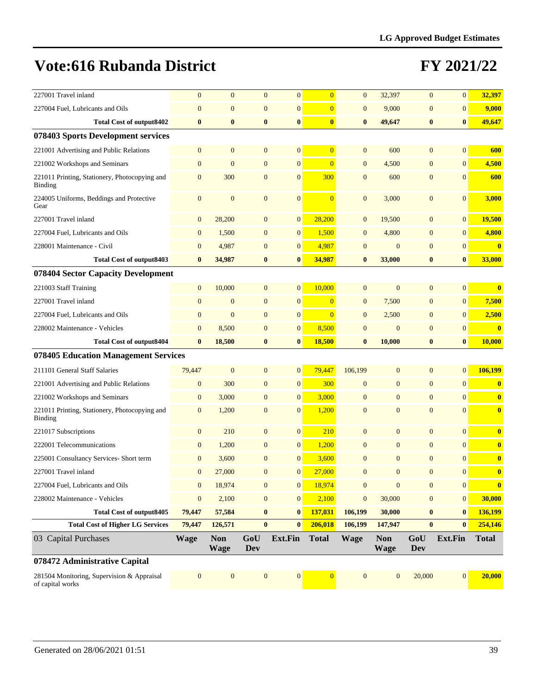| 227001 Travel inland                                           | $\mathbf{0}$     | $\overline{0}$            | $\overline{0}$    | $\mathbf{0}$     | $\overline{0}$ | $\mathbf{0}$     | 32,397                    | $\overline{0}$    | $\mathbf{0}$     | 32,397           |
|----------------------------------------------------------------|------------------|---------------------------|-------------------|------------------|----------------|------------------|---------------------------|-------------------|------------------|------------------|
| 227004 Fuel, Lubricants and Oils                               | $\boldsymbol{0}$ | $\overline{0}$            | $\overline{0}$    | $\boldsymbol{0}$ | $\overline{0}$ | $\mathbf{0}$     | 9,000                     | $\mathbf{0}$      | $\mathbf{0}$     | 9,000            |
| <b>Total Cost of output8402</b>                                | $\bf{0}$         | $\bf{0}$                  | $\bf{0}$          | $\bf{0}$         | $\bf{0}$       | $\bf{0}$         | 49,647                    | $\bf{0}$          | $\bf{0}$         | 49,647           |
| 078403 Sports Development services                             |                  |                           |                   |                  |                |                  |                           |                   |                  |                  |
| 221001 Advertising and Public Relations                        | $\mathbf{0}$     | $\overline{0}$            | $\boldsymbol{0}$  | $\mathbf{0}$     | $\overline{0}$ | $\mathbf{0}$     | 600                       | $\mathbf{0}$      | $\mathbf{0}$     | 600              |
| 221002 Workshops and Seminars                                  | $\mathbf{0}$     | $\overline{0}$            | $\overline{0}$    | $\overline{0}$   | $\overline{0}$ | $\mathbf{0}$     | 4,500                     | $\overline{0}$    | $\mathbf{0}$     | 4,500            |
| 221011 Printing, Stationery, Photocopying and<br>Binding       | $\mathbf{0}$     | 300                       | $\mathbf{0}$      | $\overline{0}$   | 300            | $\overline{0}$   | 600                       | $\mathbf{0}$      | $\mathbf{0}$     | 600              |
| 224005 Uniforms, Beddings and Protective<br>Gear               | $\boldsymbol{0}$ | $\overline{0}$            | $\mathbf{0}$      | $\mathbf{0}$     | $\overline{0}$ | $\mathbf{0}$     | 3,000                     | $\mathbf{0}$      | $\mathbf{0}$     | 3,000            |
| 227001 Travel inland                                           | $\boldsymbol{0}$ | 28,200                    | $\boldsymbol{0}$  | $\mathbf{0}$     | 28,200         | $\mathbf{0}$     | 19,500                    | $\boldsymbol{0}$  | $\boldsymbol{0}$ | 19,500           |
| 227004 Fuel, Lubricants and Oils                               | $\boldsymbol{0}$ | 1,500                     | $\mathbf{0}$      | $\mathbf{0}$     | 1,500          | $\mathbf{0}$     | 4,800                     | $\mathbf{0}$      | $\mathbf{0}$     | 4,800            |
| 228001 Maintenance - Civil                                     | $\boldsymbol{0}$ | 4,987                     | $\overline{0}$    | $\mathbf{0}$     | 4,987          | $\mathbf{0}$     | $\boldsymbol{0}$          | $\mathbf{0}$      | $\mathbf{0}$     | $\bf{0}$         |
| <b>Total Cost of output8403</b>                                | $\bf{0}$         | 34,987                    | $\bf{0}$          | $\bf{0}$         | 34,987         | $\bf{0}$         | 33,000                    | $\bf{0}$          | $\bf{0}$         | 33,000           |
| 078404 Sector Capacity Development                             |                  |                           |                   |                  |                |                  |                           |                   |                  |                  |
| 221003 Staff Training                                          | $\boldsymbol{0}$ | 10,000                    | $\mathbf{0}$      | $\mathbf{0}$     | 10,000         | $\mathbf{0}$     | $\mathbf{0}$              | $\mathbf{0}$      | $\mathbf{0}$     | $\bf{0}$         |
| 227001 Travel inland                                           | $\mathbf{0}$     | $\mathbf{0}$              | $\mathbf{0}$      | $\overline{0}$   | $\overline{0}$ | $\mathbf{0}$     | 7,500                     | $\mathbf{0}$      | $\mathbf{0}$     | 7,500            |
| 227004 Fuel, Lubricants and Oils                               | $\mathbf{0}$     | $\overline{0}$            | $\mathbf{0}$      | $\overline{0}$   | $\overline{0}$ | $\overline{0}$   | 2,500                     | $\mathbf{0}$      | $\mathbf{0}$     | 2,500            |
| 228002 Maintenance - Vehicles                                  | $\mathbf{0}$     | 8,500                     | $\overline{0}$    | $\overline{0}$   | 8,500          | $\overline{0}$   | $\mathbf{0}$              | $\mathbf{0}$      | $\mathbf{0}$     | $\bf{0}$         |
| <b>Total Cost of output8404</b>                                | $\bf{0}$         | 18,500                    | $\bf{0}$          | $\bf{0}$         | 18,500         | $\bf{0}$         | 10,000                    | $\bf{0}$          | $\bf{0}$         | 10,000           |
| 078405 Education Management Services                           |                  |                           |                   |                  |                |                  |                           |                   |                  |                  |
| 211101 General Staff Salaries                                  | 79,447           | $\mathbf{0}$              | $\mathbf{0}$      | $\overline{0}$   | 79,447         | 106,199          | $\mathbf{0}$              | $\overline{0}$    | $\mathbf{0}$     | 106,199          |
| 221001 Advertising and Public Relations                        | $\boldsymbol{0}$ | 300                       | $\overline{0}$    | $\mathbf{0}$     | 300            | $\mathbf{0}$     | $\overline{0}$            | $\overline{0}$    | $\mathbf{0}$     | $\bf{0}$         |
| 221002 Workshops and Seminars                                  | $\mathbf{0}$     | 3,000                     | $\mathbf{0}$      | $\overline{0}$   | 3,000          | $\mathbf{0}$     | $\overline{0}$            | $\overline{0}$    | $\mathbf{0}$     | $\bf{0}$         |
| 221011 Printing, Stationery, Photocopying and<br>Binding       | $\mathbf{0}$     | 1,200                     | $\mathbf{0}$      | $\overline{0}$   | 1,200          | $\mathbf{0}$     | $\overline{0}$            | $\overline{0}$    | $\mathbf{0}$     | $\bf{0}$         |
| 221017 Subscriptions                                           | $\boldsymbol{0}$ | 210                       | $\overline{0}$    | $\overline{0}$   | 210            | $\overline{0}$   | $\overline{0}$            | $\overline{0}$    | $\mathbf{0}$     | $\bf{0}$         |
| 222001 Telecommunications                                      | $\boldsymbol{0}$ | 1,200                     | $\mathbf{0}$      | $\mathbf{0}$     | 1,200          | $\mathbf{0}$     | $\overline{0}$            | $\overline{0}$    | $\mathbf{0}$     | $\bf{0}$         |
| 225001 Consultancy Services- Short term                        | $\boldsymbol{0}$ | 3,600                     | $\overline{0}$    | $\mathbf{0}$     | 3,600          | $\mathbf{0}$     | $\boldsymbol{0}$          | $\mathbf{0}$      | $\mathbf{0}$     | $\bf{0}$         |
| 227001 Travel inland                                           | $\mathbf{0}$     | 27,000                    | $\overline{0}$    | $\overline{0}$   | 27,000         | $\mathbf{0}$     | $\overline{0}$            | $\overline{0}$    | $\mathbf{0}$     | $\boldsymbol{0}$ |
| 227004 Fuel, Lubricants and Oils                               | $\boldsymbol{0}$ | 18,974                    | $\boldsymbol{0}$  | $\mathbf{0}$     | 18,974         | $\mathbf{0}$     | $\boldsymbol{0}$          | $\mathbf{0}$      | $\boldsymbol{0}$ | $\bf{0}$         |
| 228002 Maintenance - Vehicles                                  | $\boldsymbol{0}$ | 2,100                     | $\boldsymbol{0}$  | $\boldsymbol{0}$ | 2,100          | $\boldsymbol{0}$ | 30,000                    | $\mathbf{0}$      | $\boldsymbol{0}$ | 30,000           |
| <b>Total Cost of output8405</b>                                | 79,447           | 57,584                    | $\bf{0}$          | $\bf{0}$         | 137,031        | 106,199          | 30,000                    | $\boldsymbol{0}$  | $\bf{0}$         | 136,199          |
| <b>Total Cost of Higher LG Services</b>                        | 79,447           | 126,571                   | $\bf{0}$          | $\bf{0}$         | 206,018        | 106,199          | 147,947                   | $\bf{0}$          | $\bf{0}$         | 254,146          |
| 03 Capital Purchases                                           | <b>Wage</b>      | <b>Non</b><br><b>Wage</b> | GoU<br><b>Dev</b> | Ext.Fin          | <b>Total</b>   | <b>Wage</b>      | <b>Non</b><br><b>Wage</b> | GoU<br><b>Dev</b> | Ext.Fin          | <b>Total</b>     |
| 078472 Administrative Capital                                  |                  |                           |                   |                  |                |                  |                           |                   |                  |                  |
| 281504 Monitoring, Supervision & Appraisal<br>of capital works | $\boldsymbol{0}$ | $\mathbf{0}$              | $\boldsymbol{0}$  | $\boldsymbol{0}$ | $\overline{0}$ | $\boldsymbol{0}$ | $\mathbf{0}$              | 20,000            | $\boldsymbol{0}$ | 20,000           |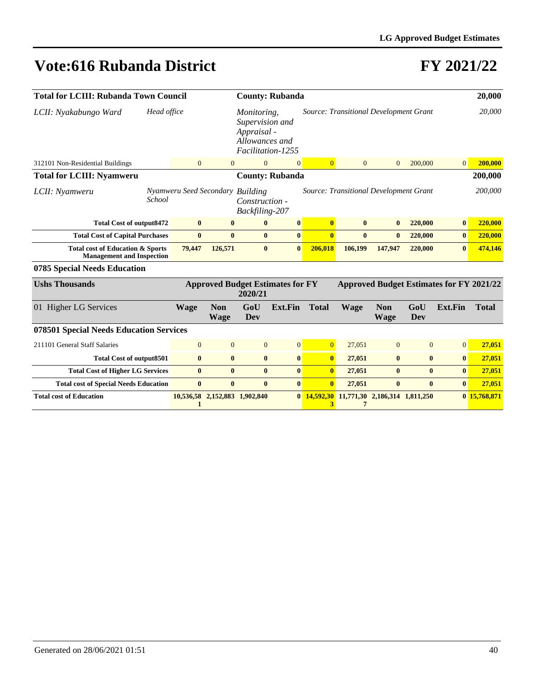| <b>Total for LCIII: Rubanda Town Council</b>                                    |                                    |                           |                                                                                      | <b>County: Rubanda</b>                  |                |                                              |                                                 |              |                | 20,000       |
|---------------------------------------------------------------------------------|------------------------------------|---------------------------|--------------------------------------------------------------------------------------|-----------------------------------------|----------------|----------------------------------------------|-------------------------------------------------|--------------|----------------|--------------|
| Head office<br>LCII: Nyakabungo Ward                                            |                                    |                           | Monitoring,<br>Supervision and<br>Appraisal -<br>Allowances and<br>Facilitation-1255 |                                         |                | Source: Transitional Development Grant       |                                                 |              |                | 20,000       |
| 312101 Non-Residential Buildings                                                | $\overline{0}$                     | $\overline{0}$            | $\overline{0}$                                                                       | $\mathbf{0}$                            | $\overline{0}$ | $\overline{0}$                               | $\overline{0}$                                  | 200,000      | $\overline{0}$ | 200,000      |
| <b>Total for LCIII: Nyamweru</b>                                                |                                    |                           |                                                                                      | <b>County: Rubanda</b>                  |                |                                              |                                                 |              |                | 200,000      |
| LCII: Nyamweru<br><b>School</b>                                                 | Nyamweru Seed Secondary            |                           | <b>Building</b><br>Construction -<br>Backfiling-207                                  |                                         |                | Source: Transitional Development Grant       |                                                 |              |                | 200,000      |
| <b>Total Cost of output8472</b>                                                 | $\bf{0}$                           | $\mathbf{0}$              | $\bf{0}$                                                                             | $\bf{0}$                                | $\bf{0}$       | $\bf{0}$                                     | $\bf{0}$                                        | 220,000      | $\bf{0}$       | 220,000      |
| <b>Total Cost of Capital Purchases</b>                                          | $\bf{0}$                           | $\mathbf{0}$              | $\mathbf{0}$                                                                         | $\bf{0}$                                | $\mathbf{0}$   | $\mathbf{0}$                                 | $\bf{0}$                                        | 220,000      | $\bf{0}$       | 220,000      |
| <b>Total cost of Education &amp; Sports</b><br><b>Management and Inspection</b> | 79,447                             | 126,571                   | $\mathbf{0}$                                                                         | $\mathbf{0}$                            | 206,018        | 106,199                                      | 147,947                                         | 220,000      | $\bf{0}$       | 474,146      |
| 0785 Special Needs Education                                                    |                                    |                           |                                                                                      |                                         |                |                                              |                                                 |              |                |              |
| <b>Ushs Thousands</b>                                                           |                                    |                           | 2020/21                                                                              | <b>Approved Budget Estimates for FY</b> |                |                                              | <b>Approved Budget Estimates for FY 2021/22</b> |              |                |              |
| 01 Higher LG Services                                                           | <b>Wage</b>                        | <b>Non</b><br><b>Wage</b> | GoU<br>Dev                                                                           | <b>Ext.Fin</b>                          | <b>Total</b>   | <b>Wage</b>                                  | <b>Non</b><br><b>Wage</b>                       | GoU<br>Dev   | Ext.Fin        | <b>Total</b> |
| 078501 Special Needs Education Services                                         |                                    |                           |                                                                                      |                                         |                |                                              |                                                 |              |                |              |
| 211101 General Staff Salaries                                                   | $\overline{0}$                     | $\Omega$                  | $\overline{0}$                                                                       | $\mathbf{0}$                            | $\overline{0}$ | 27,051                                       | $\overline{0}$                                  | $\mathbf{0}$ | 0              | 27,051       |
| <b>Total Cost of output8501</b>                                                 | $\bf{0}$                           | $\mathbf{0}$              | $\bf{0}$                                                                             | $\bf{0}$                                | $\bf{0}$       | 27,051                                       | $\bf{0}$                                        | $\bf{0}$     | $\bf{0}$       | 27,051       |
| <b>Total Cost of Higher LG Services</b>                                         | $\bf{0}$                           | $\bf{0}$                  | $\bf{0}$                                                                             | $\bf{0}$                                | $\bf{0}$       | 27,051                                       | $\bf{0}$                                        | $\bf{0}$     | $\bf{0}$       | 27,051       |
| <b>Total cost of Special Needs Education</b>                                    | $\bf{0}$                           | $\bf{0}$                  | $\bf{0}$                                                                             | $\bf{0}$                                | $\mathbf{0}$   | 27,051                                       | $\bf{0}$                                        | $\bf{0}$     | $\bf{0}$       | 27,051       |
| <b>Total cost of Education</b>                                                  | 10,536,58 2,152,883 1,902,840<br>1 |                           |                                                                                      | $\mathbf{0}$                            | 3              | 14,592,30 11,771,30 2,186,314 1,811,250<br>7 |                                                 |              |                | 0 15,768,871 |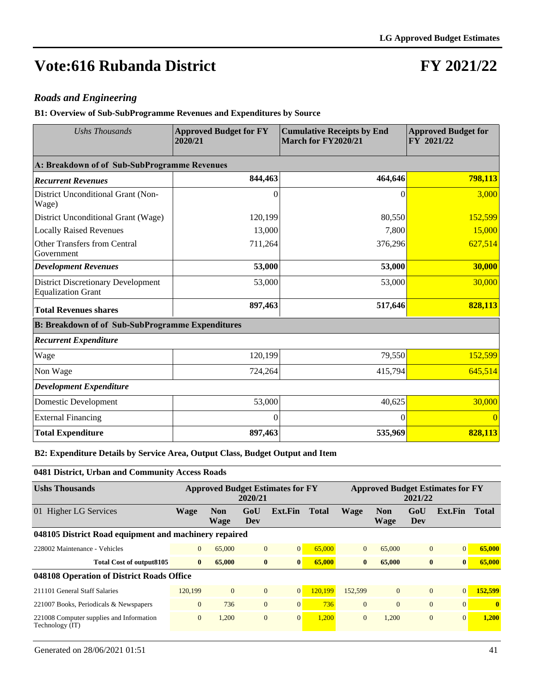### **FY 2021/22**

#### *Roads and Engineering*

**B1: Overview of Sub-SubProgramme Revenues and Expenditures by Source**

| <b>Approved Budget for FY</b><br><b>Ushs Thousands</b><br>2020/21      |          | <b>Cumulative Receipts by End</b><br>March for FY2020/21 | <b>Approved Budget for</b><br>FY 2021/22 |  |
|------------------------------------------------------------------------|----------|----------------------------------------------------------|------------------------------------------|--|
| A: Breakdown of of Sub-SubProgramme Revenues                           |          |                                                          |                                          |  |
| <b>Recurrent Revenues</b>                                              | 844,463  | 464,646                                                  | 798,113                                  |  |
| District Unconditional Grant (Non-<br>Wage)                            | $\Omega$ | $\Omega$                                                 | 3,000                                    |  |
| District Unconditional Grant (Wage)                                    | 120,199  | 80,550                                                   | 152,599                                  |  |
| <b>Locally Raised Revenues</b>                                         | 13,000   | 7,800                                                    | 15,000                                   |  |
| Other Transfers from Central<br>Government                             | 711,264  | 376,296                                                  | 627,514                                  |  |
| <b>Development Revenues</b>                                            | 53,000   | 53,000                                                   | 30,000                                   |  |
| <b>District Discretionary Development</b><br><b>Equalization Grant</b> | 53,000   | 53,000                                                   | 30,000                                   |  |
| <b>Total Revenues shares</b>                                           | 897,463  | 517,646                                                  | 828,113                                  |  |
| <b>B: Breakdown of of Sub-SubProgramme Expenditures</b>                |          |                                                          |                                          |  |
| <b>Recurrent Expenditure</b>                                           |          |                                                          |                                          |  |
| Wage                                                                   | 120,199  | 79,550                                                   | 152,599                                  |  |
| Non Wage                                                               | 724,264  | 415,794                                                  | 645,514                                  |  |
| <b>Development Expenditure</b>                                         |          |                                                          |                                          |  |
| Domestic Development                                                   | 53,000   | 40,625                                                   | 30,000                                   |  |
| <b>External Financing</b>                                              | $\Omega$ | $\Omega$                                                 | $\overline{0}$                           |  |
| <b>Total Expenditure</b>                                               | 897,463  | 535,969                                                  | 828,113                                  |  |

#### **B2: Expenditure Details by Service Area, Output Class, Budget Output and Item**

**0481 District, Urban and Community Access Roads Ushs Thousands Approved Budget Estimates for FY** 

| <b>Ushs Thousands</b>                                       | <b>Approved Budget Estimates for FY</b><br>2020/21 |                    |                |                |              |                |                    | 2021/22        | <b>Approved Budget Estimates for FY</b> |              |
|-------------------------------------------------------------|----------------------------------------------------|--------------------|----------------|----------------|--------------|----------------|--------------------|----------------|-----------------------------------------|--------------|
| 01 Higher LG Services                                       | Wage                                               | <b>Non</b><br>Wage | GoU<br>Dev     | Ext.Fin        | <b>Total</b> | <b>Wage</b>    | <b>Non</b><br>Wage | GoU<br>Dev     | Ext.Fin                                 | Total        |
| 048105 District Road equipment and machinery repaired       |                                                    |                    |                |                |              |                |                    |                |                                         |              |
| 228002 Maintenance - Vehicles                               | $\overline{0}$                                     | 65,000             | $\overline{0}$ | $\overline{0}$ | 65,000       | $\overline{0}$ | 65,000             | $\overline{0}$ | $\mathbf{0}$                            | 65,000       |
| Total Cost of output8105                                    | $\mathbf{0}$                                       | 65,000             | $\bf{0}$       | $\bf{0}$       | 65,000       | $\mathbf{0}$   | 65,000             | $\bf{0}$       | $\mathbf{0}$                            | 65,000       |
| 048108 Operation of District Roads Office                   |                                                    |                    |                |                |              |                |                    |                |                                         |              |
| 211101 General Staff Salaries                               | 120.199                                            | $\Omega$           | $\overline{0}$ | $\overline{0}$ | 120.199      | 152,599        | $\overline{0}$     | $\overline{0}$ | $\Omega$                                | 152,599      |
| 221007 Books, Periodicals & Newspapers                      | $\overline{0}$                                     | 736                | $\overline{0}$ | $\overline{0}$ | 736          | $\overline{0}$ | $\mathbf{0}$       | $\overline{0}$ | $\Omega$                                | $\mathbf{0}$ |
| 221008 Computer supplies and Information<br>Technology (IT) | $\overline{0}$                                     | 1.200              | $\overline{0}$ | $\overline{0}$ | 1.200        | $\overline{0}$ | 1.200              | $\mathbf{0}$   | $\Omega$                                | 1.200        |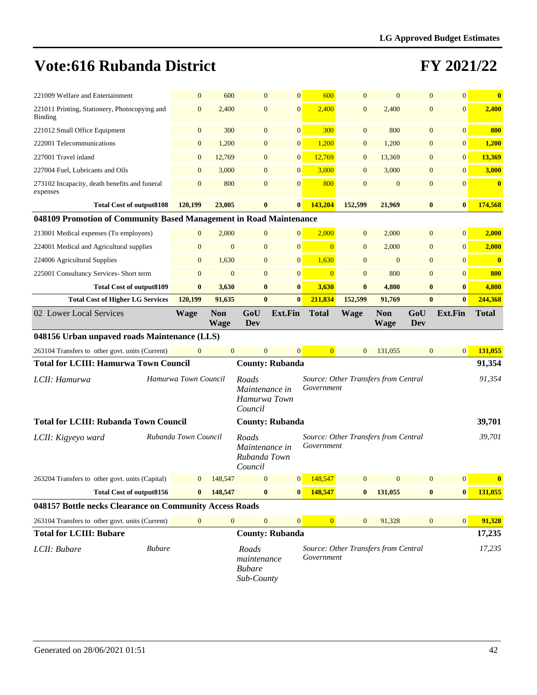| 221009 Welfare and Entertainment                                   | $\mathbf{0}$         | 600                       | $\overline{0}$                                     | $\mathbf{0}$    | 600            | $\mathbf{0}$                         | $\overline{0}$            | $\overline{0}$   | $\overline{0}$   | $\bf{0}$     |
|--------------------------------------------------------------------|----------------------|---------------------------|----------------------------------------------------|-----------------|----------------|--------------------------------------|---------------------------|------------------|------------------|--------------|
| 221011 Printing, Stationery, Photocopying and<br>Binding           | $\mathbf{0}$         | 2,400                     | $\mathbf{0}$                                       | $\overline{0}$  | 2,400          | $\mathbf{0}$                         | 2,400                     | $\overline{0}$   | $\mathbf{0}$     | 2,400        |
| 221012 Small Office Equipment                                      | $\mathbf{0}$         | 300                       | $\mathbf{0}$                                       | $\overline{0}$  | 300            | $\mathbf{0}$                         | 800                       | $\overline{0}$   | $\mathbf{0}$     | 800          |
| 222001 Telecommunications                                          | $\mathbf{0}$         | 1,200                     | $\overline{0}$                                     | $\mathbf{0}$    | 1,200          | $\mathbf{0}$                         | 1,200                     | $\mathbf{0}$     | $\boldsymbol{0}$ | 1,200        |
| 227001 Travel inland                                               | $\mathbf{0}$         | 12,769                    | $\mathbf{0}$                                       | $\overline{0}$  | 12,769         | $\mathbf{0}$                         | 13,369                    | $\mathbf{0}$     | $\boldsymbol{0}$ | 13,369       |
| 227004 Fuel, Lubricants and Oils                                   | $\mathbf{0}$         | 3,000                     | $\overline{0}$                                     | $\overline{0}$  | 3,000          | $\mathbf{0}$                         | 3,000                     | $\overline{0}$   | $\mathbf{0}$     | 3,000        |
| 273102 Incapacity, death benefits and funeral<br>expenses          | $\boldsymbol{0}$     | 800                       | $\boldsymbol{0}$                                   | $\overline{0}$  | 800            | $\mathbf{0}$                         | $\boldsymbol{0}$          | $\boldsymbol{0}$ | $\mathbf{0}$     | $\bf{0}$     |
| <b>Total Cost of output8108</b>                                    | 120,199              | 23,005                    | $\bf{0}$                                           | $\bf{0}$        | 143,204        | 152,599                              | 21,969                    | $\bf{0}$         | $\bf{0}$         | 174,568      |
| 048109 Promotion of Community Based Management in Road Maintenance |                      |                           |                                                    |                 |                |                                      |                           |                  |                  |              |
| 213001 Medical expenses (To employees)                             | $\mathbf{0}$         | 2,000                     | $\overline{0}$                                     | $\overline{0}$  | 2,000          | $\mathbf{0}$                         | 2,000                     | $\overline{0}$   | $\overline{0}$   | 2,000        |
| 224001 Medical and Agricultural supplies                           | $\boldsymbol{0}$     | $\mathbf{0}$              | $\boldsymbol{0}$                                   | $\overline{0}$  | $\overline{0}$ | $\mathbf{0}$                         | 2,000                     | $\boldsymbol{0}$ | $\boldsymbol{0}$ | 2,000        |
| 224006 Agricultural Supplies                                       | $\overline{0}$       | 1,630                     | $\mathbf{0}$                                       | $\overline{0}$  | 1,630          | $\mathbf{0}$                         | $\mathbf{0}$              | $\overline{0}$   | $\mathbf{0}$     | $\bf{0}$     |
| 225001 Consultancy Services- Short term                            | $\overline{0}$       | $\mathbf{0}$              | $\mathbf{0}$                                       | $\overline{0}$  | $\overline{0}$ | $\mathbf{0}$                         | 800                       | $\mathbf{0}$     | $\mathbf{0}$     | 800          |
| <b>Total Cost of output8109</b>                                    | $\bf{0}$             | 3,630                     | $\bf{0}$                                           | $\bf{0}$        | 3,630          | $\bf{0}$                             | 4,800                     | $\bf{0}$         | $\bf{0}$         | 4,800        |
| <b>Total Cost of Higher LG Services</b>                            | 120,199              | 91,635                    | $\bf{0}$                                           | $\bf{0}$        | 211,834        | 152,599                              | 91,769                    | $\bf{0}$         | $\bf{0}$         | 244,368      |
| 02 Lower Local Services                                            | <b>Wage</b>          | <b>Non</b><br><b>Wage</b> | GoU<br><b>Dev</b>                                  | <b>Ext.Fin</b>  | <b>Total</b>   | <b>Wage</b>                          | <b>Non</b><br><b>Wage</b> | GoU<br>Dev       | <b>Ext.Fin</b>   | <b>Total</b> |
| 048156 Urban unpaved roads Maintenance (LLS)                       |                      |                           |                                                    |                 |                |                                      |                           |                  |                  |              |
| 263104 Transfers to other govt. units (Current)                    | $\mathbf{0}$         | $\mathbf{0}$              | $\overline{0}$                                     | $\overline{0}$  | $\overline{0}$ | $\mathbf{0}$                         | 131,055                   | $\mathbf{0}$     | $\vert 0 \vert$  | 131,055      |
| <b>Total for LCIII: Hamurwa Town Council</b>                       |                      |                           | <b>County: Rubanda</b>                             |                 |                |                                      |                           |                  |                  | 91,354       |
| LCII: Hamurwa                                                      | Hamurwa Town Council |                           | Roads<br>Maintenance in<br>Hamurwa Town<br>Council |                 | Government     | Source: Other Transfers from Central |                           |                  |                  | 91,354       |
| <b>Total for LCIII: Rubanda Town Council</b>                       |                      |                           | <b>County: Rubanda</b>                             |                 |                |                                      |                           |                  |                  | 39,701       |
| LCII: Kigyeyo ward                                                 | Rubanda Town Council |                           | Roads<br>Maintenance in<br>Rubanda Town<br>Council |                 | Government     | Source: Other Transfers from Central |                           |                  |                  | 39,701       |
| 263204 Transfers to other govt. units (Capital)                    | $\Omega$             | 148,547                   | $\mathbf{0}$                                       | $\vert 0 \vert$ | 148,547        | $\Omega$                             | $\overline{0}$            | $\overline{0}$   | $\Omega$         | $\bf{0}$     |
| <b>Total Cost of output8156</b>                                    | $\bf{0}$             | 148,547                   | $\bf{0}$                                           | $\bf{0}$        | 148,547        | $\bf{0}$                             | 131,055                   | $\bf{0}$         | $\bf{0}$         | 131,055      |
| 048157 Bottle necks Clearance on Community Access Roads            |                      |                           |                                                    |                 |                |                                      |                           |                  |                  |              |
|                                                                    |                      |                           |                                                    |                 |                |                                      |                           |                  |                  |              |
| 263104 Transfers to other govt. units (Current)                    | $\boldsymbol{0}$     | $\boldsymbol{0}$          | $\boldsymbol{0}$                                   | $\overline{0}$  | $\mathbf{0}$   | $\mathbf{0}$                         | 91,328                    | $\mathbf{0}$     | 0                | 91,328       |
| <b>Total for LCIII: Bubare</b>                                     |                      |                           | <b>County: Rubanda</b>                             |                 |                |                                      |                           |                  |                  | 17,235       |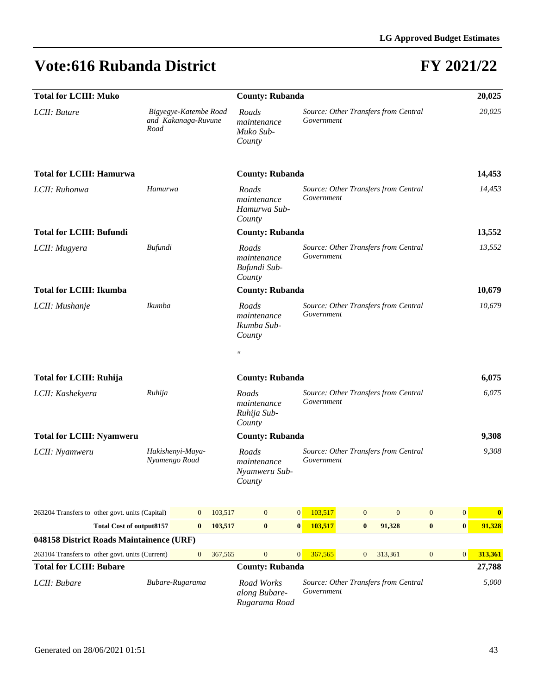| <b>Total for LCIII: Muko</b>                    |                                                      | <b>County: Rubanda</b> |         |                                                                                                     |                                                    |            |                  |                                      | 20,025           |                  |                  |  |  |
|-------------------------------------------------|------------------------------------------------------|------------------------|---------|-----------------------------------------------------------------------------------------------------|----------------------------------------------------|------------|------------------|--------------------------------------|------------------|------------------|------------------|--|--|
| LCII: Butare                                    | Bigyegye-Katembe Road<br>and Kakanaga-Ruvune<br>Road |                        |         |                                                                                                     |                                                    | Government |                  | Source: Other Transfers from Central |                  |                  | 20,025           |  |  |
| <b>Total for LCIII: Hamurwa</b>                 | <b>County: Rubanda</b>                               |                        |         |                                                                                                     |                                                    |            |                  |                                      |                  |                  | 14,453           |  |  |
| LCII: Ruhonwa                                   | Hamurwa                                              |                        |         |                                                                                                     |                                                    | Government |                  | Source: Other Transfers from Central |                  | 14.453           |                  |  |  |
| <b>Total for LCIII: Bufundi</b>                 |                                                      | <b>County: Rubanda</b> |         |                                                                                                     |                                                    |            |                  |                                      | 13,552           |                  |                  |  |  |
| LCII: Mugyera                                   | <b>Bufundi</b>                                       |                        |         |                                                                                                     |                                                    | Government |                  | Source: Other Transfers from Central |                  |                  | 13,552           |  |  |
| <b>Total for LCIII: Ikumba</b>                  |                                                      |                        |         | <b>County: Rubanda</b>                                                                              |                                                    |            |                  |                                      |                  |                  | 10,679           |  |  |
| LCII: Mushanje                                  | Ikumba                                               |                        |         | Roads<br>maintenance<br>Ikumba Sub-<br>County                                                       | Source: Other Transfers from Central<br>Government |            |                  |                                      |                  |                  | 10,679           |  |  |
|                                                 |                                                      |                        |         | $^{\prime\prime}$                                                                                   |                                                    |            |                  |                                      |                  |                  |                  |  |  |
| <b>Total for LCIII: Ruhija</b>                  |                                                      |                        |         | <b>County: Rubanda</b>                                                                              |                                                    |            |                  |                                      |                  |                  | 6,075            |  |  |
| LCII: Kashekyera                                | Ruhija                                               |                        |         | Source: Other Transfers from Central<br>Roads<br>Government<br>maintenance<br>Ruhija Sub-<br>County |                                                    |            |                  |                                      |                  |                  | 6,075            |  |  |
| <b>Total for LCIII: Nyamweru</b>                |                                                      |                        |         | <b>County: Rubanda</b>                                                                              |                                                    |            |                  |                                      |                  |                  | 9,308            |  |  |
| LCII: Nyamweru                                  | Hakishenyi-Maya-<br>Nyamengo Road                    |                        |         |                                                                                                     |                                                    | Government |                  | Source: Other Transfers from Central |                  |                  | 9,308            |  |  |
| 263204 Transfers to other govt. units (Capital) |                                                      | $\mathbf{0}$           | 103,517 | $\mathbf{0}$                                                                                        | $\mathbf{0}$                                       | 103,517    | $\mathbf{0}$     | $\mathbf{0}$                         | $\boldsymbol{0}$ | $\boldsymbol{0}$ | $\boldsymbol{0}$ |  |  |
| <b>Total Cost of output8157</b>                 |                                                      | $\bf{0}$               | 103,517 | $\bf{0}$                                                                                            | $\bf{0}$                                           | 103,517    | $\bf{0}$         | 91,328                               | $\bf{0}$         | $\bf{0}$         | 91,328           |  |  |
| 048158 District Roads Maintainence (URF)        |                                                      |                        |         |                                                                                                     |                                                    |            |                  |                                      |                  |                  |                  |  |  |
| 263104 Transfers to other govt. units (Current) |                                                      | $\boldsymbol{0}$       | 367,565 | $\boldsymbol{0}$                                                                                    | $\mathbf{0}$                                       | 367,565    | $\boldsymbol{0}$ | 313,361                              | $\boldsymbol{0}$ | $\boldsymbol{0}$ | 313,361          |  |  |
| <b>Total for LCIII: Bubare</b>                  |                                                      |                        |         | <b>County: Rubanda</b>                                                                              |                                                    |            |                  |                                      | 27,788           |                  |                  |  |  |
| Bubare-Rugarama<br>LCII: Bubare                 |                                                      |                        |         | Road Works<br>along Bubare-<br>Rugarama Road                                                        |                                                    | Government |                  | Source: Other Transfers from Central |                  |                  | 5,000            |  |  |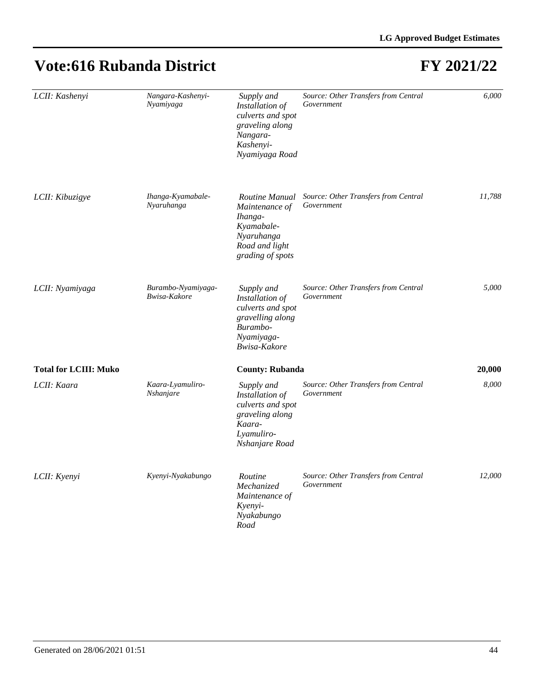| LCII: Kashenyi               | Nangara-Kashenyi-<br>Nyamiyaga     | Supply and<br>Installation of<br>culverts and spot<br>graveling along<br>Nangara-<br>Kashenyi-<br>Nyamiyaga Road | Source: Other Transfers from Central<br>Government | 6,000  |
|------------------------------|------------------------------------|------------------------------------------------------------------------------------------------------------------|----------------------------------------------------|--------|
| LCII: Kibuzigye              | Ihanga-Kyamabale-<br>Nyaruhanga    | Routine Manual<br>Maintenance of<br>Ihanga-<br>Kyamabale-<br>Nyaruhanga<br>Road and light<br>grading of spots    | Source: Other Transfers from Central<br>Government | 11,788 |
| LCII: Nyamiyaga              | Burambo-Nyamiyaga-<br>Bwisa-Kakore | Supply and<br>Installation of<br>culverts and spot<br>gravelling along<br>Burambo-<br>Nyamiyaga-<br>Bwisa-Kakore | Source: Other Transfers from Central<br>Government | 5.000  |
| <b>Total for LCIII: Muko</b> |                                    | <b>County: Rubanda</b>                                                                                           |                                                    | 20,000 |
| LCII: Kaara                  | Kaara-Lyamuliro-<br>Nshanjare      | Supply and<br>Installation of<br>culverts and spot<br>graveling along<br>Kaara-<br>Lyamuliro-<br>Nshanjare Road  | Source: Other Transfers from Central<br>Government | 8,000  |
| LCII: Kyenyi                 | Kyenyi-Nyakabungo                  | Routine<br>Mechanized<br>Maintenance of<br>Kyenyi-<br>Nyakabungo<br>Road                                         | Source: Other Transfers from Central<br>Government | 12,000 |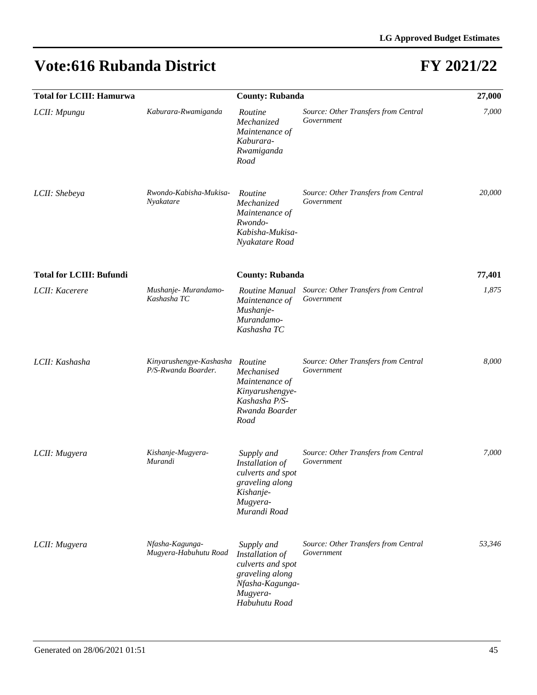| <b>Total for LCIII: Hamurwa</b> |                                                | <b>County: Rubanda</b>                                                                                                |                                                    | 27,000 |
|---------------------------------|------------------------------------------------|-----------------------------------------------------------------------------------------------------------------------|----------------------------------------------------|--------|
| LCII: Mpungu                    | Kaburara-Rwamiganda                            | Routine<br>Mechanized<br>Maintenance of<br>Kaburara-<br>Rwamiganda<br>Road                                            | Source: Other Transfers from Central<br>Government | 7,000  |
| LCII: Shebeya                   | Rwondo-Kabisha-Mukisa-<br>Nyakatare            | Routine<br>Mechanized<br>Maintenance of<br>Rwondo-<br>Kabisha-Mukisa-<br>Nyakatare Road                               | Source: Other Transfers from Central<br>Government | 20,000 |
| <b>Total for LCIII: Bufundi</b> |                                                | <b>County: Rubanda</b>                                                                                                |                                                    | 77,401 |
| LCII: Kacerere                  | Mushanje-Murandamo-<br>Kashasha TC             | Routine Manual<br>Maintenance of<br>Mushanje-<br>Murandamo-<br>Kashasha TC                                            | Source: Other Transfers from Central<br>Government | 1,875  |
| LCII: Kashasha                  | Kinyarushengye-Kashasha<br>P/S-Rwanda Boarder. | Routine<br>Mechanised<br>Maintenance of<br>Kinyarushengye-<br>Kashasha P/S-<br>Rwanda Boarder<br>Road                 | Source: Other Transfers from Central<br>Government | 8,000  |
| LCII: Mugyera                   | Kishanje-Mugyera-<br>Murandi                   | Supply and<br>Installation of<br>culverts and spot<br>graveling along<br>Kishanje-<br>Mugyera-<br>Murandi Road        | Source: Other Transfers from Central<br>Government | 7,000  |
| LCII: Mugyera                   | Nfasha-Kagunga-<br>Mugyera-Habuhutu Road       | Supply and<br>Installation of<br>culverts and spot<br>graveling along<br>Nfasha-Kagunga-<br>Mugyera-<br>Habuhutu Road | Source: Other Transfers from Central<br>Government | 53,346 |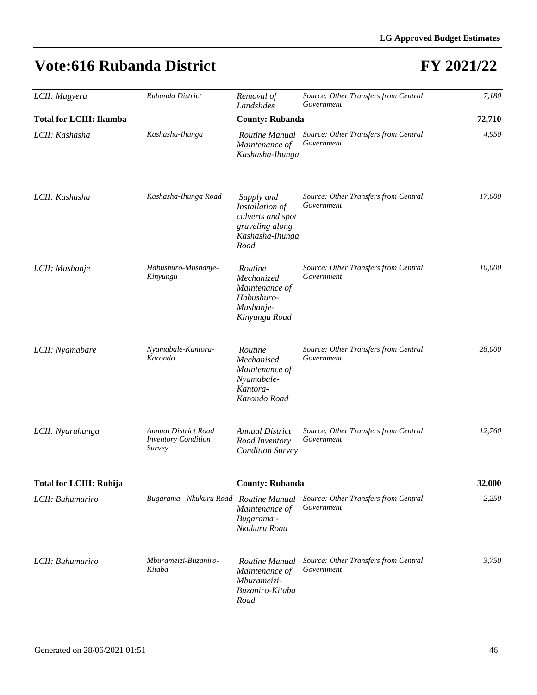| LCII: Mugyera                  | Rubanda District                                                    | Removal of                                                                                       | Source: Other Transfers from Central               | 7,180  |
|--------------------------------|---------------------------------------------------------------------|--------------------------------------------------------------------------------------------------|----------------------------------------------------|--------|
|                                |                                                                     | Landslides                                                                                       | Government                                         |        |
| <b>Total for LCIII: Ikumba</b> |                                                                     | <b>County: Rubanda</b>                                                                           |                                                    | 72,710 |
| LCII: Kashasha                 | Kashasha-Ihunga                                                     | Routine Manual<br>Maintenance of<br>Kashasha-Ihunga                                              | Source: Other Transfers from Central<br>Government | 4,950  |
| LCII: Kashasha                 | Kashasha-Ihunga Road                                                | Supply and<br>Installation of<br>culverts and spot<br>graveling along<br>Kashasha-Ihunga<br>Road | Source: Other Transfers from Central<br>Government | 17,000 |
| LCII: Mushanje                 | Habushuro-Mushanje-<br>Kinyungu                                     | Routine<br>Mechanized<br>Maintenance of<br>Habushuro-<br>Mushanje-<br>Kinyungu Road              | Source: Other Transfers from Central<br>Government | 10.000 |
| LCII: Nyamabare                | Nyamabale-Kantora-<br>Karondo                                       | Routine<br>Mechanised<br>Maintenance of<br>Nyamabale-<br>Kantora-<br>Karondo Road                | Source: Other Transfers from Central<br>Government | 28,000 |
| LCII: Nyaruhanga               | <b>Annual District Road</b><br><b>Inventory Condition</b><br>Survey | <b>Annual District</b><br>Road Inventory<br><b>Condition Survey</b>                              | Source: Other Transfers from Central<br>Government | 12,760 |
| <b>Total for LCIII: Ruhija</b> |                                                                     | <b>County: Rubanda</b>                                                                           |                                                    | 32,000 |
| LCII: Buhumuriro               | Bugarama - Nkukuru Road Routine Manual                              | Maintenance of<br>Bugarama -<br>Nkukuru Road                                                     | Source: Other Transfers from Central<br>Government | 2,250  |
| LCII: Buhumuriro               | Mburameizi-Buzaniro-<br>Kitaba                                      | Routine Manual<br>Maintenance of<br>Mburameizi-<br>Buzaniro-Kitaba<br>Road                       | Source: Other Transfers from Central<br>Government | 3,750  |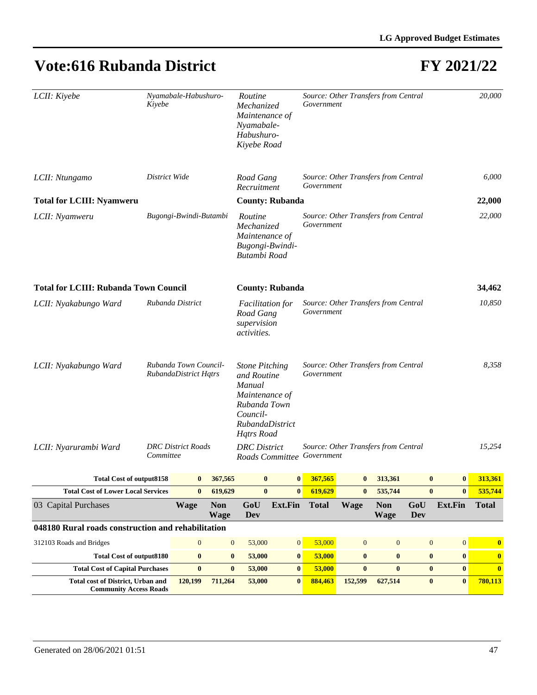| LCII: Kiyebe                                                       | Kiyebe    | Nyamabale-Habushuro-                           |                                                                    | Routine<br>Mechanized<br>Maintenance of<br>Nyamabale-<br>Habushuro-<br>Kiyebe Road                                                   |                                                    | Government                 | Source: Other Transfers from Central |                           |                  |                  | 20,000           |
|--------------------------------------------------------------------|-----------|------------------------------------------------|--------------------------------------------------------------------|--------------------------------------------------------------------------------------------------------------------------------------|----------------------------------------------------|----------------------------|--------------------------------------|---------------------------|------------------|------------------|------------------|
| LCII: Ntungamo                                                     |           | Road Gang<br>Recruitment                       |                                                                    | Government                                                                                                                           | Source: Other Transfers from Central               |                            |                                      |                           | 6,000            |                  |                  |
| <b>Total for LCIII: Nyamweru</b>                                   |           |                                                |                                                                    |                                                                                                                                      | <b>County: Rubanda</b>                             |                            |                                      |                           |                  |                  | 22,000           |
| Bugongi-Bwindi-Butambi<br>LCII: Nyamweru                           |           |                                                |                                                                    | Routine<br>Mechanized<br>Maintenance of<br>Bugongi-Bwindi-<br>Butambi Road                                                           |                                                    | Government                 | Source: Other Transfers from Central |                           |                  |                  | 22,000           |
| <b>Total for LCIII: Rubanda Town Council</b>                       |           |                                                |                                                                    |                                                                                                                                      | <b>County: Rubanda</b>                             |                            |                                      |                           |                  |                  | 34,462           |
| Rubanda District<br>LCII: Nyakabungo Ward                          |           |                                                | <b>Facilitation</b> for<br>Road Gang<br>supervision<br>activities. |                                                                                                                                      | Source: Other Transfers from Central<br>Government |                            |                                      |                           |                  | 10,850           |                  |
| LCII: Nyakabungo Ward                                              |           | Rubanda Town Council-<br>RubandaDistrict Hqtrs |                                                                    | <b>Stone Pitching</b><br>and Routine<br>Manual<br>Maintenance of<br>Rubanda Town<br>Council-<br>RubandaDistrict<br><b>Hqtrs</b> Road |                                                    | Government                 | Source: Other Transfers from Central |                           |                  |                  | 8,358            |
| LCII: Nyarurambi Ward                                              | Committee | <b>DRC</b> District Roads                      |                                                                    | <b>DRC</b> District                                                                                                                  |                                                    | Roads Committee Government | Source: Other Transfers from Central |                           |                  |                  | 15,254           |
| <b>Total Cost of output8158</b>                                    |           | $\bf{0}$                                       | 367,565                                                            | $\bf{0}$                                                                                                                             | $\bf{0}$                                           | 367,565                    | $\bf{0}$                             | 313,361                   | $\bf{0}$         | $\mathbf{0}$     | 313,361          |
| <b>Total Cost of Lower Local Services</b>                          |           | $\bf{0}$                                       | 619,629                                                            | $\bf{0}$                                                                                                                             | $\bf{0}$                                           | 619,629                    | $\bf{0}$                             | 535,744                   | $\bf{0}$         | $\bf{0}$         | 535,744          |
| 03 Capital Purchases                                               |           | <b>Wage</b>                                    | <b>Non</b><br><b>Wage</b>                                          | GoU<br>Dev                                                                                                                           | Ext.Fin                                            | <b>Total</b>               | <b>Wage</b>                          | <b>Non</b><br><b>Wage</b> | GoU<br>Dev       | Ext.Fin          | <b>Total</b>     |
| 048180 Rural roads construction and rehabilitation                 |           |                                                |                                                                    |                                                                                                                                      |                                                    |                            |                                      |                           |                  |                  |                  |
| 312103 Roads and Bridges                                           |           | $\mathbf{0}$                                   | $\mathbf{0}$                                                       | 53,000                                                                                                                               | $\boldsymbol{0}$                                   | 53,000                     | $\mathbf{0}$                         | $\boldsymbol{0}$          | $\boldsymbol{0}$ | $\boldsymbol{0}$ | $\bf{0}$         |
| <b>Total Cost of output8180</b>                                    |           | $\bf{0}$                                       | $\bf{0}$                                                           | 53,000                                                                                                                               | $\bf{0}$                                           | 53,000                     | $\bf{0}$                             | $\bf{0}$                  | $\boldsymbol{0}$ | $\boldsymbol{0}$ | $\boldsymbol{0}$ |
| <b>Total Cost of Capital Purchases</b>                             |           | $\bf{0}$                                       | $\bf{0}$                                                           | 53,000                                                                                                                               | $\boldsymbol{0}$                                   | 53,000                     | $\bf{0}$                             | $\bf{0}$                  | $\bf{0}$         | $\bf{0}$         | $\bf{0}$         |
| Total cost of District, Urban and<br><b>Community Access Roads</b> |           | 120,199                                        | 711,264                                                            | 53,000                                                                                                                               | $\bf{0}$                                           | 884,463                    | 152,599                              | 627,514                   | $\bf{0}$         | $\bf{0}$         | 780,113          |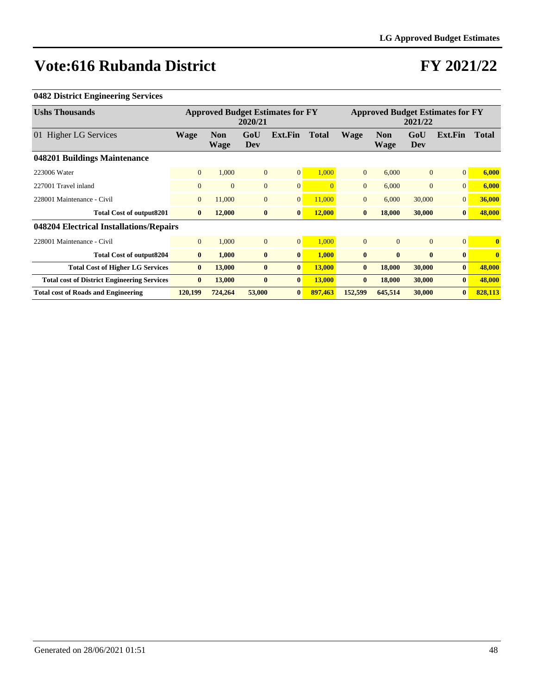### **FY 2021/22**

#### **0482 District Engineering Services**

| <b>Ushs Thousands</b>                              |                | <b>Approved Budget Estimates for FY</b><br>2020/21 |              |                |              | <b>Approved Budget Estimates for FY</b><br>2021/22 |                    |                |                 |              |
|----------------------------------------------------|----------------|----------------------------------------------------|--------------|----------------|--------------|----------------------------------------------------|--------------------|----------------|-----------------|--------------|
| 01 Higher LG Services                              | <b>Wage</b>    | <b>Non</b><br>Wage                                 | GoU<br>Dev   | Ext.Fin        | <b>Total</b> | <b>Wage</b>                                        | <b>Non</b><br>Wage | GoU<br>Dev     | Ext.Fin         | <b>Total</b> |
| 048201 Buildings Maintenance                       |                |                                                    |              |                |              |                                                    |                    |                |                 |              |
| 223006 Water                                       | $\overline{0}$ | 1,000                                              | $\mathbf{0}$ | 0              | 1,000        | $\overline{0}$                                     | 6.000              | $\overline{0}$ | $\Omega$        | 6,000        |
| 227001 Travel inland                               | $\overline{0}$ | $\Omega$                                           | $\mathbf{0}$ | $\overline{0}$ |              | $\Omega$                                           | 6,000              | $\mathbf{0}$   | $\Omega$        | 6,000        |
| 228001 Maintenance - Civil                         | $\overline{0}$ | 11,000                                             | $\mathbf{0}$ | 0              | 11,000       | $\Omega$                                           | 6,000              | 30,000         | $\Omega$        | 36,000       |
| Total Cost of output8201                           | $\mathbf{0}$   | 12,000                                             | $\bf{0}$     | $\bf{0}$       | 12,000       | $\mathbf{0}$                                       | 18,000             | 30,000         | $\bf{0}$        | 48,000       |
| 048204 Electrical Installations/Repairs            |                |                                                    |              |                |              |                                                    |                    |                |                 |              |
| 228001 Maintenance - Civil                         | $\overline{0}$ | 1,000                                              | $\mathbf{0}$ | 0              | 1,000        | $\overline{0}$                                     | $\mathbf{0}$       | $\Omega$       | $\vert 0 \vert$ | $\bf{0}$     |
| Total Cost of output8204                           | $\bf{0}$       | 1,000                                              | $\bf{0}$     | $\bf{0}$       | 1,000        | $\mathbf{0}$                                       | $\mathbf{0}$       | $\bf{0}$       | $\bf{0}$        | $\mathbf{0}$ |
| <b>Total Cost of Higher LG Services</b>            | $\bf{0}$       | 13,000                                             | $\bf{0}$     | $\bf{0}$       | 13,000       | $\mathbf{0}$                                       | 18,000             | 30,000         | $\bf{0}$        | 48,000       |
| <b>Total cost of District Engineering Services</b> | $\bf{0}$       | 13,000                                             | $\bf{0}$     | $\bf{0}$       | 13,000       | $\mathbf{0}$                                       | 18,000             | 30,000         | $\mathbf{0}$    | 48,000       |
| <b>Total cost of Roads and Engineering</b>         | 120,199        | 724,264                                            | 53,000       | $\bf{0}$       | 897,463      | 152,599                                            | 645,514            | 30,000         | $\mathbf{0}$    | 828,113      |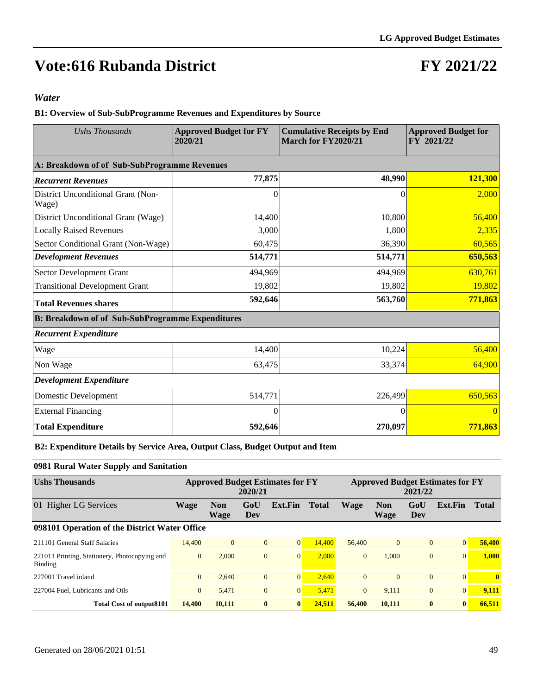### **FY 2021/22**

#### *Water*

**B1: Overview of Sub-SubProgramme Revenues and Expenditures by Source**

| Ushs Thousands                                          | <b>Approved Budget for FY</b><br>2020/21 | <b>Cumulative Receipts by End</b><br>March for FY2020/21 | <b>Approved Budget for</b><br>FY 2021/22 |  |  |
|---------------------------------------------------------|------------------------------------------|----------------------------------------------------------|------------------------------------------|--|--|
| A: Breakdown of of Sub-SubProgramme Revenues            |                                          |                                                          |                                          |  |  |
| <b>Recurrent Revenues</b>                               | 77,875                                   | 48,990                                                   | 121,300                                  |  |  |
| District Unconditional Grant (Non-<br>Wage)             | 0                                        | $\Omega$                                                 | 2,000                                    |  |  |
| District Unconditional Grant (Wage)                     | 14,400                                   | 10,800                                                   | 56,400                                   |  |  |
| <b>Locally Raised Revenues</b>                          | 3,000                                    | 1,800                                                    | 2,335                                    |  |  |
| Sector Conditional Grant (Non-Wage)                     | 60,475                                   | 36,390                                                   | 60,565                                   |  |  |
| <b>Development Revenues</b>                             | 514,771                                  | 514,771                                                  | 650,563                                  |  |  |
| Sector Development Grant                                | 494,969                                  | 494,969                                                  | 630,761                                  |  |  |
| <b>Transitional Development Grant</b>                   | 19,802                                   | 19,802                                                   | 19,802                                   |  |  |
| <b>Total Revenues shares</b>                            | 592,646                                  | 563,760                                                  | 771,863                                  |  |  |
| <b>B: Breakdown of of Sub-SubProgramme Expenditures</b> |                                          |                                                          |                                          |  |  |
| <b>Recurrent Expenditure</b>                            |                                          |                                                          |                                          |  |  |
| Wage                                                    | 14,400                                   | 10,224                                                   | 56,400                                   |  |  |
| Non Wage                                                | 63,475                                   | 33,374                                                   | 64,900                                   |  |  |
| <b>Development Expenditure</b>                          |                                          |                                                          |                                          |  |  |
| Domestic Development                                    | 514,771                                  | 226,499                                                  | 650,563                                  |  |  |
| <b>External Financing</b>                               | 0                                        | 0                                                        |                                          |  |  |
| <b>Total Expenditure</b>                                | 592,646                                  | 270,097                                                  | 771,863                                  |  |  |

**B2: Expenditure Details by Service Area, Output Class, Budget Output and Item**

#### **0981 Rural Water Supply and Sanitation**

| <b>Ushs Thousands</b>                                    |                | <b>Approved Budget Estimates for FY</b><br>2020/21 |                |                |              |             | <b>Approved Budget Estimates for FY</b><br>2021/22 |                |                 |              |  |  |
|----------------------------------------------------------|----------------|----------------------------------------------------|----------------|----------------|--------------|-------------|----------------------------------------------------|----------------|-----------------|--------------|--|--|
| Higher LG Services<br>01                                 | <b>Wage</b>    | <b>Non</b><br>Wage                                 | GoU<br>Dev     | Ext.Fin        | <b>Total</b> | <b>Wage</b> | <b>Non</b><br>Wage                                 | GoU<br>Dev     | Ext.Fin         | Total        |  |  |
| 098101 Operation of the District Water Office            |                |                                                    |                |                |              |             |                                                    |                |                 |              |  |  |
| 211101 General Staff Salaries                            | 14,400         | $\Omega$                                           | $\overline{0}$ | $\overline{0}$ | 14.400       | 56,400      | $\overline{0}$                                     | $\overline{0}$ | $\vert 0 \vert$ | 56,400       |  |  |
| 221011 Printing, Stationery, Photocopying and<br>Binding | $\mathbf{0}$   | 2.000                                              | $\overline{0}$ | $\overline{0}$ | 2.000        | $\Omega$    | 1.000                                              | $\overline{0}$ | $\Omega$        | 1.000        |  |  |
| 227001 Travel inland                                     | $\overline{0}$ | 2.640                                              | $\overline{0}$ | $\overline{0}$ | 2.640        | $\Omega$    | $\Omega$                                           | $\overline{0}$ | $\vert 0 \vert$ | $\mathbf{0}$ |  |  |
| 227004 Fuel, Lubricants and Oils                         | $\mathbf{0}$   | 5.471                                              | $\overline{0}$ | $\mathbf{0}$   | 5,471        | $\Omega$    | 9.111                                              | $\overline{0}$ | $\Omega$        | 9,111        |  |  |
| <b>Total Cost of output8101</b>                          | 14,400         | 10.111                                             | $\bf{0}$       | $\bf{0}$       | 24.511       | 56,400      | 10.111                                             | $\mathbf{0}$   | $\mathbf{0}$    | 66.511       |  |  |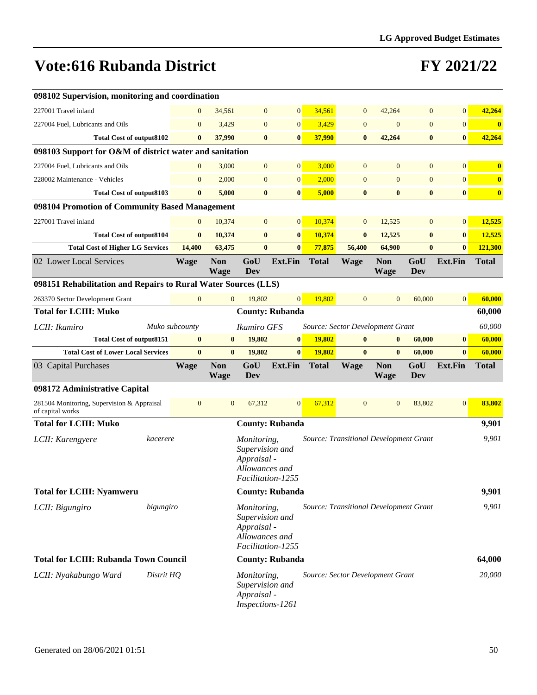| 098102 Supervision, monitoring and coordination                |            |                  |                           |                                                                   |                        |                                        |                |                           |                  |                  |                         |
|----------------------------------------------------------------|------------|------------------|---------------------------|-------------------------------------------------------------------|------------------------|----------------------------------------|----------------|---------------------------|------------------|------------------|-------------------------|
| 227001 Travel inland                                           |            | $\mathbf{0}$     | 34,561                    | $\mathbf{0}$                                                      | $\overline{0}$         | 34,561                                 | $\mathbf{0}$   | 42,264                    | $\mathbf{0}$     | $\mathbf{0}$     | 42,264                  |
| 227004 Fuel, Lubricants and Oils                               |            | $\boldsymbol{0}$ | 3,429                     | $\boldsymbol{0}$                                                  | $\boldsymbol{0}$       | 3,429                                  | $\mathbf{0}$   | $\boldsymbol{0}$          | $\boldsymbol{0}$ | $\boldsymbol{0}$ | $\bf{0}$                |
| <b>Total Cost of output8102</b>                                |            | $\bf{0}$         | 37,990                    | $\bf{0}$                                                          | $\bf{0}$               | 37,990                                 | $\bf{0}$       | 42,264                    | $\bf{0}$         | $\bf{0}$         | 42,264                  |
| 098103 Support for O&M of district water and sanitation        |            |                  |                           |                                                                   |                        |                                        |                |                           |                  |                  |                         |
| 227004 Fuel, Lubricants and Oils                               |            | $\mathbf{0}$     | 3,000                     | $\boldsymbol{0}$                                                  | $\overline{0}$         | 3,000                                  | $\mathbf{0}$   | $\mathbf{0}$              | $\mathbf{0}$     | $\mathbf{0}$     | $\bf{0}$                |
| 228002 Maintenance - Vehicles                                  |            | $\boldsymbol{0}$ | 2,000                     | $\overline{0}$                                                    | $\overline{0}$         | 2,000                                  | $\mathbf{0}$   | $\overline{0}$            | $\overline{0}$   | $\mathbf{0}$     | $\overline{\mathbf{0}}$ |
| <b>Total Cost of output8103</b>                                |            | $\bf{0}$         | 5,000                     | $\bf{0}$                                                          | $\bf{0}$               | 5,000                                  | $\bf{0}$       | $\bf{0}$                  | $\bf{0}$         | $\bf{0}$         | $\boldsymbol{0}$        |
| 098104 Promotion of Community Based Management                 |            |                  |                           |                                                                   |                        |                                        |                |                           |                  |                  |                         |
| 227001 Travel inland                                           |            | $\boldsymbol{0}$ | 10,374                    | $\mathbf{0}$                                                      | $\mathbf{0}$           | 10,374                                 | $\mathbf{0}$   | 12,525                    | $\mathbf{0}$     | $\mathbf{0}$     | 12,525                  |
| <b>Total Cost of output8104</b>                                |            | $\bf{0}$         | 10,374                    | $\bf{0}$                                                          | $\bf{0}$               | 10,374                                 | $\bf{0}$       | 12,525                    | $\bf{0}$         | $\bf{0}$         | 12,525                  |
| <b>Total Cost of Higher LG Services</b>                        |            | 14,400           | 63,475                    | $\bf{0}$                                                          | $\bf{0}$               | 77,875                                 | 56,400         | 64,900                    | $\bf{0}$         | $\bf{0}$         | 121,300                 |
| 02 Lower Local Services                                        |            | <b>Wage</b>      | <b>Non</b><br>Wage        | GoU<br>Dev                                                        | Ext.Fin                | <b>Total</b>                           | <b>Wage</b>    | <b>Non</b><br><b>Wage</b> | GoU<br>Dev       | Ext.Fin          | <b>Total</b>            |
| 098151 Rehabilitation and Repairs to Rural Water Sources (LLS) |            |                  |                           |                                                                   |                        |                                        |                |                           |                  |                  |                         |
| 263370 Sector Development Grant                                |            | $\mathbf{0}$     | $\overline{0}$            | 19,802                                                            | $\overline{0}$         | 19,802                                 | $\mathbf{0}$   | $\mathbf{0}$              | 60,000           | $\mathbf{0}$     | 60,000                  |
| <b>Total for LCIII: Muko</b>                                   |            |                  |                           |                                                                   | <b>County: Rubanda</b> |                                        |                |                           |                  |                  | 60,000                  |
| LCII: Ikamiro                                                  |            | Muko subcounty   |                           | Ikamiro GFS                                                       |                        | Source: Sector Development Grant       |                |                           |                  |                  | 60,000                  |
| <b>Total Cost of output8151</b>                                |            | $\bf{0}$         | $\bf{0}$                  | 19,802                                                            | $\bf{0}$               | 19,802                                 | $\bf{0}$       | $\bf{0}$                  | 60,000           | $\bf{0}$         | 60,000                  |
| <b>Total Cost of Lower Local Services</b>                      |            | $\bf{0}$         | $\bf{0}$                  | 19,802                                                            | $\bf{0}$               | 19,802                                 | $\bf{0}$       | $\bf{0}$                  | 60,000           | $\bf{0}$         | 60,000                  |
| 03 Capital Purchases                                           |            | <b>Wage</b>      | <b>Non</b><br><b>Wage</b> | GoU<br>Dev                                                        | <b>Ext.Fin</b>         | <b>Total</b>                           | <b>Wage</b>    | <b>Non</b><br><b>Wage</b> | GoU<br>Dev       | Ext.Fin          | <b>Total</b>            |
| 098172 Administrative Capital                                  |            |                  |                           |                                                                   |                        |                                        |                |                           |                  |                  |                         |
| 281504 Monitoring, Supervision & Appraisal<br>of capital works |            | $\mathbf{0}$     | $\mathbf{0}$              | 67,312                                                            | $\overline{0}$         | 67,312                                 | $\overline{0}$ | $\mathbf{0}$              | 83,802           | $\mathbf{0}$     | 83,802                  |
| <b>Total for LCIII: Muko</b>                                   |            |                  |                           |                                                                   | <b>County: Rubanda</b> |                                        |                |                           |                  |                  | 9,901                   |
| LCII: Karengyere                                               | kacerere   |                  |                           | Monitoring,<br>Supervision and<br>Appraisal -<br>Allowances and   | Facilitation-1255      | Source: Transitional Development Grant |                |                           |                  |                  | 9,901                   |
| <b>Total for LCIII: Nyamweru</b>                               |            |                  |                           |                                                                   | <b>County: Rubanda</b> |                                        |                |                           |                  |                  | 9,901                   |
| LCII: Bigungiro                                                | bigungiro  |                  |                           | Monitoring,<br>Supervision and<br>Appraisal -<br>Allowances and   | Facilitation-1255      | Source: Transitional Development Grant |                |                           |                  |                  | 9,901                   |
| <b>Total for LCIII: Rubanda Town Council</b>                   |            |                  |                           |                                                                   | <b>County: Rubanda</b> |                                        |                |                           |                  |                  | 64,000                  |
| LCII: Nyakabungo Ward                                          | Distrit HQ |                  |                           | Monitoring,<br>Supervision and<br>Appraisal -<br>Inspections-1261 |                        | Source: Sector Development Grant       |                |                           |                  |                  | 20,000                  |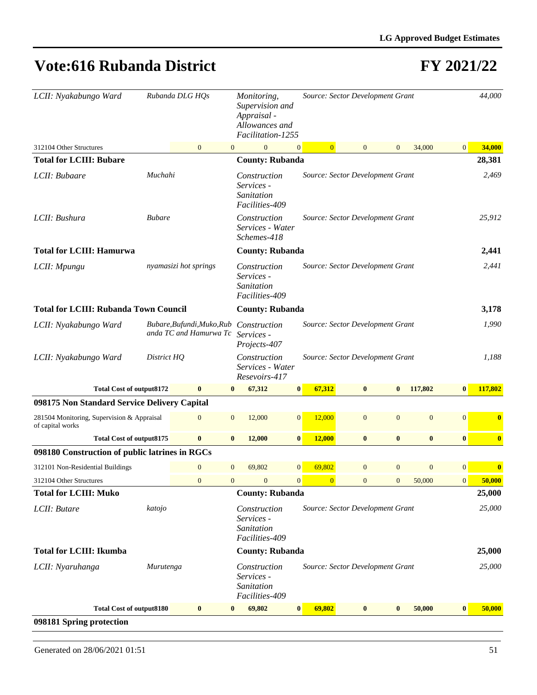| LCII: Nyakabungo Ward                                          |               | Rubanda DLG HQs                                      |                | Monitoring,<br>Supervision and<br>Appraisal -<br>Allowances and<br>Facilitation-1255 |                |                | Source: Sector Development Grant |                |              |                | 44,000   |
|----------------------------------------------------------------|---------------|------------------------------------------------------|----------------|--------------------------------------------------------------------------------------|----------------|----------------|----------------------------------|----------------|--------------|----------------|----------|
| 312104 Other Structures                                        |               | $\mathbf{0}$                                         | $\mathbf{0}$   | $\mathbf{0}$                                                                         | $\mathbf{0}$   | $\overline{0}$ | $\overline{0}$                   | $\mathbf{0}$   | 34,000       | $\mathbf{0}$   | 34,000   |
| <b>Total for LCIII: Bubare</b>                                 |               |                                                      |                | <b>County: Rubanda</b>                                                               |                |                |                                  |                |              |                | 28,381   |
| LCII: Bubaare                                                  | Muchahi       |                                                      |                | Construction<br>Services -<br>Sanitation<br>Facilities-409                           |                |                | Source: Sector Development Grant |                |              |                | 2,469    |
| LCII: Bushura                                                  | <b>Bubare</b> |                                                      |                | Construction<br>Services - Water<br>Schemes-418                                      |                |                | Source: Sector Development Grant |                |              |                | 25,912   |
| <b>Total for LCIII: Hamurwa</b>                                |               |                                                      |                | <b>County: Rubanda</b>                                                               |                |                |                                  |                |              |                | 2,441    |
| LCII: Mpungu                                                   |               | nyamasizi hot springs                                |                | Construction<br>Services -<br>Sanitation<br>Facilities-409                           |                |                | Source: Sector Development Grant |                |              |                | 2,441    |
| <b>Total for LCIII: Rubanda Town Council</b>                   |               |                                                      |                | <b>County: Rubanda</b>                                                               |                |                |                                  |                |              |                | 3,178    |
| LCII: Nyakabungo Ward                                          |               | Bubare, Bufundi, Muko, Rub<br>anda TC and Hamurwa Tc |                | Construction<br>Services -<br>Projects-407                                           |                |                | Source: Sector Development Grant |                |              |                | 1,990    |
| LCII: Nyakabungo Ward                                          | District HQ   |                                                      |                | Construction<br>Services - Water<br>Resevoirs-417                                    |                |                | Source: Sector Development Grant |                |              |                | 1,188    |
| <b>Total Cost of output8172</b>                                |               | $\bf{0}$                                             | $\bf{0}$       | 67,312                                                                               | $\bf{0}$       | 67,312         | $\mathbf{0}$                     | $\bf{0}$       | 117,802      | $\bf{0}$       | 117,802  |
| 098175 Non Standard Service Delivery Capital                   |               |                                                      |                |                                                                                      |                |                |                                  |                |              |                |          |
| 281504 Monitoring, Supervision & Appraisal<br>of capital works |               | $\mathbf{0}$                                         | $\mathbf{0}$   | 12,000                                                                               | $\overline{0}$ | 12,000         | $\mathbf{0}$                     | $\mathbf{0}$   | $\mathbf{0}$ | $\mathbf{0}$   | $\bf{0}$ |
| <b>Total Cost of output8175</b>                                |               | $\bf{0}$                                             | $\bf{0}$       | 12,000                                                                               | $\bf{0}$       | 12,000         | $\bf{0}$                         | $\bf{0}$       | $\bf{0}$     | $\bf{0}$       | $\bf{0}$ |
| 098180 Construction of public latrines in RGCs                 |               |                                                      |                |                                                                                      |                |                |                                  |                |              |                |          |
| 312101 Non-Residential Buildings                               |               | $\mathbf{0}$                                         | $\overline{0}$ | 69,802                                                                               | $\overline{0}$ | 69,802         | $\overline{0}$                   | $\mathbf{0}$   | $\mathbf{0}$ | $\mathbf{0}$   | $\bf{0}$ |
| 312104 Other Structures                                        |               | $\mathbf{0}$                                         | $\overline{0}$ | $\overline{0}$                                                                       | $\overline{0}$ | $\overline{0}$ | $\overline{0}$                   | $\overline{0}$ | 50,000       | $\overline{0}$ | 50,000   |
| <b>Total for LCIII: Muko</b>                                   |               |                                                      |                | <b>County: Rubanda</b>                                                               |                |                |                                  |                |              |                | 25,000   |
| LCII: Butare                                                   | katojo        |                                                      |                | Construction<br>Services -<br>Sanitation<br>Facilities-409                           |                |                | Source: Sector Development Grant |                |              |                | 25,000   |
| <b>Total for LCIII: Ikumba</b>                                 |               |                                                      |                | <b>County: Rubanda</b>                                                               |                |                |                                  |                |              |                | 25,000   |
| LCII: Nyaruhanga                                               | Murutenga     |                                                      |                | Construction<br>Services -<br>Sanitation<br>Facilities-409                           |                |                | Source: Sector Development Grant |                |              |                | 25,000   |
| <b>Total Cost of output8180</b>                                |               | $\bf{0}$                                             | $\bf{0}$       | 69,802                                                                               | $\bf{0}$       | 69,802         | $\bf{0}$                         | $\bf{0}$       | 50,000       | $\bf{0}$       | 50,000   |
| 098181 Spring protection                                       |               |                                                      |                |                                                                                      |                |                |                                  |                |              |                |          |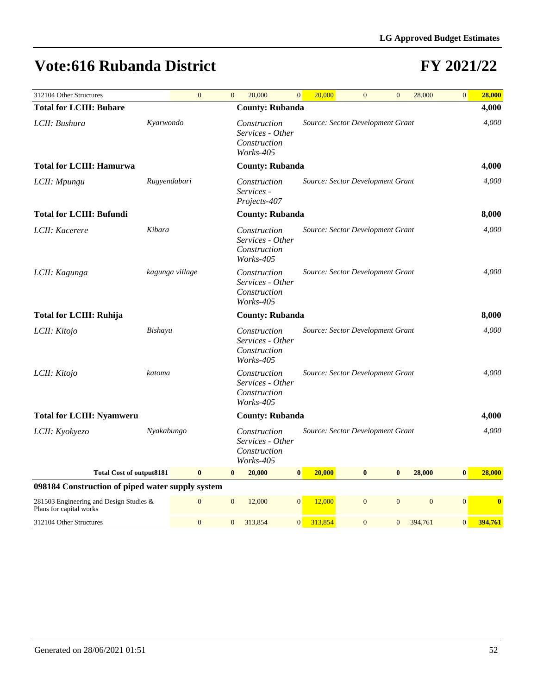| 312104 Other Structures                                            |              | $\overline{0}$  | $\overline{0}$ | 20,000                                                        | $\overline{0}$   |                 | 20,000  | $\overline{0}$                   | $\overline{0}$ | 28,000         | $\mathbf{0}$   | 28,000                  |
|--------------------------------------------------------------------|--------------|-----------------|----------------|---------------------------------------------------------------|------------------|-----------------|---------|----------------------------------|----------------|----------------|----------------|-------------------------|
| <b>Total for LCIII: Bubare</b>                                     |              |                 |                | <b>County: Rubanda</b>                                        |                  |                 |         |                                  |                |                |                | 4,000                   |
| LCII: Bushura                                                      | Kyarwondo    |                 |                | Construction<br>Services - Other<br>Construction<br>Works-405 |                  |                 |         | Source: Sector Development Grant |                |                |                | 4,000                   |
| <b>Total for LCIII: Hamurwa</b>                                    |              |                 |                | <b>County: Rubanda</b>                                        |                  |                 |         |                                  |                |                |                | 4,000                   |
| LCII: Mpungu                                                       | Rugyendabari |                 |                | Construction<br>Services -<br>Projects-407                    |                  |                 |         | Source: Sector Development Grant |                |                |                | 4,000                   |
| <b>Total for LCIII: Bufundi</b>                                    |              |                 |                | <b>County: Rubanda</b>                                        |                  |                 |         |                                  |                |                |                | 8,000                   |
| LCII: Kacerere                                                     | Kibara       |                 |                | Construction<br>Services - Other<br>Construction<br>Works-405 |                  |                 |         | Source: Sector Development Grant |                |                |                | 4,000                   |
| LCII: Kagunga                                                      |              | kagunga village |                | Construction<br>Services - Other<br>Construction<br>Works-405 |                  |                 |         | Source: Sector Development Grant |                |                |                | 4,000                   |
| <b>Total for LCIII: Ruhija</b>                                     |              |                 |                | <b>County: Rubanda</b>                                        |                  |                 |         |                                  |                |                |                | 8,000                   |
| LCII: Kitojo                                                       | Bishayu      |                 |                | Construction<br>Services - Other<br>Construction<br>Works-405 |                  |                 |         | Source: Sector Development Grant |                |                |                | 4,000                   |
| LCII: Kitojo                                                       | katoma       |                 |                | Construction<br>Services - Other<br>Construction<br>Works-405 |                  |                 |         | Source: Sector Development Grant |                |                |                | 4.000                   |
| <b>Total for LCIII: Nyamweru</b>                                   |              |                 |                | <b>County: Rubanda</b>                                        |                  |                 |         |                                  |                |                |                | 4,000                   |
| LCII: Kyokyezo                                                     | Nyakabungo   |                 |                | Construction<br>Services - Other<br>Construction<br>Works-405 |                  |                 |         | Source: Sector Development Grant |                |                |                | 4,000                   |
| <b>Total Cost of output8181</b>                                    |              | $\bf{0}$        | $\bf{0}$       | 20,000                                                        | $\boldsymbol{0}$ |                 | 20,000  | $\bf{0}$                         | $\bf{0}$       | 28,000         | $\bf{0}$       | 28,000                  |
| 098184 Construction of piped water supply system                   |              |                 |                |                                                               |                  |                 |         |                                  |                |                |                |                         |
| 281503 Engineering and Design Studies &<br>Plans for capital works |              | $\overline{0}$  | $\overline{0}$ | 12,000                                                        |                  | $\vert 0 \vert$ | 12,000  | $\overline{0}$                   | $\mathbf{0}$   | $\overline{0}$ | $\overline{0}$ | $\overline{\mathbf{0}}$ |
| 312104 Other Structures                                            |              | $\overline{0}$  | $\overline{0}$ | 313.854                                                       | $\vert 0 \vert$  |                 | 313,854 | $\overline{0}$                   | $\overline{0}$ | 394,761        | $\overline{0}$ | 394,761                 |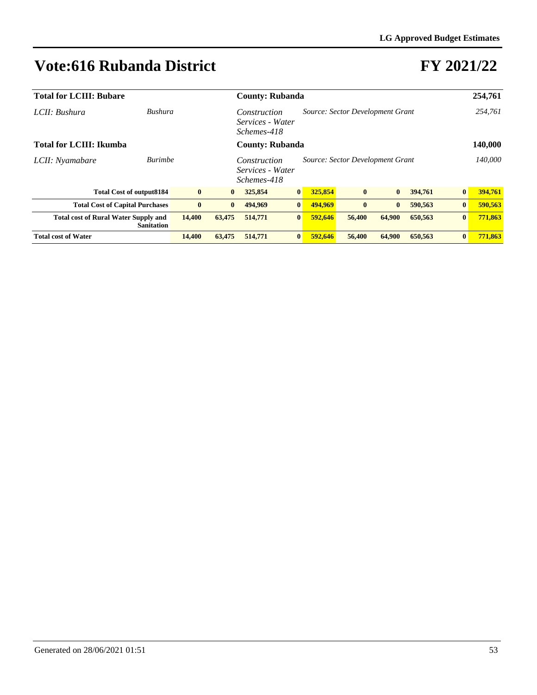| <b>Total for LCIII: Bubare</b>              |                                 |          |                                                                                     | <b>County: Rubanda</b> |                  |         |              |              |         | 254,761  |         |
|---------------------------------------------|---------------------------------|----------|-------------------------------------------------------------------------------------|------------------------|------------------|---------|--------------|--------------|---------|----------|---------|
| LCII: Bushura                               | Bushura                         |          | Source: Sector Development Grant<br>Construction<br>Services - Water<br>Schemes-418 |                        |                  |         |              |              |         |          | 254,761 |
| <b>Total for LCIII: Ikumba</b>              |                                 |          |                                                                                     | <b>County: Rubanda</b> |                  |         |              |              |         |          | 140,000 |
| LCII: Nyamabare                             | <b>Burimbe</b>                  |          | Source: Sector Development Grant<br>Construction<br>Services - Water<br>Schemes-418 |                        |                  |         |              |              |         |          | 140,000 |
|                                             | <b>Total Cost of output8184</b> | $\bf{0}$ | $\bf{0}$                                                                            | 325,854                | $\vert 0 \vert$  | 325,854 | $\bf{0}$     | $\bf{0}$     | 394,761 | $\bf{0}$ | 394,761 |
| <b>Total Cost of Capital Purchases</b>      |                                 | $\bf{0}$ | $\mathbf{0}$                                                                        | 494,969                | $\mathbf{0}$     | 494,969 | $\mathbf{0}$ | $\mathbf{0}$ | 590,563 | $\bf{0}$ | 590,563 |
| <b>Total cost of Rural Water Supply and</b> | <b>Sanitation</b>               | 14,400   | 63,475                                                                              | 514,771                | $\vert 0 \vert$  | 592.646 | 56,400       | 64,900       | 650,563 | $\bf{0}$ | 771,863 |
| <b>Total cost of Water</b>                  |                                 | 14,400   | 63,475                                                                              | 514,771                | $\boldsymbol{0}$ | 592,646 | 56,400       | 64,900       | 650.563 | $\bf{0}$ | 771,863 |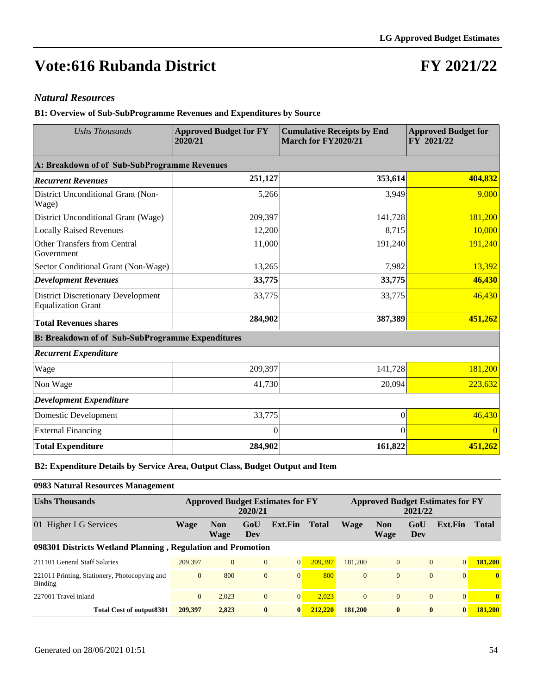### **FY 2021/22**

#### *Natural Resources*

**B1: Overview of Sub-SubProgramme Revenues and Expenditures by Source**

| <b>Ushs Thousands</b>                                                  | <b>Approved Budget for FY</b><br>2020/21 | <b>Cumulative Receipts by End</b><br>March for FY2020/21 | <b>Approved Budget for</b><br>FY 2021/22 |  |  |
|------------------------------------------------------------------------|------------------------------------------|----------------------------------------------------------|------------------------------------------|--|--|
| A: Breakdown of of Sub-SubProgramme Revenues                           |                                          |                                                          |                                          |  |  |
| <b>Recurrent Revenues</b>                                              | 251,127                                  | 353,614                                                  | 404,832                                  |  |  |
| District Unconditional Grant (Non-<br>Wage)                            | 5,266                                    | 3,949                                                    | 9,000                                    |  |  |
| District Unconditional Grant (Wage)                                    | 209,397                                  | 141,728                                                  | 181,200                                  |  |  |
| <b>Locally Raised Revenues</b>                                         | 12,200                                   | 8,715                                                    | 10,000                                   |  |  |
| <b>Other Transfers from Central</b><br>Government                      | 11,000                                   | 191,240                                                  | 191,240                                  |  |  |
| Sector Conditional Grant (Non-Wage)                                    | 13,265                                   | 7,982                                                    | 13,392                                   |  |  |
| <b>Development Revenues</b>                                            | 33,775                                   | 33,775                                                   | 46,430                                   |  |  |
| <b>District Discretionary Development</b><br><b>Equalization Grant</b> | 33,775                                   | 33,775                                                   | 46,430                                   |  |  |
| <b>Total Revenues shares</b>                                           | 284,902                                  | 387,389                                                  | 451,262                                  |  |  |
| <b>B: Breakdown of of Sub-SubProgramme Expenditures</b>                |                                          |                                                          |                                          |  |  |
| <b>Recurrent Expenditure</b>                                           |                                          |                                                          |                                          |  |  |
| Wage                                                                   | 209,397                                  | 141,728                                                  | 181,200                                  |  |  |
| Non Wage                                                               | 41,730                                   | 20,094                                                   | 223,632                                  |  |  |
| <b>Development Expenditure</b>                                         |                                          |                                                          |                                          |  |  |
| Domestic Development                                                   | 33,775                                   | $\Omega$                                                 | 46,430                                   |  |  |
| <b>External Financing</b>                                              | 0                                        | $\Omega$                                                 | $\Omega$                                 |  |  |
| <b>Total Expenditure</b>                                               | 284,902                                  | 161,822                                                  | 451,262                                  |  |  |

**B2: Expenditure Details by Service Area, Output Class, Budget Output and Item**

#### **0983 Natural Resources Management**

| <b>Ushs Thousands</b>                                       | <b>Approved Budget Estimates for FY</b><br>2020/21 |                    |              |                |              | <b>Approved Budget Estimates for FY</b><br>2021/22 |                    |            |                 |              |  |
|-------------------------------------------------------------|----------------------------------------------------|--------------------|--------------|----------------|--------------|----------------------------------------------------|--------------------|------------|-----------------|--------------|--|
| 01 Higher LG Services                                       | Wage                                               | <b>Non</b><br>Wage | GoU<br>Dev   | Ext.Fin        | <b>Total</b> | Wage                                               | <b>Non</b><br>Wage | GoU<br>Dev | Ext.Fin         | <b>Total</b> |  |
| 098301 Districts Wetland Planning, Regulation and Promotion |                                                    |                    |              |                |              |                                                    |                    |            |                 |              |  |
| 211101 General Staff Salaries                               | 209,397                                            | $\Omega$           | $\mathbf{0}$ | $\overline{0}$ | 209.397      | 181.200                                            | $\overline{0}$     | $\Omega$   | $\vert 0 \vert$ | 181.200      |  |
| 221011 Printing, Stationery, Photocopying and<br>Binding    | $\overline{0}$                                     | 800                | $\mathbf{0}$ | $\overline{0}$ | 800          | $\Omega$                                           | $\theta$           | $\Omega$   | $\vert 0 \vert$ | $\mathbf{0}$ |  |
| 227001 Travel inland                                        | $\overline{0}$                                     | 2.023              | $\mathbf{0}$ | $\overline{0}$ | 2.023        | $\Omega$                                           | $\theta$           | $\Omega$   | $\vert 0 \vert$ | $\mathbf{0}$ |  |
| Total Cost of output 8301                                   | 209.397                                            | 2.823              | $\bf{0}$     | $\bf{0}$       | 212,220      | 181,200                                            | $\bf{0}$           | $\bf{0}$   | $\mathbf{0}$    | 181.200      |  |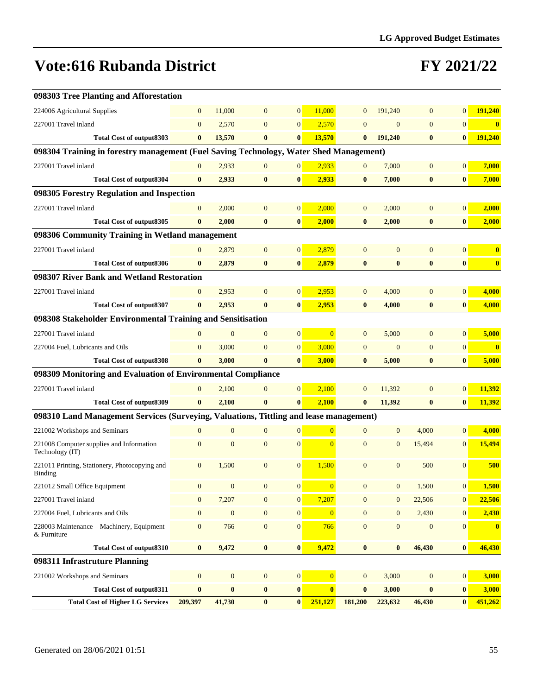| 098303 Tree Planting and Afforestation                                                 |                  |                |                  |                  |                |                  |                  |                  |                  |                  |
|----------------------------------------------------------------------------------------|------------------|----------------|------------------|------------------|----------------|------------------|------------------|------------------|------------------|------------------|
| 224006 Agricultural Supplies                                                           | $\overline{0}$   | 11.000         | $\mathbf{0}$     | $\overline{0}$   | 11,000         | $\mathbf{0}$     | 191,240          | $\mathbf{0}$     | $\overline{0}$   | 191,240          |
| 227001 Travel inland                                                                   | $\mathbf{0}$     | 2,570          | $\mathbf{0}$     | $\overline{0}$   | 2,570          | $\mathbf{0}$     | $\mathbf{0}$     | $\overline{0}$   | $\overline{0}$   | $\bf{0}$         |
| Total Cost of output 8303                                                              | $\bf{0}$         | 13,570         | $\bf{0}$         | $\bf{0}$         | 13,570         | $\bf{0}$         | 191.240          | $\bf{0}$         | $\bf{0}$         | 191,240          |
| 098304 Training in forestry management (Fuel Saving Technology, Water Shed Management) |                  |                |                  |                  |                |                  |                  |                  |                  |                  |
| 227001 Travel inland                                                                   | $\overline{0}$   | 2,933          | $\boldsymbol{0}$ | $\overline{0}$   | 2,933          | $\mathbf{0}$     | 7,000            | $\mathbf{0}$     | $\overline{0}$   | 7,000            |
| <b>Total Cost of output8304</b>                                                        | $\bf{0}$         | 2,933          | $\bf{0}$         | $\bf{0}$         | 2,933          | $\bf{0}$         | 7,000            | $\boldsymbol{0}$ | $\bf{0}$         | 7,000            |
| 098305 Forestry Regulation and Inspection                                              |                  |                |                  |                  |                |                  |                  |                  |                  |                  |
| 227001 Travel inland                                                                   | $\mathbf{0}$     | 2,000          | $\mathbf{0}$     | $\mathbf{0}$     | 2,000          | $\boldsymbol{0}$ | 2,000            | $\mathbf{0}$     | $\overline{0}$   | 2,000            |
| Total Cost of output 8305                                                              | $\bf{0}$         | 2,000          | $\bf{0}$         | $\bf{0}$         | 2,000          | $\bf{0}$         | 2,000            | $\bf{0}$         | $\bf{0}$         | 2,000            |
| 098306 Community Training in Wetland management                                        |                  |                |                  |                  |                |                  |                  |                  |                  |                  |
| 227001 Travel inland                                                                   | $\mathbf{0}$     | 2,879          | $\mathbf{0}$     | $\overline{0}$   | 2,879          | $\mathbf{0}$     | $\mathbf{0}$     | $\mathbf{0}$     | $\overline{0}$   | $\bf{0}$         |
| <b>Total Cost of output8306</b>                                                        | $\bf{0}$         | 2,879          | $\bf{0}$         | $\bf{0}$         | 2,879          | $\bf{0}$         | $\bf{0}$         | $\bf{0}$         | $\mathbf{0}$     | $\boldsymbol{0}$ |
| 098307 River Bank and Wetland Restoration                                              |                  |                |                  |                  |                |                  |                  |                  |                  |                  |
| 227001 Travel inland                                                                   | $\mathbf{0}$     | 2,953          | $\mathbf{0}$     | $\mathbf{0}$     | 2,953          | $\mathbf{0}$     | 4,000            | $\mathbf{0}$     | $\overline{0}$   | 4,000            |
| <b>Total Cost of output8307</b>                                                        | $\bf{0}$         | 2,953          | $\bf{0}$         | $\bf{0}$         | 2,953          | $\bf{0}$         | 4,000            | $\bf{0}$         | $\bf{0}$         | 4,000            |
| 098308 Stakeholder Environmental Training and Sensitisation                            |                  |                |                  |                  |                |                  |                  |                  |                  |                  |
| 227001 Travel inland                                                                   | $\Omega$         | $\overline{0}$ | $\mathbf{0}$     | $\overline{0}$   | $\overline{0}$ | $\overline{0}$   | 5,000            | $\overline{0}$   | $\vert 0 \vert$  | 5,000            |
| 227004 Fuel, Lubricants and Oils                                                       | $\overline{0}$   | 3,000          | $\mathbf{0}$     | $\mathbf{0}$     | 3,000          | $\overline{0}$   | $\overline{0}$   | $\overline{0}$   | $\overline{0}$   | $\bf{0}$         |
| <b>Total Cost of output8308</b>                                                        | $\bf{0}$         | 3,000          | $\bf{0}$         | $\bf{0}$         | 3,000          | $\bf{0}$         | 5,000            | $\bf{0}$         | $\bf{0}$         | 5,000            |
| 098309 Monitoring and Evaluation of Environmental Compliance                           |                  |                |                  |                  |                |                  |                  |                  |                  |                  |
| 227001 Travel inland                                                                   | $\Omega$         | 2,100          | $\theta$         | $\overline{0}$   | 2,100          | $\overline{0}$   | 11,392           | $\Omega$         | $\overline{0}$   | 11,392           |
| <b>Total Cost of output8309</b>                                                        | $\bf{0}$         | 2,100          | $\bf{0}$         | $\bf{0}$         | 2,100          | $\bf{0}$         | 11,392           | $\bf{0}$         | $\bf{0}$         | 11,392           |
| 098310 Land Management Services (Surveying, Valuations, Tittling and lease management) |                  |                |                  |                  |                |                  |                  |                  |                  |                  |
| 221002 Workshops and Seminars                                                          | $\Omega$         | $\mathbf{0}$   | $\mathbf{0}$     | $\mathbf{0}$     | $\overline{0}$ | $\mathbf{0}$     | $\mathbf{0}$     | 4,000            | $\overline{0}$   | 4,000            |
| 221008 Computer supplies and Information<br>Technology (IT)                            | $\mathbf{0}$     | $\overline{0}$ | $\mathbf{0}$     | $\mathbf{0}$     | $\overline{0}$ | $\mathbf{0}$     | $\overline{0}$   | 15,494           | $\overline{0}$   | 15,494           |
| 221011 Printing, Stationery, Photocopying and<br>Binding                               | $\mathbf{0}$     | 1,500          | $\mathbf{0}$     | $\mathbf{0}$     | 1,500          | $\overline{0}$   | $\overline{0}$   | 500              | $\Omega$         | 500              |
| 221012 Small Office Equipment                                                          | $\boldsymbol{0}$ | $\overline{0}$ | $\boldsymbol{0}$ | $\mathbf{0}$     | $\overline{0}$ | $\overline{0}$   | $\boldsymbol{0}$ | 1,500            | $\overline{0}$   | 1,500            |
| 227001 Travel inland                                                                   | $\mathbf{0}$     | 7,207          | $\mathbf{0}$     | $\mathbf{0}$     | 7,207          | $\mathbf{0}$     | $\boldsymbol{0}$ | 22,506           | $\overline{0}$   | 22,506           |
| 227004 Fuel, Lubricants and Oils                                                       | $\mathbf{0}$     | $\mathbf{0}$   | $\mathbf{0}$     | $\boldsymbol{0}$ | $\overline{0}$ | $\overline{0}$   | $\boldsymbol{0}$ | 2,430            | $\mathbf{0}$     | 2,430            |
| 228003 Maintenance - Machinery, Equipment<br>& Furniture                               | $\mathbf{0}$     | 766            | $\mathbf{0}$     | $\boldsymbol{0}$ | 766            | $\overline{0}$   | $\boldsymbol{0}$ | $\boldsymbol{0}$ | $\mathbf{0}$     | $\bf{0}$         |
| <b>Total Cost of output8310</b>                                                        | $\bf{0}$         | 9,472          | $\bf{0}$         | $\bf{0}$         | 9,472          | $\bf{0}$         | $\boldsymbol{0}$ | 46,430           | $\boldsymbol{0}$ | 46,430           |
| 098311 Infrastruture Planning                                                          |                  |                |                  |                  |                |                  |                  |                  |                  |                  |
| 221002 Workshops and Seminars                                                          | $\boldsymbol{0}$ | $\mathbf{0}$   | $\mathbf{0}$     | $\boldsymbol{0}$ | $\overline{0}$ | $\mathbf{0}$     | 3,000            | $\mathbf{0}$     | $\boldsymbol{0}$ | 3,000            |
| <b>Total Cost of output8311</b>                                                        | $\bf{0}$         | $\bf{0}$       | $\pmb{0}$        | $\pmb{0}$        | $\bf{0}$       | $\bf{0}$         | 3,000            | $\bf{0}$         | $\bf{0}$         | 3,000            |
| <b>Total Cost of Higher LG Services</b>                                                | 209,397          | 41,730         | $\pmb{0}$        | $\mathbf{0}$     | 251,127        | 181,200          | 223,632          | 46,430           | $\mathbf{0}$     | 451,262          |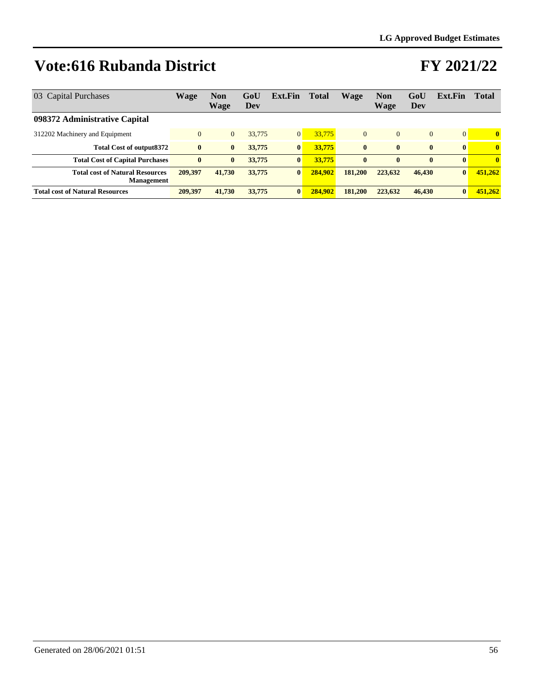| 03 Capital Purchases                                        | Wage           | <b>Non</b><br>Wage | GoU<br>Dev | Ext.Fin      | <b>Total</b> | <b>Wage</b>  | <b>Non</b><br>Wage | GoU<br>Dev   | Ext.Fin         | <b>Total</b> |
|-------------------------------------------------------------|----------------|--------------------|------------|--------------|--------------|--------------|--------------------|--------------|-----------------|--------------|
| 098372 Administrative Capital                               |                |                    |            |              |              |              |                    |              |                 |              |
| 312202 Machinery and Equipment                              | $\overline{0}$ | $\overline{0}$     | 33,775     | $\mathbf{0}$ | 33,775       | $\Omega$     | $\Omega$           | $\Omega$     | $\vert 0 \vert$ | $\mathbf{0}$ |
| <b>Total Cost of output8372</b>                             | $\bf{0}$       | $\mathbf{0}$       | 33,775     | $\bf{0}$     | 33,775       | $\mathbf{0}$ | $\mathbf{0}$       | $\mathbf{0}$ | $\vert$ 0       | $\mathbf{0}$ |
| <b>Total Cost of Capital Purchases</b>                      | $\bf{0}$       | $\bf{0}$           | 33,775     | $\bf{0}$     | 33,775       | $\mathbf{0}$ | $\bf{0}$           | $\bf{0}$     | $\mathbf{0}$    | $\mathbf{0}$ |
| <b>Total cost of Natural Resources</b><br><b>Management</b> | 209.397        | 41,730             | 33,775     | $\bf{0}$     | 284,902      | 181,200      | 223,632            | 46,430       | $\mathbf{0}$    | 451,262      |
| <b>Total cost of Natural Resources</b>                      | 209.397        | 41,730             | 33,775     | $\bf{0}$     | 284,902      | 181.200      | 223,632            | 46,430       | $\mathbf{0}$    | 451,262      |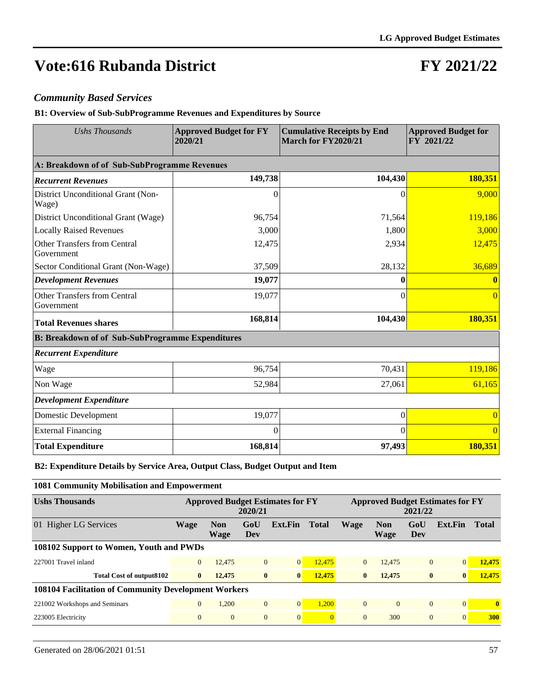### **FY 2021/22**

#### *Community Based Services*

**B1: Overview of Sub-SubProgramme Revenues and Expenditures by Source**

| <b>Ushs Thousands</b>                                   | <b>Approved Budget for FY</b><br>2020/21 | <b>Cumulative Receipts by End</b><br>March for FY2020/21 | <b>Approved Budget for</b><br>FY 2021/22 |  |  |
|---------------------------------------------------------|------------------------------------------|----------------------------------------------------------|------------------------------------------|--|--|
| A: Breakdown of of Sub-SubProgramme Revenues            |                                          |                                                          |                                          |  |  |
| <b>Recurrent Revenues</b>                               | 149,738                                  | 104,430                                                  | 180,351                                  |  |  |
| District Unconditional Grant (Non-<br>Wage)             | 0                                        | $\theta$                                                 | 9,000                                    |  |  |
| District Unconditional Grant (Wage)                     | 96,754                                   | 71,564                                                   | 119,186                                  |  |  |
| <b>Locally Raised Revenues</b>                          | 3,000                                    | 1,800                                                    | 3,000                                    |  |  |
| <b>Other Transfers from Central</b><br>Government       | 12,475                                   | 2,934                                                    | 12,475                                   |  |  |
| Sector Conditional Grant (Non-Wage)                     | 37,509                                   | 28,132                                                   | 36,689                                   |  |  |
| <b>Development Revenues</b>                             | 19,077                                   | 0                                                        |                                          |  |  |
| <b>Other Transfers from Central</b><br>Government       | 19,077                                   | 0                                                        |                                          |  |  |
| <b>Total Revenues shares</b>                            | 168,814                                  | 104,430                                                  | 180,351                                  |  |  |
| <b>B: Breakdown of of Sub-SubProgramme Expenditures</b> |                                          |                                                          |                                          |  |  |
| <b>Recurrent Expenditure</b>                            |                                          |                                                          |                                          |  |  |
| Wage                                                    | 96,754                                   | 70,431                                                   | 119,186                                  |  |  |
| Non Wage                                                | 52,984                                   | 27,061                                                   | 61,165                                   |  |  |
| <b>Development Expenditure</b>                          |                                          |                                                          |                                          |  |  |
| Domestic Development                                    | 19,077                                   | $\theta$                                                 |                                          |  |  |
| <b>External Financing</b>                               | $\Omega$                                 | $\theta$                                                 | $\Omega$                                 |  |  |
| <b>Total Expenditure</b>                                | 168,814                                  | 97,493                                                   | 180,351                                  |  |  |

**B2: Expenditure Details by Service Area, Output Class, Budget Output and Item**

| 1081 Community Mobilisation and Empowerment          |                                                    |                           |                |                |                |                                                    |                    |                |              |              |
|------------------------------------------------------|----------------------------------------------------|---------------------------|----------------|----------------|----------------|----------------------------------------------------|--------------------|----------------|--------------|--------------|
| <b>Ushs Thousands</b>                                | <b>Approved Budget Estimates for FY</b><br>2020/21 |                           |                |                |                | <b>Approved Budget Estimates for FY</b><br>2021/22 |                    |                |              |              |
| 01 Higher LG Services                                | Wage                                               | <b>Non</b><br><b>Wage</b> | GoU<br>Dev     | Ext.Fin        | <b>Total</b>   | <b>Wage</b>                                        | <b>Non</b><br>Wage | GoU<br>Dev     | Ext.Fin      | <b>Total</b> |
| 108102 Support to Women, Youth and PWDs              |                                                    |                           |                |                |                |                                                    |                    |                |              |              |
| 227001 Travel inland                                 | $\overline{0}$                                     | 12.475                    | $\overline{0}$ | 0              | 12,475         | $\Omega$                                           | 12,475             | $\overline{0}$ | $\Omega$     | 12,475       |
| <b>Total Cost of output8102</b>                      | $\bf{0}$                                           | 12,475                    | $\bf{0}$       | $\bf{0}$       | 12,475         | $\bf{0}$                                           | 12,475             | $\mathbf{0}$   | $\mathbf{0}$ | 12,475       |
| 108104 Facilitation of Community Development Workers |                                                    |                           |                |                |                |                                                    |                    |                |              |              |
| 221002 Workshops and Seminars                        | $\overline{0}$                                     | 1.200                     | $\overline{0}$ | $\overline{0}$ | 1.200          | $\overline{0}$                                     | $\mathbf{0}$       | $\mathbf{0}$   | $\Omega$     | $\mathbf{0}$ |
| 223005 Electricity                                   | $\mathbf{0}$                                       | $\overline{0}$            | $\overline{0}$ | $\overline{0}$ | $\overline{0}$ | $\overline{0}$                                     | 300                | $\mathbf{0}$   | $\Omega$     | <b>300</b>   |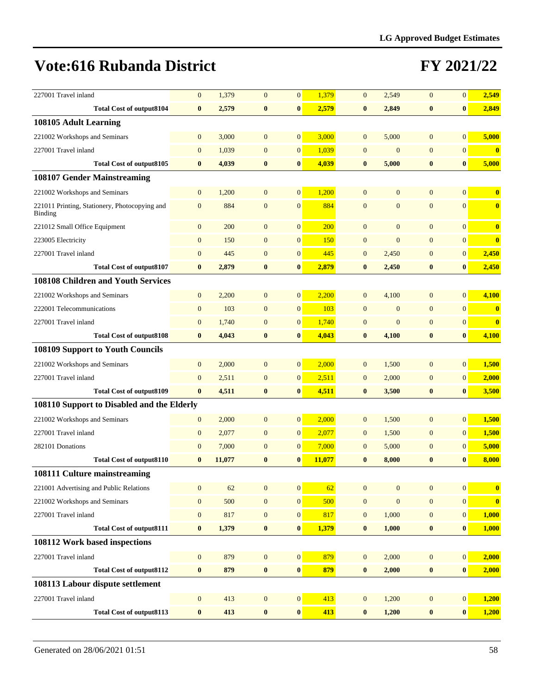| 227001 Travel inland                                     | $\mathbf{0}$     | 1,379  | $\mathbf{0}$     | $\mathbf{0}$     | 1,379  | $\mathbf{0}$     | 2,549            | $\overline{0}$   | $\overline{0}$   | 2,549                   |
|----------------------------------------------------------|------------------|--------|------------------|------------------|--------|------------------|------------------|------------------|------------------|-------------------------|
| <b>Total Cost of output8104</b>                          | $\bf{0}$         | 2,579  | $\boldsymbol{0}$ | $\bf{0}$         | 2,579  | $\bf{0}$         | 2,849            | $\bf{0}$         | $\bf{0}$         | 2,849                   |
| 108105 Adult Learning                                    |                  |        |                  |                  |        |                  |                  |                  |                  |                         |
| 221002 Workshops and Seminars                            | $\mathbf{0}$     | 3,000  | $\mathbf{0}$     | $\overline{0}$   | 3,000  | $\overline{0}$   | 5,000            | $\overline{0}$   | $\overline{0}$   | 5,000                   |
| 227001 Travel inland                                     | $\mathbf{0}$     | 1,039  | $\mathbf{0}$     | $\boldsymbol{0}$ | 1,039  | $\mathbf{0}$     | $\mathbf{0}$     | $\mathbf{0}$     | $\overline{0}$   | $\bf{0}$                |
| <b>Total Cost of output8105</b>                          | $\bf{0}$         | 4,039  | $\bf{0}$         | $\bf{0}$         | 4,039  | $\bf{0}$         | 5,000            | $\bf{0}$         | $\bf{0}$         | 5,000                   |
| 108107 Gender Mainstreaming                              |                  |        |                  |                  |        |                  |                  |                  |                  |                         |
| 221002 Workshops and Seminars                            | $\mathbf{0}$     | 1,200  | $\mathbf{0}$     | $\overline{0}$   | 1,200  | $\overline{0}$   | $\mathbf{0}$     | $\overline{0}$   | $\Omega$         | $\boldsymbol{0}$        |
| 221011 Printing, Stationery, Photocopying and<br>Binding | $\mathbf{0}$     | 884    | $\mathbf{0}$     | $\mathbf{0}$     | 884    | $\overline{0}$   | $\overline{0}$   | $\overline{0}$   | $\overline{0}$   | $\overline{\mathbf{0}}$ |
| 221012 Small Office Equipment                            | $\mathbf{0}$     | 200    | $\overline{0}$   | $\mathbf{0}$     | 200    | $\mathbf{0}$     | $\mathbf{0}$     | $\overline{0}$   | $\overline{0}$   | $\boldsymbol{0}$        |
| 223005 Electricity                                       | $\mathbf{0}$     | 150    | $\mathbf{0}$     | $\mathbf{0}$     | 150    | $\boldsymbol{0}$ | $\boldsymbol{0}$ | $\mathbf{0}$     | $\overline{0}$   | $\bf{0}$                |
| 227001 Travel inland                                     | $\mathbf{0}$     | 445    | $\mathbf{0}$     | $\mathbf{0}$     | 445    | $\overline{0}$   | 2,450            | $\mathbf{0}$     | $\overline{0}$   | 2,450                   |
| <b>Total Cost of output8107</b>                          | $\bf{0}$         | 2,879  | $\bf{0}$         | $\bf{0}$         | 2,879  | $\bf{0}$         | 2,450            | $\bf{0}$         | $\bf{0}$         | 2,450                   |
| 108108 Children and Youth Services                       |                  |        |                  |                  |        |                  |                  |                  |                  |                         |
| 221002 Workshops and Seminars                            | $\mathbf{0}$     | 2,200  | $\mathbf{0}$     | $\boldsymbol{0}$ | 2,200  | $\mathbf{0}$     | 4,100            | $\overline{0}$   | $\overline{0}$   | 4,100                   |
| 222001 Telecommunications                                | $\mathbf{0}$     | 103    | $\mathbf{0}$     | $\boldsymbol{0}$ | 103    | $\boldsymbol{0}$ | $\boldsymbol{0}$ | $\mathbf{0}$     | $\overline{0}$   | $\bf{0}$                |
| 227001 Travel inland                                     | $\mathbf{0}$     | 1,740  | $\mathbf{0}$     | $\boldsymbol{0}$ | 1,740  | $\overline{0}$   | $\mathbf{0}$     | $\mathbf{0}$     | $\vert 0 \vert$  | $\bf{0}$                |
| <b>Total Cost of output8108</b>                          | $\bf{0}$         | 4,043  | $\bf{0}$         | $\bf{0}$         | 4,043  | $\bf{0}$         | 4,100            | $\bf{0}$         | $\bf{0}$         | 4,100                   |
| <b>108109 Support to Youth Councils</b>                  |                  |        |                  |                  |        |                  |                  |                  |                  |                         |
| 221002 Workshops and Seminars                            | $\mathbf{0}$     | 2,000  | $\mathbf{0}$     | $\mathbf{0}$     | 2,000  | $\overline{0}$   | 1,500            | $\mathbf{0}$     | $\vert 0 \vert$  | 1,500                   |
| 227001 Travel inland                                     | $\mathbf{0}$     | 2,511  | $\mathbf{0}$     | $\boldsymbol{0}$ | 2,511  | $\mathbf{0}$     | 2,000            | $\overline{0}$   | $\overline{0}$   | 2,000                   |
| <b>Total Cost of output8109</b>                          | $\bf{0}$         | 4,511  | $\bf{0}$         | $\bf{0}$         | 4,511  | $\bf{0}$         | 3,500            | $\bf{0}$         | $\bf{0}$         | 3,500                   |
| 108110 Support to Disabled and the Elderly               |                  |        |                  |                  |        |                  |                  |                  |                  |                         |
| 221002 Workshops and Seminars                            | $\boldsymbol{0}$ | 2,000  | $\mathbf{0}$     | $\mathbf{0}$     | 2,000  | $\boldsymbol{0}$ | 1,500            | $\mathbf{0}$     | $\overline{0}$   | 1,500                   |
| 227001 Travel inland                                     | $\boldsymbol{0}$ | 2,077  | $\mathbf{0}$     | $\mathbf{0}$     | 2,077  | $\overline{0}$   | 1,500            | $\mathbf{0}$     | $\overline{0}$   | 1,500                   |
| 282101 Donations                                         | $\mathbf{0}$     | 7,000  | $\mathbf{0}$     | $\boldsymbol{0}$ | 7,000  | $\mathbf{0}$     | 5,000            | $\mathbf{0}$     | $\overline{0}$   | 5,000                   |
| <b>Total Cost of output8110</b>                          | $\bf{0}$         | 11,077 | $\bf{0}$         | $\bf{0}$         | 11,077 | $\bf{0}$         | 8,000            | $\bf{0}$         | $\bf{0}$         | 8,000                   |
| 108111 Culture mainstreaming                             |                  |        |                  |                  |        |                  |                  |                  |                  |                         |
| 221001 Advertising and Public Relations                  | $\boldsymbol{0}$ | 62     | $\boldsymbol{0}$ | $\boldsymbol{0}$ | 62     | $\boldsymbol{0}$ | $\boldsymbol{0}$ | $\mathbf{0}$     | $\overline{0}$   | $\boldsymbol{0}$        |
| 221002 Workshops and Seminars                            | $\boldsymbol{0}$ | 500    | $\mathbf{0}$     | $\mathbf{0}$     | 500    | $\boldsymbol{0}$ | $\boldsymbol{0}$ | $\boldsymbol{0}$ | 0                | $\overline{\mathbf{0}}$ |
| 227001 Travel inland                                     | $\mathbf{0}$     | 817    | $\mathbf{0}$     | $\boldsymbol{0}$ | 817    | $\mathbf{0}$     | 1,000            | $\boldsymbol{0}$ | 0                | 1,000                   |
| <b>Total Cost of output8111</b>                          | $\bf{0}$         | 1,379  | $\pmb{0}$        | $\bf{0}$         | 1,379  | $\bf{0}$         | 1,000            | $\boldsymbol{0}$ | $\bf{0}$         | 1,000                   |
| 108112 Work based inspections                            |                  |        |                  |                  |        |                  |                  |                  |                  |                         |
| 227001 Travel inland                                     | $\boldsymbol{0}$ | 879    | $\mathbf{0}$     | $\boldsymbol{0}$ | 879    | $\boldsymbol{0}$ | 2,000            | $\mathbf{0}$     | 0                | 2,000                   |
| <b>Total Cost of output8112</b>                          | $\bf{0}$         | 879    | $\boldsymbol{0}$ | $\pmb{0}$        | 879    | $\bf{0}$         | 2,000            | $\pmb{0}$        | $\bf{0}$         | 2,000                   |
| 108113 Labour dispute settlement                         |                  |        |                  |                  |        |                  |                  |                  |                  |                         |
| 227001 Travel inland                                     | $\mathbf{0}$     | 413    | $\mathbf{0}$     | $\mathbf{0}$     | 413    | $\boldsymbol{0}$ | 1,200            | $\boldsymbol{0}$ | $\mathbf{0}$     | 1,200                   |
| <b>Total Cost of output8113</b>                          | $\bf{0}$         | 413    | $\pmb{0}$        | $\pmb{0}$        | 413    | $\bf{0}$         | 1,200            | $\boldsymbol{0}$ | $\boldsymbol{0}$ | 1,200                   |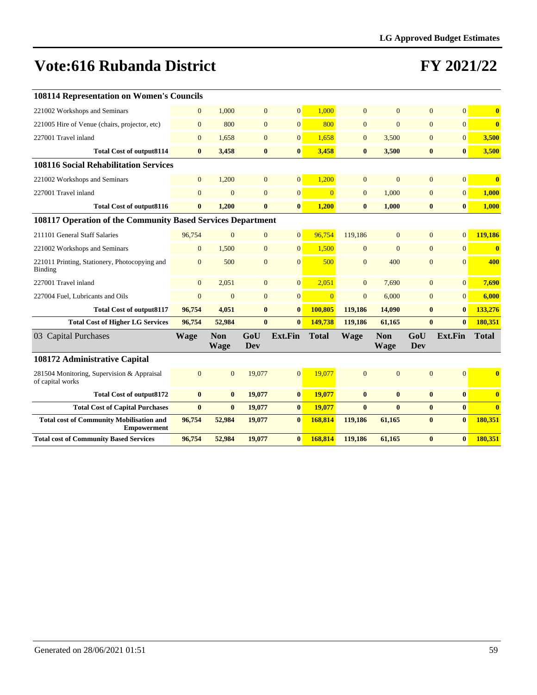| <b>108114 Representation on Women's Councils</b>                      |                |                    |                |                  |                |                |                    |                  |                 |              |
|-----------------------------------------------------------------------|----------------|--------------------|----------------|------------------|----------------|----------------|--------------------|------------------|-----------------|--------------|
| 221002 Workshops and Seminars                                         | $\mathbf{0}$   | 1,000              | $\mathbf{0}$   | $\overline{0}$   | 1,000          | $\overline{0}$ | $\overline{0}$     | $\overline{0}$   | $\overline{0}$  | $\bf{0}$     |
| 221005 Hire of Venue (chairs, projector, etc)                         | $\overline{0}$ | 800                | $\overline{0}$ | $\mathbf{0}$     | 800            | $\overline{0}$ | $\overline{0}$     | $\overline{0}$   | $\overline{0}$  | $\bf{0}$     |
| 227001 Travel inland                                                  | $\overline{0}$ | 1,658              | $\overline{0}$ | $\overline{0}$   | 1,658          | $\overline{0}$ | 3,500              | $\overline{0}$   | $\Omega$        | 3,500        |
| <b>Total Cost of output8114</b>                                       | $\bf{0}$       | 3,458              | $\bf{0}$       | $\bf{0}$         | 3,458          | $\bf{0}$       | 3,500              | $\bf{0}$         | $\bf{0}$        | 3,500        |
| <b>108116 Social Rehabilitation Services</b>                          |                |                    |                |                  |                |                |                    |                  |                 |              |
| 221002 Workshops and Seminars                                         | $\overline{0}$ | 1,200              | $\mathbf{0}$   | $\mathbf{0}$     | 1,200          | $\overline{0}$ | $\mathbf{0}$       | $\mathbf{0}$     | $\vert 0 \vert$ | $\bf{0}$     |
| 227001 Travel inland                                                  | $\overline{0}$ | $\Omega$           | $\overline{0}$ | $\mathbf{0}$     | $\overline{0}$ | $\overline{0}$ | 1,000              | $\overline{0}$   | $\overline{0}$  | 1,000        |
| <b>Total Cost of output8116</b>                                       | $\bf{0}$       | 1,200              | $\bf{0}$       | $\bf{0}$         | 1,200          | $\bf{0}$       | 1,000              | $\boldsymbol{0}$ | $\bf{0}$        | 1,000        |
| 108117 Operation of the Community Based Services Department           |                |                    |                |                  |                |                |                    |                  |                 |              |
| 211101 General Staff Salaries                                         | 96,754         | $\Omega$           | $\mathbf{0}$   | $\mathbf{0}$     | 96,754         | 119,186        | $\overline{0}$     | $\overline{0}$   | $\overline{0}$  | 119,186      |
| 221002 Workshops and Seminars                                         | $\overline{0}$ | 1.500              | $\overline{0}$ | $\mathbf{0}$     | 1.500          | $\overline{0}$ | $\overline{0}$     | $\overline{0}$   | $\overline{0}$  | $\bf{0}$     |
| 221011 Printing, Stationery, Photocopying and<br>Binding              | $\mathbf{0}$   | 500                | $\mathbf{0}$   | $\overline{0}$   | 500            | $\overline{0}$ | 400                | $\overline{0}$   | $\Omega$        | 400          |
| 227001 Travel inland                                                  | $\mathbf{0}$   | 2,051              | $\mathbf{0}$   | $\mathbf{0}$     | 2,051          | $\overline{0}$ | 7,690              | $\overline{0}$   | 0               | 7,690        |
| 227004 Fuel, Lubricants and Oils                                      | $\mathbf{0}$   | $\Omega$           | $\overline{0}$ | $\boldsymbol{0}$ | $\overline{0}$ | $\mathbf{0}$   | 6,000              | $\overline{0}$   | $\overline{0}$  | 6,000        |
| <b>Total Cost of output8117</b>                                       | 96,754         | 4,051              | $\bf{0}$       | $\bf{0}$         | 100,805        | 119,186        | 14,090             | $\bf{0}$         | $\bf{0}$        | 133,276      |
| <b>Total Cost of Higher LG Services</b>                               | 96,754         | 52,984             | $\bf{0}$       | $\mathbf{0}$     | 149,738        | 119,186        | 61,165             | $\bf{0}$         | $\mathbf{0}$    | 180,351      |
| 03 Capital Purchases                                                  | Wage           | <b>Non</b><br>Wage | GoU<br>Dev     | <b>Ext.Fin</b>   | <b>Total</b>   | <b>Wage</b>    | <b>Non</b><br>Wage | GoU<br>Dev       | Ext.Fin         | <b>Total</b> |
| 108172 Administrative Capital                                         |                |                    |                |                  |                |                |                    |                  |                 |              |
| 281504 Monitoring, Supervision & Appraisal<br>of capital works        | $\overline{0}$ | $\Omega$           | 19,077         | $\overline{0}$   | 19,077         | $\Omega$       | $\overline{0}$     | $\overline{0}$   | $\Omega$        | $\bf{0}$     |
| <b>Total Cost of output8172</b>                                       | $\bf{0}$       | $\bf{0}$           | 19,077         | $\bf{0}$         | 19,077         | $\bf{0}$       | $\bf{0}$           | $\bf{0}$         | $\mathbf{0}$    | $\mathbf{0}$ |
| <b>Total Cost of Capital Purchases</b>                                | $\bf{0}$       | $\mathbf{0}$       | 19,077         | $\bf{0}$         | 19,077         | $\mathbf{0}$   | $\mathbf{0}$       | $\bf{0}$         | $\mathbf{0}$    | $\mathbf{0}$ |
| <b>Total cost of Community Mobilisation and</b><br><b>Empowerment</b> | 96,754         | 52,984             | 19,077         | $\bf{0}$         | 168,814        | 119,186        | 61,165             | $\bf{0}$         | $\bf{0}$        | 180.351      |
| <b>Total cost of Community Based Services</b>                         | 96,754         | 52,984             | 19,077         | $\bf{0}$         | 168,814        | 119,186        | 61,165             | $\bf{0}$         | $\bf{0}$        | 180,351      |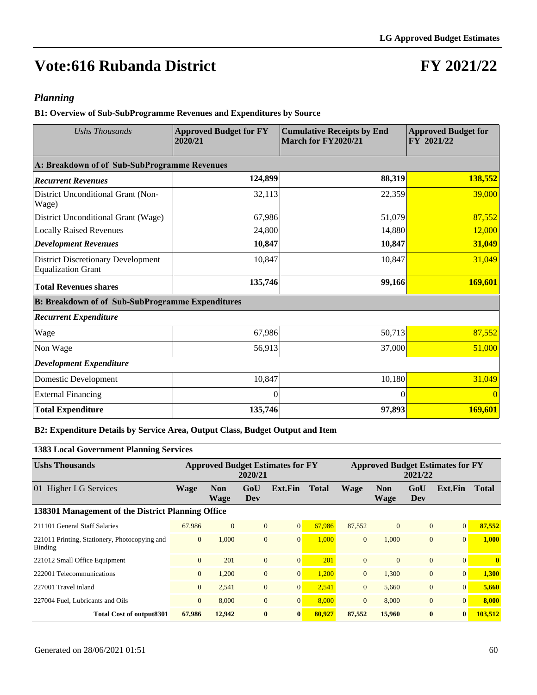### **FY 2021/22**

#### *Planning*

**B1: Overview of Sub-SubProgramme Revenues and Expenditures by Source**

| <b>Ushs Thousands</b>                                                  | <b>Approved Budget for FY</b><br>2020/21 | <b>Cumulative Receipts by End</b><br>March for FY2020/21 | <b>Approved Budget for</b><br>FY 2021/22 |
|------------------------------------------------------------------------|------------------------------------------|----------------------------------------------------------|------------------------------------------|
| A: Breakdown of of Sub-SubProgramme Revenues                           |                                          |                                                          |                                          |
| <b>Recurrent Revenues</b>                                              | 124,899                                  | 88,319                                                   | 138,552                                  |
| District Unconditional Grant (Non-<br>Wage)                            | 32,113                                   | 22,359                                                   | 39,000                                   |
| District Unconditional Grant (Wage)                                    | 67,986                                   | 51,079                                                   | 87,552                                   |
| <b>Locally Raised Revenues</b>                                         | 24,800                                   | 14,880                                                   | 12,000                                   |
| <b>Development Revenues</b>                                            | 10,847                                   | 10,847                                                   | 31,049                                   |
| <b>District Discretionary Development</b><br><b>Equalization Grant</b> | 10,847                                   | 10,847                                                   | 31,049                                   |
| <b>Total Revenues shares</b>                                           | 135,746                                  | 99,166                                                   | 169,601                                  |
| <b>B: Breakdown of of Sub-SubProgramme Expenditures</b>                |                                          |                                                          |                                          |
| <b>Recurrent Expenditure</b>                                           |                                          |                                                          |                                          |
| Wage                                                                   | 67,986                                   | 50,713                                                   | 87,552                                   |
| Non Wage                                                               | 56,913                                   | 37,000                                                   | 51,000                                   |
| <b>Development Expenditure</b>                                         |                                          |                                                          |                                          |
| Domestic Development                                                   | 10,847                                   | 10,180                                                   | 31,049                                   |
| <b>External Financing</b>                                              | 0                                        | $\Omega$                                                 | $\Omega$                                 |
| <b>Total Expenditure</b>                                               | 135,746                                  | 97,893                                                   | 169,601                                  |

#### **B2: Expenditure Details by Service Area, Output Class, Budget Output and Item**

#### **1383 Local Government Planning Services**

| <b>Ushs Thousands</b>                                    | <b>Approved Budget Estimates for FY</b><br>2020/21 |                           |                |                 |              | <b>Approved Budget Estimates for FY</b><br>2021/22 |                    |                |                  |              |  |  |
|----------------------------------------------------------|----------------------------------------------------|---------------------------|----------------|-----------------|--------------|----------------------------------------------------|--------------------|----------------|------------------|--------------|--|--|
| 01 Higher LG Services                                    | <b>Wage</b>                                        | <b>Non</b><br><b>Wage</b> | GoU<br>Dev     | Ext.Fin         | <b>Total</b> | <b>Wage</b>                                        | <b>Non</b><br>Wage | GoU<br>Dev     | Ext.Fin          | <b>Total</b> |  |  |
| 138301 Management of the District Planning Office        |                                                    |                           |                |                 |              |                                                    |                    |                |                  |              |  |  |
| 211101 General Staff Salaries                            | 67,986                                             | $\mathbf{0}$              | $\overline{0}$ | $\mathbf{0}$    | 67,986       | 87,552                                             | $\mathbf{0}$       | $\Omega$       | $\vert 0 \vert$  | 87,552       |  |  |
| 221011 Printing, Stationery, Photocopying and<br>Binding | $\mathbf{0}$                                       | 1.000                     | $\overline{0}$ | $\mathbf{0}$    | 1.000        | $\overline{0}$                                     | 1.000              | $\overline{0}$ | $\overline{0}$   | 1.000        |  |  |
| 221012 Small Office Equipment                            | $\mathbf{0}$                                       | 201                       | $\overline{0}$ | $\overline{0}$  | 201          | $\mathbf{0}$                                       | $\Omega$           | $\overline{0}$ | $\vert 0 \vert$  | $\mathbf{0}$ |  |  |
| 222001 Telecommunications                                | $\overline{0}$                                     | 1,200                     | $\overline{0}$ | $\mathbf{0}$    | 1,200        | $\overline{0}$                                     | 1,300              | $\overline{0}$ | $\vert 0 \vert$  | 1,300        |  |  |
| 227001 Travel inland                                     | $\overline{0}$                                     | 2,541                     | $\overline{0}$ | 0               | 2,541        | $\overline{0}$                                     | 5.660              | $\overline{0}$ | 0                | 5,660        |  |  |
| 227004 Fuel, Lubricants and Oils                         | $\overline{0}$                                     | 8.000                     | $\overline{0}$ | $\overline{0}$  | 8,000        | $\Omega$                                           | 8,000              | $\Omega$       | $\vert 0 \vert$  | 8.000        |  |  |
| Total Cost of output 8301                                | 67.986                                             | 12,942                    | $\bf{0}$       | $\vert 0 \vert$ | 80,927       | 87,552                                             | 15,960             | $\mathbf{0}$   | $\boldsymbol{0}$ | 103.512      |  |  |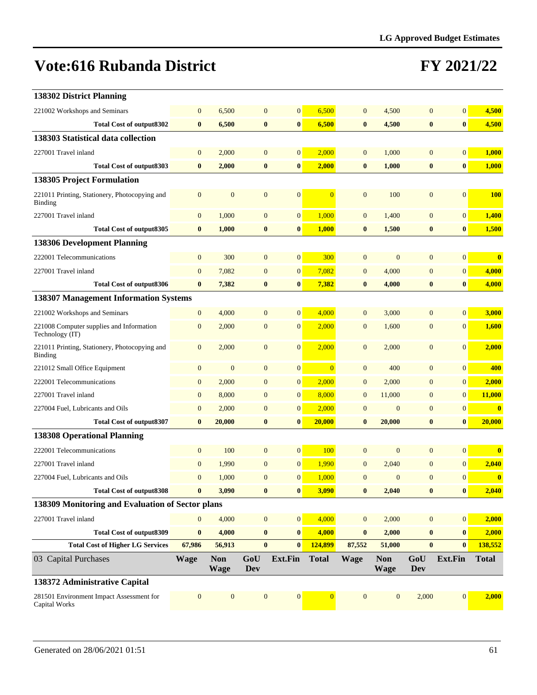| 138302 District Planning                                    |                  |                           |                   |                  |                |              |                           |                   |                  |              |
|-------------------------------------------------------------|------------------|---------------------------|-------------------|------------------|----------------|--------------|---------------------------|-------------------|------------------|--------------|
| 221002 Workshops and Seminars                               | $\mathbf{0}$     | 6,500                     | $\overline{0}$    | $\overline{0}$   | 6,500          | $\mathbf{0}$ | 4,500                     | $\mathbf{0}$      | $\mathbf{0}$     | 4,500        |
| <b>Total Cost of output8302</b>                             | $\bf{0}$         | 6,500                     | $\bf{0}$          | $\bf{0}$         | 6,500          | $\bf{0}$     | 4,500                     | $\bf{0}$          | $\bf{0}$         | 4,500        |
| 138303 Statistical data collection                          |                  |                           |                   |                  |                |              |                           |                   |                  |              |
| 227001 Travel inland                                        | $\mathbf{0}$     | 2,000                     | $\overline{0}$    | $\overline{0}$   | 2,000          | $\mathbf{0}$ | 1,000                     | $\mathbf{0}$      | $\mathbf{0}$     | 1,000        |
| <b>Total Cost of output8303</b>                             | $\bf{0}$         | 2,000                     | $\bf{0}$          | $\bf{0}$         | 2,000          | $\bf{0}$     | 1,000                     | $\bf{0}$          | $\boldsymbol{0}$ | 1,000        |
| <b>138305 Project Formulation</b>                           |                  |                           |                   |                  |                |              |                           |                   |                  |              |
| 221011 Printing, Stationery, Photocopying and<br>Binding    | $\mathbf{0}$     | $\overline{0}$            | $\overline{0}$    | $\boldsymbol{0}$ | $\overline{0}$ | $\mathbf{0}$ | 100                       | $\mathbf{0}$      | $\mathbf{0}$     | <b>100</b>   |
| 227001 Travel inland                                        | $\mathbf{0}$     | 1,000                     | $\mathbf{0}$      | $\overline{0}$   | 1,000          | $\mathbf{0}$ | 1,400                     | $\mathbf{0}$      | $\mathbf{0}$     | 1,400        |
| <b>Total Cost of output8305</b>                             | $\bf{0}$         | 1,000                     | $\bf{0}$          | $\bf{0}$         | 1,000          | $\bf{0}$     | 1,500                     | $\bf{0}$          | $\bf{0}$         | 1,500        |
| <b>138306 Development Planning</b>                          |                  |                           |                   |                  |                |              |                           |                   |                  |              |
| 222001 Telecommunications                                   | $\overline{0}$   | 300                       | $\mathbf{0}$      | $\boldsymbol{0}$ | 300            | $\mathbf{0}$ | $\overline{0}$            | $\mathbf{0}$      | $\mathbf{0}$     | $\bf{0}$     |
| 227001 Travel inland                                        | $\boldsymbol{0}$ | 7,082                     | $\overline{0}$    | $\overline{0}$   | 7,082          | $\mathbf{0}$ | 4,000                     | $\overline{0}$    | $\boldsymbol{0}$ | 4,000        |
| <b>Total Cost of output8306</b>                             | $\bf{0}$         | 7,382                     | $\bf{0}$          | $\bf{0}$         | 7,382          | $\bf{0}$     | 4,000                     | $\bf{0}$          | $\bf{0}$         | 4,000        |
| 138307 Management Information Systems                       |                  |                           |                   |                  |                |              |                           |                   |                  |              |
| 221002 Workshops and Seminars                               | $\boldsymbol{0}$ | 4,000                     | $\mathbf{0}$      | $\overline{0}$   | 4,000          | $\mathbf{0}$ | 3,000                     | $\mathbf{0}$      | $\overline{0}$   | 3,000        |
| 221008 Computer supplies and Information<br>Technology (IT) | $\boldsymbol{0}$ | 2,000                     | $\mathbf{0}$      | $\mathbf{0}$     | 2,000          | $\mathbf{0}$ | 1,600                     | $\boldsymbol{0}$  | $\mathbf{0}$     | 1,600        |
| 221011 Printing, Stationery, Photocopying and<br>Binding    | $\boldsymbol{0}$ | 2,000                     | $\mathbf{0}$      | $\overline{0}$   | 2,000          | $\mathbf{0}$ | 2,000                     | $\boldsymbol{0}$  | $\mathbf{0}$     | 2,000        |
| 221012 Small Office Equipment                               | $\boldsymbol{0}$ | $\overline{0}$            | $\mathbf{0}$      | $\overline{0}$   | $\overline{0}$ | $\mathbf{0}$ | 400                       | $\mathbf{0}$      | $\mathbf{0}$     | 400          |
| 222001 Telecommunications                                   | $\mathbf{0}$     | 2,000                     | $\mathbf{0}$      | $\overline{0}$   | 2,000          | $\mathbf{0}$ | 2,000                     | $\overline{0}$    | $\boldsymbol{0}$ | 2,000        |
| 227001 Travel inland                                        | $\boldsymbol{0}$ | 8,000                     | $\mathbf{0}$      | $\overline{0}$   | 8,000          | $\mathbf{0}$ | 11,000                    | $\overline{0}$    | $\mathbf{0}$     | 11,000       |
| 227004 Fuel, Lubricants and Oils                            | $\boldsymbol{0}$ | 2,000                     | $\boldsymbol{0}$  | $\mathbf{0}$     | 2,000          | $\mathbf{0}$ | $\boldsymbol{0}$          | $\mathbf{0}$      | $\boldsymbol{0}$ | $\bf{0}$     |
| Total Cost of output8307                                    | $\bf{0}$         | 20,000                    | $\bf{0}$          | $\bf{0}$         | 20,000         | $\bf{0}$     | 20,000                    | $\bf{0}$          | $\bf{0}$         | 20,000       |
| <b>138308 Operational Planning</b>                          |                  |                           |                   |                  |                |              |                           |                   |                  |              |
| 222001 Telecommunications                                   | $\boldsymbol{0}$ | 100                       | $\mathbf{0}$      | $\overline{0}$   | 100            | $\mathbf{0}$ | $\mathbf{0}$              | $\mathbf{0}$      | $\mathbf{0}$     | $\bf{0}$     |
| 227001 Travel inland                                        | $\boldsymbol{0}$ | 1,990                     | $\mathbf{0}$      | $\boldsymbol{0}$ | 1,990          | $\mathbf{0}$ | 2,040                     | $\mathbf{0}$      | $\boldsymbol{0}$ | 2,040        |
| 227004 Fuel, Lubricants and Oils                            | $\mathbf{0}$     | 1,000                     | $\boldsymbol{0}$  | $\overline{0}$   | 1,000          | $\mathbf{0}$ | $\boldsymbol{0}$          | $\boldsymbol{0}$  | $\mathbf{0}$     | $\bf{0}$     |
| <b>Total Cost of output8308</b>                             | $\bf{0}$         | 3,090                     | $\bf{0}$          | $\bf{0}$         | 3,090          | $\bf{0}$     | 2,040                     | $\bf{0}$          | 0                | 2,040        |
| 138309 Monitoring and Evaluation of Sector plans            |                  |                           |                   |                  |                |              |                           |                   |                  |              |
| 227001 Travel inland                                        | $\boldsymbol{0}$ | 4,000                     | $\boldsymbol{0}$  | $\boldsymbol{0}$ | 4,000          | $\mathbf{0}$ | 2,000                     | $\mathbf{0}$      | 0                | 2,000        |
| <b>Total Cost of output8309</b>                             | $\pmb{0}$        | 4,000                     | $\bf{0}$          | $\bf{0}$         | 4,000          | $\bf{0}$     | 2,000                     | $\bf{0}$          | $\bf{0}$         | 2,000        |
| <b>Total Cost of Higher LG Services</b>                     | 67,986           | 56,913                    | $\bf{0}$          | $\bf{0}$         | 124,899        | 87,552       | 51,000                    | $\bf{0}$          | $\bf{0}$         | 138,552      |
| 03 Capital Purchases                                        | <b>Wage</b>      | <b>Non</b><br><b>Wage</b> | GoU<br><b>Dev</b> | Ext.Fin          | <b>Total</b>   | <b>Wage</b>  | <b>Non</b><br><b>Wage</b> | GoU<br><b>Dev</b> | Ext.Fin          | <b>Total</b> |
| 138372 Administrative Capital                               |                  |                           |                   |                  |                |              |                           |                   |                  |              |
| 281501 Environment Impact Assessment for<br>Capital Works   | $\boldsymbol{0}$ | $\mathbf{0}$              | $\mathbf{0}$      | $\mathbf{0}$     | $\mathbf{0}$   | $\mathbf{0}$ | $\mathbf{0}$              | 2,000             | $\boldsymbol{0}$ | 2,000        |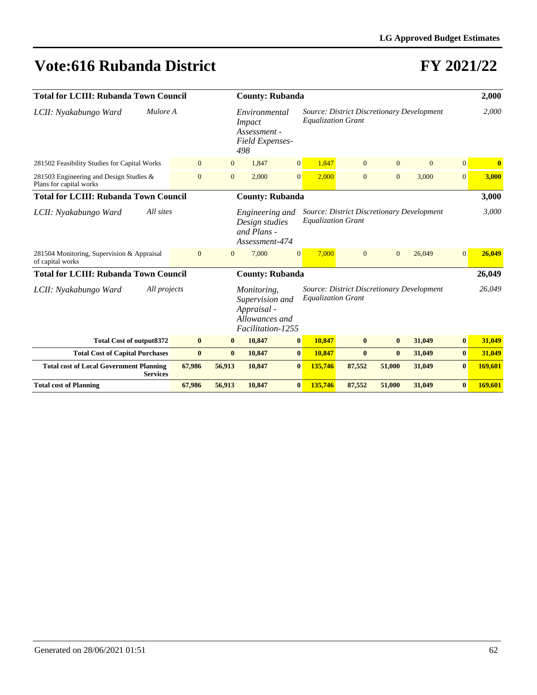| <b>Total for LCIII: Rubanda Town Council</b>                       |                |                | <b>County: Rubanda</b>                                                               |                                                  |                                                                         | 2,000          |                |                                                   |                |          |
|--------------------------------------------------------------------|----------------|----------------|--------------------------------------------------------------------------------------|--------------------------------------------------|-------------------------------------------------------------------------|----------------|----------------|---------------------------------------------------|----------------|----------|
| LCII: Nyakabungo Ward                                              | Mulore A       |                |                                                                                      | Environmental<br>Assessment -<br>Field Expenses- | Source: District Discretionary Development<br><b>Equalization Grant</b> |                |                |                                                   |                | 2,000    |
| 281502 Feasibility Studies for Capital Works                       | $\mathbf{0}$   | $\mathbf{0}$   | 1.847                                                                                | $\overline{0}$                                   | 1,847                                                                   | $\mathbf{0}$   | $\Omega$       | $\overline{0}$                                    | $\overline{0}$ | $\bf{0}$ |
| 281503 Engineering and Design Studies &<br>Plans for capital works | $\overline{0}$ | $\overline{0}$ | 2.000                                                                                | $\overline{0}$                                   | 2.000                                                                   | $\overline{0}$ | $\overline{0}$ | 3.000                                             | $\overline{0}$ | 3,000    |
| <b>Total for LCIII: Rubanda Town Council</b>                       |                |                | <b>County: Rubanda</b>                                                               |                                                  |                                                                         |                |                |                                                   |                | 3,000    |
| All sites<br>LCII: Nyakabungo Ward                                 |                |                | Engineering and<br>Design studies<br>and Plans -<br>Assessment-474                   |                                                  | <b>Equalization Grant</b>                                               |                |                | Source: District Discretionary Development        |                | 3,000    |
| 281504 Monitoring, Supervision & Appraisal<br>of capital works     | $\overline{0}$ | $\mathbf{0}$   | 7,000                                                                                | $\overline{0}$                                   | 7,000                                                                   | $\mathbf{0}$   | $\overline{0}$ | 26,049                                            | 0              | 26,049   |
| <b>Total for LCIII: Rubanda Town Council</b>                       |                |                | <b>County: Rubanda</b>                                                               |                                                  |                                                                         |                |                |                                                   |                | 26,049   |
| LCII: Nyakabungo Ward                                              | All projects   |                | Monitoring,<br>Supervision and<br>Appraisal -<br>Allowances and<br>Facilitation-1255 |                                                  | <b>Equalization Grant</b>                                               |                |                | <b>Source: District Discretionary Development</b> |                | 26,049   |
| <b>Total Cost of output8372</b>                                    | $\bf{0}$       | $\bf{0}$       | 10,847                                                                               | $\bf{0}$                                         | 10,847                                                                  | $\mathbf{0}$   | $\bf{0}$       | 31,049                                            | $\bf{0}$       | 31,049   |
| <b>Total Cost of Capital Purchases</b>                             | $\bf{0}$       | $\bf{0}$       | 10,847                                                                               | $\bf{0}$                                         | 10,847                                                                  | $\bf{0}$       | $\mathbf{0}$   | 31,049                                            | $\bf{0}$       | 31,049   |
| <b>Total cost of Local Government Planning</b><br><b>Services</b>  | 67,986         | 56,913         | 10,847                                                                               | $\bf{0}$                                         | 135,746                                                                 | 87,552         | 51,000         | 31,049                                            | $\bf{0}$       | 169,601  |
| <b>Total cost of Planning</b>                                      | 67,986         | 56,913         | 10,847                                                                               | $\bf{0}$                                         | 135,746                                                                 | 87,552         | 51,000         | 31,049                                            | $\bf{0}$       | 169,601  |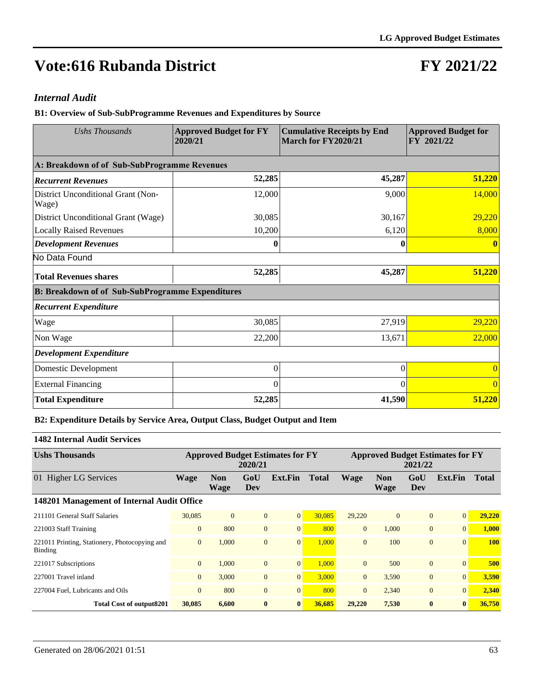## **FY 2021/22**

#### *Internal Audit*

**B1: Overview of Sub-SubProgramme Revenues and Expenditures by Source**

| Ushs Thousands                                          | <b>Approved Budget for FY</b><br>2020/21 | <b>Cumulative Receipts by End</b><br>March for FY2020/21 | <b>Approved Budget for</b><br>FY 2021/22 |  |  |
|---------------------------------------------------------|------------------------------------------|----------------------------------------------------------|------------------------------------------|--|--|
| A: Breakdown of of Sub-SubProgramme Revenues            |                                          |                                                          |                                          |  |  |
| <b>Recurrent Revenues</b>                               | 52,285                                   | 45,287                                                   | 51,220                                   |  |  |
| District Unconditional Grant (Non-<br>Wage)             | 12,000                                   | 9,000                                                    | 14,000                                   |  |  |
| District Unconditional Grant (Wage)                     | 30,085                                   | 30,167                                                   | 29,220                                   |  |  |
| <b>Locally Raised Revenues</b>                          | 10,200                                   | 6,120                                                    | 8,000                                    |  |  |
| <b>Development Revenues</b>                             | 0                                        | 0                                                        |                                          |  |  |
| No Data Found                                           |                                          |                                                          |                                          |  |  |
| <b>Total Revenues shares</b>                            | 52,285                                   | 45,287                                                   | 51,220                                   |  |  |
| <b>B: Breakdown of of Sub-SubProgramme Expenditures</b> |                                          |                                                          |                                          |  |  |
| <b>Recurrent Expenditure</b>                            |                                          |                                                          |                                          |  |  |
| Wage                                                    | 30,085                                   | 27,919                                                   | 29,220                                   |  |  |
| Non Wage                                                | 22,200                                   | 13,671                                                   | 22,000                                   |  |  |
| <b>Development Expenditure</b>                          |                                          |                                                          |                                          |  |  |
| Domestic Development                                    | $\theta$                                 | $\Omega$                                                 |                                          |  |  |
| <b>External Financing</b>                               | 0                                        | $\Omega$                                                 |                                          |  |  |
| <b>Total Expenditure</b>                                | 52,285                                   | 41,590                                                   | 51,220                                   |  |  |

#### **B2: Expenditure Details by Service Area, Output Class, Budget Output and Item**

#### **1482 Internal Audit Services**

| <b>Ushs Thousands</b>                                    | <b>Approved Budget Estimates for FY</b><br>2020/21 |                    |                |                |              | <b>Approved Budget Estimates for FY</b><br>2021/22 |                           |                |                 |              |  |  |
|----------------------------------------------------------|----------------------------------------------------|--------------------|----------------|----------------|--------------|----------------------------------------------------|---------------------------|----------------|-----------------|--------------|--|--|
| 01 Higher LG Services                                    | <b>Wage</b>                                        | <b>Non</b><br>Wage | GoU<br>Dev     | Ext.Fin        | <b>Total</b> | Wage                                               | <b>Non</b><br><b>Wage</b> | GoU<br>Dev     | Ext.Fin         | <b>Total</b> |  |  |
| 148201 Management of Internal Audit Office               |                                                    |                    |                |                |              |                                                    |                           |                |                 |              |  |  |
| 211101 General Staff Salaries                            | 30,085                                             | $\Omega$           | $\overline{0}$ | $\overline{0}$ | 30.085       | 29,220                                             | $\mathbf{0}$              | $\mathbf{0}$   | $\vert 0 \vert$ | 29,220       |  |  |
| 221003 Staff Training                                    | $\mathbf{0}$                                       | 800                | $\overline{0}$ | $\overline{0}$ | 800          | $\overline{0}$                                     | 1.000                     | $\overline{0}$ | 0               | 1.000        |  |  |
| 221011 Printing, Stationery, Photocopying and<br>Binding | $\mathbf{0}$                                       | 1,000              | $\overline{0}$ | $\mathbf{0}$   | 1.000        | $\Omega$                                           | 100                       | $\overline{0}$ | $\Omega$        | <b>100</b>   |  |  |
| 221017 Subscriptions                                     | $\overline{0}$                                     | 1,000              | $\mathbf{0}$   | $\mathbf{0}$   | 1,000        | $\Omega$                                           | 500                       | $\mathbf{0}$   | $\vert 0 \vert$ | 500          |  |  |
| 227001 Travel inland                                     | $\overline{0}$                                     | 3,000              | $\overline{0}$ | $\mathbf{0}$   | 3,000        | $\Omega$                                           | 3,590                     | $\mathbf{0}$   | 0               | 3,590        |  |  |
| 227004 Fuel, Lubricants and Oils                         | $\overline{0}$                                     | 800                | $\overline{0}$ | $\overline{0}$ | 800          | $\Omega$                                           | 2,340                     | $\mathbf{0}$   | 0               | 2,340        |  |  |
| <b>Total Cost of output8201</b>                          | 30,085                                             | 6,600              | $\bf{0}$       | $\bf{0}$       | 36,685       | 29,220                                             | 7,530                     | $\bf{0}$       | $\mathbf{0}$    | 36,750       |  |  |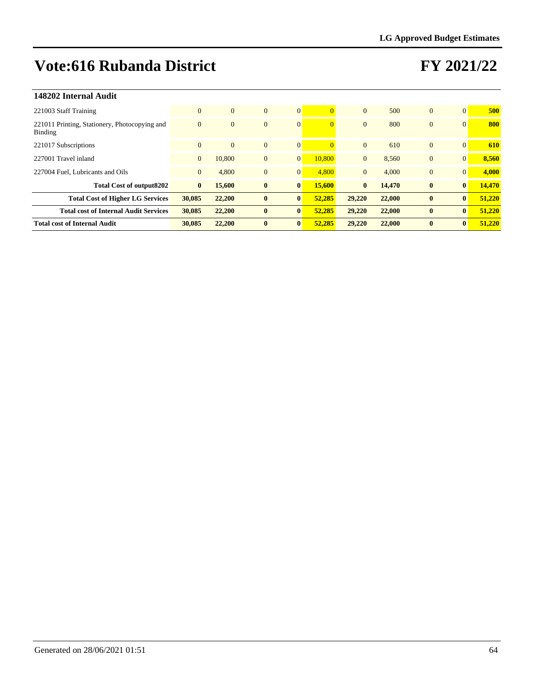| 148202 Internal Audit                                    |                |          |                |                |          |                |        |                |                |        |
|----------------------------------------------------------|----------------|----------|----------------|----------------|----------|----------------|--------|----------------|----------------|--------|
| 221003 Staff Training                                    | $\mathbf{0}$   | $\Omega$ | $\overline{0}$ | $\overline{0}$ |          | $\Omega$       | 500    | $\mathbf{0}$   | $\Omega$       | 500    |
| 221011 Printing, Stationery, Photocopying and<br>Binding | $\mathbf{0}$   | $\Omega$ | $\overline{0}$ | $\overline{0}$ | $\Omega$ | $\mathbf{0}$   | 800    | $\overline{0}$ | $\Omega$       | 800    |
| 221017 Subscriptions                                     | $\overline{0}$ | $\Omega$ | $\overline{0}$ | $\mathbf{0}$   |          | $\Omega$       | 610    | $\mathbf{0}$   | $\Omega$       | 610    |
| 227001 Travel inland                                     | $\mathbf{0}$   | 10.800   | $\overline{0}$ | $\mathbf{0}$   | 10,800   | $\mathbf{0}$   | 8,560  | $\mathbf{0}$   | $\overline{0}$ | 8,560  |
| 227004 Fuel, Lubricants and Oils                         | $\mathbf{0}$   | 4,800    | $\mathbf{0}$   | $\mathbf{0}$   | 4.800    | $\overline{0}$ | 4,000  | $\overline{0}$ | $\Omega$       | 4,000  |
| <b>Total Cost of output8202</b>                          | $\bf{0}$       | 15,600   | $\bf{0}$       | $\bf{0}$       | 15,600   | $\bf{0}$       | 14,470 | $\bf{0}$       | $\bf{0}$       | 14,470 |
| <b>Total Cost of Higher LG Services</b>                  | 30,085         | 22,200   | $\bf{0}$       | $\bf{0}$       | 52,285   | 29,220         | 22,000 | $\bf{0}$       | $\bf{0}$       | 51,220 |
| <b>Total cost of Internal Audit Services</b>             | 30,085         | 22,200   | $\bf{0}$       | $\bf{0}$       | 52,285   | 29,220         | 22,000 | $\mathbf{0}$   | $\bf{0}$       | 51,220 |
| <b>Total cost of Internal Audit</b>                      | 30,085         | 22,200   | $\mathbf{0}$   | $\bf{0}$       | 52,285   | 29,220         | 22,000 | $\mathbf{0}$   | $\mathbf{0}$   | 51,220 |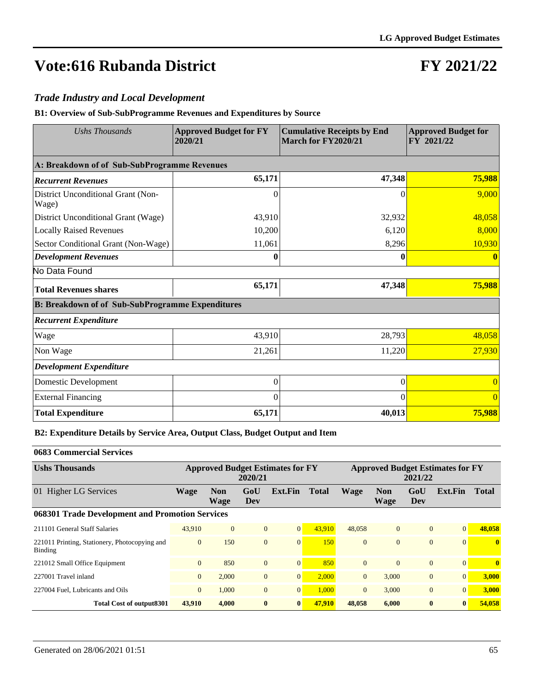### **FY 2021/22**

#### *Trade Industry and Local Development*

**B1: Overview of Sub-SubProgramme Revenues and Expenditures by Source**

| <b>Ushs Thousands</b>                                   | <b>Approved Budget for FY</b><br>2020/21 | <b>Cumulative Receipts by End</b><br>March for FY2020/21 |          |  |  |
|---------------------------------------------------------|------------------------------------------|----------------------------------------------------------|----------|--|--|
| A: Breakdown of of Sub-SubProgramme Revenues            |                                          |                                                          |          |  |  |
| <b>Recurrent Revenues</b>                               | 65,171                                   | 47,348                                                   | 75,988   |  |  |
| District Unconditional Grant (Non-<br>Wage)             | 0                                        | 0                                                        | 9,000    |  |  |
| District Unconditional Grant (Wage)                     | 43,910                                   | 32,932                                                   | 48,058   |  |  |
| <b>Locally Raised Revenues</b>                          | 10,200                                   | 6,120                                                    | 8,000    |  |  |
| Sector Conditional Grant (Non-Wage)                     | 11,061                                   | 8,296                                                    | 10,930   |  |  |
| <b>Development Revenues</b>                             | 0                                        | 0                                                        |          |  |  |
| No Data Found                                           |                                          |                                                          |          |  |  |
| <b>Total Revenues shares</b>                            | 65,171                                   | 47,348                                                   | 75,988   |  |  |
| <b>B: Breakdown of of Sub-SubProgramme Expenditures</b> |                                          |                                                          |          |  |  |
| <b>Recurrent Expenditure</b>                            |                                          |                                                          |          |  |  |
| Wage                                                    | 43,910                                   | 28,793                                                   | 48,058   |  |  |
| Non Wage                                                | 21,261                                   | 11,220                                                   | 27,930   |  |  |
| <b>Development Expenditure</b>                          |                                          |                                                          |          |  |  |
| Domestic Development                                    | $\Omega$                                 | $\theta$                                                 |          |  |  |
| <b>External Financing</b>                               | $\Omega$                                 | 0                                                        | $\Omega$ |  |  |
| <b>Total Expenditure</b>                                | 65,171                                   | 40,013                                                   | 75,988   |  |  |

**B2: Expenditure Details by Service Area, Output Class, Budget Output and Item**

#### **0683 Commercial Services**

| <b>Ushs Thousands</b>                                    | <b>Approved Budget Estimates for FY</b><br>2020/21 |                           |                |                |              | <b>Approved Budget Estimates for FY</b><br>2021/22 |                    |                |          |              |  |
|----------------------------------------------------------|----------------------------------------------------|---------------------------|----------------|----------------|--------------|----------------------------------------------------|--------------------|----------------|----------|--------------|--|
| 01 Higher LG Services                                    | Wage                                               | <b>Non</b><br><b>Wage</b> | GoU<br>Dev     | Ext.Fin        | <b>Total</b> | <b>Wage</b>                                        | <b>Non</b><br>Wage | GoU<br>Dev     | Ext.Fin  | <b>Total</b> |  |
| 068301 Trade Development and Promotion Services          |                                                    |                           |                |                |              |                                                    |                    |                |          |              |  |
| 211101 General Staff Salaries                            | 43.910                                             | $\Omega$                  | $\overline{0}$ | $\overline{0}$ | 43.910       | 48,058                                             | $\overline{0}$     | $\overline{0}$ | 0        | 48,058       |  |
| 221011 Printing, Stationery, Photocopying and<br>Binding | $\mathbf{0}$                                       | 150                       | $\mathbf{0}$   | $\overline{0}$ | 150          | $\Omega$                                           | $\Omega$           | $\Omega$       | $\Omega$ | $\mathbf{0}$ |  |
| 221012 Small Office Equipment                            | $\mathbf{0}$                                       | 850                       | $\overline{0}$ | $\overline{0}$ | 850          | $\Omega$                                           | $\Omega$           | $\overline{0}$ | $\Omega$ | $\mathbf{0}$ |  |
| 227001 Travel inland                                     | $\overline{0}$                                     | 2,000                     | $\mathbf{0}$   | $\overline{0}$ | 2.000        | $\overline{0}$                                     | 3.000              | $\overline{0}$ | 0        | 3.000        |  |
| 227004 Fuel, Lubricants and Oils                         | $\overline{0}$                                     | 1,000                     | $\overline{0}$ | $\overline{0}$ | 1.000        | $\Omega$                                           | 3.000              | $\overline{0}$ | $\Omega$ | 3.000        |  |
| Total Cost of output 8301                                | 43,910                                             | 4.000                     | $\bf{0}$       | $\bf{0}$       | 47,910       | 48,058                                             | 6.000              | $\bf{0}$       | $\bf{0}$ | 54,058       |  |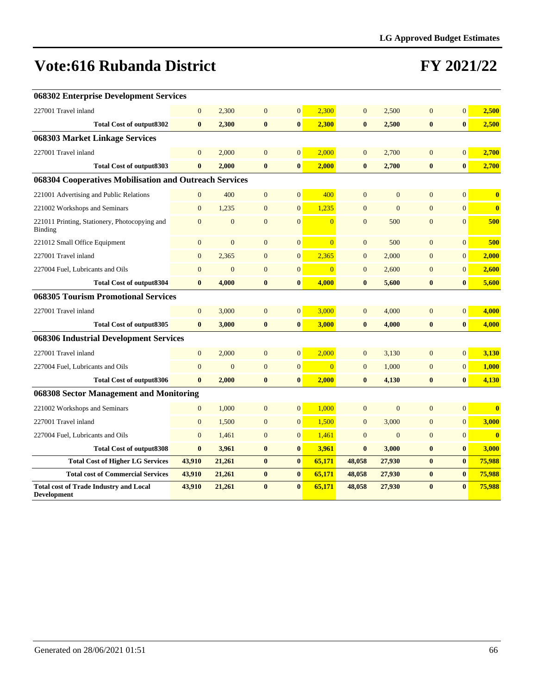| 068302 Enterprise Development Services                              |                |                |                |                  |                |                |                |                |                |                         |
|---------------------------------------------------------------------|----------------|----------------|----------------|------------------|----------------|----------------|----------------|----------------|----------------|-------------------------|
| 227001 Travel inland                                                | $\Omega$       | 2,300          | $\overline{0}$ | $\mathbf{0}$     | 2,300          | $\overline{0}$ | 2,500          | $\Omega$       | $\Omega$       | 2,500                   |
| <b>Total Cost of output8302</b>                                     | $\bf{0}$       | 2,300          | $\bf{0}$       | $\bf{0}$         | 2,300          | $\bf{0}$       | 2,500          | $\bf{0}$       | $\mathbf{0}$   | 2,500                   |
| 068303 Market Linkage Services                                      |                |                |                |                  |                |                |                |                |                |                         |
| 227001 Travel inland                                                | $\mathbf{0}$   | 2,000          | $\mathbf{0}$   | $\mathbf{0}$     | 2,000          | $\mathbf{0}$   | 2,700          | $\mathbf{0}$   | $\overline{0}$ | 2,700                   |
| <b>Total Cost of output8303</b>                                     | $\bf{0}$       | 2,000          | $\bf{0}$       | $\bf{0}$         | 2,000          | $\bf{0}$       | 2,700          | $\bf{0}$       | $\bf{0}$       | 2,700                   |
| 068304 Cooperatives Mobilisation and Outreach Services              |                |                |                |                  |                |                |                |                |                |                         |
| 221001 Advertising and Public Relations                             | $\mathbf{0}$   | 400            | $\mathbf{0}$   | $\mathbf{0}$     | 400            | $\overline{0}$ | $\mathbf{0}$   | $\overline{0}$ | $\overline{0}$ | $\bf{0}$                |
| 221002 Workshops and Seminars                                       | $\overline{0}$ | 1,235          | $\mathbf{0}$   | $\mathbf{0}$     | 1,235          | $\overline{0}$ | $\mathbf{0}$   | $\overline{0}$ | $\overline{0}$ | $\bf{0}$                |
| 221011 Printing, Stationery, Photocopying and<br><b>Binding</b>     | $\mathbf{0}$   | $\mathbf{0}$   | $\mathbf{0}$   | $\overline{0}$   | $\overline{0}$ | $\overline{0}$ | 500            | $\overline{0}$ | $\overline{0}$ | 500                     |
| 221012 Small Office Equipment                                       | $\mathbf{0}$   | $\mathbf{0}$   | $\mathbf{0}$   | $\boldsymbol{0}$ | $\overline{0}$ | $\overline{0}$ | 500            | $\overline{0}$ | $\overline{0}$ | 500                     |
| 227001 Travel inland                                                | $\mathbf{0}$   | 2,365          | $\mathbf{0}$   | $\mathbf{0}$     | 2,365          | $\overline{0}$ | 2,000          | $\overline{0}$ | $\overline{0}$ | 2,000                   |
| 227004 Fuel, Lubricants and Oils                                    | $\mathbf{0}$   | $\mathbf{0}$   | $\mathbf{0}$   | $\mathbf{0}$     | $\overline{0}$ | $\mathbf{0}$   | 2,600          | $\overline{0}$ | $\mathbf{0}$   | 2,600                   |
| <b>Total Cost of output8304</b>                                     | $\bf{0}$       | 4,000          | $\bf{0}$       | $\bf{0}$         | 4,000          | $\bf{0}$       | 5,600          | $\bf{0}$       | $\mathbf{0}$   | 5,600                   |
| 068305 Tourism Promotional Services                                 |                |                |                |                  |                |                |                |                |                |                         |
| 227001 Travel inland                                                | $\mathbf{0}$   | 3,000          | $\mathbf{0}$   | $\mathbf{0}$     | 3,000          | $\mathbf{0}$   | 4,000          | $\overline{0}$ | $\overline{0}$ | 4,000                   |
| <b>Total Cost of output8305</b>                                     | $\bf{0}$       | 3,000          | $\bf{0}$       | $\bf{0}$         | 3,000          | $\bf{0}$       | 4,000          | $\bf{0}$       | $\mathbf{0}$   | 4,000                   |
| 068306 Industrial Development Services                              |                |                |                |                  |                |                |                |                |                |                         |
| 227001 Travel inland                                                | $\mathbf{0}$   | 2,000          | $\mathbf{0}$   | $\mathbf{0}$     | 2,000          | $\overline{0}$ | 3,130          | $\overline{0}$ | $\overline{0}$ | 3,130                   |
| 227004 Fuel, Lubricants and Oils                                    | $\overline{0}$ | $\overline{0}$ | $\overline{0}$ | $\mathbf{0}$     | $\overline{0}$ | $\overline{0}$ | 1,000          | $\overline{0}$ | $\overline{0}$ | 1,000                   |
| <b>Total Cost of output8306</b>                                     | $\bf{0}$       | 2,000          | $\bf{0}$       | $\bf{0}$         | 2,000          | $\bf{0}$       | 4,130          | $\bf{0}$       | $\mathbf{0}$   | 4,130                   |
| 068308 Sector Management and Monitoring                             |                |                |                |                  |                |                |                |                |                |                         |
| 221002 Workshops and Seminars                                       | $\mathbf{0}$   | 1,000          | $\mathbf{0}$   | $\mathbf{0}$     | 1,000          | $\mathbf{0}$   | $\overline{0}$ | $\overline{0}$ | $\overline{0}$ | $\bf{0}$                |
| 227001 Travel inland                                                | $\mathbf{0}$   | 1,500          | $\mathbf{0}$   | $\mathbf{0}$     | 1,500          | $\overline{0}$ | 3,000          | $\overline{0}$ | $\overline{0}$ | 3,000                   |
| 227004 Fuel, Lubricants and Oils                                    | $\overline{0}$ | 1,461          | $\mathbf{0}$   | $\mathbf{0}$     | 1,461          | $\mathbf{0}$   | $\mathbf{0}$   | $\overline{0}$ | $\overline{0}$ | $\overline{\mathbf{0}}$ |
| <b>Total Cost of output8308</b>                                     | $\bf{0}$       | 3,961          | $\bf{0}$       | $\bf{0}$         | 3,961          | $\bf{0}$       | 3,000          | $\bf{0}$       | $\mathbf{0}$   | 3,000                   |
| <b>Total Cost of Higher LG Services</b>                             | 43,910         | 21,261         | $\bf{0}$       | $\bf{0}$         | 65,171         | 48,058         | 27,930         | $\bf{0}$       | $\bf{0}$       | 75,988                  |
| <b>Total cost of Commercial Services</b>                            | 43,910         | 21,261         | $\bf{0}$       | $\pmb{0}$        | 65,171         | 48,058         | 27,930         | $\bf{0}$       | $\bf{0}$       | 75,988                  |
| <b>Total cost of Trade Industry and Local</b><br><b>Development</b> | 43,910         | 21,261         | $\bf{0}$       | $\bf{0}$         | 65,171         | 48,058         | 27,930         | $\bf{0}$       | $\mathbf{0}$   | 75,988                  |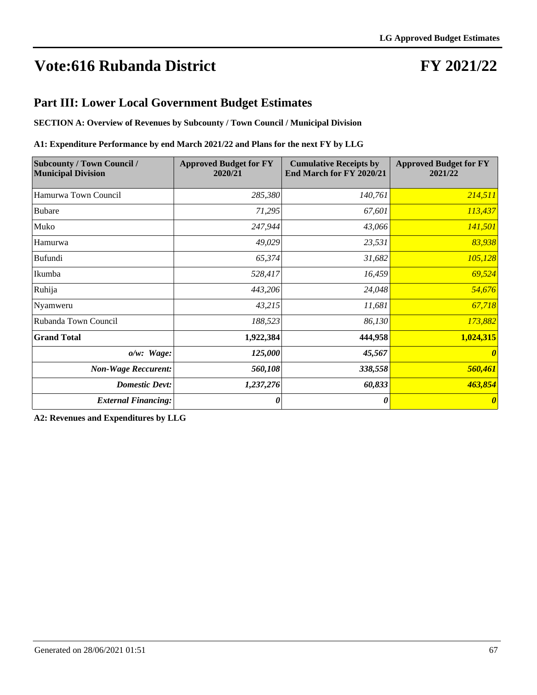### **FY 2021/22**

#### **Part III: Lower Local Government Budget Estimates**

**SECTION A: Overview of Revenues by Subcounty / Town Council / Municipal Division**

#### **A1: Expenditure Performance by end March 2021/22 and Plans for the next FY by LLG**

| <b>Subcounty / Town Council /</b><br><b>Municipal Division</b> | <b>Approved Budget for FY</b><br>2020/21 | <b>Cumulative Receipts by</b><br>End March for FY 2020/21 | <b>Approved Budget for FY</b><br>2021/22 |
|----------------------------------------------------------------|------------------------------------------|-----------------------------------------------------------|------------------------------------------|
| Hamurwa Town Council                                           | 285,380                                  | 140,761                                                   | 214,511                                  |
| <b>Bubare</b>                                                  | 71,295                                   | 67,601                                                    | 113,437                                  |
| Muko                                                           | 247,944                                  | 43,066                                                    | <b>141,501</b>                           |
| Hamurwa                                                        | 49,029                                   | 23,531                                                    | 83,938                                   |
| Bufundi                                                        | 65,374                                   | 31,682                                                    | 105,128                                  |
| Ikumba                                                         | 528,417                                  | 16,459                                                    | 69,524                                   |
| Ruhija                                                         | 443,206                                  | 24,048                                                    | 54,676                                   |
| Nyamweru                                                       | 43,215                                   | 11,681                                                    | 67,718                                   |
| Rubanda Town Council                                           | 188,523                                  | 86,130                                                    | 173,882                                  |
| <b>Grand Total</b>                                             | 1,922,384                                | 444,958                                                   | 1,024,315                                |
| $o/w$ : Wage:                                                  | 125,000                                  | 45,567                                                    | $\boldsymbol{\theta}$                    |
| <b>Non-Wage Reccurent:</b>                                     | 560,108                                  | 338,558                                                   | 560,461                                  |
| <b>Domestic Devt:</b>                                          | 1,237,276                                | 60,833                                                    | 463,854                                  |
| <b>External Financing:</b>                                     | 0                                        | $\theta$                                                  | $\boldsymbol{\theta}$                    |

**A2: Revenues and Expenditures by LLG**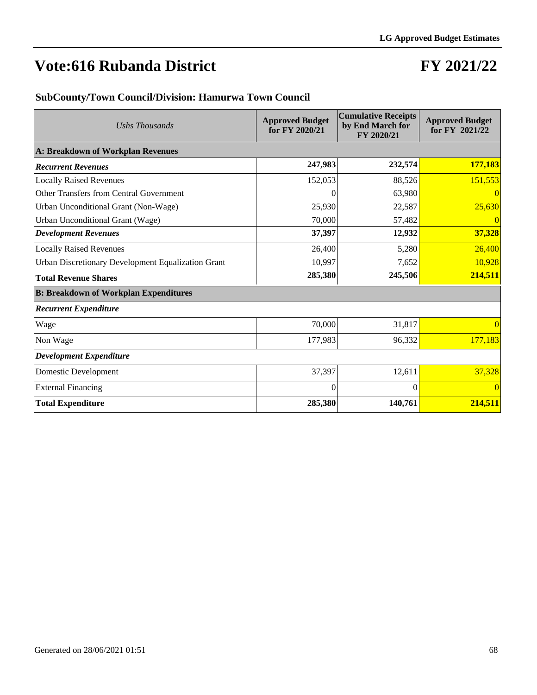#### **FY 2021/22**

#### **SubCounty/Town Council/Division: Hamurwa Town Council**

| Ushs Thousands                                     | <b>Approved Budget</b><br>for FY 2020/21 | <b>Cumulative Receipts</b><br>by End March for<br>FY 2020/21 | <b>Approved Budget</b><br>for FY 2021/22 |
|----------------------------------------------------|------------------------------------------|--------------------------------------------------------------|------------------------------------------|
| <b>A: Breakdown of Workplan Revenues</b>           |                                          |                                                              |                                          |
| <b>Recurrent Revenues</b>                          | 247,983                                  | 232,574                                                      | 177,183                                  |
| <b>Locally Raised Revenues</b>                     | 152,053                                  | 88,526                                                       | 151,553                                  |
| Other Transfers from Central Government            | 0                                        | 63,980                                                       | $\vert 0 \vert$                          |
| Urban Unconditional Grant (Non-Wage)               | 25,930                                   | 22,587                                                       | 25,630                                   |
| Urban Unconditional Grant (Wage)                   | 70,000                                   | 57,482                                                       | 0                                        |
| <b>Development Revenues</b>                        | 37,397                                   | 12,932                                                       | 37,328                                   |
| <b>Locally Raised Revenues</b>                     | 26,400                                   | 5,280                                                        | 26,400                                   |
| Urban Discretionary Development Equalization Grant | 10,997                                   | 7,652                                                        | 10,928                                   |
| <b>Total Revenue Shares</b>                        | 285,380                                  | 245,506                                                      | 214,511                                  |
| <b>B: Breakdown of Workplan Expenditures</b>       |                                          |                                                              |                                          |
| <b>Recurrent Expenditure</b>                       |                                          |                                                              |                                          |
| Wage                                               | 70,000                                   | 31,817                                                       | $\vert 0 \vert$                          |
| Non Wage                                           | 177,983                                  | 96,332                                                       | 177,183                                  |
| <b>Development Expenditure</b>                     |                                          |                                                              |                                          |
| Domestic Development                               | 37,397                                   | 12,611                                                       | 37,328                                   |
| <b>External Financing</b>                          | $\Omega$                                 | $\Omega$                                                     | $\vert 0 \vert$                          |
| <b>Total Expenditure</b>                           | 285,380                                  | 140,761                                                      | 214,511                                  |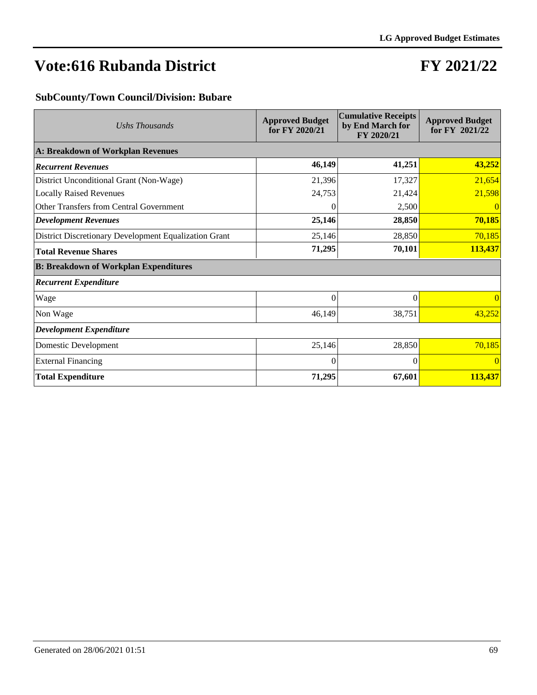### **FY 2021/22**

#### **SubCounty/Town Council/Division: Bubare**

| Ushs Thousands                                        | <b>Approved Budget</b><br>for FY 2020/21 | <b>Cumulative Receipts</b><br>by End March for<br>FY 2020/21 | <b>Approved Budget</b><br>for FY 2021/22 |  |  |
|-------------------------------------------------------|------------------------------------------|--------------------------------------------------------------|------------------------------------------|--|--|
| A: Breakdown of Workplan Revenues                     |                                          |                                                              |                                          |  |  |
| <b>Recurrent Revenues</b>                             | 46,149                                   | 41,251                                                       | 43,252                                   |  |  |
| District Unconditional Grant (Non-Wage)               | 21,396                                   | 17,327                                                       | 21,654                                   |  |  |
| <b>Locally Raised Revenues</b>                        | 24,753                                   | 21,424                                                       | 21,598                                   |  |  |
| Other Transfers from Central Government               | $\theta$                                 | 2,500                                                        | $\overline{0}$                           |  |  |
| <b>Development Revenues</b>                           | 25,146                                   | 28,850                                                       | 70,185                                   |  |  |
| District Discretionary Development Equalization Grant | 25,146                                   | 28,850                                                       | 70,185                                   |  |  |
| <b>Total Revenue Shares</b>                           | 71,295                                   | 70,101                                                       | 113,437                                  |  |  |
| <b>B: Breakdown of Workplan Expenditures</b>          |                                          |                                                              |                                          |  |  |
| <b>Recurrent Expenditure</b>                          |                                          |                                                              |                                          |  |  |
| Wage                                                  | $\theta$                                 | $\Omega$                                                     | $\vert 0 \vert$                          |  |  |
| Non Wage                                              | 46,149                                   | 38,751                                                       | 43,252                                   |  |  |
| <b>Development Expenditure</b>                        |                                          |                                                              |                                          |  |  |
| Domestic Development                                  | 25,146                                   | 28,850                                                       | 70,185                                   |  |  |
| <b>External Financing</b>                             | $\Omega$                                 | $\Omega$                                                     | $\vert 0 \vert$                          |  |  |
| <b>Total Expenditure</b>                              | 71,295                                   | 67,601                                                       | 113,437                                  |  |  |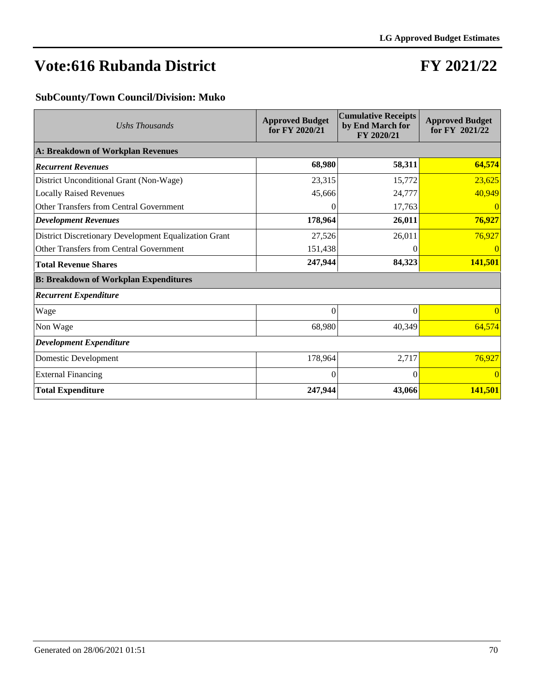### **FY 2021/22**

#### **SubCounty/Town Council/Division: Muko**

| Ushs Thousands                                        | <b>Approved Budget</b><br>for FY 2020/21 | <b>Cumulative Receipts</b><br>by End March for<br>FY 2020/21 | <b>Approved Budget</b><br>for FY 2021/22 |  |  |
|-------------------------------------------------------|------------------------------------------|--------------------------------------------------------------|------------------------------------------|--|--|
| A: Breakdown of Workplan Revenues                     |                                          |                                                              |                                          |  |  |
| <b>Recurrent Revenues</b>                             | 68,980                                   | 58,311                                                       | 64,574                                   |  |  |
| District Unconditional Grant (Non-Wage)               | 23,315                                   | 15,772                                                       | 23,625                                   |  |  |
| <b>Locally Raised Revenues</b>                        | 45,666                                   | 24,777                                                       | 40,949                                   |  |  |
| Other Transfers from Central Government               | $\Omega$                                 | 17,763                                                       | $\vert 0 \vert$                          |  |  |
| <b>Development Revenues</b>                           | 178,964                                  | 26,011                                                       | 76,927                                   |  |  |
| District Discretionary Development Equalization Grant | 27,526                                   | 26,011                                                       | 76,927                                   |  |  |
| Other Transfers from Central Government               | 151,438                                  | $_{0}$                                                       | 0                                        |  |  |
| <b>Total Revenue Shares</b>                           | 247,944                                  | 84,323                                                       | 141,501                                  |  |  |
| <b>B: Breakdown of Workplan Expenditures</b>          |                                          |                                                              |                                          |  |  |
| <b>Recurrent Expenditure</b>                          |                                          |                                                              |                                          |  |  |
| Wage                                                  | $\theta$                                 | $\Omega$                                                     | $\Omega$                                 |  |  |
| Non Wage                                              | 68,980                                   | 40,349                                                       | 64,574                                   |  |  |
| <b>Development Expenditure</b>                        |                                          |                                                              |                                          |  |  |
| Domestic Development                                  | 178,964                                  | 2,717                                                        | 76,927                                   |  |  |
| <b>External Financing</b>                             | $\Omega$                                 | 0                                                            | $\vert$ 0                                |  |  |
| <b>Total Expenditure</b>                              | 247,944                                  | 43,066                                                       | 141,501                                  |  |  |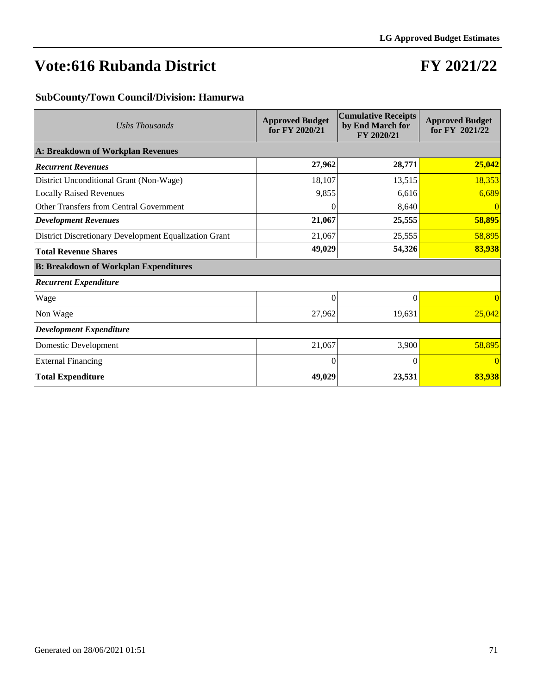### **FY 2021/22**

#### **SubCounty/Town Council/Division: Hamurwa**

| Ushs Thousands                                        | <b>Approved Budget</b><br>for FY 2020/21 | <b>Cumulative Receipts</b><br>by End March for<br>FY 2020/21 | <b>Approved Budget</b><br>for FY 2021/22 |  |  |  |  |
|-------------------------------------------------------|------------------------------------------|--------------------------------------------------------------|------------------------------------------|--|--|--|--|
| A: Breakdown of Workplan Revenues                     |                                          |                                                              |                                          |  |  |  |  |
| <b>Recurrent Revenues</b>                             | 27,962                                   | 28,771                                                       | 25,042                                   |  |  |  |  |
| District Unconditional Grant (Non-Wage)               | 18,107                                   | 13,515                                                       | 18,353                                   |  |  |  |  |
| <b>Locally Raised Revenues</b>                        | 9,855                                    | 6,616                                                        | 6,689                                    |  |  |  |  |
| Other Transfers from Central Government               | 0                                        | 8,640                                                        | $\overline{0}$                           |  |  |  |  |
| <b>Development Revenues</b>                           | 21,067                                   | 25,555                                                       | 58,895                                   |  |  |  |  |
| District Discretionary Development Equalization Grant | 21,067                                   | 25,555                                                       | 58,895                                   |  |  |  |  |
| <b>Total Revenue Shares</b>                           | 49,029                                   | 54,326                                                       | 83,938                                   |  |  |  |  |
| <b>B: Breakdown of Workplan Expenditures</b>          |                                          |                                                              |                                          |  |  |  |  |
| <b>Recurrent Expenditure</b>                          |                                          |                                                              |                                          |  |  |  |  |
| Wage                                                  | $\Omega$                                 | 0                                                            | $\overline{0}$                           |  |  |  |  |
| Non Wage                                              | 27,962                                   | 19,631                                                       | 25,042                                   |  |  |  |  |
| <b>Development Expenditure</b>                        |                                          |                                                              |                                          |  |  |  |  |
| Domestic Development                                  | 21,067                                   | 3,900                                                        | 58,895                                   |  |  |  |  |
| <b>External Financing</b>                             | $\theta$                                 | $\Omega$                                                     | $\overline{0}$                           |  |  |  |  |
| <b>Total Expenditure</b>                              | 49,029                                   | 23,531                                                       | 83,938                                   |  |  |  |  |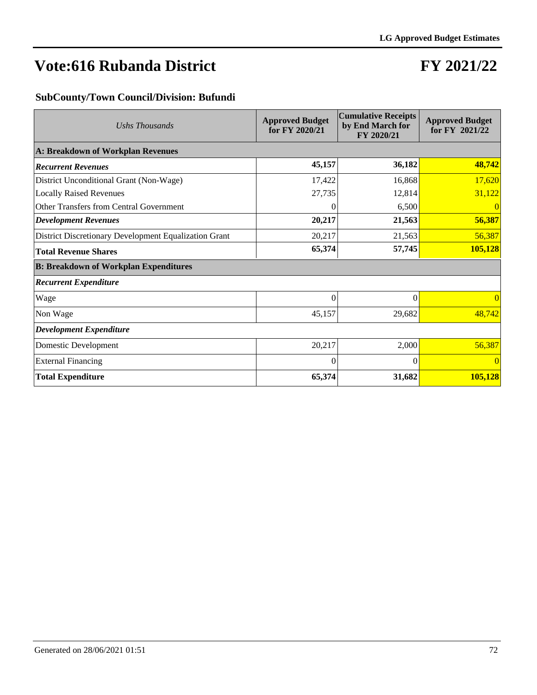### **FY 2021/22**

#### **SubCounty/Town Council/Division: Bufundi**

| Ushs Thousands                                        | <b>Approved Budget</b><br>for FY 2020/21 | <b>Cumulative Receipts</b><br>by End March for<br>FY 2020/21 | <b>Approved Budget</b><br>for FY 2021/22 |  |  |
|-------------------------------------------------------|------------------------------------------|--------------------------------------------------------------|------------------------------------------|--|--|
| A: Breakdown of Workplan Revenues                     |                                          |                                                              |                                          |  |  |
| <b>Recurrent Revenues</b>                             | 45,157                                   | 36,182                                                       | 48,742                                   |  |  |
| District Unconditional Grant (Non-Wage)               | 17,422                                   | 16,868                                                       | 17,620                                   |  |  |
| <b>Locally Raised Revenues</b>                        | 27,735                                   | 12,814                                                       | 31,122                                   |  |  |
| Other Transfers from Central Government               | $\theta$                                 | 6,500                                                        | $\vert 0 \vert$                          |  |  |
| <b>Development Revenues</b>                           | 20,217                                   | 21,563                                                       | 56,387                                   |  |  |
| District Discretionary Development Equalization Grant | 20,217                                   | 21,563                                                       | 56,387                                   |  |  |
| <b>Total Revenue Shares</b>                           | 65,374                                   | 57,745                                                       | 105,128                                  |  |  |
| <b>B: Breakdown of Workplan Expenditures</b>          |                                          |                                                              |                                          |  |  |
| <b>Recurrent Expenditure</b>                          |                                          |                                                              |                                          |  |  |
| Wage                                                  | $\theta$                                 | 0                                                            | $\vert 0 \vert$                          |  |  |
| Non Wage                                              | 45,157                                   | 29,682                                                       | 48,742                                   |  |  |
| <b>Development Expenditure</b>                        |                                          |                                                              |                                          |  |  |
| Domestic Development                                  | 20,217                                   | 2,000                                                        | 56,387                                   |  |  |
| <b>External Financing</b>                             | $\Omega$                                 | $\Omega$                                                     | $\vert 0 \vert$                          |  |  |
| <b>Total Expenditure</b>                              | 65,374                                   | 31,682                                                       | 105,128                                  |  |  |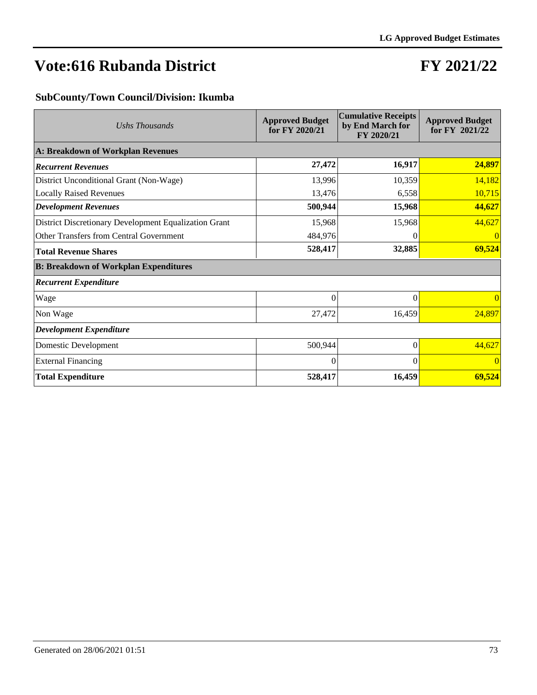## **FY 2021/22**

### **SubCounty/Town Council/Division: Ikumba**

| Ushs Thousands                                        | <b>Approved Budget</b><br>for FY 2020/21 | <b>Cumulative Receipts</b><br>by End March for<br>FY 2020/21 | <b>Approved Budget</b><br>for FY 2021/22 |
|-------------------------------------------------------|------------------------------------------|--------------------------------------------------------------|------------------------------------------|
| A: Breakdown of Workplan Revenues                     |                                          |                                                              |                                          |
| <b>Recurrent Revenues</b>                             | 27,472                                   | 16,917                                                       | 24,897                                   |
| District Unconditional Grant (Non-Wage)               | 13,996                                   | 10,359                                                       | 14,182                                   |
| <b>Locally Raised Revenues</b>                        | 13,476                                   | 6,558                                                        | 10,715                                   |
| <b>Development Revenues</b>                           | 500,944                                  | 15,968                                                       | 44,627                                   |
| District Discretionary Development Equalization Grant | 15,968                                   | 15,968                                                       | 44,627                                   |
| Other Transfers from Central Government               | 484,976                                  | 0                                                            | 0                                        |
| <b>Total Revenue Shares</b>                           | 528,417                                  | 32,885                                                       | 69,524                                   |
| <b>B: Breakdown of Workplan Expenditures</b>          |                                          |                                                              |                                          |
| <b>Recurrent Expenditure</b>                          |                                          |                                                              |                                          |
| Wage                                                  | $\theta$                                 | $\Omega$                                                     | $\vert 0 \vert$                          |
| Non Wage                                              | 27,472                                   | 16,459                                                       | 24,897                                   |
| <b>Development Expenditure</b>                        |                                          |                                                              |                                          |
| Domestic Development                                  | 500,944                                  | $\theta$                                                     | 44,627                                   |
| <b>External Financing</b>                             | $\Omega$                                 | $\Omega$                                                     | $\vert 0 \vert$                          |
| <b>Total Expenditure</b>                              | 528,417                                  | 16,459                                                       | 69,524                                   |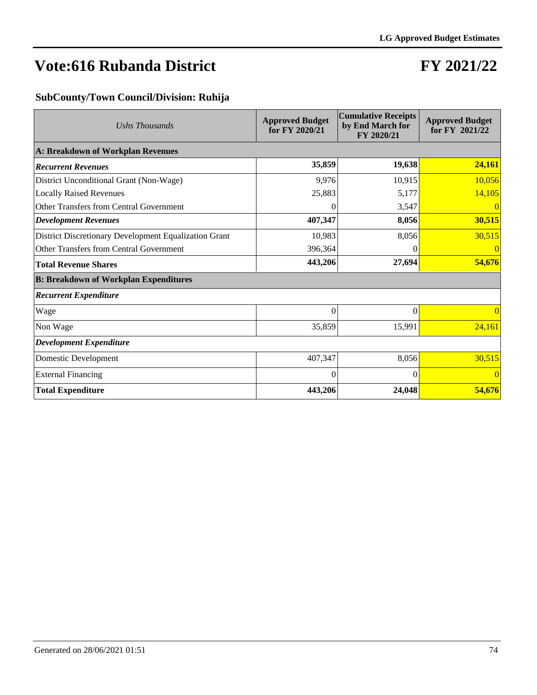## **FY 2021/22**

### **SubCounty/Town Council/Division: Ruhija**

| Ushs Thousands                                        | <b>Approved Budget</b><br>for FY 2020/21 | <b>Cumulative Receipts</b><br>by End March for<br>FY 2020/21 | <b>Approved Budget</b><br>for FY 2021/22 |
|-------------------------------------------------------|------------------------------------------|--------------------------------------------------------------|------------------------------------------|
| A: Breakdown of Workplan Revenues                     |                                          |                                                              |                                          |
| <b>Recurrent Revenues</b>                             | 35,859                                   | 19,638                                                       | 24,161                                   |
| District Unconditional Grant (Non-Wage)               | 9,976                                    | 10,915                                                       | 10,056                                   |
| <b>Locally Raised Revenues</b>                        | 25,883                                   | 5,177                                                        | 14,105                                   |
| <b>Other Transfers from Central Government</b>        | 0                                        | 3,547                                                        | 0                                        |
| <b>Development Revenues</b>                           | 407,347                                  | 8,056                                                        | 30,515                                   |
| District Discretionary Development Equalization Grant | 10,983                                   | 8,056                                                        | 30,515                                   |
| Other Transfers from Central Government               | 396,364                                  | $\theta$                                                     | 0                                        |
| <b>Total Revenue Shares</b>                           | 443,206                                  | 27,694                                                       | 54,676                                   |
| <b>B: Breakdown of Workplan Expenditures</b>          |                                          |                                                              |                                          |
| <b>Recurrent Expenditure</b>                          |                                          |                                                              |                                          |
| Wage                                                  | $\Omega$                                 | $\Omega$                                                     | $\vert 0 \vert$                          |
| Non Wage                                              | 35,859                                   | 15,991                                                       | 24,161                                   |
| <b>Development Expenditure</b>                        |                                          |                                                              |                                          |
| Domestic Development                                  | 407,347                                  | 8,056                                                        | 30,515                                   |
| <b>External Financing</b>                             | $\Omega$                                 | $\Omega$                                                     | $\vert 0 \vert$                          |
| <b>Total Expenditure</b>                              | 443,206                                  | 24,048                                                       | 54,676                                   |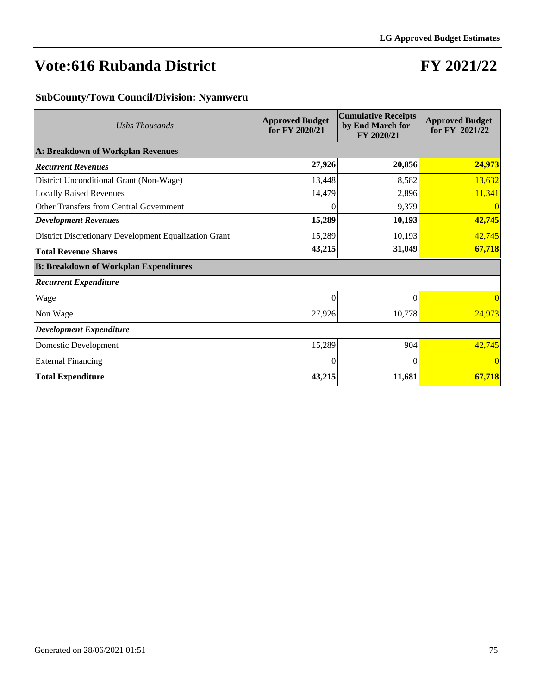## **FY 2021/22**

### **SubCounty/Town Council/Division: Nyamweru**

| Ushs Thousands                                        | <b>Approved Budget</b><br>for FY 2020/21 | <b>Cumulative Receipts</b><br>by End March for<br>FY 2020/21 | <b>Approved Budget</b><br>for FY 2021/22 |
|-------------------------------------------------------|------------------------------------------|--------------------------------------------------------------|------------------------------------------|
| A: Breakdown of Workplan Revenues                     |                                          |                                                              |                                          |
| <b>Recurrent Revenues</b>                             | 27,926                                   | 20,856                                                       | 24,973                                   |
| District Unconditional Grant (Non-Wage)               | 13,448                                   | 8,582                                                        | 13,632                                   |
| <b>Locally Raised Revenues</b>                        | 14,479                                   | 2,896                                                        | 11,341                                   |
| Other Transfers from Central Government               | $\Omega$                                 | 9,379                                                        | $\overline{0}$                           |
| <b>Development Revenues</b>                           | 15,289                                   | 10,193                                                       | 42,745                                   |
| District Discretionary Development Equalization Grant | 15,289                                   | 10,193                                                       | 42,745                                   |
| <b>Total Revenue Shares</b>                           | 43,215                                   | 31,049                                                       | 67,718                                   |
| <b>B: Breakdown of Workplan Expenditures</b>          |                                          |                                                              |                                          |
| <b>Recurrent Expenditure</b>                          |                                          |                                                              |                                          |
| Wage                                                  | $\theta$                                 | $\Omega$                                                     | $\vert 0 \vert$                          |
| Non Wage                                              | 27,926                                   | 10,778                                                       | 24,973                                   |
| <b>Development Expenditure</b>                        |                                          |                                                              |                                          |
| Domestic Development                                  | 15,289                                   | 904                                                          | 42,745                                   |
| <b>External Financing</b>                             | $\Omega$                                 | $\Omega$                                                     | $\vert 0 \vert$                          |
| <b>Total Expenditure</b>                              | 43,215                                   | 11,681                                                       | 67,718                                   |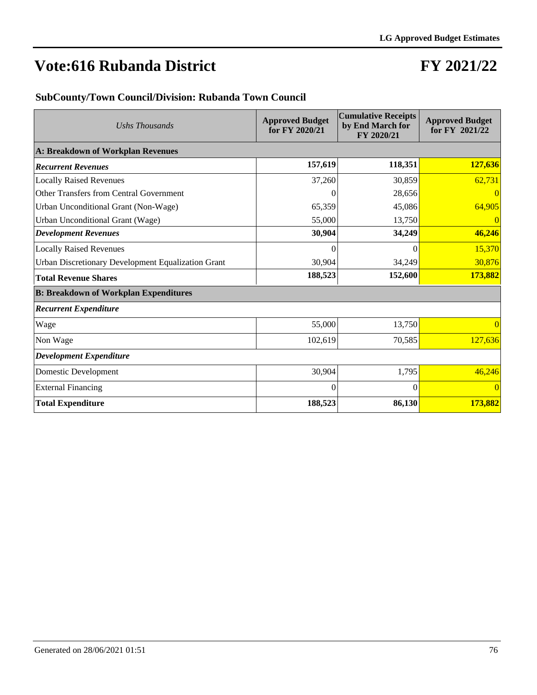### **FY 2021/22**

### **SubCounty/Town Council/Division: Rubanda Town Council**

| Ushs Thousands                                            | <b>Approved Budget</b><br>for FY 2020/21 | <b>Cumulative Receipts</b><br>by End March for<br>FY 2020/21 | <b>Approved Budget</b><br>for FY 2021/22 |
|-----------------------------------------------------------|------------------------------------------|--------------------------------------------------------------|------------------------------------------|
| A: Breakdown of Workplan Revenues                         |                                          |                                                              |                                          |
| <b>Recurrent Revenues</b>                                 | 157,619                                  | 118,351                                                      | 127,636                                  |
| <b>Locally Raised Revenues</b>                            | 37,260                                   | 30,859                                                       | 62,731                                   |
| Other Transfers from Central Government                   | $\Omega$                                 | 28,656                                                       | $\vert 0 \vert$                          |
| Urban Unconditional Grant (Non-Wage)                      | 65,359                                   | 45,086                                                       | 64,905                                   |
| Urban Unconditional Grant (Wage)                          | 55,000                                   | 13,750                                                       | 0                                        |
| <b>Development Revenues</b>                               | 30,904                                   | 34,249                                                       | 46,246                                   |
| <b>Locally Raised Revenues</b>                            | 0                                        | $\theta$                                                     | 15,370                                   |
| <b>Urban Discretionary Development Equalization Grant</b> | 30,904                                   | 34,249                                                       | 30,876                                   |
| <b>Total Revenue Shares</b>                               | 188,523                                  | 152,600                                                      | 173,882                                  |
| <b>B: Breakdown of Workplan Expenditures</b>              |                                          |                                                              |                                          |
| <b>Recurrent Expenditure</b>                              |                                          |                                                              |                                          |
| Wage                                                      | 55,000                                   | 13,750                                                       | $\vert 0 \vert$                          |
| Non Wage                                                  | 102,619                                  | 70,585                                                       | 127,636                                  |
| <b>Development Expenditure</b>                            |                                          |                                                              |                                          |
| Domestic Development                                      | 30,904                                   | 1,795                                                        | 46,246                                   |
| <b>External Financing</b>                                 | $\Omega$                                 | $\Omega$                                                     | $\vert$ 0                                |
| <b>Total Expenditure</b>                                  | 188,523                                  | 86,130                                                       | 173,882                                  |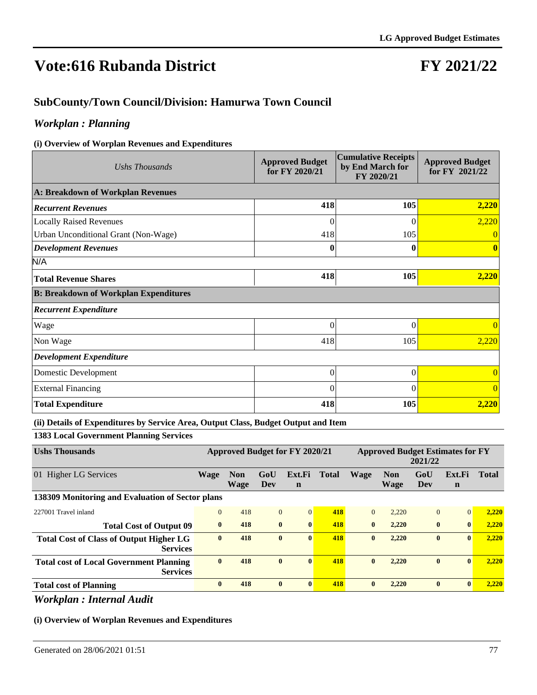### **FY 2021/22**

### **SubCounty/Town Council/Division: Hamurwa Town Council**

### *Workplan : Planning*

#### **(i) Overview of Worplan Revenues and Expenditures**

| Ushs Thousands                               | <b>Approved Budget</b><br>for FY 2020/21 | <b>Cumulative Receipts</b><br>by End March for<br>FY 2020/21 | <b>Approved Budget</b><br>for FY 2021/22 |
|----------------------------------------------|------------------------------------------|--------------------------------------------------------------|------------------------------------------|
| A: Breakdown of Workplan Revenues            |                                          |                                                              |                                          |
| <b>Recurrent Revenues</b>                    | 418                                      | 105                                                          | 2,220                                    |
| <b>Locally Raised Revenues</b>               | $\Omega$                                 | $\theta$                                                     | 2,220                                    |
| Urban Unconditional Grant (Non-Wage)         | 418                                      | 105                                                          | $\theta$                                 |
| <b>Development Revenues</b>                  | 0                                        | 0                                                            | 0                                        |
| N/A                                          |                                          |                                                              |                                          |
| <b>Total Revenue Shares</b>                  | 418                                      | 105                                                          | 2,220                                    |
| <b>B: Breakdown of Workplan Expenditures</b> |                                          |                                                              |                                          |
| <b>Recurrent Expenditure</b>                 |                                          |                                                              |                                          |
| Wage                                         | $\overline{0}$                           | $\Omega$                                                     | $\Omega$                                 |
| Non Wage                                     | 418                                      | 105                                                          | 2,220                                    |
| <b>Development Expenditure</b>               |                                          |                                                              |                                          |
| Domestic Development                         | $\theta$                                 | $\theta$                                                     | $\overline{0}$                           |
| <b>External Financing</b>                    | $\theta$                                 | $\Omega$                                                     | $\overline{0}$                           |
| <b>Total Expenditure</b>                     | 418                                      | 105                                                          | 2,220                                    |

#### **(ii) Details of Expenditures by Service Area, Output Class, Budget Output and Item**

**1383 Local Government Planning Services**

| <b>Ushs Thousands</b>                                             | Approved Budget for FY 2020/21 |                           |              |                       | <b>Approved Budget Estimates for FY</b><br>2021/22 |              |                    |                |                       |              |
|-------------------------------------------------------------------|--------------------------------|---------------------------|--------------|-----------------------|----------------------------------------------------|--------------|--------------------|----------------|-----------------------|--------------|
| 01 Higher LG Services                                             | <b>Wage</b>                    | <b>Non</b><br><b>Wage</b> | GoU<br>Dev   | Ext.Fi<br>$\mathbf n$ | <b>Total</b>                                       | <b>Wage</b>  | <b>Non</b><br>Wage | GoU<br>Dev     | Ext.Fi<br>$\mathbf n$ | <b>Total</b> |
| 138309 Monitoring and Evaluation of Sector plans                  |                                |                           |              |                       |                                                    |              |                    |                |                       |              |
| 227001 Travel inland                                              | $\mathbf{0}$                   | 418                       | $\mathbf{0}$ | $\Omega$              | 418                                                | $\Omega$     | 2.220              | $\overline{0}$ | $\Omega$              | 2,220        |
| <b>Total Cost of Output 09</b>                                    | $\mathbf{0}$                   | 418                       | $\bf{0}$     | $\mathbf{0}$          | 418                                                | $\mathbf{0}$ | 2,220              | $\mathbf{0}$   | $\mathbf{0}$          | 2,220        |
| <b>Total Cost of Class of Output Higher LG</b><br><b>Services</b> | $\mathbf{0}$                   | 418                       | $\mathbf{0}$ | $\mathbf{0}$          | 418                                                | $\mathbf{0}$ | 2,220              | $\mathbf{0}$   | $\mathbf{0}$          | 2,220        |
| <b>Total cost of Local Government Planning</b><br><b>Services</b> | $\mathbf{0}$                   | 418                       | $\mathbf{0}$ | $\mathbf{0}$          | 418                                                | $\mathbf{0}$ | 2,220              | $\mathbf{0}$   | $\mathbf{0}$          | 2,220        |
| <b>Total cost of Planning</b>                                     | $\bf{0}$                       | 418                       | $\bf{0}$     | $\mathbf{0}$          | 418                                                | $\mathbf{0}$ | 2,220              | $\bf{0}$       | $\bf{0}$              | 2,220        |

*Workplan : Internal Audit*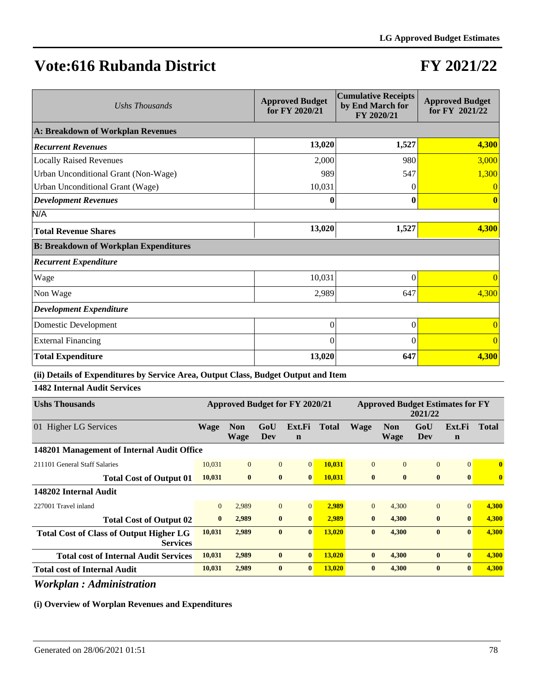# **FY 2021/22**

| Ushs Thousands                               | <b>Approved Budget</b><br>for FY 2020/21 | <b>Cumulative Receipts</b><br>by End March for<br>FY 2020/21 | <b>Approved Budget</b><br>for FY 2021/22 |
|----------------------------------------------|------------------------------------------|--------------------------------------------------------------|------------------------------------------|
| A: Breakdown of Workplan Revenues            |                                          |                                                              |                                          |
| <b>Recurrent Revenues</b>                    | 13,020                                   | 1,527                                                        | 4,300                                    |
| <b>Locally Raised Revenues</b>               | 2,000                                    | 980                                                          | 3,000                                    |
| Urban Unconditional Grant (Non-Wage)         | 989                                      | 547                                                          | 1,300                                    |
| Urban Unconditional Grant (Wage)             | 10,031                                   |                                                              | $\Omega$                                 |
| <b>Development Revenues</b>                  | 0                                        | 0                                                            | $\mathbf{0}$                             |
| N/A                                          |                                          |                                                              |                                          |
| <b>Total Revenue Shares</b>                  | 13,020                                   | 1,527                                                        | 4,300                                    |
| <b>B: Breakdown of Workplan Expenditures</b> |                                          |                                                              |                                          |
| <b>Recurrent Expenditure</b>                 |                                          |                                                              |                                          |
| Wage                                         | 10,031                                   | $\theta$                                                     | $\Omega$                                 |
| Non Wage                                     | 2,989                                    | 647                                                          | 4,300                                    |
| <b>Development Expenditure</b>               |                                          |                                                              |                                          |
| Domestic Development                         | $\overline{0}$                           | $\theta$                                                     |                                          |
| <b>External Financing</b>                    | 0                                        | 0                                                            | $\theta$                                 |
| <b>Total Expenditure</b>                     | 13,020                                   | 647                                                          | 4,300                                    |

#### **(ii) Details of Expenditures by Service Area, Output Class, Budget Output and Item**

**1482 Internal Audit Services**

| <b>Ushs Thousands</b>                                             | <b>Approved Budget for FY 2020/21</b> |                           |                | <b>Approved Budget Estimates for FY</b><br>2021/22 |               |              |                           |              |                       |              |
|-------------------------------------------------------------------|---------------------------------------|---------------------------|----------------|----------------------------------------------------|---------------|--------------|---------------------------|--------------|-----------------------|--------------|
| 01 Higher LG Services                                             | <b>Wage</b>                           | <b>Non</b><br><b>Wage</b> | GoU<br>Dev     | Ext.Fi<br>$\mathbf n$                              | <b>Total</b>  | Wage         | <b>Non</b><br><b>Wage</b> | GoU<br>Dev   | Ext.Fi<br>$\mathbf n$ | <b>Total</b> |
| 148201 Management of Internal Audit Office                        |                                       |                           |                |                                                    |               |              |                           |              |                       |              |
| 211101 General Staff Salaries                                     | 10,031                                | $\overline{0}$            | $\Omega$       | $\overline{0}$                                     | 10,031        | $\Omega$     | $\Omega$                  | $\Omega$     | $\Omega$              | $\mathbf{0}$ |
| <b>Total Cost of Output 01</b>                                    | 10,031                                | $\mathbf{0}$              | $\bf{0}$       | $\bf{0}$                                           | 10,031        | $\mathbf{0}$ | $\mathbf{0}$              | $\bf{0}$     | $\mathbf{0}$          |              |
| 148202 Internal Audit                                             |                                       |                           |                |                                                    |               |              |                           |              |                       |              |
| 227001 Travel inland                                              | $\mathbf{0}$                          | 2,989                     | $\overline{0}$ | $\vert 0 \vert$                                    | 2,989         | $\theta$     | 4.300                     | $\Omega$     | $\Omega$              | 4,300        |
| <b>Total Cost of Output 02</b>                                    | $\bf{0}$                              | 2,989                     | $\mathbf{0}$   | $\mathbf{0}$                                       | 2,989         | $\mathbf{0}$ | 4,300                     | $\mathbf{0}$ | $\mathbf{0}$          | 4,300        |
| <b>Total Cost of Class of Output Higher LG</b><br><b>Services</b> | 10,031                                | 2,989                     | $\bf{0}$       | $\mathbf{0}$                                       | 13,020        | $\mathbf{0}$ | 4,300                     | $\mathbf{0}$ | $\mathbf{0}$          | 4,300        |
| <b>Total cost of Internal Audit Services</b>                      | 10,031                                | 2,989                     | $\bf{0}$       | $\mathbf{0}$                                       | <b>13.020</b> | $\mathbf{0}$ | 4,300                     | $\mathbf{0}$ | $\mathbf{0}$          | 4,300        |
| <b>Total cost of Internal Audit</b>                               | 10,031                                | 2,989                     | $\bf{0}$       | $\mathbf{0}$                                       | 13,020        | $\mathbf{0}$ | 4,300                     | $\mathbf{0}$ | $\mathbf{0}$          | 4,300        |

### *Workplan : Administration*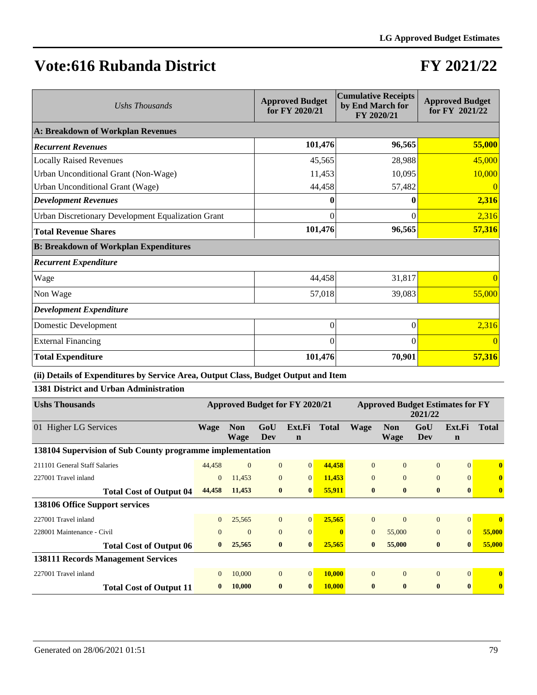### **FY 2021/22**

| Ushs Thousands                                     | <b>Approved Budget</b><br>for FY 2020/21 | <b>Cumulative Receipts</b><br>by End March for<br>FY 2020/21 | <b>Approved Budget</b><br>for FY 2021/22 |
|----------------------------------------------------|------------------------------------------|--------------------------------------------------------------|------------------------------------------|
| A: Breakdown of Workplan Revenues                  |                                          |                                                              |                                          |
| <b>Recurrent Revenues</b>                          | 101,476                                  | 96,565                                                       | 55,000                                   |
| <b>Locally Raised Revenues</b>                     | 45,565                                   | 28,988                                                       | 45,000                                   |
| Urban Unconditional Grant (Non-Wage)               | 11,453                                   | 10,095                                                       | 10,000                                   |
| Urban Unconditional Grant (Wage)                   | 44,458                                   | 57,482                                                       | $\Omega$                                 |
| <b>Development Revenues</b>                        |                                          |                                                              | 2,316                                    |
| Urban Discretionary Development Equalization Grant | 0                                        | $\Omega$                                                     | 2,316                                    |
| <b>Total Revenue Shares</b>                        | 101,476                                  | 96,565                                                       | 57,316                                   |
| <b>B: Breakdown of Workplan Expenditures</b>       |                                          |                                                              |                                          |
| <b>Recurrent Expenditure</b>                       |                                          |                                                              |                                          |
| Wage                                               | 44,458                                   | 31,817                                                       |                                          |
| Non Wage                                           | 57,018                                   | 39,083                                                       | 55,000                                   |
| <b>Development Expenditure</b>                     |                                          |                                                              |                                          |
| Domestic Development                               | $\overline{0}$                           | $\Omega$                                                     | 2,316                                    |
| <b>External Financing</b>                          | $\theta$                                 | $\Omega$                                                     |                                          |
| <b>Total Expenditure</b>                           | 101,476                                  | 70,901                                                       | 57,316                                   |

#### **(ii) Details of Expenditures by Service Area, Output Class, Budget Output and Item**

**1381 District and Urban Administration**

| <b>Ushs Thousands</b>                                     | Approved Budget for FY 2020/21 |                           |                | <b>Approved Budget Estimates for FY</b><br>2021/22 |              |                |                           |                |                       |              |
|-----------------------------------------------------------|--------------------------------|---------------------------|----------------|----------------------------------------------------|--------------|----------------|---------------------------|----------------|-----------------------|--------------|
| 01 Higher LG Services                                     | <b>Wage</b>                    | <b>Non</b><br><b>Wage</b> | GoU<br>Dev     | Ext.Fi<br>$\mathbf n$                              | <b>Total</b> | <b>Wage</b>    | <b>Non</b><br><b>Wage</b> | GoU<br>Dev     | Ext.Fi<br>$\mathbf n$ | <b>Total</b> |
| 138104 Supervision of Sub County programme implementation |                                |                           |                |                                                    |              |                |                           |                |                       |              |
| 211101 General Staff Salaries                             | 44,458                         | $\overline{0}$            | $\overline{0}$ | 0                                                  | 44,458       | $\overline{0}$ | $\theta$                  | $\overline{0}$ | $\Omega$              | $\bf{0}$     |
| 227001 Travel inland                                      | $\overline{0}$                 | 11,453                    | $\Omega$       | $\overline{0}$                                     | 11,453       | $\theta$       | $\Omega$                  | $\Omega$       | $\Omega$              | $\bf{0}$     |
| <b>Total Cost of Output 04</b>                            | 44,458                         | 11,453                    | $\bf{0}$       | $\mathbf{0}$                                       | 55,911       | $\mathbf{0}$   | $\mathbf{0}$              | $\mathbf{0}$   | $\mathbf{0}$          | $\mathbf{0}$ |
| 138106 Office Support services                            |                                |                           |                |                                                    |              |                |                           |                |                       |              |
| 227001 Travel inland                                      | $\Omega$                       | 25,565                    | $\Omega$       | $\Omega$                                           | 25,565       | $\Omega$       | $\Omega$                  | $\Omega$       | $\Omega$              | $\mathbf{0}$ |
| 228001 Maintenance - Civil                                | $\theta$                       | $\mathbf{0}$              | $\Omega$       | $\Omega$                                           | $\mathbf 0$  | $\theta$       | 55,000                    | $\Omega$       | $\Omega$              | 55,000       |
| <b>Total Cost of Output 06</b>                            | $\mathbf{0}$                   | 25,565                    | $\bf{0}$       | $\mathbf{0}$                                       | 25,565       | $\mathbf{0}$   | 55,000                    | $\mathbf{0}$   | $\mathbf{0}$          | 55,000       |
| <b>138111 Records Management Services</b>                 |                                |                           |                |                                                    |              |                |                           |                |                       |              |
| 227001 Travel inland                                      | $\Omega$                       | 10,000                    | $\Omega$       | $\vert 0 \vert$                                    | 10,000       | $\theta$       | $\Omega$                  | $\Omega$       | $\Omega$              | $\mathbf{0}$ |
| <b>Total Cost of Output 11</b>                            | $\bf{0}$                       | 10,000                    | $\bf{0}$       | $\mathbf{0}$                                       | 10,000       | $\mathbf{0}$   | $\bf{0}$                  | $\mathbf{0}$   | $\mathbf{0}$          | $\bf{0}$     |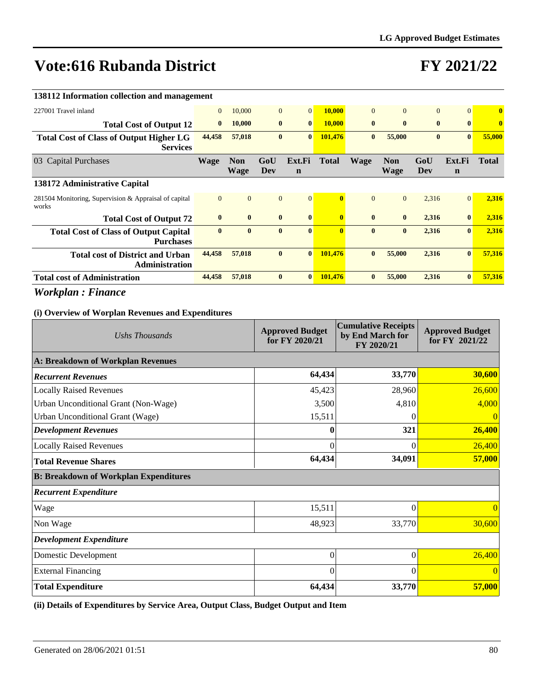## **FY 2021/22**

| 138112 Information collection and management |                           |                |                       |                |                                                             |                           |              |                       |                         |
|----------------------------------------------|---------------------------|----------------|-----------------------|----------------|-------------------------------------------------------------|---------------------------|--------------|-----------------------|-------------------------|
| $\overline{0}$                               | 10,000                    |                | $\overline{0}$        | 10,000         | $\Omega$                                                    | $\Omega$                  | $\mathbf{0}$ | $\vert 0 \vert$       | $\overline{\mathbf{0}}$ |
| $\bf{0}$                                     | 10,000                    | $\mathbf{0}$   | $\bf{0}$              | 10,000         | $\bf{0}$                                                    | $\mathbf{0}$              | $\bf{0}$     | $\mathbf{0}$          | $\bf{0}$                |
| 44,458                                       | 57,018                    | $\bf{0}$       | $\mathbf{0}$          | 101,476        | $\bf{0}$                                                    | 55,000                    | $\bf{0}$     | $\mathbf{0}$          | 55,000                  |
| <b>Wage</b>                                  | <b>Non</b><br><b>Wage</b> | GoU<br>Dev     | Ext.Fi<br>$\mathbf n$ | <b>Total</b>   | <b>Wage</b>                                                 | <b>Non</b><br><b>Wage</b> | GoU<br>Dev   | Ext.Fi<br>$\mathbf n$ | <b>Total</b>            |
|                                              |                           |                |                       |                |                                                             |                           |              |                       |                         |
| $\Omega$                                     | $\Omega$                  | $\overline{0}$ | $\Omega$              | $\mathbf{0}$   | $\Omega$                                                    | $\Omega$                  | 2,316        | $\Omega$              | 2,316                   |
| $\bf{0}$                                     | $\bf{0}$                  | $\mathbf{0}$   | $\mathbf{0}$          | $\mathbf{0}$   | $\bf{0}$                                                    | $\bf{0}$                  | 2,316        | $\mathbf{0}$          | 2,316                   |
| $\bf{0}$                                     | $\mathbf{0}$              | $\mathbf{0}$   | $\mathbf{0}$          | $\overline{0}$ | $\mathbf{0}$                                                | $\mathbf{0}$              | 2,316        | $\mathbf{0}$          | 2,316                   |
| 44,458                                       | 57,018                    | $\bf{0}$       | $\bf{0}$              | 101,476        | $\bf{0}$                                                    | 55,000                    | 2,316        | $\mathbf{0}$          | 57,316                  |
|                                              |                           |                |                       |                | $\mathbf{0}$                                                | 55,000                    |              |                       | 57,316                  |
|                                              |                           |                | $\overline{0}$        |                | $\mathbf{0}$<br>57,018<br>$\mathbf{0}$<br>44,458<br>101,476 |                           |              |                       | $\mathbf{0}$<br>2,316   |

### *Workplan : Finance*

### **(i) Overview of Worplan Revenues and Expenditures**

| Ushs Thousands                               | <b>Approved Budget</b><br>for FY 2020/21 | <b>Cumulative Receipts</b><br>by End March for<br>FY 2020/21 | <b>Approved Budget</b><br>for FY 2021/22 |
|----------------------------------------------|------------------------------------------|--------------------------------------------------------------|------------------------------------------|
| A: Breakdown of Workplan Revenues            |                                          |                                                              |                                          |
| <b>Recurrent Revenues</b>                    | 64,434                                   | 33,770                                                       | 30,600                                   |
| <b>Locally Raised Revenues</b>               | 45,423                                   | 28,960                                                       | 26,600                                   |
| Urban Unconditional Grant (Non-Wage)         | 3,500                                    | 4,810                                                        | 4,000                                    |
| Urban Unconditional Grant (Wage)             | 15,511                                   |                                                              | $\left($                                 |
| <b>Development Revenues</b>                  | $\bf{0}$                                 | 321                                                          | 26,400                                   |
| <b>Locally Raised Revenues</b>               | $\Omega$                                 | 0                                                            | 26,400                                   |
| <b>Total Revenue Shares</b>                  | 64,434                                   | 34,091                                                       | 57,000                                   |
| <b>B: Breakdown of Workplan Expenditures</b> |                                          |                                                              |                                          |
| <b>Recurrent Expenditure</b>                 |                                          |                                                              |                                          |
| Wage                                         | 15,511                                   | $\theta$                                                     |                                          |
| Non Wage                                     | 48,923                                   | 33,770                                                       | 30,600                                   |
| <b>Development Expenditure</b>               |                                          |                                                              |                                          |
| Domestic Development                         | $\Omega$                                 | $\theta$                                                     | 26,400                                   |
| <b>External Financing</b>                    | $\Omega$                                 | $\Omega$                                                     | $\Omega$                                 |
| <b>Total Expenditure</b>                     | 64,434                                   | 33,770                                                       | 57,000                                   |

**(ii) Details of Expenditures by Service Area, Output Class, Budget Output and Item**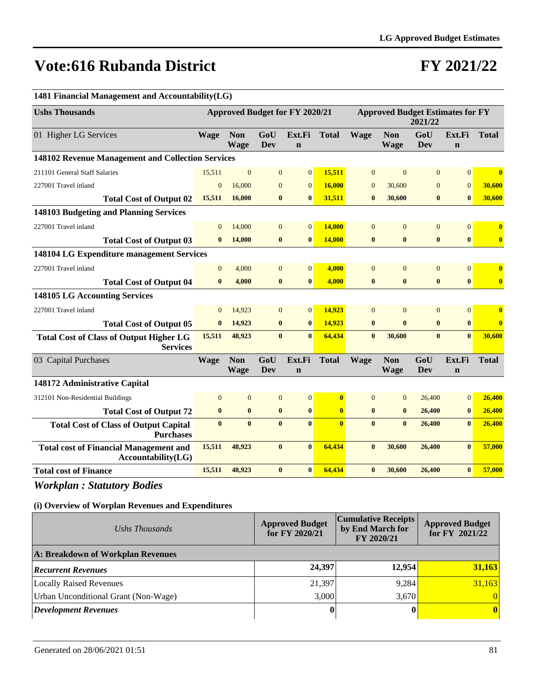## **FY 2021/22**

| 1481 Financial Management and Accountability(LG)                    |                |                    |                |                                       |              |                |                           |                                                    |                       |              |
|---------------------------------------------------------------------|----------------|--------------------|----------------|---------------------------------------|--------------|----------------|---------------------------|----------------------------------------------------|-----------------------|--------------|
| <b>Ushs Thousands</b>                                               |                |                    |                | <b>Approved Budget for FY 2020/21</b> |              |                |                           | <b>Approved Budget Estimates for FY</b><br>2021/22 |                       |              |
| 01 Higher LG Services                                               | <b>Wage</b>    | <b>Non</b><br>Wage | GoU<br>Dev     | Ext.Fi<br>$\mathbf n$                 | <b>Total</b> | <b>Wage</b>    | <b>Non</b><br>Wage        | GoU<br>Dev                                         | Ext.Fi<br>$\mathbf n$ | <b>Total</b> |
| 148102 Revenue Management and Collection Services                   |                |                    |                |                                       |              |                |                           |                                                    |                       |              |
| 211101 General Staff Salaries                                       | 15,511         | $\mathbf{0}$       | $\overline{0}$ | $\mathbf{0}$                          | 15,511       | $\overline{0}$ | $\mathbf{0}$              | $\overline{0}$                                     | $\mathbf{0}$          | $\bf{0}$     |
| 227001 Travel inland                                                | $\overline{0}$ | 16,000             | $\mathbf{0}$   | $\overline{0}$                        | 16,000       | $\overline{0}$ | 30,600                    | $\mathbf{0}$                                       | $\overline{0}$        | 30,600       |
| <b>Total Cost of Output 02</b>                                      | 15,511         | 16,000             | $\bf{0}$       | $\bf{0}$                              | 31,511       | $\bf{0}$       | 30,600                    | $\bf{0}$                                           | $\bf{0}$              | 30,600       |
| 148103 Budgeting and Planning Services                              |                |                    |                |                                       |              |                |                           |                                                    |                       |              |
| 227001 Travel inland                                                | $\overline{0}$ | 14,000             | $\mathbf{0}$   | $\mathbf{0}$                          | 14,000       | $\overline{0}$ | $\overline{0}$            | $\boldsymbol{0}$                                   | $\mathbf{0}$          | $\bf{0}$     |
| <b>Total Cost of Output 03</b>                                      | $\bf{0}$       | 14,000             | $\bf{0}$       | $\bf{0}$                              | 14,000       | $\bf{0}$       | $\bf{0}$                  | $\bf{0}$                                           | $\bf{0}$              | $\bf{0}$     |
| 148104 LG Expenditure management Services                           |                |                    |                |                                       |              |                |                           |                                                    |                       |              |
| 227001 Travel inland                                                | $\overline{0}$ | 4,000              | $\mathbf{0}$   | $\mathbf{0}$                          | 4.000        | $\Omega$       | $\Omega$                  | $\mathbf{0}$                                       | $\overline{0}$        | $\mathbf{0}$ |
| <b>Total Cost of Output 04</b>                                      | $\bf{0}$       | 4,000              | $\bf{0}$       | $\bf{0}$                              | 4,000        | $\bf{0}$       | $\bf{0}$                  | $\bf{0}$                                           | $\bf{0}$              | $\bf{0}$     |
| 148105 LG Accounting Services                                       |                |                    |                |                                       |              |                |                           |                                                    |                       |              |
| 227001 Travel inland                                                | $\overline{0}$ | 14,923             | $\mathbf{0}$   | $\overline{0}$                        | 14,923       | $\overline{0}$ | $\overline{0}$            | $\mathbf{0}$                                       | $\overline{0}$        | $\bf{0}$     |
| <b>Total Cost of Output 05</b>                                      | $\bf{0}$       | 14,923             | $\bf{0}$       | $\bf{0}$                              | 14,923       | $\bf{0}$       | $\mathbf{0}$              | $\bf{0}$                                           | $\bf{0}$              | $\bf{0}$     |
| <b>Total Cost of Class of Output Higher LG</b><br><b>Services</b>   | 15,511         | 48,923             | $\mathbf{0}$   | $\mathbf{0}$                          | 64,434       | $\mathbf{0}$   | 30,600                    | $\mathbf{0}$                                       | $\mathbf{0}$          | 30,600       |
| 03 Capital Purchases                                                | <b>Wage</b>    | <b>Non</b><br>Wage | GoU<br>Dev     | Ext.Fi<br>$\mathbf n$                 | <b>Total</b> | <b>Wage</b>    | <b>Non</b><br><b>Wage</b> | GoU<br>Dev                                         | Ext.Fi<br>$\mathbf n$ | <b>Total</b> |
| 148172 Administrative Capital                                       |                |                    |                |                                       |              |                |                           |                                                    |                       |              |
| 312101 Non-Residential Buildings                                    | $\Omega$       | $\overline{0}$     | $\mathbf{0}$   | $\mathbf{0}$                          | $\bf{0}$     | $\overline{0}$ | $\overline{0}$            | 26,400                                             | $\mathbf{0}$          | 26,400       |
| <b>Total Cost of Output 72</b>                                      | $\bf{0}$       | $\bf{0}$           | $\bf{0}$       | $\bf{0}$                              | $\mathbf{0}$ | $\bf{0}$       | $\bf{0}$                  | 26,400                                             | $\bf{0}$              | 26,400       |
| <b>Total Cost of Class of Output Capital</b><br><b>Purchases</b>    | $\mathbf{0}$   | $\mathbf{0}$       | $\mathbf{0}$   | $\mathbf{0}$                          | $\mathbf{0}$ | $\mathbf{0}$   | $\mathbf{0}$              | 26,400                                             | $\mathbf{0}$          | 26,400       |
| <b>Total cost of Financial Management and</b><br>Accountability(LG) | 15,511         | 48,923             | $\mathbf{0}$   | $\bf{0}$                              | 64,434       | $\mathbf{0}$   | 30,600                    | 26,400                                             | $\bf{0}$              | 57,000       |
| <b>Total cost of Finance</b>                                        | 15,511         | 48,923             | $\bf{0}$       | $\bf{0}$                              | 64,434       | $\bf{0}$       | 30,600                    | 26,400                                             | $\bf{0}$              | 57,000       |

*Workplan : Statutory Bodies*

| Ushs Thousands                       | <b>Approved Budget</b><br>for FY 2020/21 | <b>Cumulative Receipts</b><br>by End March for<br>FY 2020/21 | <b>Approved Budget</b><br>for FY 2021/22 |
|--------------------------------------|------------------------------------------|--------------------------------------------------------------|------------------------------------------|
| A: Breakdown of Workplan Revenues    |                                          |                                                              |                                          |
| <b>Recurrent Revenues</b>            | 24,397                                   | 12.954                                                       | 31,163                                   |
| <b>Locally Raised Revenues</b>       | 21,397                                   | 9,284                                                        | 31,163                                   |
| Urban Unconditional Grant (Non-Wage) | 3.000                                    | 3.670                                                        | $\vert 0 \vert$                          |
| Development Revenues                 |                                          |                                                              | 0                                        |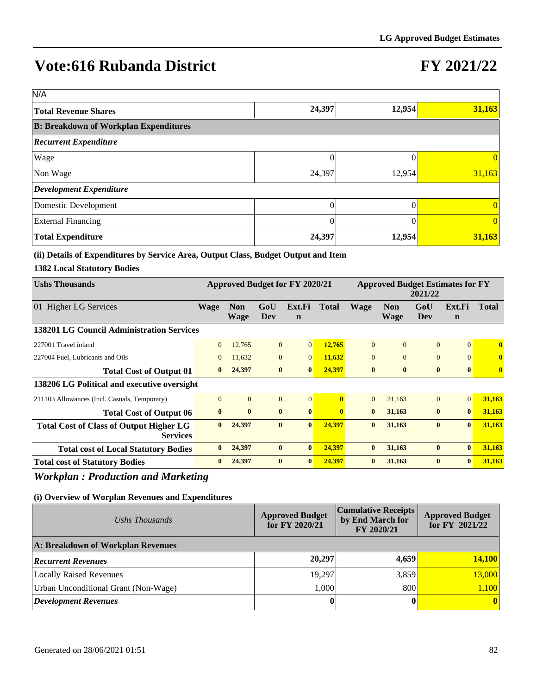# **FY 2021/22**

| N/A                                          |          |        |        |
|----------------------------------------------|----------|--------|--------|
| <b>Total Revenue Shares</b>                  | 24,397   | 12,954 | 31,163 |
| <b>B: Breakdown of Workplan Expenditures</b> |          |        |        |
| <b>Recurrent Expenditure</b>                 |          |        |        |
| Wage                                         |          |        |        |
| Non Wage                                     | 24,397   | 12,954 | 31,163 |
| <b>Development Expenditure</b>               |          |        |        |
| Domestic Development                         | $\Omega$ |        |        |
| <b>External Financing</b>                    |          |        |        |
| <b>Total Expenditure</b>                     | 24,397   | 12,954 | 31,163 |

#### **(ii) Details of Expenditures by Service Area, Output Class, Budget Output and Item**

#### **1382 Local Statutory Bodies**

| <b>Ushs Thousands</b>                                             | <b>Approved Budget for FY 2020/21</b> |                           |                | <b>Approved Budget Estimates for FY</b><br>2021/22 |              |              |                           |                |                       |              |
|-------------------------------------------------------------------|---------------------------------------|---------------------------|----------------|----------------------------------------------------|--------------|--------------|---------------------------|----------------|-----------------------|--------------|
| 01 Higher LG Services                                             | <b>Wage</b>                           | <b>Non</b><br><b>Wage</b> | GoU<br>Dev     | Ext.Fi<br>$\mathbf n$                              | <b>Total</b> | <b>Wage</b>  | <b>Non</b><br><b>Wage</b> | GoU<br>Dev     | Ext.Fi<br>$\mathbf n$ | <b>Total</b> |
| <b>138201 LG Council Administration Services</b>                  |                                       |                           |                |                                                    |              |              |                           |                |                       |              |
| 227001 Travel inland                                              | $\overline{0}$                        | 12,765                    | $\overline{0}$ | 0                                                  | 12,765       | $\Omega$     | $\Omega$                  | $\Omega$       | $\Omega$              | $\mathbf{0}$ |
| 227004 Fuel, Lubricants and Oils                                  | $\overline{0}$                        | 11,632                    | $\overline{0}$ | $\vert 0 \vert$                                    | 11,632       | $\Omega$     | $\Omega$                  | $\Omega$       | $\Omega$              | $\mathbf{0}$ |
| <b>Total Cost of Output 01</b>                                    | $\mathbf{0}$                          | 24,397                    | $\bf{0}$       | $\mathbf{0}$                                       | 24,397       | $\bf{0}$     | $\bf{0}$                  | $\bf{0}$       | $\mathbf{0}$          | $\bf{0}$     |
| 138206 LG Political and executive oversight                       |                                       |                           |                |                                                    |              |              |                           |                |                       |              |
| 211103 Allowances (Incl. Casuals, Temporary)                      | $\Omega$                              | $\overline{0}$            | $\overline{0}$ | $\vert 0 \vert$                                    | 0            | $\Omega$     | 31,163                    | $\overline{0}$ | $\overline{0}$        | 31,163       |
| <b>Total Cost of Output 06</b>                                    | $\mathbf{0}$                          | $\mathbf{0}$              | $\mathbf{0}$   | $\mathbf{0}$                                       | $\mathbf{0}$ | $\mathbf{0}$ | 31,163                    | $\mathbf{0}$   | $\mathbf{0}$          | 31,163       |
| <b>Total Cost of Class of Output Higher LG</b><br><b>Services</b> | $\mathbf{0}$                          | 24,397                    | $\bf{0}$       | $\mathbf{0}$                                       | 24,397       | $\mathbf{0}$ | 31,163                    | $\mathbf{0}$   | $\mathbf{0}$          | 31,163       |
| <b>Total cost of Local Statutory Bodies</b>                       | $\mathbf{0}$                          | 24,397                    | $\bf{0}$       | $\bf{0}$                                           | 24,397       | $\bf{0}$     | 31,163                    | $\bf{0}$       | $\bf{0}$              | 31,163       |
| <b>Total cost of Statutory Bodies</b>                             | $\bf{0}$                              | 24,397                    | $\bf{0}$       | $\mathbf{0}$                                       | 24,397       | $\mathbf{0}$ | 31,163                    | $\mathbf{0}$   | $\mathbf{0}$          | 31,163       |

### *Workplan : Production and Marketing*

| Ushs Thousands                       | <b>Approved Budget</b><br>for FY 2020/21 | <b>Cumulative Receipts</b><br>by End March for<br>FY 2020/21 | <b>Approved Budget</b><br>for FY 2021/22 |
|--------------------------------------|------------------------------------------|--------------------------------------------------------------|------------------------------------------|
| A: Breakdown of Workplan Revenues    |                                          |                                                              |                                          |
| <b>Recurrent Revenues</b>            | 20,297                                   | 4,659                                                        | 14,100                                   |
| <b>Locally Raised Revenues</b>       | 19,297                                   | 3,859                                                        | 13,000                                   |
| Urban Unconditional Grant (Non-Wage) | 1,000                                    | 800                                                          | 1,100                                    |
| <b>Development Revenues</b>          |                                          |                                                              | $\vert 0 \vert$                          |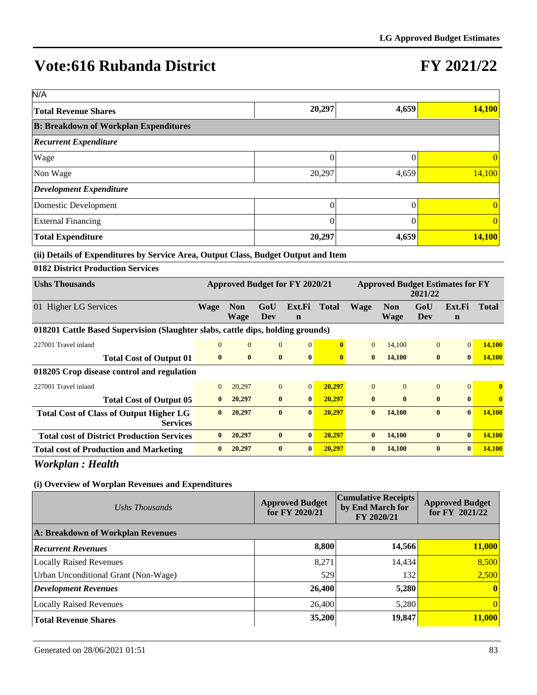# **FY 2021/22**

| N/A                                          |          |       |        |
|----------------------------------------------|----------|-------|--------|
| Total Revenue Shares                         | 20,297   | 4,659 | 14,100 |
| <b>B: Breakdown of Workplan Expenditures</b> |          |       |        |
| <b>Recurrent Expenditure</b>                 |          |       |        |
| Wage                                         |          |       |        |
| Non Wage                                     | 20,297   | 4,659 | 14,100 |
| <b>Development Expenditure</b>               |          |       |        |
| Domestic Development                         | $\Omega$ |       |        |
| <b>External Financing</b>                    | $\Omega$ |       |        |
| <b>Total Expenditure</b>                     | 20,297   | 4,659 | 14,100 |

#### **(ii) Details of Expenditures by Service Area, Output Class, Budget Output and Item**

| 0182 District Production Services                                               |                |                           |                |                                |              |             |                                         |              |                       |               |
|---------------------------------------------------------------------------------|----------------|---------------------------|----------------|--------------------------------|--------------|-------------|-----------------------------------------|--------------|-----------------------|---------------|
| <b>Ushs Thousands</b>                                                           |                |                           |                | Approved Budget for FY 2020/21 |              |             | <b>Approved Budget Estimates for FY</b> | 2021/22      |                       |               |
| 01 Higher LG Services                                                           | <b>Wage</b>    | <b>Non</b><br><b>Wage</b> | GoU<br>Dev     | Ext.Fi<br>$\mathbf n$          | <b>Total</b> | <b>Wage</b> | <b>Non</b><br><b>Wage</b>               | GoU<br>Dev   | Ext.Fi<br>$\mathbf n$ | <b>Total</b>  |
| 018201 Cattle Based Supervision (Slaughter slabs, cattle dips, holding grounds) |                |                           |                |                                |              |             |                                         |              |                       |               |
| 227001 Travel inland                                                            | $\mathbf{0}$   | $\overline{0}$            | $\overline{0}$ | $\overline{0}$                 | $\mathbf{0}$ | $\Omega$    | 14,100                                  | $\mathbf{0}$ | $\Omega$              | 14,100        |
| <b>Total Cost of Output 01</b>                                                  | $\bf{0}$       | $\bf{0}$                  | $\bf{0}$       | $\bf{0}$                       | $\mathbf{0}$ | $\bf{0}$    | 14,100                                  | $\bf{0}$     | $\mathbf{0}$          | <b>14,100</b> |
| 018205 Crop disease control and regulation                                      |                |                           |                |                                |              |             |                                         |              |                       |               |
| 227001 Travel inland                                                            | $\overline{0}$ | 20,297                    | $\overline{0}$ | $\overline{0}$                 | 20,297       | $\Omega$    | $\Omega$                                | $\mathbf{0}$ | $\vert 0 \vert$       | $\mathbf{0}$  |
| <b>Total Cost of Output 05</b>                                                  | $\mathbf{0}$   | 20,297                    | $\mathbf{0}$   | $\mathbf{0}$                   | 20,297       | $\bf{0}$    | $\mathbf{0}$                            | $\bf{0}$     | $\mathbf{0}$          | $\bf{0}$      |
| <b>Total Cost of Class of Output Higher LG</b><br><b>Services</b>               | $\mathbf{0}$   | 20,297                    | $\bf{0}$       | $\mathbf{0}$                   | 20,297       | $\bf{0}$    | 14,100                                  | $\bf{0}$     | $\mathbf{0}$          | 14,100        |
| <b>Total cost of District Production Services</b>                               | $\mathbf{0}$   | 20,297                    | $\bf{0}$       | $\bf{0}$                       | 20,297       | $\bf{0}$    | 14,100                                  | $\bf{0}$     | $\mathbf{0}$          | 14,100        |
| <b>Total cost of Production and Marketing</b>                                   | $\bf{0}$       | 20,297                    | $\bf{0}$       | $\mathbf{0}$                   | 20,297       | $\bf{0}$    | 14,100                                  | $\bf{0}$     | $\mathbf{0}$          | 14,100        |

*Workplan : Health*

| Ushs Thousands                       | <b>Approved Budget</b><br>for $FY$ 2020/21 | <b>Cumulative Receipts</b><br>by End March for<br>FY 2020/21 | <b>Approved Budget</b><br>for FY $2021/22$ |
|--------------------------------------|--------------------------------------------|--------------------------------------------------------------|--------------------------------------------|
| A: Breakdown of Workplan Revenues    |                                            |                                                              |                                            |
| <b>Recurrent Revenues</b>            | 8,800                                      | 14,566                                                       | 11,000                                     |
| <b>Locally Raised Revenues</b>       | 8.271                                      | 14,434                                                       | 8,500                                      |
| Urban Unconditional Grant (Non-Wage) | 529                                        | 132                                                          | 2,500                                      |
| Development Revenues                 | 26,400                                     | 5,280                                                        | $\vert 0 \vert$                            |
| <b>Locally Raised Revenues</b>       | 26,400                                     | 5,280                                                        | $\vert 0 \vert$                            |
| <b>Total Revenue Shares</b>          | 35,200                                     | 19,847                                                       | 11,000                                     |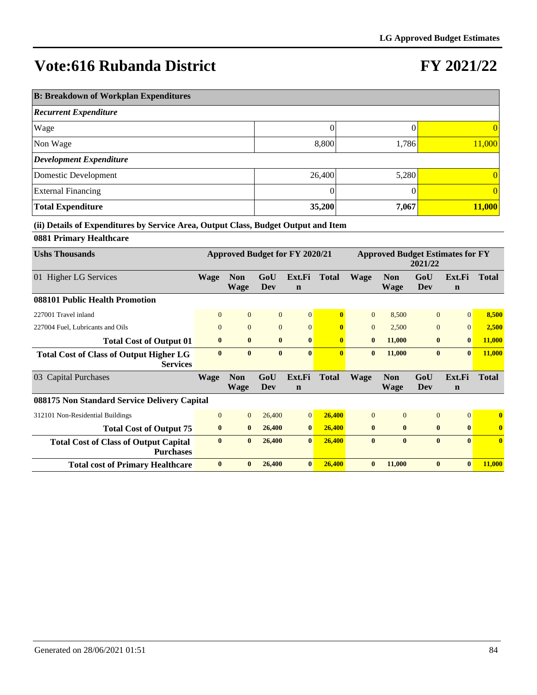## **FY 2021/22**

| <b>B: Breakdown of Workplan Expenditures</b> |        |       |                 |  |  |  |  |  |  |
|----------------------------------------------|--------|-------|-----------------|--|--|--|--|--|--|
| <b>Recurrent Expenditure</b>                 |        |       |                 |  |  |  |  |  |  |
| Wage                                         | 0      |       | 0               |  |  |  |  |  |  |
| Non Wage                                     | 8,800  | 1,786 | 11,000          |  |  |  |  |  |  |
| Development Expenditure                      |        |       |                 |  |  |  |  |  |  |
| Domestic Development                         | 26,400 | 5,280 | $\vert 0 \vert$ |  |  |  |  |  |  |
| <b>External Financing</b>                    | 0      |       | 0               |  |  |  |  |  |  |
| <b>Total Expenditure</b>                     | 35,200 | 7,067 | 11,000          |  |  |  |  |  |  |

**(ii) Details of Expenditures by Service Area, Output Class, Budget Output and Item**

### **0881 Primary Healthcare**

| <b>Ushs Thousands</b>                                             | <b>Approved Budget for FY 2020/21</b> |                           |                | <b>Approved Budget Estimates for FY</b><br>2021/22 |              |                |                    |                |                       |              |
|-------------------------------------------------------------------|---------------------------------------|---------------------------|----------------|----------------------------------------------------|--------------|----------------|--------------------|----------------|-----------------------|--------------|
| 01 Higher LG Services                                             | <b>Wage</b>                           | <b>Non</b><br><b>Wage</b> | GoU<br>Dev     | Ext.Fi<br>$\mathbf n$                              | <b>Total</b> | <b>Wage</b>    | <b>Non</b><br>Wage | GoU<br>Dev     | Ext.Fi<br>$\mathbf n$ | <b>Total</b> |
| 088101 Public Health Promotion                                    |                                       |                           |                |                                                    |              |                |                    |                |                       |              |
| 227001 Travel inland                                              | $\mathbf{0}$                          | $\overline{0}$            | $\overline{0}$ | $\overline{0}$                                     |              | $\Omega$       | 8,500              | $\Omega$       | $\Omega$              | 8,500        |
| 227004 Fuel, Lubricants and Oils                                  | $\mathbf{0}$                          | $\overline{0}$            | $\mathbf{0}$   | $\mathbf{0}$                                       | $\mathbf{0}$ | $\overline{0}$ | 2,500              | $\overline{0}$ | $\overline{0}$        | 2,500        |
| <b>Total Cost of Output 01</b>                                    | $\bf{0}$                              | $\bf{0}$                  | $\bf{0}$       | $\bf{0}$                                           | $\mathbf{0}$ | $\bf{0}$       | 11,000             | $\bf{0}$       | $\bf{0}$              | 11,000       |
| <b>Total Cost of Class of Output Higher LG</b><br><b>Services</b> | $\mathbf{0}$                          | $\mathbf{0}$              | $\mathbf{0}$   | $\mathbf{0}$                                       | $\bf{0}$     | $\mathbf{0}$   | 11,000             | $\mathbf{0}$   | $\mathbf{0}$          | 11,000       |
| 03 Capital Purchases                                              | <b>Wage</b>                           | <b>Non</b><br><b>Wage</b> | GoU<br>Dev     | Ext.Fi<br>$\mathbf n$                              | <b>Total</b> | <b>Wage</b>    | <b>Non</b><br>Wage | GoU<br>Dev     | Ext.Fi<br>$\mathbf n$ | <b>Total</b> |
| 088175 Non Standard Service Delivery Capital                      |                                       |                           |                |                                                    |              |                |                    |                |                       |              |
| 312101 Non-Residential Buildings                                  | $\Omega$                              | $\overline{0}$            | 26,400         | $\overline{0}$                                     | 26,400       | $\Omega$       | $\Omega$           | $\overline{0}$ | $\Omega$              | $\mathbf{0}$ |
| <b>Total Cost of Output 75</b>                                    | $\bf{0}$                              | $\bf{0}$                  | 26,400         | $\bf{0}$                                           | 26,400       | $\bf{0}$       | $\bf{0}$           | $\bf{0}$       | $\mathbf{0}$          | $\bf{0}$     |
| <b>Total Cost of Class of Output Capital</b><br><b>Purchases</b>  | $\mathbf{0}$                          | $\bf{0}$                  | 26,400         | $\mathbf{0}$                                       | 26,400       | $\mathbf{0}$   | $\mathbf{0}$       | $\bf{0}$       | $\bf{0}$              | $\mathbf{0}$ |
| <b>Total cost of Primary Healthcare</b>                           | $\mathbf{0}$                          | $\mathbf{0}$              | 26,400         | $\mathbf{0}$                                       | 26,400       | $\mathbf{0}$   | 11,000             | $\mathbf{0}$   | $\mathbf{0}$          | 11,000       |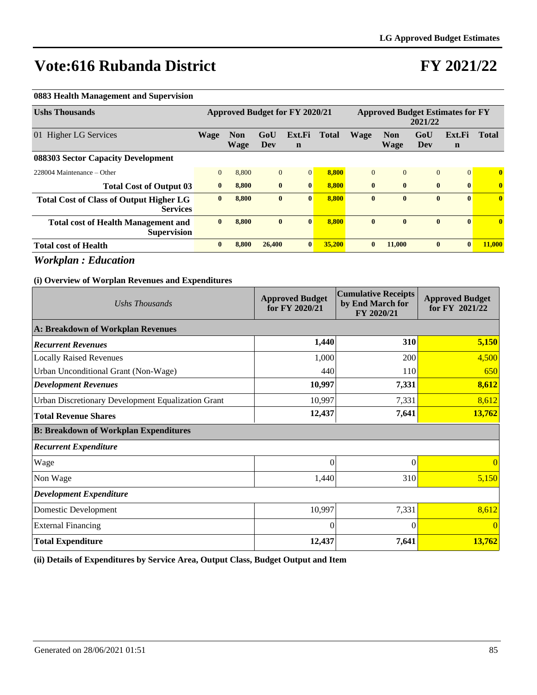## **FY 2021/22**

#### **0883 Health Management and Supervision**

| <b>Ushs Thousands</b>                                             | Approved Budget for FY 2020/21 |                           |              |                       | <b>Approved Budget Estimates for FY</b><br>2021/22 |              |                           |              |                       |              |
|-------------------------------------------------------------------|--------------------------------|---------------------------|--------------|-----------------------|----------------------------------------------------|--------------|---------------------------|--------------|-----------------------|--------------|
| 01 Higher LG Services                                             | <b>Wage</b>                    | <b>Non</b><br><b>Wage</b> | GoU<br>Dev   | Ext.Fi<br>$\mathbf n$ | <b>Total</b>                                       | Wage         | <b>Non</b><br><b>Wage</b> | GoU<br>Dev   | Ext.Fi<br>$\mathbf n$ | <b>Total</b> |
| 088303 Sector Capacity Development                                |                                |                           |              |                       |                                                    |              |                           |              |                       |              |
| $228004$ Maintenance – Other                                      | $\mathbf{0}$                   | 8,800                     | $\Omega$     | $\Omega$              | 8,800                                              | $\Omega$     | $\Omega$                  | $\mathbf{0}$ | $\Omega$              | $\bf{0}$     |
| <b>Total Cost of Output 03</b>                                    | $\bf{0}$                       | 8.800                     | $\bf{0}$     | $\mathbf{0}$          | 8.800                                              | $\mathbf{0}$ | $\mathbf{0}$              | $\bf{0}$     | $\bf{0}$              | $\bf{0}$     |
| <b>Total Cost of Class of Output Higher LG</b><br><b>Services</b> | $\bf{0}$                       | 8.800                     | $\bf{0}$     | $\bf{0}$              | 8.800                                              | $\bf{0}$     | $\mathbf{0}$              | $\bf{0}$     | $\bf{0}$              | $\bf{0}$     |
| <b>Total cost of Health Management and</b><br><b>Supervision</b>  | $\bf{0}$                       | 8.800                     | $\mathbf{0}$ | $\mathbf{0}$          | 8,800                                              | $\mathbf{0}$ | $\mathbf{0}$              | $\bf{0}$     | $\mathbf{0}$          | $\mathbf{0}$ |
| <b>Total cost of Health</b>                                       | $\mathbf{0}$                   | 8,800                     | 26,400       | $\mathbf{0}$          | 35,200                                             | $\bf{0}$     | 11,000                    | $\bf{0}$     | $\mathbf{0}$          | 11,000       |

*Workplan : Education*

#### **(i) Overview of Worplan Revenues and Expenditures**

| Ushs Thousands                                     | <b>Approved Budget</b><br>for FY 2020/21 | <b>Cumulative Receipts</b><br>by End March for<br>FY 2020/21 | <b>Approved Budget</b><br>for FY 2021/22 |
|----------------------------------------------------|------------------------------------------|--------------------------------------------------------------|------------------------------------------|
| A: Breakdown of Workplan Revenues                  |                                          |                                                              |                                          |
| <b>Recurrent Revenues</b>                          | 1,440                                    | 310                                                          | 5,150                                    |
| <b>Locally Raised Revenues</b>                     | 1,000                                    | 200                                                          | 4,500                                    |
| Urban Unconditional Grant (Non-Wage)               | 440                                      | 110                                                          | 650                                      |
| <b>Development Revenues</b>                        | 10,997                                   | 7,331                                                        | 8,612                                    |
| Urban Discretionary Development Equalization Grant | 10,997                                   | 7,331                                                        | 8,612                                    |
| <b>Total Revenue Shares</b>                        | 12,437                                   | 7,641                                                        | 13,762                                   |
| <b>B: Breakdown of Workplan Expenditures</b>       |                                          |                                                              |                                          |
| <b>Recurrent Expenditure</b>                       |                                          |                                                              |                                          |
| Wage                                               | 0                                        | $\Omega$                                                     | $\Omega$                                 |
| Non Wage                                           | 1,440                                    | 310                                                          | 5,150                                    |
| <b>Development Expenditure</b>                     |                                          |                                                              |                                          |
| Domestic Development                               | 10,997                                   | 7,331                                                        | 8,612                                    |
| <b>External Financing</b>                          | $\Omega$                                 | $\Omega$                                                     | $\left($                                 |
| <b>Total Expenditure</b>                           | 12,437                                   | 7,641                                                        | 13,762                                   |

**(ii) Details of Expenditures by Service Area, Output Class, Budget Output and Item**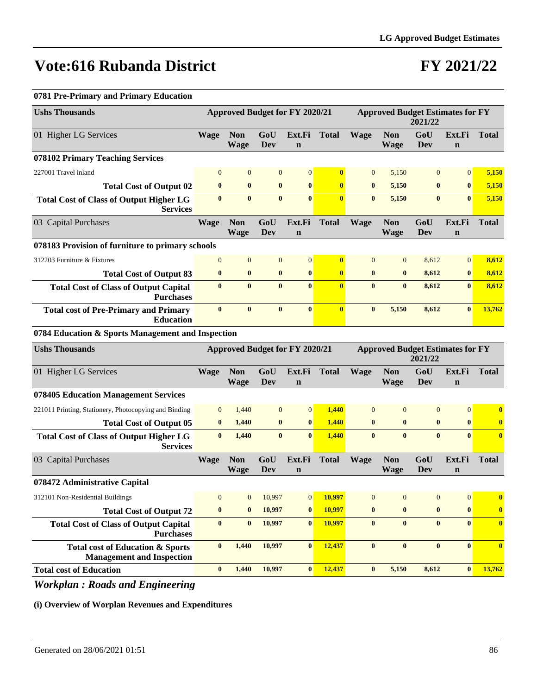### **FY 2021/22**

#### **0781 Pre-Primary and Primary Education**

| <b>Ushs Thousands</b>                                                           | <b>Approved Budget for FY 2020/21</b> |                           |                  |                                       | <b>Approved Budget Estimates for FY</b><br>2021/22 |                  |                           |                                                    |                       |              |
|---------------------------------------------------------------------------------|---------------------------------------|---------------------------|------------------|---------------------------------------|----------------------------------------------------|------------------|---------------------------|----------------------------------------------------|-----------------------|--------------|
| 01 Higher LG Services                                                           | <b>Wage</b>                           | <b>Non</b><br><b>Wage</b> | GoU<br>Dev       | Ext.Fi<br>$\mathbf n$                 | <b>Total</b>                                       | <b>Wage</b>      | <b>Non</b><br>Wage        | GoU<br><b>Dev</b>                                  | Ext.Fi<br>$\mathbf n$ | <b>Total</b> |
| 078102 Primary Teaching Services                                                |                                       |                           |                  |                                       |                                                    |                  |                           |                                                    |                       |              |
| 227001 Travel inland                                                            | $\mathbf{0}$                          | $\overline{0}$            | $\mathbf{0}$     | $\mathbf{0}$                          | $\bf{0}$                                           | $\mathbf{0}$     | 5,150                     | $\mathbf{0}$                                       | $\mathbf{0}$          | 5,150        |
| <b>Total Cost of Output 02</b>                                                  | $\bf{0}$                              | $\bf{0}$                  | $\boldsymbol{0}$ | $\boldsymbol{0}$                      | $\bf{0}$                                           | $\bf{0}$         | 5,150                     | $\bf{0}$                                           | $\bf{0}$              | 5,150        |
| <b>Total Cost of Class of Output Higher LG</b><br><b>Services</b>               | $\bf{0}$                              | $\bf{0}$                  | $\bf{0}$         | $\bf{0}$                              | $\mathbf{0}$                                       | $\bf{0}$         | 5,150                     | $\bf{0}$                                           | $\bf{0}$              | 5,150        |
| 03 Capital Purchases                                                            | <b>Wage</b>                           | <b>Non</b><br><b>Wage</b> | GoU<br>Dev       | Ext.Fi<br>$\mathbf n$                 | <b>Total</b>                                       | <b>Wage</b>      | <b>Non</b><br><b>Wage</b> | GoU<br><b>Dev</b>                                  | Ext.Fi<br>$\mathbf n$ | <b>Total</b> |
| 078183 Provision of furniture to primary schools                                |                                       |                           |                  |                                       |                                                    |                  |                           |                                                    |                       |              |
| 312203 Furniture & Fixtures                                                     | $\mathbf{0}$                          | $\mathbf{0}$              | $\mathbf{0}$     | $\mathbf{0}$                          | $\bf{0}$                                           | $\mathbf{0}$     | $\mathbf{0}$              | 8,612                                              | $\mathbf{0}$          | 8,612        |
| <b>Total Cost of Output 83</b>                                                  | $\bf{0}$                              | $\bf{0}$                  | $\boldsymbol{0}$ | $\bf{0}$                              | $\mathbf{0}$                                       | $\bf{0}$         | $\bf{0}$                  | 8,612                                              | $\bf{0}$              | 8,612        |
| <b>Total Cost of Class of Output Capital</b><br><b>Purchases</b>                | $\bf{0}$                              | $\bf{0}$                  | $\bf{0}$         | $\mathbf{0}$                          | $\mathbf{0}$                                       | $\bf{0}$         | $\bf{0}$                  | 8,612                                              | $\bf{0}$              | 8,612        |
| <b>Total cost of Pre-Primary and Primary</b><br><b>Education</b>                | $\bf{0}$                              | $\bf{0}$                  | $\bf{0}$         | $\bf{0}$                              | $\mathbf{0}$                                       | $\bf{0}$         | 5,150                     | 8,612                                              | $\bf{0}$              | 13,762       |
| 0784 Education & Sports Management and Inspection                               |                                       |                           |                  |                                       |                                                    |                  |                           |                                                    |                       |              |
| <b>Ushs Thousands</b>                                                           |                                       |                           |                  | <b>Approved Budget for FY 2020/21</b> |                                                    |                  |                           | <b>Approved Budget Estimates for FY</b><br>2021/22 |                       |              |
| 01 Higher LG Services                                                           | <b>Wage</b>                           | <b>Non</b><br><b>Wage</b> | GoU<br>Dev       | Ext.Fi<br>$\mathbf n$                 | <b>Total</b>                                       | <b>Wage</b>      | <b>Non</b><br><b>Wage</b> | GoU<br><b>Dev</b>                                  | Ext.Fi<br>$\mathbf n$ | <b>Total</b> |
| 078405 Education Management Services                                            |                                       |                           |                  |                                       |                                                    |                  |                           |                                                    |                       |              |
| 221011 Printing, Stationery, Photocopying and Binding                           | $\mathbf{0}$                          | 1,440                     | $\mathbf{0}$     | $\mathbf{0}$                          | 1,440                                              | $\mathbf{0}$     | $\mathbf{0}$              | $\mathbf{0}$                                       | $\boldsymbol{0}$      | $\bf{0}$     |
| <b>Total Cost of Output 05</b>                                                  | $\bf{0}$                              | 1,440                     | $\bf{0}$         | $\bf{0}$                              | 1,440                                              | $\bf{0}$         | $\bf{0}$                  | $\bf{0}$                                           | $\bf{0}$              | $\bf{0}$     |
| <b>Total Cost of Class of Output Higher LG</b><br><b>Services</b>               | $\bf{0}$                              | 1,440                     | $\bf{0}$         | $\bf{0}$                              | 1,440                                              | $\bf{0}$         | $\bf{0}$                  | $\bf{0}$                                           | $\mathbf{0}$          | $\mathbf{0}$ |
| 03 Capital Purchases                                                            | <b>Wage</b>                           | <b>Non</b><br><b>Wage</b> | GoU<br>Dev       | Ext.Fi<br>$\mathbf n$                 | <b>Total</b>                                       | <b>Wage</b>      | <b>Non</b><br>Wage        | GoU<br><b>Dev</b>                                  | Ext.Fi<br>$\mathbf n$ | <b>Total</b> |
| 078472 Administrative Capital                                                   |                                       |                           |                  |                                       |                                                    |                  |                           |                                                    |                       |              |
| 312101 Non-Residential Buildings                                                | $\boldsymbol{0}$                      | $\boldsymbol{0}$          | 10,997           | $\boldsymbol{0}$                      | 10,997                                             | $\boldsymbol{0}$ | $\boldsymbol{0}$          | $\boldsymbol{0}$                                   | $\boldsymbol{0}$      | $\bf{0}$     |
| <b>Total Cost of Output 72</b>                                                  | $\bf{0}$                              | $\bf{0}$                  | 10,997           | $\bf{0}$                              | 10,997                                             | $\bf{0}$         | $\bf{0}$                  | $\bf{0}$                                           | $\bf{0}$              | $\bf{0}$     |
| <b>Total Cost of Class of Output Capital</b><br><b>Purchases</b>                | $\bf{0}$                              | $\bf{0}$                  | 10,997           | $\bf{0}$                              | 10,997                                             | $\bf{0}$         | $\bf{0}$                  | $\bf{0}$                                           | $\mathbf{0}$          | $\mathbf{0}$ |
| <b>Total cost of Education &amp; Sports</b><br><b>Management and Inspection</b> | $\bf{0}$                              | 1,440                     | 10,997           | $\bf{0}$                              | 12,437                                             | $\bf{0}$         | $\bf{0}$                  | $\bf{0}$                                           | $\bf{0}$              | $\mathbf{0}$ |
| <b>Total cost of Education</b>                                                  | $\bf{0}$                              | 1,440                     | 10,997           | $\bf{0}$                              | 12,437                                             | $\bf{0}$         | 5,150                     | 8,612                                              | $\vert 0 \vert$       | 13,762       |

*Workplan : Roads and Engineering*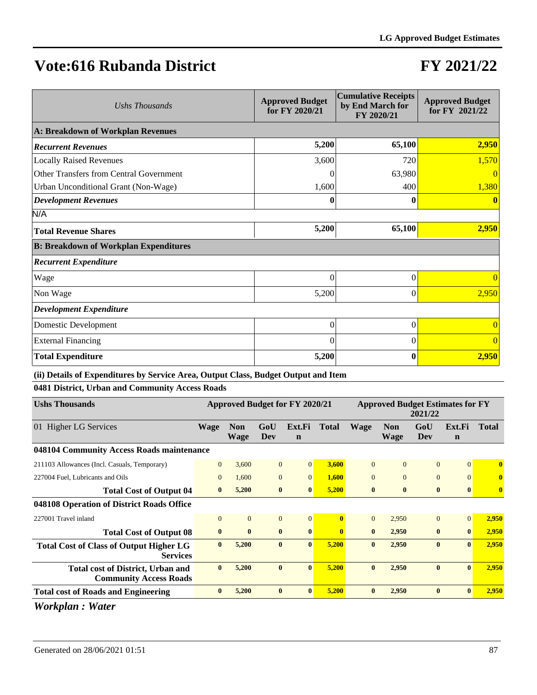## **FY 2021/22**

| Ushs Thousands                               | <b>Approved Budget</b><br>for FY 2020/21 | <b>Cumulative Receipts</b><br>by End March for<br>FY 2020/21 | <b>Approved Budget</b><br>for FY 2021/22 |
|----------------------------------------------|------------------------------------------|--------------------------------------------------------------|------------------------------------------|
| A: Breakdown of Workplan Revenues            |                                          |                                                              |                                          |
| <b>Recurrent Revenues</b>                    | 5,200                                    | 65,100                                                       | 2,950                                    |
| <b>Locally Raised Revenues</b>               | 3,600                                    | 720                                                          | 1,570                                    |
| Other Transfers from Central Government      |                                          | 63,980                                                       |                                          |
| Urban Unconditional Grant (Non-Wage)         | 1,600                                    | 400                                                          | 1,380                                    |
| <b>Development Revenues</b>                  | 0                                        | 0                                                            |                                          |
| N/A                                          |                                          |                                                              |                                          |
| <b>Total Revenue Shares</b>                  | 5,200                                    | 65,100                                                       | 2,950                                    |
| <b>B: Breakdown of Workplan Expenditures</b> |                                          |                                                              |                                          |
| <b>Recurrent Expenditure</b>                 |                                          |                                                              |                                          |
| Wage                                         | 0                                        | $\Omega$                                                     |                                          |
| Non Wage                                     | 5,200                                    | 0                                                            | 2,950                                    |
| <b>Development Expenditure</b>               |                                          |                                                              |                                          |
| Domestic Development                         | 0                                        | $\theta$                                                     | $\Omega$                                 |
| <b>External Financing</b>                    | $\theta$                                 | $\theta$                                                     | $\Omega$                                 |
| <b>Total Expenditure</b>                     | 5,200                                    | 0                                                            | 2,950                                    |

**(ii) Details of Expenditures by Service Area, Output Class, Budget Output and Item**

**0481 District, Urban and Community Access Roads**

| <b>Approved Budget for FY 2020/21</b> |                           |                |                                                                          | <b>Approved Budget Estimates for FY</b><br>2021/22 |                |                           |                |                       |              |
|---------------------------------------|---------------------------|----------------|--------------------------------------------------------------------------|----------------------------------------------------|----------------|---------------------------|----------------|-----------------------|--------------|
| <b>Wage</b>                           | <b>Non</b><br><b>Wage</b> | GoU<br>Dev     | Ext.Fi<br>$\mathbf n$                                                    | <b>Total</b>                                       | <b>Wage</b>    | <b>Non</b><br><b>Wage</b> | GoU<br>Dev     | Ext.Fi<br>$\mathbf n$ | <b>Total</b> |
|                                       |                           |                |                                                                          |                                                    |                |                           |                |                       |              |
| $\Omega$                              | 3,600                     |                | $\Omega$                                                                 | 3,600                                              | $\Omega$       | $\Omega$                  | $\Omega$       | $\Omega$              | $\mathbf{0}$ |
| $\overline{0}$                        | 1,600                     |                | $\overline{0}$                                                           | 1,600                                              | $\overline{0}$ | $\overline{0}$            | $\overline{0}$ | $\Omega$              | $\bf{0}$     |
| $\bf{0}$                              | 5,200                     | $\bf{0}$       | $\mathbf{0}$                                                             | 5,200                                              | $\bf{0}$       | $\bf{0}$                  | $\bf{0}$       | $\mathbf{0}$          | $\mathbf{0}$ |
|                                       |                           |                |                                                                          |                                                    |                |                           |                |                       |              |
| $\Omega$                              | $\mathbf{0}$              | $\overline{0}$ | $\Omega$                                                                 | $\mathbf{0}$                                       | $\Omega$       | 2,950                     | $\Omega$       | $\Omega$              | 2,950        |
| $\mathbf{0}$                          | $\mathbf{0}$              |                | $\mathbf{0}$                                                             | $\mathbf{0}$                                       | $\bf{0}$       | 2,950                     | $\bf{0}$       | $\bf{0}$              | 2,950        |
| $\mathbf{0}$                          | 5,200                     | $\mathbf{0}$   | $\mathbf{0}$                                                             | 5,200                                              | $\mathbf{0}$   | 2,950                     | $\mathbf{0}$   | $\mathbf{0}$          | 2,950        |
| $\mathbf{0}$                          | 5,200                     |                | $\mathbf{0}$                                                             | 5,200                                              | $\mathbf{0}$   | 2,950                     | $\mathbf{0}$   | $\mathbf{0}$          | 2,950        |
| $\bf{0}$                              | 5,200                     |                | $\mathbf{0}$                                                             | 5,200                                              | $\bf{0}$       | 2,950                     | $\bf{0}$       | $\mathbf{0}$          | 2,950        |
|                                       |                           |                | $\overline{0}$<br>$\overline{0}$<br>$\bf{0}$<br>$\mathbf{0}$<br>$\bf{0}$ |                                                    |                |                           |                |                       |              |

*Workplan : Water*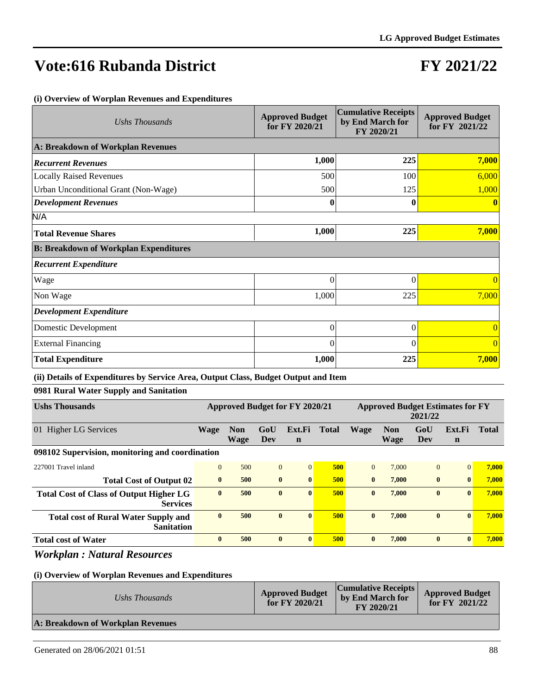# **FY 2021/22**

#### **(i) Overview of Worplan Revenues and Expenditures**

| Ushs Thousands                               | <b>Approved Budget</b><br>for FY 2020/21 | <b>Cumulative Receipts</b><br>by End March for<br>FY 2020/21 | <b>Approved Budget</b><br>for FY 2021/22 |
|----------------------------------------------|------------------------------------------|--------------------------------------------------------------|------------------------------------------|
| A: Breakdown of Workplan Revenues            |                                          |                                                              |                                          |
| <b>Recurrent Revenues</b>                    | 1,000                                    | 225                                                          | 7,000                                    |
| <b>Locally Raised Revenues</b>               | 500                                      | 100                                                          | 6,000                                    |
| Urban Unconditional Grant (Non-Wage)         | 500                                      | 125                                                          | 1,000                                    |
| <b>Development Revenues</b>                  | 0                                        | $\bf{0}$                                                     | $\mathbf{0}$                             |
| N/A                                          |                                          |                                                              |                                          |
| <b>Total Revenue Shares</b>                  | 1,000                                    | 225                                                          | 7,000                                    |
| <b>B: Breakdown of Workplan Expenditures</b> |                                          |                                                              |                                          |
| <b>Recurrent Expenditure</b>                 |                                          |                                                              |                                          |
| Wage                                         | $\overline{0}$                           | $\Omega$                                                     | $\Omega$                                 |
| Non Wage                                     | 1,000                                    | 225                                                          | 7,000                                    |
| <b>Development Expenditure</b>               |                                          |                                                              |                                          |
| Domestic Development                         | $\overline{0}$                           | $\theta$                                                     | $\overline{0}$                           |
| <b>External Financing</b>                    | 0                                        | $\Omega$                                                     | $\Omega$                                 |
| <b>Total Expenditure</b>                     | 1,000                                    | 225                                                          | 7,000                                    |

#### **(ii) Details of Expenditures by Service Area, Output Class, Budget Output and Item**

**0981 Rural Water Supply and Sanitation**

| <b>Ushs Thousands</b>                                             | Approved Budget for FY 2020/21 |                           |              | <b>Approved Budget Estimates for FY</b><br>2021/22 |              |              |                           |                |                       |              |
|-------------------------------------------------------------------|--------------------------------|---------------------------|--------------|----------------------------------------------------|--------------|--------------|---------------------------|----------------|-----------------------|--------------|
| 01 Higher LG Services                                             | <b>Wage</b>                    | <b>Non</b><br><b>Wage</b> | GoU<br>Dev   | Ext.Fi<br>$\mathbf n$                              | <b>Total</b> | <b>Wage</b>  | <b>Non</b><br><b>Wage</b> | GoU<br>Dev     | Ext.Fi<br>$\mathbf n$ | <b>Total</b> |
| 098102 Supervision, monitoring and coordination                   |                                |                           |              |                                                    |              |              |                           |                |                       |              |
| 227001 Travel inland                                              | $\Omega$                       | 500                       | $\Omega$     | $\Omega$                                           | 500          | $\Omega$     | 7.000                     | $\overline{0}$ | $\Omega$              | 7,000        |
| <b>Total Cost of Output 02</b>                                    | $\mathbf{0}$                   | 500                       | $\mathbf{0}$ | $\mathbf{0}$                                       | 500          | $\mathbf{0}$ | 7,000                     | $\mathbf{0}$   | $\bf{0}$              | 7,000        |
| <b>Total Cost of Class of Output Higher LG</b><br><b>Services</b> | $\mathbf{0}$                   | 500                       | $\mathbf{0}$ | $\mathbf{0}$                                       | 500          | $\mathbf{0}$ | 7.000                     | $\bf{0}$       | $\mathbf{0}$          | 7,000        |
| <b>Total cost of Rural Water Supply and</b><br><b>Sanitation</b>  | $\mathbf{0}$                   | 500                       | $\bf{0}$     | $\mathbf{0}$                                       | 500          | $\mathbf{0}$ | 7.000                     | $\bf{0}$       | $\mathbf{0}$          | 7.000        |
| <b>Total cost of Water</b>                                        | $\bf{0}$                       | 500                       | $\bf{0}$     | $\mathbf{0}$                                       | 500          | $\mathbf{0}$ | 7,000                     | $\bf{0}$       | $\mathbf{0}$          | 7,000        |

*Workplan : Natural Resources*

| Ushs Thousands                    | <b>Approved Budget</b><br>for FY 2020/21 | <b>Cumulative Receipts</b><br>by End March for<br>FY 2020/21 | <b>Approved Budget</b><br>for $FY$ 2021/22 |
|-----------------------------------|------------------------------------------|--------------------------------------------------------------|--------------------------------------------|
| A: Breakdown of Workplan Revenues |                                          |                                                              |                                            |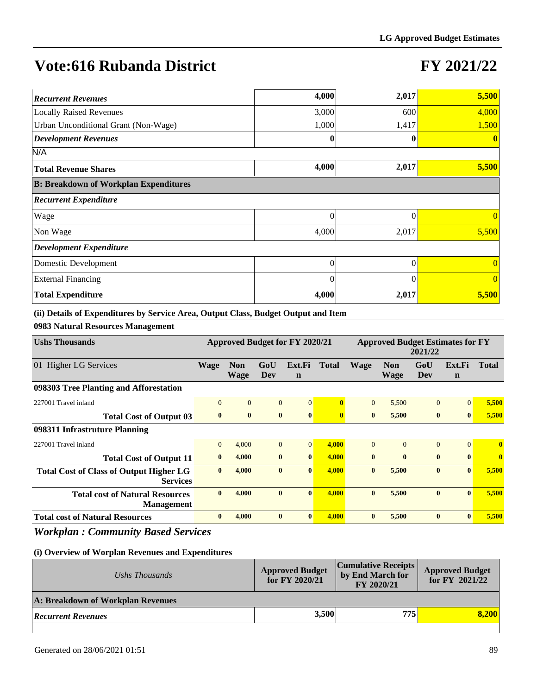### **FY 2021/22**

| <b>Recurrent Revenues</b>                    | 4,000    | 2,017    | 5,500          |
|----------------------------------------------|----------|----------|----------------|
| <b>Locally Raised Revenues</b>               | 3,000    | 600      | 4,000          |
| Urban Unconditional Grant (Non-Wage)         | 1,000    | 1,417    | 1,500          |
| <b>Development Revenues</b>                  | 0        |          | $\mathbf{0}$   |
| N/A                                          |          |          |                |
| <b>Total Revenue Shares</b>                  | 4,000    | 2,017    | 5,500          |
| <b>B: Breakdown of Workplan Expenditures</b> |          |          |                |
| <b>Recurrent Expenditure</b>                 |          |          |                |
| Wage                                         | $\theta$ | 0        | $\Omega$       |
| Non Wage                                     | 4,000    | 2,017    | 5,500          |
| <b>Development Expenditure</b>               |          |          |                |
| Domestic Development                         | $\theta$ | $\theta$ | $\theta$       |
| <b>External Financing</b>                    | $\theta$ | 0        | $\overline{0}$ |
| <b>Total Expenditure</b>                     | 4,000    | 2,017    | 5,500          |

**(ii) Details of Expenditures by Service Area, Output Class, Budget Output and Item**

**0983 Natural Resources Management**

| <b>Ushs Thousands</b>                                             | Approved Budget for FY 2020/21 |                           |                | <b>Approved Budget Estimates for FY</b><br>2021/22 |              |              |                           |              |                       |              |
|-------------------------------------------------------------------|--------------------------------|---------------------------|----------------|----------------------------------------------------|--------------|--------------|---------------------------|--------------|-----------------------|--------------|
| 01 Higher LG Services                                             | Wage                           | <b>Non</b><br><b>Wage</b> | GoU<br>Dev     | Ext.Fi<br>$\mathbf n$                              | <b>Total</b> | <b>Wage</b>  | <b>Non</b><br><b>Wage</b> | GoU<br>Dev   | Ext.Fi<br>$\mathbf n$ | <b>Total</b> |
| 098303 Tree Planting and Afforestation                            |                                |                           |                |                                                    |              |              |                           |              |                       |              |
| 227001 Travel inland                                              | $\Omega$                       | $\Omega$                  | $\Omega$       | $\Omega$                                           | 0            | $\Omega$     | 5,500                     | $\Omega$     | $\Omega$              | 5,500        |
| <b>Total Cost of Output 03</b>                                    | $\mathbf{0}$                   | $\bf{0}$                  | $\mathbf{0}$   | $\mathbf{0}$                                       | $\mathbf{0}$ | $\mathbf{0}$ | 5,500                     | $\mathbf{0}$ | $\mathbf{0}$          | 5,500        |
| 098311 Infrastruture Planning                                     |                                |                           |                |                                                    |              |              |                           |              |                       |              |
| 227001 Travel inland                                              | $\overline{0}$                 | 4,000                     | $\overline{0}$ | 0                                                  | 4,000        | $\Omega$     | $\Omega$                  | $\Omega$     | $\Omega$              | $\mathbf{0}$ |
| <b>Total Cost of Output 11</b>                                    | $\bf{0}$                       | 4,000                     | $\bf{0}$       | $\mathbf{0}$                                       | 4,000        | $\mathbf{0}$ | $\mathbf{0}$              | $\mathbf{0}$ | $\mathbf{0}$          | $\bf{0}$     |
| <b>Total Cost of Class of Output Higher LG</b><br><b>Services</b> | $\mathbf{0}$                   | 4,000                     | $\mathbf{0}$   | $\mathbf{0}$                                       | 4,000        | $\bf{0}$     | 5,500                     | $\mathbf{0}$ | $\mathbf{0}$          | 5,500        |
| <b>Total cost of Natural Resources</b><br><b>Management</b>       | $\mathbf{0}$                   | 4,000                     | $\mathbf{0}$   | $\mathbf{0}$                                       | 4.000        | $\mathbf{0}$ | 5,500                     | $\mathbf{0}$ | $\mathbf{0}$          | 5,500        |
| <b>Total cost of Natural Resources</b>                            | $\bf{0}$                       | 4,000                     | $\bf{0}$       | $\mathbf{0}$                                       | 4,000        | $\bf{0}$     | 5,500                     | $\mathbf{0}$ | $\mathbf{0}$          | 5,500        |

*Workplan : Community Based Services*

| Ushs Thousands                    | <b>Approved Budget</b><br>for FY 2020/21 | <b>Cumulative Receipts</b><br>by End March for<br>FY 2020/21 | <b>Approved Budget</b><br>for FY 2021/22 |
|-----------------------------------|------------------------------------------|--------------------------------------------------------------|------------------------------------------|
| A: Breakdown of Workplan Revenues |                                          |                                                              |                                          |
| <b>Recurrent Revenues</b>         | 3,500                                    | 775                                                          | 8.200                                    |
|                                   |                                          |                                                              |                                          |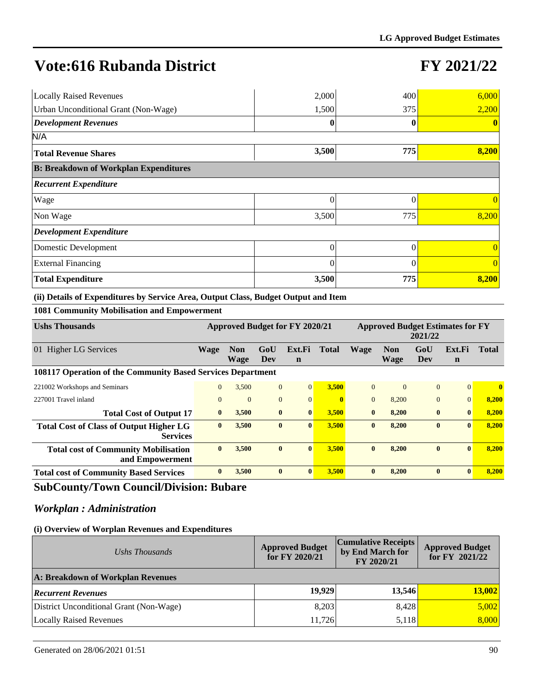# **FY 2021/22**

| <b>Locally Raised Revenues</b>               | 2,000    | 400      | 6,000    |
|----------------------------------------------|----------|----------|----------|
| <b>Urban Unconditional Grant (Non-Wage)</b>  | 1,500    | 375      | 2,200    |
| <b>Development Revenues</b>                  |          |          |          |
| N/A                                          |          |          |          |
| <b>Total Revenue Shares</b>                  | 3,500    | 775      | 8,200    |
| <b>B: Breakdown of Workplan Expenditures</b> |          |          |          |
| <b>Recurrent Expenditure</b>                 |          |          |          |
| Wage                                         | 0        | 0        |          |
| Non Wage                                     | 3,500    | 775      | 8,200    |
| Development Expenditure                      |          |          |          |
| Domestic Development                         | $\Omega$ | $\Omega$ | $\Omega$ |
| <b>External Financing</b>                    | $\Omega$ | $\theta$ | $\Omega$ |
| <b>Total Expenditure</b>                     | 3,500    | 775      | 8,200    |

**(ii) Details of Expenditures by Service Area, Output Class, Budget Output and Item**

**1081 Community Mobilisation and Empowerment**

| <b>Ushs Thousands</b>                                             | <b>Approved Budget for FY 2020/21</b> |                |                | <b>Approved Budget Estimates for FY</b><br>2021/22 |              |              |            |                |              |              |
|-------------------------------------------------------------------|---------------------------------------|----------------|----------------|----------------------------------------------------|--------------|--------------|------------|----------------|--------------|--------------|
| <b>Higher LG Services</b><br>01                                   | <b>Wage</b>                           | <b>Non</b>     | GoU            | Ext.Fi                                             | <b>Total</b> | <b>Wage</b>  | <b>Non</b> | GoU            | Ext.Fi       | <b>Total</b> |
|                                                                   |                                       | Wage           | Dev            | $\mathbf n$                                        |              |              | Wage       | Dev            | $\mathbf n$  |              |
| 108117 Operation of the Community Based Services Department       |                                       |                |                |                                                    |              |              |            |                |              |              |
| 221002 Workshops and Seminars                                     | $\mathbf{0}$                          | 3,500          | $\mathbf{0}$   | $\overline{0}$                                     | 3,500        | $\Omega$     | $\Omega$   | $\Omega$       | $\Omega$     | $\mathbf{0}$ |
| 227001 Travel inland                                              | $\Omega$                              | $\overline{0}$ | $\overline{0}$ | $\mathbf{0}$                                       |              | $\Omega$     | 8,200      | $\overline{0}$ | $\Omega$     | 8,200        |
| <b>Total Cost of Output 17</b>                                    | $\mathbf{0}$                          | 3,500          | $\bf{0}$       | $\bf{0}$                                           | 3,500        | $\mathbf{0}$ | 8,200      | $\bf{0}$       | $\mathbf{0}$ | 8,200        |
| <b>Total Cost of Class of Output Higher LG</b><br><b>Services</b> | $\mathbf{0}$                          | 3,500          | $\bf{0}$       | $\mathbf{0}$                                       | 3,500        | $\mathbf{0}$ | 8,200      | $\bf{0}$       | $\mathbf{0}$ | 8,200        |
| <b>Total cost of Community Mobilisation</b><br>and Empowerment    | $\mathbf{0}$                          | 3.500          | $\bf{0}$       | $\mathbf{0}$                                       | 3.500        | $\mathbf{0}$ | 8.200      | $\bf{0}$       | $\mathbf{0}$ | 8,200        |
| <b>Total cost of Community Based Services</b>                     | $\mathbf{0}$                          | 3,500          | $\mathbf{0}$   | $\mathbf{0}$                                       | 3.500        | $\mathbf{0}$ | 8.200      | $\mathbf{0}$   | $\mathbf{0}$ | 8,200        |

### **SubCounty/Town Council/Division: Bubare**

### *Workplan : Administration*

| Ushs Thousands                          | <b>Cumulative Receipts</b><br><b>Approved Budget</b><br>for FY 2020/21 | <b>Approved Budget</b><br>for FY 2021/22 |        |  |
|-----------------------------------------|------------------------------------------------------------------------|------------------------------------------|--------|--|
| A: Breakdown of Workplan Revenues       |                                                                        |                                          |        |  |
| <b>Recurrent Revenues</b>               | 19,929                                                                 | 13,546                                   | 13,002 |  |
| District Unconditional Grant (Non-Wage) | 8,203                                                                  | 8,428                                    | 5,002  |  |
| <b>Locally Raised Revenues</b>          | 11.726                                                                 | 5,118                                    | 8,000  |  |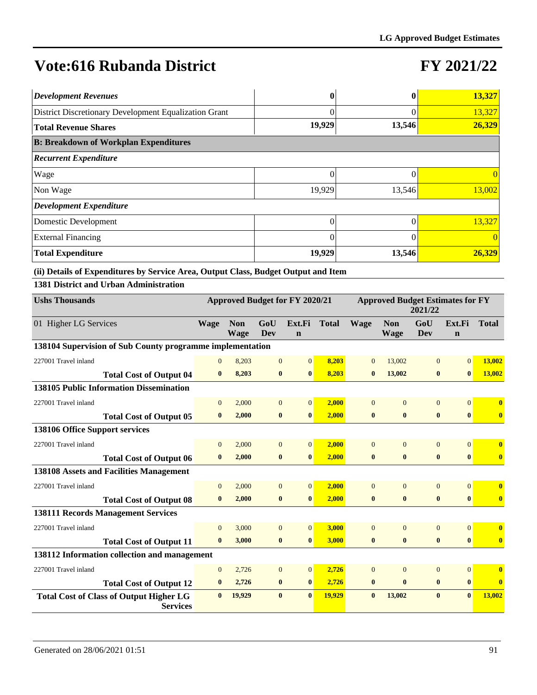## **FY 2021/22**

| <b>Development Revenues</b>                           |          |        | 13,327   |  |  |  |  |  |  |  |  |
|-------------------------------------------------------|----------|--------|----------|--|--|--|--|--|--|--|--|
| District Discretionary Development Equalization Grant |          |        | 13,327   |  |  |  |  |  |  |  |  |
| Total Revenue Shares                                  | 19,929   | 13,546 | 26,329   |  |  |  |  |  |  |  |  |
| <b>B: Breakdown of Workplan Expenditures</b>          |          |        |          |  |  |  |  |  |  |  |  |
| <b>Recurrent Expenditure</b>                          |          |        |          |  |  |  |  |  |  |  |  |
| Wage                                                  | 0        |        |          |  |  |  |  |  |  |  |  |
| Non Wage                                              | 19,929   | 13,546 | 13,002   |  |  |  |  |  |  |  |  |
| Development Expenditure                               |          |        |          |  |  |  |  |  |  |  |  |
| Domestic Development                                  | 0        |        | 13,327   |  |  |  |  |  |  |  |  |
| <b>External Financing</b>                             | $\Omega$ |        | $\Omega$ |  |  |  |  |  |  |  |  |
| <b>Total Expenditure</b>                              | 19,929   | 13,546 | 26,329   |  |  |  |  |  |  |  |  |

**(ii) Details of Expenditures by Service Area, Output Class, Budget Output and Item**

**1381 District and Urban Administration**

| <b>Ushs Thousands</b>                                             | Approved Budget for FY 2020/21 |                           |                |                       |              | <b>Approved Budget Estimates for FY</b><br>2021/22 |                           |                   |                       |              |
|-------------------------------------------------------------------|--------------------------------|---------------------------|----------------|-----------------------|--------------|----------------------------------------------------|---------------------------|-------------------|-----------------------|--------------|
| 01 Higher LG Services                                             | <b>Wage</b>                    | <b>Non</b><br><b>Wage</b> | GoU<br>Dev     | Ext.Fi<br>$\mathbf n$ | <b>Total</b> | <b>Wage</b>                                        | <b>Non</b><br><b>Wage</b> | GoU<br><b>Dev</b> | Ext.Fi<br>$\mathbf n$ | <b>Total</b> |
| 138104 Supervision of Sub County programme implementation         |                                |                           |                |                       |              |                                                    |                           |                   |                       |              |
| 227001 Travel inland                                              | $\overline{0}$                 | 8,203                     | $\overline{0}$ | $\overline{0}$        | 8,203        | $\overline{0}$                                     | 13,002                    | $\overline{0}$    | $\Omega$              | 13,002       |
| <b>Total Cost of Output 04</b>                                    | $\mathbf{0}$                   | 8,203                     | $\bf{0}$       | $\mathbf{0}$          | 8,203        | $\mathbf{0}$                                       | 13,002                    | $\bf{0}$          | $\mathbf{0}$          | 13,002       |
| <b>138105 Public Information Dissemination</b>                    |                                |                           |                |                       |              |                                                    |                           |                   |                       |              |
| 227001 Travel inland                                              | $\overline{0}$                 | 2,000                     | $\overline{0}$ | $\Omega$              | 2,000        | $\Omega$                                           | $\Omega$                  | $\overline{0}$    | $\Omega$              | $\bf{0}$     |
| <b>Total Cost of Output 05</b>                                    | $\bf{0}$                       | 2,000                     | $\bf{0}$       | $\mathbf{0}$          | 2,000        | $\bf{0}$                                           | $\bf{0}$                  | $\bf{0}$          | $\mathbf{0}$          | $\bf{0}$     |
| 138106 Office Support services                                    |                                |                           |                |                       |              |                                                    |                           |                   |                       |              |
| 227001 Travel inland                                              | $\mathbf{0}$                   | 2,000                     | $\overline{0}$ | 0                     | 2.000        | $\overline{0}$                                     | $\Omega$                  | $\overline{0}$    | $\Omega$              | $\bf{0}$     |
| <b>Total Cost of Output 06</b>                                    | $\mathbf{0}$                   | 2,000                     | $\bf{0}$       | $\mathbf{0}$          | 2,000        | $\bf{0}$                                           | $\bf{0}$                  | $\bf{0}$          | $\mathbf{0}$          | $\bf{0}$     |
| <b>138108 Assets and Facilities Management</b>                    |                                |                           |                |                       |              |                                                    |                           |                   |                       |              |
| 227001 Travel inland                                              | $\Omega$                       | 2,000                     | $\overline{0}$ | $\overline{0}$        | 2,000        | $\Omega$                                           | $\Omega$                  | $\overline{0}$    | $\Omega$              | $\mathbf{0}$ |
| <b>Total Cost of Output 08</b>                                    | $\bf{0}$                       | 2,000                     | $\bf{0}$       | $\bf{0}$              | 2,000        | $\bf{0}$                                           | $\bf{0}$                  | $\bf{0}$          | $\bf{0}$              | $\bf{0}$     |
| <b>138111 Records Management Services</b>                         |                                |                           |                |                       |              |                                                    |                           |                   |                       |              |
| 227001 Travel inland                                              | $\Omega$                       | 3,000                     | $\overline{0}$ | $\overline{0}$        | 3,000        | $\Omega$                                           | $\Omega$                  | $\overline{0}$    | $\overline{0}$        | $\bf{0}$     |
| <b>Total Cost of Output 11</b>                                    | $\mathbf{0}$                   | 3,000                     | $\bf{0}$       | $\mathbf{0}$          | 3,000        | $\bf{0}$                                           | $\bf{0}$                  | $\bf{0}$          | $\bf{0}$              | $\bf{0}$     |
| 138112 Information collection and management                      |                                |                           |                |                       |              |                                                    |                           |                   |                       |              |
| 227001 Travel inland                                              | $\overline{0}$                 | 2,726                     | $\overline{0}$ | $\overline{0}$        | 2,726        | $\Omega$                                           | $\Omega$                  | $\overline{0}$    | $\overline{0}$        | $\bf{0}$     |
| <b>Total Cost of Output 12</b>                                    | $\bf{0}$                       | 2,726                     | $\bf{0}$       | $\mathbf{0}$          | 2,726        | $\bf{0}$                                           | $\bf{0}$                  | $\bf{0}$          | $\bf{0}$              | $\bf{0}$     |
| <b>Total Cost of Class of Output Higher LG</b><br><b>Services</b> | $\mathbf{0}$                   | 19,929                    | $\mathbf{0}$   | $\mathbf{0}$          | 19.929       | $\bf{0}$                                           | 13.002                    | $\bf{0}$          | $\mathbf{0}$          | 13,002       |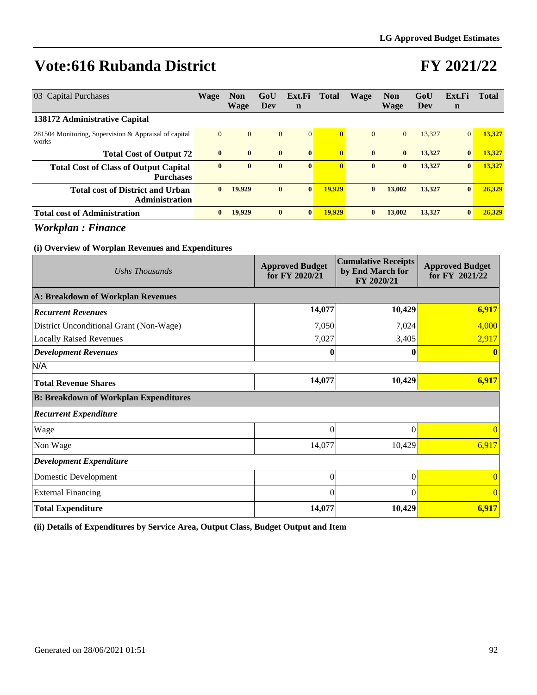### **FY 2021/22**

| 03 Capital Purchases                                             | <b>Wage</b>    | <b>Non</b><br><b>Wage</b> | GoU<br>Dev   | Ext.Fi<br>n    | Total                   | Wage         | <b>Non</b><br><b>Wage</b> | GoU<br>Dev | Ext.Fi<br>$\mathbf n$ | <b>Total</b> |
|------------------------------------------------------------------|----------------|---------------------------|--------------|----------------|-------------------------|--------------|---------------------------|------------|-----------------------|--------------|
| 138172 Administrative Capital                                    |                |                           |              |                |                         |              |                           |            |                       |              |
| 281504 Monitoring, Supervision & Appraisal of capital<br>works   | $\overline{0}$ | $\overline{0}$            | $\mathbf{0}$ | $\overline{0}$ | $\overline{\mathbf{0}}$ | $\mathbf{0}$ | $\overline{0}$            | 13.327     | $\overline{0}$        | 13,327       |
| <b>Total Cost of Output 72</b>                                   | $\bf{0}$       | $\mathbf{0}$              | $\bf{0}$     | $\mathbf{0}$   | $\overline{\mathbf{0}}$ | $\mathbf{0}$ | $\bf{0}$                  | 13,327     | $\mathbf{0}$          | 13.327       |
| <b>Total Cost of Class of Output Capital</b><br><b>Purchases</b> | $\bf{0}$       | $\mathbf{0}$              | $\bf{0}$     | $\mathbf{0}$   | $\mathbf{0}$            | $\bf{0}$     | $\bf{0}$                  | 13,327     | $\bf{0}$              | 13,327       |
| <b>Total cost of District and Urban</b><br><b>Administration</b> | $\mathbf{0}$   | 19,929                    | $\bf{0}$     | $\mathbf{0}$   | 19.929                  | $\bf{0}$     | 13,002                    | 13,327     | $\mathbf{0}$          | 26,329       |
| <b>Total cost of Administration</b>                              | $\bf{0}$       | 19,929                    | $\bf{0}$     | $\bf{0}$       | 19,929                  | $\bf{0}$     | 13,002                    | 13,327     | $\mathbf{0}$          | 26,329       |

*Workplan : Finance*

#### **(i) Overview of Worplan Revenues and Expenditures**

| Ushs Thousands                               | <b>Approved Budget</b><br>for FY 2020/21 | <b>Cumulative Receipts</b><br>by End March for<br>FY 2020/21 | <b>Approved Budget</b><br>for FY 2021/22 |  |
|----------------------------------------------|------------------------------------------|--------------------------------------------------------------|------------------------------------------|--|
| A: Breakdown of Workplan Revenues            |                                          |                                                              |                                          |  |
| <b>Recurrent Revenues</b>                    | 14,077                                   | 10,429                                                       | 6,917                                    |  |
| District Unconditional Grant (Non-Wage)      | 7,050                                    | 7,024                                                        | 4,000                                    |  |
| <b>Locally Raised Revenues</b>               | 7,027                                    | 3,405                                                        | 2,917                                    |  |
| <b>Development Revenues</b>                  |                                          |                                                              |                                          |  |
| N/A                                          |                                          |                                                              |                                          |  |
| <b>Total Revenue Shares</b>                  | 14,077                                   | 10,429                                                       | 6,917                                    |  |
| <b>B: Breakdown of Workplan Expenditures</b> |                                          |                                                              |                                          |  |
| <b>Recurrent Expenditure</b>                 |                                          |                                                              |                                          |  |
| Wage                                         | 0                                        | $\Omega$                                                     | $\Omega$                                 |  |
| Non Wage                                     | 14,077                                   | 10,429                                                       | 6,917                                    |  |
| <b>Development Expenditure</b>               |                                          |                                                              |                                          |  |
| Domestic Development                         | $\theta$                                 | $\theta$                                                     | $\overline{0}$                           |  |
| <b>External Financing</b>                    | $\theta$                                 | $\Omega$                                                     | $\Omega$                                 |  |
| <b>Total Expenditure</b>                     | 14,077                                   | 10,429                                                       | 6,917                                    |  |

**(ii) Details of Expenditures by Service Area, Output Class, Budget Output and Item**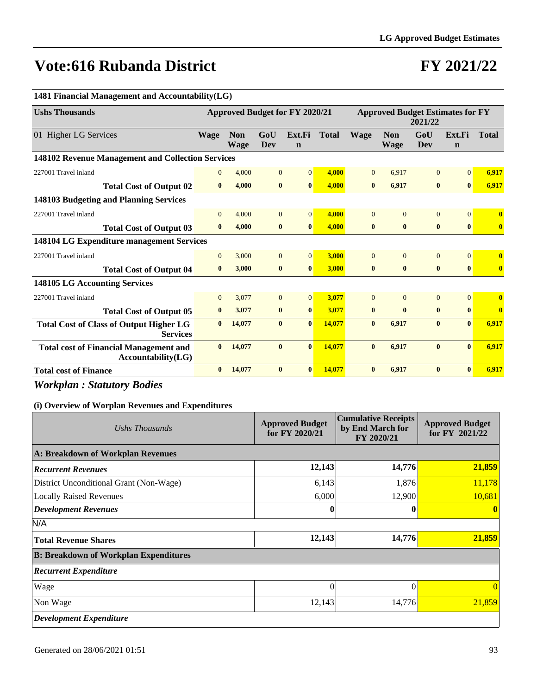## **FY 2021/22**

| 1481 Financial Management and Accountability(LG)                    |                |                                |                |                       |              |                                                    |                    |                   |                       |              |
|---------------------------------------------------------------------|----------------|--------------------------------|----------------|-----------------------|--------------|----------------------------------------------------|--------------------|-------------------|-----------------------|--------------|
| <b>Ushs Thousands</b>                                               |                | Approved Budget for FY 2020/21 |                |                       |              | <b>Approved Budget Estimates for FY</b><br>2021/22 |                    |                   |                       |              |
| 01 Higher LG Services                                               | <b>Wage</b>    | <b>Non</b><br><b>Wage</b>      | GoU<br>Dev     | Ext.Fi<br>$\mathbf n$ | <b>Total</b> | <b>Wage</b>                                        | <b>Non</b><br>Wage | GoU<br><b>Dev</b> | Ext.Fi<br>$\mathbf n$ | <b>Total</b> |
| 148102 Revenue Management and Collection Services                   |                |                                |                |                       |              |                                                    |                    |                   |                       |              |
| 227001 Travel inland                                                | $\overline{0}$ | 4,000                          | $\overline{0}$ | $\vert 0 \vert$       | 4.000        | $\overline{0}$                                     | 6.917              | $\mathbf{0}$      | $\overline{0}$        | 6,917        |
| <b>Total Cost of Output 02</b>                                      | $\mathbf{0}$   | 4.000                          | $\bf{0}$       | $\bf{0}$              | 4.000        | $\bf{0}$                                           | 6,917              | $\bf{0}$          | $\mathbf{0}$          | 6,917        |
| 148103 Budgeting and Planning Services                              |                |                                |                |                       |              |                                                    |                    |                   |                       |              |
| 227001 Travel inland                                                | $\overline{0}$ | 4,000                          | $\overline{0}$ | $\overline{0}$        | 4,000        | $\overline{0}$                                     | $\overline{0}$     | $\mathbf{0}$      | $\Omega$              | $\mathbf{0}$ |
| <b>Total Cost of Output 03</b>                                      | $\mathbf{0}$   | 4,000                          | $\bf{0}$       | $\bf{0}$              | 4,000        | $\bf{0}$                                           | $\bf{0}$           | $\bf{0}$          | $\bf{0}$              | $\bf{0}$     |
| <b>148104 LG Expenditure management Services</b>                    |                |                                |                |                       |              |                                                    |                    |                   |                       |              |
| 227001 Travel inland                                                | $\Omega$       | 3,000                          | $\overline{0}$ | $\overline{0}$        | 3,000        | $\theta$                                           | $\Omega$           | $\Omega$          | $\Omega$              | $\mathbf{0}$ |
| <b>Total Cost of Output 04</b>                                      | $\mathbf{0}$   | 3,000                          | $\bf{0}$       | $\mathbf{0}$          | 3,000        | $\mathbf{0}$                                       | $\mathbf{0}$       | $\bf{0}$          | $\mathbf{0}$          | $\bf{0}$     |
| 148105 LG Accounting Services                                       |                |                                |                |                       |              |                                                    |                    |                   |                       |              |
| 227001 Travel inland                                                | $\overline{0}$ | 3,077                          | $\overline{0}$ | $\vert 0 \vert$       | 3,077        | $\overline{0}$                                     | $\Omega$           | $\mathbf{0}$      | $\Omega$              | $\bf{0}$     |
| <b>Total Cost of Output 05</b>                                      | $\bf{0}$       | 3,077                          | $\bf{0}$       | $\bf{0}$              | 3,077        | $\bf{0}$                                           | $\mathbf{0}$       | $\bf{0}$          | $\mathbf{0}$          | $\mathbf{0}$ |
| <b>Total Cost of Class of Output Higher LG</b><br><b>Services</b>   | $\mathbf{0}$   | 14,077                         | $\mathbf{0}$   | $\mathbf{0}$          | 14,077       | $\mathbf{0}$                                       | 6,917              | $\mathbf{0}$      | $\mathbf{0}$          | 6,917        |
| <b>Total cost of Financial Management and</b><br>Accountability(LG) | $\mathbf{0}$   | 14,077                         | $\bf{0}$       | $\mathbf{0}$          | 14,077       | $\mathbf{0}$                                       | 6,917              | $\mathbf{0}$      | $\theta$              | 6,917        |
| <b>Total cost of Finance</b>                                        | $\bf{0}$       | 14,077                         | $\bf{0}$       | $\bf{0}$              | 14,077       | $\bf{0}$                                           | 6.917              | $\bf{0}$          | $\mathbf{0}$          | 6.917        |

*Workplan : Statutory Bodies*

| Ushs Thousands                               | <b>Approved Budget</b><br>for FY 2020/21 | <b>Cumulative Receipts</b><br>by End March for<br>FY 2020/21 | <b>Approved Budget</b><br>for FY 2021/22 |
|----------------------------------------------|------------------------------------------|--------------------------------------------------------------|------------------------------------------|
| A: Breakdown of Workplan Revenues            |                                          |                                                              |                                          |
| <b>Recurrent Revenues</b>                    | 12,143                                   | 14,776                                                       | 21,859                                   |
| District Unconditional Grant (Non-Wage)      | 6,143                                    | 1,876                                                        | 11,178                                   |
| <b>Locally Raised Revenues</b>               | 6,000                                    | 12,900                                                       | 10,681                                   |
| <b>Development Revenues</b>                  |                                          | $\mathbf{0}$                                                 |                                          |
| N/A                                          |                                          |                                                              |                                          |
| <b>Total Revenue Shares</b>                  | 12,143                                   | 14,776                                                       | 21,859                                   |
| <b>B: Breakdown of Workplan Expenditures</b> |                                          |                                                              |                                          |
| <b>Recurrent Expenditure</b>                 |                                          |                                                              |                                          |
| Wage                                         | $\Omega$                                 | $\Omega$                                                     | $\Omega$                                 |
| Non Wage                                     | 12,143                                   | 14,776                                                       | 21,859                                   |
| <b>Development Expenditure</b>               |                                          |                                                              |                                          |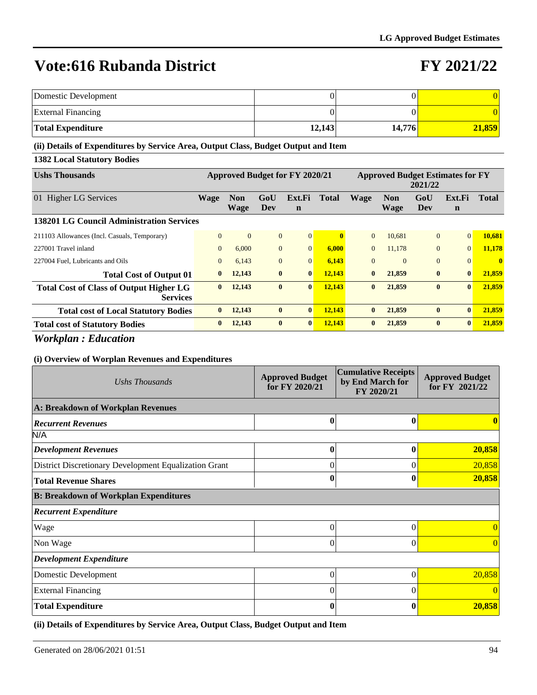### **FY 2021/22**

| Domestic Development      |        |        |        |
|---------------------------|--------|--------|--------|
| <b>External Financing</b> |        |        |        |
| <b>Total Expenditure</b>  | 12,143 | 14.776 | 21.859 |

#### **(ii) Details of Expenditures by Service Area, Output Class, Budget Output and Item**

**1382 Local Statutory Bodies**

| <b>Ushs Thousands</b>                                             | <b>Approved Budget for FY 2020/21</b> |                           |                |                       | <b>Approved Budget Estimates for FY</b><br>2021/22 |              |                    |              |                       |              |
|-------------------------------------------------------------------|---------------------------------------|---------------------------|----------------|-----------------------|----------------------------------------------------|--------------|--------------------|--------------|-----------------------|--------------|
| 01 Higher LG Services                                             | Wage                                  | <b>Non</b><br><b>Wage</b> | GoU<br>Dev     | Ext.Fi<br>$\mathbf n$ | <b>Total</b>                                       | <b>Wage</b>  | <b>Non</b><br>Wage | GoU<br>Dev   | Ext.Fi<br>$\mathbf n$ | <b>Total</b> |
| 138201 LG Council Administration Services                         |                                       |                           |                |                       |                                                    |              |                    |              |                       |              |
| 211103 Allowances (Incl. Casuals, Temporary)                      | $\Omega$                              | $\overline{0}$            | $\overline{0}$ | $\overline{0}$        |                                                    | $\Omega$     | 10.681             | $\mathbf{0}$ | $\vert 0 \vert$       | 10.681       |
| 227001 Travel inland                                              | $\Omega$                              | 6,000                     | $\Omega$       | $\Omega$              | 6.000                                              | $\Omega$     | 11.178             | $\Omega$     | $\Omega$              | 11,178       |
| 227004 Fuel, Lubricants and Oils                                  | $\theta$                              | 6,143                     | $\overline{0}$ | $\overline{0}$        | 6,143                                              | $\Omega$     | $\Omega$           | $\mathbf{0}$ | $\Omega$              | $\mathbf{0}$ |
| <b>Total Cost of Output 01</b>                                    | $\mathbf{0}$                          | 12,143                    | $\mathbf{0}$   | $\mathbf{0}$          | 12.143                                             | $\mathbf{0}$ | 21,859             | $\bf{0}$     | $\mathbf{0}$          | 21.859       |
| <b>Total Cost of Class of Output Higher LG</b><br><b>Services</b> | $\mathbf{0}$                          | 12,143                    | $\mathbf{0}$   | $\mathbf{0}$          | 12,143                                             | $\mathbf{0}$ | 21,859             | $\bf{0}$     | $\vert 0 \vert$       | 21,859       |
| <b>Total cost of Local Statutory Bodies</b>                       | $\mathbf{0}$                          | 12,143                    | $\mathbf{0}$   | $\mathbf{0}$          | 12,143                                             | $\mathbf{0}$ | 21,859             | $\mathbf{0}$ | $\mathbf{0}$          | 21,859       |
| <b>Total cost of Statutory Bodies</b>                             | $\bf{0}$                              | 12,143                    | $\mathbf{0}$   | $\mathbf{0}$          | 12,143                                             | $\bf{0}$     | 21,859             | $\mathbf{0}$ | $\mathbf{0}$          | 21,859       |

*Workplan : Education*

#### **(i) Overview of Worplan Revenues and Expenditures**

| Ushs Thousands                                        | <b>Approved Budget</b><br>for FY 2020/21 | <b>Cumulative Receipts</b><br>by End March for<br>FY 2020/21 | <b>Approved Budget</b><br>for FY 2021/22 |  |
|-------------------------------------------------------|------------------------------------------|--------------------------------------------------------------|------------------------------------------|--|
| A: Breakdown of Workplan Revenues                     |                                          |                                                              |                                          |  |
| <b>Recurrent Revenues</b>                             | $\bf{0}$                                 | 0                                                            |                                          |  |
| N/A                                                   |                                          |                                                              |                                          |  |
| <b>Development Revenues</b>                           | $\bf{0}$                                 | 0                                                            | 20,858                                   |  |
| District Discretionary Development Equalization Grant | $\theta$                                 | 0                                                            | 20,858                                   |  |
| <b>Total Revenue Shares</b>                           | $\bf{0}$                                 |                                                              | 20,858                                   |  |
| <b>B: Breakdown of Workplan Expenditures</b>          |                                          |                                                              |                                          |  |
| <b>Recurrent Expenditure</b>                          |                                          |                                                              |                                          |  |
| Wage                                                  | $\Omega$                                 | 0                                                            | $\Omega$                                 |  |
| Non Wage                                              | $\Omega$                                 | 0                                                            | $\overline{0}$                           |  |
| <b>Development Expenditure</b>                        |                                          |                                                              |                                          |  |
| Domestic Development                                  | $\Omega$                                 | 0                                                            | 20,858                                   |  |
| <b>External Financing</b>                             | $\Omega$                                 | 0                                                            |                                          |  |
| <b>Total Expenditure</b>                              | $\bf{0}$                                 |                                                              | 20,858                                   |  |

**(ii) Details of Expenditures by Service Area, Output Class, Budget Output and Item**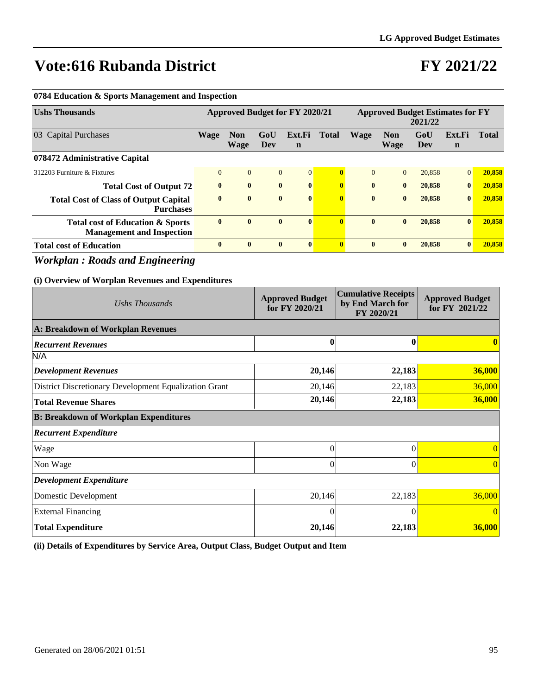## **FY 2021/22**

| <b>Ushs Thousands</b>                                                                       |             |                           |                   | <b>Approved Budget for FY 2020/21</b>    |                |                         |                                | <b>Approved Budget Estimates for FY</b> | 2021/22    |                                          |                |
|---------------------------------------------------------------------------------------------|-------------|---------------------------|-------------------|------------------------------------------|----------------|-------------------------|--------------------------------|-----------------------------------------|------------|------------------------------------------|----------------|
| 03 Capital Purchases                                                                        | <b>Wage</b> | <b>Non</b><br><b>Wage</b> | GoU<br><b>Dev</b> | Ext.Fi<br>$\mathbf n$                    | <b>Total</b>   |                         | <b>Wage</b>                    | <b>Non</b><br><b>Wage</b>               | GoU<br>Dev | Ext.Fi<br>$\mathbf n$                    | <b>Total</b>   |
| 078472 Administrative Capital                                                               |             |                           |                   |                                          |                |                         |                                |                                         |            |                                          |                |
| 312203 Furniture & Fixtures                                                                 | $\Omega$    | $\mathbf{0}$              | $\overline{0}$    | $\mathbf{0}$                             |                | $\bf{0}$                | $\overline{0}$                 | $\Omega$                                | 20,858     | $\mathbf{0}$                             | 20,858         |
| <b>Total Cost of Output 72</b>                                                              | $\bf{0}$    | $\bf{0}$                  | $\bf{0}$          | $\bf{0}$                                 |                | $\bf{0}$                | $\bf{0}$                       | $\bf{0}$                                | 20,858     | $\bf{0}$                                 | 20,858         |
| <b>Total Cost of Class of Output Capital</b><br><b>Purchases</b>                            | $\bf{0}$    | $\bf{0}$                  | $\bf{0}$          | $\bf{0}$                                 |                | $\overline{0}$          | $\bf{0}$                       | $\bf{0}$                                | 20,858     | $\bf{0}$                                 | 20,858         |
| <b>Total cost of Education &amp; Sports</b><br><b>Management and Inspection</b>             | $\bf{0}$    | $\bf{0}$                  | $\bf{0}$          | $\bf{0}$                                 |                | $\overline{\mathbf{0}}$ | $\bf{0}$                       | $\bf{0}$                                | 20,858     | $\bf{0}$                                 | 20,858         |
| <b>Total cost of Education</b>                                                              | $\bf{0}$    | $\bf{0}$                  | $\bf{0}$          | $\bf{0}$                                 |                | $\bf{0}$                | $\bf{0}$                       | $\bf{0}$                                | 20,858     | $\bf{0}$                                 | 20,858         |
| <b>Workplan: Roads and Engineering</b><br>(i) Overview of Worplan Revenues and Expenditures |             |                           |                   |                                          |                |                         |                                | <b>Cumulative Receipts</b>              |            |                                          |                |
| Ushs Thousands                                                                              |             |                           |                   | <b>Approved Budget</b><br>for FY 2020/21 |                |                         | by End March for<br>FY 2020/21 |                                         |            | <b>Approved Budget</b><br>for FY 2021/22 |                |
| <b>A: Breakdown of Workplan Revenues</b>                                                    |             |                           |                   |                                          |                |                         |                                |                                         |            |                                          |                |
| <b>Recurrent Revenues</b>                                                                   |             |                           |                   |                                          | $\bf{0}$       |                         |                                | $\bf{0}$                                |            |                                          | $\mathbf{0}$   |
| N/A                                                                                         |             |                           |                   |                                          |                |                         |                                |                                         |            |                                          |                |
| <b>Development Revenues</b>                                                                 |             |                           |                   |                                          | 20,146         |                         |                                | 22,183                                  |            |                                          | 36,000         |
| District Discretionary Development Equalization Grant                                       |             |                           |                   |                                          | 20,146         |                         |                                | 22,183                                  |            |                                          | 36,000         |
| <b>Total Revenue Shares</b>                                                                 |             |                           |                   |                                          | 20,146         |                         |                                | 22,183                                  |            |                                          | 36,000         |
| <b>B: Breakdown of Workplan Expenditures</b>                                                |             |                           |                   |                                          |                |                         |                                |                                         |            |                                          |                |
| <b>Recurrent Expenditure</b>                                                                |             |                           |                   |                                          |                |                         |                                |                                         |            |                                          |                |
| Wage                                                                                        |             |                           |                   |                                          | $\overline{0}$ |                         |                                | $\boldsymbol{0}$                        |            |                                          | $\overline{0}$ |
| Non Wage                                                                                    |             |                           |                   |                                          | $\overline{0}$ |                         |                                | $\overline{0}$                          |            |                                          | $\Omega$       |
| <b>Development Expenditure</b>                                                              |             |                           |                   |                                          |                |                         |                                |                                         |            |                                          |                |
| Domestic Development                                                                        |             |                           |                   |                                          | 20,146         |                         |                                | 22,183                                  |            |                                          | 36,000         |
| <b>External Financing</b>                                                                   |             |                           |                   |                                          | $\theta$       |                         |                                | $\theta$                                |            |                                          | $\Omega$       |
| <b>Total Expenditure</b>                                                                    |             |                           |                   |                                          | 20,146         |                         |                                | 22,183                                  |            |                                          | 36,000         |

**0784 Education & Sports Management and Inspection**

**(ii) Details of Expenditures by Service Area, Output Class, Budget Output and Item**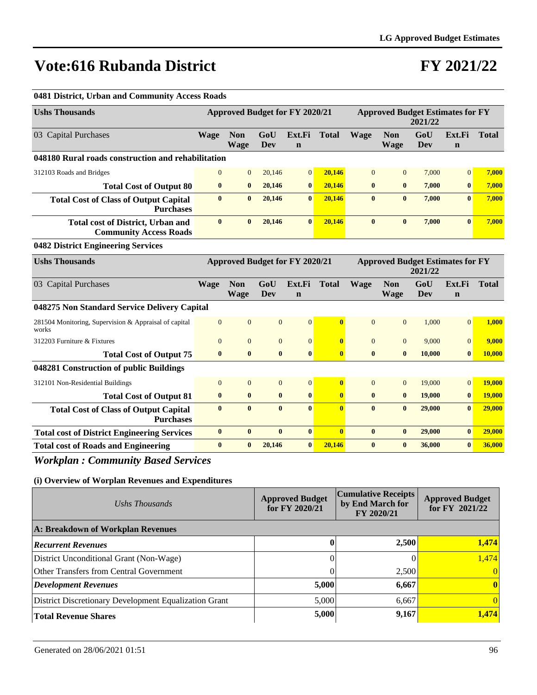## **FY 2021/22**

| 0481 District, Urban and Community Access Roads                           |                  |                                       |                |                       |                         |                |                                         |                   |                       |               |
|---------------------------------------------------------------------------|------------------|---------------------------------------|----------------|-----------------------|-------------------------|----------------|-----------------------------------------|-------------------|-----------------------|---------------|
| <b>Ushs Thousands</b>                                                     |                  | <b>Approved Budget for FY 2020/21</b> |                |                       |                         |                | <b>Approved Budget Estimates for FY</b> | 2021/22           |                       |               |
| 03 Capital Purchases                                                      | <b>Wage</b>      | <b>Non</b><br><b>Wage</b>             | GoU<br>Dev     | Ext.Fi<br>$\mathbf n$ | <b>Total</b>            | <b>Wage</b>    | <b>Non</b><br><b>Wage</b>               | GoU<br><b>Dev</b> | Ext.Fi<br>$\mathbf n$ | <b>Total</b>  |
| 048180 Rural roads construction and rehabilitation                        |                  |                                       |                |                       |                         |                |                                         |                   |                       |               |
| 312103 Roads and Bridges                                                  | $\Omega$         | $\overline{0}$                        | 20,146         | $\mathbf{0}$          | 20.146                  | $\Omega$       | $\overline{0}$                          | 7,000             | $\overline{0}$        | 7,000         |
| <b>Total Cost of Output 80</b>                                            | $\bf{0}$         | $\bf{0}$                              | 20,146         | $\bf{0}$              | 20,146                  | $\bf{0}$       | $\bf{0}$                                | 7,000             | $\bf{0}$              | 7,000         |
| <b>Total Cost of Class of Output Capital</b><br><b>Purchases</b>          | $\mathbf{0}$     | $\mathbf{0}$                          | 20,146         | $\mathbf{0}$          | 20.146                  | $\bf{0}$       | $\bf{0}$                                | 7,000             | $\mathbf{0}$          | 7,000         |
| <b>Total cost of District, Urban and</b><br><b>Community Access Roads</b> | $\mathbf{0}$     | $\mathbf{0}$                          | 20,146         | $\mathbf{0}$          | 20.146                  | $\mathbf{0}$   | $\mathbf{0}$                            | 7,000             | $\mathbf{0}$          | 7.000         |
| 0482 District Engineering Services                                        |                  |                                       |                |                       |                         |                |                                         |                   |                       |               |
| <b>Ushs Thousands</b>                                                     |                  | Approved Budget for FY 2020/21        |                |                       |                         |                | <b>Approved Budget Estimates for FY</b> | 2021/22           |                       |               |
| 03 Capital Purchases                                                      | <b>Wage</b>      | <b>Non</b><br><b>Wage</b>             | GoU<br>Dev     | Ext.Fi<br>$\mathbf n$ | <b>Total</b>            | <b>Wage</b>    | <b>Non</b><br><b>Wage</b>               | GoU<br>Dev        | Ext.Fi<br>$\mathbf n$ | <b>Total</b>  |
| 048275 Non Standard Service Delivery Capital                              |                  |                                       |                |                       |                         |                |                                         |                   |                       |               |
| 281504 Monitoring, Supervision & Appraisal of capital<br>works            | $\overline{0}$   | $\mathbf{0}$                          | $\mathbf{0}$   | $\overline{0}$        | $\overline{\mathbf{0}}$ | $\overline{0}$ | $\overline{0}$                          | 1,000             | $\overline{0}$        | 1,000         |
| 312203 Furniture & Fixtures                                               | $\overline{0}$   | $\overline{0}$                        | $\overline{0}$ | $\mathbf{0}$          | $\bf{0}$                | $\overline{0}$ | $\overline{0}$                          | 9,000             | $\overline{0}$        | 9,000         |
| <b>Total Cost of Output 75</b>                                            | $\bf{0}$         | $\bf{0}$                              | $\bf{0}$       | $\bf{0}$              | $\mathbf{0}$            | $\bf{0}$       | $\bf{0}$                                | 10,000            | $\bf{0}$              | 10,000        |
| 048281 Construction of public Buildings                                   |                  |                                       |                |                       |                         |                |                                         |                   |                       |               |
| 312101 Non-Residential Buildings                                          | $\overline{0}$   | $\mathbf{0}$                          | $\mathbf{0}$   | $\mathbf{0}$          | $\bf{0}$                | $\mathbf{0}$   | $\overline{0}$                          | 19,000            | $\mathbf{0}$          | 19,000        |
| <b>Total Cost of Output 81</b>                                            | $\bf{0}$         | $\bf{0}$                              | $\bf{0}$       | $\bf{0}$              | $\bf{0}$                | $\bf{0}$       | $\bf{0}$                                | 19,000            | $\bf{0}$              | <b>19,000</b> |
| <b>Total Cost of Class of Output Capital</b><br><b>Purchases</b>          | $\bf{0}$         | $\bf{0}$                              | $\bf{0}$       | $\bf{0}$              | $\overline{0}$          | $\bf{0}$       | $\bf{0}$                                | 29,000            | $\bf{0}$              | 29,000        |
| <b>Total cost of District Engineering Services</b>                        | $\boldsymbol{0}$ | $\mathbf{0}$                          | $\bf{0}$       | $\boldsymbol{0}$      | $\bf{0}$                | $\bf{0}$       | $\bf{0}$                                | 29,000            | $\mathbf{0}$          | 29,000        |
| <b>Total cost of Roads and Engineering</b>                                | $\bf{0}$         | $\bf{0}$                              | 20,146         | $\bf{0}$              | 20,146                  | $\bf{0}$       | $\bf{0}$                                | 36,000            | $\mathbf{0}$          | 36,000        |

*Workplan : Community Based Services*

| Ushs Thousands                                        | <b>Approved Budget</b><br>for $FY$ 2020/21 | <b>Cumulative Receipts</b><br>by End March for<br>FY 2020/21 | <b>Approved Budget</b><br>for FY 2021/22 |  |
|-------------------------------------------------------|--------------------------------------------|--------------------------------------------------------------|------------------------------------------|--|
| A: Breakdown of Workplan Revenues                     |                                            |                                                              |                                          |  |
| <b>Recurrent Revenues</b>                             |                                            | 2,500                                                        | 1,474                                    |  |
| District Unconditional Grant (Non-Wage)               |                                            |                                                              | 1,474                                    |  |
| Other Transfers from Central Government               |                                            | 2,500                                                        | 0                                        |  |
| Development Revenues                                  | 5,000                                      | 6,667                                                        | $\mathbf{0}$                             |  |
| District Discretionary Development Equalization Grant | 5,000                                      | 6,667                                                        | 0                                        |  |
| <b>Total Revenue Shares</b>                           | 5,000                                      | 9,167                                                        | 1,474                                    |  |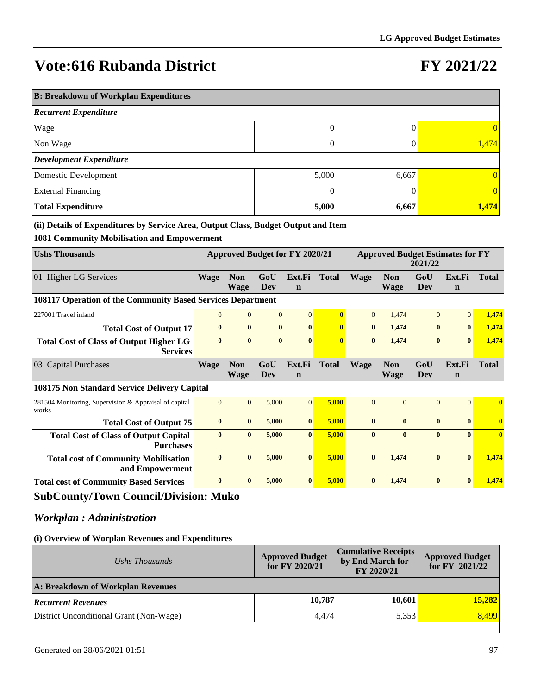### **FY 2021/22**

| <b>B: Breakdown of Workplan Expenditures</b> |       |       |                 |  |  |  |  |  |  |  |
|----------------------------------------------|-------|-------|-----------------|--|--|--|--|--|--|--|
| <b>Recurrent Expenditure</b>                 |       |       |                 |  |  |  |  |  |  |  |
| Wage                                         | 0     |       | $\vert 0 \vert$ |  |  |  |  |  |  |  |
| Non Wage                                     |       |       | 1,474           |  |  |  |  |  |  |  |
| <b>Development Expenditure</b>               |       |       |                 |  |  |  |  |  |  |  |
| Domestic Development                         | 5,000 | 6,667 | $\vert 0 \vert$ |  |  |  |  |  |  |  |
| <b>External Financing</b>                    |       |       | $\vert 0 \vert$ |  |  |  |  |  |  |  |
| <b>Total Expenditure</b>                     | 5,000 | 6,667 | 1,474           |  |  |  |  |  |  |  |

#### **(ii) Details of Expenditures by Service Area, Output Class, Budget Output and Item**

**1081 Community Mobilisation and Empowerment**

| <b>Ushs Thousands</b>                                             | <b>Approved Budget for FY 2020/21</b> |                           |                |                       | <b>Approved Budget Estimates for FY</b><br>2021/22 |                |                           |                |                       |              |
|-------------------------------------------------------------------|---------------------------------------|---------------------------|----------------|-----------------------|----------------------------------------------------|----------------|---------------------------|----------------|-----------------------|--------------|
| 01 Higher LG Services                                             | Wage                                  | <b>Non</b><br><b>Wage</b> | GoU<br>Dev     | Ext.Fi<br>$\mathbf n$ | <b>Total</b>                                       | <b>Wage</b>    | <b>Non</b><br><b>Wage</b> | GoU<br>Dev     | Ext.Fi<br>$\mathbf n$ | <b>Total</b> |
| 108117 Operation of the Community Based Services Department       |                                       |                           |                |                       |                                                    |                |                           |                |                       |              |
| 227001 Travel inland                                              | $\mathbf{0}$                          | $\overline{0}$            | $\overline{0}$ | $\overline{0}$        |                                                    | $\overline{0}$ | 1,474                     | $\Omega$       | $\Omega$              | 1,474        |
| <b>Total Cost of Output 17</b>                                    | $\bf{0}$                              | $\bf{0}$                  | $\bf{0}$       | $\bf{0}$              | $\bf{0}$                                           | $\bf{0}$       | 1.474                     | $\bf{0}$       | $\bf{0}$              | 1,474        |
| <b>Total Cost of Class of Output Higher LG</b><br><b>Services</b> | $\mathbf{0}$                          | $\mathbf{0}$              | $\mathbf{0}$   | $\mathbf{0}$          | $\mathbf{0}$                                       | $\mathbf{0}$   | 1,474                     | $\mathbf{0}$   | $\mathbf{0}$          | 1,474        |
| <b>Capital Purchases</b><br>03                                    | <b>Wage</b>                           | <b>Non</b><br><b>Wage</b> | GoU<br>Dev     | Ext.Fi<br>$\mathbf n$ | <b>Total</b>                                       | <b>Wage</b>    | <b>Non</b><br>Wage        | GoU<br>Dev     | Ext.Fi<br>$\mathbf n$ | <b>Total</b> |
| 108175 Non Standard Service Delivery Capital                      |                                       |                           |                |                       |                                                    |                |                           |                |                       |              |
| 281504 Monitoring, Supervision & Appraisal of capital<br>works    | $\mathbf{0}$                          | $\overline{0}$            | 5,000          | $\overline{0}$        | 5,000                                              | $\overline{0}$ | $\Omega$                  | $\overline{0}$ | $\Omega$              | $\mathbf{0}$ |
| <b>Total Cost of Output 75</b>                                    | $\bf{0}$                              | $\bf{0}$                  | 5.000          | $\bf{0}$              | 5.000                                              | $\bf{0}$       | $\bf{0}$                  | $\bf{0}$       | $\bf{0}$              | $\mathbf{0}$ |
| <b>Total Cost of Class of Output Capital</b><br><b>Purchases</b>  | $\bf{0}$                              | $\bf{0}$                  | 5,000          | $\bf{0}$              | 5,000                                              | $\mathbf{0}$   | $\mathbf{0}$              | $\bf{0}$       | $\mathbf{0}$          | $\mathbf{0}$ |
| <b>Total cost of Community Mobilisation</b><br>and Empowerment    | $\bf{0}$                              | $\bf{0}$                  | 5,000          | $\mathbf{0}$          | 5,000                                              | $\bf{0}$       | 1,474                     | $\bf{0}$       | $\mathbf{0}$          | 1,474        |
| <b>Total cost of Community Based Services</b>                     | $\mathbf{0}$                          | $\bf{0}$                  | 5,000          | $\bf{0}$              | 5,000                                              | $\bf{0}$       | 1,474                     | $\bf{0}$       | $\mathbf{0}$          | 1,474        |

### **SubCounty/Town Council/Division: Muko**

### *Workplan : Administration*

| Ushs Thousands                          | <b>Approved Budget</b><br>for FY 2020/21 | <b>Cumulative Receipts</b><br>by End March for<br>FY 2020/21 | <b>Approved Budget</b><br>for FY 2021/22 |
|-----------------------------------------|------------------------------------------|--------------------------------------------------------------|------------------------------------------|
| A: Breakdown of Workplan Revenues       |                                          |                                                              |                                          |
| <b>Recurrent Revenues</b>               | 10,787                                   | 10,601                                                       | 15,282                                   |
| District Unconditional Grant (Non-Wage) | 4,474                                    | 5,353                                                        | 8.499                                    |
|                                         |                                          |                                                              |                                          |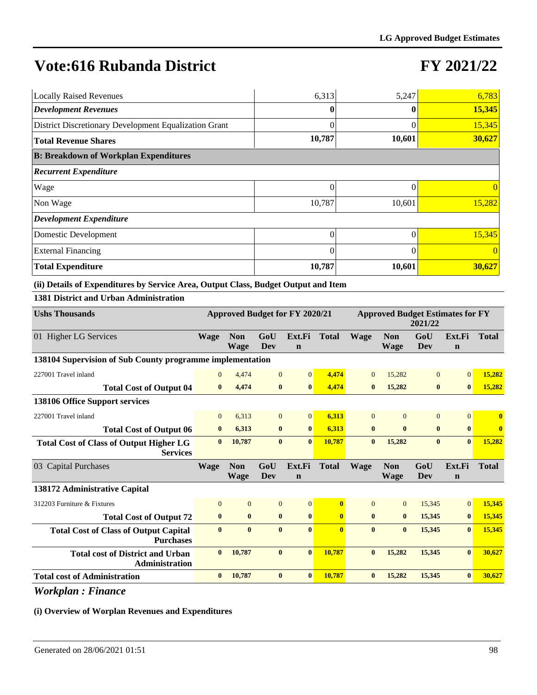# **FY 2021/22**

| <b>Locally Raised Revenues</b>                        | 6,313    | 5,247    | 6,783    |
|-------------------------------------------------------|----------|----------|----------|
| <b>Development Revenues</b>                           | 0        |          | 15,345   |
| District Discretionary Development Equalization Grant | 0        | $\Omega$ | 15,345   |
| <b>Total Revenue Shares</b>                           | 10,787   | 10,601   | 30,627   |
| <b>B: Breakdown of Workplan Expenditures</b>          |          |          |          |
| <b>Recurrent Expenditure</b>                          |          |          |          |
| Wage                                                  | 0        |          | $\Omega$ |
| Non Wage                                              | 10,787   | 10,601   | 15,282   |
| <b>Development Expenditure</b>                        |          |          |          |
| Domestic Development                                  | $\theta$ | 0        | 15,345   |
| <b>External Financing</b>                             | $\theta$ | 0        | $\theta$ |
| <b>Total Expenditure</b>                              | 10,787   | 10,601   | 30,627   |

#### **(ii) Details of Expenditures by Service Area, Output Class, Budget Output and Item**

#### **1381 District and Urban Administration**

| <b>Ushs Thousands</b>                                             | Approved Budget for FY 2020/21 |                           |                |                       | <b>Approved Budget Estimates for FY</b><br>2021/22 |                |                    |                |                       |              |
|-------------------------------------------------------------------|--------------------------------|---------------------------|----------------|-----------------------|----------------------------------------------------|----------------|--------------------|----------------|-----------------------|--------------|
| 01 Higher LG Services                                             | <b>Wage</b>                    | <b>Non</b><br><b>Wage</b> | GoU<br>Dev     | Ext.Fi<br>$\mathbf n$ | <b>Total</b>                                       | <b>Wage</b>    | <b>Non</b><br>Wage | GoU<br>Dev     | Ext.Fi<br>$\mathbf n$ | <b>Total</b> |
| 138104 Supervision of Sub County programme implementation         |                                |                           |                |                       |                                                    |                |                    |                |                       |              |
| 227001 Travel inland                                              | $\Omega$                       | 4,474                     | $\mathbf{0}$   | $\overline{0}$        | 4.474                                              | $\overline{0}$ | 15,282             | $\overline{0}$ | $\Omega$              | 15,282       |
| <b>Total Cost of Output 04</b>                                    | $\bf{0}$                       | 4,474                     | $\bf{0}$       | $\bf{0}$              | 4,474                                              | $\bf{0}$       | 15,282             | $\bf{0}$       | $\bf{0}$              | 15,282       |
| 138106 Office Support services                                    |                                |                           |                |                       |                                                    |                |                    |                |                       |              |
| 227001 Travel inland                                              | $\overline{0}$                 | 6.313                     | $\mathbf{0}$   | $\overline{0}$        | 6,313                                              | $\overline{0}$ | $\theta$           | $\overline{0}$ | $\Omega$              | $\bf{0}$     |
| <b>Total Cost of Output 06</b>                                    | $\bf{0}$                       | 6,313                     | $\bf{0}$       | $\bf{0}$              | 6,313                                              | $\bf{0}$       | $\mathbf{0}$       | $\bf{0}$       | $\mathbf{0}$          | $\bf{0}$     |
| <b>Total Cost of Class of Output Higher LG</b><br><b>Services</b> | $\mathbf{0}$                   | 10,787                    | $\bf{0}$       | $\bf{0}$              | 10,787                                             | $\bf{0}$       | 15,282             | $\bf{0}$       | $\mathbf{0}$          | 15,282       |
| 03 Capital Purchases                                              | <b>Wage</b>                    | <b>Non</b>                | GoU            | Ext.Fi                | <b>Total</b>                                       | <b>Wage</b>    | <b>Non</b>         | GoU            | Ext.Fi                | <b>Total</b> |
|                                                                   |                                | <b>Wage</b>               | Dev            | $\mathbf n$           |                                                    |                | <b>Wage</b>        | Dev            | $\mathbf n$           |              |
| 138172 Administrative Capital                                     |                                |                           |                |                       |                                                    |                |                    |                |                       |              |
| 312203 Furniture & Fixtures                                       | $\overline{0}$                 | $\overline{0}$            | $\overline{0}$ | $\overline{0}$        | $\mathbf{0}$                                       | $\Omega$       | $\Omega$           | 15,345         | $\Omega$              | 15,345       |
| <b>Total Cost of Output 72</b>                                    | $\bf{0}$                       | $\mathbf{0}$              | $\bf{0}$       | $\bf{0}$              | $\mathbf{0}$                                       | $\bf{0}$       | $\bf{0}$           | 15,345         | $\bf{0}$              | 15,345       |
| <b>Total Cost of Class of Output Capital</b><br><b>Purchases</b>  | $\bf{0}$                       | $\bf{0}$                  | $\bf{0}$       | $\mathbf{0}$          | $\mathbf{0}$                                       | $\mathbf{0}$   | $\bf{0}$           | 15,345         | $\mathbf{0}$          | 15,345       |
| <b>Total cost of District and Urban</b><br><b>Administration</b>  | $\bf{0}$                       | 10,787                    | $\bf{0}$       | $\bf{0}$              | 10,787                                             | $\bf{0}$       | 15,282             | 15,345         | $\mathbf{0}$          | 30,627       |
| <b>Total cost of Administration</b>                               | $\bf{0}$                       | 10,787                    | $\bf{0}$       | $\bf{0}$              | 10,787                                             | $\mathbf{0}$   | 15,282             | 15,345         | $\mathbf{0}$          | 30,627       |

*Workplan : Finance*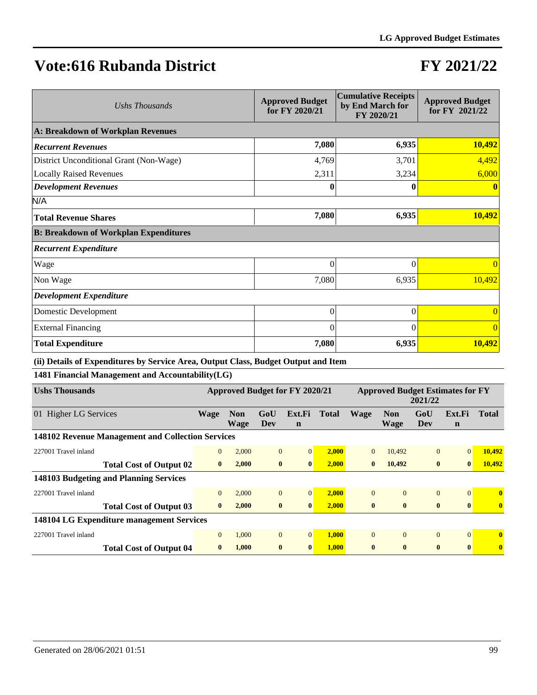## **FY 2021/22**

| Ushs Thousands                               | <b>Approved Budget</b><br>for FY 2020/21 | <b>Cumulative Receipts</b><br>by End March for<br>FY 2020/21 | <b>Approved Budget</b><br>for FY 2021/22 |
|----------------------------------------------|------------------------------------------|--------------------------------------------------------------|------------------------------------------|
| A: Breakdown of Workplan Revenues            |                                          |                                                              |                                          |
| <b>Recurrent Revenues</b>                    | 7,080                                    | 6,935                                                        | 10,492                                   |
| District Unconditional Grant (Non-Wage)      | 4,769                                    | 3,701                                                        | 4,492                                    |
| <b>Locally Raised Revenues</b>               | 2,311                                    | 3,234                                                        | 6,000                                    |
| <b>Development Revenues</b>                  | 0                                        |                                                              | $\mathbf{0}$                             |
| N/A                                          |                                          |                                                              |                                          |
| <b>Total Revenue Shares</b>                  | 7,080                                    | 6,935                                                        | 10,492                                   |
| <b>B: Breakdown of Workplan Expenditures</b> |                                          |                                                              |                                          |
| <b>Recurrent Expenditure</b>                 |                                          |                                                              |                                          |
| Wage                                         | $\theta$                                 | $\theta$                                                     | $\theta$                                 |
| Non Wage                                     | 7,080                                    | 6,935                                                        | 10,492                                   |
| <b>Development Expenditure</b>               |                                          |                                                              |                                          |
| Domestic Development                         | 0                                        | 0                                                            | $\Omega$                                 |
| <b>External Financing</b>                    | $\theta$                                 | $\Omega$                                                     | $\Omega$                                 |
| <b>Total Expenditure</b>                     | 7,080                                    | 6,935                                                        | 10,492                                   |

**(ii) Details of Expenditures by Service Area, Output Class, Budget Output and Item**

**1481 Financial Management and Accountability(LG)**

| <b>Ushs Thousands</b>                     | Approved Budget for FY 2020/21                    |                           |                |                       | <b>Approved Budget Estimates for FY</b><br>2021/22 |                |                    |                |                       |              |
|-------------------------------------------|---------------------------------------------------|---------------------------|----------------|-----------------------|----------------------------------------------------|----------------|--------------------|----------------|-----------------------|--------------|
| <b>Higher LG Services</b><br>01           | Wage                                              | <b>Non</b><br><b>Wage</b> | GoU<br>Dev     | Ext.Fi<br>$\mathbf n$ | <b>Total</b>                                       | <b>Wage</b>    | <b>Non</b><br>Wage | GoU<br>Dev     | Ext.Fi<br>$\mathbf n$ | <b>Total</b> |
|                                           | 148102 Revenue Management and Collection Services |                           |                |                       |                                                    |                |                    |                |                       |              |
| 227001 Travel inland                      | $\mathbf{0}$                                      | 2,000                     | $\overline{0}$ | $\overline{0}$        | 2.000                                              | $\overline{0}$ | 10,492             | $\mathbf{0}$   | $\overline{0}$        | 10,492       |
| <b>Total Cost of Output 02</b>            | $\mathbf{0}$                                      | 2,000                     | $\bf{0}$       | $\bf{0}$              | 2,000                                              | $\mathbf{0}$   | 10,492             | $\bf{0}$       | $\bf{0}$              | 10,492       |
| 148103 Budgeting and Planning Services    |                                                   |                           |                |                       |                                                    |                |                    |                |                       |              |
| 227001 Travel inland                      | $\mathbf{0}$                                      | 2,000                     | $\mathbf{0}$   | $\Omega$              | 2,000                                              | $\Omega$       | $\Omega$           | $\overline{0}$ | $\Omega$              | $\mathbf{0}$ |
| <b>Total Cost of Output 03</b>            | $\mathbf{0}$                                      | 2,000                     | $\bf{0}$       | $\mathbf{0}$          | 2,000                                              | $\mathbf{0}$   | $\mathbf{0}$       | $\bf{0}$       | $\bf{0}$              | $\mathbf{0}$ |
| 148104 LG Expenditure management Services |                                                   |                           |                |                       |                                                    |                |                    |                |                       |              |
| 227001 Travel inland                      | $\mathbf{0}$                                      | 1,000                     | $\mathbf{0}$   | $\mathbf{0}$          | 1,000                                              | $\mathbf{0}$   | $\theta$           | $\overline{0}$ | $\Omega$              | $\bf{0}$     |
| <b>Total Cost of Output 04</b>            | $\mathbf{0}$                                      | 1,000                     | $\bf{0}$       | $\mathbf{0}$          | 1,000                                              | $\mathbf{0}$   | $\mathbf{0}$       | $\mathbf{0}$   | $\mathbf{0}$          | $\mathbf{0}$ |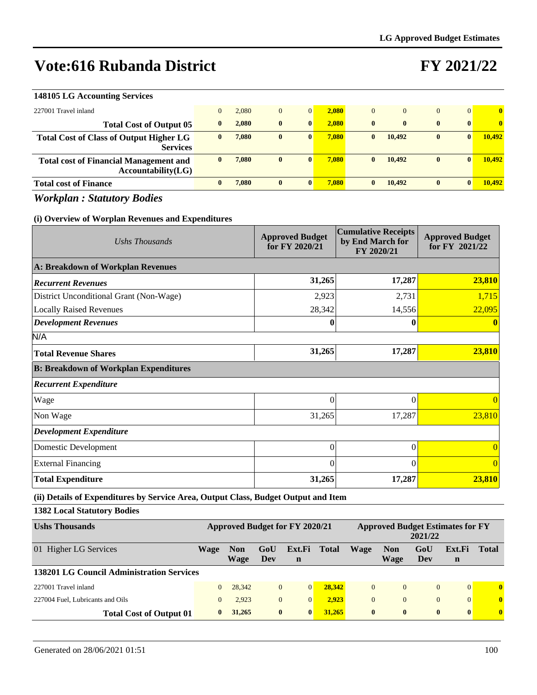### **FY 2021/22**

| 148105 LG Accounting Services                                       |       |              |                |       |              |              |              |                |              |
|---------------------------------------------------------------------|-------|--------------|----------------|-------|--------------|--------------|--------------|----------------|--------------|
| 227001 Travel inland                                                | 2.080 | $\mathbf{0}$ | $\overline{0}$ | 2.080 | $\mathbf{0}$ | $\Omega$     | $\mathbf{0}$ | $\overline{0}$ | $\mathbf{0}$ |
| <b>Total Cost of Output 05</b>                                      | 2.080 | $\bf{0}$     | $\bf{0}$       | 2.080 | $\mathbf{0}$ | $\mathbf{0}$ | $\mathbf{0}$ | $\mathbf{0}$   | $\mathbf{0}$ |
| <b>Total Cost of Class of Output Higher LG</b><br><b>Services</b>   | 7,080 | $\bf{0}$     | $\mathbf{0}$   | 7.080 | $\mathbf{0}$ | 10.492       | $\bf{0}$     | $\bf{0}$       | 10.492       |
| <b>Total cost of Financial Management and</b><br>Accountability(LG) | 7.080 | $\bf{0}$     | $\mathbf{0}$   | 7.080 | $\mathbf{0}$ | 10.492       | $\bf{0}$     | $\bf{0}$       | 10.492       |
| <b>Total cost of Finance</b>                                        | 7.080 | $\mathbf{0}$ | $\mathbf{0}$   | 7.080 | $\mathbf{0}$ | 10.492       | $\bf{0}$     | $\mathbf{0}$   | 10.492       |

*Workplan : Statutory Bodies*

### **(i) Overview of Worplan Revenues and Expenditures**

| Ushs Thousands                                                                     | <b>Approved Budget</b><br>for FY 2020/21 | <b>Cumulative Receipts</b><br>by End March for<br>FY 2020/21 | <b>Approved Budget</b><br>for FY 2021/22 |
|------------------------------------------------------------------------------------|------------------------------------------|--------------------------------------------------------------|------------------------------------------|
| A: Breakdown of Workplan Revenues                                                  |                                          |                                                              |                                          |
| <b>Recurrent Revenues</b>                                                          | 31,265                                   | 17,287                                                       | 23,810                                   |
| District Unconditional Grant (Non-Wage)                                            | 2,923                                    | 2,731                                                        | 1,715                                    |
| <b>Locally Raised Revenues</b>                                                     | 28,342                                   | 14,556                                                       | 22,095                                   |
| <b>Development Revenues</b>                                                        | 0                                        | 0                                                            |                                          |
| N/A                                                                                |                                          |                                                              |                                          |
| <b>Total Revenue Shares</b>                                                        | 31,265                                   | 17,287                                                       | 23,810                                   |
| <b>B: Breakdown of Workplan Expenditures</b>                                       |                                          |                                                              |                                          |
| <b>Recurrent Expenditure</b>                                                       |                                          |                                                              |                                          |
| Wage                                                                               | $\Omega$                                 | $\theta$                                                     |                                          |
| Non Wage                                                                           | 31,265                                   | 17,287                                                       | 23,810                                   |
| <b>Development Expenditure</b>                                                     |                                          |                                                              |                                          |
| Domestic Development                                                               | $\theta$                                 | $\theta$                                                     |                                          |
| <b>External Financing</b>                                                          | $\Omega$                                 | $\Omega$                                                     |                                          |
| <b>Total Expenditure</b>                                                           | 31,265                                   | 17,287                                                       | 23,810                                   |
| (ii) Details of Expenditures by Service Area, Output Class, Budget Output and Item |                                          |                                                              |                                          |

**1382 Local Statutory Bodies**

| <b>Ushs Thousands</b>                            | <b>Approved Budget for FY 2020/21</b> |                    |                |                       | <b>Approved Budget Estimates for FY</b><br>2021/22 |              |                    |                |                       |              |
|--------------------------------------------------|---------------------------------------|--------------------|----------------|-----------------------|----------------------------------------------------|--------------|--------------------|----------------|-----------------------|--------------|
| 01 Higher LG Services                            | Wage                                  | <b>Non</b><br>Wage | GoU<br>Dev     | Ext.Fi<br>$\mathbf n$ | <b>Total</b>                                       | Wage         | <b>Non</b><br>Wage | GoU<br>Dev     | Ext.Fi<br>$\mathbf n$ | <b>Total</b> |
| <b>138201 LG Council Administration Services</b> |                                       |                    |                |                       |                                                    |              |                    |                |                       |              |
| 227001 Travel inland                             | $\Omega$                              | 28,342             | $\overline{0}$ | $\overline{0}$        | 28.342                                             | $\Omega$     | $\theta$           | $\mathbf{0}$   | $\vert 0 \vert$       | $\mathbf{0}$ |
| 227004 Fuel, Lubricants and Oils                 | $\mathbf{0}$                          | 2.923              | $\overline{0}$ | $\Omega$              | 2.923                                              | $\Omega$     | $\Omega$           | $\overline{0}$ | $\vert 0 \vert$       | $\mathbf{0}$ |
| <b>Total Cost of Output 01</b>                   | $\mathbf{0}$                          | 31,265             | $\mathbf{0}$   | $\mathbf{0}$          | 31,265                                             | $\mathbf{0}$ | $\mathbf{0}$       | $\bf{0}$       | $\mathbf{0}$          | $\mathbf{0}$ |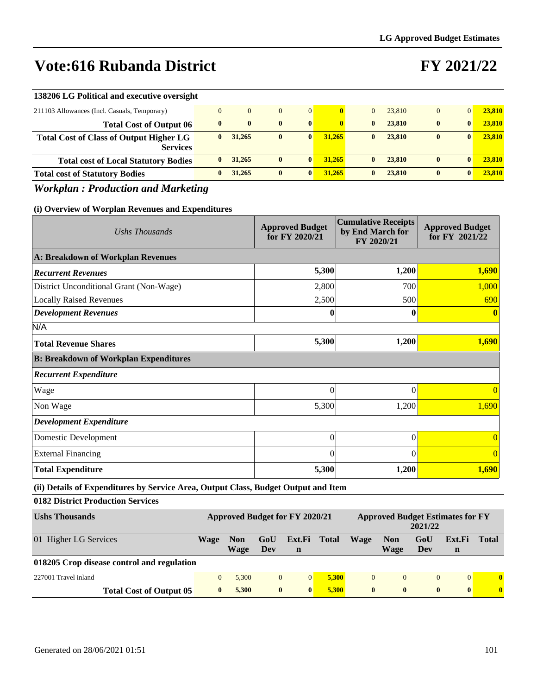## **FY 2021/22**

| 138206 LG Political and executive oversight                       |              |                |              |                 |        |              |        |          |              |        |
|-------------------------------------------------------------------|--------------|----------------|--------------|-----------------|--------|--------------|--------|----------|--------------|--------|
| 211103 Allowances (Incl. Casuals, Temporary)                      |              | $\overline{0}$ | $\Omega$     | $\vert 0 \vert$ |        |              | 23,810 |          | $\Omega$     | 23,810 |
| <b>Total Cost of Output 06</b>                                    | $\mathbf{0}$ | $\mathbf{0}$   | $\mathbf{0}$ | $\mathbf{0}$    |        | $\mathbf{0}$ | 23,810 | 0        | $\mathbf{0}$ | 23,810 |
| <b>Total Cost of Class of Output Higher LG</b><br><b>Services</b> |              | 31,265         | $\bf{0}$     | $\mathbf{0}$    | 31,265 | 0            | 23,810 | $\bf{0}$ | $\mathbf{0}$ | 23,810 |
| <b>Total cost of Local Statutory Bodies</b>                       |              | 31,265         | $\bf{0}$     | $\mathbf{0}$    | 31,265 | 0            | 23,810 | $\bf{0}$ | $\mathbf{0}$ | 23,810 |
| <b>Total cost of Statutory Bodies</b>                             |              | 31,265         | $\bf{0}$     | 0               | 31,265 | 0            | 23,810 | $\bf{0}$ | $\mathbf{0}$ | 23,810 |

### *Workplan : Production and Marketing*

#### **(i) Overview of Worplan Revenues and Expenditures**

| Ushs Thousands                               | <b>Approved Budget</b><br>for FY 2020/21 | <b>Cumulative Receipts</b><br>by End March for<br>FY 2020/21 | <b>Approved Budget</b><br>for FY 2021/22 |
|----------------------------------------------|------------------------------------------|--------------------------------------------------------------|------------------------------------------|
| A: Breakdown of Workplan Revenues            |                                          |                                                              |                                          |
| <b>Recurrent Revenues</b>                    | 5,300                                    | 1,200                                                        | 1,690                                    |
| District Unconditional Grant (Non-Wage)      | 2,800                                    | 700                                                          | 1,000                                    |
| <b>Locally Raised Revenues</b>               | 2,500                                    | 500                                                          | 690                                      |
| <b>Development Revenues</b>                  | 0                                        | 0                                                            |                                          |
| N/A                                          |                                          |                                                              |                                          |
| <b>Total Revenue Shares</b>                  | 5,300                                    | 1,200                                                        | 1,690                                    |
| <b>B: Breakdown of Workplan Expenditures</b> |                                          |                                                              |                                          |
| <b>Recurrent Expenditure</b>                 |                                          |                                                              |                                          |
| Wage                                         | $\theta$                                 | $\theta$                                                     |                                          |
| Non Wage                                     | 5,300                                    | 1,200                                                        | 1,690                                    |
| <b>Development Expenditure</b>               |                                          |                                                              |                                          |
| Domestic Development                         | $\Omega$                                 | $\theta$                                                     |                                          |
| <b>External Financing</b>                    | $\Omega$                                 | $\theta$                                                     |                                          |
| <b>Total Expenditure</b>                     | 5,300                                    | 1,200                                                        | 1,690                                    |

**(ii) Details of Expenditures by Service Area, Output Class, Budget Output and Item**

**0182 District Production Services**

| <b>Ushs Thousands</b>                      | Approved Budget for FY 2020/21 |                    |              |              | <b>Approved Budget Estimates for FY</b><br>2021/22 |              |                    |                |              |              |
|--------------------------------------------|--------------------------------|--------------------|--------------|--------------|----------------------------------------------------|--------------|--------------------|----------------|--------------|--------------|
| 01 Higher LG Services                      | Wage                           | <b>Non</b><br>Wage | GoU<br>Dev   | Ext.Fi<br>n  | <b>Total</b>                                       | Wage         | <b>Non</b><br>Wage | GoU<br>Dev     | Ext.Fi<br>n  | <b>Total</b> |
| 018205 Crop disease control and regulation |                                |                    |              |              |                                                    |              |                    |                |              |              |
| 227001 Travel inland                       | $\Omega$                       | 5.300              | $\mathbf{0}$ | $\Omega$     | 5.300                                              | $\Omega$     | $\Omega$           | $\overline{0}$ | $\Omega$     | $\mathbf{0}$ |
| <b>Total Cost of Output 05</b>             | $\mathbf{0}$                   | 5.300              | $\bf{0}$     | $\mathbf{0}$ | 5.300                                              | $\mathbf{0}$ | $\mathbf{0}$       | $\bf{0}$       | $\mathbf{0}$ | $\bf{0}$     |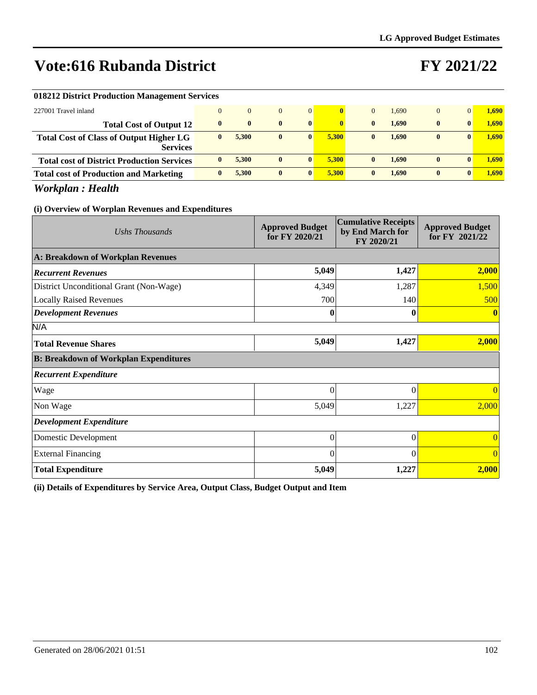# **FY 2021/22**

| 018212 District Production Management Services    |              |              |              |              |       |              |       |              |              |       |
|---------------------------------------------------|--------------|--------------|--------------|--------------|-------|--------------|-------|--------------|--------------|-------|
| 227001 Travel inland                              | $\Omega$     | $\mathbf{0}$ | $\mathbf{0}$ | $\Omega$     |       | $\Omega$     | 1.690 | $\mathbf{0}$ | $\Omega$     | 1.690 |
| <b>Total Cost of Output 12</b>                    | $\mathbf{0}$ | $\mathbf{0}$ | $\mathbf{0}$ | $\mathbf{0}$ |       | $\mathbf{0}$ | 1.690 | $\bf{0}$     | 0            | 1.690 |
| <b>Total Cost of Class of Output Higher LG</b>    | $\mathbf{0}$ | 5.300        | $\bf{0}$     | $\mathbf{0}$ | 5.300 | $\mathbf{0}$ | 1.690 | $\bf{0}$     | 0            | 1.690 |
| <b>Services</b>                                   |              |              |              |              |       |              |       |              |              |       |
| <b>Total cost of District Production Services</b> | $\mathbf{0}$ | 5.300        | $\mathbf{0}$ | $\mathbf{0}$ | 5.300 | $\mathbf{0}$ | 1.690 | $\bf{0}$     | 0            | 1.690 |
| <b>Total cost of Production and Marketing</b>     | $\mathbf{0}$ | 5.300        | $\mathbf{0}$ | $\mathbf{0}$ | 5.300 | $\mathbf{0}$ | 1.690 | $\bf{0}$     | $\mathbf{0}$ | 1.690 |

*Workplan : Health*

#### **(i) Overview of Worplan Revenues and Expenditures**

| Ushs Thousands                               | <b>Approved Budget</b><br>for FY 2020/21 | <b>Cumulative Receipts</b><br>by End March for<br>FY 2020/21 | <b>Approved Budget</b><br>for FY 2021/22 |
|----------------------------------------------|------------------------------------------|--------------------------------------------------------------|------------------------------------------|
| A: Breakdown of Workplan Revenues            |                                          |                                                              |                                          |
| <b>Recurrent Revenues</b>                    | 5,049                                    | 1,427                                                        | 2,000                                    |
| District Unconditional Grant (Non-Wage)      | 4,349                                    | 1,287                                                        | 1,500                                    |
| <b>Locally Raised Revenues</b>               | 700                                      | 140                                                          | 500                                      |
| <b>Development Revenues</b>                  | 0                                        | 0                                                            |                                          |
| N/A                                          |                                          |                                                              |                                          |
| <b>Total Revenue Shares</b>                  | 5,049                                    | 1,427                                                        | 2,000                                    |
| <b>B: Breakdown of Workplan Expenditures</b> |                                          |                                                              |                                          |
| <b>Recurrent Expenditure</b>                 |                                          |                                                              |                                          |
| Wage                                         | 0                                        | $\Omega$                                                     | $\Omega$                                 |
| Non Wage                                     | 5,049                                    | 1,227                                                        | 2,000                                    |
| <b>Development Expenditure</b>               |                                          |                                                              |                                          |
| Domestic Development                         | 0                                        | $\Omega$                                                     |                                          |
| <b>External Financing</b>                    | 0                                        | $\Omega$                                                     | $\Omega$                                 |
| <b>Total Expenditure</b>                     | 5,049                                    | 1,227                                                        | 2,000                                    |

**(ii) Details of Expenditures by Service Area, Output Class, Budget Output and Item**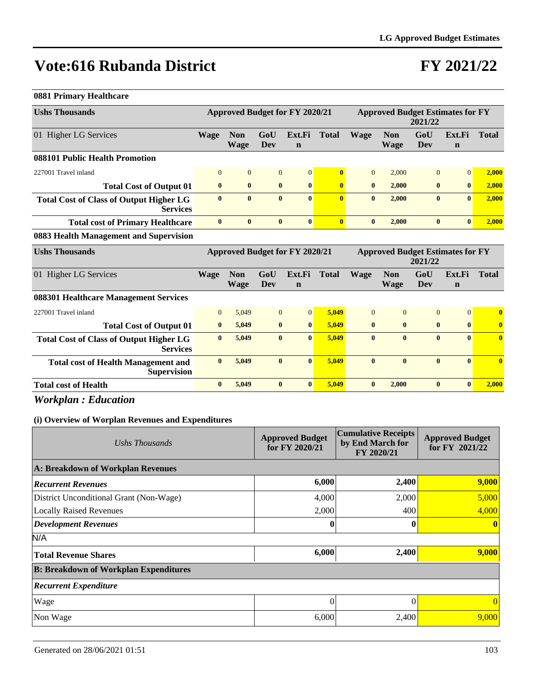## **FY 2021/22**

#### **0881 Primary Healthcare**

| <b>Ushs Thousands</b>                                             | Approved Budget for FY 2020/21 |                           |              |                       |              | <b>Approved Budget Estimates for FY</b><br>2021/22 |                    |                |                       |              |
|-------------------------------------------------------------------|--------------------------------|---------------------------|--------------|-----------------------|--------------|----------------------------------------------------|--------------------|----------------|-----------------------|--------------|
| 01 Higher LG Services                                             | Wage                           | <b>Non</b><br><b>Wage</b> | GoU<br>Dev   | Ext.Fi<br>$\mathbf n$ | <b>Total</b> | Wage                                               | <b>Non</b><br>Wage | GoU<br>Dev     | Ext.Fi<br>$\mathbf n$ | <b>Total</b> |
| 088101 Public Health Promotion                                    |                                |                           |              |                       |              |                                                    |                    |                |                       |              |
| 227001 Travel inland                                              | $\Omega$                       | $\overline{0}$            | $\mathbf{0}$ | $\vert 0 \vert$       | $\mathbf{0}$ | $\overline{0}$                                     | 2.000              | $\overline{0}$ | $\overline{0}$        | 2,000        |
| <b>Total Cost of Output 01</b>                                    | $\mathbf{0}$                   | $\bf{0}$                  | $\bf{0}$     | $\mathbf{0}$          | $\mathbf{0}$ | $\bf{0}$                                           | 2.000              | $\bf{0}$       | $\mathbf{0}$          | 2,000        |
| <b>Total Cost of Class of Output Higher LG</b><br><b>Services</b> | $\mathbf{0}$                   | $\mathbf{0}$              | $\mathbf{0}$ | $\vert 0 \vert$       | $\mathbf{0}$ | $\bf{0}$                                           | 2,000              | $\bf{0}$       | $\mathbf{0}$          | 2,000        |
| <b>Total cost of Primary Healthcare</b>                           | $\mathbf{0}$                   | $\mathbf{0}$              | $\mathbf{0}$ | $\mathbf{0}$          | $\mathbf{0}$ | $\mathbf{0}$                                       | 2.000              | $\mathbf{0}$   | $\mathbf{0}$          | 2.000        |
| 0002 Health Managangant and Cunguriates                           |                                |                           |              |                       |              |                                                    |                    |                |                       |              |

#### **0883 Health Management and Supervision**

| <b>Ushs Thousands</b>                                             | Approved Budget for FY 2020/21 |                           |                |                       |              | <b>Approved Budget Estimates for FY</b><br>2021/22 |                    |                |                       |              |
|-------------------------------------------------------------------|--------------------------------|---------------------------|----------------|-----------------------|--------------|----------------------------------------------------|--------------------|----------------|-----------------------|--------------|
| 01 Higher LG Services                                             | Wage                           | <b>Non</b><br><b>Wage</b> | GoU<br>Dev     | Ext.Fi<br>$\mathbf n$ | <b>Total</b> | <b>Wage</b>                                        | <b>Non</b><br>Wage | GoU<br>Dev     | Ext.Fi<br>$\mathbf n$ | <b>Total</b> |
| 088301 Healthcare Management Services                             |                                |                           |                |                       |              |                                                    |                    |                |                       |              |
| 227001 Travel inland                                              | $\mathbf{0}$                   | 5,049                     | $\overline{0}$ | $\vert 0 \vert$       | 5,049        | $\theta$                                           | $\theta$           | $\overline{0}$ | $\Omega$              | $\mathbf{0}$ |
| <b>Total Cost of Output 01</b>                                    | $\bf{0}$                       | 5,049                     | $\bf{0}$       | $\mathbf{0}$          | 5.049        | $\mathbf{0}$                                       | $\mathbf{0}$       | $\bf{0}$       | $\mathbf{0}$          | $\mathbf{0}$ |
| <b>Total Cost of Class of Output Higher LG</b><br><b>Services</b> | $\bf{0}$                       | 5,049                     | $\bf{0}$       | $\mathbf{0}$          | 5.049        | $\mathbf{0}$                                       | $\mathbf{0}$       | $\bf{0}$       | $\mathbf{0}$          | $\mathbf{0}$ |
| <b>Total cost of Health Management and</b><br><b>Supervision</b>  | $\bf{0}$                       | 5,049                     | $\bf{0}$       | $\mathbf{0}$          | 5.049        | $\mathbf{0}$                                       | $\mathbf{0}$       | $\bf{0}$       | $\mathbf{0}$          | $\mathbf{0}$ |
| <b>Total cost of Health</b>                                       | $\bf{0}$                       | 5,049                     | $\bf{0}$       | $\bf{0}$              | 5,049        | $\bf{0}$                                           | 2,000              | $\bf{0}$       | $\bf{0}$              | 2,000        |

### *Workplan : Education*

| Ushs Thousands                               | <b>Approved Budget</b><br>for FY 2020/21 | <b>Cumulative Receipts</b><br>by End March for<br>FY 2020/21 | <b>Approved Budget</b><br>for FY 2021/22 |
|----------------------------------------------|------------------------------------------|--------------------------------------------------------------|------------------------------------------|
| A: Breakdown of Workplan Revenues            |                                          |                                                              |                                          |
| <b>Recurrent Revenues</b>                    | 6,000                                    | 2,400                                                        | 9,000                                    |
| District Unconditional Grant (Non-Wage)      | 4,000                                    | 2,000                                                        | 5,000                                    |
| <b>Locally Raised Revenues</b>               | 2,000                                    | 400                                                          | 4,000                                    |
| <b>Development Revenues</b>                  | 0                                        |                                                              | $\mathbf{0}$                             |
| N/A                                          |                                          |                                                              |                                          |
| <b>Total Revenue Shares</b>                  | 6,000                                    | 2,400                                                        | 9,000                                    |
| <b>B: Breakdown of Workplan Expenditures</b> |                                          |                                                              |                                          |
| <b>Recurrent Expenditure</b>                 |                                          |                                                              |                                          |
| Wage                                         | 0                                        |                                                              | $\theta$                                 |
| Non Wage                                     | 6,000                                    | 2,400                                                        | 9,000                                    |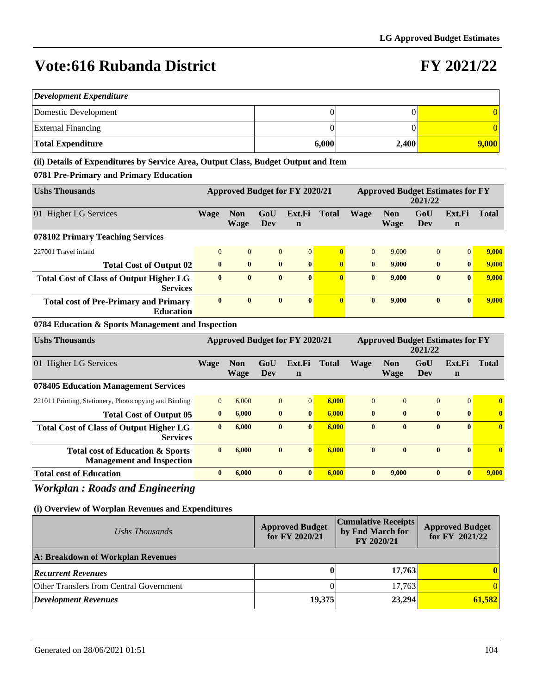### **FY 2021/22**

| <b>Development Expenditure</b> |       |       |       |  |  |  |  |  |  |  |
|--------------------------------|-------|-------|-------|--|--|--|--|--|--|--|
| Domestic Development           |       |       |       |  |  |  |  |  |  |  |
| <b>External Financing</b>      |       |       |       |  |  |  |  |  |  |  |
| Total Expenditure              | 6,000 | 2,400 | 9,000 |  |  |  |  |  |  |  |

#### **(ii) Details of Expenditures by Service Area, Output Class, Budget Output and Item**

#### **0781 Pre-Primary and Primary Education**

| <b>Ushs Thousands</b>                                             | Approved Budget for FY 2020/21 |                           |              |                       |              | <b>Approved Budget Estimates for FY</b><br>2021/22 |                           |                |                       |              |
|-------------------------------------------------------------------|--------------------------------|---------------------------|--------------|-----------------------|--------------|----------------------------------------------------|---------------------------|----------------|-----------------------|--------------|
| 01 Higher LG Services                                             | <b>Wage</b>                    | <b>Non</b><br><b>Wage</b> | GoU<br>Dev   | Ext.Fi<br>$\mathbf n$ | <b>Total</b> | <b>Wage</b>                                        | <b>Non</b><br><b>Wage</b> | GoU<br>Dev     | Ext.Fi<br>$\mathbf n$ | <b>Total</b> |
| 078102 Primary Teaching Services                                  |                                |                           |              |                       |              |                                                    |                           |                |                       |              |
| 227001 Travel inland                                              | $\Omega$                       | $\overline{0}$            | $\mathbf{0}$ | $\overline{0}$        | $\mathbf{0}$ | $\Omega$                                           | 9.000                     | $\overline{0}$ | $\Omega$              | 9,000        |
| <b>Total Cost of Output 02</b>                                    | $\mathbf{0}$                   | $\mathbf{0}$              | $\mathbf{0}$ | $\mathbf{0}$          | $\mathbf{0}$ | $\mathbf{0}$                                       | 9.000                     | $\bf{0}$       | $\mathbf{0}$          | 9.000        |
| <b>Total Cost of Class of Output Higher LG</b><br><b>Services</b> | $\bf{0}$                       | $\mathbf{0}$              | $\mathbf{0}$ | $\mathbf{0}$          | $\mathbf{0}$ | $\mathbf{0}$                                       | 9,000                     | $\bf{0}$       | $\mathbf{0}$          | 9,000        |
| <b>Total cost of Pre-Primary and Primary</b><br><b>Education</b>  | $\bf{0}$                       | $\mathbf{0}$              | $\bf{0}$     | $\mathbf{0}$          | $\mathbf{0}$ | $\mathbf{0}$                                       | 9.000                     | $\bf{0}$       | $\mathbf{0}$          | 9.000        |

#### **0784 Education & Sports Management and Inspection**

| <b>Ushs Thousands</b>                                                | Approved Budget for FY 2020/21 |                    |                |                       |              | <b>Approved Budget Estimates for FY</b><br>2021/22 |                           |              |                       |              |
|----------------------------------------------------------------------|--------------------------------|--------------------|----------------|-----------------------|--------------|----------------------------------------------------|---------------------------|--------------|-----------------------|--------------|
| 01 Higher LG Services                                                | Wage                           | <b>Non</b><br>Wage | GoU<br>Dev     | Ext.Fi<br>$\mathbf n$ | <b>Total</b> | <b>Wage</b>                                        | <b>Non</b><br><b>Wage</b> | GoU<br>Dev   | Ext.Fi<br>$\mathbf n$ | <b>Total</b> |
| 078405 Education Management Services                                 |                                |                    |                |                       |              |                                                    |                           |              |                       |              |
| 221011 Printing, Stationery, Photocopying and Binding                | $\mathbf{0}$                   | 6,000              | $\overline{0}$ | $\Omega$              | 6.000        | $\Omega$                                           | $\Omega$                  | $\mathbf{0}$ | $\overline{0}$        | $\mathbf{0}$ |
| <b>Total Cost of Output 05</b>                                       | $\bf{0}$                       | 6,000              | $\bf{0}$       | $\mathbf{0}$          | 6.000        | $\mathbf{0}$                                       | $\mathbf{0}$              | $\bf{0}$     | $\mathbf{0}$          | $\mathbf{0}$ |
| <b>Total Cost of Class of Output Higher LG</b><br><b>Services</b>    | $\bf{0}$                       | 6.000              | $\bf{0}$       | $\mathbf{0}$          | 6.000        | $\mathbf{0}$                                       | $\bf{0}$                  | $\bf{0}$     | $\mathbf{0}$          | $\mathbf{0}$ |
| Total cost of Education & Sports<br><b>Management and Inspection</b> | $\mathbf{0}$                   | 6.000              | $\mathbf{0}$   | $\mathbf{0}$          | 6.000        | $\mathbf{0}$                                       | $\mathbf{0}$              | $\mathbf{0}$ | $\mathbf{0}$          | $\mathbf{0}$ |
| <b>Total cost of Education</b>                                       | $\bf{0}$                       | 6.000              | $\mathbf{0}$   | $\mathbf{0}$          | 6.000        | $\mathbf{0}$                                       | 9,000                     | $\bf{0}$     | $\mathbf{0}$          | 9,000        |

### *Workplan : Roads and Engineering*

| Ushs Thousands                          | <b>Approved Budget</b><br>for FY 2020/21 | <b>Cumulative Receipts</b><br>by End March for<br>FY 2020/21 | <b>Approved Budget</b><br>for FY 2021/22 |  |  |
|-----------------------------------------|------------------------------------------|--------------------------------------------------------------|------------------------------------------|--|--|
| A: Breakdown of Workplan Revenues       |                                          |                                                              |                                          |  |  |
| <b>Recurrent Revenues</b>               |                                          | 17,763                                                       | $\mathbf{0}$                             |  |  |
| Other Transfers from Central Government |                                          | 17.763                                                       |                                          |  |  |
| <b>Development Revenues</b>             | 19,375                                   | 23,294                                                       | 61,582                                   |  |  |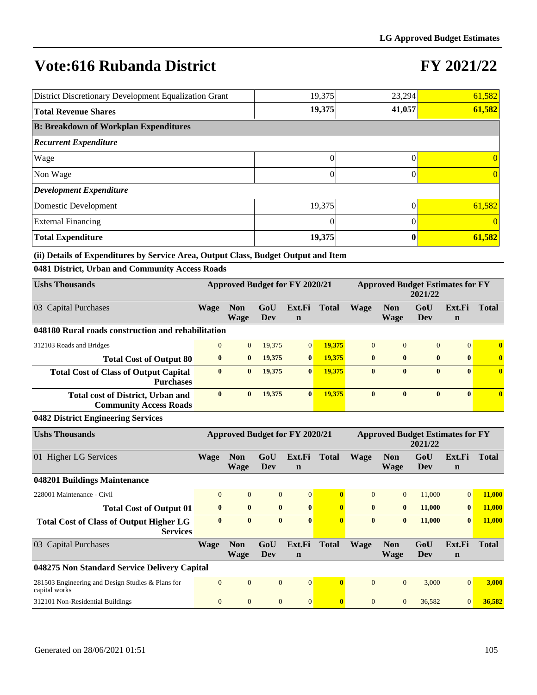## **FY 2021/22**

| District Discretionary Development Equalization Grant | 19,375 | 23,294 | 61,582   |
|-------------------------------------------------------|--------|--------|----------|
| <b>Total Revenue Shares</b>                           | 19,375 | 41,057 | 61,582   |
| <b>B: Breakdown of Workplan Expenditures</b>          |        |        |          |
| <b>Recurrent Expenditure</b>                          |        |        |          |
| Wage                                                  | 0      |        |          |
| Non Wage                                              | 0      |        | $\Omega$ |
| <b>Development Expenditure</b>                        |        |        |          |
| Domestic Development                                  | 19,375 |        | 61,582   |
| <b>External Financing</b>                             | 0      |        |          |
| <b>Total Expenditure</b>                              | 19,375 | 0      | 61,582   |

**(ii) Details of Expenditures by Service Area, Output Class, Budget Output and Item**

**0481 District, Urban and Community Access Roads**

| <b>Ushs Thousands</b>                                                     | Approved Budget for FY 2020/21 |                    |            |                       |        | <b>Approved Budget Estimates for FY</b><br>2021/22 |                           |                |                       |                         |
|---------------------------------------------------------------------------|--------------------------------|--------------------|------------|-----------------------|--------|----------------------------------------------------|---------------------------|----------------|-----------------------|-------------------------|
| 03 Capital Purchases                                                      | <b>Wage</b>                    | <b>Non</b><br>Wage | GoU<br>Dev | Ext.Fi<br>$\mathbf n$ | Total  | <b>Wage</b>                                        | <b>Non</b><br><b>Wage</b> | GoU<br>Dev     | Ext.Fi<br>$\mathbf n$ | <b>Total</b>            |
| 048180 Rural roads construction and rehabilitation                        |                                |                    |            |                       |        |                                                    |                           |                |                       |                         |
| 312103 Roads and Bridges                                                  | $\mathbf{0}$                   | $\overline{0}$     | 19.375     | $\overline{0}$        | 19.375 | $\mathbf{0}$                                       | $\Omega$                  | $\overline{0}$ | $\overline{0}$        | $\mathbf{0}$            |
| <b>Total Cost of Output 80</b>                                            | $\mathbf{0}$                   | $\mathbf{0}$       | 19,375     | $\bf{0}$              | 19.375 | $\mathbf{0}$                                       | $\mathbf{0}$              | $\bf{0}$       | $\mathbf{0}$          | $\overline{\mathbf{0}}$ |
| <b>Total Cost of Class of Output Capital</b><br><b>Purchases</b>          | $\bf{0}$                       | $\bf{0}$           | 19,375     | $\bf{0}$              | 19,375 | $\bf{0}$                                           | $\mathbf{0}$              | $\bf{0}$       | $\mathbf{0}$          | $\mathbf{0}$            |
| <b>Total cost of District, Urban and</b><br><b>Community Access Roads</b> | $\mathbf{0}$                   | $\mathbf{0}$       | 19,375     | $\mathbf{0}$          | 19.375 | $\mathbf{0}$                                       | $\mathbf{0}$              | $\mathbf{0}$   | $\mathbf{0}$          | $\mathbf{0}$            |

#### **0482 District Engineering Services**

| <b>Ushs Thousands</b>                                              | Approved Budget for FY 2020/21 |                           |                |                       | <b>Approved Budget Estimates for FY</b><br>2021/22 |                |                           |            |                       |        |
|--------------------------------------------------------------------|--------------------------------|---------------------------|----------------|-----------------------|----------------------------------------------------|----------------|---------------------------|------------|-----------------------|--------|
| 01 Higher LG Services                                              | Wage                           | <b>Non</b><br><b>Wage</b> | GoU<br>Dev     | Ext.Fi<br>$\mathbf n$ | <b>Total</b>                                       | <b>Wage</b>    | Non<br><b>Wage</b>        | GoU<br>Dev | Ext.Fi<br>$\mathbf n$ | Total  |
| 048201 Buildings Maintenance                                       |                                |                           |                |                       |                                                    |                |                           |            |                       |        |
| 228001 Maintenance - Civil                                         | $\overline{0}$                 | $\overline{0}$            | $\overline{0}$ | $\overline{0}$        | $\mathbf{0}$                                       | $\Omega$       | $\overline{0}$            | 11,000     | $\overline{0}$        | 11,000 |
| <b>Total Cost of Output 01</b>                                     | $\bf{0}$                       | $\bf{0}$                  | $\bf{0}$       | $\bf{0}$              | $\mathbf{0}$                                       | $\mathbf{0}$   | $\bf{0}$                  | 11,000     | $\bf{0}$              | 11,000 |
| <b>Total Cost of Class of Output Higher LG</b><br><b>Services</b>  | $\bf{0}$                       | $\mathbf{0}$              | $\bf{0}$       | $\mathbf{0}$          | $\mathbf{0}$                                       | $\mathbf{0}$   | $\bf{0}$                  | 11,000     | $\bf{0}$              | 11,000 |
| 03 Capital Purchases                                               | <b>Wage</b>                    | <b>Non</b><br><b>Wage</b> | GoU<br>Dev     | Ext.Fi<br>$\mathbf n$ | <b>Total</b>                                       | <b>Wage</b>    | <b>Non</b><br><b>Wage</b> | GoU<br>Dev | Ext.Fi<br>$\mathbf n$ | Total  |
| 048275 Non Standard Service Delivery Capital                       |                                |                           |                |                       |                                                    |                |                           |            |                       |        |
| 281503 Engineering and Design Studies & Plans for<br>capital works | $\overline{0}$                 | $\mathbf{0}$              | $\overline{0}$ | $\Omega$              | $\mathbf{0}$                                       | $\Omega$       | $\overline{0}$            | 3,000      | $\Omega$              | 3,000  |
| 312101 Non-Residential Buildings                                   | $\mathbf{0}$                   | $\overline{0}$            | $\mathbf{0}$   | $\overline{0}$        | $\mathbf{0}$                                       | $\overline{0}$ | $\overline{0}$            | 36,582     | $\overline{0}$        | 36,582 |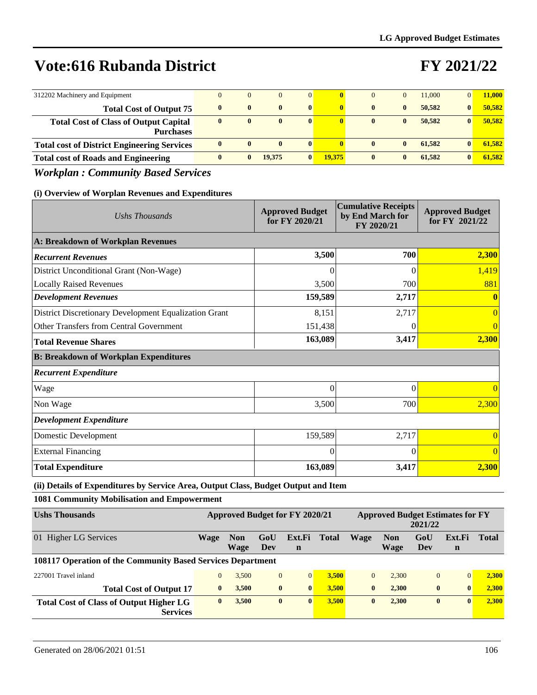# **FY 2021/22**

| 312202 Machinery and Equipment                                   | $\Omega$     | $\mathbf{0}$ |              | $\overline{0}$ |        | $\Omega$     |              | 11,000 | $\overline{0}$ | 11,000 |
|------------------------------------------------------------------|--------------|--------------|--------------|----------------|--------|--------------|--------------|--------|----------------|--------|
| <b>Total Cost of Output 75</b>                                   | $\mathbf{0}$ | $\mathbf{0}$ | $\mathbf{0}$ | $\mathbf{0}$   |        | $\mathbf{0}$ | $\mathbf{0}$ | 50.582 | $\mathbf{0}$   | 50.582 |
| <b>Total Cost of Class of Output Capital</b><br><b>Purchases</b> | $\mathbf{0}$ | $\bf{0}$     | $\mathbf{0}$ | $\bf{0}$       |        | $\mathbf{0}$ | $\mathbf{0}$ | 50.582 | $\mathbf{0}$   | 50.582 |
| <b>Total cost of District Engineering Services</b>               | $\mathbf{0}$ | $\mathbf{0}$ | $\mathbf{0}$ | $\mathbf{0}$   |        | $\mathbf{0}$ | $\mathbf{0}$ | 61.582 | $\mathbf{0}$   | 61.582 |
| <b>Total cost of Roads and Engineering</b>                       | $\mathbf{0}$ | $\mathbf{0}$ | 19.375       | $\mathbf{0}$   | 19.375 | $\mathbf{0}$ | $\mathbf{0}$ | 61.582 | $\mathbf{0}$   | 61.582 |

### *Workplan : Community Based Services*

#### **(i) Overview of Worplan Revenues and Expenditures**

| Ushs Thousands                                        | <b>Approved Budget</b><br>for FY 2020/21 | <b>Cumulative Receipts</b><br>by End March for<br>FY 2020/21 | <b>Approved Budget</b><br>for FY 2021/22 |
|-------------------------------------------------------|------------------------------------------|--------------------------------------------------------------|------------------------------------------|
| A: Breakdown of Workplan Revenues                     |                                          |                                                              |                                          |
| <b>Recurrent Revenues</b>                             | 3,500                                    | 700                                                          | 2,300                                    |
| District Unconditional Grant (Non-Wage)               | 0                                        | $\Omega$                                                     | 1,419                                    |
| <b>Locally Raised Revenues</b>                        | 3,500                                    | 700                                                          | 881                                      |
| <b>Development Revenues</b>                           | 159,589                                  | 2,717                                                        |                                          |
| District Discretionary Development Equalization Grant | 8,151                                    | 2,717                                                        | $\Omega$                                 |
| Other Transfers from Central Government               | 151,438                                  |                                                              |                                          |
| <b>Total Revenue Shares</b>                           | 163,089                                  | 3,417                                                        | 2,300                                    |
| <b>B: Breakdown of Workplan Expenditures</b>          |                                          |                                                              |                                          |
| <b>Recurrent Expenditure</b>                          |                                          |                                                              |                                          |
| Wage                                                  | $\theta$                                 | $\Omega$                                                     |                                          |
| Non Wage                                              | 3,500                                    | 700                                                          | 2,300                                    |
| <b>Development Expenditure</b>                        |                                          |                                                              |                                          |
| Domestic Development                                  | 159,589                                  | 2,717                                                        |                                          |
| <b>External Financing</b>                             | 0                                        | $\Omega$                                                     |                                          |
| <b>Total Expenditure</b>                              | 163,089                                  | 3,417                                                        | 2,300                                    |

**(ii) Details of Expenditures by Service Area, Output Class, Budget Output and Item**

**1081 Community Mobilisation and Empowerment**

| <b>Ushs Thousands</b>                                             | Approved Budget for FY 2020/21 |                    |              |                       | <b>Approved Budget Estimates for FY</b><br>2021/22 |              |                    |                |                       |              |
|-------------------------------------------------------------------|--------------------------------|--------------------|--------------|-----------------------|----------------------------------------------------|--------------|--------------------|----------------|-----------------------|--------------|
| 01 Higher LG Services                                             | Wage                           | <b>Non</b><br>Wage | GoU<br>Dev   | Ext.Fi<br>$\mathbf n$ | Total                                              | Wage         | <b>Non</b><br>Wage | GoU<br>Dev     | Ext.Fi<br>$\mathbf n$ | <b>Total</b> |
| 108117 Operation of the Community Based Services Department       |                                |                    |              |                       |                                                    |              |                    |                |                       |              |
| 227001 Travel inland                                              | $\mathbf{0}$                   | 3.500              | $\mathbf{0}$ | $\Omega$              | 3.500                                              | $\theta$     | 2.300              | $\overline{0}$ |                       | 2.300        |
| <b>Total Cost of Output 17</b>                                    | $\mathbf{0}$                   | 3.500              | $\bf{0}$     | $\mathbf{0}$          | 3.500                                              | $\bf{0}$     | 2.300              | $\bf{0}$       | $\mathbf{0}$          | 2,300        |
| <b>Total Cost of Class of Output Higher LG</b><br><b>Services</b> | $\mathbf{0}$                   | 3,500              | $\bf{0}$     | $\mathbf{0}$          | 3.500                                              | $\mathbf{0}$ | 2.300              | $\bf{0}$       | $\mathbf{0}$          | 2,300        |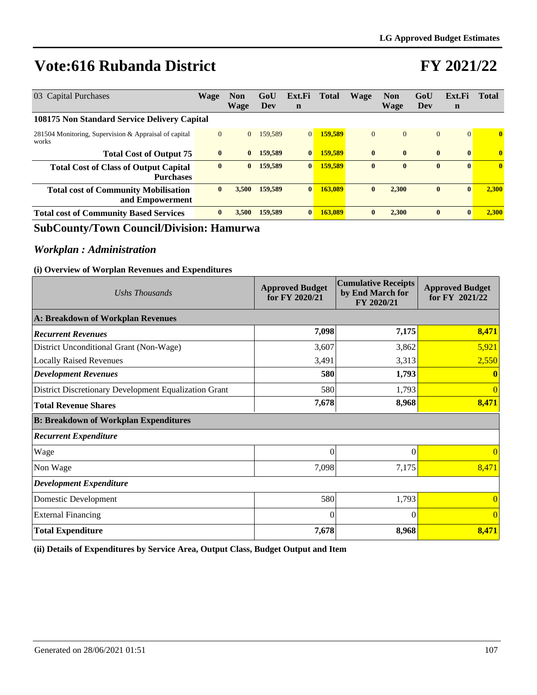### **FY 2021/22**

| 03 Capital Purchases                                             | <b>Wage</b>  | <b>Non</b><br>Wage | GoU<br>Dev | Ext.Fi<br>$\mathbf n$ | Total   | Wage         | <b>Non</b><br><b>Wage</b> | GoU<br>Dev   | Ext.Fi<br>$\mathbf n$ | <b>Total</b> |
|------------------------------------------------------------------|--------------|--------------------|------------|-----------------------|---------|--------------|---------------------------|--------------|-----------------------|--------------|
| 108175 Non Standard Service Delivery Capital                     |              |                    |            |                       |         |              |                           |              |                       |              |
| 281504 Monitoring, Supervision & Appraisal of capital<br>works   | $\mathbf{0}$ | $\overline{0}$     | 159,589    | 0 <sup>1</sup>        | 159,589 | $\mathbf{0}$ | $\mathbf{0}$              | $\mathbf{0}$ | $\vert 0 \vert$       | $\mathbf{0}$ |
| <b>Total Cost of Output 75</b>                                   | $\mathbf{0}$ | $\bf{0}$           | 159,589    | $\bf{0}$              | 159.589 | $\mathbf{0}$ | $\mathbf{0}$              | $\bf{0}$     | $\mathbf{0}$          | $\mathbf{0}$ |
| <b>Total Cost of Class of Output Capital</b><br><b>Purchases</b> | $\bf{0}$     | $\bf{0}$           | 159.589    | $\bf{0}$              | 159,589 | $\mathbf{0}$ | $\mathbf{0}$              | $\bf{0}$     | $\mathbf{0}$          | $\mathbf{0}$ |
| <b>Total cost of Community Mobilisation</b><br>and Empowerment   | $\bf{0}$     | 3.500              | 159.589    | $\bf{0}$              | 163,089 | $\bf{0}$     | 2.300                     | $\bf{0}$     | $\mathbf{0}$          | 2.300        |
| <b>Total cost of Community Based Services</b>                    | $\mathbf{0}$ | 3.500              | 159,589    | $\mathbf{0}$          | 163,089 | $\mathbf{0}$ | 2.300                     | $\bf{0}$     | $\mathbf{0}$          | 2.300        |

### **SubCounty/Town Council/Division: Hamurwa**

### *Workplan : Administration*

#### **(i) Overview of Worplan Revenues and Expenditures**

| Ushs Thousands                                        | <b>Approved Budget</b><br>for FY 2020/21 | <b>Cumulative Receipts</b><br>by End March for<br>FY 2020/21 | <b>Approved Budget</b><br>for FY 2021/22 |  |
|-------------------------------------------------------|------------------------------------------|--------------------------------------------------------------|------------------------------------------|--|
| A: Breakdown of Workplan Revenues                     |                                          |                                                              |                                          |  |
| <b>Recurrent Revenues</b>                             | 7,098                                    | 7,175                                                        | 8,471                                    |  |
| District Unconditional Grant (Non-Wage)               | 3,607                                    | 3,862                                                        | 5,921                                    |  |
| <b>Locally Raised Revenues</b>                        | 3,491                                    | 3,313                                                        | 2,550                                    |  |
| <b>Development Revenues</b>                           | 580                                      | 1,793                                                        |                                          |  |
| District Discretionary Development Equalization Grant | 580                                      | 1,793                                                        | $\Omega$                                 |  |
| <b>Total Revenue Shares</b>                           | 7,678                                    | 8,968                                                        | 8,471                                    |  |
| <b>B: Breakdown of Workplan Expenditures</b>          |                                          |                                                              |                                          |  |
| <b>Recurrent Expenditure</b>                          |                                          |                                                              |                                          |  |
| Wage                                                  | $\theta$                                 | $\Omega$                                                     | $\Omega$                                 |  |
| Non Wage                                              | 7,098                                    | 7,175                                                        | 8,471                                    |  |
| <b>Development Expenditure</b>                        |                                          |                                                              |                                          |  |
| Domestic Development                                  | 580                                      | 1,793                                                        | $\Omega$                                 |  |
| <b>External Financing</b>                             | $\theta$                                 | $\Omega$                                                     | $\Omega$                                 |  |
| <b>Total Expenditure</b>                              | 7,678                                    | 8,968                                                        | 8,471                                    |  |

**(ii) Details of Expenditures by Service Area, Output Class, Budget Output and Item**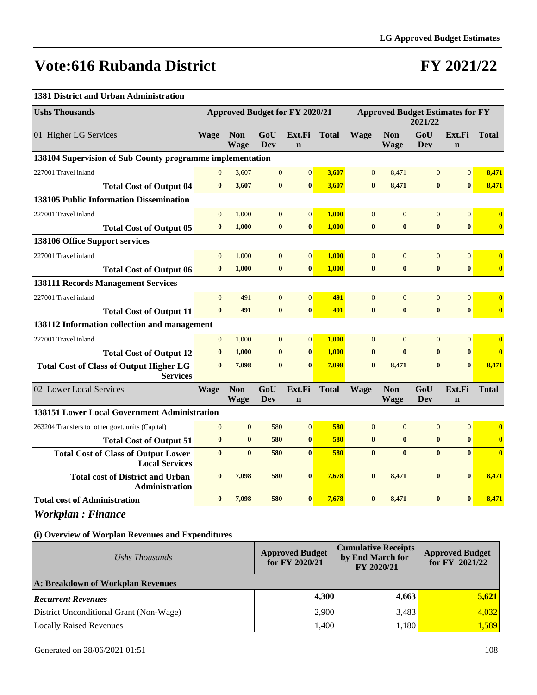### **FY 2021/22**

#### **1381 District and Urban Administration**

| <b>Ushs Thousands</b>                                               | <b>Approved Budget for FY 2020/21</b> |                           |                   |                       |              | <b>Approved Budget Estimates for FY</b><br>2021/22 |                           |                   |                       |                         |
|---------------------------------------------------------------------|---------------------------------------|---------------------------|-------------------|-----------------------|--------------|----------------------------------------------------|---------------------------|-------------------|-----------------------|-------------------------|
| 01 Higher LG Services                                               | <b>Wage</b>                           | <b>Non</b><br><b>Wage</b> | GoU<br><b>Dev</b> | Ext.Fi<br>$\mathbf n$ | <b>Total</b> | <b>Wage</b>                                        | <b>Non</b><br><b>Wage</b> | GoU<br><b>Dev</b> | Ext.Fi<br>$\mathbf n$ | <b>Total</b>            |
| 138104 Supervision of Sub County programme implementation           |                                       |                           |                   |                       |              |                                                    |                           |                   |                       |                         |
| 227001 Travel inland                                                | $\Omega$                              | 3,607                     | $\overline{0}$    | $\overline{0}$        | 3.607        | $\mathbf{0}$                                       | 8,471                     | $\mathbf{0}$      | $\overline{0}$        | 8.471                   |
| <b>Total Cost of Output 04</b>                                      | $\bf{0}$                              | 3,607                     | $\bf{0}$          | $\bf{0}$              | 3,607        | $\bf{0}$                                           | 8,471                     | $\bf{0}$          | $\bf{0}$              | 8,471                   |
| <b>138105 Public Information Dissemination</b>                      |                                       |                           |                   |                       |              |                                                    |                           |                   |                       |                         |
| 227001 Travel inland                                                | $\overline{0}$                        | 1.000                     | $\mathbf{0}$      | $\vert 0 \vert$       | 1.000        | $\overline{0}$                                     | $\Omega$                  | $\overline{0}$    | $\overline{0}$        | $\mathbf{0}$            |
| <b>Total Cost of Output 05</b>                                      | $\mathbf{0}$                          | 1,000                     | $\bf{0}$          | $\bf{0}$              | 1.000        | $\bf{0}$                                           | $\bf{0}$                  | $\bf{0}$          | $\mathbf{0}$          | $\mathbf{0}$            |
| 138106 Office Support services                                      |                                       |                           |                   |                       |              |                                                    |                           |                   |                       |                         |
| 227001 Travel inland                                                | $\Omega$                              | 1,000                     | $\mathbf{0}$      | $\mathbf{0}$          | 1,000        | $\mathbf{0}$                                       | $\Omega$                  | $\mathbf{0}$      | $\overline{0}$        | $\overline{\mathbf{0}}$ |
| <b>Total Cost of Output 06</b>                                      | $\mathbf{0}$                          | 1.000                     | $\bf{0}$          | $\bf{0}$              | 1.000        | $\bf{0}$                                           | $\bf{0}$                  | $\bf{0}$          | $\bf{0}$              | $\mathbf{0}$            |
| <b>138111 Records Management Services</b>                           |                                       |                           |                   |                       |              |                                                    |                           |                   |                       |                         |
| 227001 Travel inland                                                | $\Omega$                              | 491                       | $\mathbf{0}$      | $\overline{0}$        | 491          | $\overline{0}$                                     | $\overline{0}$            | $\mathbf{0}$      | $\mathbf{0}$          | $\bf{0}$                |
| <b>Total Cost of Output 11</b>                                      | $\mathbf{0}$                          | 491                       | $\bf{0}$          | $\bf{0}$              | 491          | $\bf{0}$                                           | $\bf{0}$                  | $\bf{0}$          | $\bf{0}$              | $\mathbf{0}$            |
| 138112 Information collection and management                        |                                       |                           |                   |                       |              |                                                    |                           |                   |                       |                         |
| 227001 Travel inland                                                | $\overline{0}$                        | 1,000                     | $\overline{0}$    | $\mathbf{0}$          | 1.000        | $\Omega$                                           | $\Omega$                  | $\overline{0}$    | $\overline{0}$        | $\bf{0}$                |
| <b>Total Cost of Output 12</b>                                      | $\bf{0}$                              | 1,000                     | $\bf{0}$          | $\bf{0}$              | 1.000        | $\bf{0}$                                           | $\bf{0}$                  | $\bf{0}$          | $\bf{0}$              | $\overline{\mathbf{0}}$ |
| <b>Total Cost of Class of Output Higher LG</b><br><b>Services</b>   | $\mathbf{0}$                          | 7,098                     | $\mathbf{0}$      | $\mathbf{0}$          | 7,098        | $\mathbf{0}$                                       | 8,471                     | $\bf{0}$          | $\mathbf{0}$          | 8,471                   |
| 02 Lower Local Services                                             | <b>Wage</b>                           | <b>Non</b><br><b>Wage</b> | GoU<br>Dev        | Ext.Fi<br>$\mathbf n$ | <b>Total</b> | <b>Wage</b>                                        | <b>Non</b><br><b>Wage</b> | GoU<br>Dev        | Ext.Fi<br>$\mathbf n$ | <b>Total</b>            |
| <b>138151 Lower Local Government Administration</b>                 |                                       |                           |                   |                       |              |                                                    |                           |                   |                       |                         |
| 263204 Transfers to other govt. units (Capital)                     | $\Omega$                              | $\overline{0}$            | 580               | $\mathbf{0}$          | 580          | $\overline{0}$                                     | $\overline{0}$            | $\mathbf{0}$      | $\overline{0}$        | $\mathbf{0}$            |
| <b>Total Cost of Output 51</b>                                      | $\bf{0}$                              | $\bf{0}$                  | 580               | $\bf{0}$              | 580          | $\bf{0}$                                           | $\bf{0}$                  | $\bf{0}$          | $\bf{0}$              | $\bf{0}$                |
| <b>Total Cost of Class of Output Lower</b><br><b>Local Services</b> | $\mathbf{0}$                          | $\mathbf{0}$              | 580               | $\mathbf{0}$          | 580          | $\mathbf{0}$                                       | $\mathbf{0}$              | $\mathbf{0}$      | $\mathbf{0}$          | $\mathbf{0}$            |
| <b>Total cost of District and Urban</b><br>Administration           | $\bf{0}$                              | 7,098                     | 580               | $\mathbf{0}$          | 7,678        | $\bf{0}$                                           | 8,471                     | $\bf{0}$          | $\bf{0}$              | 8,471                   |
| <b>Total cost of Administration</b>                                 | $\bf{0}$                              | 7,098                     | 580               | $\mathbf{0}$          | 7,678        | $\bf{0}$                                           | 8,471                     | $\bf{0}$          | $\mathbf{0}$          | 8,471                   |

*Workplan : Finance*

| Ushs Thousands                          | <b>Approved Budget</b><br>for FY 2020/21 | <b>Cumulative Receipts</b><br>by End March for<br>FY 2020/21 | <b>Approved Budget</b><br>for FY $2021/22$ |  |  |  |  |  |  |
|-----------------------------------------|------------------------------------------|--------------------------------------------------------------|--------------------------------------------|--|--|--|--|--|--|
| A: Breakdown of Workplan Revenues       |                                          |                                                              |                                            |  |  |  |  |  |  |
| <b>Recurrent Revenues</b>               | 4,300                                    | 4,663                                                        | 5,621                                      |  |  |  |  |  |  |
| District Unconditional Grant (Non-Wage) | 2,900                                    | 3,483                                                        | 4,032                                      |  |  |  |  |  |  |
| Locally Raised Revenues                 | 1,400                                    | 1,180                                                        | 1,589                                      |  |  |  |  |  |  |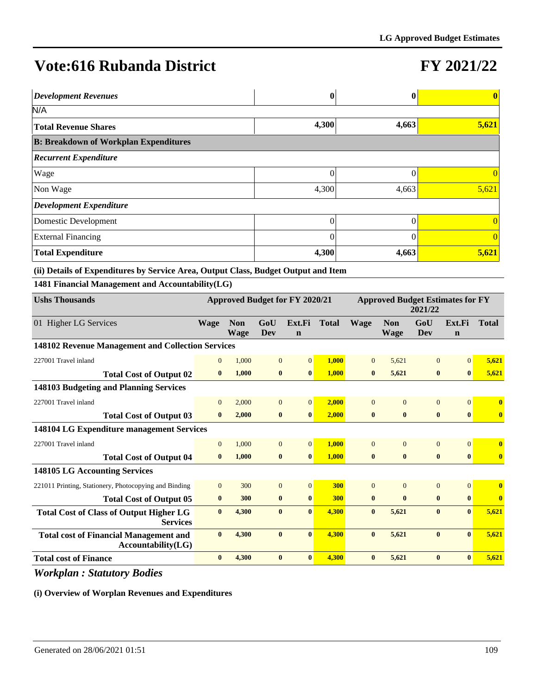# **FY 2021/22**

| <b>Development Revenues</b>                  |       | $\mathbf 0$ | $\bf{0}$ |  |  |  |  |  |  |  |
|----------------------------------------------|-------|-------------|----------|--|--|--|--|--|--|--|
| N/A                                          |       |             |          |  |  |  |  |  |  |  |
| <b>Total Revenue Shares</b>                  | 4,300 | 4,663       | 5,621    |  |  |  |  |  |  |  |
| <b>B: Breakdown of Workplan Expenditures</b> |       |             |          |  |  |  |  |  |  |  |
| <b>Recurrent Expenditure</b>                 |       |             |          |  |  |  |  |  |  |  |
| Wage                                         | 0     |             |          |  |  |  |  |  |  |  |
| Non Wage                                     | 4,300 | 4,663       | 5,621    |  |  |  |  |  |  |  |
| Development Expenditure                      |       |             |          |  |  |  |  |  |  |  |
| Domestic Development                         | 0     |             |          |  |  |  |  |  |  |  |
| <b>External Financing</b>                    | 0     |             | $\theta$ |  |  |  |  |  |  |  |
| <b>Total Expenditure</b>                     | 4,300 | 4,663       | 5,621    |  |  |  |  |  |  |  |

**(ii) Details of Expenditures by Service Area, Output Class, Budget Output and Item**

**1481 Financial Management and Accountability(LG)**

| <b>Ushs Thousands</b>                                               | Approved Budget for FY 2020/21 |                           |              |                       | <b>Approved Budget Estimates for FY</b><br>2021/22 |                |                    |                |                       |              |
|---------------------------------------------------------------------|--------------------------------|---------------------------|--------------|-----------------------|----------------------------------------------------|----------------|--------------------|----------------|-----------------------|--------------|
| 01 Higher LG Services                                               | <b>Wage</b>                    | <b>Non</b><br><b>Wage</b> | GoU<br>Dev   | Ext.Fi<br>$\mathbf n$ | <b>Total</b>                                       | <b>Wage</b>    | <b>Non</b><br>Wage | GoU<br>Dev     | Ext.Fi<br>$\mathbf n$ | <b>Total</b> |
| 148102 Revenue Management and Collection Services                   |                                |                           |              |                       |                                                    |                |                    |                |                       |              |
| 227001 Travel inland                                                | $\overline{0}$                 | 1,000                     | $\mathbf{0}$ | $\overline{0}$        | 1,000                                              | $\overline{0}$ | 5,621              | $\overline{0}$ | $\Omega$              | 5,621        |
| <b>Total Cost of Output 02</b>                                      | $\bf{0}$                       | 1,000                     | $\bf{0}$     | $\bf{0}$              | 1,000                                              | $\bf{0}$       | 5,621              | $\bf{0}$       | $\bf{0}$              | 5,621        |
| 148103 Budgeting and Planning Services                              |                                |                           |              |                       |                                                    |                |                    |                |                       |              |
| 227001 Travel inland                                                | $\mathbf{0}$                   | 2,000                     | $\mathbf{0}$ | $\overline{0}$        | 2,000                                              | $\mathbf{0}$   | $\overline{0}$     | $\overline{0}$ | $\Omega$              | $\bf{0}$     |
| <b>Total Cost of Output 03</b>                                      | $\bf{0}$                       | 2,000                     | $\bf{0}$     | $\bf{0}$              | 2,000                                              | $\bf{0}$       | $\bf{0}$           | $\bf{0}$       | $\bf{0}$              | $\bf{0}$     |
| 148104 LG Expenditure management Services                           |                                |                           |              |                       |                                                    |                |                    |                |                       |              |
| 227001 Travel inland                                                | $\Omega$                       | 1,000                     | $\mathbf{0}$ | $\overline{0}$        | 1,000                                              | $\Omega$       | $\Omega$           | $\overline{0}$ | $\Omega$              | $\mathbf{0}$ |
| <b>Total Cost of Output 04</b>                                      | $\mathbf{0}$                   | 1,000                     | $\bf{0}$     | $\bf{0}$              | 1,000                                              | $\bf{0}$       | $\bf{0}$           | $\bf{0}$       | $\bf{0}$              | $\bf{0}$     |
| <b>148105 LG Accounting Services</b>                                |                                |                           |              |                       |                                                    |                |                    |                |                       |              |
| 221011 Printing, Stationery, Photocopying and Binding               | $\Omega$                       | 300                       | $\Omega$     | $\overline{0}$        | 300                                                | $\Omega$       | $\Omega$           | $\Omega$       | $\Omega$              | $\mathbf{0}$ |
| <b>Total Cost of Output 05</b>                                      | $\bf{0}$                       | 300                       | $\bf{0}$     | $\bf{0}$              | 300                                                | $\bf{0}$       | $\mathbf{0}$       | $\bf{0}$       | $\mathbf{0}$          | $\mathbf{0}$ |
| <b>Total Cost of Class of Output Higher LG</b><br><b>Services</b>   | $\bf{0}$                       | 4,300                     | $\bf{0}$     | $\bf{0}$              | 4,300                                              | $\bf{0}$       | 5,621              | $\bf{0}$       | $\bf{0}$              | 5,621        |
| <b>Total cost of Financial Management and</b><br>Accountability(LG) | $\bf{0}$                       | 4,300                     | $\mathbf{0}$ | $\mathbf{0}$          | 4,300                                              | $\mathbf{0}$   | 5,621              | $\mathbf{0}$   | $\mathbf{0}$          | 5,621        |
| <b>Total cost of Finance</b>                                        | $\mathbf{0}$                   | 4,300                     | $\bf{0}$     | $\bf{0}$              | 4.300                                              | $\mathbf{0}$   | 5,621              | $\bf{0}$       | $\mathbf{0}$          | 5,621        |

*Workplan : Statutory Bodies*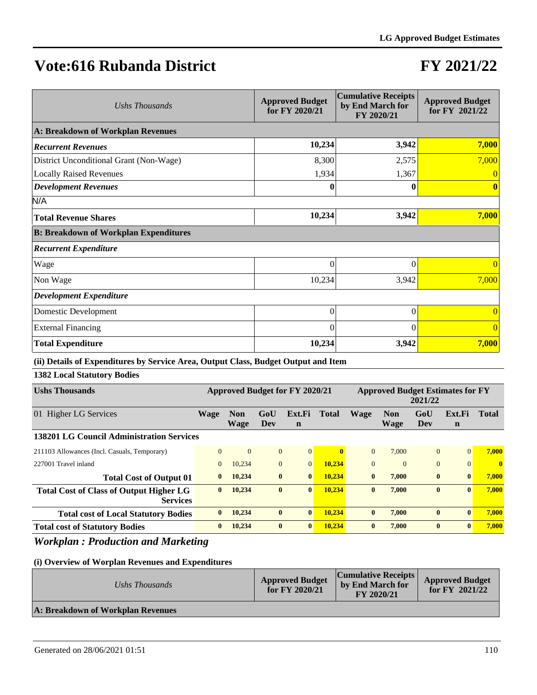# **FY 2021/22**

| Ushs Thousands                               | <b>Approved Budget</b><br>for FY 2020/21 | <b>Cumulative Receipts</b><br>by End March for<br>FY 2020/21 | <b>Approved Budget</b><br>for FY 2021/22 |
|----------------------------------------------|------------------------------------------|--------------------------------------------------------------|------------------------------------------|
| A: Breakdown of Workplan Revenues            |                                          |                                                              |                                          |
| <b>Recurrent Revenues</b>                    | 10,234                                   | 3,942                                                        | 7,000                                    |
| District Unconditional Grant (Non-Wage)      | 8,300                                    | 2,575                                                        | 7,000                                    |
| <b>Locally Raised Revenues</b>               | 1,934                                    | 1,367                                                        |                                          |
| <b>Development Revenues</b>                  | 0                                        |                                                              |                                          |
| N/A                                          |                                          |                                                              |                                          |
| <b>Total Revenue Shares</b>                  | 10,234                                   | 3,942                                                        | 7,000                                    |
| <b>B: Breakdown of Workplan Expenditures</b> |                                          |                                                              |                                          |
| <b>Recurrent Expenditure</b>                 |                                          |                                                              |                                          |
| Wage                                         | $\theta$                                 | $\theta$                                                     | $\Omega$                                 |
| Non Wage                                     | 10,234                                   | 3,942                                                        | 7,000                                    |
| <b>Development Expenditure</b>               |                                          |                                                              |                                          |
| Domestic Development                         | $\overline{0}$                           | $\theta$                                                     | $\theta$                                 |
| <b>External Financing</b>                    | $\theta$                                 | 0                                                            | $\Omega$                                 |
| <b>Total Expenditure</b>                     | 10,234                                   | 3,942                                                        | 7,000                                    |

### **(ii) Details of Expenditures by Service Area, Output Class, Budget Output and Item**

### **1382 Local Statutory Bodies**

| <b>Ushs Thousands</b>                                             | Approved Budget for FY 2020/21 |                    |                |                       | <b>Approved Budget Estimates for FY</b><br>2021/22 |              |                           |              |                       |              |
|-------------------------------------------------------------------|--------------------------------|--------------------|----------------|-----------------------|----------------------------------------------------|--------------|---------------------------|--------------|-----------------------|--------------|
| Higher LG Services<br>01                                          | Wage                           | <b>Non</b><br>Wage | GoU<br>Dev     | Ext.Fi<br>$\mathbf n$ | <b>Total</b>                                       | <b>Wage</b>  | <b>Non</b><br><b>Wage</b> | GoU<br>Dev   | Ext.Fi<br>$\mathbf n$ | <b>Total</b> |
| 138201 LG Council Administration Services                         |                                |                    |                |                       |                                                    |              |                           |              |                       |              |
| 211103 Allowances (Incl. Casuals, Temporary)                      | $\theta$                       | $\Omega$           | $\overline{0}$ | $\overline{0}$        | 0                                                  | $\Omega$     | 7.000                     | $\Omega$     | $\Omega$              | 7.000        |
| 227001 Travel inland                                              | $\mathbf{0}$                   | 10.234             | $\overline{0}$ | $\Omega$              | 10.234                                             | $\Omega$     | $\Omega$                  | $\mathbf{0}$ | $\Omega$              | $\mathbf{0}$ |
| <b>Total Cost of Output 01</b>                                    | $\mathbf{0}$                   | 10,234             | $\bf{0}$       | $\mathbf{0}$          | 10.234                                             | $\mathbf{0}$ | 7.000                     | $\bf{0}$     | $\mathbf{0}$          | 7.000        |
| <b>Total Cost of Class of Output Higher LG</b><br><b>Services</b> | $\mathbf{0}$                   | 10.234             | $\mathbf{0}$   | $\mathbf{0}$          | 10.234                                             | $\mathbf{0}$ | 7.000                     | $\bf{0}$     | $\mathbf{0}$          | 7.000        |
| <b>Total cost of Local Statutory Bodies</b>                       | $\mathbf{0}$                   | 10.234             | $\bf{0}$       | $\mathbf{0}$          | 10.234                                             | $\mathbf{0}$ | 7.000                     | $\bf{0}$     | $\mathbf{0}$          | 7.000        |
| <b>Total cost of Statutory Bodies</b>                             | $\mathbf{0}$                   | 10.234             | $\mathbf{0}$   | $\mathbf{0}$          | 10.234                                             | $\mathbf{0}$ | 7.000                     | $\mathbf{0}$ | $\mathbf{0}$          | 7.000        |

### *Workplan : Production and Marketing*

| Ushs Thousands                    | <b>Approved Budget</b><br>for $FY$ 2020/21 | <b>Cumulative Receipts</b><br>by End March for<br>FY 2020/21 | <b>Approved Budget</b><br>for FY $2021/22$ |
|-----------------------------------|--------------------------------------------|--------------------------------------------------------------|--------------------------------------------|
| A: Breakdown of Workplan Revenues |                                            |                                                              |                                            |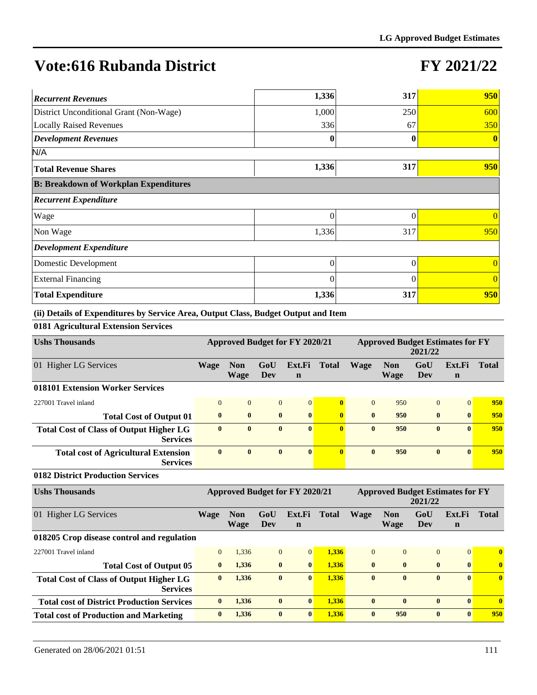### **FY 2021/22**

| <b>Recurrent Revenues</b>                    | 1,336    | 317      | 950            |
|----------------------------------------------|----------|----------|----------------|
| District Unconditional Grant (Non-Wage)      | 1,000    | 250      | 600            |
| <b>Locally Raised Revenues</b>               | 336      | 67       | 350            |
| <b>Development Revenues</b>                  | 0        | 0        | $\bf{0}$       |
| N/A                                          |          |          |                |
| <b>Total Revenue Shares</b>                  | 1,336    | 317      | 950            |
| <b>B: Breakdown of Workplan Expenditures</b> |          |          |                |
| <b>Recurrent Expenditure</b>                 |          |          |                |
| Wage                                         | 0        | 0        | $\theta$       |
| Non Wage                                     | 1,336    | 317      | 950            |
| <b>Development Expenditure</b>               |          |          |                |
| Domestic Development                         | 0        | 0        | $\theta$       |
| <b>External Financing</b>                    | $\theta$ | $\Omega$ | $\overline{0}$ |
| <b>Total Expenditure</b>                     | 1,336    | 317      | 950            |

**(ii) Details of Expenditures by Service Area, Output Class, Budget Output and Item**

**0181 Agricultural Extension Services**

| <b>Ushs Thousands</b>                                             | <b>Approved Budget for FY 2020/21</b> |                           |              |                       | <b>Approved Budget Estimates for FY</b><br>2021/22 |              |                    |                |                       |              |
|-------------------------------------------------------------------|---------------------------------------|---------------------------|--------------|-----------------------|----------------------------------------------------|--------------|--------------------|----------------|-----------------------|--------------|
| 01 Higher LG Services                                             | Wage                                  | <b>Non</b><br><b>Wage</b> | GoU<br>Dev   | Ext.Fi<br>$\mathbf n$ | <b>Total</b>                                       | <b>Wage</b>  | <b>Non</b><br>Wage | GoU<br>Dev     | Ext.Fi<br>$\mathbf n$ | <b>Total</b> |
| 018101 Extension Worker Services                                  |                                       |                           |              |                       |                                                    |              |                    |                |                       |              |
| 227001 Travel inland                                              | $\overline{0}$                        | $\mathbf{0}$              | $\mathbf{0}$ | $\vert 0 \vert$       | $\mathbf{0}$                                       | $\theta$     | 950                | $\overline{0}$ | $\overline{0}$        | 950          |
| <b>Total Cost of Output 01</b>                                    | $\mathbf{0}$                          | $\bf{0}$                  | $\bf{0}$     | $\mathbf{0}$          | $\mathbf{0}$                                       | $\mathbf{0}$ | 950                | $\mathbf{0}$   | $\mathbf{0}$          | 950          |
| <b>Total Cost of Class of Output Higher LG</b><br><b>Services</b> | $\bf{0}$                              | $\bf{0}$                  | $\bf{0}$     | $\mathbf{0}$          | $\mathbf{0}$                                       | $\mathbf{0}$ | 950                | $\bf{0}$       | $\mathbf{0}$          | 950          |
| <b>Total cost of Agricultural Extension</b><br><b>Services</b>    | $\bf{0}$                              | $\bf{0}$                  | $\mathbf{0}$ | $\vert 0 \vert$       | $\mathbf{0}$                                       | $\mathbf{0}$ | 950                | $\mathbf{0}$   | $\mathbf{0}$          | 950          |

#### **0182 District Production Services**

| <b>Ushs Thousands</b>                                             | Approved Budget for FY 2020/21 |                    |              |                       | <b>Approved Budget Estimates for FY</b><br>2021/22 |                |                    |              |                       |              |
|-------------------------------------------------------------------|--------------------------------|--------------------|--------------|-----------------------|----------------------------------------------------|----------------|--------------------|--------------|-----------------------|--------------|
| 01 Higher LG Services                                             | Wage                           | <b>Non</b><br>Wage | GoU<br>Dev   | Ext.Fi<br>$\mathbf n$ | <b>Total</b>                                       | <b>Wage</b>    | <b>Non</b><br>Wage | GoU<br>Dev   | Ext.Fi<br>$\mathbf n$ | <b>Total</b> |
| 018205 Crop disease control and regulation                        |                                |                    |              |                       |                                                    |                |                    |              |                       |              |
| 227001 Travel inland                                              | $\Omega$                       | 1,336              | $\mathbf{0}$ | $\vert 0 \vert$       | 1,336                                              | $\overline{0}$ | $\Omega$           | $\Omega$     | $\overline{0}$        | $\mathbf{0}$ |
| <b>Total Cost of Output 05</b>                                    | $\mathbf{0}$                   | 1,336              | $\bf{0}$     | $\mathbf{0}$          | 1,336                                              | $\mathbf{0}$   | $\mathbf{0}$       | $\bf{0}$     | $\mathbf{0}$          | $\bf{0}$     |
| <b>Total Cost of Class of Output Higher LG</b><br><b>Services</b> | $\mathbf{0}$                   | 1,336              | $\mathbf{0}$ | $\mathbf{0}$          | 1,336                                              | $\mathbf{0}$   | $\mathbf{0}$       | $\mathbf{0}$ | $\mathbf{0}$          | $\mathbf{0}$ |
| <b>Total cost of District Production Services</b>                 | $\mathbf{0}$                   | 1.336              | $\bf{0}$     | $\vert 0 \vert$       | 1.336                                              | $\bf{0}$       | $\mathbf{0}$       | $\bf{0}$     | $\mathbf{0}$          | $\mathbf{0}$ |
| <b>Total cost of Production and Marketing</b>                     | $\mathbf{0}$                   | 1.336              | $\bf{0}$     | $\mathbf{0}$          | 1.336                                              | $\mathbf{0}$   | 950                | $\mathbf{0}$ | $\mathbf{0}$          | 950          |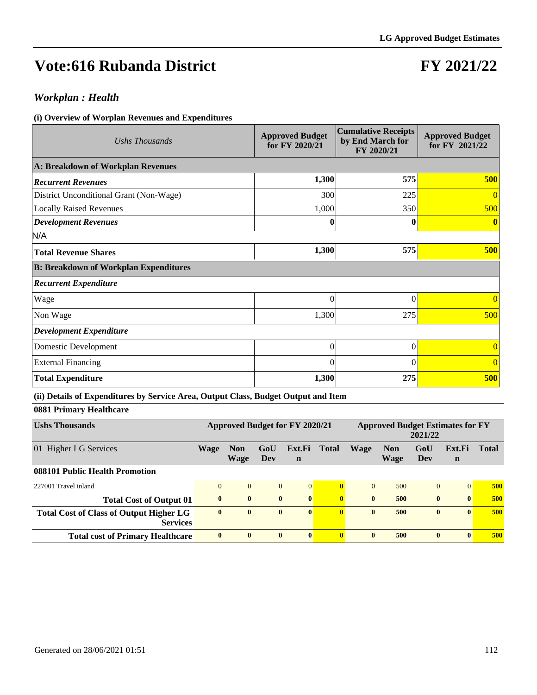# **FY 2021/22**

### *Workplan : Health*

#### **(i) Overview of Worplan Revenues and Expenditures**

| Ushs Thousands                               | <b>Approved Budget</b><br>for FY 2020/21 | <b>Cumulative Receipts</b><br>by End March for<br>FY 2020/21 | <b>Approved Budget</b><br>for FY 2021/22 |
|----------------------------------------------|------------------------------------------|--------------------------------------------------------------|------------------------------------------|
| A: Breakdown of Workplan Revenues            |                                          |                                                              |                                          |
| <b>Recurrent Revenues</b>                    | 1,300                                    | 575                                                          | 500                                      |
| District Unconditional Grant (Non-Wage)      | 300                                      | 225                                                          | $\overline{0}$                           |
| <b>Locally Raised Revenues</b>               | 1,000                                    | 350                                                          | 500                                      |
| <b>Development Revenues</b>                  | $\bf{0}$                                 | 0                                                            | $\bf{0}$                                 |
| N/A                                          |                                          |                                                              |                                          |
| <b>Total Revenue Shares</b>                  | 1,300                                    | 575                                                          | 500                                      |
| <b>B: Breakdown of Workplan Expenditures</b> |                                          |                                                              |                                          |
| <b>Recurrent Expenditure</b>                 |                                          |                                                              |                                          |
| Wage                                         | $\Omega$                                 | $\theta$                                                     | $\overline{0}$                           |
| Non Wage                                     | 1,300                                    | 275                                                          | 500                                      |
| <b>Development Expenditure</b>               |                                          |                                                              |                                          |
| Domestic Development                         | $\Omega$                                 | $\Omega$                                                     | $\overline{0}$                           |
| <b>External Financing</b>                    | $\Omega$                                 | $\Omega$                                                     | $\overline{0}$                           |
| <b>Total Expenditure</b>                     | 1,300                                    | 275                                                          | 500                                      |

### **(ii) Details of Expenditures by Service Area, Output Class, Budget Output and Item**

### **0881 Primary Healthcare**

| <b>Ushs Thousands</b>                                      | <b>Approved Budget for FY 2020/21</b> |                    |              |                       | <b>Approved Budget Estimates for FY</b><br>2021/22 |              |                    |                |                       |              |
|------------------------------------------------------------|---------------------------------------|--------------------|--------------|-----------------------|----------------------------------------------------|--------------|--------------------|----------------|-----------------------|--------------|
| 01 Higher LG Services                                      | Wage                                  | <b>Non</b><br>Wage | GoU<br>Dev   | Ext.Fi<br>$\mathbf n$ | Total                                              | Wage         | <b>Non</b><br>Wage | GoU<br>Dev     | Ext.Fi<br>$\mathbf n$ | <b>Total</b> |
| 088101 Public Health Promotion                             |                                       |                    |              |                       |                                                    |              |                    |                |                       |              |
| 227001 Travel inland                                       | $\Omega$                              | $\overline{0}$     | $\mathbf{0}$ | 0                     | $\mathbf{0}$                                       | $\theta$     | 500                | $\overline{0}$ | $\Omega$              | 500          |
| <b>Total Cost of Output 01</b>                             | $\mathbf{0}$                          | $\bf{0}$           | $\bf{0}$     | $\mathbf{0}$          | $\mathbf{0}$                                       | $\mathbf{0}$ | 500                | $\mathbf{0}$   | $\mathbf{0}$          | 500          |
| Total Cost of Class of Output Higher LG<br><b>Services</b> | $\mathbf{0}$                          | $\mathbf{0}$       | $\bf{0}$     | $\mathbf{0}$          | $\mathbf{0}$                                       | $\mathbf{0}$ | 500                | $\mathbf{0}$   | $\mathbf{0}$          | 500          |
| <b>Total cost of Primary Healthcare</b>                    | $\mathbf{0}$                          | $\mathbf{0}$       | $\mathbf{0}$ | $\mathbf{0}$          | $\mathbf{0}$                                       | $\mathbf{0}$ | 500                | $\mathbf{0}$   | $\mathbf{0}$          | 500          |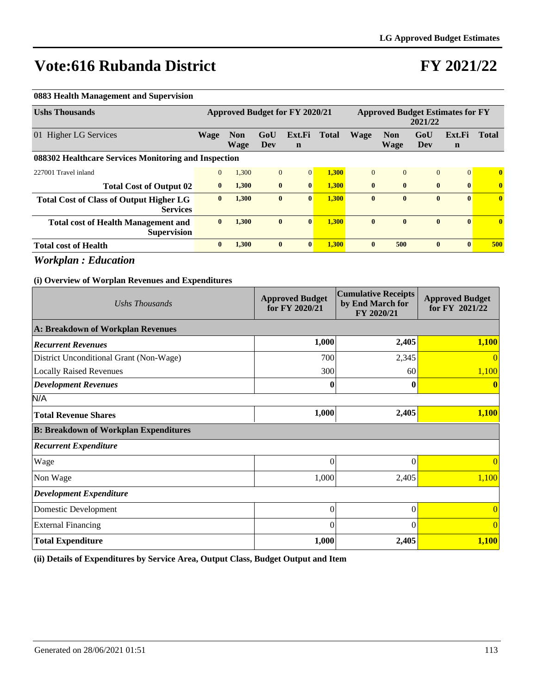# **FY 2021/22**

#### **0883 Health Management and Supervision**

| <b>Ushs Thousands</b>                                             | Approved Budget for FY 2020/21 |                           |              |                       | <b>Approved Budget Estimates for FY</b><br>2021/22 |              |                    |                |                       |              |
|-------------------------------------------------------------------|--------------------------------|---------------------------|--------------|-----------------------|----------------------------------------------------|--------------|--------------------|----------------|-----------------------|--------------|
| 01 Higher LG Services                                             | <b>Wage</b>                    | <b>Non</b><br><b>Wage</b> | GoU<br>Dev   | Ext.Fi<br>$\mathbf n$ | <b>Total</b>                                       | <b>Wage</b>  | <b>Non</b><br>Wage | GoU<br>Dev     | Ext.Fi<br>$\mathbf n$ | <b>Total</b> |
| 088302 Healthcare Services Monitoring and Inspection              |                                |                           |              |                       |                                                    |              |                    |                |                       |              |
| 227001 Travel inland                                              | $\mathbf{0}$                   | 1,300                     | $\mathbf{0}$ | $\mathbf{0}$          | 1,300                                              | $\theta$     | $\Omega$           | $\overline{0}$ | $\Omega$              | $\mathbf{0}$ |
| <b>Total Cost of Output 02</b>                                    | $\bf{0}$                       | 1,300                     | $\bf{0}$     | $\mathbf{0}$          | 1.300                                              | $\mathbf{0}$ | $\mathbf{0}$       | $\bf{0}$       | $\mathbf{0}$          | $\bf{0}$     |
| <b>Total Cost of Class of Output Higher LG</b><br><b>Services</b> | $\bf{0}$                       | 1,300                     | $\bf{0}$     | $\mathbf{0}$          | 1,300                                              | $\mathbf{0}$ | $\mathbf{0}$       | $\bf{0}$       | $\bf{0}$              | $\mathbf{0}$ |
| <b>Total cost of Health Management and</b><br><b>Supervision</b>  | $\mathbf{0}$                   | 1,300                     | $\bf{0}$     | $\mathbf{0}$          | 1,300                                              | $\bf{0}$     | $\mathbf{0}$       | $\bf{0}$       | $\mathbf{0}$          | $\mathbf{0}$ |
| <b>Total cost of Health</b>                                       | $\mathbf{0}$                   | 1,300                     | $\bf{0}$     | $\mathbf{0}$          | 1,300                                              | $\mathbf{0}$ | 500                | $\mathbf{0}$   | $\mathbf{0}$          | 500          |

*Workplan : Education*

#### **(i) Overview of Worplan Revenues and Expenditures**

| Ushs Thousands                               | <b>Approved Budget</b><br>for FY 2020/21 | <b>Cumulative Receipts</b><br>by End March for<br>FY 2020/21 | <b>Approved Budget</b><br>for FY 2021/22 |  |
|----------------------------------------------|------------------------------------------|--------------------------------------------------------------|------------------------------------------|--|
| A: Breakdown of Workplan Revenues            |                                          |                                                              |                                          |  |
| <b>Recurrent Revenues</b>                    | 1,000                                    | 2,405                                                        | 1,100                                    |  |
| District Unconditional Grant (Non-Wage)      | 700                                      | 2,345                                                        | $\Omega$                                 |  |
| <b>Locally Raised Revenues</b>               | 300                                      | 60                                                           | 1,100                                    |  |
| <b>Development Revenues</b>                  | 0                                        | 0                                                            |                                          |  |
| N/A                                          |                                          |                                                              |                                          |  |
| <b>Total Revenue Shares</b>                  | 1,000                                    | 2,405                                                        | 1,100                                    |  |
| <b>B: Breakdown of Workplan Expenditures</b> |                                          |                                                              |                                          |  |
| <b>Recurrent Expenditure</b>                 |                                          |                                                              |                                          |  |
| Wage                                         | $\theta$                                 | $\Omega$                                                     | $\Omega$                                 |  |
| Non Wage                                     | 1,000                                    | 2,405                                                        | 1,100                                    |  |
| <b>Development Expenditure</b>               |                                          |                                                              |                                          |  |
| Domestic Development                         | $\overline{0}$                           | $\Omega$                                                     |                                          |  |
| <b>External Financing</b>                    | $\theta$                                 | $\Omega$                                                     | $\Omega$                                 |  |
| <b>Total Expenditure</b>                     | 1,000                                    | 2,405                                                        | 1,100                                    |  |

**(ii) Details of Expenditures by Service Area, Output Class, Budget Output and Item**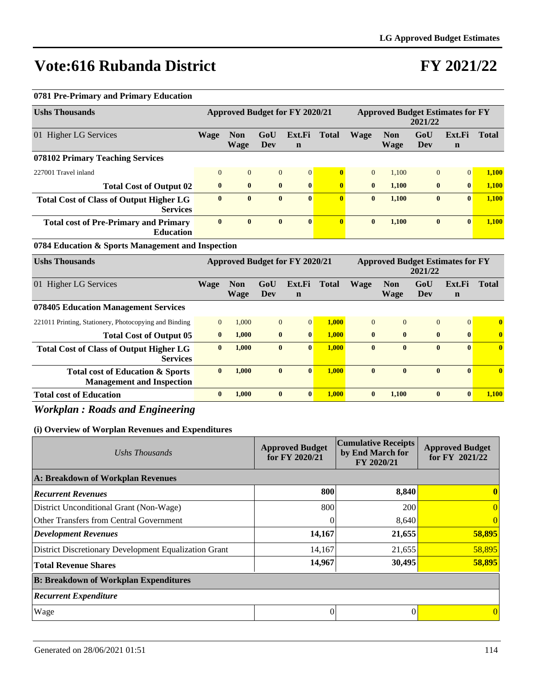# **FY 2021/22**

### **0781 Pre-Primary and Primary Education**

| <b>Ushs Thousands</b>                                                           | Approved Budget for FY 2020/21 |                           |                |                                       | <b>Approved Budget Estimates for FY</b><br>2021/22 |                |                                         |                   |                       |              |
|---------------------------------------------------------------------------------|--------------------------------|---------------------------|----------------|---------------------------------------|----------------------------------------------------|----------------|-----------------------------------------|-------------------|-----------------------|--------------|
| 01 Higher LG Services                                                           | <b>Wage</b>                    | <b>Non</b><br><b>Wage</b> | GoU<br>Dev     | Ext.Fi<br>$\mathbf n$                 | <b>Total</b>                                       | Wage           | <b>Non</b><br><b>Wage</b>               | GoU<br><b>Dev</b> | Ext.Fi<br>$\mathbf n$ | <b>Total</b> |
| 078102 Primary Teaching Services                                                |                                |                           |                |                                       |                                                    |                |                                         |                   |                       |              |
| 227001 Travel inland                                                            | $\Omega$                       | $\overline{0}$            | $\overline{0}$ | $\overline{0}$                        | $\mathbf{0}$                                       | $\overline{0}$ | 1,100                                   | $\overline{0}$    | $\Omega$              | 1,100        |
| <b>Total Cost of Output 02</b>                                                  | $\bf{0}$                       | $\bf{0}$                  | $\bf{0}$       | $\bf{0}$                              | $\bf{0}$                                           | $\mathbf{0}$   | 1,100                                   | $\bf{0}$          | $\bf{0}$              | 1,100        |
| <b>Total Cost of Class of Output Higher LG</b><br><b>Services</b>               | $\bf{0}$                       | $\bf{0}$                  | $\bf{0}$       | $\mathbf{0}$                          | $\mathbf{0}$                                       | $\bf{0}$       | 1,100                                   | $\bf{0}$          | $\mathbf{0}$          | 1,100        |
| <b>Total cost of Pre-Primary and Primary</b><br><b>Education</b>                | $\mathbf{0}$                   | $\bf{0}$                  | $\bf{0}$       | $\bf{0}$                              | $\mathbf{0}$                                       | $\bf{0}$       | 1,100                                   | $\bf{0}$          | $\mathbf{0}$          | 1,100        |
| 0784 Education & Sports Management and Inspection                               |                                |                           |                |                                       |                                                    |                |                                         |                   |                       |              |
| <b>Ushs Thousands</b>                                                           |                                |                           |                | <b>Approved Budget for FY 2020/21</b> |                                                    |                | <b>Approved Budget Estimates for FY</b> | 2021/22           |                       |              |
| 01 Higher LG Services                                                           | <b>Wage</b>                    | <b>Non</b><br><b>Wage</b> | GoU<br>Dev     | Ext.Fi<br>$\mathbf n$                 | <b>Total</b>                                       | Wage           | <b>Non</b><br><b>Wage</b>               | GoU<br>Dev        | Ext.Fi<br>$\mathbf n$ | <b>Total</b> |
| 078405 Education Management Services                                            |                                |                           |                |                                       |                                                    |                |                                         |                   |                       |              |
| 221011 Printing, Stationery, Photocopying and Binding                           | $\Omega$                       | 1,000                     | $\overline{0}$ | $\overline{0}$                        | 1,000                                              | $\Omega$       | $\Omega$                                | $\overline{0}$    | $\overline{0}$        | $\bf{0}$     |
| <b>Total Cost of Output 05</b>                                                  | $\bf{0}$                       | 1,000                     | $\bf{0}$       | $\bf{0}$                              | 1,000                                              | $\bf{0}$       | $\mathbf{0}$                            | $\bf{0}$          | $\bf{0}$              | $\bf{0}$     |
| <b>Total Cost of Class of Output Higher LG</b><br><b>Services</b>               | $\mathbf{0}$                   | 1,000                     | $\mathbf{0}$   | $\mathbf{0}$                          | 1,000                                              | $\mathbf{0}$   | $\mathbf{0}$                            | $\mathbf{0}$      | $\mathbf{0}$          | $\mathbf{0}$ |
| <b>Total cost of Education &amp; Sports</b><br><b>Management and Inspection</b> | $\mathbf{0}$                   | 1,000                     | $\mathbf{0}$   | $\mathbf{0}$                          | 1,000                                              | $\mathbf{0}$   | $\mathbf{0}$                            | $\mathbf{0}$      | $\mathbf{0}$          | $\mathbf{0}$ |
| <b>Total cost of Education</b>                                                  | $\bf{0}$                       | 1,000                     | $\bf{0}$       | $\mathbf{0}$                          | 1.000                                              | $\bf{0}$       | 1.100                                   | $\bf{0}$          | $\bf{0}$              | 1,100        |

### *Workplan : Roads and Engineering*

| Ushs Thousands                                        | <b>Approved Budget</b><br>for FY 2020/21 | <b>Cumulative Receipts</b><br>by End March for<br>FY 2020/21 | <b>Approved Budget</b><br>for FY 2021/22 |
|-------------------------------------------------------|------------------------------------------|--------------------------------------------------------------|------------------------------------------|
| A: Breakdown of Workplan Revenues                     |                                          |                                                              |                                          |
| <b>Recurrent Revenues</b>                             | 800                                      | 8,840                                                        |                                          |
| District Unconditional Grant (Non-Wage)               | 800                                      | 200                                                          | $\theta$                                 |
| Other Transfers from Central Government               |                                          | 8,640                                                        |                                          |
| Development Revenues                                  | 14,167                                   | 21,655                                                       | 58,895                                   |
| District Discretionary Development Equalization Grant | 14,167                                   | 21,655                                                       | 58,895                                   |
| <b>Total Revenue Shares</b>                           | 14,967                                   | 30,495                                                       | 58,895                                   |
| <b>B: Breakdown of Workplan Expenditures</b>          |                                          |                                                              |                                          |
| <b>Recurrent Expenditure</b>                          |                                          |                                                              |                                          |
| Wage                                                  | 0                                        | 0                                                            |                                          |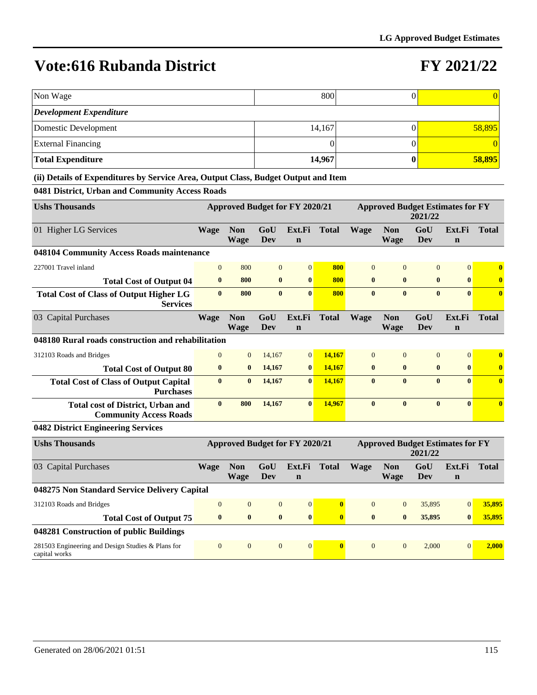### **FY 2021/22**

| Non Wage                       | 800    |  |        |  |  |  |  |  |
|--------------------------------|--------|--|--------|--|--|--|--|--|
| <b>Development Expenditure</b> |        |  |        |  |  |  |  |  |
| Domestic Development           | 14,167 |  | 58,895 |  |  |  |  |  |
| <b>External Financing</b>      |        |  |        |  |  |  |  |  |
| <b>Total Expenditure</b>       | 14,967 |  | 58,895 |  |  |  |  |  |

#### **(ii) Details of Expenditures by Service Area, Output Class, Budget Output and Item**

#### **0481 District, Urban and Community Access Roads**

| <b>Ushs Thousands</b>                                                     | <b>Approved Budget for FY 2020/21</b> |                           |                |                                       | <b>Approved Budget Estimates for FY</b><br>2021/22 |                |                                         |                   |                       |              |
|---------------------------------------------------------------------------|---------------------------------------|---------------------------|----------------|---------------------------------------|----------------------------------------------------|----------------|-----------------------------------------|-------------------|-----------------------|--------------|
| 01 Higher LG Services                                                     | <b>Wage</b>                           | <b>Non</b><br><b>Wage</b> | GoU<br>Dev     | Ext.Fi<br>$\mathbf n$                 | <b>Total</b>                                       | <b>Wage</b>    | <b>Non</b><br><b>Wage</b>               | GoU<br><b>Dev</b> | Ext.Fi<br>$\mathbf n$ | <b>Total</b> |
| 048104 Community Access Roads maintenance                                 |                                       |                           |                |                                       |                                                    |                |                                         |                   |                       |              |
| 227001 Travel inland                                                      | $\overline{0}$                        | 800                       | $\overline{0}$ | $\overline{0}$                        | 800                                                | $\overline{0}$ | $\Omega$                                | $\overline{0}$    | $\overline{0}$        | $\mathbf{0}$ |
| <b>Total Cost of Output 04</b>                                            | $\bf{0}$                              | 800                       | $\bf{0}$       | $\bf{0}$                              | 800                                                | $\bf{0}$       | $\bf{0}$                                | $\bf{0}$          | $\bf{0}$              | $\bf{0}$     |
| <b>Total Cost of Class of Output Higher LG</b><br><b>Services</b>         | $\mathbf{0}$                          | 800                       | $\mathbf{0}$   | $\mathbf{0}$                          | 800                                                | $\mathbf{0}$   | $\mathbf{0}$                            | $\mathbf{0}$      | $\mathbf{0}$          | $\mathbf{0}$ |
| 03 Capital Purchases                                                      | <b>Wage</b>                           | <b>Non</b>                | GoU            | Ext.Fi                                | <b>Total</b>                                       | <b>Wage</b>    | <b>Non</b>                              | GoU               | Ext.Fi                | <b>Total</b> |
|                                                                           |                                       | <b>Wage</b>               | Dev            | $\mathbf n$                           |                                                    |                | <b>Wage</b>                             | <b>Dev</b>        | $\mathbf n$           |              |
| 048180 Rural roads construction and rehabilitation                        |                                       |                           |                |                                       |                                                    |                |                                         |                   |                       |              |
| 312103 Roads and Bridges                                                  | $\Omega$                              | $\overline{0}$            | 14,167         | $\overline{0}$                        | 14.167                                             | $\overline{0}$ | $\overline{0}$                          | $\mathbf{0}$      | $\overline{0}$        | $\bf{0}$     |
| <b>Total Cost of Output 80</b>                                            | $\bf{0}$                              | $\bf{0}$                  | 14,167         | $\bf{0}$                              | 14,167                                             | $\bf{0}$       | $\bf{0}$                                | $\bf{0}$          | $\bf{0}$              | $\bf{0}$     |
| <b>Total Cost of Class of Output Capital</b><br><b>Purchases</b>          | $\mathbf{0}$                          | $\bf{0}$                  | 14,167         | $\mathbf{0}$                          | 14,167                                             | $\mathbf{0}$   | $\mathbf{0}$                            | $\mathbf{0}$      | $\mathbf{0}$          | $\mathbf{0}$ |
| <b>Total cost of District, Urban and</b><br><b>Community Access Roads</b> | $\bf{0}$                              | 800                       | 14,167         | $\bf{0}$                              | 14,967                                             | $\bf{0}$       | $\bf{0}$                                | $\bf{0}$          | $\mathbf{0}$          | $\mathbf{0}$ |
| 0482 District Engineering Services                                        |                                       |                           |                |                                       |                                                    |                |                                         |                   |                       |              |
| <b>Ushs Thousands</b>                                                     |                                       |                           |                | <b>Approved Budget for FY 2020/21</b> |                                                    |                | <b>Approved Budget Estimates for FY</b> | 2021/22           |                       |              |
| 03 Capital Purchases                                                      | <b>Wage</b>                           | <b>Non</b><br>Wage        | GoU<br>Dev     | Ext.Fi<br>$\mathbf n$                 | <b>Total</b>                                       | <b>Wage</b>    | <b>Non</b><br>Wage                      | GoU<br>Dev        | Ext.Fi<br>$\mathbf n$ | <b>Total</b> |
| 048275 Non Standard Service Delivery Capital                              |                                       |                           |                |                                       |                                                    |                |                                         |                   |                       |              |
| 312103 Roads and Bridges                                                  | $\Omega$                              | $\mathbf{0}$              | $\overline{0}$ | $\mathbf{0}$                          | $\bf{0}$                                           | $\overline{0}$ | $\overline{0}$                          | 35,895            | $\mathbf{0}$          | 35,895       |
| <b>Total Cost of Output 75</b>                                            | $\bf{0}$                              | $\bf{0}$                  | $\bf{0}$       | $\bf{0}$                              | $\bf{0}$                                           | $\bf{0}$       | $\bf{0}$                                | 35,895            | $\bf{0}$              | 35,895       |

**048281 Construction of public Buildings** 281503 Engineering and Design Studies & Plans for capital works 0 0 0 0 **0** 0 0 2,000 0 **2,000**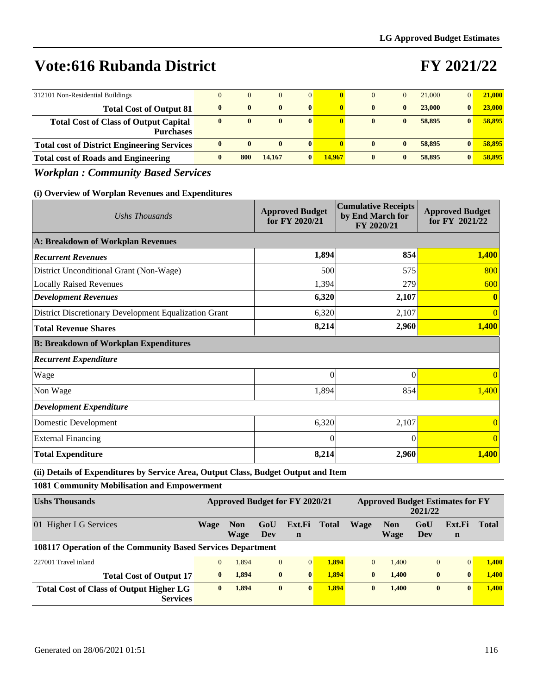# **FY 2021/22**

| 312101 Non-Residential Buildings                                 |              | $\mathbf{0}$ | $\mathbf{0}$ | $\overline{0}$ |              | $\overline{0}$ |              | 21,000 | $\overline{0}$ | 21,000 |
|------------------------------------------------------------------|--------------|--------------|--------------|----------------|--------------|----------------|--------------|--------|----------------|--------|
| <b>Total Cost of Output 81</b>                                   | $\mathbf{0}$ | $\mathbf{0}$ | $\mathbf{0}$ | $\mathbf{0}$   | $\mathbf{0}$ | $\mathbf{0}$   | $\mathbf{0}$ | 23,000 | $\bf{0}$       | 23,000 |
| <b>Total Cost of Class of Output Capital</b><br><b>Purchases</b> | $\mathbf{0}$ | $\bf{0}$     | $\mathbf{0}$ | $\bf{0}$       | $\mathbf{0}$ | $\mathbf{0}$   | $\mathbf{0}$ | 58,895 |                | 58,895 |
| <b>Total cost of District Engineering Services</b>               | $\mathbf{0}$ | $\mathbf{0}$ | $\mathbf{0}$ | $\mathbf{0}$   |              | $\mathbf{0}$   | $\mathbf{0}$ | 58,895 |                | 58,895 |
| <b>Total cost of Roads and Engineering</b>                       |              | 800          | 14,167       | $\mathbf{0}$   | 14,967       | $\mathbf{0}$   | $\mathbf{0}$ | 58,895 |                | 58,895 |

### *Workplan : Community Based Services*

### **(i) Overview of Worplan Revenues and Expenditures**

| Ushs Thousands                                        | <b>Approved Budget</b><br>for FY 2020/21 | <b>Cumulative Receipts</b><br>by End March for<br>FY 2020/21 | <b>Approved Budget</b><br>for FY 2021/22 |  |
|-------------------------------------------------------|------------------------------------------|--------------------------------------------------------------|------------------------------------------|--|
| A: Breakdown of Workplan Revenues                     |                                          |                                                              |                                          |  |
| <b>Recurrent Revenues</b>                             | 1,894                                    | 854                                                          | 1,400                                    |  |
| District Unconditional Grant (Non-Wage)               | 500                                      | 575                                                          | 800                                      |  |
| <b>Locally Raised Revenues</b>                        | 1,394                                    | 279                                                          | 600                                      |  |
| <b>Development Revenues</b>                           | 6,320                                    | 2,107                                                        | $\mathbf{0}$                             |  |
| District Discretionary Development Equalization Grant | 6,320                                    | 2,107                                                        | $\overline{0}$                           |  |
| <b>Total Revenue Shares</b>                           | 8,214                                    | 2,960                                                        | 1,400                                    |  |
| <b>B: Breakdown of Workplan Expenditures</b>          |                                          |                                                              |                                          |  |
| <b>Recurrent Expenditure</b>                          |                                          |                                                              |                                          |  |
| Wage                                                  | $\mathbf{0}$                             | $\Omega$                                                     | $\overline{0}$                           |  |
| Non Wage                                              | 1,894                                    | 854                                                          | 1,400                                    |  |
| <b>Development Expenditure</b>                        |                                          |                                                              |                                          |  |
| Domestic Development                                  | 6,320                                    | 2,107                                                        | $\overline{0}$                           |  |
| <b>External Financing</b>                             | $\Omega$                                 | $\theta$                                                     | $\Omega$                                 |  |
| <b>Total Expenditure</b>                              | 8,214                                    | 2,960                                                        | 1,400                                    |  |

**(ii) Details of Expenditures by Service Area, Output Class, Budget Output and Item**

**1081 Community Mobilisation and Empowerment**

| <b>Ushs Thousands</b>                                              | <b>Approved Budget for FY 2020/21</b> |                    |                |                       | <b>Approved Budget Estimates for FY</b><br>2021/22 |              |                    |                |              |              |
|--------------------------------------------------------------------|---------------------------------------|--------------------|----------------|-----------------------|----------------------------------------------------|--------------|--------------------|----------------|--------------|--------------|
| 01 Higher LG Services                                              | <b>Wage</b>                           | <b>Non</b><br>Wage | GoU<br>Dev     | Ext.Fi<br>$\mathbf n$ | <b>Total</b>                                       | Wage         | <b>Non</b><br>Wage | GoU<br>Dev     | Ext.Fi<br>n  | <b>Total</b> |
| <b>108117 Operation of the Community Based Services Department</b> |                                       |                    |                |                       |                                                    |              |                    |                |              |              |
| 227001 Travel inland                                               | $\overline{0}$                        | 1,894              | $\overline{0}$ | $\Omega$              | 1.894                                              | $\Omega$     | 1.400              | $\overline{0}$ | $\Omega$     | 1.400        |
| <b>Total Cost of Output 17</b>                                     | $\mathbf{0}$                          | 1.894              | $\mathbf{0}$   | $\mathbf{0}$          | 1.894                                              | $\mathbf{0}$ | 1.400              | $\bf{0}$       | $\mathbf{0}$ | 1.400        |
| Total Cost of Class of Output Higher LG<br><b>Services</b>         | $\mathbf{0}$                          | 1.894              | $\bf{0}$       | $\mathbf{0}$          | 1.894                                              | $\mathbf{0}$ | 1.400              | $\bf{0}$       | $\mathbf{0}$ | 1.400        |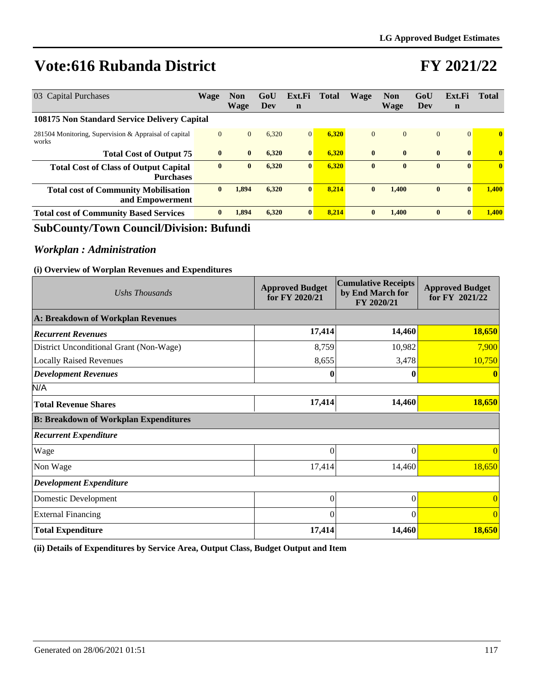### **FY 2021/22**

| 03 Capital Purchases                                             | <b>Wage</b>  | <b>Non</b><br>Wage | GoU<br>Dev | Ext.Fi<br>$\mathbf n$ | Total | Wage         | <b>Non</b><br><b>Wage</b> | GoU<br>Dev   | Ext.Fi<br>$\mathbf n$ | <b>Total</b> |
|------------------------------------------------------------------|--------------|--------------------|------------|-----------------------|-------|--------------|---------------------------|--------------|-----------------------|--------------|
| 108175 Non Standard Service Delivery Capital                     |              |                    |            |                       |       |              |                           |              |                       |              |
| 281504 Monitoring, Supervision & Appraisal of capital<br>works   | $\mathbf{0}$ | $\mathbf{0}$       | 6,320      | $\overline{0}$        | 6.320 | $\mathbf{0}$ | $\Omega$                  | $\mathbf{0}$ | $\vert 0 \vert$       | $\mathbf{0}$ |
| <b>Total Cost of Output 75</b>                                   | $\mathbf{0}$ | $\bf{0}$           | 6,320      | $\bf{0}$              | 6.320 | $\mathbf{0}$ | $\mathbf{0}$              | $\bf{0}$     | $\mathbf{0}$          | $\mathbf{0}$ |
| <b>Total Cost of Class of Output Capital</b><br><b>Purchases</b> | $\bf{0}$     | $\bf{0}$           | 6,320      | $\bf{0}$              | 6,320 | $\mathbf{0}$ | $\mathbf{0}$              | $\bf{0}$     | $\mathbf{0}$          | $\mathbf{0}$ |
| <b>Total cost of Community Mobilisation</b><br>and Empowerment   | $\mathbf{0}$ | 1,894              | 6,320      | $\mathbf{0}$          | 8.214 | $\mathbf{0}$ | 1.400                     | $\bf{0}$     | $\mathbf{0}$          | 1.400        |
| <b>Total cost of Community Based Services</b>                    | $\bf{0}$     | 1,894              | 6,320      | $\bf{0}$              | 8.214 | $\bf{0}$     | 1.400                     | $\bf{0}$     | $\mathbf{0}$          | 1.400        |

### **SubCounty/Town Council/Division: Bufundi**

### *Workplan : Administration*

#### **(i) Overview of Worplan Revenues and Expenditures**

| Ushs Thousands                               | <b>Approved Budget</b><br>for FY 2020/21 | <b>Cumulative Receipts</b><br>by End March for<br>FY 2020/21 | <b>Approved Budget</b><br>for FY 2021/22 |
|----------------------------------------------|------------------------------------------|--------------------------------------------------------------|------------------------------------------|
| A: Breakdown of Workplan Revenues            |                                          |                                                              |                                          |
| <b>Recurrent Revenues</b>                    | 17,414                                   | 14,460                                                       | 18,650                                   |
| District Unconditional Grant (Non-Wage)      | 8,759                                    | 10,982                                                       | 7,900                                    |
| <b>Locally Raised Revenues</b>               | 8,655                                    | 3,478                                                        | 10,750                                   |
| <b>Development Revenues</b>                  |                                          | $\mathbf 0$                                                  |                                          |
| N/A                                          |                                          |                                                              |                                          |
| <b>Total Revenue Shares</b>                  | 17,414                                   | 14,460                                                       | 18,650                                   |
| <b>B: Breakdown of Workplan Expenditures</b> |                                          |                                                              |                                          |
| <b>Recurrent Expenditure</b>                 |                                          |                                                              |                                          |
| Wage                                         | $\Omega$                                 | $\Omega$                                                     | $\Omega$                                 |
| Non Wage                                     | 17,414                                   | 14,460                                                       | 18,650                                   |
| <b>Development Expenditure</b>               |                                          |                                                              |                                          |
| Domestic Development                         | $\overline{0}$                           | $\Omega$                                                     |                                          |
| <b>External Financing</b>                    | $\Omega$                                 | $\Omega$                                                     |                                          |
| <b>Total Expenditure</b>                     | 17,414                                   | 14,460                                                       | 18,650                                   |

**(ii) Details of Expenditures by Service Area, Output Class, Budget Output and Item**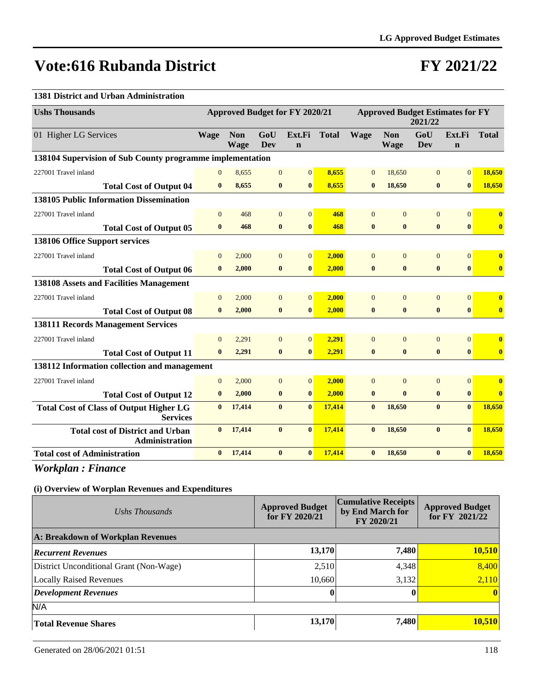### **FY 2021/22**

### **1381 District and Urban Administration**

| <b>Ushs Thousands</b>                                             | Approved Budget for FY 2020/21 |                           |                   |                       | <b>Approved Budget Estimates for FY</b><br>2021/22 |                |                           |                   |                       |                         |
|-------------------------------------------------------------------|--------------------------------|---------------------------|-------------------|-----------------------|----------------------------------------------------|----------------|---------------------------|-------------------|-----------------------|-------------------------|
| 01 Higher LG Services                                             | <b>Wage</b>                    | <b>Non</b><br><b>Wage</b> | GoU<br><b>Dev</b> | Ext.Fi<br>$\mathbf n$ | <b>Total</b>                                       | <b>Wage</b>    | <b>Non</b><br><b>Wage</b> | GoU<br><b>Dev</b> | Ext.Fi<br>$\mathbf n$ | <b>Total</b>            |
| 138104 Supervision of Sub County programme implementation         |                                |                           |                   |                       |                                                    |                |                           |                   |                       |                         |
| 227001 Travel inland                                              | $\overline{0}$                 | 8,655                     | $\mathbf{0}$      | $\vert 0 \vert$       | 8,655                                              | $\overline{0}$ | 18,650                    | $\mathbf{0}$      | $\overline{0}$        | 18,650                  |
| <b>Total Cost of Output 04</b>                                    | $\mathbf{0}$                   | 8,655                     | $\bf{0}$          | $\mathbf{0}$          | 8,655                                              | $\bf{0}$       | 18,650                    | $\bf{0}$          | $\bf{0}$              | 18,650                  |
| <b>138105 Public Information Dissemination</b>                    |                                |                           |                   |                       |                                                    |                |                           |                   |                       |                         |
| 227001 Travel inland                                              | $\Omega$                       | 468                       | $\overline{0}$    | $\overline{0}$        | 468                                                | $\mathbf{0}$   | $\mathbf{0}$              | $\mathbf{0}$      | $\overline{0}$        | $\overline{\mathbf{0}}$ |
| <b>Total Cost of Output 05</b>                                    | $\mathbf{0}$                   | 468                       | $\bf{0}$          | $\mathbf{0}$          | 468                                                | $\bf{0}$       | $\bf{0}$                  | $\bf{0}$          | $\bf{0}$              | $\mathbf{0}$            |
| 138106 Office Support services                                    |                                |                           |                   |                       |                                                    |                |                           |                   |                       |                         |
| 227001 Travel inland                                              | $\Omega$                       | 2,000                     | $\overline{0}$    | $\overline{0}$        | 2,000                                              | $\mathbf{0}$   | $\Omega$                  | $\Omega$          | $\overline{0}$        | $\mathbf{0}$            |
| <b>Total Cost of Output 06</b>                                    | $\mathbf{0}$                   | 2,000                     | $\bf{0}$          | $\bf{0}$              | 2,000                                              | $\bf{0}$       | $\bf{0}$                  | $\bf{0}$          | $\bf{0}$              | $\bf{0}$                |
| 138108 Assets and Facilities Management                           |                                |                           |                   |                       |                                                    |                |                           |                   |                       |                         |
| 227001 Travel inland                                              | $\Omega$                       | 2,000                     | $\overline{0}$    | $\overline{0}$        | 2,000                                              | $\overline{0}$ | $\mathbf{0}$              | $\overline{0}$    | $\overline{0}$        | $\bf{0}$                |
| <b>Total Cost of Output 08</b>                                    | $\bf{0}$                       | 2,000                     | $\bf{0}$          | $\bf{0}$              | 2,000                                              | $\bf{0}$       | $\bf{0}$                  | $\bf{0}$          | $\bf{0}$              | $\bf{0}$                |
| <b>138111 Records Management Services</b>                         |                                |                           |                   |                       |                                                    |                |                           |                   |                       |                         |
| 227001 Travel inland                                              | $\theta$                       | 2,291                     | $\overline{0}$    | $\vert 0 \vert$       | 2,291                                              | $\mathbf{0}$   | $\mathbf{0}$              | $\mathbf{0}$      | $\overline{0}$        | $\mathbf{0}$            |
| <b>Total Cost of Output 11</b>                                    | $\bf{0}$                       | 2,291                     | $\bf{0}$          | $\bf{0}$              | 2,291                                              | $\bf{0}$       | $\bf{0}$                  | $\bf{0}$          | $\bf{0}$              | $\bf{0}$                |
| 138112 Information collection and management                      |                                |                           |                   |                       |                                                    |                |                           |                   |                       |                         |
| 227001 Travel inland                                              | $\Omega$                       | 2,000                     | $\Omega$          | $\overline{0}$        | 2.000                                              | $\Omega$       | $\Omega$                  | $\overline{0}$    | $\overline{0}$        | $\mathbf{0}$            |
| <b>Total Cost of Output 12</b>                                    | $\bf{0}$                       | 2,000                     | $\bf{0}$          | $\bf{0}$              | 2,000                                              | $\bf{0}$       | $\bf{0}$                  | $\bf{0}$          | $\bf{0}$              | $\bf{0}$                |
| <b>Total Cost of Class of Output Higher LG</b><br><b>Services</b> | $\mathbf{0}$                   | 17,414                    | $\mathbf{0}$      | $\bf{0}$              | 17,414                                             | $\bf{0}$       | 18,650                    | $\bf{0}$          | $\bf{0}$              | 18,650                  |
| <b>Total cost of District and Urban</b><br><b>Administration</b>  | $\mathbf{0}$                   | 17,414                    | $\bf{0}$          | $\bf{0}$              | 17,414                                             | $\bf{0}$       | 18,650                    | $\bf{0}$          | $\mathbf{0}$          | 18,650                  |
| <b>Total cost of Administration</b>                               | $\mathbf{0}$                   | 17,414                    | $\bf{0}$          | $\bf{0}$              | 17,414                                             | $\bf{0}$       | 18,650                    | $\bf{0}$          | $\bf{0}$              | 18,650                  |

*Workplan : Finance*

| Ushs Thousands                          | <b>Approved Budget</b><br>for FY 2020/21 | Cumulative Receipts  <br>by End March for<br>FY 2020/21 | <b>Approved Budget</b><br>for $FY$ 2021/22 |  |
|-----------------------------------------|------------------------------------------|---------------------------------------------------------|--------------------------------------------|--|
| A: Breakdown of Workplan Revenues       |                                          |                                                         |                                            |  |
| <b>Recurrent Revenues</b>               | 13,170                                   | 7,480                                                   | 10,510                                     |  |
| District Unconditional Grant (Non-Wage) | 2,510                                    | 4,348                                                   | 8,400                                      |  |
| <b>Locally Raised Revenues</b>          | 10,660                                   | 3,132                                                   | 2,110                                      |  |
| Development Revenues                    |                                          |                                                         | $\mathbf{0}$                               |  |
| N/A                                     |                                          |                                                         |                                            |  |
| <b>Total Revenue Shares</b>             | 13,170                                   | 7,480                                                   | 10,510                                     |  |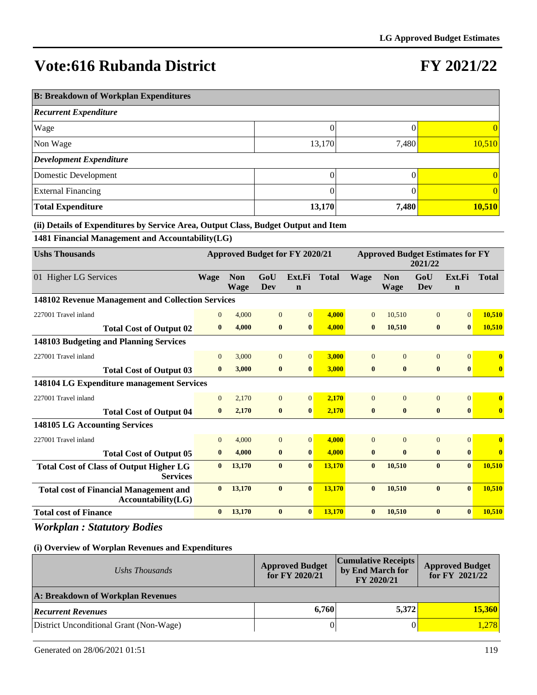# **FY 2021/22**

| <b>B: Breakdown of Workplan Expenditures</b> |        |       |                 |  |  |  |  |  |  |
|----------------------------------------------|--------|-------|-----------------|--|--|--|--|--|--|
| <b>Recurrent Expenditure</b>                 |        |       |                 |  |  |  |  |  |  |
| Wage                                         |        |       | 0               |  |  |  |  |  |  |
| Non Wage                                     | 13,170 | 7,480 | 10,510          |  |  |  |  |  |  |
| <b>Development Expenditure</b>               |        |       |                 |  |  |  |  |  |  |
| Domestic Development                         |        |       | 0               |  |  |  |  |  |  |
| <b>External Financing</b>                    |        |       | $\vert 0 \vert$ |  |  |  |  |  |  |
| <b>Total Expenditure</b>                     | 13,170 | 7,480 | 10,510          |  |  |  |  |  |  |

**(ii) Details of Expenditures by Service Area, Output Class, Budget Output and Item**

**1481 Financial Management and Accountability(LG)**

| <b>Ushs Thousands</b>                                               |                |                           |                | <b>Approved Budget for FY 2020/21</b> |              | <b>Approved Budget Estimates for FY</b><br>2021/22 |                    |                |                       |              |
|---------------------------------------------------------------------|----------------|---------------------------|----------------|---------------------------------------|--------------|----------------------------------------------------|--------------------|----------------|-----------------------|--------------|
| 01 Higher LG Services                                               | <b>Wage</b>    | <b>Non</b><br><b>Wage</b> | GoU<br>Dev     | Ext.Fi<br>$\mathbf n$                 | <b>Total</b> | <b>Wage</b>                                        | <b>Non</b><br>Wage | GoU<br>Dev     | Ext.Fi<br>$\mathbf n$ | <b>Total</b> |
| 148102 Revenue Management and Collection Services                   |                |                           |                |                                       |              |                                                    |                    |                |                       |              |
| 227001 Travel inland                                                | $\overline{0}$ | 4,000                     | $\overline{0}$ | $\overline{0}$                        | 4,000        | $\Omega$                                           | 10,510             | $\overline{0}$ | $\Omega$              | 10,510       |
| <b>Total Cost of Output 02</b>                                      | $\bf{0}$       | 4,000                     | $\bf{0}$       | $\bf{0}$                              | 4.000        | $\bf{0}$                                           | 10,510             | $\bf{0}$       | $\bf{0}$              | 10,510       |
| 148103 Budgeting and Planning Services                              |                |                           |                |                                       |              |                                                    |                    |                |                       |              |
| 227001 Travel inland                                                | $\mathbf{0}$   | 3,000                     | $\overline{0}$ | $\Omega$                              | 3.000        | $\Omega$                                           | $\Omega$           | $\Omega$       | $\Omega$              | $\mathbf{0}$ |
| <b>Total Cost of Output 03</b>                                      | $\bf{0}$       | 3,000                     | $\bf{0}$       | $\mathbf{0}$                          | 3,000        | $\bf{0}$                                           | $\bf{0}$           | $\bf{0}$       | $\mathbf{0}$          | $\bf{0}$     |
| 148104 LG Expenditure management Services                           |                |                           |                |                                       |              |                                                    |                    |                |                       |              |
| 227001 Travel inland                                                | $\mathbf{0}$   | 2,170                     | $\overline{0}$ | $\Omega$                              | 2,170        | $\Omega$                                           | $\theta$           | $\overline{0}$ | $\Omega$              | $\mathbf{0}$ |
| <b>Total Cost of Output 04</b>                                      | $\mathbf{0}$   | 2,170                     | $\bf{0}$       | $\bf{0}$                              | 2,170        | $\bf{0}$                                           | $\bf{0}$           | $\bf{0}$       | $\mathbf{0}$          | $\bf{0}$     |
| 148105 LG Accounting Services                                       |                |                           |                |                                       |              |                                                    |                    |                |                       |              |
| 227001 Travel inland                                                | $\mathbf{0}$   | 4,000                     | $\overline{0}$ | $\overline{0}$                        | 4.000        | $\overline{0}$                                     | $\Omega$           | $\overline{0}$ | $\vert 0 \vert$       | $\bf{0}$     |
| <b>Total Cost of Output 05</b>                                      | $\bf{0}$       | 4,000                     | $\bf{0}$       | $\bf{0}$                              | 4,000        | $\bf{0}$                                           | $\mathbf{0}$       | $\bf{0}$       | $\bf{0}$              | $\bf{0}$     |
| <b>Total Cost of Class of Output Higher LG</b><br><b>Services</b>   | $\mathbf{0}$   | 13,170                    | $\bf{0}$       | $\bf{0}$                              | 13,170       | $\bf{0}$                                           | 10,510             | $\bf{0}$       | $\bf{0}$              | 10,510       |
| <b>Total cost of Financial Management and</b><br>Accountability(LG) | $\mathbf{0}$   | 13,170                    | $\mathbf{0}$   | $\bf{0}$                              | 13,170       | $\mathbf{0}$                                       | 10,510             | $\bf{0}$       | $\mathbf{0}$          | 10,510       |
| <b>Total cost of Finance</b>                                        | $\bf{0}$       | 13,170                    | $\bf{0}$       | $\bf{0}$                              | 13,170       | $\bf{0}$                                           | 10,510             | $\bf{0}$       | $\mathbf{0}$          | 10,510       |

*Workplan : Statutory Bodies*

| Ushs Thousands                          | <b>Approved Budget</b><br>for FY 2020/21 | <b>Cumulative Receipts</b><br>by End March for<br>FY 2020/21 | <b>Approved Budget</b><br>for FY 2021/22 |
|-----------------------------------------|------------------------------------------|--------------------------------------------------------------|------------------------------------------|
| A: Breakdown of Workplan Revenues       |                                          |                                                              |                                          |
| <b>Recurrent Revenues</b>               | 6.760                                    | 5.372                                                        | <b>15,360</b>                            |
| District Unconditional Grant (Non-Wage) |                                          |                                                              | 1,278                                    |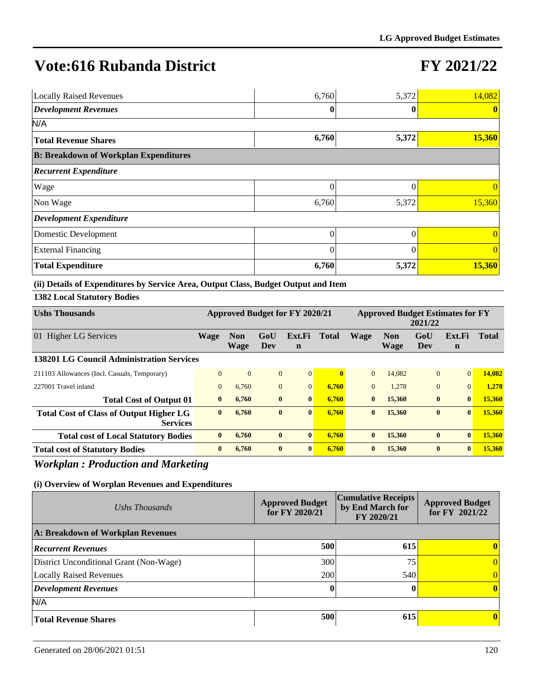# **FY 2021/22**

| <b>Locally Raised Revenues</b>               | 6,760    | 5,372    | 14,082         |
|----------------------------------------------|----------|----------|----------------|
| <b>Development Revenues</b>                  |          |          |                |
| N/A                                          |          |          |                |
| <b>Total Revenue Shares</b>                  | 6,760    | 5,372    | 15,360         |
| <b>B: Breakdown of Workplan Expenditures</b> |          |          |                |
| <b>Recurrent Expenditure</b>                 |          |          |                |
| <b>Wage</b>                                  | 0        | 0        | $\Omega$       |
| Non Wage                                     | 6,760    | 5,372    | 15,360         |
| <b>Development Expenditure</b>               |          |          |                |
| Domestic Development                         | $\Omega$ | $\Omega$ | $\Omega$       |
| <b>External Financing</b>                    | $\Omega$ |          | $\overline{0}$ |
| <b>Total Expenditure</b>                     | 6,760    | 5,372    | 15,360         |

#### **(ii) Details of Expenditures by Service Area, Output Class, Budget Output and Item**

### **1382 Local Statutory Bodies**

| <b>Ushs Thousands</b>                                             | Approved Budget for FY 2020/21<br><b>Approved Budget Estimates for FY</b><br>2021/22 |                           |              |                       |              |              |                           |                |                       |        |
|-------------------------------------------------------------------|--------------------------------------------------------------------------------------|---------------------------|--------------|-----------------------|--------------|--------------|---------------------------|----------------|-----------------------|--------|
| 01 Higher LG Services                                             | Wage                                                                                 | <b>Non</b><br><b>Wage</b> | GoU<br>Dev   | Ext.Fi<br>$\mathbf n$ | <b>Total</b> | <b>Wage</b>  | <b>Non</b><br><b>Wage</b> | GoU<br>Dev     | Ext.Fi<br>$\mathbf n$ | Total  |
| 138201 LG Council Administration Services                         |                                                                                      |                           |              |                       |              |              |                           |                |                       |        |
| 211103 Allowances (Incl. Casuals, Temporary)                      | $\Omega$                                                                             | $\overline{0}$            | $\mathbf{0}$ | $\overline{0}$        | $\mathbf{0}$ | $\theta$     | 14,082                    | $\overline{0}$ | $\overline{0}$        | 14,082 |
| 227001 Travel inland                                              | $\mathbf{0}$                                                                         | 6,760                     | $\mathbf{0}$ | $\Omega$              | 6,760        | $\Omega$     | 1.278                     | $\overline{0}$ | $\Omega$              | 1,278  |
| <b>Total Cost of Output 01</b>                                    | $\bf{0}$                                                                             | 6,760                     | $\bf{0}$     | $\mathbf{0}$          | 6.760        | $\bf{0}$     | 15,360                    | $\bf{0}$       | $\mathbf{0}$          | 15,360 |
| <b>Total Cost of Class of Output Higher LG</b><br><b>Services</b> | $\mathbf{0}$                                                                         | 6,760                     | $\bf{0}$     | $\mathbf{0}$          | 6,760        | $\mathbf{0}$ | 15,360                    | $\mathbf{0}$   | $\mathbf{0}$          | 15,360 |
| <b>Total cost of Local Statutory Bodies</b>                       | $\bf{0}$                                                                             | 6,760                     | $\bf{0}$     | $\bf{0}$              | 6,760        | $\bf{0}$     | 15,360                    | $\bf{0}$       | $\mathbf{0}$          | 15,360 |
| <b>Total cost of Statutory Bodies</b>                             | $\bf{0}$                                                                             | 6.760                     | $\bf{0}$     | $\mathbf{0}$          | 6.760        | $\mathbf{0}$ | 15,360                    | $\bf{0}$       | $\mathbf{0}$          | 15,360 |

### *Workplan : Production and Marketing*

| Ushs Thousands                          | <b>Approved Budget</b><br>for $FY$ 2020/21 | <b>Cumulative Receipts</b><br>by End March for<br>FY 2020/21 | <b>Approved Budget</b><br>for $FY$ 2021/22 |  |
|-----------------------------------------|--------------------------------------------|--------------------------------------------------------------|--------------------------------------------|--|
| A: Breakdown of Workplan Revenues       |                                            |                                                              |                                            |  |
| <b>Recurrent Revenues</b>               | 500                                        | 615                                                          | 0                                          |  |
| District Unconditional Grant (Non-Wage) | 300                                        | 75                                                           | 0                                          |  |
| Locally Raised Revenues                 | 200                                        | 540                                                          |                                            |  |
| <b>Development Revenues</b>             | 0                                          |                                                              | 0                                          |  |
| N/A                                     |                                            |                                                              |                                            |  |
| <b>Total Revenue Shares</b>             | 500                                        | 615                                                          | 0                                          |  |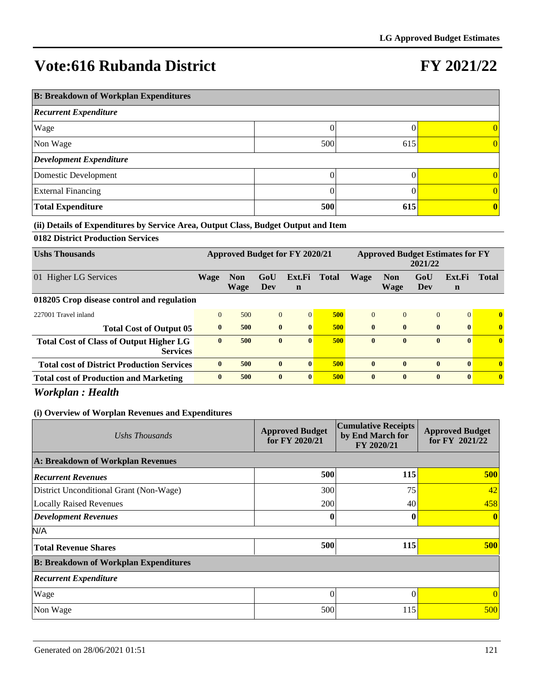# **FY 2021/22**

| <b>B: Breakdown of Workplan Expenditures</b> |     |     |                 |  |  |  |  |  |
|----------------------------------------------|-----|-----|-----------------|--|--|--|--|--|
| <b>Recurrent Expenditure</b>                 |     |     |                 |  |  |  |  |  |
| Wage                                         |     |     | $\vert 0 \vert$ |  |  |  |  |  |
| Non Wage                                     | 500 | 615 | $\vert 0 \vert$ |  |  |  |  |  |
| <b>Development Expenditure</b>               |     |     |                 |  |  |  |  |  |
| Domestic Development                         |     |     | $\Omega$        |  |  |  |  |  |
| <b>External Financing</b>                    |     |     | 0               |  |  |  |  |  |
| <b>Total Expenditure</b>                     | 500 | 615 | $\mathbf{0}$    |  |  |  |  |  |

#### **(ii) Details of Expenditures by Service Area, Output Class, Budget Output and Item**

### **0182 District Production Services**

| <b>Ushs Thousands</b>                                             | Approved Budget for FY 2020/21<br><b>Approved Budget Estimates for FY</b><br>2021/22 |                    |              |              |              |              |                    |                |              |                         |
|-------------------------------------------------------------------|--------------------------------------------------------------------------------------|--------------------|--------------|--------------|--------------|--------------|--------------------|----------------|--------------|-------------------------|
| 01 Higher LG Services                                             | Wage                                                                                 | <b>Non</b><br>Wage | GoU<br>Dev   | Ext.Fi<br>n  | <b>Total</b> | Wage         | <b>Non</b><br>Wage | GoU<br>Dev     | Ext.Fi<br>n  | <b>Total</b>            |
| 018205 Crop disease control and regulation                        |                                                                                      |                    |              |              |              |              |                    |                |              |                         |
| 227001 Travel inland                                              | $\Omega$                                                                             | 500                | $\mathbf{0}$ | $\Omega$     | 500          | $\Omega$     | $\Omega$           | $\overline{0}$ | $\Omega$     | $\mathbf{0}$            |
| <b>Total Cost of Output 05</b>                                    | $\mathbf{0}$                                                                         | 500                | $\mathbf{0}$ | $\mathbf{0}$ | 500          | $\mathbf{0}$ | $\mathbf{0}$       | $\bf{0}$       | $\mathbf{0}$ | $\overline{\mathbf{0}}$ |
| <b>Total Cost of Class of Output Higher LG</b><br><b>Services</b> | $\mathbf{0}$                                                                         | 500                | $\bf{0}$     | $\mathbf{0}$ | 500          | $\mathbf{0}$ | $\mathbf{0}$       | $\bf{0}$       | $\mathbf{0}$ | $\bf{0}$                |
| <b>Total cost of District Production Services</b>                 | $\mathbf{0}$                                                                         | 500                | $\mathbf{0}$ | $\mathbf{0}$ | 500          | $\mathbf{0}$ | $\mathbf{0}$       | $\bf{0}$       | $\mathbf{0}$ | $\mathbf{0}$            |
| <b>Total cost of Production and Marketing</b>                     | $\mathbf{0}$                                                                         | 500                | $\mathbf{0}$ | $\mathbf{0}$ | 500          | $\mathbf{0}$ | $\mathbf{0}$       | $\mathbf{0}$   | $\mathbf{0}$ | $\mathbf{0}$            |
| ___ _ _<br>___ _                                                  |                                                                                      |                    |              |              |              |              |                    |                |              |                         |

### *Workplan : Health*

| Ushs Thousands                               | <b>Approved Budget</b><br>for FY 2020/21 | <b>Cumulative Receipts</b><br>by End March for<br>FY 2020/21 | <b>Approved Budget</b><br>for FY 2021/22 |
|----------------------------------------------|------------------------------------------|--------------------------------------------------------------|------------------------------------------|
| A: Breakdown of Workplan Revenues            |                                          |                                                              |                                          |
| <b>Recurrent Revenues</b>                    | 500                                      | 115                                                          | 500                                      |
| District Unconditional Grant (Non-Wage)      | 300                                      | 75                                                           | 42                                       |
| <b>Locally Raised Revenues</b>               | 200                                      | 40                                                           | 458                                      |
| <b>Development Revenues</b>                  | 0                                        | 0                                                            | $\mathbf{0}$                             |
| N/A                                          |                                          |                                                              |                                          |
| <b>Total Revenue Shares</b>                  | 500                                      | 115                                                          | 500                                      |
| <b>B: Breakdown of Workplan Expenditures</b> |                                          |                                                              |                                          |
| <b>Recurrent Expenditure</b>                 |                                          |                                                              |                                          |
| Wage                                         | 0                                        |                                                              | $\theta$                                 |
| Non Wage                                     | 500                                      | 115                                                          | 500                                      |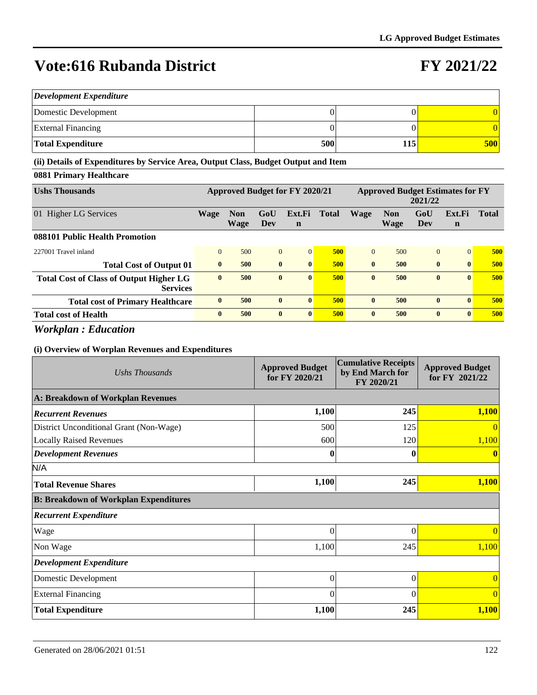### **FY 2021/22**

| <b>Development Expenditure</b> |     |     |            |  |  |  |  |  |
|--------------------------------|-----|-----|------------|--|--|--|--|--|
| Domestic Development           |     |     |            |  |  |  |  |  |
| <b>External Financing</b>      |     |     |            |  |  |  |  |  |
| Total Expenditure              | 500 | 115 | <b>500</b> |  |  |  |  |  |

**(ii) Details of Expenditures by Service Area, Output Class, Budget Output and Item**

### **0881 Primary Healthcare**

| <b>Ushs Thousands</b>                                             | Approved Budget for FY 2020/21 |                    |                |                       | <b>Approved Budget Estimates for FY</b><br>2021/22 |              |                    |              |                       |              |
|-------------------------------------------------------------------|--------------------------------|--------------------|----------------|-----------------------|----------------------------------------------------|--------------|--------------------|--------------|-----------------------|--------------|
| 01 Higher LG Services                                             | <b>Wage</b>                    | <b>Non</b><br>Wage | GoU<br>Dev     | Ext.Fi<br>$\mathbf n$ | <b>Total</b>                                       | <b>Wage</b>  | <b>Non</b><br>Wage | GoU<br>Dev   | Ext.Fi<br>$\mathbf n$ | <b>Total</b> |
| 088101 Public Health Promotion                                    |                                |                    |                |                       |                                                    |              |                    |              |                       |              |
| 227001 Travel inland                                              | $\mathbf{0}$                   | 500                | $\overline{0}$ | $\Omega$              | 500                                                | $\Omega$     | 500                | $\mathbf{0}$ | $\vert 0 \vert$       | 500          |
| <b>Total Cost of Output 01</b>                                    | $\mathbf{0}$                   | 500                | $\bf{0}$       | $\mathbf{0}$          | 500                                                | $\mathbf{0}$ | 500                | $\bf{0}$     | $\mathbf{0}$          | 500          |
| <b>Total Cost of Class of Output Higher LG</b><br><b>Services</b> | $\mathbf{0}$                   | 500                | $\bf{0}$       | $\mathbf{0}$          | 500                                                | $\mathbf{0}$ | 500                | $\bf{0}$     | $\mathbf{0}$          | 500          |
| <b>Total cost of Primary Healthcare</b>                           | $\mathbf{0}$                   | 500                | $\mathbf{0}$   | $\mathbf{0}$          | 500                                                | $\mathbf{0}$ | 500                | $\bf{0}$     | $\mathbf{0}$          | 500          |
| <b>Total cost of Health</b>                                       | $\mathbf{0}$                   | 500                | $\mathbf{0}$   | $\mathbf{0}$          | 500                                                | $\mathbf{0}$ | 500                | $\mathbf{0}$ | $\mathbf{0}$          | 500          |

*Workplan : Education*

| Ushs Thousands                               | <b>Approved Budget</b><br>for FY 2020/21 | <b>Cumulative Receipts</b><br>by End March for<br>FY 2020/21 | <b>Approved Budget</b><br>for FY 2021/22 |  |
|----------------------------------------------|------------------------------------------|--------------------------------------------------------------|------------------------------------------|--|
| A: Breakdown of Workplan Revenues            |                                          |                                                              |                                          |  |
| <b>Recurrent Revenues</b>                    | 1,100                                    | 245                                                          | 1,100                                    |  |
| District Unconditional Grant (Non-Wage)      | 500                                      | 125                                                          | $\Omega$                                 |  |
| <b>Locally Raised Revenues</b>               | 600                                      | 120                                                          | 1,100                                    |  |
| <b>Development Revenues</b>                  | 0                                        |                                                              | $\mathbf{0}$                             |  |
| N/A                                          |                                          |                                                              |                                          |  |
| <b>Total Revenue Shares</b>                  | 1,100                                    | 245                                                          | 1,100                                    |  |
| <b>B: Breakdown of Workplan Expenditures</b> |                                          |                                                              |                                          |  |
| <b>Recurrent Expenditure</b>                 |                                          |                                                              |                                          |  |
| Wage                                         | 0                                        | $\Omega$                                                     |                                          |  |
| Non Wage                                     | 1,100                                    | 245                                                          | 1,100                                    |  |
| <b>Development Expenditure</b>               |                                          |                                                              |                                          |  |
| Domestic Development                         | $\overline{0}$                           | $\theta$                                                     | $\overline{0}$                           |  |
| <b>External Financing</b>                    | 0                                        | $\Omega$                                                     | $\theta$                                 |  |
| <b>Total Expenditure</b>                     | 1,100                                    | 245                                                          | 1,100                                    |  |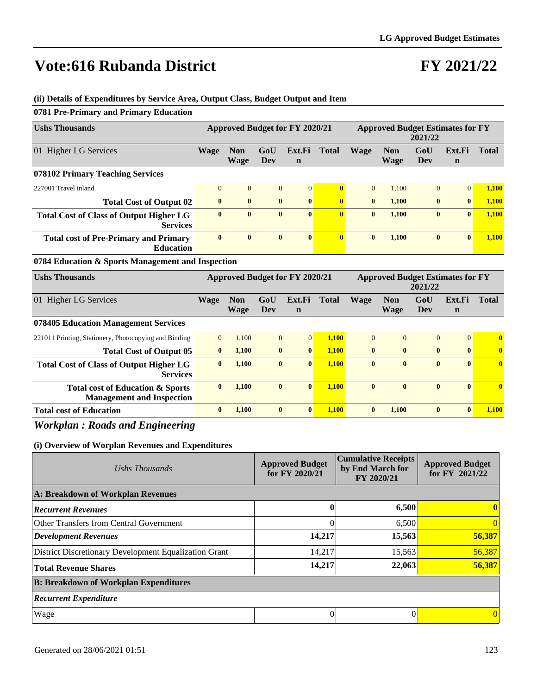**0781 Pre-Primary and Primary Education**

# **FY 2021/22**

| <b>Ushs Thousands</b>                                             |                |                           |                | Approved Budget for FY 2020/21        |              | <b>Approved Budget Estimates for FY</b><br>2021/22 |                           |              |                                         |              |
|-------------------------------------------------------------------|----------------|---------------------------|----------------|---------------------------------------|--------------|----------------------------------------------------|---------------------------|--------------|-----------------------------------------|--------------|
| 01 Higher LG Services                                             | Wage           | <b>Non</b><br><b>Wage</b> | GoU<br>Dev     | Ext.Fi<br>$\mathbf n$                 | <b>Total</b> | <b>Wage</b>                                        | <b>Non</b><br>Wage        | GoU<br>Dev   | Ext.Fi<br>$\mathbf n$                   | <b>Total</b> |
| 078102 Primary Teaching Services                                  |                |                           |                |                                       |              |                                                    |                           |              |                                         |              |
| 227001 Travel inland                                              | $\overline{0}$ | $\overline{0}$            | $\overline{0}$ | $\overline{0}$                        | $\mathbf{0}$ | $\overline{0}$                                     | 1.100                     | $\Omega$     | $\Omega$                                | 1,100        |
| <b>Total Cost of Output 02</b>                                    | $\bf{0}$       | $\bf{0}$                  | $\bf{0}$       | $\bf{0}$                              | $\bf{0}$     | $\bf{0}$                                           | 1,100                     | $\bf{0}$     | $\bf{0}$                                | 1,100        |
| <b>Total Cost of Class of Output Higher LG</b><br><b>Services</b> | $\mathbf{0}$   | $\mathbf{0}$              | $\mathbf{0}$   | $\mathbf{0}$                          | $\mathbf{0}$ | $\mathbf{0}$                                       | 1,100                     | $\mathbf{0}$ | $\mathbf{0}$                            | 1,100        |
| <b>Total cost of Pre-Primary and Primary</b><br><b>Education</b>  | $\mathbf{0}$   | $\bf{0}$                  | $\bf{0}$       | $\mathbf{0}$                          | $\mathbf{0}$ | $\bf{0}$                                           | 1,100                     | $\mathbf{0}$ | $\mathbf{0}$                            | 1,100        |
| 0784 Education & Sports Management and Inspection                 |                |                           |                |                                       |              |                                                    |                           |              |                                         |              |
| <b>Ushs Thousands</b>                                             |                |                           |                | <b>Approved Budget for FY 2020/21</b> |              |                                                    |                           | 2021/22      | <b>Approved Budget Estimates for FY</b> |              |
| 01 Higher LG Services                                             | <b>Wage</b>    | <b>Non</b><br><b>Wage</b> | GoU<br>Dev     | Ext.Fi<br>n                           | <b>Total</b> | <b>Wage</b>                                        | <b>Non</b><br><b>Wage</b> | GoU<br>Dev   | Ext.Fi<br>n                             | <b>Total</b> |
| 078405 Education Management Services                              |                |                           |                |                                       |              |                                                    |                           |              |                                         |              |
| 221011 Printing, Stationery, Photocopying and Binding             | $\mathbf{0}$   | 1,100                     | $\overline{0}$ | $\overline{0}$                        | 1,100        | $\Omega$                                           | $\Omega$                  | $\Omega$     | $\overline{0}$                          | $\mathbf{0}$ |
| <b>Total Cost of Output 05</b>                                    | $\bf{0}$       | 1,100                     | $\bf{0}$       | $\bf{0}$                              | 1,100        | $\bf{0}$                                           | $\bf{0}$                  | $\bf{0}$     | $\bf{0}$                                | $\mathbf{0}$ |
| <b>Total Cost of Class of Output Higher LG</b><br><b>Services</b> | $\mathbf{0}$   | 1,100                     | $\bf{0}$       | $\bf{0}$                              | 1,100        | $\bf{0}$                                           | $\bf{0}$                  | $\bf{0}$     | $\mathbf{0}$                            | $\mathbf{0}$ |
| <b>Total cost of Education &amp; Sports</b>                       | $\bf{0}$       | 1,100                     | $\bf{0}$       | $\bf{0}$                              | 1,100        | $\bf{0}$                                           | $\bf{0}$                  | $\bf{0}$     | $\mathbf{0}$                            | $\mathbf{0}$ |
| <b>Management and Inspection</b>                                  |                |                           |                |                                       |              |                                                    |                           |              |                                         |              |

#### **(ii) Details of Expenditures by Service Area, Output Class, Budget Output and Item**

### *Workplan : Roads and Engineering*

| Ushs Thousands                                        | <b>Approved Budget</b><br>for FY 2020/21 | <b>Cumulative Receipts</b><br>by End March for<br>FY 2020/21 | <b>Approved Budget</b><br>for FY 2021/22 |
|-------------------------------------------------------|------------------------------------------|--------------------------------------------------------------|------------------------------------------|
| A: Breakdown of Workplan Revenues                     |                                          |                                                              |                                          |
| <b>Recurrent Revenues</b>                             |                                          | 6,500                                                        | 0                                        |
| Other Transfers from Central Government               | 0                                        | 6,500                                                        | $\Omega$                                 |
| Development Revenues                                  | 14,217                                   | 15,563                                                       | 56,387                                   |
| District Discretionary Development Equalization Grant | 14,217                                   | 15,563                                                       | 56,387                                   |
| <b>Total Revenue Shares</b>                           | 14,217                                   | 22,063                                                       | 56,387                                   |
| <b>B: Breakdown of Workplan Expenditures</b>          |                                          |                                                              |                                          |
| <b>Recurrent Expenditure</b>                          |                                          |                                                              |                                          |
| Wage                                                  | 0                                        |                                                              | $\Omega$                                 |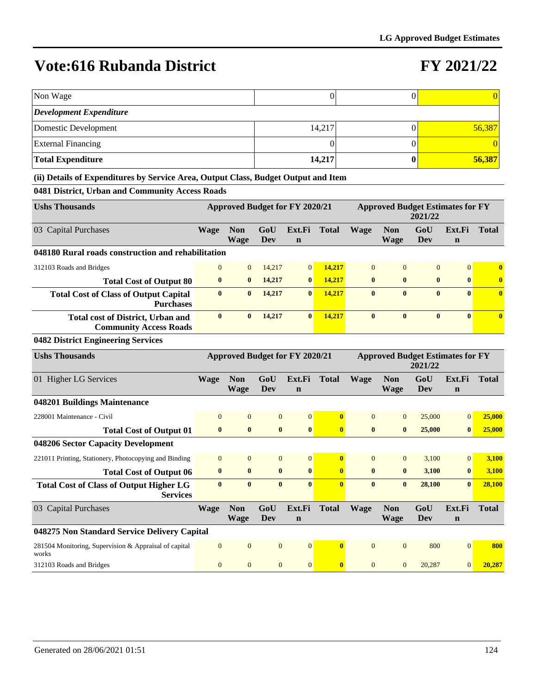### **FY 2021/22**

| Non Wage                                                                           |                  |                           |                   |                                       | $\boldsymbol{0}$ |                  |                                         | $\boldsymbol{0}$  |                       | $\theta$     |
|------------------------------------------------------------------------------------|------------------|---------------------------|-------------------|---------------------------------------|------------------|------------------|-----------------------------------------|-------------------|-----------------------|--------------|
| <b>Development Expenditure</b>                                                     |                  |                           |                   |                                       |                  |                  |                                         |                   |                       |              |
| Domestic Development                                                               |                  |                           |                   |                                       | 14,217           |                  |                                         | $\boldsymbol{0}$  |                       | 56,387       |
| <b>External Financing</b>                                                          |                  |                           |                   |                                       | 0                |                  |                                         | $\boldsymbol{0}$  |                       | $\Omega$     |
| <b>Total Expenditure</b>                                                           |                  |                           |                   |                                       | 14,217           |                  |                                         | $\boldsymbol{0}$  |                       | 56,387       |
| (ii) Details of Expenditures by Service Area, Output Class, Budget Output and Item |                  |                           |                   |                                       |                  |                  |                                         |                   |                       |              |
| 0481 District, Urban and Community Access Roads                                    |                  |                           |                   |                                       |                  |                  |                                         |                   |                       |              |
| <b>Ushs Thousands</b>                                                              |                  |                           |                   | <b>Approved Budget for FY 2020/21</b> |                  |                  | <b>Approved Budget Estimates for FY</b> | 2021/22           |                       |              |
| 03 Capital Purchases                                                               | <b>Wage</b>      | <b>Non</b><br><b>Wage</b> | GoU<br>Dev        | Ext.Fi<br>$\mathbf n$                 | <b>Total</b>     | <b>Wage</b>      | <b>Non</b><br>Wage                      | GoU<br>Dev        | Ext.Fi<br>$\mathbf n$ | <b>Total</b> |
| 048180 Rural roads construction and rehabilitation                                 |                  |                           |                   |                                       |                  |                  |                                         |                   |                       |              |
| 312103 Roads and Bridges                                                           | $\overline{0}$   | $\mathbf{0}$              | 14,217            | $\overline{0}$                        | 14,217           | $\mathbf{0}$     | $\mathbf{0}$                            | $\mathbf{0}$      | $\mathbf{0}$          | $\mathbf{0}$ |
| <b>Total Cost of Output 80</b>                                                     | $\bf{0}$         | $\bf{0}$                  | 14,217            | $\bf{0}$                              | 14,217           | $\bf{0}$         | $\bf{0}$                                | $\bf{0}$          | $\bf{0}$              | $\bf{0}$     |
| <b>Total Cost of Class of Output Capital</b><br><b>Purchases</b>                   | $\bf{0}$         | $\bf{0}$                  | 14,217            | $\bf{0}$                              | 14,217           | $\bf{0}$         | $\bf{0}$                                | $\bf{0}$          | $\mathbf{0}$          | $\mathbf{0}$ |
| <b>Total cost of District, Urban and</b><br><b>Community Access Roads</b>          | $\bf{0}$         | $\boldsymbol{0}$          | 14,217            | $\bf{0}$                              | 14,217           | $\bf{0}$         | $\bf{0}$                                | $\bf{0}$          | $\bf{0}$              | $\bf{0}$     |
| 0482 District Engineering Services                                                 |                  |                           |                   |                                       |                  |                  |                                         |                   |                       |              |
| <b>Ushs Thousands</b>                                                              |                  |                           |                   | <b>Approved Budget for FY 2020/21</b> |                  |                  | <b>Approved Budget Estimates for FY</b> | 2021/22           |                       |              |
| 01 Higher LG Services                                                              | <b>Wage</b>      | <b>Non</b><br><b>Wage</b> | GoU<br>Dev        | Ext.Fi<br>$\mathbf n$                 | <b>Total</b>     | <b>Wage</b>      | <b>Non</b><br><b>Wage</b>               | GoU<br>Dev        | Ext.Fi<br>$\mathbf n$ | <b>Total</b> |
| 048201 Buildings Maintenance                                                       |                  |                           |                   |                                       |                  |                  |                                         |                   |                       |              |
| 228001 Maintenance - Civil                                                         | $\overline{0}$   | $\mathbf{0}$              | $\mathbf{0}$      | $\boldsymbol{0}$                      | $\bf{0}$         | $\mathbf{0}$     | $\mathbf{0}$                            | 25,000            | $\mathbf{0}$          | 25,000       |
| <b>Total Cost of Output 01</b>                                                     | $\bf{0}$         | $\boldsymbol{0}$          | $\bf{0}$          | $\bf{0}$                              | $\bf{0}$         | $\bf{0}$         | $\bf{0}$                                | 25,000            | $\bf{0}$              | 25,000       |
| 048206 Sector Capacity Development                                                 |                  |                           |                   |                                       |                  |                  |                                         |                   |                       |              |
| 221011 Printing, Stationery, Photocopying and Binding                              | $\overline{0}$   | $\mathbf{0}$              | $\mathbf{0}$      | $\boldsymbol{0}$                      | $\bf{0}$         | $\mathbf{0}$     | $\mathbf{0}$                            | 3,100             | $\overline{0}$        | 3,100        |
| <b>Total Cost of Output 06</b>                                                     | $\bf{0}$         | $\boldsymbol{0}$          | $\bf{0}$          | $\bf{0}$                              | $\bf{0}$         | $\bf{0}$         | $\bf{0}$                                | 3,100             | $\bf{0}$              | 3,100        |
| <b>Total Cost of Class of Output Higher LG</b><br><b>Services</b>                  | $\bf{0}$         | $\bf{0}$                  | $\bf{0}$          |                                       |                  | $\bf{0}$         | $\bf{0}$                                | 28,100            | $\bf{0}$              | 28,100       |
| 03 Capital Purchases                                                               | <b>Wage</b>      | <b>Non</b><br><b>Wage</b> | GoU<br><b>Dev</b> | Ext.Fi<br>$\mathbf n$                 | <b>Total</b>     | <b>Wage</b>      | <b>Non</b><br><b>Wage</b>               | GoU<br><b>Dev</b> | Ext.Fi<br>$\mathbf n$ | <b>Total</b> |
| 048275 Non Standard Service Delivery Capital                                       |                  |                           |                   |                                       |                  |                  |                                         |                   |                       |              |
| 281504 Monitoring, Supervision & Appraisal of capital<br>works                     | $\boldsymbol{0}$ | $\boldsymbol{0}$          | $\boldsymbol{0}$  | $\boldsymbol{0}$                      | $\bf{0}$         | $\boldsymbol{0}$ | $\boldsymbol{0}$                        | 800               | $\mathbf{0}$          | 800          |
| 312103 Roads and Bridges                                                           | $\mathbf{0}$     | $\boldsymbol{0}$          | $\mathbf{0}$      | $\boldsymbol{0}$                      | $\bf{0}$         | $\boldsymbol{0}$ | $\mathbf{0}$                            | 20,287            | 0                     | 20,287       |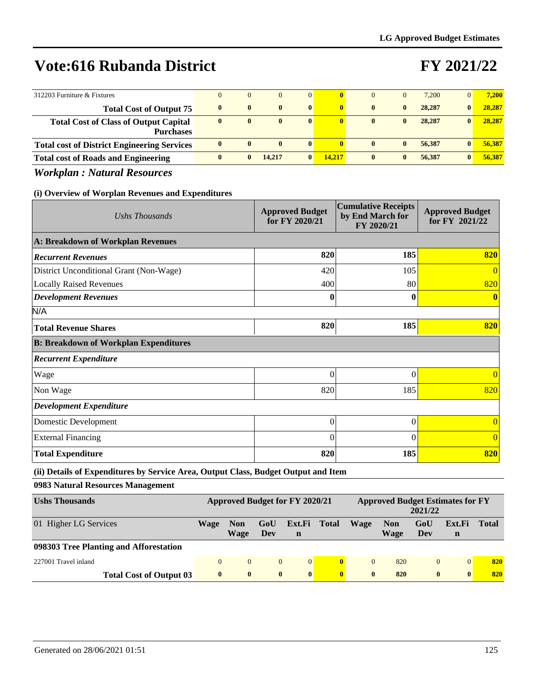# **FY 2021/22**

| 312203 Furniture & Fixtures                                      | $\Omega$     | $\overline{0}$ | $\Omega$     | $\overline{0}$ | $\bf{0}$     | 0            |              | 7.200  | $\overline{0}$ | 7.200  |
|------------------------------------------------------------------|--------------|----------------|--------------|----------------|--------------|--------------|--------------|--------|----------------|--------|
| <b>Total Cost of Output 75</b>                                   | $\mathbf{0}$ | $\mathbf{0}$   | $\mathbf{0}$ | $\mathbf{0}$   | $\mathbf{0}$ | $\mathbf{0}$ | $\mathbf{0}$ | 28,287 | 0              | 28,287 |
| <b>Total Cost of Class of Output Capital</b><br><b>Purchases</b> | $\mathbf{0}$ | $\mathbf{0}$   | $\mathbf{0}$ | $\bf{0}$       |              | $\mathbf{0}$ | $\mathbf{0}$ | 28,287 | $\mathbf{0}$   | 28,287 |
| <b>Total cost of District Engineering Services</b>               | $\mathbf{0}$ | $\mathbf{0}$   | $\mathbf{0}$ | $\mathbf{0}$   |              | $\mathbf{0}$ | $\mathbf{0}$ | 56,387 | $\mathbf{0}$   | 56,387 |
| <b>Total cost of Roads and Engineering</b>                       | 0            |                | 14.217       | $\mathbf{0}$   | 14.217       | $\mathbf{0}$ | $\mathbf{0}$ | 56,387 | $\mathbf{0}$   | 56.387 |

*Workplan : Natural Resources*

### **(i) Overview of Worplan Revenues and Expenditures**

| Ushs Thousands                               | <b>Approved Budget</b><br>for FY 2020/21 | <b>Cumulative Receipts</b><br>by End March for<br>FY 2020/21 | <b>Approved Budget</b><br>for FY 2021/22 |
|----------------------------------------------|------------------------------------------|--------------------------------------------------------------|------------------------------------------|
| A: Breakdown of Workplan Revenues            |                                          |                                                              |                                          |
| <b>Recurrent Revenues</b>                    | 820                                      | 185                                                          | 820                                      |
| District Unconditional Grant (Non-Wage)      | 420                                      | 105                                                          | $\overline{0}$                           |
| <b>Locally Raised Revenues</b>               | 400                                      | 80                                                           | 820                                      |
| <b>Development Revenues</b>                  | $\bf{0}$                                 | 0                                                            | $\mathbf{0}$                             |
| N/A                                          |                                          |                                                              |                                          |
| <b>Total Revenue Shares</b>                  | 820                                      | 185                                                          | 820                                      |
| <b>B: Breakdown of Workplan Expenditures</b> |                                          |                                                              |                                          |
| <b>Recurrent Expenditure</b>                 |                                          |                                                              |                                          |
| Wage                                         | $\Omega$                                 | $\theta$                                                     | $\Omega$                                 |
| Non Wage                                     | 820                                      | 185                                                          | 820                                      |
| <b>Development Expenditure</b>               |                                          |                                                              |                                          |
| Domestic Development                         | $\Omega$                                 | $\theta$                                                     | $\overline{0}$                           |
| <b>External Financing</b>                    | $\theta$                                 | 0                                                            | $\overline{0}$                           |
| <b>Total Expenditure</b>                     | 820                                      | 185                                                          | 820                                      |

**(ii) Details of Expenditures by Service Area, Output Class, Budget Output and Item**

**0983 Natural Resources Management**

| <b>Ushs Thousands</b>                  |              |                    |              | Approved Budget for FY 2020/21 |              |              | <b>Approved Budget Estimates for FY</b> | 2021/22        |              |              |
|----------------------------------------|--------------|--------------------|--------------|--------------------------------|--------------|--------------|-----------------------------------------|----------------|--------------|--------------|
| 01 Higher LG Services                  | Wage         | <b>Non</b><br>Wage | GoU<br>Dev   | Ext.Fi<br>$\mathbf n$          | <b>Total</b> | Wage         | <b>Non</b><br>Wage                      | GoU<br>Dev     | Ext.Fi<br>n  | <b>Total</b> |
| 098303 Tree Planting and Afforestation |              |                    |              |                                |              |              |                                         |                |              |              |
| 227001 Travel inland                   | $\Omega$     | $\Omega$           | $\Omega$     | $\Omega$                       | $\mathbf{0}$ | $\Omega$     | 820                                     | $\overline{0}$ | $\Omega$     | 820          |
| <b>Total Cost of Output 03</b>         | $\mathbf{0}$ | $\bf{0}$           | $\mathbf{0}$ | $\bf{0}$                       | $\mathbf{0}$ | $\mathbf{0}$ | 820                                     | $\bf{0}$       | $\mathbf{0}$ | 820          |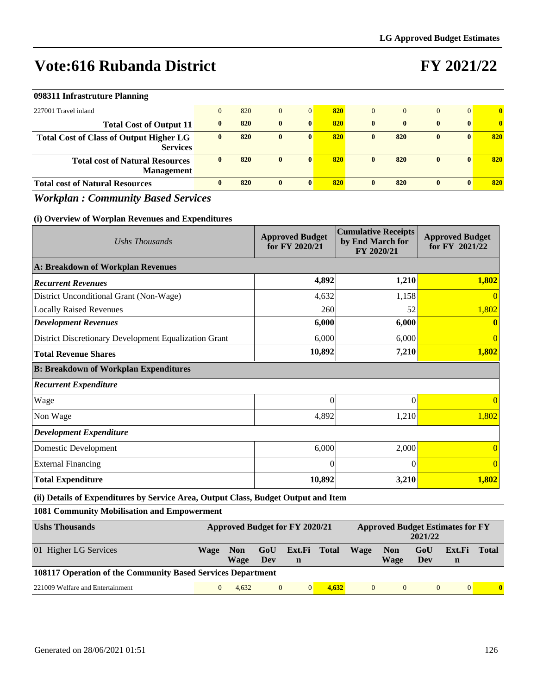# **FY 2021/22**

| 098311 Infrastruture Planning                                     |                |     |              |                |     |              |              |              |                |              |
|-------------------------------------------------------------------|----------------|-----|--------------|----------------|-----|--------------|--------------|--------------|----------------|--------------|
| 227001 Travel inland                                              | $\overline{0}$ | 820 | $\mathbf{0}$ | $\overline{0}$ | 820 | $\Omega$     |              | $\mathbf{0}$ | $\overline{0}$ | $\bf{0}$     |
| <b>Total Cost of Output 11</b>                                    | $\mathbf{0}$   | 820 | $\mathbf{0}$ | $\mathbf{0}$   | 820 | $\mathbf{0}$ | $\mathbf{0}$ | $\bf{0}$     | $\mathbf{0}$   | $\mathbf{0}$ |
| <b>Total Cost of Class of Output Higher LG</b><br><b>Services</b> | $\mathbf{0}$   | 820 | $\mathbf{0}$ | $\mathbf{0}$   | 820 | $\mathbf{0}$ | 820          | $\bf{0}$     | $\mathbf{0}$   | 820          |
| <b>Total cost of Natural Resources</b><br><b>Management</b>       | 0              | 820 | $\bf{0}$     | $\mathbf{0}$   | 820 | $\bf{0}$     | 820          | $\bf{0}$     | $\mathbf{0}$   | 820          |
| <b>Total cost of Natural Resources</b>                            | 0              | 820 | $\mathbf{0}$ | $\mathbf{0}$   | 820 | $\mathbf{0}$ | 820          | $\mathbf{0}$ | 0              | 820          |

### *Workplan : Community Based Services*

#### **(i) Overview of Worplan Revenues and Expenditures**

| Ushs Thousands                                        | <b>Approved Budget</b><br>for FY 2020/21 | <b>Cumulative Receipts</b><br>by End March for<br>FY 2020/21 | <b>Approved Budget</b><br>for FY 2021/22 |
|-------------------------------------------------------|------------------------------------------|--------------------------------------------------------------|------------------------------------------|
| A: Breakdown of Workplan Revenues                     |                                          |                                                              |                                          |
| <b>Recurrent Revenues</b>                             | 4,892                                    | 1,210                                                        | 1,802                                    |
| District Unconditional Grant (Non-Wage)               | 4,632                                    | 1,158                                                        |                                          |
| <b>Locally Raised Revenues</b>                        | 260                                      | 52                                                           | 1,802                                    |
| <b>Development Revenues</b>                           | 6,000                                    | 6,000                                                        |                                          |
| District Discretionary Development Equalization Grant | 6,000                                    | 6,000                                                        |                                          |
| <b>Total Revenue Shares</b>                           | 10,892                                   | 7,210                                                        | 1,802                                    |
| <b>B: Breakdown of Workplan Expenditures</b>          |                                          |                                                              |                                          |
| <b>Recurrent Expenditure</b>                          |                                          |                                                              |                                          |
| Wage                                                  | $\Omega$                                 | $\Omega$                                                     |                                          |
| Non Wage                                              | 4,892                                    | 1,210                                                        | 1,802                                    |
| <b>Development Expenditure</b>                        |                                          |                                                              |                                          |
| Domestic Development                                  | 6,000                                    | 2,000                                                        |                                          |
| <b>External Financing</b>                             | $\Omega$                                 | $\Omega$                                                     |                                          |
| <b>Total Expenditure</b>                              | 10,892                                   | 3,210                                                        | 1,802                                    |

### **(ii) Details of Expenditures by Service Area, Output Class, Budget Output and Item**

### **1081 Community Mobilisation and Empowerment**

| <b>Ushs Thousands</b>                                              | Approved Budget for FY 2020/21 |                           |                |                             |       |          |                           |                |             |       | 2021/22 | <b>Approved Budget Estimates for FY</b> |  |
|--------------------------------------------------------------------|--------------------------------|---------------------------|----------------|-----------------------------|-------|----------|---------------------------|----------------|-------------|-------|---------|-----------------------------------------|--|
| 01 Higher LG Services                                              | <b>Wage</b>                    | <b>Non</b><br><b>Wage</b> | GoU<br>Dev     | Ext.Fi Total<br>$\mathbf n$ |       | Wage     | <b>Non</b><br><b>Wage</b> | GoU<br>Dev     | Ext.Fi<br>n | Total |         |                                         |  |
| <b>108117 Operation of the Community Based Services Department</b> |                                |                           |                |                             |       |          |                           |                |             |       |         |                                         |  |
| 221009 Welfare and Entertainment                                   |                                | 4.632                     | $\overline{0}$ |                             | 4.632 | $\Omega$ | $\Omega$                  | $\overline{0}$ | $\Omega$    | 0     |         |                                         |  |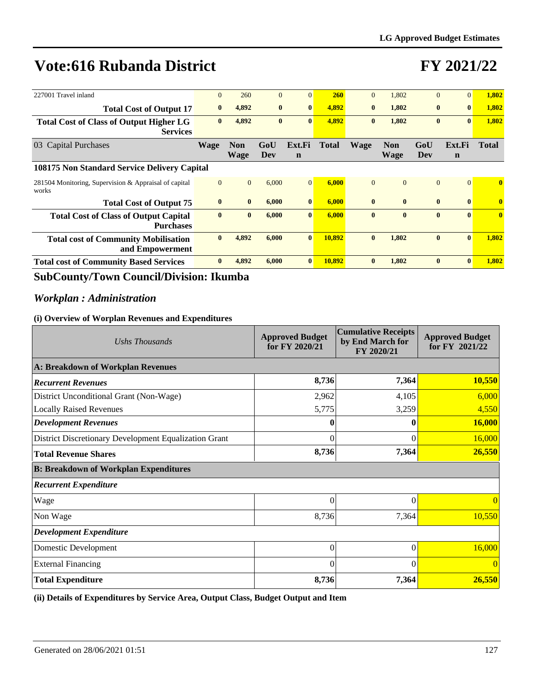# **FY 2021/22**

| 227001 Travel inland                                              | $\Omega$     | 260                       | $\mathbf{0}$ | $\Omega$              | <b>260</b> | $\Omega$     | 1.802                     | $\Omega$       | $\overline{0}$        | 1,802                   |
|-------------------------------------------------------------------|--------------|---------------------------|--------------|-----------------------|------------|--------------|---------------------------|----------------|-----------------------|-------------------------|
| <b>Total Cost of Output 17</b>                                    | $\bf{0}$     | 4,892                     | $\bf{0}$     | $\mathbf{0}$          | 4.892      | $\mathbf{0}$ | 1,802                     | $\bf{0}$       | $\mathbf{0}$          | 1,802                   |
| <b>Total Cost of Class of Output Higher LG</b><br><b>Services</b> | $\bf{0}$     | 4,892                     | $\mathbf{0}$ | $\mathbf{0}$          | 4,892      | $\bf{0}$     | 1,802                     | $\bf{0}$       | $\mathbf{0}$          | 1,802                   |
| 03 Capital Purchases                                              | <b>Wage</b>  | <b>Non</b><br><b>Wage</b> | GoU<br>Dev   | Ext.Fi<br>$\mathbf n$ | Total      | <b>Wage</b>  | <b>Non</b><br><b>Wage</b> | GoU<br>Dev     | Ext.Fi<br>$\mathbf n$ | <b>Total</b>            |
| 108175 Non Standard Service Delivery Capital                      |              |                           |              |                       |            |              |                           |                |                       |                         |
| 281504 Monitoring, Supervision & Appraisal of capital<br>works    | $\mathbf{0}$ | $\overline{0}$            | 6,000        | $\Omega$              | 6,000      | $\Omega$     | $\Omega$                  | $\overline{0}$ | $\Omega$              | $\mathbf{0}$            |
| <b>Total Cost of Output 75</b>                                    | $\bf{0}$     | $\mathbf{0}$              | 6,000        | $\mathbf{0}$          | 6,000      | $\bf{0}$     | $\mathbf{0}$              | $\bf{0}$       | $\mathbf{0}$          | $\overline{\mathbf{0}}$ |
| <b>Total Cost of Class of Output Capital</b><br><b>Purchases</b>  | $\bf{0}$     | $\bf{0}$                  | 6,000        | $\bf{0}$              | 6.000      | $\mathbf{0}$ | $\mathbf{0}$              | $\bf{0}$       | $\mathbf{0}$          | $\mathbf{0}$            |
| <b>Total cost of Community Mobilisation</b><br>and Empowerment    | $\mathbf{0}$ | 4.892                     | 6.000        | $\mathbf{0}$          | 10.892     | $\mathbf{0}$ | 1.802                     | $\bf{0}$       | $\mathbf{0}$          | 1.802                   |
| <b>Total cost of Community Based Services</b>                     | $\mathbf{0}$ | 4,892                     | 6,000        | $\mathbf{0}$          | 10,892     | $\mathbf{0}$ | 1,802                     | $\bf{0}$       | $\mathbf{0}$          | 1,802                   |

### **SubCounty/Town Council/Division: Ikumba**

### *Workplan : Administration*

### **(i) Overview of Worplan Revenues and Expenditures**

| Ushs Thousands                                        | <b>Approved Budget</b><br>for FY 2020/21 | <b>Cumulative Receipts</b><br>by End March for<br>FY 2020/21 | <b>Approved Budget</b><br>for FY 2021/22 |
|-------------------------------------------------------|------------------------------------------|--------------------------------------------------------------|------------------------------------------|
| A: Breakdown of Workplan Revenues                     |                                          |                                                              |                                          |
| <b>Recurrent Revenues</b>                             | 8,736                                    | 7,364                                                        | 10,550                                   |
| District Unconditional Grant (Non-Wage)               | 2,962                                    | 4,105                                                        | 6,000                                    |
| <b>Locally Raised Revenues</b>                        | 5,775                                    | 3,259                                                        | 4,550                                    |
| <b>Development Revenues</b>                           |                                          |                                                              | 16,000                                   |
| District Discretionary Development Equalization Grant | $\theta$                                 | $\Omega$                                                     | 16,000                                   |
| <b>Total Revenue Shares</b>                           | 8,736                                    | 7,364                                                        | 26,550                                   |
| <b>B: Breakdown of Workplan Expenditures</b>          |                                          |                                                              |                                          |
| <b>Recurrent Expenditure</b>                          |                                          |                                                              |                                          |
| Wage                                                  | $\theta$                                 | $\Omega$                                                     | $\Omega$                                 |
| Non Wage                                              | 8,736                                    | 7,364                                                        | 10,550                                   |
| <b>Development Expenditure</b>                        |                                          |                                                              |                                          |
| Domestic Development                                  | $\theta$                                 | $\Omega$                                                     | 16,000                                   |
| <b>External Financing</b>                             | $\Omega$                                 | $\Omega$                                                     | $\Omega$                                 |
| <b>Total Expenditure</b>                              | 8,736                                    | 7,364                                                        | 26,550                                   |

**(ii) Details of Expenditures by Service Area, Output Class, Budget Output and Item**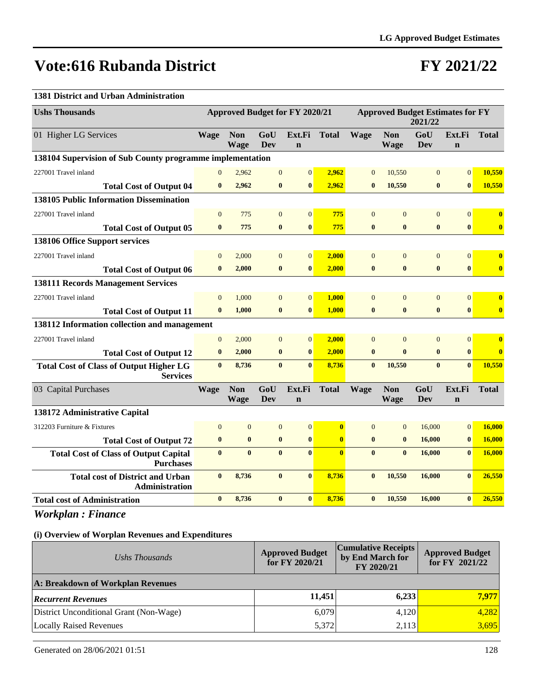### **FY 2021/22**

### **1381 District and Urban Administration**

| <b>Ushs Thousands</b>                                             |                | <b>Approved Budget for FY 2020/21</b> |                |                       |                | <b>Approved Budget Estimates for FY</b><br>2021/22 |                           |                  |                       |                         |
|-------------------------------------------------------------------|----------------|---------------------------------------|----------------|-----------------------|----------------|----------------------------------------------------|---------------------------|------------------|-----------------------|-------------------------|
| 01 Higher LG Services                                             | <b>Wage</b>    | <b>Non</b><br><b>Wage</b>             | GoU<br>Dev     | Ext.Fi<br>$\mathbf n$ | <b>Total</b>   | <b>Wage</b>                                        | <b>Non</b><br><b>Wage</b> | GoU<br>Dev       | Ext.Fi<br>$\mathbf n$ | <b>Total</b>            |
| 138104 Supervision of Sub County programme implementation         |                |                                       |                |                       |                |                                                    |                           |                  |                       |                         |
| 227001 Travel inland                                              | $\mathbf{0}$   | 2,962                                 | $\mathbf{0}$   | $\overline{0}$        | 2,962          | $\overline{0}$                                     | 10,550                    | $\mathbf{0}$     | $\overline{0}$        | 10,550                  |
| <b>Total Cost of Output 04</b>                                    | $\bf{0}$       | 2,962                                 | $\bf{0}$       | $\bf{0}$              | 2,962          | $\bf{0}$                                           | 10,550                    | $\bf{0}$         | $\bf{0}$              | 10,550                  |
| <b>138105 Public Information Dissemination</b>                    |                |                                       |                |                       |                |                                                    |                           |                  |                       |                         |
| 227001 Travel inland                                              | $\Omega$       | 775                                   | $\overline{0}$ | $\overline{0}$        | 775            | $\overline{0}$                                     | $\Omega$                  | $\overline{0}$   | $\overline{0}$        | $\bf{0}$                |
| <b>Total Cost of Output 05</b>                                    | $\mathbf{0}$   | 775                                   | $\mathbf{0}$   | $\mathbf{0}$          | 775            | $\bf{0}$                                           | $\mathbf{0}$              | $\bf{0}$         | $\bf{0}$              | $\bf{0}$                |
| 138106 Office Support services                                    |                |                                       |                |                       |                |                                                    |                           |                  |                       |                         |
| 227001 Travel inland                                              | $\mathbf{0}$   | 2,000                                 | $\mathbf{0}$   | $\mathbf{0}$          | 2,000          | $\Omega$                                           | $\Omega$                  | $\overline{0}$   | $\overline{0}$        | $\overline{\mathbf{0}}$ |
| <b>Total Cost of Output 06</b>                                    | $\mathbf{0}$   | 2,000                                 | $\bf{0}$       | $\mathbf{0}$          | 2,000          | $\bf{0}$                                           | $\bf{0}$                  | $\bf{0}$         | $\bf{0}$              | $\overline{\mathbf{0}}$ |
| <b>138111 Records Management Services</b>                         |                |                                       |                |                       |                |                                                    |                           |                  |                       |                         |
| 227001 Travel inland                                              | $\mathbf{0}$   | 1,000                                 | $\mathbf{0}$   | $\boldsymbol{0}$      | 1,000          | $\mathbf{0}$                                       | $\overline{0}$            | $\boldsymbol{0}$ | $\mathbf{0}$          | $\bf{0}$                |
| <b>Total Cost of Output 11</b>                                    | $\bf{0}$       | 1,000                                 | $\bf{0}$       | $\bf{0}$              | 1,000          | $\bf{0}$                                           | $\bf{0}$                  | $\bf{0}$         | $\bf{0}$              | $\overline{\mathbf{0}}$ |
| 138112 Information collection and management                      |                |                                       |                |                       |                |                                                    |                           |                  |                       |                         |
| 227001 Travel inland                                              | $\overline{0}$ | 2,000                                 | $\overline{0}$ | $\overline{0}$        | 2,000          | $\Omega$                                           | $\Omega$                  | $\mathbf{0}$     | $\overline{0}$        | $\mathbf{0}$            |
| <b>Total Cost of Output 12</b>                                    | $\bf{0}$       | 2,000                                 | $\bf{0}$       | $\bf{0}$              | 2,000          | $\bf{0}$                                           | $\bf{0}$                  | $\bf{0}$         | $\bf{0}$              | $\overline{\mathbf{0}}$ |
| <b>Total Cost of Class of Output Higher LG</b><br><b>Services</b> | $\mathbf{0}$   | 8,736                                 | $\mathbf{0}$   | $\mathbf{0}$          | 8,736          | $\mathbf{0}$                                       | 10,550                    | $\bf{0}$         | $\mathbf{0}$          | 10.550                  |
| 03 Capital Purchases                                              | <b>Wage</b>    | <b>Non</b><br>Wage                    | GoU<br>Dev     | Ext.Fi<br>$\mathbf n$ | <b>Total</b>   | <b>Wage</b>                                        | <b>Non</b><br>Wage        | GoU<br>Dev       | Ext.Fi<br>$\mathbf n$ | <b>Total</b>            |
| 138172 Administrative Capital                                     |                |                                       |                |                       |                |                                                    |                           |                  |                       |                         |
| 312203 Furniture & Fixtures                                       | $\overline{0}$ | $\mathbf{0}$                          | $\mathbf{0}$   | $\boldsymbol{0}$      | $\bf{0}$       | $\mathbf{0}$                                       | $\overline{0}$            | 16,000           | $\mathbf{0}$          | 16,000                  |
| <b>Total Cost of Output 72</b>                                    | $\bf{0}$       | $\bf{0}$                              | $\bf{0}$       | $\bf{0}$              | $\bf{0}$       | $\bf{0}$                                           | $\bf{0}$                  | 16,000           | $\bf{0}$              | 16,000                  |
| <b>Total Cost of Class of Output Capital</b><br><b>Purchases</b>  | $\mathbf{0}$   | $\bf{0}$                              | $\mathbf{0}$   | $\mathbf{0}$          | $\overline{0}$ | $\bf{0}$                                           | $\bf{0}$                  | 16,000           | $\bf{0}$              | 16,000                  |
| <b>Total cost of District and Urban</b><br><b>Administration</b>  | $\bf{0}$       | 8,736                                 | $\bf{0}$       | $\bf{0}$              | 8,736          | $\bf{0}$                                           | 10,550                    | 16,000           | $\bf{0}$              | 26,550                  |
| <b>Total cost of Administration</b>                               | $\bf{0}$       | 8,736                                 | $\bf{0}$       | $\bf{0}$              | 8,736          | $\bf{0}$                                           | 10,550                    | 16,000           | $\bf{0}$              | 26,550                  |

*Workplan : Finance*

| Ushs Thousands                          | <b>Approved Budget</b><br>for FY 2020/21 | <b>Cumulative Receipts</b><br>by End March for<br>FY 2020/21 | <b>Approved Budget</b><br>for FY $2021/22$ |  |  |
|-----------------------------------------|------------------------------------------|--------------------------------------------------------------|--------------------------------------------|--|--|
| A: Breakdown of Workplan Revenues       |                                          |                                                              |                                            |  |  |
| <b>Recurrent Revenues</b>               | 11,451                                   | 6,233                                                        | 7,977                                      |  |  |
| District Unconditional Grant (Non-Wage) | 6,079                                    | 4,120                                                        | 4,282                                      |  |  |
| Locally Raised Revenues                 | 5,372                                    | 2,113                                                        | 3,695                                      |  |  |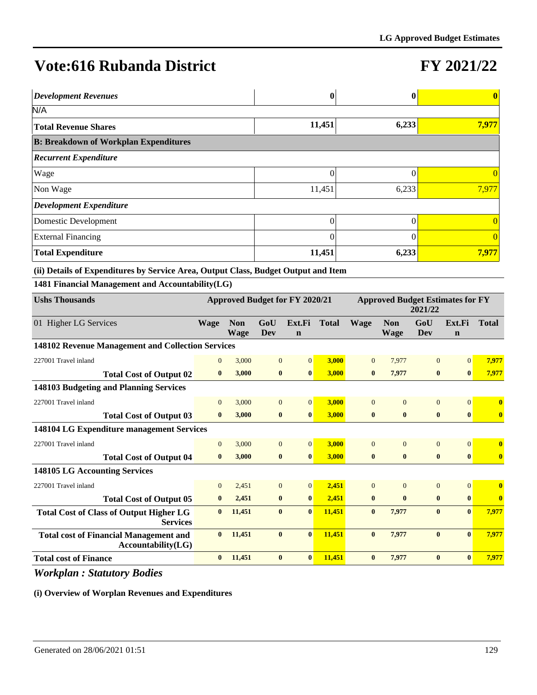# **FY 2021/22**

| <b>Development Revenues</b>                       |        | $\mathbf 0$ | $\mathbf{0}$ |
|---------------------------------------------------|--------|-------------|--------------|
| N/A                                               |        |             |              |
| <b>Total Revenue Shares</b>                       | 11,451 | 6,233       | 7,977        |
| <b>B: Breakdown of Workplan Expenditures</b>      |        |             |              |
| <b>Recurrent Expenditure</b>                      |        |             |              |
| Wage                                              | 0      |             |              |
| Non Wage                                          | 11,451 | 6,233       | 7,977        |
| $\left  \textit{Development Expenditure} \right $ |        |             |              |
| Domestic Development                              | 0      |             |              |
| <b>External Financing</b>                         | 0      |             | $\theta$     |
| <b>Total Expenditure</b>                          | 11,451 | 6,233       | 7,977        |

**(ii) Details of Expenditures by Service Area, Output Class, Budget Output and Item**

**1481 Financial Management and Accountability(LG)**

| <b>Ushs Thousands</b>                                               | Approved Budget for FY 2020/21 |                           |                | <b>Approved Budget Estimates for FY</b><br>2021/22 |              |              |                           |                |                       |              |
|---------------------------------------------------------------------|--------------------------------|---------------------------|----------------|----------------------------------------------------|--------------|--------------|---------------------------|----------------|-----------------------|--------------|
| 01 Higher LG Services                                               | <b>Wage</b>                    | <b>Non</b><br><b>Wage</b> | GoU<br>Dev     | Ext.Fi<br>$\mathbf n$                              | <b>Total</b> | <b>Wage</b>  | <b>Non</b><br><b>Wage</b> | GoU<br>Dev     | Ext.Fi<br>$\mathbf n$ | <b>Total</b> |
| 148102 Revenue Management and Collection Services                   |                                |                           |                |                                                    |              |              |                           |                |                       |              |
| 227001 Travel inland                                                | $\overline{0}$                 | 3,000                     | $\overline{0}$ | $\vert 0 \vert$                                    | 3,000        | $\Omega$     | 7,977                     | $\Omega$       | $\Omega$              | 7,977        |
| <b>Total Cost of Output 02</b>                                      | $\bf{0}$                       | 3,000                     | $\bf{0}$       | $\bf{0}$                                           | 3,000        | $\bf{0}$     | 7,977                     | $\bf{0}$       | $\bf{0}$              | 7,977        |
| 148103 Budgeting and Planning Services                              |                                |                           |                |                                                    |              |              |                           |                |                       |              |
| 227001 Travel inland                                                | $\overline{0}$                 | 3,000                     | $\overline{0}$ | $\overline{0}$                                     | 3,000        | $\Omega$     | $\Omega$                  | $\Omega$       | $\Omega$              | $\mathbf{0}$ |
| <b>Total Cost of Output 03</b>                                      | $\mathbf{0}$                   | 3,000                     | $\bf{0}$       | $\mathbf{0}$                                       | 3,000        | $\mathbf{0}$ | $\bf{0}$                  | $\bf{0}$       | $\mathbf{0}$          | $\bf{0}$     |
| 148104 LG Expenditure management Services                           |                                |                           |                |                                                    |              |              |                           |                |                       |              |
| 227001 Travel inland                                                | $\Omega$                       | 3,000                     | $\mathbf{0}$   | $\overline{0}$                                     | 3,000        | $\Omega$     | $\Omega$                  | $\overline{0}$ | $\Omega$              | $\mathbf{0}$ |
| <b>Total Cost of Output 04</b>                                      | $\mathbf{0}$                   | 3,000                     | $\bf{0}$       | $\bf{0}$                                           | 3,000        | $\bf{0}$     | $\bf{0}$                  | $\bf{0}$       | $\bf{0}$              | $\bf{0}$     |
| <b>148105 LG Accounting Services</b>                                |                                |                           |                |                                                    |              |              |                           |                |                       |              |
| 227001 Travel inland                                                | $\overline{0}$                 | 2,451                     | $\overline{0}$ | $\vert 0 \vert$                                    | 2.451        | $\Omega$     | $\Omega$                  | $\Omega$       | $\overline{0}$        | $\mathbf{0}$ |
| <b>Total Cost of Output 05</b>                                      | $\bf{0}$                       | 2,451                     | $\bf{0}$       | $\bf{0}$                                           | 2.451        | $\bf{0}$     | $\mathbf{0}$              | $\bf{0}$       | $\mathbf{0}$          | $\mathbf{0}$ |
| <b>Total Cost of Class of Output Higher LG</b><br><b>Services</b>   | $\bf{0}$                       | 11,451                    | $\bf{0}$       | $\bf{0}$                                           | 11,451       | $\bf{0}$     | 7,977                     | $\mathbf{0}$   | $\mathbf{0}$          | 7,977        |
| <b>Total cost of Financial Management and</b><br>Accountability(LG) | $\mathbf{0}$                   | 11,451                    | $\mathbf{0}$   | $\mathbf{0}$                                       | 11,451       | $\mathbf{0}$ | 7,977                     | $\mathbf{0}$   | $\mathbf{0}$          | 7,977        |
| <b>Total cost of Finance</b>                                        | $\bf{0}$                       | 11,451                    | $\bf{0}$       | $\mathbf{0}$                                       | 11.451       | $\mathbf{0}$ | 7.977                     | $\bf{0}$       | $\mathbf{0}$          | 7,977        |

*Workplan : Statutory Bodies*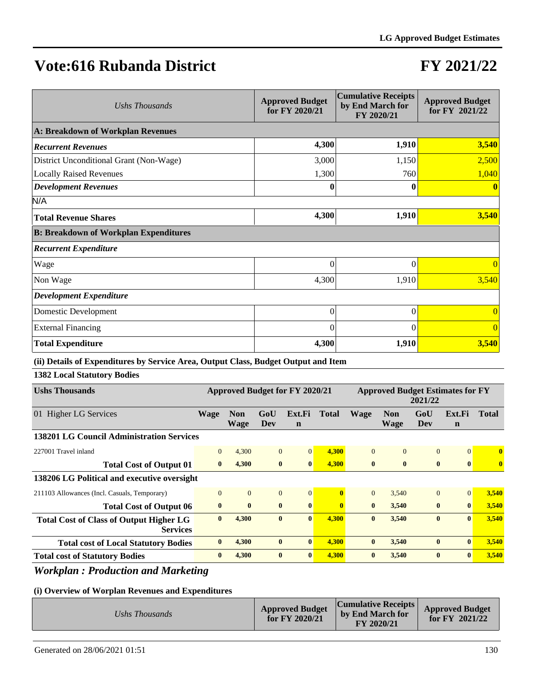# **FY 2021/22**

| Ushs Thousands                               | <b>Approved Budget</b><br>for FY 2020/21 | <b>Cumulative Receipts</b><br>by End March for<br>FY 2020/21 | <b>Approved Budget</b><br>for FY 2021/22 |
|----------------------------------------------|------------------------------------------|--------------------------------------------------------------|------------------------------------------|
| A: Breakdown of Workplan Revenues            |                                          |                                                              |                                          |
| <b>Recurrent Revenues</b>                    | 4,300                                    | 1,910                                                        | 3,540                                    |
| District Unconditional Grant (Non-Wage)      | 3,000                                    | 1,150                                                        | 2,500                                    |
| <b>Locally Raised Revenues</b>               | 1,300                                    | 760                                                          | 1,040                                    |
| <b>Development Revenues</b>                  | 0                                        | 0                                                            |                                          |
| N/A                                          |                                          |                                                              |                                          |
| <b>Total Revenue Shares</b>                  | 4,300                                    | 1,910                                                        | 3,540                                    |
| <b>B: Breakdown of Workplan Expenditures</b> |                                          |                                                              |                                          |
| <b>Recurrent Expenditure</b>                 |                                          |                                                              |                                          |
| Wage                                         | $\theta$                                 | $\theta$                                                     | $\Omega$                                 |
| Non Wage                                     | 4,300                                    | 1,910                                                        | 3,540                                    |
| <b>Development Expenditure</b>               |                                          |                                                              |                                          |
| Domestic Development                         | $\overline{0}$                           | $\theta$                                                     | $\Omega$                                 |
| <b>External Financing</b>                    | $\theta$                                 | $\Omega$                                                     | $\Omega$                                 |
| <b>Total Expenditure</b>                     | 4,300                                    | 1,910                                                        | 3,540                                    |

### **(ii) Details of Expenditures by Service Area, Output Class, Budget Output and Item**

**1382 Local Statutory Bodies**

| <b>Ushs Thousands</b>                                             | <b>Approved Budget for FY 2020/21</b> |                    |                | <b>Approved Budget Estimates for FY</b><br>2021/22 |                |              |                           |                |                       |              |
|-------------------------------------------------------------------|---------------------------------------|--------------------|----------------|----------------------------------------------------|----------------|--------------|---------------------------|----------------|-----------------------|--------------|
| 01 Higher LG Services                                             | <b>Wage</b>                           | <b>Non</b><br>Wage | GoU<br>Dev     | Ext.Fi<br>$\mathbf n$                              | Total          | <b>Wage</b>  | <b>Non</b><br><b>Wage</b> | GoU<br>Dev     | Ext.Fi<br>$\mathbf n$ | Total        |
| 138201 LG Council Administration Services                         |                                       |                    |                |                                                    |                |              |                           |                |                       |              |
| 227001 Travel inland                                              | $\Omega$                              | 4,300              | $\Omega$       | $\Omega$                                           | 4,300          | $\Omega$     | $\Omega$                  | $\Omega$       | $\Omega$              | $\bf{0}$     |
| <b>Total Cost of Output 01</b>                                    | $\mathbf{0}$                          | 4,300              | $\bf{0}$       | $\mathbf{0}$                                       | 4,300          | $\mathbf{0}$ | $\mathbf{0}$              | $\mathbf{0}$   | $\mathbf{0}$          | $\mathbf{0}$ |
| 138206 LG Political and executive oversight                       |                                       |                    |                |                                                    |                |              |                           |                |                       |              |
| 211103 Allowances (Incl. Casuals, Temporary)                      | $\Omega$                              | $\overline{0}$     | $\overline{0}$ | $\overline{0}$                                     | $\overline{0}$ | $\Omega$     | 3,540                     | $\overline{0}$ | $\Omega$              | 3,540        |
| <b>Total Cost of Output 06</b>                                    | $\bf{0}$                              | $\bf{0}$           | $\mathbf{0}$   | $\mathbf{0}$                                       | $\mathbf{0}$   | $\mathbf{0}$ | 3.540                     | $\bf{0}$       | $\mathbf{0}$          | 3,540        |
| <b>Total Cost of Class of Output Higher LG</b><br><b>Services</b> | $\mathbf{0}$                          | 4.300              | $\mathbf{0}$   | $\mathbf{0}$                                       | 4,300          | $\mathbf{0}$ | 3,540                     | $\mathbf{0}$   | $\mathbf{0}$          | 3,540        |
| <b>Total cost of Local Statutory Bodies</b>                       | $\mathbf{0}$                          | 4,300              | $\bf{0}$       | $\mathbf{0}$                                       | 4,300          | $\mathbf{0}$ | 3,540                     | $\bf{0}$       | $\mathbf{0}$          | 3,540        |
| <b>Total cost of Statutory Bodies</b>                             | $\mathbf{0}$                          | 4,300              | $\mathbf{0}$   | $\mathbf{0}$                                       | 4,300          | $\mathbf{0}$ | 3,540                     | $\mathbf{0}$   | $\mathbf{0}$          | 3,540        |

### *Workplan : Production and Marketing*

|--|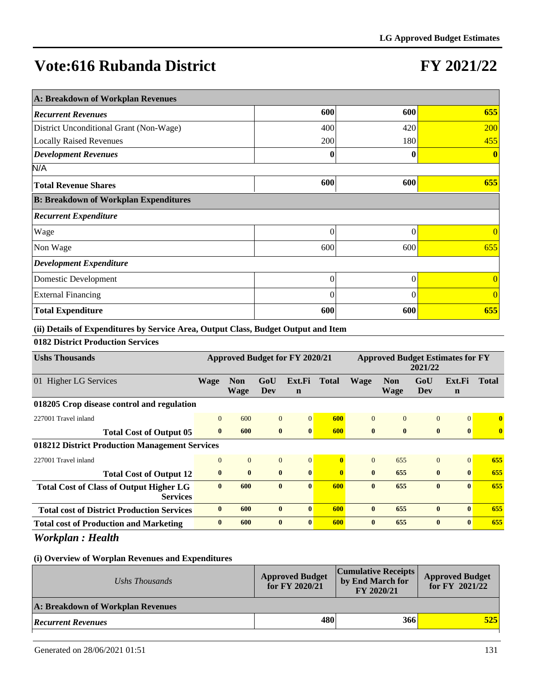# **FY 2021/22**

| A: Breakdown of Workplan Revenues            |          |          |                |  |  |  |  |  |
|----------------------------------------------|----------|----------|----------------|--|--|--|--|--|
| <b>Recurrent Revenues</b>                    | 600      | 600      | 655            |  |  |  |  |  |
| District Unconditional Grant (Non-Wage)      | 400      | 420      | <b>200</b>     |  |  |  |  |  |
| <b>Locally Raised Revenues</b>               | 200      | 180      | 455            |  |  |  |  |  |
| <b>Development Revenues</b>                  | 0        | 0        | $\mathbf{0}$   |  |  |  |  |  |
| N/A                                          |          |          |                |  |  |  |  |  |
| <b>Total Revenue Shares</b>                  | 600      | 600      | 655            |  |  |  |  |  |
| <b>B: Breakdown of Workplan Expenditures</b> |          |          |                |  |  |  |  |  |
| <b>Recurrent Expenditure</b>                 |          |          |                |  |  |  |  |  |
| Wage                                         | $\Omega$ | $\Omega$ | $\Omega$       |  |  |  |  |  |
| Non Wage                                     | 600      | 600      | 655            |  |  |  |  |  |
| <b>Development Expenditure</b>               |          |          |                |  |  |  |  |  |
| Domestic Development                         | $\theta$ | $\theta$ | $\overline{0}$ |  |  |  |  |  |
| <b>External Financing</b>                    | $\Omega$ | $\Omega$ | $\Omega$       |  |  |  |  |  |
| <b>Total Expenditure</b>                     | 600      | 600      | 655            |  |  |  |  |  |

**(ii) Details of Expenditures by Service Area, Output Class, Budget Output and Item**

### **0182 District Production Services**

| <b>Ushs Thousands</b>                                             | Approved Budget for FY 2020/21 |                           |                |                       | <b>Approved Budget Estimates for FY</b><br>2021/22 |              |                           |                |                       |              |
|-------------------------------------------------------------------|--------------------------------|---------------------------|----------------|-----------------------|----------------------------------------------------|--------------|---------------------------|----------------|-----------------------|--------------|
| 01 Higher LG Services                                             | <b>Wage</b>                    | <b>Non</b><br><b>Wage</b> | GoU<br>Dev     | Ext.Fi<br>$\mathbf n$ | <b>Total</b>                                       | <b>Wage</b>  | <b>Non</b><br><b>Wage</b> | GoU<br>Dev     | Ext.Fi<br>$\mathbf n$ | <b>Total</b> |
| 018205 Crop disease control and regulation                        |                                |                           |                |                       |                                                    |              |                           |                |                       |              |
| 227001 Travel inland                                              | $\Omega$                       | 600                       | $\theta$       | $\Omega$              | 600                                                | $\Omega$     | $\Omega$                  | $\Omega$       | $\Omega$              | $\mathbf{0}$ |
| <b>Total Cost of Output 05</b>                                    | $\mathbf{0}$                   | 600                       | $\bf{0}$       | $\mathbf{0}$          | 600                                                | $\mathbf{0}$ | $\mathbf{0}$              | $\bf{0}$       | $\bf{0}$              | $\bf{0}$     |
| 018212 District Production Management Services                    |                                |                           |                |                       |                                                    |              |                           |                |                       |              |
| 227001 Travel inland                                              | $\mathbf{0}$                   | $\mathbf{0}$              | $\overline{0}$ | $\overline{0}$        | Ō                                                  | $\Omega$     | 655                       | $\overline{0}$ | $\overline{0}$        | 655          |
| <b>Total Cost of Output 12</b>                                    | $\bf{0}$                       | $\bf{0}$                  | $\bf{0}$       | $\mathbf{0}$          | $\mathbf{0}$                                       | $\mathbf{0}$ | 655                       | $\bf{0}$       | $\mathbf{0}$          | 655          |
| <b>Total Cost of Class of Output Higher LG</b><br><b>Services</b> | $\mathbf{0}$                   | 600                       | $\mathbf{0}$   | $\mathbf{0}$          | 600                                                | $\mathbf{0}$ | 655                       | $\mathbf{0}$   | $\mathbf{0}$          | 655          |
| <b>Total cost of District Production Services</b>                 | $\mathbf{0}$                   | 600                       | $\bf{0}$       | $\mathbf{0}$          | 600                                                | $\mathbf{0}$ | 655                       | $\bf{0}$       | $\mathbf{0}$          | 655          |
| <b>Total cost of Production and Marketing</b>                     | $\mathbf{0}$                   | 600                       | $\bf{0}$       | $\mathbf{0}$          | 600                                                | $\mathbf{0}$ | 655                       | $\mathbf{0}$   | $\mathbf{0}$          | 655          |

*Workplan : Health*

| Ushs Thousands                    | <b>Approved Budget</b><br>for FY 2020/21 | <b>Cumulative Receipts</b><br>by End March for<br>FY 2020/21 | <b>Approved Budget</b><br>for $FY$ 2021/22 |
|-----------------------------------|------------------------------------------|--------------------------------------------------------------|--------------------------------------------|
| A: Breakdown of Workplan Revenues |                                          |                                                              |                                            |
| <b>Recurrent Revenues</b>         | 480                                      | 366                                                          | 525                                        |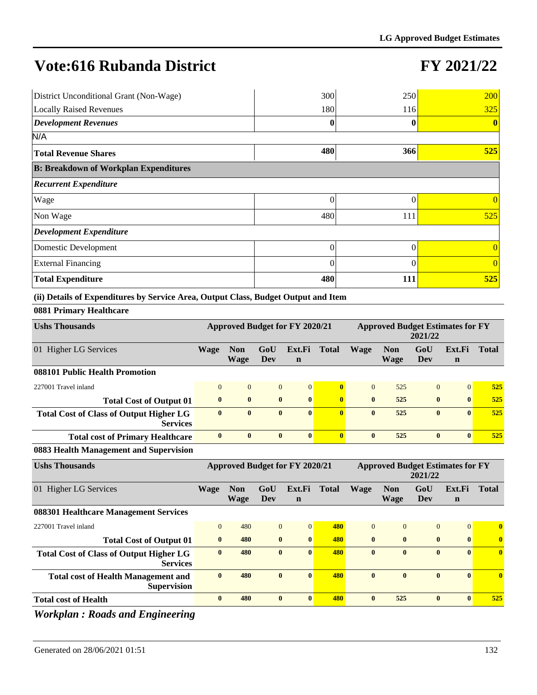# **FY 2021/22**

| District Unconditional Grant (Non-Wage)                                            | 300      | 250        | 200            |  |  |  |  |
|------------------------------------------------------------------------------------|----------|------------|----------------|--|--|--|--|
| <b>Locally Raised Revenues</b>                                                     | 180      | 116        | 325            |  |  |  |  |
| <b>Development Revenues</b>                                                        | 0        |            | $\bf{0}$       |  |  |  |  |
| N/A                                                                                |          |            |                |  |  |  |  |
| <b>Total Revenue Shares</b>                                                        | 480      | 366        | 525            |  |  |  |  |
| <b>B: Breakdown of Workplan Expenditures</b>                                       |          |            |                |  |  |  |  |
| <b>Recurrent Expenditure</b>                                                       |          |            |                |  |  |  |  |
| Wage                                                                               | 0        | 0          |                |  |  |  |  |
| Non Wage                                                                           | 480      | 111        | 525            |  |  |  |  |
| <b>Development Expenditure</b>                                                     |          |            |                |  |  |  |  |
| Domestic Development                                                               | $\theta$ | 0          | $\overline{0}$ |  |  |  |  |
| <b>External Financing</b>                                                          | 0        |            | $\overline{0}$ |  |  |  |  |
| <b>Total Expenditure</b>                                                           | 480      | <b>111</b> | 525            |  |  |  |  |
| (ii) Details of Expenditures by Service Area, Output Class, Budget Output and Item |          |            |                |  |  |  |  |

### **0881 Primary Healthcare**

| <b>Ushs Thousands</b>                                             | <b>Approved Budget for FY 2020/21</b> |                           |              |                       | <b>Approved Budget Estimates for FY</b><br>2021/22 |              |                    |              |                       |              |
|-------------------------------------------------------------------|---------------------------------------|---------------------------|--------------|-----------------------|----------------------------------------------------|--------------|--------------------|--------------|-----------------------|--------------|
| 01 Higher LG Services                                             | <b>Wage</b>                           | <b>Non</b><br><b>Wage</b> | GoU<br>Dev   | Ext.Fi<br>$\mathbf n$ | <b>Total</b>                                       | <b>Wage</b>  | <b>Non</b><br>Wage | GoU<br>Dev   | Ext.Fi<br>$\mathbf n$ | <b>Total</b> |
| 088101 Public Health Promotion                                    |                                       |                           |              |                       |                                                    |              |                    |              |                       |              |
| 227001 Travel inland                                              | $\Omega$                              | $\Omega$                  | $\theta$     | $\Omega$              | $\mathbf{0}$                                       | $\theta$     | 525                | $\Omega$     | $\Omega$              | 525          |
| <b>Total Cost of Output 01</b>                                    | $\mathbf{0}$                          | $\bf{0}$                  | $\bf{0}$     | $\mathbf{0}$          |                                                    | $\mathbf{0}$ | 525                | $\mathbf{0}$ | $\mathbf{0}$          | 525          |
| <b>Total Cost of Class of Output Higher LG</b><br><b>Services</b> | $\bf{0}$                              | $\bf{0}$                  | $\bf{0}$     | $\mathbf{0}$          |                                                    | $\mathbf{0}$ | 525                | $\bf{0}$     | $\mathbf{0}$          | 525          |
| <b>Total cost of Primary Healthcare</b>                           | $\mathbf{0}$                          | $\mathbf{0}$              | $\mathbf{0}$ | $\mathbf{0}$          |                                                    | $\mathbf{0}$ | 525                | $\mathbf{0}$ | $\mathbf{0}$          | 525          |

### **0883 Health Management and Supervision**

| <b>Ushs Thousands</b>                                             | <b>Approved Budget for FY 2020/21</b> |                           |                | <b>Approved Budget Estimates for FY</b><br>2021/22 |              |              |                           |                |                       |                         |
|-------------------------------------------------------------------|---------------------------------------|---------------------------|----------------|----------------------------------------------------|--------------|--------------|---------------------------|----------------|-----------------------|-------------------------|
| 01 Higher LG Services                                             | <b>Wage</b>                           | <b>Non</b><br><b>Wage</b> | GoU<br>Dev     | Ext.Fi<br>$\mathbf n$                              | <b>Total</b> | <b>Wage</b>  | <b>Non</b><br><b>Wage</b> | GoU<br>Dev     | Ext.Fi<br>$\mathbf n$ | <b>Total</b>            |
| 088301 Healthcare Management Services                             |                                       |                           |                |                                                    |              |              |                           |                |                       |                         |
| 227001 Travel inland                                              | $\Omega$                              | 480                       | $\overline{0}$ | $\Omega$                                           | 480          | $\Omega$     | $\Omega$                  | $\overline{0}$ | $\overline{0}$        | $\overline{\mathbf{0}}$ |
| <b>Total Cost of Output 01</b>                                    | $\mathbf{0}$                          | 480                       | $\bf{0}$       | $\bf{0}$                                           | 480          | $\mathbf{0}$ | $\mathbf{0}$              | $\bf{0}$       | $\bf{0}$              | $\bf{0}$                |
| <b>Total Cost of Class of Output Higher LG</b><br><b>Services</b> | $\mathbf{0}$                          | 480                       | $\mathbf{0}$   | $\mathbf{0}$                                       | 480          | $\mathbf{0}$ | $\mathbf{0}$              | $\mathbf{0}$   | $\mathbf{0}$          | $\bf{0}$                |
| <b>Total cost of Health Management and</b><br><b>Supervision</b>  | $\mathbf{0}$                          | 480                       | $\mathbf{0}$   | $\mathbf{0}$                                       | 480          | $\mathbf{0}$ | $\mathbf{0}$              | $\bf{0}$       | $\bf{0}$              | $\bf{0}$                |
| <b>Total cost of Health</b>                                       | $\mathbf{0}$                          | 480                       | $\mathbf{0}$   | $\mathbf{0}$                                       | 480          | $\mathbf{0}$ | 525                       | $\bf{0}$       | $\mathbf{0}$          | 525                     |
| $\sim$ $\sim$<br>--- - -                                          |                                       |                           |                |                                                    |              |              |                           |                |                       |                         |

*Workplan : Roads and Engineering*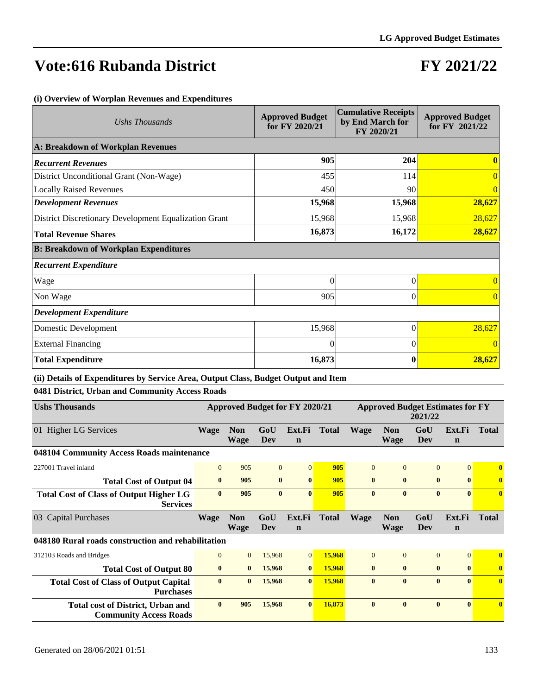# **FY 2021/22**

#### **(i) Overview of Worplan Revenues and Expenditures**

| Ushs Thousands                                        | <b>Approved Budget</b><br>for FY 2020/21 | <b>Cumulative Receipts</b><br>by End March for<br>FY 2020/21 | <b>Approved Budget</b><br>for FY 2021/22 |
|-------------------------------------------------------|------------------------------------------|--------------------------------------------------------------|------------------------------------------|
| A: Breakdown of Workplan Revenues                     |                                          |                                                              |                                          |
| <b>Recurrent Revenues</b>                             | 905                                      | 204                                                          |                                          |
| District Unconditional Grant (Non-Wage)               | 455                                      | 114                                                          | $\overline{0}$                           |
| <b>Locally Raised Revenues</b>                        | 450                                      | 90                                                           |                                          |
| <b>Development Revenues</b>                           | 15,968                                   | 15,968                                                       | 28,627                                   |
| District Discretionary Development Equalization Grant | 15,968                                   | 15,968                                                       | 28,627                                   |
| <b>Total Revenue Shares</b>                           | 16,873                                   | 16,172                                                       | 28,627                                   |
| <b>B: Breakdown of Workplan Expenditures</b>          |                                          |                                                              |                                          |
| <b>Recurrent Expenditure</b>                          |                                          |                                                              |                                          |
| Wage                                                  | $\theta$                                 | $\theta$                                                     | $\overline{0}$                           |
| Non Wage                                              | 905                                      | 0                                                            | $\overline{0}$                           |
| <b>Development Expenditure</b>                        |                                          |                                                              |                                          |
| Domestic Development                                  | 15,968                                   | $\theta$                                                     | 28,627                                   |
| <b>External Financing</b>                             | $\Omega$                                 | $\Omega$                                                     | $\Omega$                                 |
| <b>Total Expenditure</b>                              | 16,873                                   | 0                                                            | 28,627                                   |

### **(ii) Details of Expenditures by Service Area, Output Class, Budget Output and Item**

### **0481 District, Urban and Community Access Roads**

| <b>Ushs Thousands</b>                                                     | Approved Budget for FY 2020/21 |                           |                |                       |              | <b>Approved Budget Estimates for FY</b><br>2021/22 |                           |                |                       |              |
|---------------------------------------------------------------------------|--------------------------------|---------------------------|----------------|-----------------------|--------------|----------------------------------------------------|---------------------------|----------------|-----------------------|--------------|
| 01 Higher LG Services                                                     | <b>Wage</b>                    | <b>Non</b><br><b>Wage</b> | GoU<br>Dev     | Ext.Fi<br>$\mathbf n$ | <b>Total</b> | <b>Wage</b>                                        | <b>Non</b><br>Wage        | GoU<br>Dev     | Ext.Fi<br>$\mathbf n$ | <b>Total</b> |
| 048104 Community Access Roads maintenance                                 |                                |                           |                |                       |              |                                                    |                           |                |                       |              |
| 227001 Travel inland                                                      | $\mathbf{0}$                   | 905                       | $\overline{0}$ | $\overline{0}$        | 905          | $\Omega$                                           | $\Omega$                  | $\overline{0}$ | $\Omega$              | $\bf{0}$     |
| <b>Total Cost of Output 04</b>                                            | $\bf{0}$                       | 905                       | $\bf{0}$       | $\mathbf{0}$          | 905          | $\mathbf{0}$                                       | $\mathbf{0}$              | $\bf{0}$       | $\mathbf{0}$          | $\bf{0}$     |
| <b>Total Cost of Class of Output Higher LG</b><br><b>Services</b>         | $\mathbf{0}$                   | 905                       | $\mathbf{0}$   | $\mathbf{0}$          | 905          | $\mathbf{0}$                                       | $\mathbf{0}$              | $\mathbf{0}$   | $\mathbf{0}$          | $\mathbf{0}$ |
| 03 Capital Purchases                                                      | Wage                           | <b>Non</b><br><b>Wage</b> | GoU<br>Dev     | Ext.Fi<br>$\mathbf n$ | <b>Total</b> | <b>Wage</b>                                        | <b>Non</b><br><b>Wage</b> | GoU<br>Dev     | Ext.Fi<br>$\mathbf n$ | <b>Total</b> |
| 048180 Rural roads construction and rehabilitation                        |                                |                           |                |                       |              |                                                    |                           |                |                       |              |
| 312103 Roads and Bridges                                                  | $\mathbf{0}$                   | $\overline{0}$            | 15,968         | $\overline{0}$        | 15,968       | $\Omega$                                           | $\Omega$                  | $\Omega$       | $\Omega$              | $\mathbf{0}$ |
| <b>Total Cost of Output 80</b>                                            | $\bf{0}$                       | $\bf{0}$                  | 15,968         | $\bf{0}$              | 15,968       | $\bf{0}$                                           | $\mathbf{0}$              | $\mathbf{0}$   | $\mathbf{0}$          | $\bf{0}$     |
| <b>Total Cost of Class of Output Capital</b><br><b>Purchases</b>          | $\mathbf{0}$                   | $\mathbf{0}$              | 15,968         | $\mathbf{0}$          | 15,968       | $\mathbf{0}$                                       | $\mathbf{0}$              | $\mathbf{0}$   | $\mathbf{0}$          | $\mathbf{0}$ |
| <b>Total cost of District, Urban and</b><br><b>Community Access Roads</b> | $\mathbf{0}$                   | 905                       | 15,968         | $\mathbf{0}$          | 16,873       | $\mathbf{0}$                                       | $\mathbf{0}$              | $\mathbf{0}$   | $\mathbf{0}$          | $\mathbf{0}$ |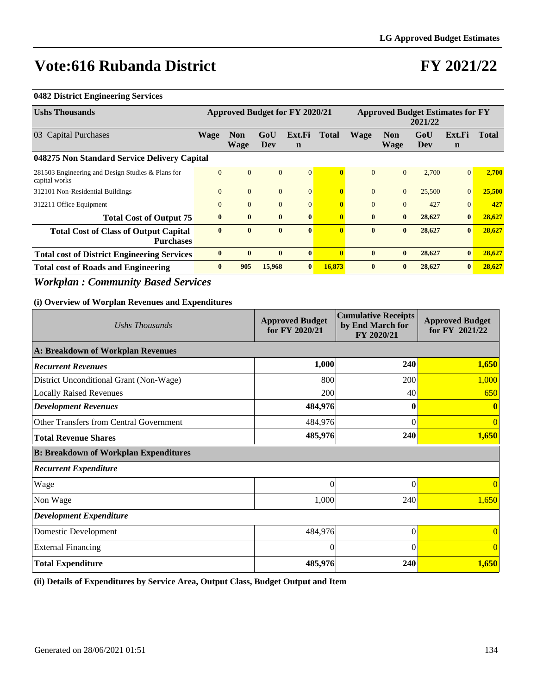# **FY 2021/22**

### **0482 District Engineering Services**

| <b>Ushs Thousands</b>                                              | <b>Approved Budget for FY 2020/21</b> |                           |                |                       | <b>Approved Budget Estimates for FY</b><br>2021/22 |              |                    |            |                       |              |
|--------------------------------------------------------------------|---------------------------------------|---------------------------|----------------|-----------------------|----------------------------------------------------|--------------|--------------------|------------|-----------------------|--------------|
| 03 Capital Purchases                                               | Wage                                  | <b>Non</b><br><b>Wage</b> | GoU<br>Dev     | Ext.Fi<br>$\mathbf n$ | <b>Total</b>                                       | <b>Wage</b>  | <b>Non</b><br>Wage | GoU<br>Dev | Ext.Fi<br>$\mathbf n$ | <b>Total</b> |
| 048275 Non Standard Service Delivery Capital                       |                                       |                           |                |                       |                                                    |              |                    |            |                       |              |
| 281503 Engineering and Design Studies & Plans for<br>capital works | $\theta$                              | $\mathbf{0}$              | $\overline{0}$ | $\overline{0}$        | $\mathbf{0}$                                       | $\Omega$     | $\overline{0}$     | 2,700      | $\Omega$              | 2,700        |
| 312101 Non-Residential Buildings                                   | $\overline{0}$                        | $\mathbf{0}$              | $\overline{0}$ | $\overline{0}$        | $\mathbf{0}$                                       | $\mathbf{0}$ | $\overline{0}$     | 25,500     | $\overline{0}$        | 25,500       |
| 312211 Office Equipment                                            | $\theta$                              | $\overline{0}$            | $\mathbf{0}$   | $\overline{0}$        | 0                                                  | $\Omega$     | $\Omega$           | 427        | $\Omega$              | 427          |
| <b>Total Cost of Output 75</b>                                     | $\mathbf{0}$                          | $\bf{0}$                  | $\mathbf{0}$   | $\bf{0}$              | $\mathbf{0}$                                       | $\mathbf{0}$ | $\mathbf{0}$       | 28,627     | $\bf{0}$              | 28,627       |
| <b>Total Cost of Class of Output Capital</b><br><b>Purchases</b>   | $\bf{0}$                              | $\bf{0}$                  | $\mathbf{0}$   | $\bf{0}$              |                                                    | $\mathbf{0}$ | $\bf{0}$           | 28,627     | $\bf{0}$              | 28,627       |
| <b>Total cost of District Engineering Services</b>                 | $\mathbf{0}$                          | $\bf{0}$                  | $\bf{0}$       | $\mathbf{0}$          |                                                    | $\bf{0}$     | $\bf{0}$           | 28,627     | $\bf{0}$              | 28,627       |
| <b>Total cost of Roads and Engineering</b>                         | $\mathbf{0}$                          | 905                       | 15,968         | $\mathbf{0}$          | 16,873                                             | $\bf{0}$     | $\mathbf{0}$       | 28,627     | $\bf{0}$              | 28,627       |

### *Workplan : Community Based Services*

### **(i) Overview of Worplan Revenues and Expenditures**

| Ushs Thousands                               | <b>Approved Budget</b><br>for FY 2020/21 | <b>Cumulative Receipts</b><br>by End March for<br>FY 2020/21 | <b>Approved Budget</b><br>for FY 2021/22 |  |
|----------------------------------------------|------------------------------------------|--------------------------------------------------------------|------------------------------------------|--|
| A: Breakdown of Workplan Revenues            |                                          |                                                              |                                          |  |
| <b>Recurrent Revenues</b>                    | 1,000                                    | 240                                                          | 1,650                                    |  |
| District Unconditional Grant (Non-Wage)      | 800                                      | 200                                                          | 1,000                                    |  |
| <b>Locally Raised Revenues</b>               | 200                                      | 40                                                           | 650                                      |  |
| <b>Development Revenues</b>                  | 484,976                                  | 0                                                            |                                          |  |
| Other Transfers from Central Government      | 484,976                                  | 0                                                            | $\overline{0}$                           |  |
| <b>Total Revenue Shares</b>                  | 485,976                                  | 240                                                          | 1,650                                    |  |
| <b>B: Breakdown of Workplan Expenditures</b> |                                          |                                                              |                                          |  |
| <b>Recurrent Expenditure</b>                 |                                          |                                                              |                                          |  |
| Wage                                         | $\theta$                                 | $\Omega$                                                     | $\overline{0}$                           |  |
| Non Wage                                     | 1,000                                    | 240                                                          | 1,650                                    |  |
| <b>Development Expenditure</b>               |                                          |                                                              |                                          |  |
| Domestic Development                         | 484,976                                  | $\theta$                                                     | $\overline{0}$                           |  |
| <b>External Financing</b>                    | $\theta$                                 | $\Omega$                                                     | $\overline{0}$                           |  |
| <b>Total Expenditure</b>                     | 485,976                                  | 240                                                          | 1,650                                    |  |

**(ii) Details of Expenditures by Service Area, Output Class, Budget Output and Item**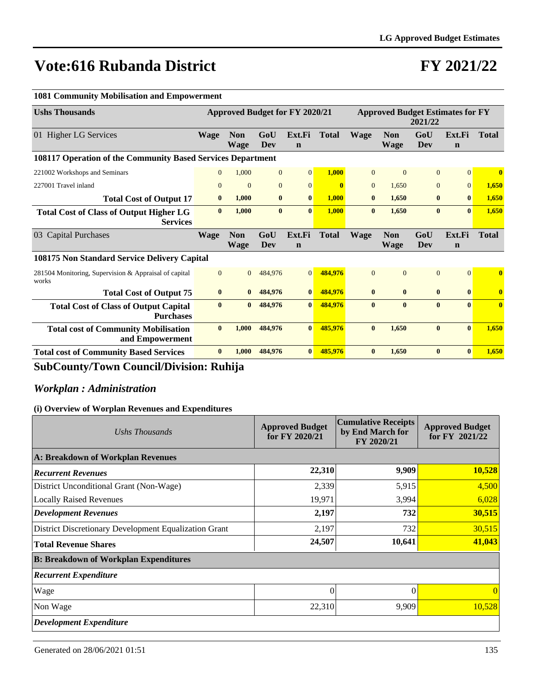# **FY 2021/22**

**n**

**n**

**Total**

**Total**

#### **Ushs Thousands Approved Budget for FY 2020/21 Approved Budget Estimates for FY 2021/22** 01 Higher LG Services **Wage Non Wage GoU Dev Ext.Fi n Total Wage Non Wage GoU Dev Ext.Fi 108117 Operation of the Community Based Services Department**  221002 Workshops and Seminars 0 1,000 0 0 **1,000** 0 0 0 0 **0** 227001 Travel inland 0 0 0 0 **0** 0 1,650 0 0 **1,650 Total Cost of Output 17 0 1,000 0 0 1,000 0 1,650 0 0 1,650 Total Cost of Class of Output Higher LG Services 0 1,000 0 0 1,000 0 1,650 0 0 1,650** 03 Capital Purchases **Wage Non Wage GoU Dev Ext.Fi n Total Wage Non Wage GoU Dev Ext.Fi 108175 Non Standard Service Delivery Capital** 281504 Monitoring, Supervision & Appraisal of capital works 0 0 484,976 0 **484,976** 0 0 0 0 **0 Total Cost of Output 75 0 0 484,976 0 484,976 0 0 0 0 0 Total Cost of Class of Output Capital Purchases 0 0 484,976 0 484,976 0 0 0 0 0 Total cost of Community Mobilisation and Empowerment 0 1,000 484,976 0 485,976 0 1,650 0 0 1,650 Total cost of Community Based Services 0 1,000 484,976 0 485,976 0 1,650 0 0 1,650**

### **1081 Community Mobilisation and Empowerment**

### **SubCounty/Town Council/Division: Ruhija**

### *Workplan : Administration*

| Ushs Thousands                                        | <b>Approved Budget</b><br>for FY 2020/21 | <b>Cumulative Receipts</b><br>by End March for<br>FY 2020/21 | <b>Approved Budget</b><br>for FY 2021/22 |  |
|-------------------------------------------------------|------------------------------------------|--------------------------------------------------------------|------------------------------------------|--|
| A: Breakdown of Workplan Revenues                     |                                          |                                                              |                                          |  |
| <b>Recurrent Revenues</b>                             | 22,310                                   | 9,909                                                        | 10,528                                   |  |
| District Unconditional Grant (Non-Wage)               | 2,339                                    | 5,915                                                        | 4,500                                    |  |
| <b>Locally Raised Revenues</b>                        | 19,971                                   | 3,994                                                        | 6,028                                    |  |
| <b>Development Revenues</b>                           | 2,197                                    | 732                                                          | 30,515                                   |  |
| District Discretionary Development Equalization Grant | 2,197                                    | 732                                                          | 30,515                                   |  |
| <b>Total Revenue Shares</b>                           | 24,507                                   | 10,641                                                       | 41,043                                   |  |
| <b>B: Breakdown of Workplan Expenditures</b>          |                                          |                                                              |                                          |  |
| <b>Recurrent Expenditure</b>                          |                                          |                                                              |                                          |  |
| Wage                                                  | 0                                        | $\Omega$                                                     | $\Omega$                                 |  |
| Non Wage                                              | 22,310                                   | 9,909                                                        | 10.528                                   |  |
| <b>Development Expenditure</b>                        |                                          |                                                              |                                          |  |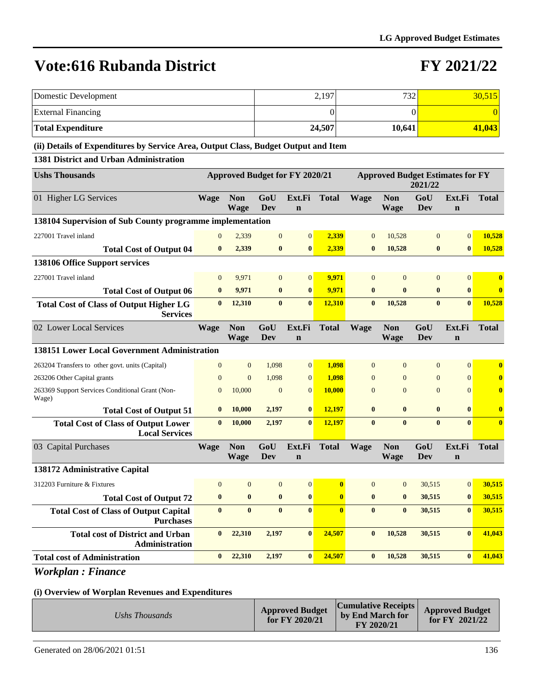### **FY 2021/22**

| Domestic Development                                                               |                                       |                           |                   |                       | 2,197                                   |                  | 732                       |                   |                       | 30,515       |
|------------------------------------------------------------------------------------|---------------------------------------|---------------------------|-------------------|-----------------------|-----------------------------------------|------------------|---------------------------|-------------------|-----------------------|--------------|
| <b>External Financing</b>                                                          |                                       | $\overline{0}$            |                   |                       |                                         |                  | $\overline{0}$            |                   | $\overline{0}$        |              |
| <b>Total Expenditure</b>                                                           |                                       |                           |                   |                       | 24,507                                  |                  | 10,641                    |                   |                       | 41,043       |
| (ii) Details of Expenditures by Service Area, Output Class, Budget Output and Item |                                       |                           |                   |                       |                                         |                  |                           |                   |                       |              |
| 1381 District and Urban Administration                                             |                                       |                           |                   |                       |                                         |                  |                           |                   |                       |              |
| <b>Ushs Thousands</b>                                                              | <b>Approved Budget for FY 2020/21</b> |                           |                   |                       | <b>Approved Budget Estimates for FY</b> | 2021/22          |                           |                   |                       |              |
| 01 Higher LG Services                                                              | Wage                                  | <b>Non</b><br>Wage        | GoU<br>Dev        | Ext.Fi<br>$\mathbf n$ | <b>Total</b>                            | <b>Wage</b>      | <b>Non</b><br><b>Wage</b> | GoU<br>Dev        | Ext.Fi<br>$\mathbf n$ | <b>Total</b> |
| 138104 Supervision of Sub County programme implementation                          |                                       |                           |                   |                       |                                         |                  |                           |                   |                       |              |
| 227001 Travel inland                                                               | $\mathbf{0}$                          | 2,339                     | $\mathbf{0}$      | $\boldsymbol{0}$      | 2,339                                   | $\mathbf{0}$     | 10,528                    | $\mathbf{0}$      | $\mathbf{0}$          | 10,528       |
| <b>Total Cost of Output 04</b>                                                     | $\bf{0}$                              | 2,339                     | $\bf{0}$          | $\bf{0}$              | 2,339                                   | $\bf{0}$         | 10,528                    | $\bf{0}$          | $\bf{0}$              | 10,528       |
| 138106 Office Support services                                                     |                                       |                           |                   |                       |                                         |                  |                           |                   |                       |              |
| 227001 Travel inland                                                               | $\mathbf{0}$                          | 9,971                     | $\mathbf{0}$      | $\mathbf{0}$          | 9,971                                   | $\mathbf{0}$     | $\mathbf{0}$              | $\mathbf{0}$      | $\boldsymbol{0}$      | $\bf{0}$     |
| <b>Total Cost of Output 06</b>                                                     | $\bf{0}$                              | 9,971                     | $\bf{0}$          | $\bf{0}$              | 9,971                                   | $\bf{0}$         | $\bf{0}$                  | $\bf{0}$          | $\bf{0}$              | $\bf{0}$     |
| <b>Total Cost of Class of Output Higher LG</b><br><b>Services</b>                  | $\bf{0}$                              | 12,310                    | $\bf{0}$          | $\bf{0}$              | 12,310                                  | $\bf{0}$         | 10,528                    | $\bf{0}$          | $\bf{0}$              | 10,528       |
| 02 Lower Local Services                                                            | <b>Wage</b>                           | <b>Non</b><br><b>Wage</b> | GoU<br>Dev        | Ext.Fi<br>$\mathbf n$ | <b>Total</b>                            | <b>Wage</b>      | <b>Non</b><br><b>Wage</b> | GoU<br>Dev        | Ext.Fi<br>$\mathbf n$ | <b>Total</b> |
| 138151 Lower Local Government Administration                                       |                                       |                           |                   |                       |                                         |                  |                           |                   |                       |              |
| 263204 Transfers to other govt. units (Capital)                                    | $\overline{0}$                        | $\mathbf{0}$              | 1,098             | $\overline{0}$        | 1,098                                   | $\overline{0}$   | $\overline{0}$            | $\mathbf{0}$      | $\mathbf{0}$          | $\bf{0}$     |
| 263206 Other Capital grants                                                        | $\overline{0}$                        | $\overline{0}$            | 1,098             | $\overline{0}$        | 1,098                                   | $\mathbf{0}$     | $\mathbf{0}$              | $\mathbf{0}$      | $\mathbf{0}$          | $\bf{0}$     |
| 263369 Support Services Conditional Grant (Non-<br>Wage)                           | $\overline{0}$                        | 10,000                    | $\mathbf{0}$      | $\overline{0}$        | <b>10,000</b>                           | $\mathbf{0}$     | $\mathbf{0}$              | $\mathbf{0}$      | $\overline{0}$        | $\bf{0}$     |
| <b>Total Cost of Output 51</b>                                                     | $\bf{0}$                              | 10,000                    | 2,197             | $\bf{0}$              | 12,197                                  | $\bf{0}$         | $\bf{0}$                  | $\bf{0}$          | $\bf{0}$              | $\bf{0}$     |
| <b>Total Cost of Class of Output Lower</b><br><b>Local Services</b>                | $\bf{0}$                              | 10,000                    | 2,197             | $\bf{0}$              | 12,197                                  | $\bf{0}$         | $\bf{0}$                  | $\bf{0}$          | $\mathbf{0}$          | $\bf{0}$     |
| 03 Capital Purchases                                                               | <b>Wage</b>                           | <b>Non</b><br><b>Wage</b> | GoU<br><b>Dev</b> | Ext.Fi<br>$\mathbf n$ | <b>Total</b>                            | <b>Wage</b>      | <b>Non</b><br><b>Wage</b> | GoU<br><b>Dev</b> | Ext.Fi<br>$\mathbf n$ | <b>Total</b> |
| 138172 Administrative Capital                                                      |                                       |                           |                   |                       |                                         |                  |                           |                   |                       |              |
| 312203 Furniture & Fixtures                                                        | $\mathbf{0}$                          | $\mathbf{0}$              | $\mathbf{0}$      | $\mathbf{0}$          | $\boldsymbol{0}$                        | $\boldsymbol{0}$ | $\mathbf{0}$              | 30,515            | $\boldsymbol{0}$      | 30,515       |
| <b>Total Cost of Output 72</b>                                                     | $\pmb{0}$                             | $\bf{0}$                  | $\bf{0}$          | $\bf{0}$              | $\bf{0}$                                | $\bf{0}$         | $\bf{0}$                  | 30,515            | $\bf{0}$              | 30,515       |
| <b>Total Cost of Class of Output Capital</b><br><b>Purchases</b>                   | $\bf{0}$                              | $\bf{0}$                  | $\bf{0}$          | $\bf{0}$              | $\bf{0}$                                | $\bf{0}$         | $\bf{0}$                  | 30,515            | $\bf{0}$              | 30,515       |
| <b>Total cost of District and Urban</b><br>Administration                          | $\mathbf{0}$                          | 22,310                    | 2,197             | $\mathbf{0}$          | 24,507                                  | $\bf{0}$         | 10,528                    | 30,515            | $\bf{0}$              | 41,043       |
| <b>Total cost of Administration</b>                                                | $\bf{0}$                              | 22,310                    | 2,197             | $\bf{0}$              | 24,507                                  | $\bf{0}$         | 10,528                    | 30,515            | $\bf{0}$              | 41,043       |

*Workplan : Finance*

| Ushs Thousands | <b>Approved Budget</b><br>for FY 2020/21 | $ Cumulative$ Receipts $ $<br>by End March for<br>FY 2020/21 | <b>Approved Budget</b><br>for $FY$ 2021/22 |
|----------------|------------------------------------------|--------------------------------------------------------------|--------------------------------------------|
|----------------|------------------------------------------|--------------------------------------------------------------|--------------------------------------------|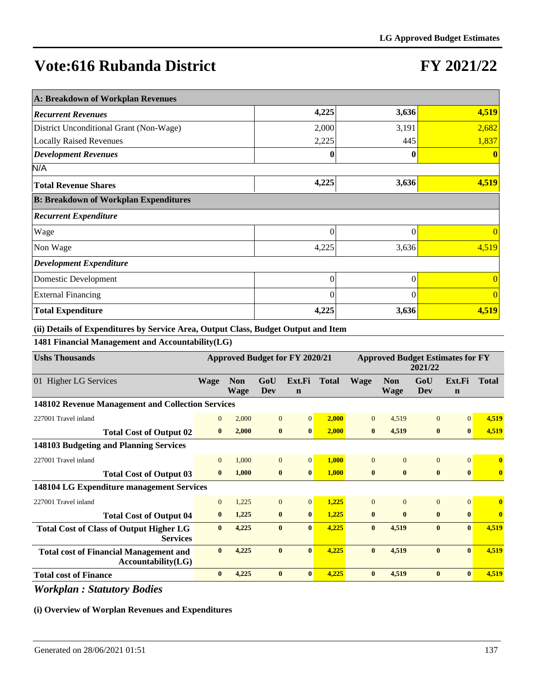# **FY 2021/22**

| A: Breakdown of Workplan Revenues            |          |          |          |  |  |  |  |  |  |
|----------------------------------------------|----------|----------|----------|--|--|--|--|--|--|
| <b>Recurrent Revenues</b>                    | 4,225    | 3,636    | 4,519    |  |  |  |  |  |  |
| District Unconditional Grant (Non-Wage)      | 2,000    | 3,191    | 2,682    |  |  |  |  |  |  |
| <b>Locally Raised Revenues</b>               | 2,225    | 445      | 1,837    |  |  |  |  |  |  |
| <b>Development Revenues</b>                  | 0        | 0        |          |  |  |  |  |  |  |
| N/A                                          |          |          |          |  |  |  |  |  |  |
| <b>Total Revenue Shares</b>                  | 4,225    | 3,636    | 4,519    |  |  |  |  |  |  |
| <b>B: Breakdown of Workplan Expenditures</b> |          |          |          |  |  |  |  |  |  |
| <b>Recurrent Expenditure</b>                 |          |          |          |  |  |  |  |  |  |
| Wage                                         | $\theta$ | $\theta$ | $\theta$ |  |  |  |  |  |  |
| Non Wage                                     | 4,225    | 3,636    | 4,519    |  |  |  |  |  |  |
| <b>Development Expenditure</b>               |          |          |          |  |  |  |  |  |  |
| Domestic Development                         | 0        | $\theta$ | $\theta$ |  |  |  |  |  |  |
| <b>External Financing</b>                    | $\Omega$ | $\Omega$ | $\Omega$ |  |  |  |  |  |  |
| <b>Total Expenditure</b>                     | 4,225    | 3,636    | 4,519    |  |  |  |  |  |  |

**(ii) Details of Expenditures by Service Area, Output Class, Budget Output and Item**

**1481 Financial Management and Accountability(LG)**

| <b>Ushs Thousands</b>                                               | <b>Approved Budget for FY 2020/21</b> |                           |                |                       | <b>Approved Budget Estimates for FY</b><br>2021/22 |              |                           |                |                       |                         |
|---------------------------------------------------------------------|---------------------------------------|---------------------------|----------------|-----------------------|----------------------------------------------------|--------------|---------------------------|----------------|-----------------------|-------------------------|
| 01 Higher LG Services                                               | <b>Wage</b>                           | <b>Non</b><br><b>Wage</b> | GoU<br>Dev     | Ext.Fi<br>$\mathbf n$ | <b>Total</b>                                       | <b>Wage</b>  | <b>Non</b><br><b>Wage</b> | GoU<br>Dev     | Ext.Fi<br>$\mathbf n$ | <b>Total</b>            |
| 148102 Revenue Management and Collection Services                   |                                       |                           |                |                       |                                                    |              |                           |                |                       |                         |
| 227001 Travel inland                                                | $\mathbf{0}$                          | 2,000                     | $\overline{0}$ | $\Omega$              | 2,000                                              | $\Omega$     | 4,519                     | $\mathbf{0}$   | $\Omega$              | 4,519                   |
| <b>Total Cost of Output 02</b>                                      | $\bf{0}$                              | 2,000                     | $\mathbf{0}$   | $\mathbf{0}$          | 2.000                                              | $\bf{0}$     | 4,519                     | $\bf{0}$       | $\mathbf{0}$          | 4,519                   |
| 148103 Budgeting and Planning Services                              |                                       |                           |                |                       |                                                    |              |                           |                |                       |                         |
| 227001 Travel inland                                                | $\Omega$                              | 1,000                     | $\overline{0}$ | $\overline{0}$        | 1,000                                              | $\Omega$     | $\Omega$                  | $\overline{0}$ | $\Omega$              | $\mathbf{0}$            |
| <b>Total Cost of Output 03</b>                                      | $\mathbf{0}$                          | 1,000                     | $\bf{0}$       | $\bf{0}$              | 1,000                                              | $\bf{0}$     | $\bf{0}$                  | $\bf{0}$       | $\bf{0}$              | $\bf{0}$                |
| 148104 LG Expenditure management Services                           |                                       |                           |                |                       |                                                    |              |                           |                |                       |                         |
| 227001 Travel inland                                                | $\Omega$                              | 1,225                     | $\overline{0}$ | $\Omega$              | 1,225                                              | $\Omega$     | $\Omega$                  | $\Omega$       | $\overline{0}$        | $\overline{\mathbf{0}}$ |
| <b>Total Cost of Output 04</b>                                      | $\bf{0}$                              | 1,225                     | $\bf{0}$       | $\mathbf{0}$          | 1,225                                              | $\bf{0}$     | $\mathbf{0}$              | $\bf{0}$       | $\mathbf{0}$          | $\bf{0}$                |
| <b>Total Cost of Class of Output Higher LG</b><br><b>Services</b>   | $\bf{0}$                              | 4,225                     | $\mathbf{0}$   | $\mathbf{0}$          | 4,225                                              | $\bf{0}$     | 4,519                     | $\bf{0}$       | $\mathbf{0}$          | 4,519                   |
| <b>Total cost of Financial Management and</b><br>Accountability(LG) | $\mathbf{0}$                          | 4,225                     | $\mathbf{0}$   | $\mathbf{0}$          | 4,225                                              | $\mathbf{0}$ | 4,519                     | $\mathbf{0}$   | $\mathbf{0}$          | 4,519                   |
| <b>Total cost of Finance</b>                                        | $\bf{0}$                              | 4,225                     | $\bf{0}$       | $\mathbf{0}$          | 4,225                                              | $\bf{0}$     | 4,519                     | $\bf{0}$       | $\mathbf{0}$          | 4,519                   |

*Workplan : Statutory Bodies*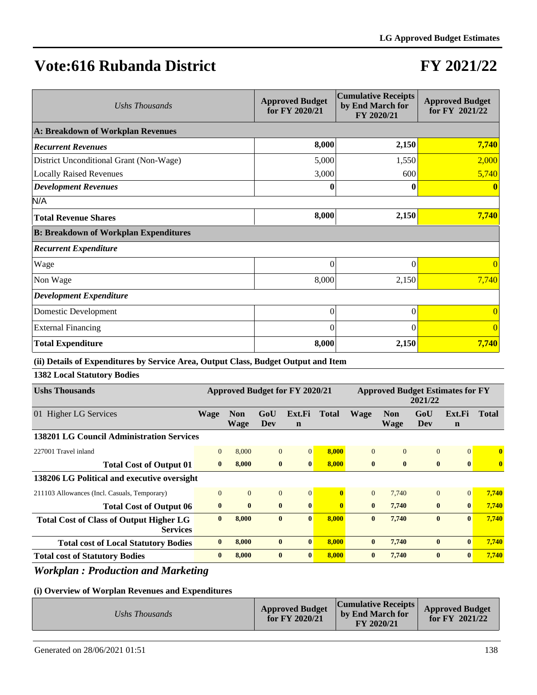# **FY 2021/22**

| Ushs Thousands                               | <b>Approved Budget</b><br>for FY 2020/21 | <b>Cumulative Receipts</b><br>by End March for<br>FY 2020/21 | <b>Approved Budget</b><br>for FY 2021/22 |  |  |  |  |  |
|----------------------------------------------|------------------------------------------|--------------------------------------------------------------|------------------------------------------|--|--|--|--|--|
| A: Breakdown of Workplan Revenues            |                                          |                                                              |                                          |  |  |  |  |  |
| <b>Recurrent Revenues</b>                    | 8,000                                    | 2,150                                                        | 7,740                                    |  |  |  |  |  |
| District Unconditional Grant (Non-Wage)      | 5,000                                    | 1,550                                                        | 2,000                                    |  |  |  |  |  |
| <b>Locally Raised Revenues</b>               | 3,000                                    | 600                                                          | 5,740                                    |  |  |  |  |  |
| <b>Development Revenues</b>                  | 0                                        |                                                              |                                          |  |  |  |  |  |
| N/A                                          |                                          |                                                              |                                          |  |  |  |  |  |
| <b>Total Revenue Shares</b>                  | 8,000                                    | 2,150                                                        | 7,740                                    |  |  |  |  |  |
| <b>B: Breakdown of Workplan Expenditures</b> |                                          |                                                              |                                          |  |  |  |  |  |
| <b>Recurrent Expenditure</b>                 |                                          |                                                              |                                          |  |  |  |  |  |
| Wage                                         | $\theta$                                 | $\theta$                                                     | $\overline{0}$                           |  |  |  |  |  |
| Non Wage                                     | 8,000                                    | 2,150                                                        | 7,740                                    |  |  |  |  |  |
| <b>Development Expenditure</b>               |                                          |                                                              |                                          |  |  |  |  |  |
| Domestic Development                         | $\overline{0}$                           | $\theta$                                                     | $\Omega$                                 |  |  |  |  |  |
| <b>External Financing</b>                    | $\theta$                                 | $\Omega$                                                     | $\Omega$                                 |  |  |  |  |  |
| <b>Total Expenditure</b>                     | 8,000                                    | 2,150                                                        | 7,740                                    |  |  |  |  |  |

### **(ii) Details of Expenditures by Service Area, Output Class, Budget Output and Item**

**1382 Local Statutory Bodies**

| <b>Ushs Thousands</b>                                             | <b>Approved Budget for FY 2020/21</b>            |                    |                |                       | <b>Approved Budget Estimates for FY</b><br>2021/22 |              |                           |              |                       |              |
|-------------------------------------------------------------------|--------------------------------------------------|--------------------|----------------|-----------------------|----------------------------------------------------|--------------|---------------------------|--------------|-----------------------|--------------|
| 01 Higher LG Services                                             | <b>Wage</b>                                      | <b>Non</b><br>Wage | GoU<br>Dev     | Ext.Fi<br>$\mathbf n$ | <b>Total</b>                                       | <b>Wage</b>  | <b>Non</b><br><b>Wage</b> | GoU<br>Dev   | Ext.Fi<br>$\mathbf n$ | Total        |
|                                                                   | <b>138201 LG Council Administration Services</b> |                    |                |                       |                                                    |              |                           |              |                       |              |
| 227001 Travel inland                                              | $\mathbf{0}$                                     | 8,000              | $\overline{0}$ | $\Omega$              | 8,000                                              | $\theta$     | $\Omega$                  | $\Omega$     | $\Omega$              | $\bf{0}$     |
| <b>Total Cost of Output 01</b>                                    | $\mathbf{0}$                                     | 8,000              | $\bf{0}$       | $\bf{0}$              | 8,000                                              | $\mathbf{0}$ | $\mathbf{0}$              | $\bf{0}$     | $\mathbf{0}$          | $\mathbf{0}$ |
| 138206 LG Political and executive oversight                       |                                                  |                    |                |                       |                                                    |              |                           |              |                       |              |
| 211103 Allowances (Incl. Casuals, Temporary)                      | $\Omega$                                         | $\overline{0}$     | $\mathbf{0}$   | $\overline{0}$        | $\mathbf{0}$                                       | $\Omega$     | 7.740                     | $\Omega$     | $\Omega$              | 7,740        |
| <b>Total Cost of Output 06</b>                                    | $\bf{0}$                                         | $\bf{0}$           | $\mathbf{0}$   | $\mathbf{0}$          | $\mathbf{0}$                                       | $\mathbf{0}$ | 7,740                     | $\mathbf{0}$ | $\mathbf{0}$          | 7,740        |
| <b>Total Cost of Class of Output Higher LG</b><br><b>Services</b> | $\mathbf{0}$                                     | 8.000              | $\mathbf{0}$   | $\mathbf{0}$          | 8.000                                              | $\mathbf{0}$ | 7,740                     | $\mathbf{0}$ | $\mathbf{0}$          | 7,740        |
| <b>Total cost of Local Statutory Bodies</b>                       | $\mathbf{0}$                                     | 8,000              | $\mathbf{0}$   | $\mathbf{0}$          | 8,000                                              | $\mathbf{0}$ | 7,740                     | $\mathbf{0}$ | $\mathbf{0}$          | 7,740        |
| <b>Total cost of Statutory Bodies</b>                             | $\mathbf{0}$                                     | 8,000              | $\mathbf{0}$   | $\mathbf{0}$          | 8,000                                              | $\mathbf{0}$ | 7,740                     | $\mathbf{0}$ | $\mathbf{0}$          | 7,740        |

### *Workplan : Production and Marketing*

|--|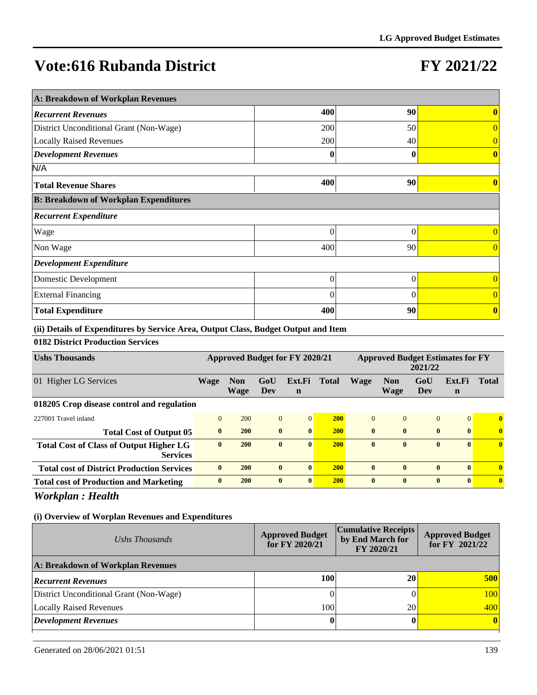# **FY 2021/22**

| A: Breakdown of Workplan Revenues            |          |          |                  |  |  |  |  |  |  |
|----------------------------------------------|----------|----------|------------------|--|--|--|--|--|--|
| <b>Recurrent Revenues</b>                    | 400      | 90       | 0                |  |  |  |  |  |  |
| District Unconditional Grant (Non-Wage)      | 200      | 50       | $\overline{0}$   |  |  |  |  |  |  |
| <b>Locally Raised Revenues</b>               | 200      | 40       |                  |  |  |  |  |  |  |
| <b>Development Revenues</b>                  | 0        | 0        | 0                |  |  |  |  |  |  |
| N/A                                          |          |          |                  |  |  |  |  |  |  |
| <b>Total Revenue Shares</b>                  | 400      | 90       |                  |  |  |  |  |  |  |
| <b>B: Breakdown of Workplan Expenditures</b> |          |          |                  |  |  |  |  |  |  |
| <b>Recurrent Expenditure</b>                 |          |          |                  |  |  |  |  |  |  |
| Wage                                         | $\theta$ | $\Omega$ | 0                |  |  |  |  |  |  |
| Non Wage                                     | 400      | 90       | $\overline{0}$   |  |  |  |  |  |  |
| <b>Development Expenditure</b>               |          |          |                  |  |  |  |  |  |  |
| Domestic Development                         | $\theta$ | $\theta$ | $\overline{0}$   |  |  |  |  |  |  |
| <b>External Financing</b>                    | $\Omega$ | $\Omega$ | $\theta$         |  |  |  |  |  |  |
| <b>Total Expenditure</b>                     | 400      | 90       | $\boldsymbol{0}$ |  |  |  |  |  |  |

**(ii) Details of Expenditures by Service Area, Output Class, Budget Output and Item**

### **0182 District Production Services**

| <b>Ushs Thousands</b>                                             | Approved Budget for FY 2020/21 |                           |              | <b>Approved Budget Estimates for FY</b><br>2021/22 |            |              |                           |                |                       |              |
|-------------------------------------------------------------------|--------------------------------|---------------------------|--------------|----------------------------------------------------|------------|--------------|---------------------------|----------------|-----------------------|--------------|
| <b>Higher LG Services</b><br>01                                   | <b>Wage</b>                    | <b>Non</b><br><b>Wage</b> | GoU<br>Dev   | Ext.Fi<br>n                                        | Total      | <b>Wage</b>  | <b>Non</b><br><b>Wage</b> | GoU<br>Dev     | Ext.Fi<br>$\mathbf n$ | <b>Total</b> |
| 018205 Crop disease control and regulation                        |                                |                           |              |                                                    |            |              |                           |                |                       |              |
| 227001 Travel inland                                              | $\Omega$                       | 200                       | $\mathbf{0}$ | $\Omega$                                           | <b>200</b> | $\Omega$     | $\Omega$                  | $\overline{0}$ | $\Omega$              | $\mathbf{0}$ |
| <b>Total Cost of Output 05</b>                                    | $\mathbf{0}$                   | <b>200</b>                | $\bf{0}$     | $\bf{0}$                                           | <b>200</b> | $\mathbf{0}$ | $\mathbf{0}$              | $\mathbf{0}$   | $\mathbf{0}$          | $\bf{0}$     |
| <b>Total Cost of Class of Output Higher LG</b><br><b>Services</b> | $\mathbf{0}$                   | <b>200</b>                | $\mathbf{0}$ | $\mathbf{0}$                                       | <b>200</b> | $\mathbf{0}$ | $\mathbf{0}$              | $\bf{0}$       | $\mathbf{0}$          | $\mathbf{0}$ |
| <b>Total cost of District Production Services</b>                 | $\mathbf{0}$                   | <b>200</b>                | $\mathbf{0}$ | $\mathbf{0}$                                       | <b>200</b> | $\mathbf{0}$ | $\mathbf{0}$              | $\bf{0}$       | $\mathbf{0}$          | $\mathbf{0}$ |
| <b>Total cost of Production and Marketing</b>                     | $\mathbf{0}$                   | <b>200</b>                | $\mathbf{0}$ | $\mathbf{0}$                                       | <b>200</b> | $\mathbf{0}$ | $\mathbf{0}$              | $\bf{0}$       | $\mathbf{0}$          | $\mathbf{0}$ |

### *Workplan : Health*

| Ushs Thousands                          | <b>Approved Budget</b><br>for FY 2020/21 | <b>Cumulative Receipts</b><br>by End March for<br>FY 2020/21 | <b>Approved Budget</b><br>for FY 2021/22 |
|-----------------------------------------|------------------------------------------|--------------------------------------------------------------|------------------------------------------|
| A: Breakdown of Workplan Revenues       |                                          |                                                              |                                          |
| <b>Recurrent Revenues</b>               | 100                                      | 20                                                           | 500                                      |
| District Unconditional Grant (Non-Wage) |                                          |                                                              | 100                                      |
| Locally Raised Revenues                 | 100                                      | 20                                                           | 400                                      |
| <b>Development Revenues</b>             |                                          |                                                              | $\vert$ 0                                |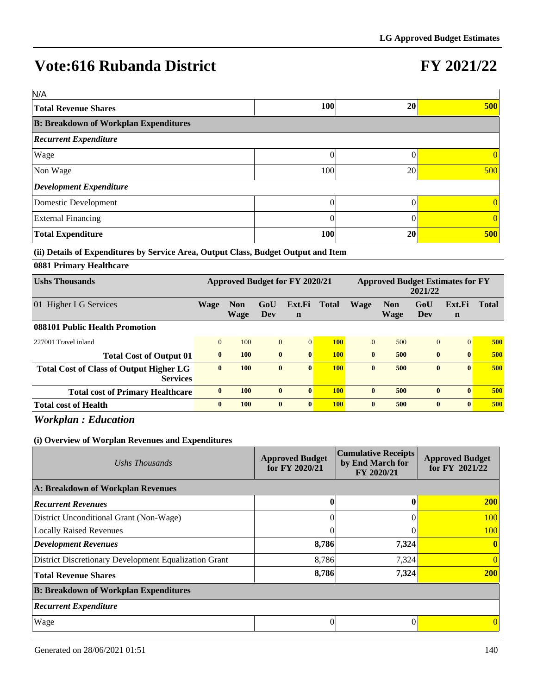# **FY 2021/22**

| N/A                                          |            |    |     |
|----------------------------------------------|------------|----|-----|
| <b>Total Revenue Shares</b>                  | <b>100</b> | 20 | 500 |
| <b>B: Breakdown of Workplan Expenditures</b> |            |    |     |
| <b>Recurrent Expenditure</b>                 |            |    |     |
| Wage                                         |            |    |     |
| Non Wage                                     | 100        | 20 | 500 |
| Development Expenditure                      |            |    |     |
| Domestic Development                         | 0          |    |     |
| <b>External Financing</b>                    | 0          |    |     |
| <b>Total Expenditure</b>                     | 100        | 20 | 500 |

### **(ii) Details of Expenditures by Service Area, Output Class, Budget Output and Item**

### **0881 Primary Healthcare**

| <b>Ushs Thousands</b>                                             | <b>Approved Budget for FY 2020/21</b> |                           |              | <b>Approved Budget Estimates for FY</b><br>2021/22 |              |              |                           |                |                       |              |
|-------------------------------------------------------------------|---------------------------------------|---------------------------|--------------|----------------------------------------------------|--------------|--------------|---------------------------|----------------|-----------------------|--------------|
| 01 Higher LG Services                                             | Wage                                  | <b>Non</b><br><b>Wage</b> | GoU<br>Dev   | Ext.Fi<br>$\mathbf n$                              | <b>Total</b> | <b>Wage</b>  | <b>Non</b><br><b>Wage</b> | GoU<br>Dev     | Ext.Fi<br>$\mathbf n$ | <b>Total</b> |
| 088101 Public Health Promotion                                    |                                       |                           |              |                                                    |              |              |                           |                |                       |              |
| 227001 Travel inland                                              | $\Omega$                              | 100                       | $\mathbf{0}$ | $\vert 0 \vert$                                    | <b>100</b>   | $\theta$     | 500                       | $\overline{0}$ | $\Omega$              | 500          |
| <b>Total Cost of Output 01</b>                                    | $\mathbf{0}$                          | 100                       | $\mathbf{0}$ | $\mathbf{0}$                                       | <b>100</b>   | $\mathbf{0}$ | 500                       | $\mathbf{0}$   | $\mathbf{0}$          | 500          |
| <b>Total Cost of Class of Output Higher LG</b><br><b>Services</b> | $\bf{0}$                              | 100                       | $\bf{0}$     | $\vert 0 \vert$                                    | <b>100</b>   | $\mathbf{0}$ | 500                       | $\bf{0}$       | $\mathbf{0}$          | 500          |
| <b>Total cost of Primary Healthcare</b>                           | $\mathbf{0}$                          | 100                       | $\mathbf{0}$ | $\mathbf{0}$                                       | <b>100</b>   | $\mathbf{0}$ | 500                       | $\mathbf{0}$   | $\mathbf{0}$          | 500          |
| <b>Total cost of Health</b>                                       | $\bf{0}$                              | <b>100</b>                | $\bf{0}$     | $\vert 0 \vert$                                    | <b>100</b>   | $\mathbf{0}$ | 500                       | $\mathbf{0}$   | $\mathbf{0}$          | 500          |

*Workplan : Education*

| Ushs Thousands                                        | <b>Approved Budget</b><br>for FY 2020/21 | <b>Cumulative Receipts</b><br>by End March for<br>FY 2020/21 | <b>Approved Budget</b><br>for FY 2021/22 |
|-------------------------------------------------------|------------------------------------------|--------------------------------------------------------------|------------------------------------------|
| A: Breakdown of Workplan Revenues                     |                                          |                                                              |                                          |
| <b>Recurrent Revenues</b>                             | $\bf{0}$                                 |                                                              | <b>200</b>                               |
| District Unconditional Grant (Non-Wage)               |                                          |                                                              | 100                                      |
| <b>Locally Raised Revenues</b>                        |                                          |                                                              | 100                                      |
| <b>Development Revenues</b>                           | 8,786                                    | 7,324                                                        | $\mathbf{0}$                             |
| District Discretionary Development Equalization Grant | 8,786                                    | 7,324                                                        | $\overline{0}$                           |
| <b>Total Revenue Shares</b>                           | 8,786                                    | 7,324                                                        | <b>200</b>                               |
| <b>B: Breakdown of Workplan Expenditures</b>          |                                          |                                                              |                                          |
| <b>Recurrent Expenditure</b>                          |                                          |                                                              |                                          |
| Wage                                                  | 0                                        |                                                              | $\Omega$                                 |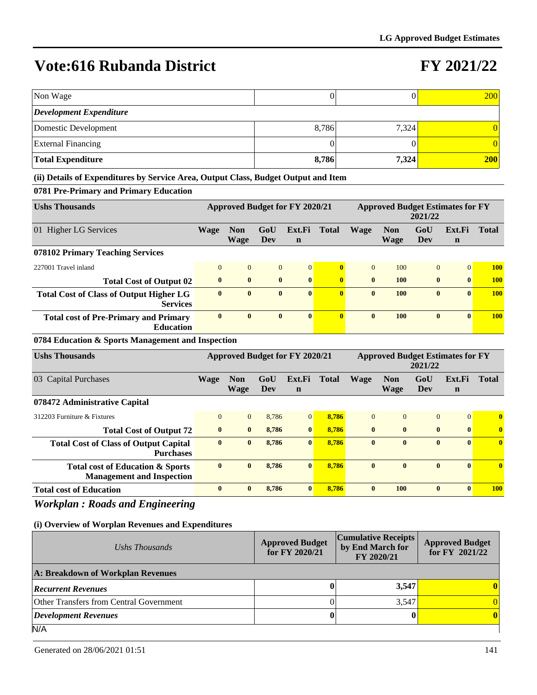### **FY 2021/22**

| Non Wage                                                                           |                |                                       |                   |                       | $\mathbf{0}$            |                |                                         | $\overline{0}$    |                       | 200            |
|------------------------------------------------------------------------------------|----------------|---------------------------------------|-------------------|-----------------------|-------------------------|----------------|-----------------------------------------|-------------------|-----------------------|----------------|
| <b>Development Expenditure</b>                                                     |                |                                       |                   |                       |                         |                |                                         |                   |                       |                |
| <b>Domestic Development</b>                                                        |                |                                       |                   |                       | 8,786                   |                | 7,324                                   |                   |                       | $\overline{0}$ |
| <b>External Financing</b>                                                          |                |                                       |                   |                       | $\boldsymbol{0}$        |                |                                         | $\theta$          |                       | $\Omega$       |
| <b>Total Expenditure</b>                                                           |                |                                       |                   |                       | 8,786                   |                | 7,324                                   |                   |                       | <b>200</b>     |
| (ii) Details of Expenditures by Service Area, Output Class, Budget Output and Item |                |                                       |                   |                       |                         |                |                                         |                   |                       |                |
| 0781 Pre-Primary and Primary Education                                             |                |                                       |                   |                       |                         |                |                                         |                   |                       |                |
| <b>Ushs Thousands</b>                                                              |                | <b>Approved Budget for FY 2020/21</b> |                   |                       |                         |                | <b>Approved Budget Estimates for FY</b> | 2021/22           |                       |                |
| 01 Higher LG Services                                                              | Wage           | <b>Non</b><br><b>Wage</b>             | GoU<br><b>Dev</b> | Ext.Fi<br>$\mathbf n$ | <b>Total</b>            | Wage           | <b>Non</b><br><b>Wage</b>               | GoU<br>Dev        | Ext.Fi<br>$\mathbf n$ | <b>Total</b>   |
| 078102 Primary Teaching Services                                                   |                |                                       |                   |                       |                         |                |                                         |                   |                       |                |
| 227001 Travel inland                                                               | $\overline{0}$ | $\mathbf{0}$                          | $\overline{0}$    | $\overline{0}$        | $\bf{0}$                | $\overline{0}$ | 100                                     | $\mathbf{0}$      | $\mathbf{0}$          | <b>100</b>     |
| <b>Total Cost of Output 02</b>                                                     | $\bf{0}$       | $\bf{0}$                              | $\bf{0}$          | $\bf{0}$              | $\overline{\mathbf{0}}$ | $\bf{0}$       | 100                                     | $\bf{0}$          | $\bf{0}$              | <b>100</b>     |
| <b>Total Cost of Class of Output Higher LG</b><br><b>Services</b>                  | $\mathbf{0}$   | $\mathbf{0}$                          | $\mathbf{0}$      | $\mathbf{0}$          | $\overline{\mathbf{0}}$ | $\mathbf{0}$   | 100                                     | $\mathbf{0}$      | $\mathbf{0}$          | 100            |
| <b>Total cost of Pre-Primary and Primary</b><br><b>Education</b>                   | $\bf{0}$       | $\bf{0}$                              | $\bf{0}$          | $\bf{0}$              | $\overline{\mathbf{0}}$ | $\bf{0}$       | 100                                     | $\bf{0}$          | $\bf{0}$              | <b>100</b>     |
| 0784 Education & Sports Management and Inspection                                  |                |                                       |                   |                       |                         |                |                                         |                   |                       |                |
| <b>Ushs Thousands</b>                                                              |                | <b>Approved Budget for FY 2020/21</b> |                   |                       |                         |                | <b>Approved Budget Estimates for FY</b> | 2021/22           |                       |                |
| 03 Capital Purchases                                                               | <b>Wage</b>    | <b>Non</b><br><b>Wage</b>             | GoU<br><b>Dev</b> | Ext.Fi<br>$\mathbf n$ | <b>Total</b>            | <b>Wage</b>    | <b>Non</b><br><b>Wage</b>               | GoU<br><b>Dev</b> | Ext.Fi<br>$\mathbf n$ | <b>Total</b>   |
| 078472 Administrative Capital                                                      |                |                                       |                   |                       |                         |                |                                         |                   |                       |                |
| 312203 Furniture & Fixtures                                                        | $\overline{0}$ | $\mathbf{0}$                          | 8,786             | $\mathbf{0}$          | 8,786                   | $\overline{0}$ | $\overline{0}$                          | $\overline{0}$    | $\mathbf{0}$          | $\bf{0}$       |
| <b>Total Cost of Output 72</b>                                                     | $\bf{0}$       | $\bf{0}$                              | 8,786             | $\bf{0}$              | 8,786                   | $\bf{0}$       | $\bf{0}$                                | $\bf{0}$          | $\bf{0}$              | $\bf{0}$       |
| <b>Total Cost of Class of Output Capital</b><br><b>Purchases</b>                   | $\bf{0}$       | $\mathbf{0}$                          | 8,786             | $\bf{0}$              | 8,786                   | $\bf{0}$       | $\bf{0}$                                | $\bf{0}$          | $\mathbf{0}$          | $\bf{0}$       |
| <b>Total cost of Education &amp; Sports</b><br><b>Management and Inspection</b>    | $\bf{0}$       | $\mathbf{0}$                          | 8,786             | $\bf{0}$              | 8,786                   | $\bf{0}$       | $\bf{0}$                                | $\bf{0}$          | $\mathbf{0}$          | $\bf{0}$       |
| <b>Total cost of Education</b>                                                     | $\mathbf{0}$   | $\bf{0}$                              | 8,786             | $\bf{0}$              | 8,786                   | $\mathbf{0}$   | 100                                     | $\mathbf{0}$      | $\mathbf{0}$          | <b>100</b>     |
|                                                                                    |                |                                       |                   |                       |                         |                |                                         |                   |                       |                |

### *Workplan : Roads and Engineering*

| Ushs Thousands                                 | <b>Approved Budget</b><br>for FY 2020/21 | <b>Cumulative Receipts</b><br>by End March for<br>FY 2020/21 | <b>Approved Budget</b><br>for FY 2021/22 |
|------------------------------------------------|------------------------------------------|--------------------------------------------------------------|------------------------------------------|
| A: Breakdown of Workplan Revenues              |                                          |                                                              |                                          |
| <b>Recurrent Revenues</b>                      |                                          | 3,547                                                        | 0                                        |
| <b>Other Transfers from Central Government</b> |                                          | 3.547                                                        | $\Omega$                                 |
| Development Revenues                           |                                          |                                                              | $\mathbf{0}$                             |
| N/A                                            |                                          |                                                              |                                          |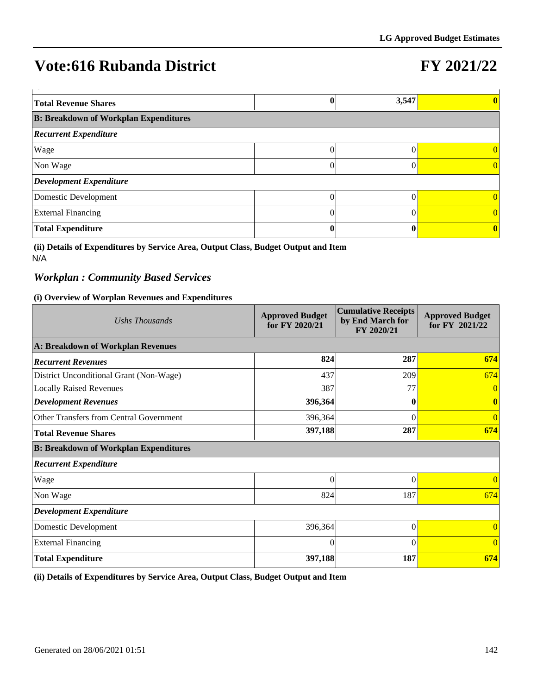# **FY 2021/22**

| <b>Total Revenue Shares</b>                  |   | 3,547 |          |
|----------------------------------------------|---|-------|----------|
| <b>B: Breakdown of Workplan Expenditures</b> |   |       |          |
| <b>Recurrent Expenditure</b>                 |   |       |          |
| Wage                                         | 0 |       | $\Omega$ |
| Non Wage                                     | 0 |       |          |
| Development Expenditure                      |   |       |          |
| Domestic Development                         |   |       | 0        |
| <b>External Financing</b>                    | 0 |       | $\Omega$ |
| <b>Total Expenditure</b>                     |   |       | $\bf{0}$ |

**(ii) Details of Expenditures by Service Area, Output Class, Budget Output and Item** N/A

### *Workplan : Community Based Services*

#### **(i) Overview of Worplan Revenues and Expenditures**

| Ushs Thousands                               | <b>Approved Budget</b><br>for FY 2020/21 | <b>Cumulative Receipts</b><br>by End March for<br>FY 2020/21 | <b>Approved Budget</b><br>for FY 2021/22 |
|----------------------------------------------|------------------------------------------|--------------------------------------------------------------|------------------------------------------|
| A: Breakdown of Workplan Revenues            |                                          |                                                              |                                          |
| <b>Recurrent Revenues</b>                    | 824                                      | 287                                                          | 674                                      |
| District Unconditional Grant (Non-Wage)      | 437                                      | 209                                                          | 674                                      |
| <b>Locally Raised Revenues</b>               | 387                                      | 77                                                           | $\overline{0}$                           |
| <b>Development Revenues</b>                  | 396,364                                  |                                                              | $\mathbf{0}$                             |
| Other Transfers from Central Government      | 396,364                                  | 0                                                            | $\overline{0}$                           |
| <b>Total Revenue Shares</b>                  | 397,188                                  | 287                                                          | 674                                      |
| <b>B: Breakdown of Workplan Expenditures</b> |                                          |                                                              |                                          |
| <b>Recurrent Expenditure</b>                 |                                          |                                                              |                                          |
| Wage                                         | $\Omega$                                 | $\theta$                                                     | $\Omega$                                 |
| Non Wage                                     | 824                                      | 187                                                          | 674                                      |
| <b>Development Expenditure</b>               |                                          |                                                              |                                          |
| Domestic Development                         | 396,364                                  | 0                                                            | $\Omega$                                 |
| <b>External Financing</b>                    | $\Omega$                                 | $\Omega$                                                     | $\theta$                                 |
| <b>Total Expenditure</b>                     | 397,188                                  | 187                                                          | 674                                      |

**(ii) Details of Expenditures by Service Area, Output Class, Budget Output and Item**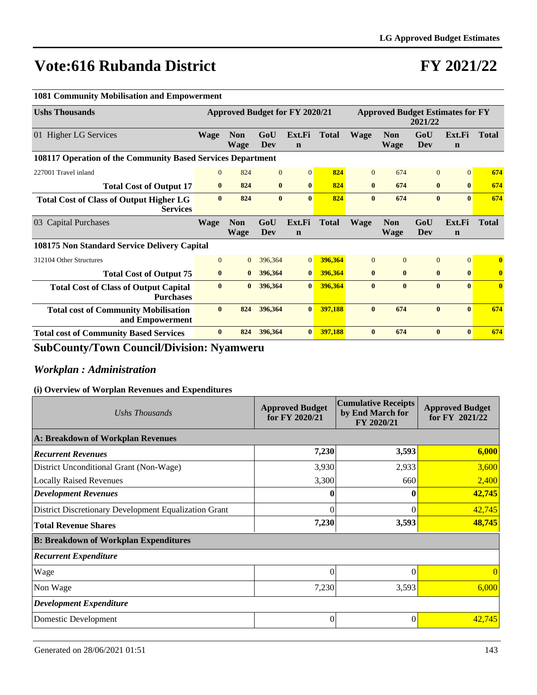# **FY 2021/22**

| <b>1081 Community Mobilisation and Empowerment</b>                |                                       |                           |              |                       |                                                    |              |                           |                |                       |              |
|-------------------------------------------------------------------|---------------------------------------|---------------------------|--------------|-----------------------|----------------------------------------------------|--------------|---------------------------|----------------|-----------------------|--------------|
| <b>Ushs Thousands</b>                                             | <b>Approved Budget for FY 2020/21</b> |                           |              |                       | <b>Approved Budget Estimates for FY</b><br>2021/22 |              |                           |                |                       |              |
| 01 Higher LG Services                                             | <b>Wage</b>                           | <b>Non</b><br>Wage        | GoU<br>Dev   | Ext.Fi<br>$\mathbf n$ | <b>Total</b>                                       | <b>Wage</b>  | <b>Non</b><br><b>Wage</b> | GoU<br>Dev     | Ext.Fi<br>$\mathbf n$ | <b>Total</b> |
| 108117 Operation of the Community Based Services Department       |                                       |                           |              |                       |                                                    |              |                           |                |                       |              |
| 227001 Travel inland                                              | $\mathbf{0}$                          | 824                       | $\mathbf{0}$ | $\vert 0 \vert$       | 824                                                | $\theta$     | 674                       | $\overline{0}$ | $\Omega$              | 674          |
| <b>Total Cost of Output 17</b>                                    | $\bf{0}$                              | 824                       | $\bf{0}$     | $\mathbf{0}$          | 824                                                | $\bf{0}$     | 674                       | $\bf{0}$       | $\bf{0}$              | 674          |
| <b>Total Cost of Class of Output Higher LG</b><br><b>Services</b> | $\bf{0}$                              | 824                       | $\bf{0}$     | $\mathbf{0}$          | 824                                                | $\bf{0}$     | 674                       | $\bf{0}$       | $\mathbf{0}$          | 674          |
| 03 Capital Purchases                                              | <b>Wage</b>                           | <b>Non</b><br><b>Wage</b> | GoU<br>Dev   | Ext.Fi<br>$\mathbf n$ | <b>Total</b>                                       | <b>Wage</b>  | <b>Non</b><br>Wage        | GoU<br>Dev     | Ext.Fi<br>$\mathbf n$ | <b>Total</b> |
| <b>108175 Non Standard Service Delivery Capital</b>               |                                       |                           |              |                       |                                                    |              |                           |                |                       |              |
| 312104 Other Structures                                           | $\mathbf{0}$                          | $\overline{0}$            | 396,364      | $\overline{0}$        | 396,364                                            | $\Omega$     | $\overline{0}$            | $\overline{0}$ | $\overline{0}$        | $\bf{0}$     |
| <b>Total Cost of Output 75</b>                                    | $\bf{0}$                              | $\bf{0}$                  | 396,364      | $\bf{0}$              | 396,364                                            | $\mathbf{0}$ | $\mathbf{0}$              | $\bf{0}$       | $\mathbf{0}$          | $\mathbf{0}$ |
| <b>Total Cost of Class of Output Capital</b>                      | $\mathbf{0}$                          | $\bf{0}$                  | 396,364      | $\bf{0}$              | 396,364                                            | $\mathbf{0}$ | $\mathbf{0}$              | $\mathbf{0}$   | $\mathbf{0}$          | $\mathbf{0}$ |
| <b>Purchases</b>                                                  |                                       |                           |              |                       |                                                    |              |                           |                |                       |              |
| <b>Total cost of Community Mobilisation</b><br>and Empowerment    | $\bf{0}$                              | 824                       | 396,364      | $\bf{0}$              | 397,188                                            | $\bf{0}$     | 674                       | $\mathbf{0}$   | $\mathbf{0}$          | 674          |

### **SubCounty/Town Council/Division: Nyamweru**

### *Workplan : Administration*

| Ushs Thousands                                        | <b>Approved Budget</b><br>for FY 2020/21 | <b>Cumulative Receipts</b><br>by End March for<br>FY 2020/21 | <b>Approved Budget</b><br>for FY 2021/22 |
|-------------------------------------------------------|------------------------------------------|--------------------------------------------------------------|------------------------------------------|
| A: Breakdown of Workplan Revenues                     |                                          |                                                              |                                          |
| <b>Recurrent Revenues</b>                             | 7,230                                    | 3,593                                                        | 6,000                                    |
| District Unconditional Grant (Non-Wage)               | 3,930                                    | 2,933                                                        | 3,600                                    |
| <b>Locally Raised Revenues</b>                        | 3,300                                    | 660                                                          | 2,400                                    |
| <b>Development Revenues</b>                           |                                          |                                                              | 42,745                                   |
| District Discretionary Development Equalization Grant | 0                                        | $\Omega$                                                     | 42,745                                   |
| <b>Total Revenue Shares</b>                           | 7,230                                    | 3,593                                                        | 48,745                                   |
| <b>B: Breakdown of Workplan Expenditures</b>          |                                          |                                                              |                                          |
| <b>Recurrent Expenditure</b>                          |                                          |                                                              |                                          |
| Wage                                                  | $\theta$                                 | $\Omega$                                                     |                                          |
| Non Wage                                              | 7,230                                    | 3,593                                                        | 6,000                                    |
| <b>Development Expenditure</b>                        |                                          |                                                              |                                          |
| Domestic Development                                  | 0                                        | $\Omega$                                                     | 42,745                                   |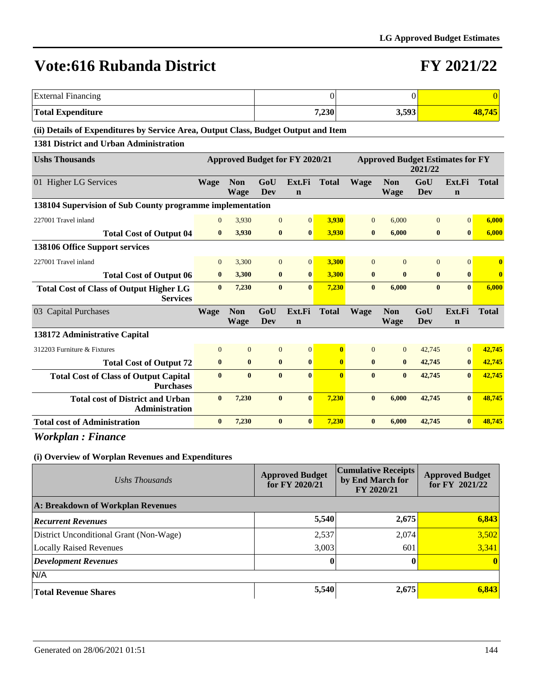### **FY 2021/22**

| External Financing                                                                 |       |       |        |
|------------------------------------------------------------------------------------|-------|-------|--------|
| <b>Total Expenditure</b>                                                           | 7,230 | 3,593 | 48,745 |
| (ii) Details of Expenditures by Service Area, Output Class, Rudget Output and Item |       |       |        |

#### **(ii) Details of Expenditures by Service Area, Output Class, Budget Output and Item**

#### **1381 District and Urban Administration**

| <b>Ushs Thousands</b>                                             | <b>Approved Budget for FY 2020/21</b><br><b>Approved Budget Estimates for FY</b><br>2021/22 |                           |                |                       |              |                |                           |              |                       |              |
|-------------------------------------------------------------------|---------------------------------------------------------------------------------------------|---------------------------|----------------|-----------------------|--------------|----------------|---------------------------|--------------|-----------------------|--------------|
| 01 Higher LG Services                                             | <b>Wage</b>                                                                                 | <b>Non</b><br><b>Wage</b> | GoU<br>Dev     | Ext.Fi<br>$\mathbf n$ | <b>Total</b> | <b>Wage</b>    | <b>Non</b><br><b>Wage</b> | GoU<br>Dev   | Ext.Fi<br>$\mathbf n$ | <b>Total</b> |
| 138104 Supervision of Sub County programme implementation         |                                                                                             |                           |                |                       |              |                |                           |              |                       |              |
| 227001 Travel inland                                              | $\Omega$                                                                                    | 3,930                     | $\Omega$       | $\vert 0 \vert$       | 3,930        | $\Omega$       | 6,000                     | $\Omega$     | $\overline{0}$        | 6,000        |
| <b>Total Cost of Output 04</b>                                    | $\bf{0}$                                                                                    | 3,930                     | $\bf{0}$       | $\mathbf{0}$          | 3,930        | $\bf{0}$       | 6,000                     | $\bf{0}$     | $\bf{0}$              | 6,000        |
| 138106 Office Support services                                    |                                                                                             |                           |                |                       |              |                |                           |              |                       |              |
| 227001 Travel inland                                              | $\mathbf{0}$                                                                                | 3,300                     | $\overline{0}$ | $\vert 0 \vert$       | 3,300        | $\Omega$       | $\Omega$                  | $\mathbf{0}$ | $\Omega$              | $\bf{0}$     |
| <b>Total Cost of Output 06</b>                                    | $\bf{0}$                                                                                    | 3,300                     | $\bf{0}$       | $\bf{0}$              | 3,300        | $\bf{0}$       | $\mathbf{0}$              | $\bf{0}$     | $\mathbf{0}$          | $\bf{0}$     |
| <b>Total Cost of Class of Output Higher LG</b><br><b>Services</b> | $\mathbf{0}$                                                                                | 7,230                     | $\mathbf{0}$   | $\mathbf{0}$          | 7,230        | $\mathbf{0}$   | 6,000                     | $\mathbf{0}$ | $\mathbf{0}$          | 6,000        |
| 03 Capital Purchases                                              | <b>Wage</b>                                                                                 | <b>Non</b><br><b>Wage</b> | GoU<br>Dev     | Ext.Fi<br>$\mathbf n$ | <b>Total</b> | <b>Wage</b>    | <b>Non</b><br><b>Wage</b> | GoU<br>Dev   | Ext.Fi<br>$\mathbf n$ | <b>Total</b> |
| 138172 Administrative Capital                                     |                                                                                             |                           |                |                       |              |                |                           |              |                       |              |
| 312203 Furniture & Fixtures                                       | $\Omega$                                                                                    | $\overline{0}$            | $\overline{0}$ | $\overline{0}$        | $\mathbf{0}$ | $\overline{0}$ | $\overline{0}$            | 42,745       | $\Omega$              | 42.745       |
| <b>Total Cost of Output 72</b>                                    | $\bf{0}$                                                                                    | $\bf{0}$                  | $\bf{0}$       | $\mathbf{0}$          | $\mathbf{0}$ | $\bf{0}$       | $\bf{0}$                  | 42,745       | $\bf{0}$              | 42,745       |
| <b>Total Cost of Class of Output Capital</b><br><b>Purchases</b>  | $\mathbf{0}$                                                                                | $\mathbf{0}$              | $\mathbf{0}$   | $\mathbf{0}$          | $\mathbf{0}$ | $\mathbf{0}$   | $\mathbf{0}$              | 42,745       | $\mathbf{0}$          | 42,745       |
| <b>Total cost of District and Urban</b><br>Administration         | $\mathbf{0}$                                                                                | 7,230                     | $\mathbf{0}$   | $\mathbf{0}$          | 7,230        | $\mathbf{0}$   | 6,000                     | 42,745       | $\mathbf{0}$          | 48,745       |
| <b>Total cost of Administration</b>                               | $\mathbf{0}$                                                                                | 7,230                     | $\bf{0}$       | $\mathbf{0}$          | 7.230        | $\mathbf{0}$   | 6.000                     | 42,745       | $\mathbf{0}$          | 48.745       |

### *Workplan : Finance*

| Ushs Thousands                          | <b>Approved Budget</b><br>for FY 2020/21 | <b>Cumulative Receipts</b><br>by End March for<br>FY 2020/21 | <b>Approved Budget</b><br>for FY $2021/22$ |  |  |  |  |  |  |  |  |
|-----------------------------------------|------------------------------------------|--------------------------------------------------------------|--------------------------------------------|--|--|--|--|--|--|--|--|
| A: Breakdown of Workplan Revenues       |                                          |                                                              |                                            |  |  |  |  |  |  |  |  |
| <b>Recurrent Revenues</b>               | 5,540                                    | 2,675                                                        | 6,843                                      |  |  |  |  |  |  |  |  |
| District Unconditional Grant (Non-Wage) | 2,537                                    | 2,074                                                        | 3,502                                      |  |  |  |  |  |  |  |  |
| <b>Locally Raised Revenues</b>          | 3,003                                    | 601                                                          | 3,341                                      |  |  |  |  |  |  |  |  |
| Development Revenues                    |                                          |                                                              | $\vert$ 0                                  |  |  |  |  |  |  |  |  |
| N/A                                     |                                          |                                                              |                                            |  |  |  |  |  |  |  |  |
| Total Revenue Shares                    | 5,540                                    | 2,675                                                        | 6,843                                      |  |  |  |  |  |  |  |  |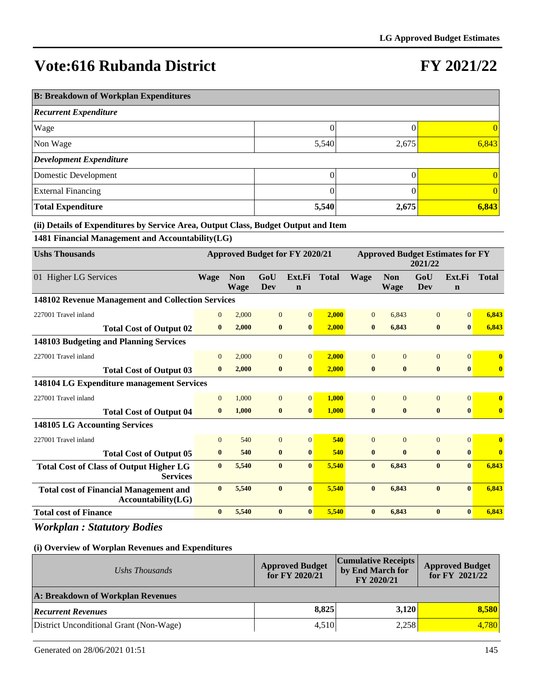## **FY 2021/22**

| <b>B: Breakdown of Workplan Expenditures</b> |       |       |                 |  |  |  |  |  |
|----------------------------------------------|-------|-------|-----------------|--|--|--|--|--|
| <b>Recurrent Expenditure</b>                 |       |       |                 |  |  |  |  |  |
| Wage                                         |       |       | $\vert 0 \vert$ |  |  |  |  |  |
| Non Wage                                     | 5,540 | 2,675 | 6,843           |  |  |  |  |  |
| <b>Development Expenditure</b>               |       |       |                 |  |  |  |  |  |
| Domestic Development                         |       |       | 0               |  |  |  |  |  |
| <b>External Financing</b>                    |       |       | $\vert 0 \vert$ |  |  |  |  |  |
| <b>Total Expenditure</b>                     | 5,540 | 2,675 | 6,843           |  |  |  |  |  |

**(ii) Details of Expenditures by Service Area, Output Class, Budget Output and Item**

**1481 Financial Management and Accountability(LG)**

| <b>Ushs Thousands</b>                                               | <b>Approved Budget for FY 2020/21</b><br><b>Approved Budget Estimates for FY</b><br>2021/22 |                           |                |                       |              |                |                           |                |                       |              |
|---------------------------------------------------------------------|---------------------------------------------------------------------------------------------|---------------------------|----------------|-----------------------|--------------|----------------|---------------------------|----------------|-----------------------|--------------|
| 01 Higher LG Services                                               | Wage                                                                                        | <b>Non</b><br><b>Wage</b> | GoU<br>Dev     | Ext.Fi<br>$\mathbf n$ | <b>Total</b> | <b>Wage</b>    | <b>Non</b><br><b>Wage</b> | GoU<br>Dev     | Ext.Fi<br>$\mathbf n$ | <b>Total</b> |
| 148102 Revenue Management and Collection Services                   |                                                                                             |                           |                |                       |              |                |                           |                |                       |              |
| 227001 Travel inland                                                | $\overline{0}$                                                                              | 2,000                     | $\mathbf{0}$   | $\overline{0}$        | 2,000        | $\overline{0}$ | 6,843                     | $\overline{0}$ | $\Omega$              | 6,843        |
| <b>Total Cost of Output 02</b>                                      | $\bf{0}$                                                                                    | 2,000                     | $\bf{0}$       | $\bf{0}$              | 2.000        | $\bf{0}$       | 6,843                     | $\bf{0}$       | $\bf{0}$              | 6,843        |
| 148103 Budgeting and Planning Services                              |                                                                                             |                           |                |                       |              |                |                           |                |                       |              |
| 227001 Travel inland                                                | $\overline{0}$                                                                              | 2,000                     | $\overline{0}$ | $\overline{0}$        | 2.000        | $\overline{0}$ | $\mathbf{0}$              | $\overline{0}$ | $\Omega$              | $\bf{0}$     |
| <b>Total Cost of Output 03</b>                                      | $\mathbf{0}$                                                                                | 2,000                     | $\bf{0}$       | $\bf{0}$              | 2,000        | $\bf{0}$       | $\bf{0}$                  | $\bf{0}$       | $\mathbf{0}$          | $\bf{0}$     |
| 148104 LG Expenditure management Services                           |                                                                                             |                           |                |                       |              |                |                           |                |                       |              |
| 227001 Travel inland                                                | $\overline{0}$                                                                              | 1,000                     | $\overline{0}$ | $\overline{0}$        | 1,000        | $\overline{0}$ | $\Omega$                  | $\overline{0}$ | $\Omega$              | $\bf{0}$     |
| <b>Total Cost of Output 04</b>                                      | $\mathbf{0}$                                                                                | 1.000                     | $\bf{0}$       | $\bf{0}$              | 1.000        | $\bf{0}$       | $\bf{0}$                  | $\bf{0}$       | $\bf{0}$              | $\bf{0}$     |
| 148105 LG Accounting Services                                       |                                                                                             |                           |                |                       |              |                |                           |                |                       |              |
| 227001 Travel inland                                                | $\overline{0}$                                                                              | 540                       | $\overline{0}$ | $\overline{0}$        | 540          | $\Omega$       | $\Omega$                  | $\overline{0}$ | $\Omega$              | $\bf{0}$     |
| <b>Total Cost of Output 05</b>                                      | $\bf{0}$                                                                                    | 540                       | $\bf{0}$       | $\bf{0}$              | 540          | $\bf{0}$       | $\bf{0}$                  | $\bf{0}$       | $\bf{0}$              | $\bf{0}$     |
| <b>Total Cost of Class of Output Higher LG</b><br><b>Services</b>   | $\mathbf{0}$                                                                                | 5,540                     | $\bf{0}$       | $\mathbf{0}$          | 5,540        | $\bf{0}$       | 6,843                     | $\bf{0}$       | $\mathbf{0}$          | 6,843        |
| <b>Total cost of Financial Management and</b><br>Accountability(LG) | $\bf{0}$                                                                                    | 5,540                     | $\bf{0}$       | $\bf{0}$              | 5,540        | $\bf{0}$       | 6,843                     | $\bf{0}$       | $\bf{0}$              | 6,843        |
| <b>Total cost of Finance</b>                                        | $\bf{0}$                                                                                    | 5,540                     | $\bf{0}$       | $\bf{0}$              | 5,540        | $\bf{0}$       | 6,843                     | $\bf{0}$       | $\mathbf{0}$          | 6,843        |

*Workplan : Statutory Bodies*

| Ushs Thousands                           | <b>Approved Budget</b><br>for FY 2020/21 | <b>Cumulative Receipts</b><br>by End March for<br>FY 2020/21 | <b>Approved Budget</b><br>for FY 2021/22 |
|------------------------------------------|------------------------------------------|--------------------------------------------------------------|------------------------------------------|
| A: Breakdown of Workplan Revenues        |                                          |                                                              |                                          |
| <b>Recurrent Revenues</b>                | 8.825                                    | 3.120                                                        | 8.580                                    |
| (District Unconditional Grant (Non-Wage) | 4,510                                    | 2,258                                                        | 4,780                                    |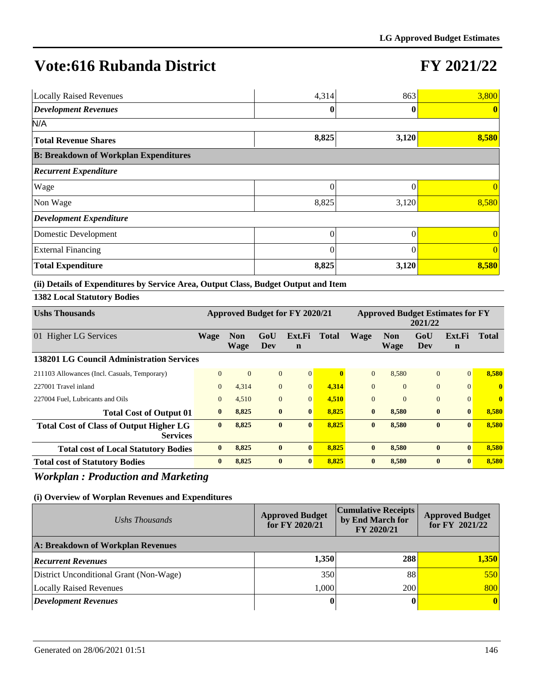## **FY 2021/22**

| <b>Locally Raised Revenues</b>               | 4,314    | 863   | 3,800          |  |  |  |  |  |  |
|----------------------------------------------|----------|-------|----------------|--|--|--|--|--|--|
| <b>Development Revenues</b>                  |          |       | $\mathbf{0}$   |  |  |  |  |  |  |
| N/A                                          |          |       |                |  |  |  |  |  |  |
| <b>Total Revenue Shares</b>                  | 8,825    | 3,120 | 8,580          |  |  |  |  |  |  |
| <b>B: Breakdown of Workplan Expenditures</b> |          |       |                |  |  |  |  |  |  |
| <b>Recurrent Expenditure</b>                 |          |       |                |  |  |  |  |  |  |
| <b>Wage</b>                                  | 0        | 0     | $\Omega$       |  |  |  |  |  |  |
| Non Wage                                     | 8,825    | 3,120 | 8,580          |  |  |  |  |  |  |
| <b>Development Expenditure</b>               |          |       |                |  |  |  |  |  |  |
| Domestic Development                         | $\Omega$ |       | $\Omega$       |  |  |  |  |  |  |
| <b>External Financing</b>                    |          |       | $\overline{0}$ |  |  |  |  |  |  |
| <b>Total Expenditure</b>                     | 8,825    | 3,120 | 8,580          |  |  |  |  |  |  |

#### **(ii) Details of Expenditures by Service Area, Output Class, Budget Output and Item**

#### **1382 Local Statutory Bodies**

| <b>Ushs Thousands</b>                                             | Approved Budget for FY 2020/21 |                    |              |                       | <b>Approved Budget Estimates for FY</b><br>2021/22 |              |                           |                |              |              |
|-------------------------------------------------------------------|--------------------------------|--------------------|--------------|-----------------------|----------------------------------------------------|--------------|---------------------------|----------------|--------------|--------------|
| 01 Higher LG Services                                             | Wage                           | <b>Non</b><br>Wage | GoU<br>Dev   | Ext.Fi<br>$\mathbf n$ | <b>Total</b>                                       | Wage         | <b>Non</b><br><b>Wage</b> | GoU<br>Dev     | Ext.Fi<br>n  | <b>Total</b> |
| <b>138201 LG Council Administration Services</b>                  |                                |                    |              |                       |                                                    |              |                           |                |              |              |
| 211103 Allowances (Incl. Casuals, Temporary)                      | $\Omega$                       | $\mathbf{0}$       | $\mathbf{0}$ | $\overline{0}$        |                                                    | $\Omega$     | 8.580                     | $\overline{0}$ | $\mathbf{0}$ | 8.580        |
| 227001 Travel inland                                              | $\mathbf{0}$                   | 4,314              | $\mathbf{0}$ | $\Omega$              | 4,314                                              | $\Omega$     | $\theta$                  | $\overline{0}$ | $\Omega$     | $\mathbf{0}$ |
| 227004 Fuel, Lubricants and Oils                                  | $\Omega$                       | 4,510              | $\mathbf{0}$ | $\Omega$              | 4,510                                              | $\Omega$     | $\Omega$                  | $\overline{0}$ | $\Omega$     | $\mathbf{0}$ |
| <b>Total Cost of Output 01</b>                                    | $\bf{0}$                       | 8,825              | $\bf{0}$     | $\bf{0}$              | 8,825                                              | $\mathbf{0}$ | 8,580                     | $\bf{0}$       | $\mathbf{0}$ | 8,580        |
| <b>Total Cost of Class of Output Higher LG</b><br><b>Services</b> | $\mathbf{0}$                   | 8,825              | $\mathbf{0}$ | $\mathbf{0}$          | 8,825                                              | $\mathbf{0}$ | 8,580                     | $\bf{0}$       | $\mathbf{0}$ | 8,580        |
| <b>Total cost of Local Statutory Bodies</b>                       | $\mathbf{0}$                   | 8,825              | $\bf{0}$     | $\mathbf{0}$          | 8.825                                              | $\mathbf{0}$ | 8,580                     | $\bf{0}$       | $\mathbf{0}$ | 8,580        |
| <b>Total cost of Statutory Bodies</b>                             | $\bf{0}$                       | 8,825              | $\bf{0}$     | $\mathbf{0}$          | 8.825                                              | $\mathbf{0}$ | 8,580                     | $\bf{0}$       | $\mathbf{0}$ | 8,580        |

### *Workplan : Production and Marketing*

| Ushs Thousands                          | <b>Approved Budget</b><br>for FY 2020/21 | <b>Cumulative Receipts</b><br>by End March for<br>FY 2020/21 | <b>Approved Budget</b><br>for FY 2021/22 |
|-----------------------------------------|------------------------------------------|--------------------------------------------------------------|------------------------------------------|
| A: Breakdown of Workplan Revenues       |                                          |                                                              |                                          |
| <b>Recurrent Revenues</b>               | 1,350                                    | 288                                                          | 1,350                                    |
| District Unconditional Grant (Non-Wage) | 350                                      | 88                                                           | 550                                      |
| Locally Raised Revenues                 | 1.000                                    | 200                                                          | 800                                      |
| <b>Development Revenues</b>             | 0                                        |                                                              | $\vert$ 0                                |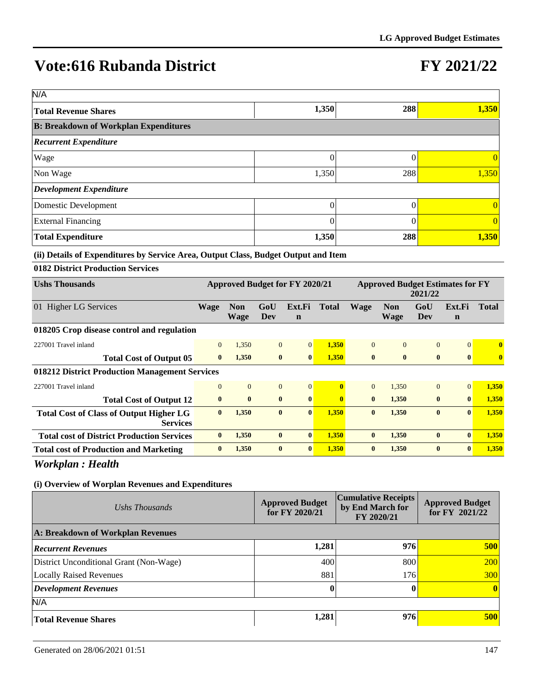## **FY 2021/22**

| N/A                                          |       |     |       |
|----------------------------------------------|-------|-----|-------|
| <b>Total Revenue Shares</b>                  | 1,350 | 288 | 1,350 |
| <b>B: Breakdown of Workplan Expenditures</b> |       |     |       |
| <b>Recurrent Expenditure</b>                 |       |     |       |
| Wage                                         |       |     |       |
| Non Wage                                     | 1,350 | 288 | 1,350 |
| Development Expenditure                      |       |     |       |
| Domestic Development                         | 0     |     |       |
| <b>External Financing</b>                    |       |     |       |
| <b>Total Expenditure</b>                     | 1,350 | 288 | 1,350 |

#### **(ii) Details of Expenditures by Service Area, Output Class, Budget Output and Item**

#### **0182 District Production Services**

| <b>Ushs Thousands</b>                                             | <b>Approved Budget for FY 2020/21</b> |                    |                |                       | <b>Approved Budget Estimates for FY</b><br>2021/22 |              |              |                |                       |              |
|-------------------------------------------------------------------|---------------------------------------|--------------------|----------------|-----------------------|----------------------------------------------------|--------------|--------------|----------------|-----------------------|--------------|
| 01 Higher LG Services                                             | <b>Wage</b>                           | Non<br><b>Wage</b> | GoU<br>Dev     | Ext.Fi<br>$\mathbf n$ | Total                                              | <b>Wage</b>  | Non<br>Wage  | GoU<br>Dev     | Ext.Fi<br>$\mathbf n$ | Total        |
| 018205 Crop disease control and regulation                        |                                       |                    |                |                       |                                                    |              |              |                |                       |              |
| 227001 Travel inland                                              | $\overline{0}$                        | 1,350              | $\overline{0}$ | $\vert 0 \vert$       | 1,350                                              | $\Omega$     | $\theta$     | $\overline{0}$ | $\Omega$              | $\mathbf{0}$ |
| <b>Total Cost of Output 05</b>                                    | $\mathbf{0}$                          | 1,350              | $\bf{0}$       | $\bf{0}$              | 1,350                                              | $\mathbf{0}$ | $\mathbf{0}$ | $\mathbf{0}$   | $\mathbf{0}$          | $\mathbf{0}$ |
| 018212 District Production Management Services                    |                                       |                    |                |                       |                                                    |              |              |                |                       |              |
| 227001 Travel inland                                              | $\overline{0}$                        | $\overline{0}$     | $\mathbf{0}$   | $\overline{0}$        |                                                    | $\Omega$     | 1.350        | $\Omega$       | $\Omega$              | 1,350        |
| <b>Total Cost of Output 12</b>                                    | $\bf{0}$                              | $\bf{0}$           | $\mathbf{0}$   | $\bf{0}$              | $\mathbf{0}$                                       | $\mathbf{0}$ | 1,350        | $\bf{0}$       | $\mathbf{0}$          | 1,350        |
| <b>Total Cost of Class of Output Higher LG</b><br><b>Services</b> | $\mathbf{0}$                          | 1,350              | $\bf{0}$       | $\mathbf{0}$          | 1.350                                              | $\mathbf{0}$ | 1,350        | $\mathbf{0}$   | $\mathbf{0}$          | 1,350        |
| <b>Total cost of District Production Services</b>                 | $\mathbf{0}$                          | 1,350              | $\bf{0}$       | $\mathbf{0}$          | 1,350                                              | $\mathbf{0}$ | 1,350        | $\bf{0}$       | $\mathbf{0}$          | 1,350        |
| <b>Total cost of Production and Marketing</b>                     | $\bf{0}$                              | 1,350              | $\bf{0}$       | $\mathbf{0}$          | 1,350                                              | $\mathbf{0}$ | 1,350        | $\mathbf{0}$   | $\mathbf{0}$          | 1,350        |

*Workplan : Health*

| Ushs Thousands                          | <b>Approved Budget</b><br>for FY 2020/21 | <b>Cumulative Receipts</b><br>by End March for<br>FY 2020/21 | <b>Approved Budget</b><br>for $FY$ 2021/22 |
|-----------------------------------------|------------------------------------------|--------------------------------------------------------------|--------------------------------------------|
| A: Breakdown of Workplan Revenues       |                                          |                                                              |                                            |
| <b>Recurrent Revenues</b>               | 1,281                                    | 976                                                          | 500                                        |
| District Unconditional Grant (Non-Wage) | 400                                      | 800                                                          | 200                                        |
| Locally Raised Revenues                 | 881                                      | 176                                                          | <b>300</b>                                 |
| <b>Development Revenues</b>             | $\mathbf{0}$                             |                                                              | $\vert$ 0                                  |
| N/A                                     |                                          |                                                              |                                            |
| <b>Total Revenue Shares</b>             | 1,281                                    | 976                                                          | 500                                        |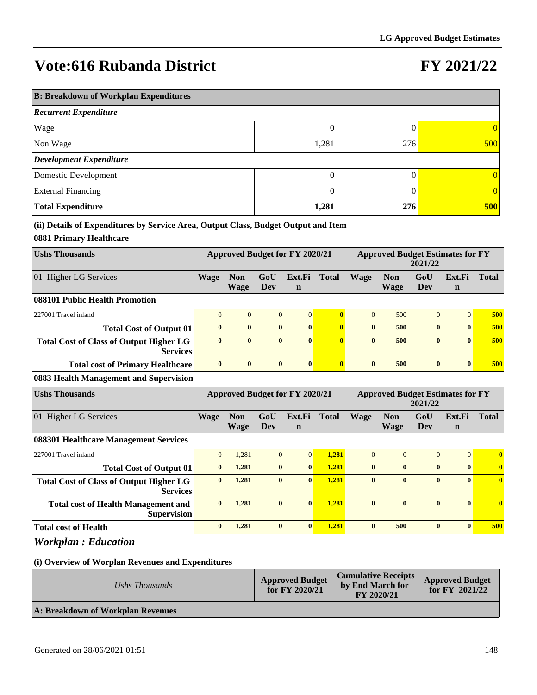## **FY 2021/22**

| <b>B: Breakdown of Workplan Expenditures</b> |       |     |          |  |  |  |  |  |
|----------------------------------------------|-------|-----|----------|--|--|--|--|--|
| <b>Recurrent Expenditure</b>                 |       |     |          |  |  |  |  |  |
| Wage                                         |       |     | 0        |  |  |  |  |  |
| Non Wage                                     | 1,281 | 276 | 500      |  |  |  |  |  |
| <b>Development Expenditure</b>               |       |     |          |  |  |  |  |  |
| Domestic Development                         | 0     |     | 0        |  |  |  |  |  |
| <b>External Financing</b>                    |       |     | $\Omega$ |  |  |  |  |  |
| <b>Total Expenditure</b>                     | 1,281 | 276 | 500      |  |  |  |  |  |

#### **(ii) Details of Expenditures by Service Area, Output Class, Budget Output and Item**

#### **0881 Primary Healthcare**

| <b>Ushs Thousands</b>                                             | Approved Budget for FY 2020/21 |                    |                |                       | <b>Approved Budget Estimates for FY</b><br>2021/22 |              |                    |                |                       |              |
|-------------------------------------------------------------------|--------------------------------|--------------------|----------------|-----------------------|----------------------------------------------------|--------------|--------------------|----------------|-----------------------|--------------|
| 01 Higher LG Services                                             | Wage                           | <b>Non</b><br>Wage | GoU<br>Dev     | Ext.Fi<br>$\mathbf n$ | <b>Total</b>                                       | Wage         | <b>Non</b><br>Wage | GoU<br>Dev     | Ext.Fi<br>$\mathbf n$ | <b>Total</b> |
| 088101 Public Health Promotion                                    |                                |                    |                |                       |                                                    |              |                    |                |                       |              |
| 227001 Travel inland                                              | $\Omega$                       | $\overline{0}$     | $\overline{0}$ | $\vert 0 \vert$       | $\mathbf{0}$                                       | $\Omega$     | 500                | $\overline{0}$ | $\Omega$              | 500          |
| <b>Total Cost of Output 01</b>                                    | $\bf{0}$                       | $\bf{0}$           | $\bf{0}$       | $\vert$ 0             | $\mathbf{0}$                                       | $\mathbf{0}$ | 500                | $\bf{0}$       | $\mathbf{0}$          | 500          |
| <b>Total Cost of Class of Output Higher LG</b><br><b>Services</b> | $\mathbf{0}$                   | $\mathbf{0}$       | $\mathbf{0}$   | $\mathbf{0}$          | $\mathbf{0}$                                       | $\mathbf{0}$ | 500                | $\mathbf{0}$   | $\mathbf{0}$          | 500          |
| <b>Total cost of Primary Healthcare</b>                           | $\mathbf{0}$                   | $\mathbf{0}$       | $\mathbf{0}$   | $\vert$ 0             |                                                    | $\mathbf{0}$ | 500                | $\mathbf{0}$   | $\mathbf{0}$          | 500          |
| $0.002 \text{ H} \cdot \text{H} \cdot \text{M}$                   |                                |                    |                |                       |                                                    |              |                    |                |                       |              |

#### **0883 Health Management and Supervision**

| <b>Ushs Thousands</b>                                             | <b>Approved Budget for FY 2020/21</b> |                    |              |                       | <b>Approved Budget Estimates for FY</b><br>2021/22 |              |                           |              |                       |              |
|-------------------------------------------------------------------|---------------------------------------|--------------------|--------------|-----------------------|----------------------------------------------------|--------------|---------------------------|--------------|-----------------------|--------------|
| 01 Higher LG Services                                             | Wage                                  | <b>Non</b><br>Wage | GoU<br>Dev   | Ext.Fi<br>$\mathbf n$ | <b>Total</b>                                       | <b>Wage</b>  | <b>Non</b><br><b>Wage</b> | GoU<br>Dev   | Ext.Fi<br>$\mathbf n$ | <b>Total</b> |
| 088301 Healthcare Management Services                             |                                       |                    |              |                       |                                                    |              |                           |              |                       |              |
| 227001 Travel inland                                              | $\overline{0}$                        | 1,281              | $\mathbf{0}$ | $\overline{0}$        | 1,281                                              | $\Omega$     | $\Omega$                  | $\mathbf{0}$ | $\mathbf{0}$          | $\bf{0}$     |
| <b>Total Cost of Output 01</b>                                    | $\bf{0}$                              | 1,281              | $\bf{0}$     | $\mathbf{0}$          | 1.281                                              | $\mathbf{0}$ | $\mathbf{0}$              | $\bf{0}$     | $\bf{0}$              | $\bf{0}$     |
| <b>Total Cost of Class of Output Higher LG</b><br><b>Services</b> | $\mathbf{0}$                          | 1,281              | $\mathbf{0}$ | $\mathbf{0}$          | 1,281                                              | $\mathbf{0}$ | $\mathbf{0}$              | $\mathbf{0}$ | $\mathbf{0}$          | $\bf{0}$     |
| <b>Total cost of Health Management and</b><br><b>Supervision</b>  | $\mathbf{0}$                          | 1,281              | $\mathbf{0}$ | $\mathbf{0}$          | 1.281                                              | $\mathbf{0}$ | $\mathbf{0}$              | $\bf{0}$     | $\mathbf{0}$          | $\bf{0}$     |
| <b>Total cost of Health</b>                                       | $\bf{0}$                              | 1,281              | $\bf{0}$     | $\mathbf{0}$          | 1.281                                              | $\mathbf{0}$ | 500                       | $\bf{0}$     | $\mathbf{0}$          | 500          |

*Workplan : Education*

| Ushs Thousands                    | <b>Approved Budget</b><br>for FY $2020/21$ | <b>Cumulative Receipts</b><br>by End March for<br>FY 2020/21 | <b>Approved Budget</b><br>for FY $2021/22$ |
|-----------------------------------|--------------------------------------------|--------------------------------------------------------------|--------------------------------------------|
| A: Breakdown of Workplan Revenues |                                            |                                                              |                                            |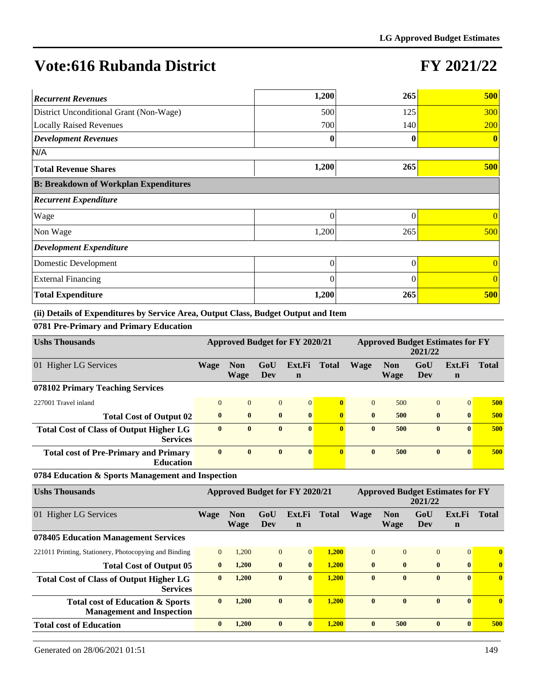### **FY 2021/22**

| <b>Recurrent Revenues</b>                    | 1,200    | 265      | 500            |
|----------------------------------------------|----------|----------|----------------|
| District Unconditional Grant (Non-Wage)      | 500      | 125      | 300            |
| <b>Locally Raised Revenues</b>               | 700      | 140      | <b>200</b>     |
| <b>Development Revenues</b>                  | 0        |          | $\mathbf{0}$   |
| N/A                                          |          |          |                |
| <b>Total Revenue Shares</b>                  | 1,200    | 265      | <b>500</b>     |
| <b>B: Breakdown of Workplan Expenditures</b> |          |          |                |
| <b>Recurrent Expenditure</b>                 |          |          |                |
| Wage                                         | 0        | 0        | $\theta$       |
| Non Wage                                     | 1,200    | 265      | 500            |
| <b>Development Expenditure</b>               |          |          |                |
| Domestic Development                         | 0        | 0        | $\theta$       |
| <b>External Financing</b>                    | $\theta$ | $\Omega$ | $\overline{0}$ |
| <b>Total Expenditure</b>                     | 1,200    | 265      | 500            |

**(ii) Details of Expenditures by Service Area, Output Class, Budget Output and Item**

**0781 Pre-Primary and Primary Education**

| <b>Ushs Thousands</b>                                                           |                |                           |                | <b>Approved Budget for FY 2020/21</b> |              | <b>Approved Budget Estimates for FY</b><br>2021/22 |                           |                                                    |                       |              |
|---------------------------------------------------------------------------------|----------------|---------------------------|----------------|---------------------------------------|--------------|----------------------------------------------------|---------------------------|----------------------------------------------------|-----------------------|--------------|
| 01 Higher LG Services                                                           | <b>Wage</b>    | <b>Non</b><br>Wage        | GoU<br>Dev     | Ext.Fi<br>$\mathbf n$                 | <b>Total</b> | <b>Wage</b>                                        | <b>Non</b><br>Wage        | GoU<br><b>Dev</b>                                  | Ext.Fi<br>$\mathbf n$ | <b>Total</b> |
| 078102 Primary Teaching Services                                                |                |                           |                |                                       |              |                                                    |                           |                                                    |                       |              |
| 227001 Travel inland                                                            | $\overline{0}$ | $\overline{0}$            | $\overline{0}$ | $\overline{0}$                        | $\bf{0}$     | $\overline{0}$                                     | 500                       | $\overline{0}$                                     | $\overline{0}$        | 500          |
| <b>Total Cost of Output 02</b>                                                  | $\bf{0}$       | $\bf{0}$                  | $\bf{0}$       | $\bf{0}$                              | $\mathbf{0}$ | $\bf{0}$                                           | 500                       | $\bf{0}$                                           | $\bf{0}$              | 500          |
| <b>Total Cost of Class of Output Higher LG</b><br><b>Services</b>               | $\mathbf{0}$   | $\bf{0}$                  | $\bf{0}$       | $\mathbf{0}$                          | $\mathbf{0}$ | $\mathbf{0}$                                       | 500                       | $\bf{0}$                                           | $\mathbf{0}$          | 500          |
| <b>Total cost of Pre-Primary and Primary</b><br><b>Education</b>                | $\mathbf{0}$   | $\bf{0}$                  | $\bf{0}$       | $\mathbf{0}$                          | $\mathbf{0}$ | $\mathbf{0}$                                       | 500                       | $\bf{0}$                                           | $\mathbf{0}$          | 500          |
| 0784 Education & Sports Management and Inspection                               |                |                           |                |                                       |              |                                                    |                           |                                                    |                       |              |
| <b>Ushs Thousands</b>                                                           |                |                           |                | Approved Budget for FY 2020/21        |              |                                                    |                           | <b>Approved Budget Estimates for FY</b><br>2021/22 |                       |              |
| 01 Higher LG Services                                                           | <b>Wage</b>    | <b>Non</b><br><b>Wage</b> | GoU<br>Dev     | Ext.Fi<br>$\mathbf n$                 | <b>Total</b> | <b>Wage</b>                                        | <b>Non</b><br><b>Wage</b> | GoU<br>Dev                                         | Ext.Fi<br>$\mathbf n$ | <b>Total</b> |
| 078405 Education Management Services                                            |                |                           |                |                                       |              |                                                    |                           |                                                    |                       |              |
| 221011 Printing, Stationery, Photocopying and Binding                           | $\Omega$       | 1,200                     | $\overline{0}$ | $\vert 0 \vert$                       | 1,200        | $\Omega$                                           | $\Omega$                  | $\overline{0}$                                     | $\overline{0}$        | $\bf{0}$     |
| <b>Total Cost of Output 05</b>                                                  | $\bf{0}$       | 1,200                     | $\bf{0}$       | $\bf{0}$                              | 1,200        | $\bf{0}$                                           | $\bf{0}$                  | $\bf{0}$                                           | $\bf{0}$              | $\bf{0}$     |
| <b>Total Cost of Class of Output Higher LG</b><br><b>Services</b>               | $\bf{0}$       | 1,200                     | $\bf{0}$       | $\mathbf{0}$                          | 1,200        | $\bf{0}$                                           | $\mathbf{0}$              | $\bf{0}$                                           | $\mathbf{0}$          | $\bf{0}$     |
| <b>Total cost of Education &amp; Sports</b><br><b>Management and Inspection</b> | $\bf{0}$       | 1,200                     | $\bf{0}$       | $\mathbf{0}$                          | 1,200        | $\mathbf{0}$                                       | $\mathbf{0}$              | $\mathbf{0}$                                       | $\mathbf{0}$          | $\mathbf{0}$ |
| <b>Total cost of Education</b>                                                  | $\bf{0}$       | 1,200                     | $\bf{0}$       | $\mathbf{0}$                          | 1.200        | $\mathbf{0}$                                       | 500                       | $\bf{0}$                                           | $\mathbf{0}$          | 500          |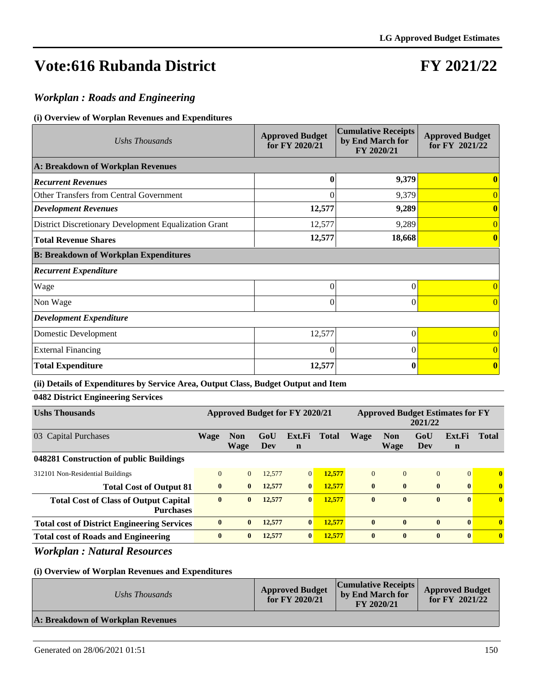## **FY 2021/22**

### *Workplan : Roads and Engineering*

#### **(i) Overview of Worplan Revenues and Expenditures**

| Ushs Thousands                                        | <b>Approved Budget</b><br>for FY 2020/21 | <b>Cumulative Receipts</b><br>by End March for<br>FY 2020/21 | <b>Approved Budget</b><br>for FY 2021/22 |
|-------------------------------------------------------|------------------------------------------|--------------------------------------------------------------|------------------------------------------|
| A: Breakdown of Workplan Revenues                     |                                          |                                                              |                                          |
| <b>Recurrent Revenues</b>                             | $\bf{0}$                                 | 9,379                                                        |                                          |
| Other Transfers from Central Government               | $\theta$                                 | 9,379                                                        | $\overline{0}$                           |
| <b>Development Revenues</b>                           | 12,577                                   | 9,289                                                        | 0                                        |
| District Discretionary Development Equalization Grant | 12,577                                   | 9,289                                                        | $\overline{0}$                           |
| <b>Total Revenue Shares</b>                           | 12,577                                   | 18,668                                                       |                                          |
| <b>B: Breakdown of Workplan Expenditures</b>          |                                          |                                                              |                                          |
| <b>Recurrent Expenditure</b>                          |                                          |                                                              |                                          |
| Wage                                                  | $\theta$                                 | 0                                                            | $\overline{0}$                           |
| Non Wage                                              | $\Omega$                                 | 0                                                            | $\Omega$                                 |
| <b>Development Expenditure</b>                        |                                          |                                                              |                                          |
| Domestic Development                                  | 12,577                                   | 0                                                            | $\Omega$                                 |
| <b>External Financing</b>                             | $\Omega$                                 | 0                                                            | $\Omega$                                 |
| <b>Total Expenditure</b>                              | 12,577                                   | $\bf{0}$                                                     | $\mathbf{0}$                             |

#### **(ii) Details of Expenditures by Service Area, Output Class, Budget Output and Item**

### **0482 District Engineering Services**

| <b>Ushs Thousands</b>                                            | Approved Budget for FY 2020/21 |                    |            |                | <b>Approved Budget Estimates for FY</b><br>2021/22 |              |                    |                |                       |                         |
|------------------------------------------------------------------|--------------------------------|--------------------|------------|----------------|----------------------------------------------------|--------------|--------------------|----------------|-----------------------|-------------------------|
| 03 Capital Purchases                                             | Wage                           | <b>Non</b><br>Wage | GoU<br>Dev | Ext.Fi<br>n    | <b>Total</b>                                       | <b>Wage</b>  | <b>Non</b><br>Wage | GoU<br>Dev     | Ext.Fi<br>$\mathbf n$ | <b>Total</b>            |
| 048281 Construction of public Buildings                          |                                |                    |            |                |                                                    |              |                    |                |                       |                         |
| 312101 Non-Residential Buildings                                 | $\Omega$                       | $\overline{0}$     | 12,577     | $\overline{0}$ | 12,577                                             | $\Omega$     | $\Omega$           | $\overline{0}$ | $\Omega$              | $\mathbf{0}$            |
| <b>Total Cost of Output 81</b>                                   | $\mathbf{0}$                   | $\mathbf{0}$       | 12,577     | $\mathbf{0}$   | 12,577                                             | $\mathbf{0}$ | $\mathbf{0}$       | $\bf{0}$       | $\mathbf{0}$          | $\bf{0}$                |
| <b>Total Cost of Class of Output Capital</b><br><b>Purchases</b> | $\bf{0}$                       | $\mathbf{0}$       | 12,577     | $\mathbf{0}$   | 12,577                                             | $\mathbf{0}$ | $\mathbf{0}$       | $\bf{0}$       | $\mathbf{0}$          | $\overline{\mathbf{0}}$ |
| <b>Total cost of District Engineering Services</b>               | $\mathbf{0}$                   | $\mathbf{0}$       | 12,577     | $\mathbf{0}$   | 12.577                                             | $\mathbf{0}$ | $\mathbf{0}$       | $\bf{0}$       | $\mathbf{0}$          | $\mathbf{0}$            |
| <b>Total cost of Roads and Engineering</b>                       | $\mathbf{0}$                   | $\mathbf{0}$       | 12,577     | $\mathbf{0}$   | 12,577                                             | $\mathbf{0}$ | $\mathbf{0}$       | $\bf{0}$       | $\mathbf{0}$          | $\mathbf{0}$            |

### *Workplan : Natural Resources*

| Ushs Thousands                    | <b>Approved Budget</b><br>for $FY$ 2020/21 | <b>Cumulative Receipts</b><br>by End March for<br>FY 2020/21 | <b>Approved Budget</b><br>for $FY$ 2021/22 |
|-----------------------------------|--------------------------------------------|--------------------------------------------------------------|--------------------------------------------|
| A: Breakdown of Workplan Revenues |                                            |                                                              |                                            |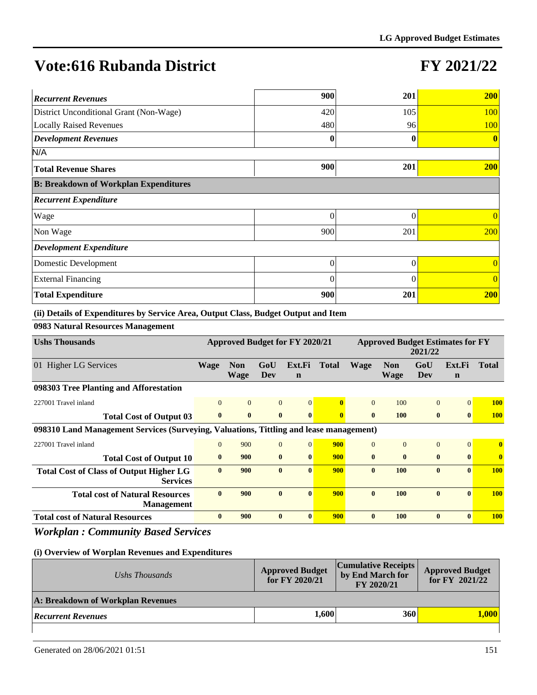## **FY 2021/22**

| <b>Recurrent Revenues</b>                    | 900      | 201      | 200            |
|----------------------------------------------|----------|----------|----------------|
| District Unconditional Grant (Non-Wage)      | 420      | 105      | <b>100</b>     |
| <b>Locally Raised Revenues</b>               | 480      | 96       | <b>100</b>     |
| <b>Development Revenues</b>                  | 0        | 0        | $\mathbf{0}$   |
| N/A                                          |          |          |                |
| <b>Total Revenue Shares</b>                  | 900      | 201      | <b>200</b>     |
| <b>B: Breakdown of Workplan Expenditures</b> |          |          |                |
| <b>Recurrent Expenditure</b>                 |          |          |                |
| Wage                                         | 0        | 0        | $\theta$       |
| Non Wage                                     | 900      | 201      | 200            |
| <b>Development Expenditure</b>               |          |          |                |
| Domestic Development                         | 0        | $\theta$ | $\overline{0}$ |
| <b>External Financing</b>                    | $\theta$ | 0        | $\overline{0}$ |
| <b>Total Expenditure</b>                     | 900      | 201      | <b>200</b>     |

**(ii) Details of Expenditures by Service Area, Output Class, Budget Output and Item**

**0983 Natural Resources Management**

| <b>Ushs Thousands</b>                                                                  | Approved Budget for FY 2020/21 |                           |                | <b>Approved Budget Estimates for FY</b><br>2021/22 |              |              |                           |              |                       |              |
|----------------------------------------------------------------------------------------|--------------------------------|---------------------------|----------------|----------------------------------------------------|--------------|--------------|---------------------------|--------------|-----------------------|--------------|
| 01 Higher LG Services                                                                  | Wage                           | <b>Non</b><br><b>Wage</b> | GoU<br>Dev     | Ext.Fi<br>$\mathbf n$                              | <b>Total</b> | <b>Wage</b>  | <b>Non</b><br><b>Wage</b> | GoU<br>Dev   | Ext.Fi<br>$\mathbf n$ | <b>Total</b> |
| 098303 Tree Planting and Afforestation                                                 |                                |                           |                |                                                    |              |              |                           |              |                       |              |
| 227001 Travel inland                                                                   | $\Omega$                       | $\overline{0}$            | $\overline{0}$ | 0                                                  | $\mathbf{0}$ | $\Omega$     | 100                       | $\Omega$     | $\Omega$              | <b>100</b>   |
| <b>Total Cost of Output 03</b>                                                         | $\mathbf{0}$                   | $\mathbf{0}$              | $\bf{0}$       | $\mathbf{0}$                                       | $\mathbf{0}$ | $\mathbf{0}$ | <b>100</b>                | $\mathbf{0}$ | $\mathbf{0}$          | <b>100</b>   |
| 098310 Land Management Services (Surveying, Valuations, Tittling and lease management) |                                |                           |                |                                                    |              |              |                           |              |                       |              |
| 227001 Travel inland                                                                   | $\Omega$                       | 900                       | $\Omega$       | $\Omega$                                           | 900          | $\Omega$     | $\Omega$                  | $\Omega$     | $\Omega$              | $\mathbf{0}$ |
| <b>Total Cost of Output 10</b>                                                         | $\mathbf{0}$                   | 900                       | $\mathbf{0}$   | $\mathbf{0}$                                       | 900          | $\mathbf{0}$ | $\mathbf{0}$              | $\mathbf{0}$ | $\mathbf{0}$          | $\mathbf{0}$ |
| <b>Total Cost of Class of Output Higher LG</b><br><b>Services</b>                      | $\mathbf{0}$                   | 900                       | $\mathbf{0}$   | $\mathbf{0}$                                       | 900          | $\mathbf{0}$ | 100                       | $\mathbf{0}$ | $\mathbf{0}$          | <b>100</b>   |
| <b>Total cost of Natural Resources</b><br><b>Management</b>                            | $\mathbf{0}$                   | 900                       | $\mathbf{0}$   | $\mathbf{0}$                                       | 900          | $\mathbf{0}$ | 100                       | $\mathbf{0}$ | $\mathbf{0}$          | <b>100</b>   |
| <b>Total cost of Natural Resources</b>                                                 | $\bf{0}$                       | 900                       | $\mathbf{0}$   | $\mathbf{0}$                                       | 900          | $\mathbf{0}$ | 100                       | $\mathbf{0}$ | $\mathbf{0}$          | <b>100</b>   |

*Workplan : Community Based Services*

| Ushs Thousands                    | <b>Approved Budget</b><br>for FY 2020/21 | <b>Cumulative Receipts</b><br>by End March for<br>FY 2020/21 | <b>Approved Budget</b><br>for FY 2021/22 |
|-----------------------------------|------------------------------------------|--------------------------------------------------------------|------------------------------------------|
| A: Breakdown of Workplan Revenues |                                          |                                                              |                                          |
| <b>Recurrent Revenues</b>         | 1,600                                    | 360                                                          | <b>A.000</b>                             |
|                                   |                                          |                                                              |                                          |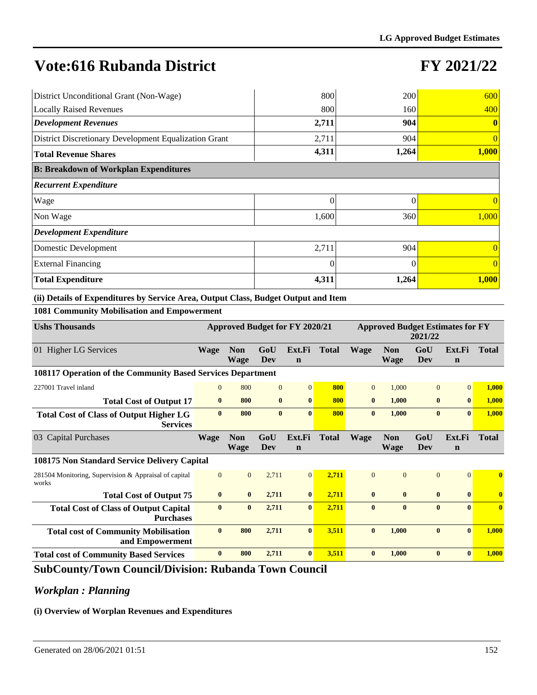## **FY 2021/22**

| District Unconditional Grant (Non-Wage)               | 800      | 200      | 600            |
|-------------------------------------------------------|----------|----------|----------------|
| <b>Locally Raised Revenues</b>                        | 800      | 160      | 400            |
| <b>Development Revenues</b>                           | 2,711    | 904      | $\bf{0}$       |
| District Discretionary Development Equalization Grant | 2,711    | 904      | $\overline{0}$ |
| <b>Total Revenue Shares</b>                           | 4,311    | 1,264    | 1,000          |
| <b>B: Breakdown of Workplan Expenditures</b>          |          |          |                |
| <b>Recurrent Expenditure</b>                          |          |          |                |
| Wage                                                  | $\theta$ | $\theta$ | $\Omega$       |
| Non Wage                                              | 1,600    | 360      | 1,000          |
| <b>Development Expenditure</b>                        |          |          |                |
| Domestic Development                                  | 2,711    | 904      | $\Omega$       |
| <b>External Financing</b>                             | $\theta$ |          | $\theta$       |
| <b>Total Expenditure</b>                              | 4,311    | 1,264    | 1,000          |

#### **(ii) Details of Expenditures by Service Area, Output Class, Budget Output and Item**

#### **1081 Community Mobilisation and Empowerment**

| <b>Ushs Thousands</b>                                             | Approved Budget for FY 2020/21 |                           |                | <b>Approved Budget Estimates for FY</b><br>2021/22 |              |                |                           |                   |                       |              |
|-------------------------------------------------------------------|--------------------------------|---------------------------|----------------|----------------------------------------------------|--------------|----------------|---------------------------|-------------------|-----------------------|--------------|
| 01 Higher LG Services                                             | <b>Wage</b>                    | <b>Non</b><br><b>Wage</b> | GoU<br>Dev     | Ext.Fi<br>$\mathbf n$                              | <b>Total</b> | <b>Wage</b>    | <b>Non</b><br>Wage        | GoU<br><b>Dev</b> | Ext.Fi<br>$\mathbf n$ | <b>Total</b> |
| 108117 Operation of the Community Based Services Department       |                                |                           |                |                                                    |              |                |                           |                   |                       |              |
| 227001 Travel inland                                              | $\Omega$                       | 800                       | $\overline{0}$ | $\overline{0}$                                     | 800          | $\overline{0}$ | 1,000                     | $\Omega$          | $\Omega$              | 1,000        |
| <b>Total Cost of Output 17</b>                                    | $\bf{0}$                       | 800                       | $\bf{0}$       | $\bf{0}$                                           | 800          | $\mathbf{0}$   | 1,000                     | $\bf{0}$          | $\bf{0}$              | 1,000        |
| <b>Total Cost of Class of Output Higher LG</b><br><b>Services</b> | $\mathbf{0}$                   | 800                       | $\mathbf{0}$   | $\mathbf{0}$                                       | 800          | $\mathbf{0}$   | 1,000                     | $\bf{0}$          | $\mathbf{0}$          | 1,000        |
| 03 Capital Purchases                                              | <b>Wage</b>                    | <b>Non</b><br><b>Wage</b> | GoU<br>Dev     | Ext.Fi<br>$\mathbf n$                              | <b>Total</b> | <b>Wage</b>    | <b>Non</b><br><b>Wage</b> | GoU<br>Dev        | Ext.Fi<br>$\mathbf n$ | <b>Total</b> |
| 108175 Non Standard Service Delivery Capital                      |                                |                           |                |                                                    |              |                |                           |                   |                       |              |
| 281504 Monitoring, Supervision & Appraisal of capital<br>works    | $\mathbf{0}$                   | $\overline{0}$            | 2,711          | $\vert 0 \vert$                                    | 2,711        | $\Omega$       | $\Omega$                  | $\overline{0}$    | $\Omega$              | $\mathbf{0}$ |
| <b>Total Cost of Output 75</b>                                    | $\bf{0}$                       | $\mathbf{0}$              | 2,711          | $\bf{0}$                                           | 2,711        | $\mathbf{0}$   | $\bf{0}$                  | $\bf{0}$          | $\bf{0}$              | $\bf{0}$     |
| <b>Total Cost of Class of Output Capital</b><br><b>Purchases</b>  | $\bf{0}$                       | $\bf{0}$                  | 2,711          | $\bf{0}$                                           | 2,711        | $\bf{0}$       | $\bf{0}$                  | $\bf{0}$          | $\mathbf{0}$          | $\bf{0}$     |
| <b>Total cost of Community Mobilisation</b><br>and Empowerment    | $\bf{0}$                       | 800                       | 2,711          | $\mathbf{0}$                                       | 3,511        | $\mathbf{0}$   | 1,000                     | $\mathbf{0}$      | $\mathbf{0}$          | 1,000        |
| <b>Total cost of Community Based Services</b>                     | $\bf{0}$                       | 800                       | 2,711          | $\bf{0}$                                           | 3.511        | $\mathbf{0}$   | 1.000                     | $\bf{0}$          | $\mathbf{0}$          | 1,000        |

### **SubCounty/Town Council/Division: Rubanda Town Council**

### *Workplan : Planning*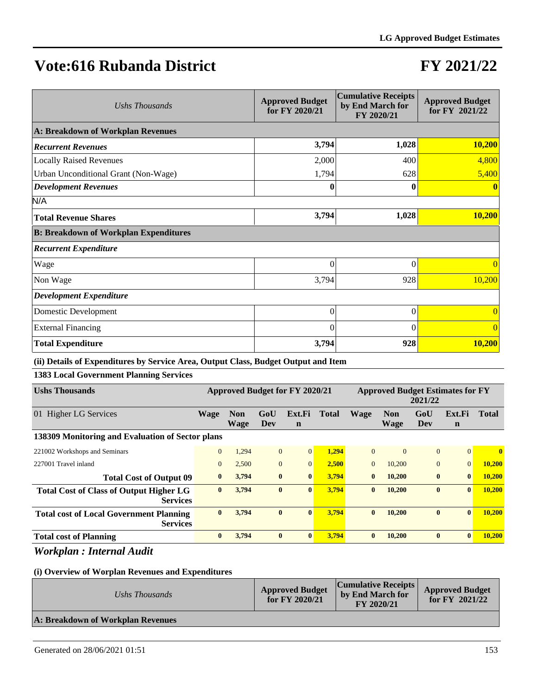### **FY 2021/22**

| Ushs Thousands                               | <b>Approved Budget</b><br>for FY 2020/21 | <b>Cumulative Receipts</b><br>by End March for<br>FY 2020/21 | <b>Approved Budget</b><br>for FY 2021/22 |
|----------------------------------------------|------------------------------------------|--------------------------------------------------------------|------------------------------------------|
| A: Breakdown of Workplan Revenues            |                                          |                                                              |                                          |
| <b>Recurrent Revenues</b>                    | 3,794                                    | 1,028                                                        | 10,200                                   |
| <b>Locally Raised Revenues</b>               | 2,000                                    | 400                                                          | 4,800                                    |
| Urban Unconditional Grant (Non-Wage)         | 1,794                                    | 628                                                          | 5,400                                    |
| <b>Development Revenues</b>                  | 0                                        | 0                                                            |                                          |
| N/A                                          |                                          |                                                              |                                          |
| <b>Total Revenue Shares</b>                  | 3,794                                    | 1,028                                                        | 10,200                                   |
| <b>B: Breakdown of Workplan Expenditures</b> |                                          |                                                              |                                          |
| <b>Recurrent Expenditure</b>                 |                                          |                                                              |                                          |
| Wage                                         | $\theta$                                 | $\theta$                                                     | $\Omega$                                 |
| Non Wage                                     | 3,794                                    | 928                                                          | 10,200                                   |
| <b>Development Expenditure</b>               |                                          |                                                              |                                          |
| Domestic Development                         | $\overline{0}$                           | $\theta$                                                     | $\theta$                                 |
| <b>External Financing</b>                    | $\theta$                                 | $\Omega$                                                     | $\Omega$                                 |
| <b>Total Expenditure</b>                     | 3,794                                    | 928                                                          | 10,200                                   |

#### **(ii) Details of Expenditures by Service Area, Output Class, Budget Output and Item**

#### **1383 Local Government Planning Services**

| <b>Ushs Thousands</b>                                             | <b>Approved Budget for FY 2020/21</b> |                           |                |                       |       | <b>Approved Budget Estimates for FY</b><br>2021/22 |                           |              |                       |               |
|-------------------------------------------------------------------|---------------------------------------|---------------------------|----------------|-----------------------|-------|----------------------------------------------------|---------------------------|--------------|-----------------------|---------------|
| <b>Higher LG Services</b><br>01                                   | <b>Wage</b>                           | <b>Non</b><br><b>Wage</b> | GoU<br>Dev     | Ext.Fi<br>$\mathbf n$ | Total | <b>Wage</b>                                        | <b>Non</b><br><b>Wage</b> | GoU<br>Dev   | Ext.Fi<br>$\mathbf n$ | <b>Total</b>  |
| 138309 Monitoring and Evaluation of Sector plans                  |                                       |                           |                |                       |       |                                                    |                           |              |                       |               |
| 221002 Workshops and Seminars                                     | $\overline{0}$                        | 1,294                     | $\overline{0}$ | $\overline{0}$        | 1,294 | $\Omega$                                           | $\Omega$                  | $\mathbf{0}$ | $\overline{0}$        | $\bf{0}$      |
| 227001 Travel inland                                              | $\mathbf{0}$                          | 2,500                     | $\mathbf{0}$   | $\mathbf{0}$          | 2,500 | $\Omega$                                           | 10,200                    | $\mathbf{0}$ | $\overline{0}$        | <b>10,200</b> |
| <b>Total Cost of Output 09</b>                                    | $\bf{0}$                              | 3,794                     | $\bf{0}$       | $\bf{0}$              | 3,794 | $\bf{0}$                                           | 10,200                    | $\bf{0}$     | $\bf{0}$              | <b>10,200</b> |
| <b>Total Cost of Class of Output Higher LG</b><br><b>Services</b> | $\bf{0}$                              | 3,794                     | $\bf{0}$       | $\mathbf{0}$          | 3,794 | $\bf{0}$                                           | 10,200                    | $\bf{0}$     | $\bf{0}$              | 10,200        |
| <b>Total cost of Local Government Planning</b><br><b>Services</b> | $\mathbf{0}$                          | 3,794                     | $\mathbf{0}$   | $\mathbf{0}$          | 3.794 | $\mathbf{0}$                                       | 10,200                    | $\bf{0}$     | $\bf{0}$              | 10,200        |
| <b>Total cost of Planning</b>                                     | $\bf{0}$                              | 3,794                     | $\bf{0}$       | $\mathbf{0}$          | 3,794 | $\mathbf{0}$                                       | 10,200                    | $\bf{0}$     | $\bf{0}$              | 10,200        |

### *Workplan : Internal Audit*

| Ushs Thousands                    | <b>Approved Budget</b><br>for $FY$ 2020/21 | <b>Cumulative Receipts</b><br>by End March for<br>FY 2020/21 | <b>Approved Budget</b><br>for $FY$ 2021/22 |
|-----------------------------------|--------------------------------------------|--------------------------------------------------------------|--------------------------------------------|
| A: Breakdown of Workplan Revenues |                                            |                                                              |                                            |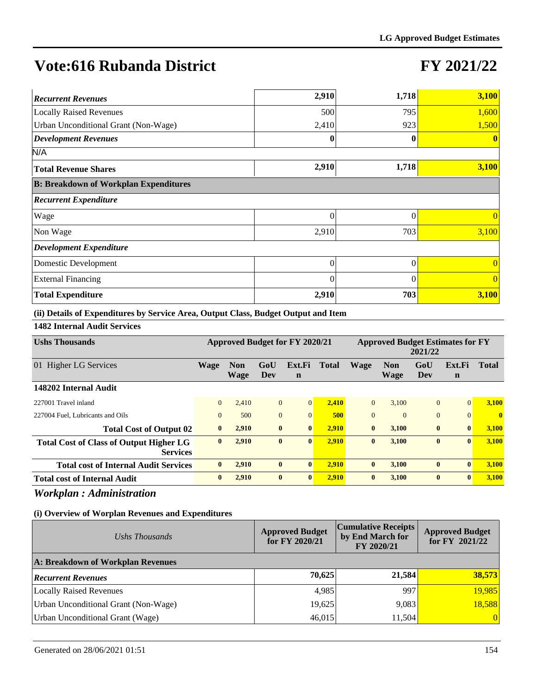### **FY 2021/22**

| <b>Recurrent Revenues</b>                    | 2,910    | 1,718    | 3,100          |
|----------------------------------------------|----------|----------|----------------|
| <b>Locally Raised Revenues</b>               | 500      | 795      | 1,600          |
| Urban Unconditional Grant (Non-Wage)         | 2,410    | 923      | 1,500          |
| <b>Development Revenues</b>                  | 0        |          | $\mathbf{0}$   |
| N/A                                          |          |          |                |
| <b>Total Revenue Shares</b>                  | 2,910    | 1,718    | 3,100          |
| <b>B: Breakdown of Workplan Expenditures</b> |          |          |                |
| <b>Recurrent Expenditure</b>                 |          |          |                |
| Wage                                         | $\theta$ | $\theta$ | $\Omega$       |
| Non Wage                                     | 2,910    | 703      | 3,100          |
| <b>Development Expenditure</b>               |          |          |                |
| Domestic Development                         | 0        | 0        | $\theta$       |
| <b>External Financing</b>                    | $\theta$ | 0        | $\overline{0}$ |
| <b>Total Expenditure</b>                     | 2,910    | 703      | 3,100          |

**(ii) Details of Expenditures by Service Area, Output Class, Budget Output and Item**

**1482 Internal Audit Services**

| <b>Ushs Thousands</b>                                             | Approved Budget for FY 2020/21 |                    |                |                       | <b>Approved Budget Estimates for FY</b><br>2021/22 |                |                    |                |                       |              |
|-------------------------------------------------------------------|--------------------------------|--------------------|----------------|-----------------------|----------------------------------------------------|----------------|--------------------|----------------|-----------------------|--------------|
| 01 Higher LG Services                                             | <b>Wage</b>                    | <b>Non</b><br>Wage | GoU<br>Dev     | Ext.Fi<br>$\mathbf n$ | <b>Total</b>                                       | <b>Wage</b>    | <b>Non</b><br>Wage | GoU<br>Dev     | Ext.Fi<br>$\mathbf n$ | <b>Total</b> |
| 148202 Internal Audit                                             |                                |                    |                |                       |                                                    |                |                    |                |                       |              |
| 227001 Travel inland                                              | $\overline{0}$                 | 2.410              | $\overline{0}$ | $\Omega$              | 2,410                                              | $\overline{0}$ | 3.100              | $\overline{0}$ | $\Omega$              | 3.100        |
| 227004 Fuel, Lubricants and Oils                                  | $\Omega$                       | 500                | $\mathbf{0}$   | $\Omega$              | 500                                                | $\mathbf{0}$   | $\Omega$           | $\overline{0}$ | $\Omega$              | $\mathbf{0}$ |
| <b>Total Cost of Output 02</b>                                    | $\bf{0}$                       | 2,910              | $\bf{0}$       | $\bf{0}$              | 2,910                                              | $\bf{0}$       | 3,100              | $\bf{0}$       | $\mathbf{0}$          | 3,100        |
| <b>Total Cost of Class of Output Higher LG</b><br><b>Services</b> | $\bf{0}$                       | 2,910              | $\bf{0}$       | $\mathbf{0}$          | 2,910                                              | $\bf{0}$       | 3,100              | $\bf{0}$       | $\mathbf{0}$          | 3,100        |
| <b>Total cost of Internal Audit Services</b>                      | $\mathbf{0}$                   | 2,910              | $\bf{0}$       | $\mathbf{0}$          | 2.910                                              | $\mathbf{0}$   | 3,100              | $\bf{0}$       | $\mathbf{0}$          | 3,100        |
| <b>Total cost of Internal Audit</b>                               | $\bf{0}$                       | 2,910              | $\bf{0}$       | $\mathbf{0}$          | 2,910                                              | $\bf{0}$       | 3,100              | $\bf{0}$       | $\mathbf{0}$          | 3,100        |
|                                                                   |                                |                    |                |                       |                                                    |                |                    |                |                       |              |

*Workplan : Administration*

| Ushs Thousands                       | <b>Approved Budget</b><br>for FY 2020/21 | <b>Cumulative Receipts</b><br>by End March for<br>FY 2020/21 | <b>Approved Budget</b><br>for FY 2021/22 |
|--------------------------------------|------------------------------------------|--------------------------------------------------------------|------------------------------------------|
| A: Breakdown of Workplan Revenues    |                                          |                                                              |                                          |
| <b>Recurrent Revenues</b>            | 70,625                                   | 21,584                                                       | 38,573                                   |
| Locally Raised Revenues              | 4,985                                    | 997                                                          | 19,985                                   |
| Urban Unconditional Grant (Non-Wage) | 19,625                                   | 9,083                                                        | 18,588                                   |
| Urban Unconditional Grant (Wage)     | 46,015                                   | 11,504                                                       | $\vert 0 \vert$                          |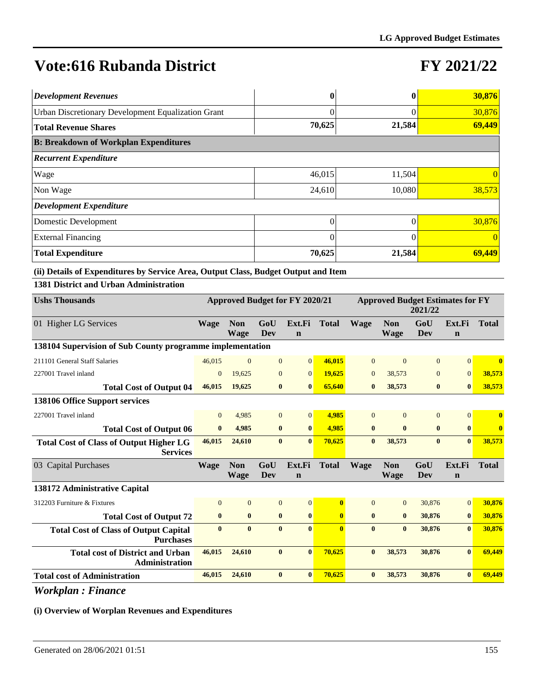## **FY 2021/22**

| <b>Development Revenues</b>                               |          |        | 30,876   |
|-----------------------------------------------------------|----------|--------|----------|
| <b>Urban Discretionary Development Equalization Grant</b> | 0        |        | 30,876   |
| <b>Total Revenue Shares</b>                               | 70,625   | 21,584 | 69,449   |
| <b>B: Breakdown of Workplan Expenditures</b>              |          |        |          |
| <b>Recurrent Expenditure</b>                              |          |        |          |
| <b>Wage</b>                                               | 46,015   | 11,504 | 0        |
| Non Wage                                                  | 24,610   | 10,080 | 38,573   |
| Development Expenditure                                   |          |        |          |
| Domestic Development                                      | 0        |        | 30,876   |
| <b>External Financing</b>                                 | $\Omega$ | 0      | $\Omega$ |
| <b>Total Expenditure</b>                                  | 70,625   | 21,584 | 69,449   |

**(ii) Details of Expenditures by Service Area, Output Class, Budget Output and Item**

**1381 District and Urban Administration**

| <b>Ushs Thousands</b>                                             | Approved Budget for FY 2020/21 |                           |              |                       |              | <b>Approved Budget Estimates for FY</b><br>2021/22 |                    |                |                       |                         |
|-------------------------------------------------------------------|--------------------------------|---------------------------|--------------|-----------------------|--------------|----------------------------------------------------|--------------------|----------------|-----------------------|-------------------------|
| 01 Higher LG Services                                             | Wage                           | <b>Non</b><br><b>Wage</b> | GoU<br>Dev   | Ext.Fi<br>$\mathbf n$ | <b>Total</b> | <b>Wage</b>                                        | <b>Non</b><br>Wage | GoU<br>Dev     | Ext.Fi<br>$\mathbf n$ | <b>Total</b>            |
| 138104 Supervision of Sub County programme implementation         |                                |                           |              |                       |              |                                                    |                    |                |                       |                         |
| 211101 General Staff Salaries                                     | 46,015                         | $\overline{0}$            | $\mathbf{0}$ | $\vert 0 \vert$       | 46,015       | $\overline{0}$                                     | $\Omega$           | $\overline{0}$ | $\overline{0}$        | $\overline{\mathbf{0}}$ |
| 227001 Travel inland                                              | $\mathbf{0}$                   | 19,625                    | $\mathbf{0}$ | $\overline{0}$        | 19,625       | $\mathbf{0}$                                       | 38,573             | $\overline{0}$ | $\overline{0}$        | 38,573                  |
| <b>Total Cost of Output 04</b>                                    | 46,015                         | 19,625                    | $\bf{0}$     | $\bf{0}$              | 65,640       | $\bf{0}$                                           | 38,573             | $\bf{0}$       | $\bf{0}$              | 38,573                  |
| 138106 Office Support services                                    |                                |                           |              |                       |              |                                                    |                    |                |                       |                         |
| 227001 Travel inland                                              | $\overline{0}$                 | 4,985                     | $\mathbf{0}$ | $\overline{0}$        | 4.985        | $\Omega$                                           | $\Omega$           | $\overline{0}$ | $\Omega$              | $\mathbf{0}$            |
| <b>Total Cost of Output 06</b>                                    | $\bf{0}$                       | 4,985                     | $\bf{0}$     | $\bf{0}$              | 4.985        | $\bf{0}$                                           | $\bf{0}$           | $\bf{0}$       | $\bf{0}$              | $\mathbf{0}$            |
| <b>Total Cost of Class of Output Higher LG</b><br><b>Services</b> | 46,015                         | 24,610                    | $\bf{0}$     | $\bf{0}$              | 70,625       | $\bf{0}$                                           | 38,573             | $\bf{0}$       | $\bf{0}$              | 38,573                  |
| 03 Capital Purchases                                              | Wage                           | <b>Non</b>                | GoU          | Ext.Fi                | <b>Total</b> | <b>Wage</b>                                        | <b>Non</b>         | GoU            | Ext.Fi                | <b>Total</b>            |
|                                                                   |                                | Wage                      | Dev          | $\mathbf n$           |              |                                                    | Wage               | Dev            | $\mathbf n$           |                         |
| 138172 Administrative Capital                                     |                                |                           |              |                       |              |                                                    |                    |                |                       |                         |
| 312203 Furniture & Fixtures                                       | $\Omega$                       | $\Omega$                  | $\mathbf{0}$ | $\overline{0}$        | $\mathbf{0}$ | $\Omega$                                           | $\Omega$           | 30,876         | $\overline{0}$        | 30,876                  |
| <b>Total Cost of Output 72</b>                                    | $\bf{0}$                       | $\bf{0}$                  | $\bf{0}$     | $\bf{0}$              | $\bf{0}$     | $\bf{0}$                                           | $\bf{0}$           | 30,876         | $\bf{0}$              | 30,876                  |
| <b>Total Cost of Class of Output Capital</b><br><b>Purchases</b>  | $\bf{0}$                       | $\mathbf{0}$              | $\mathbf{0}$ | $\mathbf{0}$          | $\mathbf{0}$ | $\mathbf{0}$                                       | $\mathbf{0}$       | 30,876         | $\mathbf{0}$          | 30,876                  |
| <b>Total cost of District and Urban</b><br><b>Administration</b>  | 46,015                         | 24,610                    | $\bf{0}$     | $\mathbf{0}$          | 70,625       | $\mathbf{0}$                                       | 38,573             | 30,876         | $\mathbf{0}$          | 69,449                  |
| <b>Total cost of Administration</b>                               | 46,015                         | 24,610                    | $\bf{0}$     | $\bf{0}$              | 70,625       | $\bf{0}$                                           | 38,573             | 30,876         | $\bf{0}$              | 69,449                  |

*Workplan : Finance*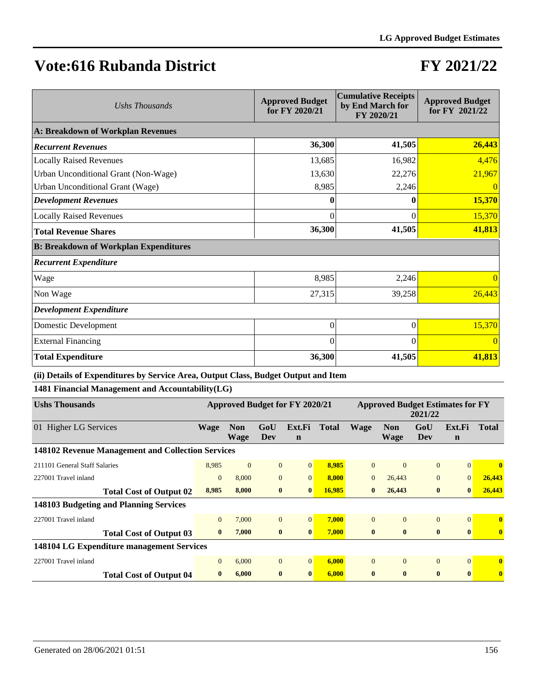### **FY 2021/22**

| Ushs Thousands                               | <b>Approved Budget</b><br>for FY 2020/21 | <b>Cumulative Receipts</b><br>by End March for<br>FY 2020/21 | <b>Approved Budget</b><br>for FY 2021/22 |  |
|----------------------------------------------|------------------------------------------|--------------------------------------------------------------|------------------------------------------|--|
| A: Breakdown of Workplan Revenues            |                                          |                                                              |                                          |  |
| <b>Recurrent Revenues</b>                    | 36,300                                   | 41,505                                                       | 26,443                                   |  |
| <b>Locally Raised Revenues</b>               | 13,685                                   | 16,982                                                       | 4,476                                    |  |
| Urban Unconditional Grant (Non-Wage)         | 13,630                                   | 22,276                                                       | 21,967                                   |  |
| Urban Unconditional Grant (Wage)             | 8,985                                    | 2,246                                                        | $\overline{0}$                           |  |
| <b>Development Revenues</b>                  |                                          |                                                              | 15,370                                   |  |
| <b>Locally Raised Revenues</b>               | 0                                        | 0                                                            | 15,370                                   |  |
| <b>Total Revenue Shares</b>                  | 36,300                                   | 41,505                                                       | 41,813                                   |  |
| <b>B: Breakdown of Workplan Expenditures</b> |                                          |                                                              |                                          |  |
| <b>Recurrent Expenditure</b>                 |                                          |                                                              |                                          |  |
| Wage                                         | 8,985                                    | 2,246                                                        |                                          |  |
| Non Wage                                     | 27,315                                   | 39,258                                                       | 26,443                                   |  |
| <b>Development Expenditure</b>               |                                          |                                                              |                                          |  |
| Domestic Development                         | $\overline{0}$                           | $\theta$                                                     | 15,370                                   |  |
| <b>External Financing</b>                    | $\theta$                                 | $\Omega$                                                     | $\Omega$                                 |  |
| <b>Total Expenditure</b>                     | 36,300                                   | 41,505                                                       | 41,813                                   |  |

**(ii) Details of Expenditures by Service Area, Output Class, Budget Output and Item**

**1481 Financial Management and Accountability(LG)**

| <b>Ushs Thousands</b>                             | <b>Approved Budget for FY 2020/21</b> |                           |                |                       | <b>Approved Budget Estimates for FY</b><br>2021/22 |              |                    |                |                       |              |
|---------------------------------------------------|---------------------------------------|---------------------------|----------------|-----------------------|----------------------------------------------------|--------------|--------------------|----------------|-----------------------|--------------|
| 01 Higher LG Services                             | <b>Wage</b>                           | <b>Non</b><br><b>Wage</b> | GoU<br>Dev     | Ext.Fi<br>$\mathbf n$ | <b>Total</b>                                       | <b>Wage</b>  | <b>Non</b><br>Wage | GoU<br>Dev     | Ext.Fi<br>$\mathbf n$ | <b>Total</b> |
| 148102 Revenue Management and Collection Services |                                       |                           |                |                       |                                                    |              |                    |                |                       |              |
| 211101 General Staff Salaries                     | 8,985                                 | $\mathbf{0}$              | $\overline{0}$ | $\overline{0}$        | 8,985                                              | $\theta$     | $\Omega$           | $\overline{0}$ | $\Omega$              | $\mathbf{0}$ |
| 227001 Travel inland                              | $\overline{0}$                        | 8,000                     | $\Omega$       | $\theta$              | 8,000                                              | $\Omega$     | 26,443             | $\overline{0}$ | $\mathbf{0}$          | 26,443       |
| <b>Total Cost of Output 02</b>                    | 8,985                                 | 8,000                     | $\bf{0}$       | $\bf{0}$              | 16,985                                             | $\bf{0}$     | 26,443             | $\bf{0}$       | $\bf{0}$              | 26,443       |
| 148103 Budgeting and Planning Services            |                                       |                           |                |                       |                                                    |              |                    |                |                       |              |
| 227001 Travel inland                              | $\mathbf{0}$                          | 7,000                     | $\overline{0}$ | $\overline{0}$        | 7,000                                              | $\Omega$     | $\Omega$           | $\Omega$       | $\Omega$              | $\mathbf{0}$ |
| <b>Total Cost of Output 03</b>                    | $\bf{0}$                              | 7,000                     | $\bf{0}$       | $\mathbf{0}$          | 7,000                                              | $\bf{0}$     | $\bf{0}$           | $\bf{0}$       | $\mathbf{0}$          | $\mathbf{0}$ |
| 148104 LG Expenditure management Services         |                                       |                           |                |                       |                                                    |              |                    |                |                       |              |
| 227001 Travel inland                              | $\mathbf{0}$                          | 6,000                     | $\overline{0}$ | $\overline{0}$        | 6,000                                              | $\Omega$     | $\theta$           | $\Omega$       | $\Omega$              | $\mathbf{0}$ |
| <b>Total Cost of Output 04</b>                    | $\bf{0}$                              | 6.000                     | $\bf{0}$       | $\mathbf{0}$          | 6.000                                              | $\mathbf{0}$ | $\mathbf{0}$       | $\mathbf{0}$   | $\mathbf{0}$          | $\bf{0}$     |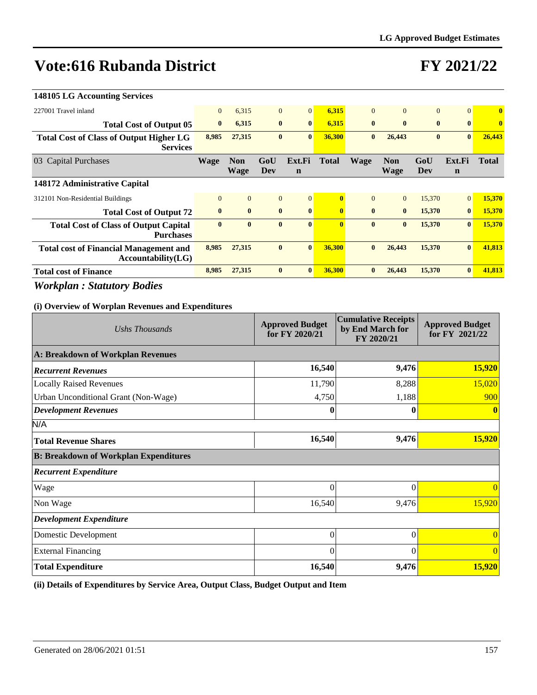## **FY 2021/22**

| <b>148105 LG Accounting Services</b>                                |              |                           |                |                       |              |                |                           |              |                       |                         |
|---------------------------------------------------------------------|--------------|---------------------------|----------------|-----------------------|--------------|----------------|---------------------------|--------------|-----------------------|-------------------------|
| 227001 Travel inland                                                | $\mathbf{0}$ | 6,315                     | $\overline{0}$ | $\overline{0}$        | 6,315        | $\overline{0}$ | $\Omega$                  | $\mathbf{0}$ | $\overline{0}$        | $\overline{\mathbf{0}}$ |
| <b>Total Cost of Output 05</b>                                      | $\bf{0}$     | 6,315                     | $\bf{0}$       | $\bf{0}$              | 6,315        | $\bf{0}$       | $\bf{0}$                  | $\bf{0}$     | $\bf{0}$              | $\bf{0}$                |
| <b>Total Cost of Class of Output Higher LG</b><br><b>Services</b>   | 8,985        | 27,315                    | $\bf{0}$       | $\bf{0}$              | 36,300       | $\bf{0}$       | 26,443                    | $\bf{0}$     | $\bf{0}$              | 26,443                  |
| 03 Capital Purchases                                                | <b>Wage</b>  | <b>Non</b><br><b>Wage</b> | GoU<br>Dev     | Ext.Fi<br>$\mathbf n$ | Total        | <b>Wage</b>    | <b>Non</b><br><b>Wage</b> | GoU<br>Dev   | Ext.Fi<br>$\mathbf n$ | <b>Total</b>            |
| 148172 Administrative Capital                                       |              |                           |                |                       |              |                |                           |              |                       |                         |
| 312101 Non-Residential Buildings                                    | $\Omega$     | $\overline{0}$            | $\overline{0}$ | $\overline{0}$        | $\mathbf{0}$ | $\Omega$       | $\overline{0}$            | 15,370       | $\overline{0}$        | 15,370                  |
| <b>Total Cost of Output 72</b>                                      | $\bf{0}$     | $\bf{0}$                  | $\mathbf{0}$   | $\mathbf{0}$          | $\mathbf{0}$ | $\mathbf{0}$   | $\mathbf{0}$              | 15,370       | $\bf{0}$              | 15,370                  |
| <b>Total Cost of Class of Output Capital</b><br><b>Purchases</b>    | $\mathbf{0}$ | $\bf{0}$                  | $\mathbf{0}$   | $\mathbf{0}$          | $\mathbf{0}$ | $\mathbf{0}$   | $\mathbf{0}$              | 15,370       | $\mathbf{0}$          | 15,370                  |
| <b>Total cost of Financial Management and</b><br>Accountability(LG) | 8,985        | 27,315                    | $\bf{0}$       | $\mathbf{0}$          | 36,300       | $\mathbf{0}$   | 26,443                    | 15,370       | $\bf{0}$              | 41,813                  |
| <b>Total cost of Finance</b>                                        | 8,985        | 27,315                    | $\mathbf{0}$   | $\bf{0}$              | 36,300       | $\bf{0}$       | 26,443                    | 15,370       | $\bf{0}$              | 41,813                  |
|                                                                     |              |                           |                |                       |              |                |                           |              |                       |                         |

*Workplan : Statutory Bodies*

### **(i) Overview of Worplan Revenues and Expenditures**

| Ushs Thousands                               | <b>Approved Budget</b><br>for FY 2020/21 | <b>Cumulative Receipts</b><br>by End March for<br>FY 2020/21 | <b>Approved Budget</b><br>for FY 2021/22 |
|----------------------------------------------|------------------------------------------|--------------------------------------------------------------|------------------------------------------|
| A: Breakdown of Workplan Revenues            |                                          |                                                              |                                          |
| <b>Recurrent Revenues</b>                    | 16,540                                   | 9,476                                                        | 15,920                                   |
| <b>Locally Raised Revenues</b>               | 11,790                                   | 8,288                                                        | 15,020                                   |
| Urban Unconditional Grant (Non-Wage)         | 4,750                                    | 1,188                                                        | 900                                      |
| <b>Development Revenues</b>                  | 0                                        |                                                              |                                          |
| N/A                                          |                                          |                                                              |                                          |
| <b>Total Revenue Shares</b>                  | 16,540                                   | 9,476                                                        | 15,920                                   |
| <b>B: Breakdown of Workplan Expenditures</b> |                                          |                                                              |                                          |
| <b>Recurrent Expenditure</b>                 |                                          |                                                              |                                          |
| Wage                                         | $\overline{0}$                           | $\Omega$                                                     | $\Omega$                                 |
| Non Wage                                     | 16,540                                   | 9,476                                                        | 15,920                                   |
| <b>Development Expenditure</b>               |                                          |                                                              |                                          |
| Domestic Development                         | $\overline{0}$                           | $\theta$                                                     |                                          |
| <b>External Financing</b>                    | 0                                        | $\Omega$                                                     | $\overline{0}$                           |
| <b>Total Expenditure</b>                     | 16,540                                   | 9,476                                                        | 15,920                                   |

**(ii) Details of Expenditures by Service Area, Output Class, Budget Output and Item**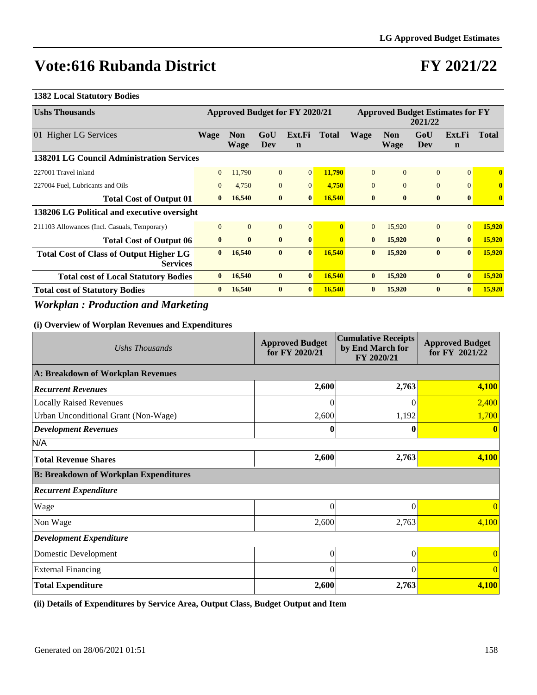## **FY 2021/22**

#### **1382 Local Statutory Bodies**

| <b>Ushs Thousands</b>                                             | Approved Budget for FY 2020/21 |                           |                |                       | <b>Approved Budget Estimates for FY</b><br>2021/22 |              |                           |                |                       |              |
|-------------------------------------------------------------------|--------------------------------|---------------------------|----------------|-----------------------|----------------------------------------------------|--------------|---------------------------|----------------|-----------------------|--------------|
| 01 Higher LG Services                                             | <b>Wage</b>                    | <b>Non</b><br><b>Wage</b> | GoU<br>Dev     | Ext.Fi<br>$\mathbf n$ | <b>Total</b>                                       | <b>Wage</b>  | <b>Non</b><br><b>Wage</b> | GoU<br>Dev     | Ext.Fi<br>$\mathbf n$ | <b>Total</b> |
| 138201 LG Council Administration Services                         |                                |                           |                |                       |                                                    |              |                           |                |                       |              |
| 227001 Travel inland                                              | $\mathbf{0}$                   | 11.790                    | $\overline{0}$ | $\overline{0}$        | 11,790                                             | $\Omega$     | $\Omega$                  | $\Omega$       | $\overline{0}$        | $\mathbf{0}$ |
| 227004 Fuel, Lubricants and Oils                                  | $\mathbf{0}$                   | 4,750                     | $\overline{0}$ | $\mathbf{0}$          | 4,750                                              | $\Omega$     | $\mathbf{0}$              | $\overline{0}$ | $\overline{0}$        | $\bf{0}$     |
| <b>Total Cost of Output 01</b>                                    | $\mathbf{0}$                   | 16,540                    | $\bf{0}$       | $\mathbf{0}$          | 16,540                                             | $\bf{0}$     | $\bf{0}$                  | $\bf{0}$       | $\bf{0}$              | $\mathbf{0}$ |
| 138206 LG Political and executive oversight                       |                                |                           |                |                       |                                                    |              |                           |                |                       |              |
| 211103 Allowances (Incl. Casuals, Temporary)                      | $\Omega$                       | $\overline{0}$            | $\overline{0}$ | $\overline{0}$        | $\mathbf{0}$                                       | $\Omega$     | 15,920                    | $\Omega$       | $\overline{0}$        | 15,920       |
| <b>Total Cost of Output 06</b>                                    | $\bf{0}$                       | $\bf{0}$                  | $\mathbf{0}$   | $\mathbf{0}$          | $\mathbf{0}$                                       | $\mathbf{0}$ | 15,920                    | $\bf{0}$       | $\mathbf{0}$          | 15,920       |
| <b>Total Cost of Class of Output Higher LG</b><br><b>Services</b> | $\mathbf{0}$                   | 16,540                    | $\mathbf{0}$   | $\mathbf{0}$          | 16,540                                             | $\mathbf{0}$ | 15,920                    | $\bf{0}$       | $\mathbf{0}$          | 15,920       |
| <b>Total cost of Local Statutory Bodies</b>                       | $\mathbf{0}$                   | 16,540                    | $\mathbf{0}$   | $\mathbf{0}$          | <b>16,540</b>                                      | $\mathbf{0}$ | 15,920                    | $\bf{0}$       | $\mathbf{0}$          | 15,920       |
| <b>Total cost of Statutory Bodies</b>                             | $\bf{0}$                       | 16,540                    | $\bf{0}$       | $\mathbf{0}$          | 16,540                                             | $\mathbf{0}$ | 15,920                    | $\bf{0}$       | $\bf{0}$              | 15,920       |

### *Workplan : Production and Marketing*

#### **(i) Overview of Worplan Revenues and Expenditures**

| Ushs Thousands                               | <b>Cumulative Receipts</b><br><b>Approved Budget</b><br>by End March for<br>for FY 2020/21<br>FY 2020/21 |          | <b>Approved Budget</b><br>for FY 2021/22 |
|----------------------------------------------|----------------------------------------------------------------------------------------------------------|----------|------------------------------------------|
| A: Breakdown of Workplan Revenues            |                                                                                                          |          |                                          |
| <b>Recurrent Revenues</b>                    | 2,600                                                                                                    | 2,763    | 4,100                                    |
| <b>Locally Raised Revenues</b>               | $\Omega$                                                                                                 | 0        | 2,400                                    |
| Urban Unconditional Grant (Non-Wage)         | 2,600                                                                                                    | 1,192    | 1,700                                    |
| <b>Development Revenues</b>                  | 0                                                                                                        | 0        | $\mathbf{0}$                             |
| N/A                                          |                                                                                                          |          |                                          |
| <b>Total Revenue Shares</b>                  | 2,600                                                                                                    | 2,763    | 4,100                                    |
| <b>B: Breakdown of Workplan Expenditures</b> |                                                                                                          |          |                                          |
| <b>Recurrent Expenditure</b>                 |                                                                                                          |          |                                          |
| Wage                                         | $\theta$                                                                                                 | $\theta$ | $\Omega$                                 |
| Non Wage                                     | 2,600                                                                                                    | 2,763    | 4,100                                    |
| <b>Development Expenditure</b>               |                                                                                                          |          |                                          |
| Domestic Development                         | $\theta$                                                                                                 | $\Omega$ | $\overline{0}$                           |
| <b>External Financing</b>                    | $\theta$                                                                                                 | 0        | $\theta$                                 |
| <b>Total Expenditure</b>                     | 2,600                                                                                                    | 2,763    | 4,100                                    |

**(ii) Details of Expenditures by Service Area, Output Class, Budget Output and Item**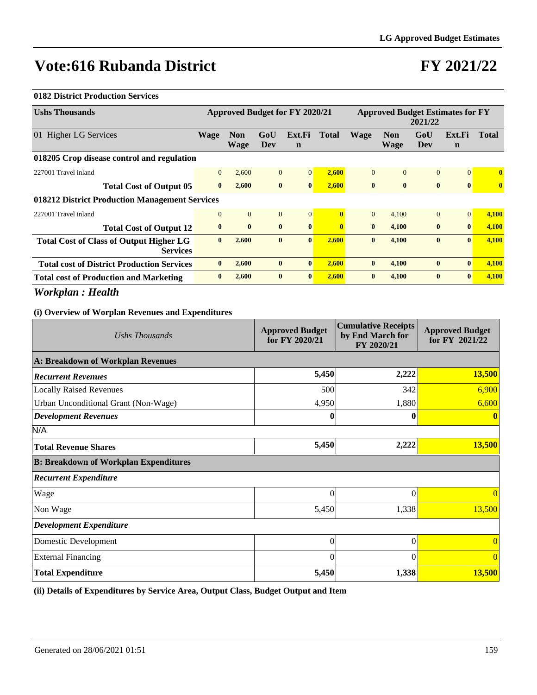## **FY 2021/22**

#### **0182 District Production Services**

|              |                                                               |                           |                       | Approved Budget for FY 2020/21 |                |                           | <b>Approved Budget Estimates for FY</b><br>2021/22 |                       |                         |
|--------------|---------------------------------------------------------------|---------------------------|-----------------------|--------------------------------|----------------|---------------------------|----------------------------------------------------|-----------------------|-------------------------|
|              |                                                               | GoU<br>Dev                | Ext.Fi<br>$\mathbf n$ | <b>Total</b>                   | <b>Wage</b>    | <b>Non</b><br><b>Wage</b> | GoU<br>Dev                                         | Ext.Fi<br>$\mathbf n$ | <b>Total</b>            |
|              |                                                               |                           |                       |                                |                |                           |                                                    |                       |                         |
| $\mathbf{0}$ | 2,600                                                         | $\mathbf{0}$              | $\Omega$              | 2,600                          | $\overline{0}$ | $\Omega$                  | $\overline{0}$                                     | $\Omega$              | $\overline{\mathbf{0}}$ |
| $\mathbf{0}$ | 2,600                                                         | $\bf{0}$                  | $\mathbf{0}$          | 2,600                          | $\mathbf{0}$   | $\mathbf{0}$              | $\bf{0}$                                           | $\mathbf{0}$          | $\mathbf{0}$            |
|              |                                                               |                           |                       |                                |                |                           |                                                    |                       |                         |
| $\mathbf{0}$ | $\overline{0}$                                                | $\mathbf{0}$              | $\Omega$              | $\mathbf{0}$                   | $\Omega$       | 4,100                     | $\overline{0}$                                     | $\Omega$              | 4,100                   |
| $\bf{0}$     | $\mathbf{0}$                                                  | $\mathbf{0}$              | $\mathbf{0}$          | $\mathbf{0}$                   | $\mathbf{0}$   | 4,100                     | $\bf{0}$                                           | $\mathbf{0}$          | 4,100                   |
| $\bf{0}$     | 2,600                                                         | $\bf{0}$                  | $\mathbf{0}$          | 2,600                          | $\bf{0}$       | 4,100                     | $\bf{0}$                                           | $\mathbf{0}$          | 4,100                   |
| $\bf{0}$     | 2,600                                                         | $\bf{0}$                  | $\mathbf{0}$          | 2,600                          | $\bf{0}$       | 4,100                     | $\bf{0}$                                           | $\mathbf{0}$          | 4,100                   |
| $\bf{0}$     | 2,600                                                         | $\bf{0}$                  | $\mathbf{0}$          | 2,600                          | $\bf{0}$       | 4,100                     | $\bf{0}$                                           | $\mathbf{0}$          | 4,100                   |
|              | <b>Wage</b><br>018212 District Production Management Services | <b>Non</b><br><b>Wage</b> |                       |                                |                |                           |                                                    |                       |                         |

*Workplan : Health*

### **(i) Overview of Worplan Revenues and Expenditures**

| Ushs Thousands                               | <b>Approved Budget</b><br>for FY 2020/21 | <b>Cumulative Receipts</b><br>by End March for<br>FY 2020/21 | <b>Approved Budget</b><br>for FY 2021/22 |
|----------------------------------------------|------------------------------------------|--------------------------------------------------------------|------------------------------------------|
| A: Breakdown of Workplan Revenues            |                                          |                                                              |                                          |
| <b>Recurrent Revenues</b>                    | 5,450                                    | 2,222                                                        | 13,500                                   |
| <b>Locally Raised Revenues</b>               | 500                                      | 342                                                          | 6,900                                    |
| Urban Unconditional Grant (Non-Wage)         | 4,950                                    | 1,880                                                        | 6,600                                    |
| <b>Development Revenues</b>                  | 0                                        | 0                                                            |                                          |
| N/A                                          |                                          |                                                              |                                          |
| <b>Total Revenue Shares</b>                  | 5,450                                    | 2,222                                                        | 13,500                                   |
| <b>B: Breakdown of Workplan Expenditures</b> |                                          |                                                              |                                          |
| <b>Recurrent Expenditure</b>                 |                                          |                                                              |                                          |
| Wage                                         | 0                                        | 0                                                            | $\Omega$                                 |
| Non Wage                                     | 5,450                                    | 1,338                                                        | 13,500                                   |
| <b>Development Expenditure</b>               |                                          |                                                              |                                          |
| Domestic Development                         | $\overline{0}$                           | $\theta$                                                     | $\Omega$                                 |
| <b>External Financing</b>                    | $\theta$                                 | 0                                                            | $\Omega$                                 |
| <b>Total Expenditure</b>                     | 5,450                                    | 1,338                                                        | 13,500                                   |

**(ii) Details of Expenditures by Service Area, Output Class, Budget Output and Item**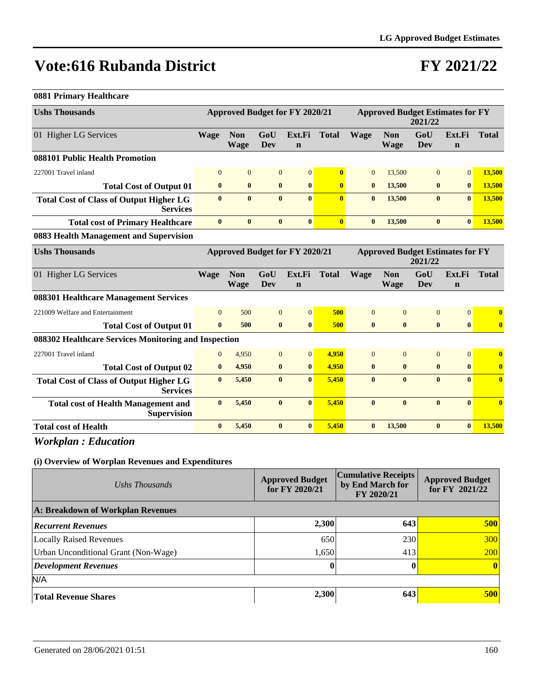### **FY 2021/22**

#### **0881 Primary Healthcare**

| <b>Ushs Thousands</b>                                             |                                                                                             | <b>Approved Budget for FY 2020/21</b> |                |                       |                         | <b>Approved Budget Estimates for FY</b><br>2021/22 |                           |                   |                       |                         |
|-------------------------------------------------------------------|---------------------------------------------------------------------------------------------|---------------------------------------|----------------|-----------------------|-------------------------|----------------------------------------------------|---------------------------|-------------------|-----------------------|-------------------------|
| 01 Higher LG Services                                             | <b>Wage</b>                                                                                 | <b>Non</b><br><b>Wage</b>             | GoU<br>Dev     | Ext.Fi<br>$\mathbf n$ | <b>Total</b>            | <b>Wage</b>                                        | <b>Non</b><br>Wage        | GoU<br><b>Dev</b> | Ext.Fi<br>$\mathbf n$ | <b>Total</b>            |
| 088101 Public Health Promotion                                    |                                                                                             |                                       |                |                       |                         |                                                    |                           |                   |                       |                         |
| 227001 Travel inland                                              | $\mathbf{0}$                                                                                | $\mathbf{0}$                          | $\mathbf{0}$   | $\overline{0}$        | $\mathbf{0}$            | $\overline{0}$                                     | 13,500                    | $\mathbf{0}$      | $\Omega$              | 13,500                  |
| <b>Total Cost of Output 01</b>                                    | $\bf{0}$                                                                                    | $\bf{0}$                              | $\bf{0}$       | $\bf{0}$              | $\bf{0}$                | $\bf{0}$                                           | 13,500                    | $\bf{0}$          | $\mathbf{0}$          | 13,500                  |
| <b>Total Cost of Class of Output Higher LG</b><br><b>Services</b> | $\mathbf{0}$                                                                                | $\bf{0}$                              | $\mathbf{0}$   | $\mathbf{0}$          | $\overline{0}$          | $\bf{0}$                                           | 13,500                    | $\bf{0}$          | $\mathbf{0}$          | 13,500                  |
| <b>Total cost of Primary Healthcare</b>                           | $\bf{0}$                                                                                    | $\bf{0}$                              | $\bf{0}$       | $\bf{0}$              | $\overline{\mathbf{0}}$ | $\bf{0}$                                           | 13,500                    | $\bf{0}$          | $\bf{0}$              | 13,500                  |
| 0883 Health Management and Supervision                            |                                                                                             |                                       |                |                       |                         |                                                    |                           |                   |                       |                         |
| <b>Ushs Thousands</b>                                             | <b>Approved Budget Estimates for FY</b><br><b>Approved Budget for FY 2020/21</b><br>2021/22 |                                       |                |                       |                         |                                                    |                           |                   |                       |                         |
| 01 Higher LG Services                                             | <b>Wage</b>                                                                                 | <b>Non</b><br><b>Wage</b>             | GoU<br>Dev     | Ext.Fi<br>$\mathbf n$ | <b>Total</b>            | Wage                                               | <b>Non</b><br><b>Wage</b> | GoU<br>Dev        | Ext.Fi<br>$\mathbf n$ | <b>Total</b>            |
| 088301 Healthcare Management Services                             |                                                                                             |                                       |                |                       |                         |                                                    |                           |                   |                       |                         |
| 221009 Welfare and Entertainment                                  | $\Omega$                                                                                    | 500                                   | $\overline{0}$ | $\Omega$              | 500                     | $\Omega$                                           | $\Omega$                  | $\overline{0}$    | $\overline{0}$        | $\bf{0}$                |
| <b>Total Cost of Output 01</b>                                    | $\bf{0}$                                                                                    | 500                                   | $\bf{0}$       | $\bf{0}$              | 500                     | $\bf{0}$                                           | $\bf{0}$                  | $\bf{0}$          | $\mathbf{0}$          | $\bf{0}$                |
| 088302 Healthcare Services Monitoring and Inspection              |                                                                                             |                                       |                |                       |                         |                                                    |                           |                   |                       |                         |
| 227001 Travel inland                                              | $\Omega$                                                                                    | 4,950                                 | $\mathbf{0}$   | $\overline{0}$        | 4,950                   | $\overline{0}$                                     | $\mathbf{0}$              | $\mathbf{0}$      | $\mathbf{0}$          | $\overline{\mathbf{0}}$ |
| <b>Total Cost of Output 02</b>                                    | $\bf{0}$                                                                                    | 4,950                                 | $\bf{0}$       | $\bf{0}$              | 4.950                   | $\bf{0}$                                           | $\bf{0}$                  | $\bf{0}$          | $\bf{0}$              | $\bf{0}$                |
| <b>Total Cost of Class of Output Higher LG</b><br><b>Services</b> | $\mathbf{0}$                                                                                | 5,450                                 | $\bf{0}$       | $\mathbf{0}$          | 5,450                   | $\bf{0}$                                           | $\mathbf{0}$              | $\bf{0}$          | $\mathbf{0}$          | $\mathbf{0}$            |
| <b>Total cost of Health Management and</b><br><b>Supervision</b>  | $\mathbf{0}$                                                                                | 5,450                                 | $\mathbf{0}$   | $\mathbf{0}$          | 5,450                   | $\bf{0}$                                           | $\mathbf{0}$              | $\mathbf{0}$      | $\mathbf{0}$          | $\mathbf{0}$            |
| <b>Total cost of Health</b>                                       | $\bf{0}$                                                                                    | 5,450                                 | $\bf{0}$       | $\bf{0}$              | 5,450                   | $\bf{0}$                                           | 13,500                    | $\bf{0}$          | $\bf{0}$              | 13,500                  |

*Workplan : Education*

| Ushs Thousands                              | <b>Approved Budget</b><br>for FY 2020/21 | <b>Cumulative Receipts</b><br>by End March for<br>FY 2020/21 | <b>Approved Budget</b><br>for FY 2021/22 |
|---------------------------------------------|------------------------------------------|--------------------------------------------------------------|------------------------------------------|
| A: Breakdown of Workplan Revenues           |                                          |                                                              |                                          |
| <b>Recurrent Revenues</b>                   | 2,300                                    | 643                                                          | 500                                      |
| <b>Locally Raised Revenues</b>              | 650                                      | 230                                                          | <b>300</b>                               |
| <b>Urban Unconditional Grant (Non-Wage)</b> | 1,650                                    | 413                                                          | 200                                      |
| <b>Development Revenues</b>                 | $\bf{0}$                                 |                                                              | $\mathbf{0}$                             |
| N/A                                         |                                          |                                                              |                                          |
| <b>Total Revenue Shares</b>                 | 2,300                                    | 643                                                          | 500                                      |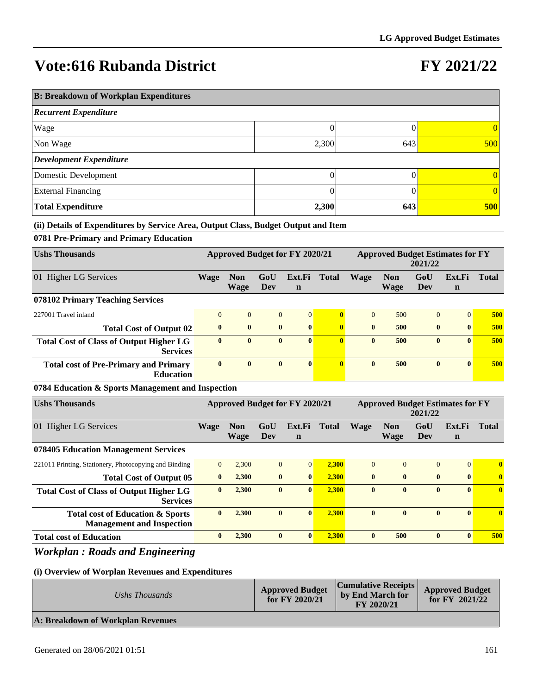## **FY 2021/22**

| <b>B: Breakdown of Workplan Expenditures</b> |       |     |            |  |  |  |  |  |
|----------------------------------------------|-------|-----|------------|--|--|--|--|--|
| <b>Recurrent Expenditure</b>                 |       |     |            |  |  |  |  |  |
| Wage                                         | 0     |     | $\Omega$   |  |  |  |  |  |
| Non Wage                                     | 2,300 | 643 | 500        |  |  |  |  |  |
| <b>Development Expenditure</b>               |       |     |            |  |  |  |  |  |
| Domestic Development                         |       |     | 0          |  |  |  |  |  |
| <b>External Financing</b>                    | 0     |     | $\Omega$   |  |  |  |  |  |
| <b>Total Expenditure</b>                     | 2,300 | 643 | <b>500</b> |  |  |  |  |  |

#### **(ii) Details of Expenditures by Service Area, Output Class, Budget Output and Item**

### **0781 Pre-Primary and Primary Education**

| <b>Ushs Thousands</b>                                             | <b>Approved Budget for FY 2020/21</b> |                    |                | <b>Approved Budget Estimates for FY</b><br>2021/22 |              |              |                    |              |              |              |
|-------------------------------------------------------------------|---------------------------------------|--------------------|----------------|----------------------------------------------------|--------------|--------------|--------------------|--------------|--------------|--------------|
| 01 Higher LG Services                                             | Wage                                  | <b>Non</b><br>Wage | GoU<br>Dev     | Ext.Fi<br>$\mathbf n$                              | Total        | Wage         | <b>Non</b><br>Wage | GoU<br>Dev   | Ext.Fi<br>n  | <b>Total</b> |
| 078102 Primary Teaching Services                                  |                                       |                    |                |                                                    |              |              |                    |              |              |              |
| 227001 Travel inland                                              | $\Omega$                              | $\overline{0}$     | $\overline{0}$ | $\Omega$                                           | $\mathbf{0}$ | $\theta$     | 500                | $\Omega$     | $\Omega$     | 500          |
| <b>Total Cost of Output 02</b>                                    | $\mathbf{0}$                          | $\mathbf{0}$       | $\mathbf{0}$   | $\mathbf{0}$                                       | $\mathbf{0}$ | $\mathbf{0}$ | 500                | $\mathbf{0}$ | $\mathbf{0}$ | 500          |
| <b>Total Cost of Class of Output Higher LG</b><br><b>Services</b> | $\mathbf{0}$                          | $\mathbf{0}$       | $\mathbf{0}$   | $\mathbf{0}$                                       | $\mathbf{0}$ | $\mathbf{0}$ | 500                | $\mathbf{0}$ | $\mathbf{0}$ | 500          |
| <b>Total cost of Pre-Primary and Primary</b><br><b>Education</b>  | $\bf{0}$                              | $\bf{0}$           | $\bf{0}$       | $\mathbf{0}$                                       | $\mathbf{0}$ | $\mathbf{0}$ | 500                | $\bf{0}$     | $\mathbf{0}$ | 500          |

#### **0784 Education & Sports Management and Inspection**

| <b>Ushs Thousands</b>                                                | <b>Approved Budget for FY 2020/21</b> |                    |            |                       | <b>Approved Budget Estimates for FY</b><br>2021/22 |              |                           |                |                       |              |
|----------------------------------------------------------------------|---------------------------------------|--------------------|------------|-----------------------|----------------------------------------------------|--------------|---------------------------|----------------|-----------------------|--------------|
| 01 Higher LG Services                                                | Wage                                  | <b>Non</b><br>Wage | GoU<br>Dev | Ext.Fi<br>$\mathbf n$ | <b>Total</b>                                       | Wage         | <b>Non</b><br><b>Wage</b> | GoU<br>Dev     | Ext.Fi<br>$\mathbf n$ | <b>Total</b> |
| 078405 Education Management Services                                 |                                       |                    |            |                       |                                                    |              |                           |                |                       |              |
| 221011 Printing, Stationery, Photocopying and Binding                | $\Omega$                              | 2,300              | $\Omega$   | $\Omega$              | 2,300                                              | $\Omega$     | $\Omega$                  | $\overline{0}$ | $\Omega$              | $\mathbf{0}$ |
| <b>Total Cost of Output 05</b>                                       | $\mathbf{0}$                          | 2,300              | $\bf{0}$   | $\mathbf{0}$          | 2,300                                              | $\mathbf{0}$ | $\mathbf{0}$              | $\bf{0}$       | $\mathbf{0}$          | $\bf{0}$     |
| <b>Total Cost of Class of Output Higher LG</b><br><b>Services</b>    | $\mathbf{0}$                          | 2,300              | $\bf{0}$   | $\mathbf{0}$          | 2,300                                              | $\mathbf{0}$ | $\mathbf{0}$              | $\bf{0}$       | $\mathbf{0}$          | $\bf{0}$     |
| Total cost of Education & Sports<br><b>Management and Inspection</b> | $\bf{0}$                              | 2.300              | $\bf{0}$   | $\bf{0}$              | 2.300                                              | $\bf{0}$     | $\mathbf{0}$              | $\bf{0}$       | $\mathbf{0}$          | $\mathbf{0}$ |
| <b>Total cost of Education</b>                                       | $\bf{0}$                              | 2,300              | $\bf{0}$   | $\mathbf{0}$          | 2,300                                              | $\mathbf{0}$ | 500                       | $\bf{0}$       | $\mathbf{0}$          | 500          |

### *Workplan : Roads and Engineering*

| Ushs Thousands                    | <b>Approved Budget</b><br>for $FY$ 2020/21 | <b>Cumulative Receipts</b><br>by End March for<br>FY 2020/21 | <b>Approved Budget</b><br>for $FY$ 2021/22 |
|-----------------------------------|--------------------------------------------|--------------------------------------------------------------|--------------------------------------------|
| A: Breakdown of Workplan Revenues |                                            |                                                              |                                            |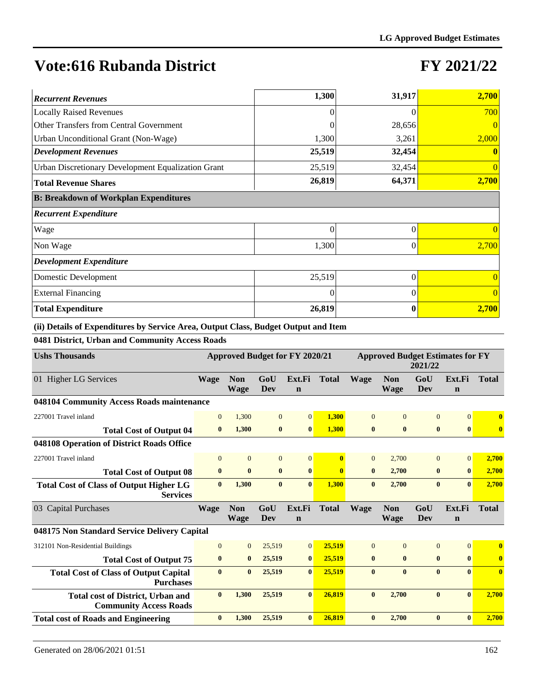### **FY 2021/22**

| <b>Recurrent Revenues</b>                          | 1,300    | 31,917   | 2,700    |
|----------------------------------------------------|----------|----------|----------|
| <b>Locally Raised Revenues</b>                     |          |          | 700      |
| Other Transfers from Central Government            |          | 28,656   |          |
| Urban Unconditional Grant (Non-Wage)               | 1,300    | 3,261    | 2,000    |
| <b>Development Revenues</b>                        | 25,519   | 32,454   |          |
| Urban Discretionary Development Equalization Grant | 25,519   | 32,454   |          |
| <b>Total Revenue Shares</b>                        | 26,819   | 64,371   | 2,700    |
| <b>B: Breakdown of Workplan Expenditures</b>       |          |          |          |
| <b>Recurrent Expenditure</b>                       |          |          |          |
| Wage                                               | $\theta$ | $\Omega$ |          |
| Non Wage                                           | 1,300    | $\Omega$ | 2,700    |
| <b>Development Expenditure</b>                     |          |          |          |
| Domestic Development                               | 25,519   | $\theta$ |          |
| <b>External Financing</b>                          | $\Omega$ | $\Omega$ | $\Omega$ |
| <b>Total Expenditure</b>                           | 26,819   | $\bf{0}$ | 2,700    |

**(ii) Details of Expenditures by Service Area, Output Class, Budget Output and Item**

### **0481 District, Urban and Community Access Roads**

| <b>Ushs Thousands</b>                                                     | <b>Approved Budget for FY 2020/21</b><br><b>Approved Budget Estimates for FY</b><br>2021/22 |                           |                |                       |              |                |                           |                   |                       |                         |
|---------------------------------------------------------------------------|---------------------------------------------------------------------------------------------|---------------------------|----------------|-----------------------|--------------|----------------|---------------------------|-------------------|-----------------------|-------------------------|
| 01 Higher LG Services                                                     | <b>Wage</b>                                                                                 | <b>Non</b><br><b>Wage</b> | GoU<br>Dev     | Ext.Fi<br>$\mathbf n$ | <b>Total</b> | <b>Wage</b>    | <b>Non</b><br><b>Wage</b> | GoU<br><b>Dev</b> | Ext.Fi<br>$\mathbf n$ | <b>Total</b>            |
| 048104 Community Access Roads maintenance                                 |                                                                                             |                           |                |                       |              |                |                           |                   |                       |                         |
| 227001 Travel inland                                                      | $\overline{0}$                                                                              | 1,300                     | $\overline{0}$ | $\overline{0}$        | 1,300        | $\overline{0}$ | $\overline{0}$            | $\mathbf{0}$      | $\overline{0}$        | $\bf{0}$                |
| <b>Total Cost of Output 04</b>                                            | $\bf{0}$                                                                                    | 1,300                     | $\bf{0}$       | $\bf{0}$              | 1,300        | $\bf{0}$       | $\bf{0}$                  | $\bf{0}$          | $\bf{0}$              | $\bf{0}$                |
| 048108 Operation of District Roads Office                                 |                                                                                             |                           |                |                       |              |                |                           |                   |                       |                         |
| 227001 Travel inland                                                      | $\Omega$                                                                                    | $\overline{0}$            | $\overline{0}$ | $\overline{0}$        | $\mathbf{0}$ | $\overline{0}$ | 2,700                     | $\mathbf{0}$      | $\Omega$              | 2,700                   |
| <b>Total Cost of Output 08</b>                                            | $\bf{0}$                                                                                    | $\bf{0}$                  | $\bf{0}$       | $\bf{0}$              | $\mathbf{0}$ | $\bf{0}$       | 2,700                     | $\bf{0}$          | $\mathbf{0}$          | 2,700                   |
| <b>Total Cost of Class of Output Higher LG</b><br><b>Services</b>         | $\mathbf{0}$                                                                                | 1,300                     | $\bf{0}$       | $\mathbf{0}$          | 1,300        | $\bf{0}$       | 2,700                     | $\bf{0}$          | $\mathbf{0}$          | 2,700                   |
| 03 Capital Purchases                                                      | <b>Wage</b>                                                                                 | <b>Non</b><br><b>Wage</b> | GoU<br>Dev     | Ext.Fi<br>$\mathbf n$ | <b>Total</b> | <b>Wage</b>    | <b>Non</b><br><b>Wage</b> | GoU<br>Dev        | Ext.Fi<br>$\mathbf n$ | <b>Total</b>            |
| 048175 Non Standard Service Delivery Capital                              |                                                                                             |                           |                |                       |              |                |                           |                   |                       |                         |
| 312101 Non-Residential Buildings                                          | $\Omega$                                                                                    | $\overline{0}$            | 25,519         | $\overline{0}$        | 25,519       | $\Omega$       | $\Omega$                  | $\mathbf{0}$      | $\Omega$              | $\mathbf{0}$            |
| <b>Total Cost of Output 75</b>                                            | $\bf{0}$                                                                                    | $\bf{0}$                  | 25,519         | $\bf{0}$              | 25,519       | $\bf{0}$       | $\bf{0}$                  | $\bf{0}$          | $\boldsymbol{0}$      | $\overline{\mathbf{0}}$ |
| <b>Total Cost of Class of Output Capital</b><br><b>Purchases</b>          | $\mathbf{0}$                                                                                | $\bf{0}$                  | 25,519         | $\mathbf{0}$          | 25,519       | $\mathbf{0}$   | $\mathbf{0}$              | $\mathbf{0}$      | $\mathbf{0}$          | $\mathbf{0}$            |
| <b>Total cost of District, Urban and</b><br><b>Community Access Roads</b> | $\mathbf{0}$                                                                                | 1.300                     | 25,519         | $\mathbf{0}$          | 26.819       | $\mathbf{0}$   | 2.700                     | $\bf{0}$          | $\mathbf{0}$          | 2,700                   |
| <b>Total cost of Roads and Engineering</b>                                | $\mathbf{0}$                                                                                | 1,300                     | 25,519         | $\bf{0}$              | 26.819       | $\bf{0}$       | 2,700                     | $\bf{0}$          | $\mathbf{0}$          | 2,700                   |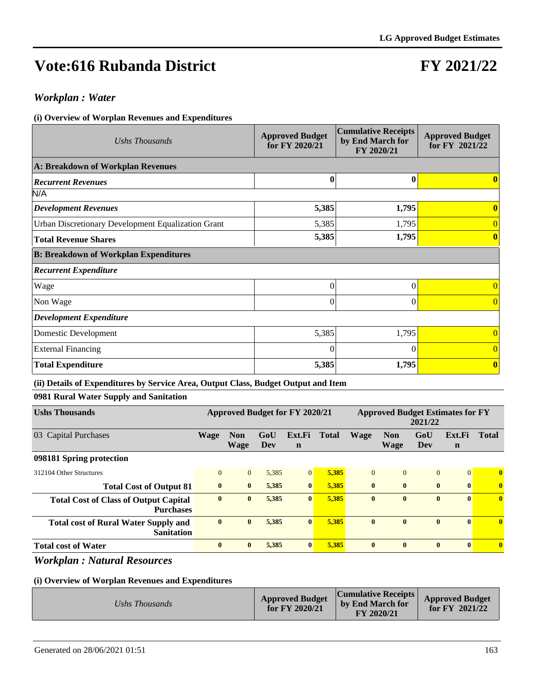## **FY 2021/22**

### *Workplan : Water*

#### **(i) Overview of Worplan Revenues and Expenditures**

| Ushs Thousands                                     | <b>Approved Budget</b><br>for FY 2020/21 | <b>Cumulative Receipts</b><br>by End March for<br>FY 2020/21 | <b>Approved Budget</b><br>for FY 2021/22 |
|----------------------------------------------------|------------------------------------------|--------------------------------------------------------------|------------------------------------------|
| A: Breakdown of Workplan Revenues                  |                                          |                                                              |                                          |
| <b>Recurrent Revenues</b>                          | $\bf{0}$                                 | 0                                                            |                                          |
| N/A                                                |                                          |                                                              |                                          |
| <b>Development Revenues</b>                        | 5,385                                    | 1,795                                                        | $\bf{0}$                                 |
| Urban Discretionary Development Equalization Grant | 5,385                                    | 1,795                                                        |                                          |
| <b>Total Revenue Shares</b>                        | 5,385                                    | 1,795                                                        | $\bf{0}$                                 |
| <b>B: Breakdown of Workplan Expenditures</b>       |                                          |                                                              |                                          |
| <b>Recurrent Expenditure</b>                       |                                          |                                                              |                                          |
| Wage                                               | 0                                        | $\Omega$                                                     | 0                                        |
| Non Wage                                           | $\theta$                                 | $\Omega$                                                     | 0                                        |
| <b>Development Expenditure</b>                     |                                          |                                                              |                                          |
| Domestic Development                               | 5,385                                    | 1,795                                                        | $\overline{0}$                           |
| <b>External Financing</b>                          | $\Omega$                                 | $\Omega$                                                     | $\overline{0}$                           |
| <b>Total Expenditure</b>                           | 5,385                                    | 1,795                                                        | $\overline{\mathbf{0}}$                  |

#### **(ii) Details of Expenditures by Service Area, Output Class, Budget Output and Item**

### **0981 Rural Water Supply and Sanitation**

| <b>Ushs Thousands</b>                                            | Approved Budget for FY 2020/21 |                    |            |                       |              | <b>Approved Budget Estimates for FY</b><br>2021/22 |                           |                |                       |                         |
|------------------------------------------------------------------|--------------------------------|--------------------|------------|-----------------------|--------------|----------------------------------------------------|---------------------------|----------------|-----------------------|-------------------------|
| <b>Capital Purchases</b><br>03                                   | <b>Wage</b>                    | <b>Non</b><br>Wage | GoU<br>Dev | Ext.Fi<br>$\mathbf n$ | <b>Total</b> | <b>Wage</b>                                        | <b>Non</b><br><b>Wage</b> | GoU<br>Dev     | Ext.Fi<br>$\mathbf n$ | <b>Total</b>            |
| 098181 Spring protection                                         |                                |                    |            |                       |              |                                                    |                           |                |                       |                         |
| 312104 Other Structures                                          | $\Omega$                       | $\mathbf{0}$       | 5,385      | $\overline{0}$        | 5,385        | $\mathbf{0}$                                       | $\Omega$                  | $\overline{0}$ | $\Omega$              | $\bf{0}$                |
| <b>Total Cost of Output 81</b>                                   | $\mathbf{0}$                   | $\bf{0}$           | 5,385      | $\bf{0}$              | 5,385        | $\mathbf{0}$                                       | $\mathbf{0}$              | $\bf{0}$       | $\mathbf{0}$          | $\overline{\mathbf{0}}$ |
| <b>Total Cost of Class of Output Capital</b><br><b>Purchases</b> | $\bf{0}$                       | $\bf{0}$           | 5,385      | $\bf{0}$              | 5,385        | $\mathbf{0}$                                       | $\mathbf{0}$              | $\bf{0}$       | $\mathbf{0}$          | $\bf{0}$                |
| <b>Total cost of Rural Water Supply and</b><br><b>Sanitation</b> | $\bf{0}$                       | $\bf{0}$           | 5,385      | $\bf{0}$              | 5,385        | $\bf{0}$                                           | $\mathbf{0}$              | $\bf{0}$       | $\mathbf{0}$          | $\bf{0}$                |
| <b>Total cost of Water</b>                                       | $\bf{0}$                       | $\bf{0}$           | 5,385      | $\bf{0}$              | 5,385        | $\mathbf{0}$                                       | $\mathbf{0}$              | $\bf{0}$       | $\mathbf{0}$          | $\mathbf{0}$            |

### *Workplan : Natural Resources*

| Ushs Thousands | <b>Approved Budget</b><br>for $FY$ 2020/21 | $ Cumulative$ Receipts $ $<br>by End March for<br>FY 2020/21 | <b>Approved Budget</b><br>for $FY$ 2021/22 |
|----------------|--------------------------------------------|--------------------------------------------------------------|--------------------------------------------|
|----------------|--------------------------------------------|--------------------------------------------------------------|--------------------------------------------|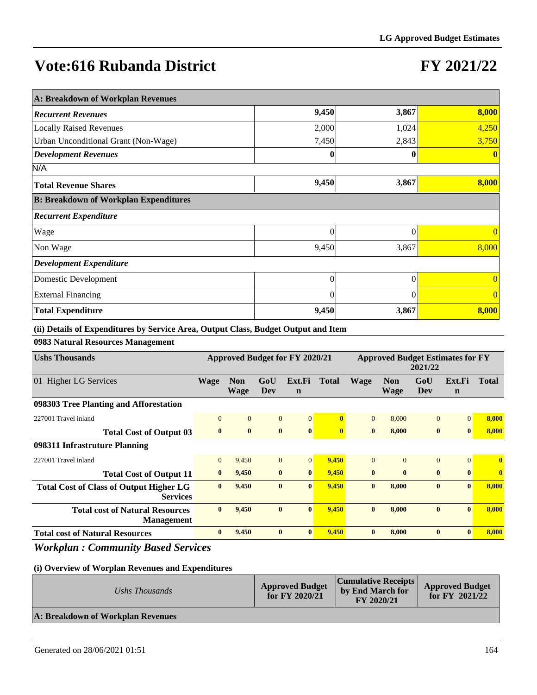## **FY 2021/22**

| A: Breakdown of Workplan Revenues            |          |       |                |
|----------------------------------------------|----------|-------|----------------|
| <b>Recurrent Revenues</b>                    | 9,450    | 3,867 | 8,000          |
| <b>Locally Raised Revenues</b>               | 2,000    | 1,024 | 4,250          |
| Urban Unconditional Grant (Non-Wage)         | 7,450    | 2,843 | 3,750          |
| <b>Development Revenues</b>                  | $\bf{0}$ | 0     | $\mathbf{0}$   |
| N/A                                          |          |       |                |
| <b>Total Revenue Shares</b>                  | 9,450    | 3,867 | 8,000          |
| <b>B: Breakdown of Workplan Expenditures</b> |          |       |                |
| <b>Recurrent Expenditure</b>                 |          |       |                |
| Wage                                         | $\Omega$ | 0     | $\Omega$       |
| Non Wage                                     | 9,450    | 3,867 | 8,000          |
| <b>Development Expenditure</b>               |          |       |                |
| Domestic Development                         | 0        | 0     | $\overline{0}$ |
| <b>External Financing</b>                    | $\Omega$ | 0     | $\theta$       |
| <b>Total Expenditure</b>                     | 9,450    | 3,867 | 8,000          |

**(ii) Details of Expenditures by Service Area, Output Class, Budget Output and Item**

### **0983 Natural Resources Management**

| <b>Ushs Thousands</b>                                             | Approved Budget for FY 2020/21 |                    |                |                       | <b>Approved Budget Estimates for FY</b><br>2021/22 |              |                    |              |                       |              |
|-------------------------------------------------------------------|--------------------------------|--------------------|----------------|-----------------------|----------------------------------------------------|--------------|--------------------|--------------|-----------------------|--------------|
| 01 Higher LG Services                                             | <b>Wage</b>                    | <b>Non</b><br>Wage | GoU<br>Dev     | Ext.Fi<br>$\mathbf n$ | Total                                              | <b>Wage</b>  | <b>Non</b><br>Wage | GoU<br>Dev   | Ext.Fi<br>$\mathbf n$ | <b>Total</b> |
| 098303 Tree Planting and Afforestation                            |                                |                    |                |                       |                                                    |              |                    |              |                       |              |
| 227001 Travel inland                                              | $\mathbf{0}$                   | $\mathbf{0}$       | $\mathbf{0}$   | $\overline{0}$        | $\bf{0}$                                           | $\Omega$     | 8,000              | $\mathbf{0}$ | $\mathbf{0}$          | 8,000        |
| <b>Total Cost of Output 03</b>                                    | $\bf{0}$                       | $\bf{0}$           | $\bf{0}$       | $\bf{0}$              | $\mathbf{0}$                                       | $\mathbf{0}$ | 8,000              | $\bf{0}$     | $\bf{0}$              | 8,000        |
| 098311 Infrastruture Planning                                     |                                |                    |                |                       |                                                    |              |                    |              |                       |              |
| 227001 Travel inland                                              | $\mathbf{0}$                   | 9,450              | $\overline{0}$ | $\vert 0 \vert$       | 9,450                                              | $\Omega$     | $\Omega$           | $\mathbf{0}$ | $\overline{0}$        | $\bf{0}$     |
| <b>Total Cost of Output 11</b>                                    | $\mathbf{0}$                   | 9,450              | $\bf{0}$       | $\mathbf{0}$          | 9,450                                              | $\mathbf{0}$ | $\mathbf{0}$       | $\bf{0}$     | $\mathbf{0}$          | $\bf{0}$     |
| <b>Total Cost of Class of Output Higher LG</b><br><b>Services</b> | $\mathbf{0}$                   | 9,450              | $\mathbf{0}$   | $\mathbf{0}$          | 9,450                                              | $\mathbf{0}$ | 8.000              | $\mathbf{0}$ | $\mathbf{0}$          | 8,000        |
| <b>Total cost of Natural Resources</b><br><b>Management</b>       | $\mathbf{0}$                   | 9,450              | $\mathbf{0}$   | $\mathbf{0}$          | 9,450                                              | $\mathbf{0}$ | 8,000              | $\bf{0}$     | $\mathbf{0}$          | 8,000        |
| <b>Total cost of Natural Resources</b>                            | $\mathbf{0}$                   | 9,450              | $\mathbf{0}$   | $\mathbf{0}$          | 9,450                                              | $\mathbf{0}$ | 8.000              | $\bf{0}$     | $\mathbf{0}$          | 8.000        |

### *Workplan : Community Based Services*

| Ushs Thousands                    | <b>Approved Budget</b><br>for $FY$ 2020/21 | <b>Cumulative Receipts</b><br>by End March for<br>FY 2020/21 | <b>Approved Budget</b><br>for $FY$ 2021/22 |  |
|-----------------------------------|--------------------------------------------|--------------------------------------------------------------|--------------------------------------------|--|
| A: Breakdown of Workplan Revenues |                                            |                                                              |                                            |  |